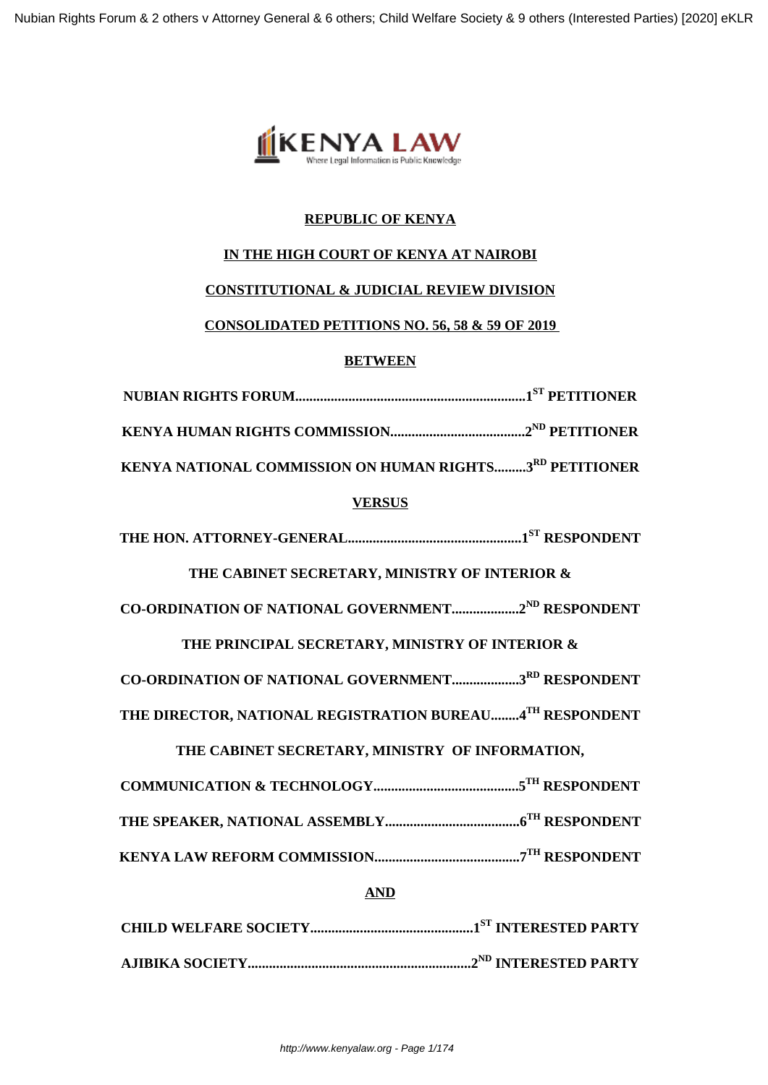Nubian Rights Forum & 2 others v Attorney General & 6 others; Child Welfare Society & 9 others (Interested Parties) [2020] eKLR



# **REPUBLIC OF KENYA**

# **IN THE HIGH COURT OF KENYA AT NAIROBI**

## **CONSTITUTIONAL & JUDICIAL REVIEW DIVISION**

# **CONSOLIDATED PETITIONS NO. 56, 58 & 59 OF 2019**

## **BETWEEN**

| KENYA NATIONAL COMMISSION ON HUMAN RIGHTS3RD PETITIONER        |  |  |
|----------------------------------------------------------------|--|--|
| <b>VERSUS</b>                                                  |  |  |
|                                                                |  |  |
| THE CABINET SECRETARY, MINISTRY OF INTERIOR &                  |  |  |
| CO-ORDINATION OF NATIONAL GOVERNMENT2 <sup>ND</sup> RESPONDENT |  |  |
| THE PRINCIPAL SECRETARY, MINISTRY OF INTERIOR &                |  |  |
| CO-ORDINATION OF NATIONAL GOVERNMENT3RD RESPONDENT             |  |  |
| THE DIRECTOR, NATIONAL REGISTRATION BUREAU 4TH RESPONDENT      |  |  |
| THE CABINET SECRETARY, MINISTRY OF INFORMATION,                |  |  |
|                                                                |  |  |
|                                                                |  |  |
|                                                                |  |  |
| <b>AND</b>                                                     |  |  |
|                                                                |  |  |
|                                                                |  |  |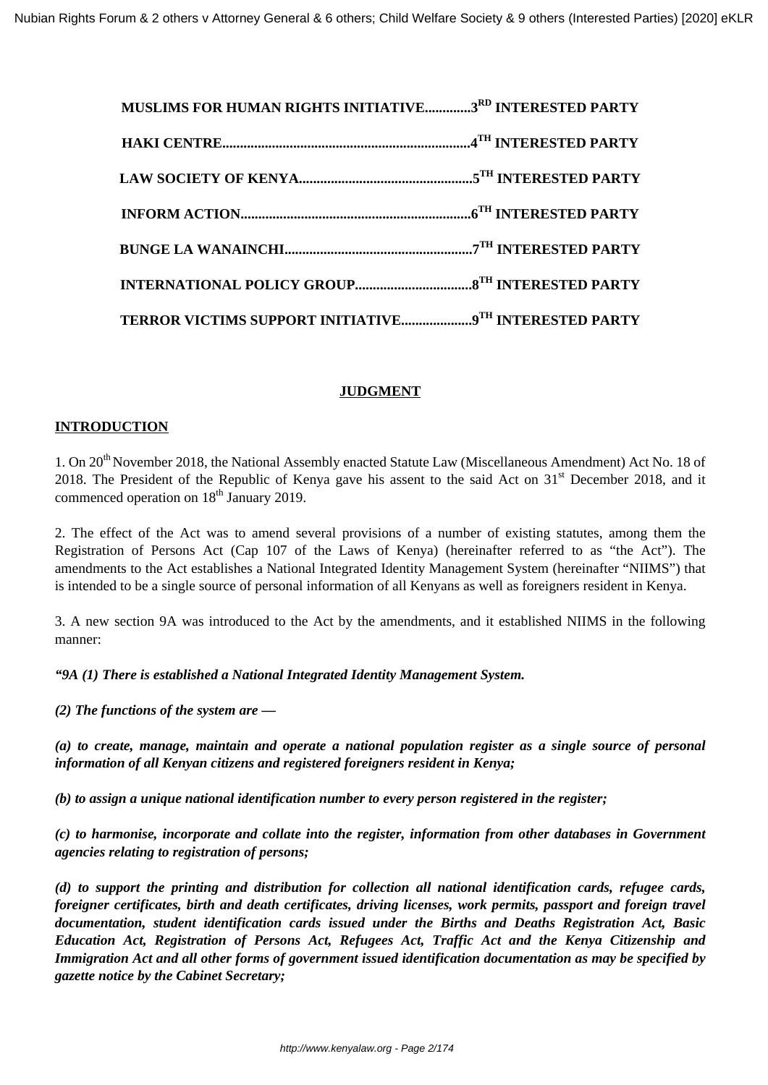| MUSLIMS FOR HUMAN RIGHTS INITIATIVE3RD INTERESTED PARTY |  |
|---------------------------------------------------------|--|
|                                                         |  |
|                                                         |  |
|                                                         |  |
|                                                         |  |
|                                                         |  |
| TERROR VICTIMS SUPPORT INITIATIVE9TH INTERESTED PARTY   |  |

## **JUDGMENT**

## **INTRODUCTION**

1. On 20<sup>th</sup> November 2018, the National Assembly enacted Statute Law (Miscellaneous Amendment) Act No. 18 of 2018. The President of the Republic of Kenya gave his assent to the said Act on 31<sup>st</sup> December 2018, and it commenced operation on 18<sup>th</sup> January 2019.

2. The effect of the Act was to amend several provisions of a number of existing statutes, among them the Registration of Persons Act (Cap 107 of the Laws of Kenya) (hereinafter referred to as "the Act"). The amendments to the Act establishes a National Integrated Identity Management System (hereinafter "NIIMS") that is intended to be a single source of personal information of all Kenyans as well as foreigners resident in Kenya.

3. A new section 9A was introduced to the Act by the amendments, and it established NIIMS in the following manner:

*"9A (1) There is established a National Integrated Identity Management System.*

*(2) The functions of the system are —*

*(a) to create, manage, maintain and operate a national population register as a single source of personal information of all Kenyan citizens and registered foreigners resident in Kenya;*

*(b) to assign a unique national identification number to every person registered in the register;*

*(c) to harmonise, incorporate and collate into the register, information from other databases in Government agencies relating to registration of persons;*

*(d) to support the printing and distribution for collection all national identification cards, refugee cards, foreigner certificates, birth and death certificates, driving licenses, work permits, passport and foreign travel documentation, student identification cards issued under the Births and Deaths Registration Act, Basic Education Act, Registration of Persons Act, Refugees Act, Traffic Act and the Kenya Citizenship and Immigration Act and all other forms of government issued identification documentation as may be specified by gazette notice by the Cabinet Secretary;*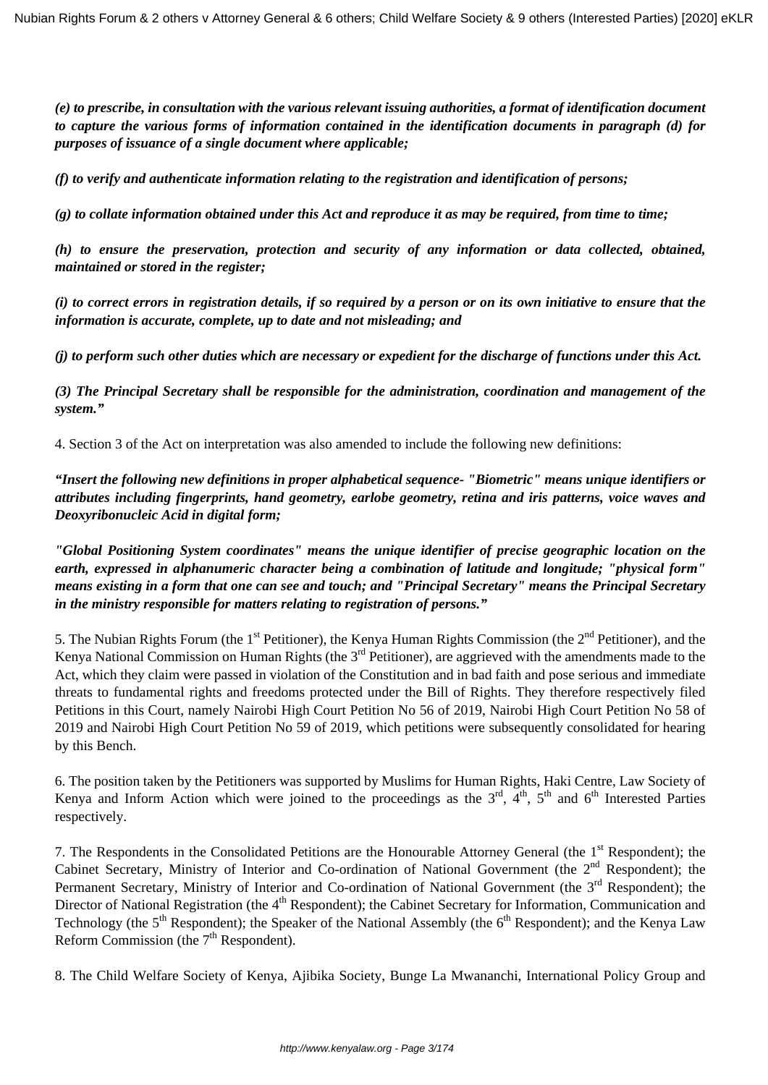*(e) to prescribe, in consultation with the various relevant issuing authorities, a format of identification document to capture the various forms of information contained in the identification documents in paragraph (d) for purposes of issuance of a single document where applicable;*

*(f) to verify and authenticate information relating to the registration and identification of persons;*

*(g) to collate information obtained under this Act and reproduce it as may be required, from time to time;*

*(h) to ensure the preservation, protection and security of any information or data collected, obtained, maintained or stored in the register;*

*(i) to correct errors in registration details, if so required by a person or on its own initiative to ensure that the information is accurate, complete, up to date and not misleading; and*

*(j) to perform such other duties which are necessary or expedient for the discharge of functions under this Act.*

*(3) The Principal Secretary shall be responsible for the administration, coordination and management of the system."*

4. Section 3 of the Act on interpretation was also amended to include the following new definitions:

*"Insert the following new definitions in proper alphabetical sequence- "Biometric" means unique identifiers or attributes including fingerprints, hand geometry, earlobe geometry, retina and iris patterns, voice waves and Deoxyribonucleic Acid in digital form;* 

*"Global Positioning System coordinates" means the unique identifier of precise geographic location on the earth, expressed in alphanumeric character being a combination of latitude and longitude; "physical form" means existing in a form that one can see and touch; and "Principal Secretary" means the Principal Secretary in the ministry responsible for matters relating to registration of persons."*

5. The Nubian Rights Forum (the  $1<sup>st</sup>$  Petitioner), the Kenya Human Rights Commission (the  $2<sup>nd</sup>$  Petitioner), and the Kenya National Commission on Human Rights (the  $3<sup>rd</sup>$  Petitioner), are aggrieved with the amendments made to the Act, which they claim were passed in violation of the Constitution and in bad faith and pose serious and immediate threats to fundamental rights and freedoms protected under the Bill of Rights. They therefore respectively filed Petitions in this Court, namely Nairobi High Court Petition No 56 of 2019, Nairobi High Court Petition No 58 of 2019 and Nairobi High Court Petition No 59 of 2019, which petitions were subsequently consolidated for hearing by this Bench.

6. The position taken by the Petitioners was supported by Muslims for Human Rights, Haki Centre, Law Society of Kenya and Inform Action which were joined to the proceedings as the  $3<sup>rd</sup>$ ,  $4<sup>th</sup>$ ,  $5<sup>th</sup>$  and  $6<sup>th</sup>$  Interested Parties respectively.

7. The Respondents in the Consolidated Petitions are the Honourable Attorney General (the 1<sup>st</sup> Respondent); the Cabinet Secretary, Ministry of Interior and Co-ordination of National Government (the 2<sup>nd</sup> Respondent); the Permanent Secretary, Ministry of Interior and Co-ordination of National Government (the 3<sup>rd</sup> Respondent); the Director of National Registration (the 4<sup>th</sup> Respondent); the Cabinet Secretary for Information, Communication and Technology (the  $5<sup>th</sup>$  Respondent); the Speaker of the National Assembly (the  $6<sup>th</sup>$  Respondent); and the Kenya Law Reform Commission (the  $7<sup>th</sup>$  Respondent).

8. The Child Welfare Society of Kenya, Ajibika Society, Bunge La Mwananchi, International Policy Group and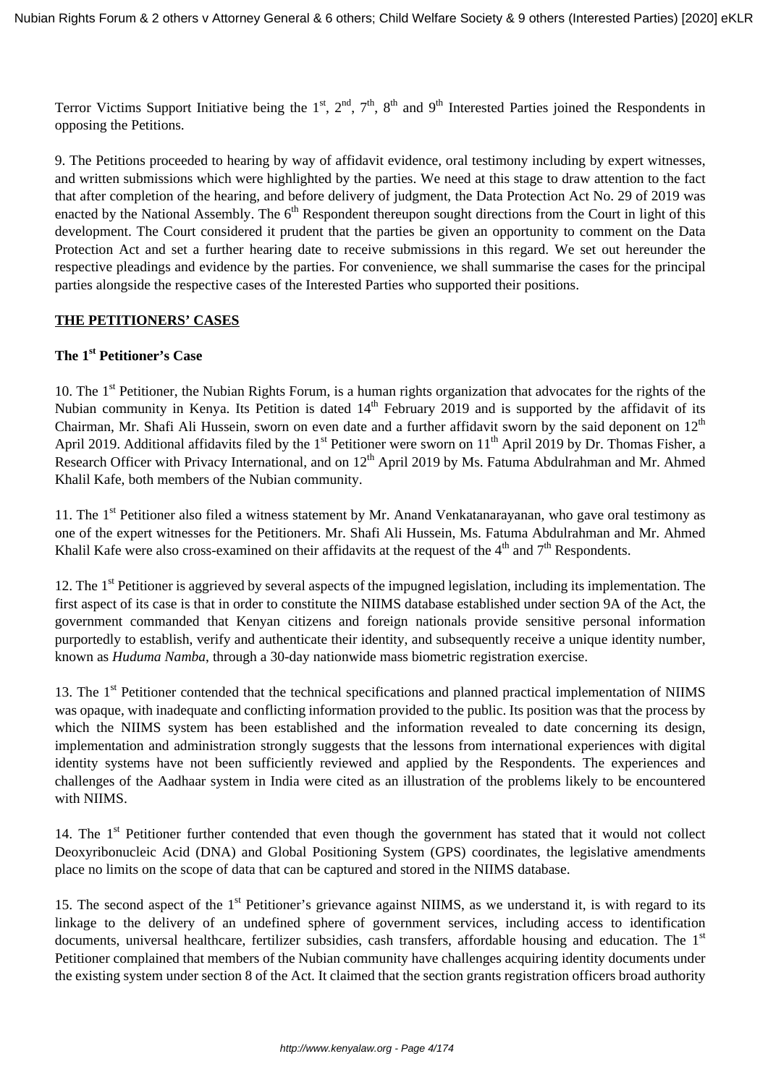Terror Victims Support Initiative being the 1<sup>st</sup>, 2<sup>nd</sup>, 7<sup>th</sup>, 8<sup>th</sup> and 9<sup>th</sup> Interested Parties joined the Respondents in opposing the Petitions.

9. The Petitions proceeded to hearing by way of affidavit evidence, oral testimony including by expert witnesses, and written submissions which were highlighted by the parties. We need at this stage to draw attention to the fact that after completion of the hearing, and before delivery of judgment, the Data Protection Act No. 29 of 2019 was enacted by the National Assembly. The  $6<sup>th</sup>$  Respondent thereupon sought directions from the Court in light of this development. The Court considered it prudent that the parties be given an opportunity to comment on the Data Protection Act and set a further hearing date to receive submissions in this regard. We set out hereunder the respective pleadings and evidence by the parties. For convenience, we shall summarise the cases for the principal parties alongside the respective cases of the Interested Parties who supported their positions.

## **THE PETITIONERS' CASES**

## **The 1st Petitioner's Case**

10. The 1<sup>st</sup> Petitioner, the Nubian Rights Forum, is a human rights organization that advocates for the rights of the Nubian community in Kenya. Its Petition is dated 14<sup>th</sup> February 2019 and is supported by the affidavit of its Chairman, Mr. Shafi Ali Hussein, sworn on even date and a further affidavit sworn by the said deponent on  $12<sup>th</sup>$ April 2019. Additional affidavits filed by the 1<sup>st</sup> Petitioner were sworn on  $11<sup>th</sup>$  April 2019 by Dr. Thomas Fisher, a Research Officer with Privacy International, and on 12<sup>th</sup> April 2019 by Ms. Fatuma Abdulrahman and Mr. Ahmed Khalil Kafe, both members of the Nubian community.

11. The 1<sup>st</sup> Petitioner also filed a witness statement by Mr. Anand Venkatanarayanan, who gave oral testimony as one of the expert witnesses for the Petitioners. Mr. Shafi Ali Hussein, Ms. Fatuma Abdulrahman and Mr. Ahmed Khalil Kafe were also cross-examined on their affidavits at the request of the  $4<sup>th</sup>$  and  $7<sup>th</sup>$  Respondents.

12. The  $1<sup>st</sup>$  Petitioner is aggrieved by several aspects of the impugned legislation, including its implementation. The first aspect of its case is that in order to constitute the NIIMS database established under section 9A of the Act, the government commanded that Kenyan citizens and foreign nationals provide sensitive personal information purportedly to establish, verify and authenticate their identity, and subsequently receive a unique identity number, known as *Huduma Namba*, through a 30-day nationwide mass biometric registration exercise.

13. The 1<sup>st</sup> Petitioner contended that the technical specifications and planned practical implementation of NIIMS was opaque, with inadequate and conflicting information provided to the public. Its position was that the process by which the NIIMS system has been established and the information revealed to date concerning its design, implementation and administration strongly suggests that the lessons from international experiences with digital identity systems have not been sufficiently reviewed and applied by the Respondents. The experiences and challenges of the Aadhaar system in India were cited as an illustration of the problems likely to be encountered with NIIMS.

14. The  $1<sup>st</sup>$  Petitioner further contended that even though the government has stated that it would not collect Deoxyribonucleic Acid (DNA) and Global Positioning System (GPS) coordinates, the legislative amendments place no limits on the scope of data that can be captured and stored in the NIIMS database.

15. The second aspect of the 1<sup>st</sup> Petitioner's grievance against NIIMS, as we understand it, is with regard to its linkage to the delivery of an undefined sphere of government services, including access to identification documents, universal healthcare, fertilizer subsidies, cash transfers, affordable housing and education. The 1<sup>st</sup> Petitioner complained that members of the Nubian community have challenges acquiring identity documents under the existing system under section 8 of the Act. It claimed that the section grants registration officers broad authority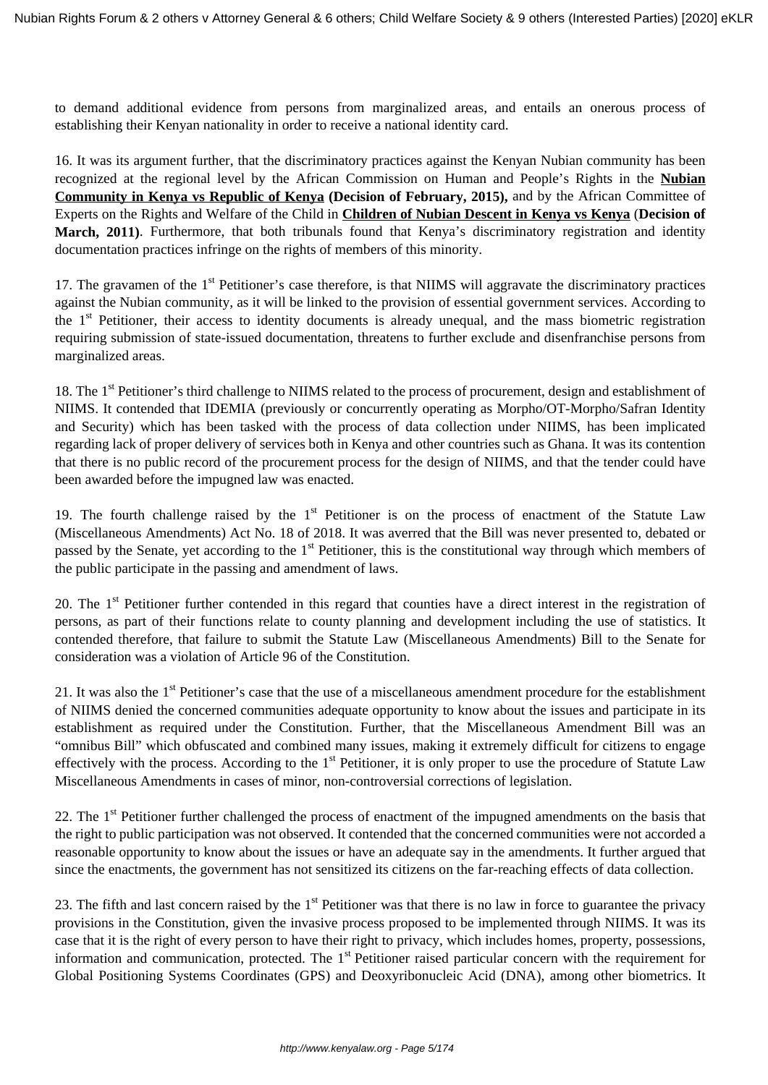to demand additional evidence from persons from marginalized areas, and entails an onerous process of establishing their Kenyan nationality in order to receive a national identity card.

16. It was its argument further, that the discriminatory practices against the Kenyan Nubian community has been recognized at the regional level by the African Commission on Human and People's Rights in the **Nubian Community in Kenya vs Republic of Kenya (Decision of February, 2015),** and by the African Committee of Experts on the Rights and Welfare of the Child in **Children of Nubian Descent in Kenya vs Kenya** (**Decision of March, 2011)**. Furthermore, that both tribunals found that Kenya's discriminatory registration and identity documentation practices infringe on the rights of members of this minority.

17. The gravamen of the 1<sup>st</sup> Petitioner's case therefore, is that NIIMS will aggravate the discriminatory practices against the Nubian community, as it will be linked to the provision of essential government services. According to the  $1<sup>st</sup>$  Petitioner, their access to identity documents is already unequal, and the mass biometric registration requiring submission of state-issued documentation, threatens to further exclude and disenfranchise persons from marginalized areas.

18. The 1<sup>st</sup> Petitioner's third challenge to NIIMS related to the process of procurement, design and establishment of NIIMS. It contended that IDEMIA (previously or concurrently operating as Morpho/OT-Morpho/Safran Identity and Security) which has been tasked with the process of data collection under NIIMS, has been implicated regarding lack of proper delivery of services both in Kenya and other countries such as Ghana. It was its contention that there is no public record of the procurement process for the design of NIIMS, and that the tender could have been awarded before the impugned law was enacted.

19. The fourth challenge raised by the  $1<sup>st</sup>$  Petitioner is on the process of enactment of the Statute Law (Miscellaneous Amendments) Act No. 18 of 2018. It was averred that the Bill was never presented to, debated or passed by the Senate, yet according to the  $1<sup>st</sup>$  Petitioner, this is the constitutional way through which members of the public participate in the passing and amendment of laws.

20. The 1<sup>st</sup> Petitioner further contended in this regard that counties have a direct interest in the registration of persons, as part of their functions relate to county planning and development including the use of statistics. It contended therefore, that failure to submit the Statute Law (Miscellaneous Amendments) Bill to the Senate for consideration was a violation of Article 96 of the Constitution.

21. It was also the  $1<sup>st</sup>$  Petitioner's case that the use of a miscellaneous amendment procedure for the establishment of NIIMS denied the concerned communities adequate opportunity to know about the issues and participate in its establishment as required under the Constitution. Further, that the Miscellaneous Amendment Bill was an "omnibus Bill" which obfuscated and combined many issues, making it extremely difficult for citizens to engage effectively with the process. According to the  $1<sup>st</sup>$  Petitioner, it is only proper to use the procedure of Statute Law Miscellaneous Amendments in cases of minor, non-controversial corrections of legislation.

22. The 1<sup>st</sup> Petitioner further challenged the process of enactment of the impugned amendments on the basis that the right to public participation was not observed. It contended that the concerned communities were not accorded a reasonable opportunity to know about the issues or have an adequate say in the amendments. It further argued that since the enactments, the government has not sensitized its citizens on the far-reaching effects of data collection.

23. The fifth and last concern raised by the  $1<sup>st</sup>$  Petitioner was that there is no law in force to guarantee the privacy provisions in the Constitution, given the invasive process proposed to be implemented through NIIMS. It was its case that it is the right of every person to have their right to privacy, which includes homes, property, possessions, information and communication, protected. The 1<sup>st</sup> Petitioner raised particular concern with the requirement for Global Positioning Systems Coordinates (GPS) and Deoxyribonucleic Acid (DNA), among other biometrics. It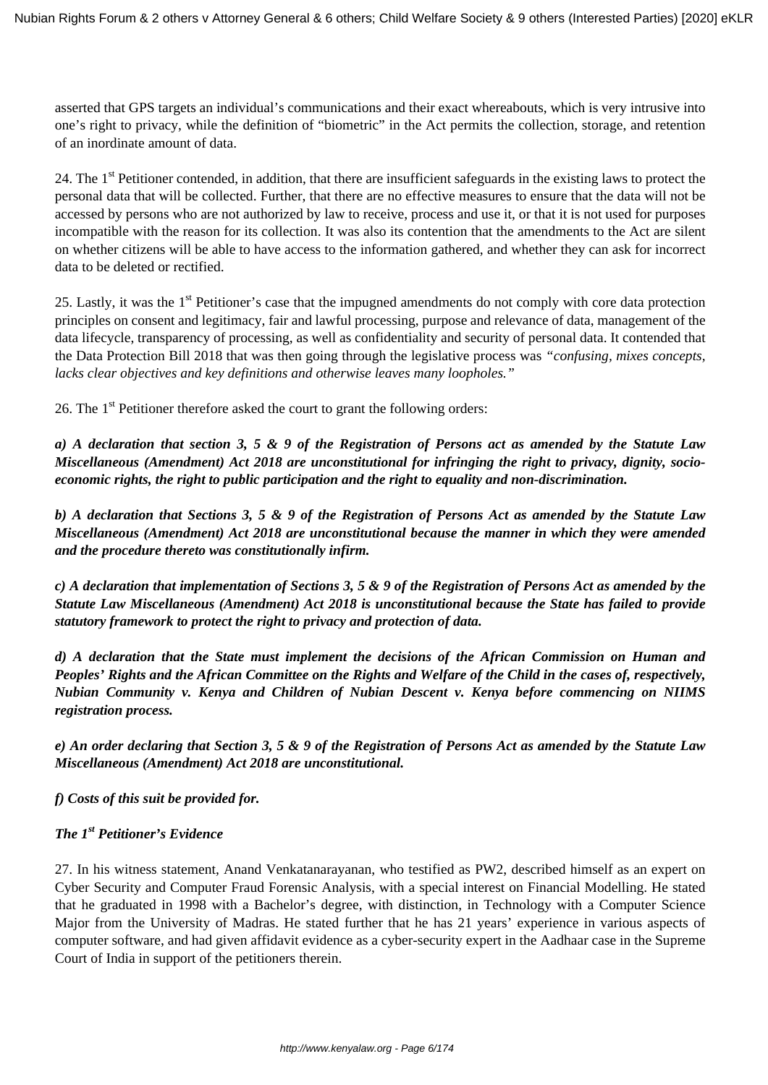asserted that GPS targets an individual's communications and their exact whereabouts, which is very intrusive into one's right to privacy, while the definition of "biometric" in the Act permits the collection, storage, and retention of an inordinate amount of data.

24. The 1<sup>st</sup> Petitioner contended, in addition, that there are insufficient safeguards in the existing laws to protect the personal data that will be collected. Further, that there are no effective measures to ensure that the data will not be accessed by persons who are not authorized by law to receive, process and use it, or that it is not used for purposes incompatible with the reason for its collection. It was also its contention that the amendments to the Act are silent on whether citizens will be able to have access to the information gathered, and whether they can ask for incorrect data to be deleted or rectified.

25. Lastly, it was the 1<sup>st</sup> Petitioner's case that the impugned amendments do not comply with core data protection principles on consent and legitimacy, fair and lawful processing, purpose and relevance of data, management of the data lifecycle, transparency of processing, as well as confidentiality and security of personal data. It contended that the Data Protection Bill 2018 that was then going through the legislative process was *"confusing, mixes concepts, lacks clear objectives and key definitions and otherwise leaves many loopholes."*

26. The  $1<sup>st</sup>$  Petitioner therefore asked the court to grant the following orders:

*a) A declaration that section 3, 5 & 9 of the Registration of Persons act as amended by the Statute Law Miscellaneous (Amendment) Act 2018 are unconstitutional for infringing the right to privacy, dignity, socioeconomic rights, the right to public participation and the right to equality and non-discrimination.*

*b) A declaration that Sections 3, 5 & 9 of the Registration of Persons Act as amended by the Statute Law Miscellaneous (Amendment) Act 2018 are unconstitutional because the manner in which they were amended and the procedure thereto was constitutionally infirm.*

*c) A declaration that implementation of Sections 3, 5 & 9 of the Registration of Persons Act as amended by the Statute Law Miscellaneous (Amendment) Act 2018 is unconstitutional because the State has failed to provide statutory framework to protect the right to privacy and protection of data.*

*d) A declaration that the State must implement the decisions of the African Commission on Human and Peoples' Rights and the African Committee on the Rights and Welfare of the Child in the cases of, respectively, Nubian Community v. Kenya and Children of Nubian Descent v. Kenya before commencing on NIIMS registration process.*

*e) An order declaring that Section 3, 5 & 9 of the Registration of Persons Act as amended by the Statute Law Miscellaneous (Amendment) Act 2018 are unconstitutional.*

*f) Costs of this suit be provided for.*

## *The 1st Petitioner's Evidence*

27. In his witness statement, Anand Venkatanarayanan, who testified as PW2, described himself as an expert on Cyber Security and Computer Fraud Forensic Analysis, with a special interest on Financial Modelling. He stated that he graduated in 1998 with a Bachelor's degree, with distinction, in Technology with a Computer Science Major from the University of Madras. He stated further that he has 21 years' experience in various aspects of computer software, and had given affidavit evidence as a cyber-security expert in the Aadhaar case in the Supreme Court of India in support of the petitioners therein.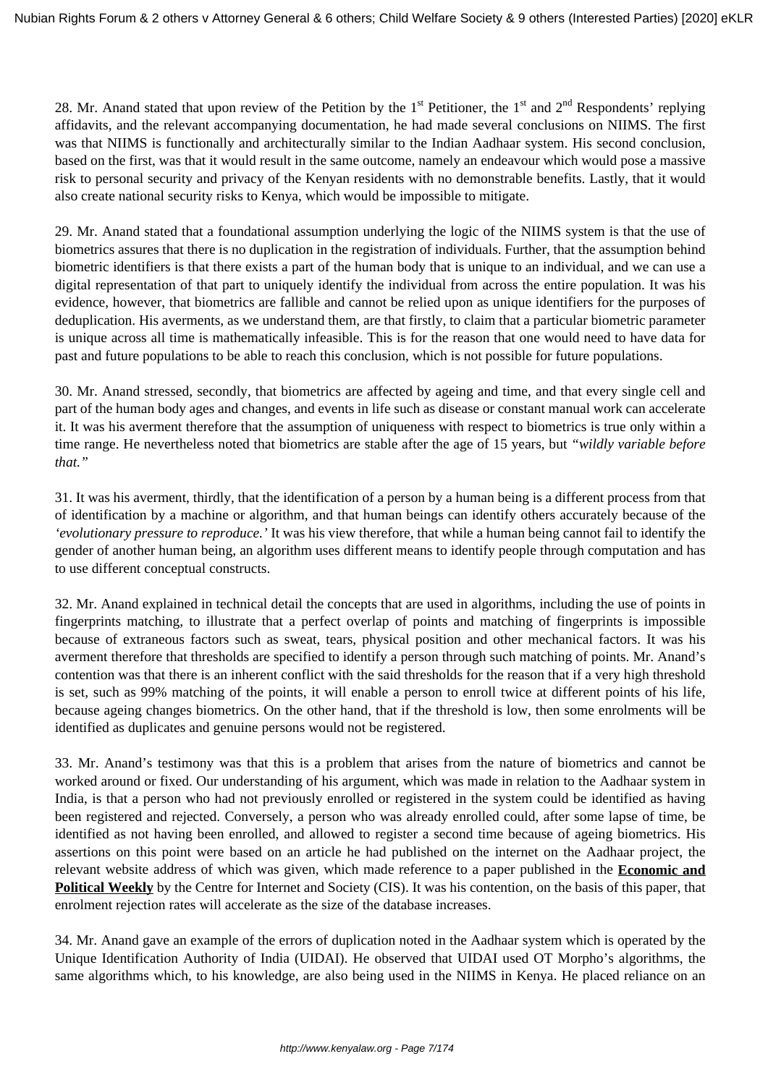28. Mr. Anand stated that upon review of the Petition by the  $1<sup>st</sup>$  Petitioner, the  $1<sup>st</sup>$  and  $2<sup>nd</sup>$  Respondents' replying affidavits, and the relevant accompanying documentation, he had made several conclusions on NIIMS. The first was that NIIMS is functionally and architecturally similar to the Indian Aadhaar system. His second conclusion, based on the first, was that it would result in the same outcome, namely an endeavour which would pose a massive risk to personal security and privacy of the Kenyan residents with no demonstrable benefits. Lastly, that it would also create national security risks to Kenya, which would be impossible to mitigate.

29. Mr. Anand stated that a foundational assumption underlying the logic of the NIIMS system is that the use of biometrics assures that there is no duplication in the registration of individuals. Further, that the assumption behind biometric identifiers is that there exists a part of the human body that is unique to an individual, and we can use a digital representation of that part to uniquely identify the individual from across the entire population. It was his evidence, however, that biometrics are fallible and cannot be relied upon as unique identifiers for the purposes of deduplication. His averments, as we understand them, are that firstly, to claim that a particular biometric parameter is unique across all time is mathematically infeasible. This is for the reason that one would need to have data for past and future populations to be able to reach this conclusion, which is not possible for future populations.

30. Mr. Anand stressed, secondly, that biometrics are affected by ageing and time, and that every single cell and part of the human body ages and changes, and events in life such as disease or constant manual work can accelerate it. It was his averment therefore that the assumption of uniqueness with respect to biometrics is true only within a time range. He nevertheless noted that biometrics are stable after the age of 15 years, but *"wildly variable before that."*

31. It was his averment, thirdly, that the identification of a person by a human being is a different process from that of identification by a machine or algorithm, and that human beings can identify others accurately because of the *'evolutionary pressure to reproduce.'* It was his view therefore, that while a human being cannot fail to identify the gender of another human being, an algorithm uses different means to identify people through computation and has to use different conceptual constructs.

32. Mr. Anand explained in technical detail the concepts that are used in algorithms, including the use of points in fingerprints matching, to illustrate that a perfect overlap of points and matching of fingerprints is impossible because of extraneous factors such as sweat, tears, physical position and other mechanical factors. It was his averment therefore that thresholds are specified to identify a person through such matching of points. Mr. Anand's contention was that there is an inherent conflict with the said thresholds for the reason that if a very high threshold is set, such as 99% matching of the points, it will enable a person to enroll twice at different points of his life, because ageing changes biometrics. On the other hand, that if the threshold is low, then some enrolments will be identified as duplicates and genuine persons would not be registered.

33. Mr. Anand's testimony was that this is a problem that arises from the nature of biometrics and cannot be worked around or fixed. Our understanding of his argument, which was made in relation to the Aadhaar system in India, is that a person who had not previously enrolled or registered in the system could be identified as having been registered and rejected. Conversely, a person who was already enrolled could, after some lapse of time, be identified as not having been enrolled, and allowed to register a second time because of ageing biometrics. His assertions on this point were based on an article he had published on the internet on the Aadhaar project, the relevant website address of which was given, which made reference to a paper published in the **Economic and Political Weekly** by the Centre for Internet and Society (CIS). It was his contention, on the basis of this paper, that enrolment rejection rates will accelerate as the size of the database increases.

34. Mr. Anand gave an example of the errors of duplication noted in the Aadhaar system which is operated by the Unique Identification Authority of India (UIDAI). He observed that UIDAI used OT Morpho's algorithms, the same algorithms which, to his knowledge, are also being used in the NIIMS in Kenya. He placed reliance on an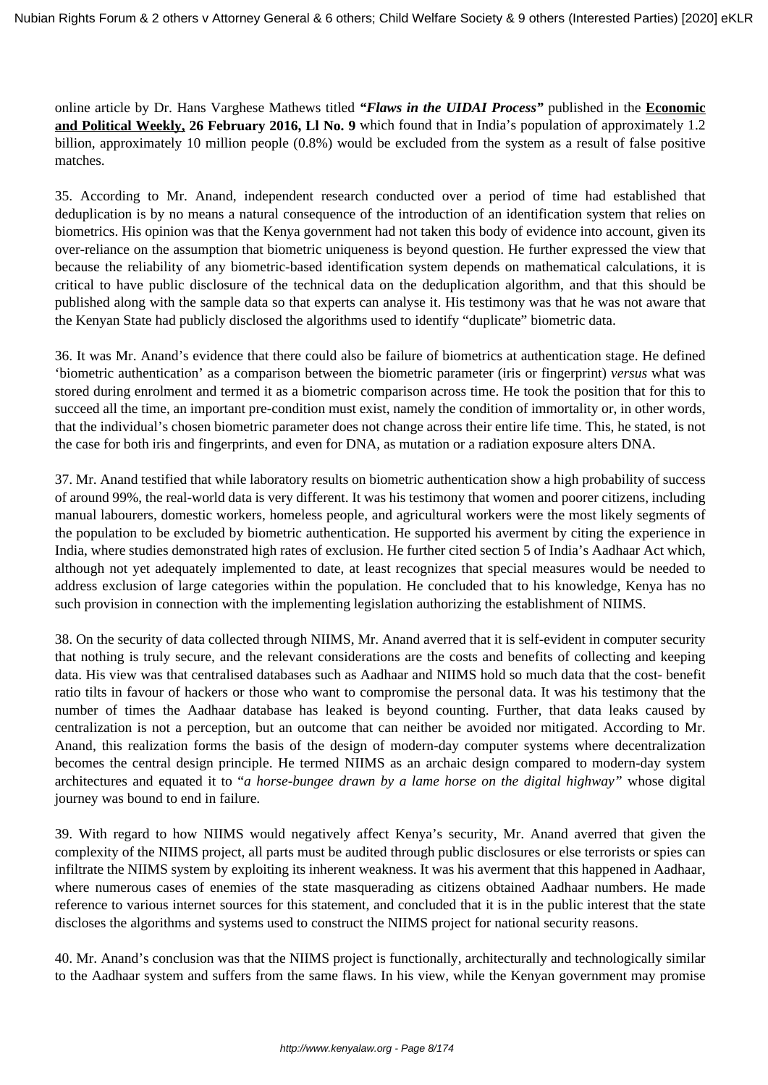online article by Dr. Hans Varghese Mathews titled *"Flaws in the UIDAI Process"* published in the **Economic and Political Weekly, 26 February 2016, Ll No. 9** which found that in India's population of approximately 1.2 billion, approximately 10 million people (0.8%) would be excluded from the system as a result of false positive matches.

35. According to Mr. Anand, independent research conducted over a period of time had established that deduplication is by no means a natural consequence of the introduction of an identification system that relies on biometrics. His opinion was that the Kenya government had not taken this body of evidence into account, given its over-reliance on the assumption that biometric uniqueness is beyond question. He further expressed the view that because the reliability of any biometric-based identification system depends on mathematical calculations, it is critical to have public disclosure of the technical data on the deduplication algorithm, and that this should be published along with the sample data so that experts can analyse it. His testimony was that he was not aware that the Kenyan State had publicly disclosed the algorithms used to identify "duplicate" biometric data.

36. It was Mr. Anand's evidence that there could also be failure of biometrics at authentication stage. He defined 'biometric authentication' as a comparison between the biometric parameter (iris or fingerprint) *versus* what was stored during enrolment and termed it as a biometric comparison across time. He took the position that for this to succeed all the time, an important pre-condition must exist, namely the condition of immortality or, in other words, that the individual's chosen biometric parameter does not change across their entire life time. This, he stated, is not the case for both iris and fingerprints, and even for DNA, as mutation or a radiation exposure alters DNA.

37. Mr. Anand testified that while laboratory results on biometric authentication show a high probability of success of around 99%, the real-world data is very different. It was his testimony that women and poorer citizens, including manual labourers, domestic workers, homeless people, and agricultural workers were the most likely segments of the population to be excluded by biometric authentication. He supported his averment by citing the experience in India, where studies demonstrated high rates of exclusion. He further cited section 5 of India's Aadhaar Act which, although not yet adequately implemented to date, at least recognizes that special measures would be needed to address exclusion of large categories within the population. He concluded that to his knowledge, Kenya has no such provision in connection with the implementing legislation authorizing the establishment of NIIMS.

38. On the security of data collected through NIIMS, Mr. Anand averred that it is self-evident in computer security that nothing is truly secure, and the relevant considerations are the costs and benefits of collecting and keeping data. His view was that centralised databases such as Aadhaar and NIIMS hold so much data that the cost- benefit ratio tilts in favour of hackers or those who want to compromise the personal data. It was his testimony that the number of times the Aadhaar database has leaked is beyond counting. Further, that data leaks caused by centralization is not a perception, but an outcome that can neither be avoided nor mitigated. According to Mr. Anand, this realization forms the basis of the design of modern-day computer systems where decentralization becomes the central design principle. He termed NIIMS as an archaic design compared to modern-day system architectures and equated it to "*a horse-bungee drawn by a lame horse on the digital highway"* whose digital journey was bound to end in failure.

39. With regard to how NIIMS would negatively affect Kenya's security, Mr. Anand averred that given the complexity of the NIIMS project, all parts must be audited through public disclosures or else terrorists or spies can infiltrate the NIIMS system by exploiting its inherent weakness. It was his averment that this happened in Aadhaar, where numerous cases of enemies of the state masquerading as citizens obtained Aadhaar numbers. He made reference to various internet sources for this statement, and concluded that it is in the public interest that the state discloses the algorithms and systems used to construct the NIIMS project for national security reasons.

40. Mr. Anand's conclusion was that the NIIMS project is functionally, architecturally and technologically similar to the Aadhaar system and suffers from the same flaws. In his view, while the Kenyan government may promise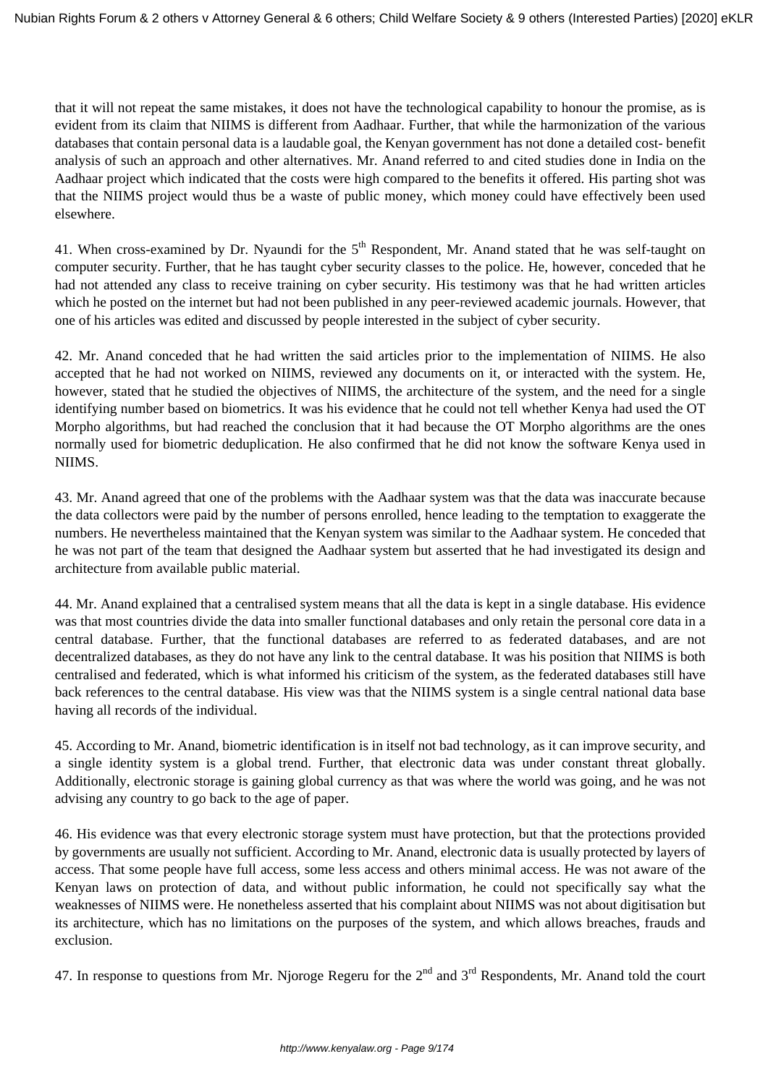that it will not repeat the same mistakes, it does not have the technological capability to honour the promise, as is evident from its claim that NIIMS is different from Aadhaar. Further, that while the harmonization of the various databases that contain personal data is a laudable goal, the Kenyan government has not done a detailed cost- benefit analysis of such an approach and other alternatives. Mr. Anand referred to and cited studies done in India on the Aadhaar project which indicated that the costs were high compared to the benefits it offered. His parting shot was that the NIIMS project would thus be a waste of public money, which money could have effectively been used elsewhere.

41. When cross-examined by Dr. Nyaundi for the 5<sup>th</sup> Respondent, Mr. Anand stated that he was self-taught on computer security. Further, that he has taught cyber security classes to the police. He, however, conceded that he had not attended any class to receive training on cyber security. His testimony was that he had written articles which he posted on the internet but had not been published in any peer-reviewed academic journals. However, that one of his articles was edited and discussed by people interested in the subject of cyber security.

42. Mr. Anand conceded that he had written the said articles prior to the implementation of NIIMS. He also accepted that he had not worked on NIIMS, reviewed any documents on it, or interacted with the system. He, however, stated that he studied the objectives of NIIMS, the architecture of the system, and the need for a single identifying number based on biometrics. It was his evidence that he could not tell whether Kenya had used the OT Morpho algorithms, but had reached the conclusion that it had because the OT Morpho algorithms are the ones normally used for biometric deduplication. He also confirmed that he did not know the software Kenya used in NIIMS.

43. Mr. Anand agreed that one of the problems with the Aadhaar system was that the data was inaccurate because the data collectors were paid by the number of persons enrolled, hence leading to the temptation to exaggerate the numbers. He nevertheless maintained that the Kenyan system was similar to the Aadhaar system. He conceded that he was not part of the team that designed the Aadhaar system but asserted that he had investigated its design and architecture from available public material.

44. Mr. Anand explained that a centralised system means that all the data is kept in a single database. His evidence was that most countries divide the data into smaller functional databases and only retain the personal core data in a central database. Further, that the functional databases are referred to as federated databases, and are not decentralized databases, as they do not have any link to the central database. It was his position that NIIMS is both centralised and federated, which is what informed his criticism of the system, as the federated databases still have back references to the central database. His view was that the NIIMS system is a single central national data base having all records of the individual.

45. According to Mr. Anand, biometric identification is in itself not bad technology, as it can improve security, and a single identity system is a global trend. Further, that electronic data was under constant threat globally. Additionally, electronic storage is gaining global currency as that was where the world was going, and he was not advising any country to go back to the age of paper.

46. His evidence was that every electronic storage system must have protection, but that the protections provided by governments are usually not sufficient. According to Mr. Anand, electronic data is usually protected by layers of access. That some people have full access, some less access and others minimal access. He was not aware of the Kenyan laws on protection of data, and without public information, he could not specifically say what the weaknesses of NIIMS were. He nonetheless asserted that his complaint about NIIMS was not about digitisation but its architecture, which has no limitations on the purposes of the system, and which allows breaches, frauds and exclusion.

47. In response to questions from Mr. Njoroge Regeru for the  $2<sup>nd</sup>$  and  $3<sup>rd</sup>$  Respondents, Mr. Anand told the court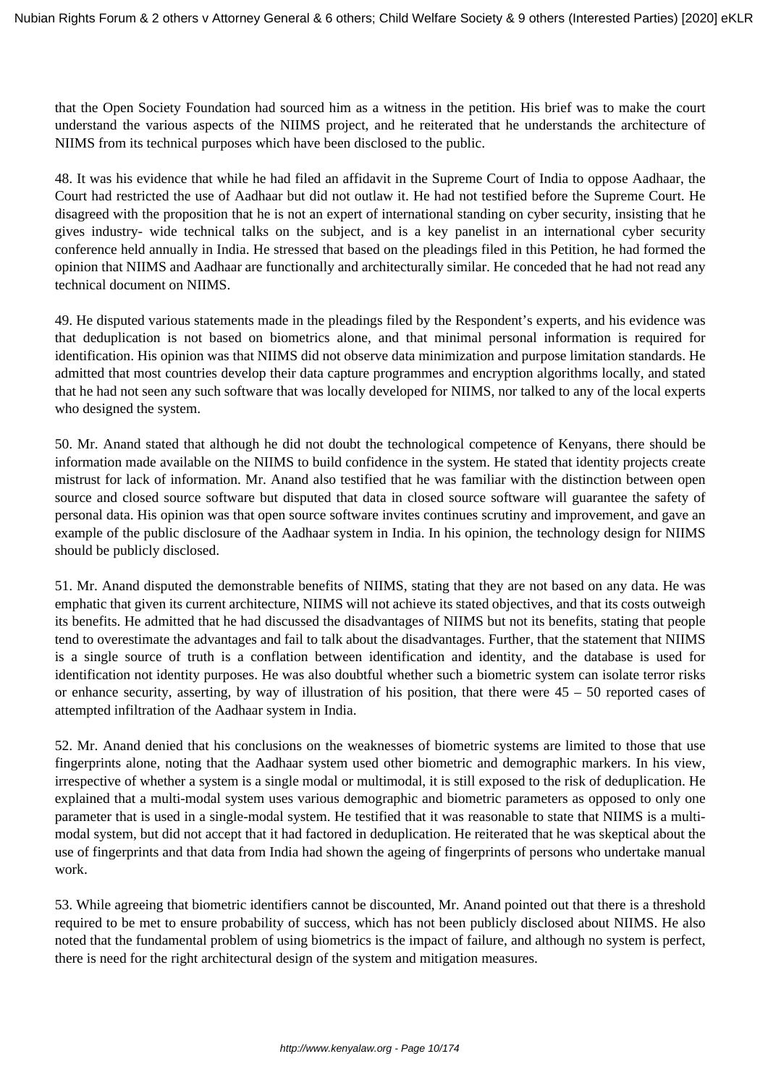that the Open Society Foundation had sourced him as a witness in the petition. His brief was to make the court understand the various aspects of the NIIMS project, and he reiterated that he understands the architecture of NIIMS from its technical purposes which have been disclosed to the public.

48. It was his evidence that while he had filed an affidavit in the Supreme Court of India to oppose Aadhaar, the Court had restricted the use of Aadhaar but did not outlaw it. He had not testified before the Supreme Court. He disagreed with the proposition that he is not an expert of international standing on cyber security, insisting that he gives industry- wide technical talks on the subject, and is a key panelist in an international cyber security conference held annually in India. He stressed that based on the pleadings filed in this Petition, he had formed the opinion that NIIMS and Aadhaar are functionally and architecturally similar. He conceded that he had not read any technical document on NIIMS.

49. He disputed various statements made in the pleadings filed by the Respondent's experts, and his evidence was that deduplication is not based on biometrics alone, and that minimal personal information is required for identification. His opinion was that NIIMS did not observe data minimization and purpose limitation standards. He admitted that most countries develop their data capture programmes and encryption algorithms locally, and stated that he had not seen any such software that was locally developed for NIIMS, nor talked to any of the local experts who designed the system.

50. Mr. Anand stated that although he did not doubt the technological competence of Kenyans, there should be information made available on the NIIMS to build confidence in the system. He stated that identity projects create mistrust for lack of information. Mr. Anand also testified that he was familiar with the distinction between open source and closed source software but disputed that data in closed source software will guarantee the safety of personal data. His opinion was that open source software invites continues scrutiny and improvement, and gave an example of the public disclosure of the Aadhaar system in India. In his opinion, the technology design for NIIMS should be publicly disclosed.

51. Mr. Anand disputed the demonstrable benefits of NIIMS, stating that they are not based on any data. He was emphatic that given its current architecture, NIIMS will not achieve its stated objectives, and that its costs outweigh its benefits. He admitted that he had discussed the disadvantages of NIIMS but not its benefits, stating that people tend to overestimate the advantages and fail to talk about the disadvantages. Further, that the statement that NIIMS is a single source of truth is a conflation between identification and identity, and the database is used for identification not identity purposes. He was also doubtful whether such a biometric system can isolate terror risks or enhance security, asserting, by way of illustration of his position, that there were 45 – 50 reported cases of attempted infiltration of the Aadhaar system in India.

52. Mr. Anand denied that his conclusions on the weaknesses of biometric systems are limited to those that use fingerprints alone, noting that the Aadhaar system used other biometric and demographic markers. In his view, irrespective of whether a system is a single modal or multimodal, it is still exposed to the risk of deduplication. He explained that a multi-modal system uses various demographic and biometric parameters as opposed to only one parameter that is used in a single-modal system. He testified that it was reasonable to state that NIIMS is a multimodal system, but did not accept that it had factored in deduplication. He reiterated that he was skeptical about the use of fingerprints and that data from India had shown the ageing of fingerprints of persons who undertake manual work.

53. While agreeing that biometric identifiers cannot be discounted, Mr. Anand pointed out that there is a threshold required to be met to ensure probability of success, which has not been publicly disclosed about NIIMS. He also noted that the fundamental problem of using biometrics is the impact of failure, and although no system is perfect, there is need for the right architectural design of the system and mitigation measures.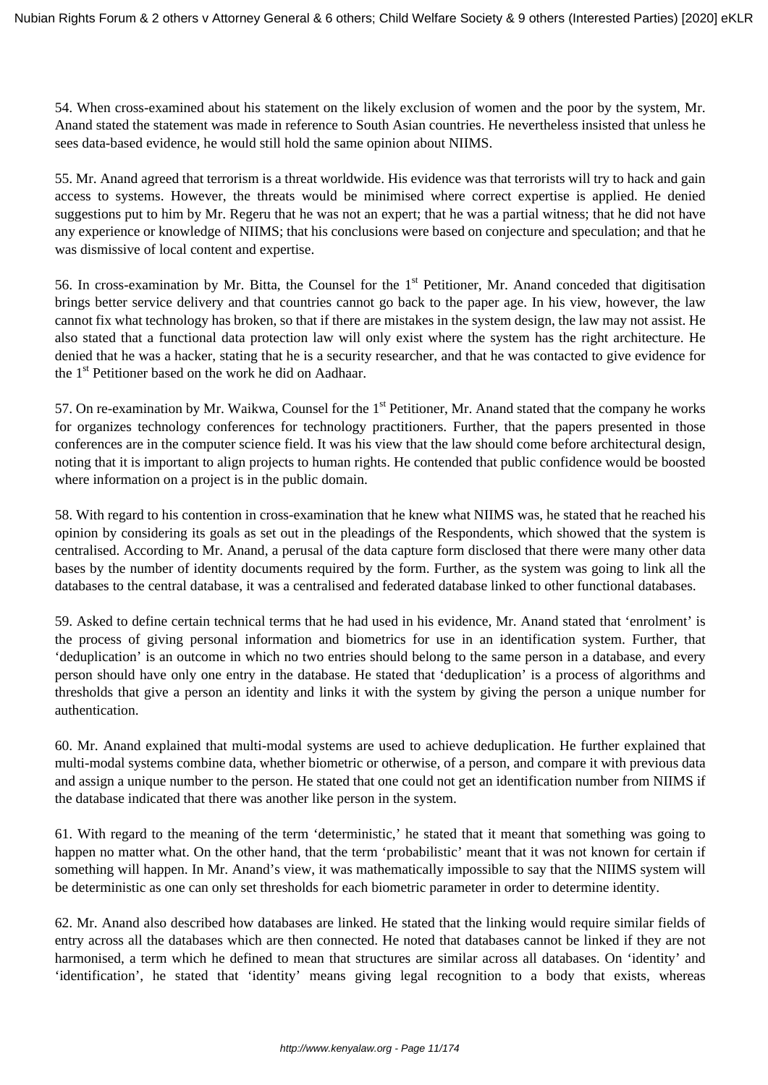54. When cross-examined about his statement on the likely exclusion of women and the poor by the system, Mr. Anand stated the statement was made in reference to South Asian countries. He nevertheless insisted that unless he sees data-based evidence, he would still hold the same opinion about NIIMS.

55. Mr. Anand agreed that terrorism is a threat worldwide. His evidence was that terrorists will try to hack and gain access to systems. However, the threats would be minimised where correct expertise is applied. He denied suggestions put to him by Mr. Regeru that he was not an expert; that he was a partial witness; that he did not have any experience or knowledge of NIIMS; that his conclusions were based on conjecture and speculation; and that he was dismissive of local content and expertise.

56. In cross-examination by Mr. Bitta, the Counsel for the 1<sup>st</sup> Petitioner, Mr. Anand conceded that digitisation brings better service delivery and that countries cannot go back to the paper age. In his view, however, the law cannot fix what technology has broken, so that if there are mistakes in the system design, the law may not assist. He also stated that a functional data protection law will only exist where the system has the right architecture. He denied that he was a hacker, stating that he is a security researcher, and that he was contacted to give evidence for the 1<sup>st</sup> Petitioner based on the work he did on Aadhaar.

57. On re-examination by Mr. Waikwa, Counsel for the  $1<sup>st</sup>$  Petitioner, Mr. Anand stated that the company he works for organizes technology conferences for technology practitioners. Further, that the papers presented in those conferences are in the computer science field. It was his view that the law should come before architectural design, noting that it is important to align projects to human rights. He contended that public confidence would be boosted where information on a project is in the public domain.

58. With regard to his contention in cross-examination that he knew what NIIMS was, he stated that he reached his opinion by considering its goals as set out in the pleadings of the Respondents, which showed that the system is centralised. According to Mr. Anand, a perusal of the data capture form disclosed that there were many other data bases by the number of identity documents required by the form. Further, as the system was going to link all the databases to the central database, it was a centralised and federated database linked to other functional databases.

59. Asked to define certain technical terms that he had used in his evidence, Mr. Anand stated that 'enrolment' is the process of giving personal information and biometrics for use in an identification system. Further, that 'deduplication' is an outcome in which no two entries should belong to the same person in a database, and every person should have only one entry in the database. He stated that 'deduplication' is a process of algorithms and thresholds that give a person an identity and links it with the system by giving the person a unique number for authentication.

60. Mr. Anand explained that multi-modal systems are used to achieve deduplication. He further explained that multi-modal systems combine data, whether biometric or otherwise, of a person, and compare it with previous data and assign a unique number to the person. He stated that one could not get an identification number from NIIMS if the database indicated that there was another like person in the system.

61. With regard to the meaning of the term 'deterministic,' he stated that it meant that something was going to happen no matter what. On the other hand, that the term 'probabilistic' meant that it was not known for certain if something will happen. In Mr. Anand's view, it was mathematically impossible to say that the NIIMS system will be deterministic as one can only set thresholds for each biometric parameter in order to determine identity.

62. Mr. Anand also described how databases are linked. He stated that the linking would require similar fields of entry across all the databases which are then connected. He noted that databases cannot be linked if they are not harmonised, a term which he defined to mean that structures are similar across all databases. On 'identity' and 'identification', he stated that 'identity' means giving legal recognition to a body that exists, whereas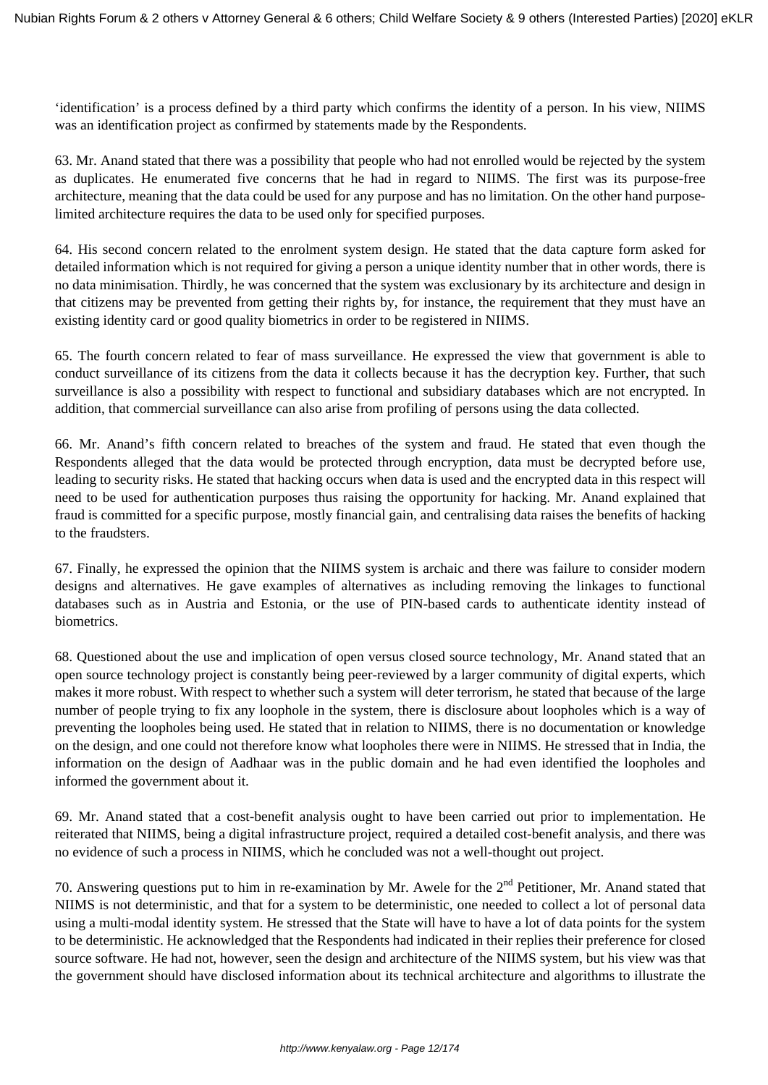'identification' is a process defined by a third party which confirms the identity of a person. In his view, NIIMS was an identification project as confirmed by statements made by the Respondents.

63. Mr. Anand stated that there was a possibility that people who had not enrolled would be rejected by the system as duplicates. He enumerated five concerns that he had in regard to NIIMS. The first was its purpose-free architecture, meaning that the data could be used for any purpose and has no limitation. On the other hand purposelimited architecture requires the data to be used only for specified purposes.

64. His second concern related to the enrolment system design. He stated that the data capture form asked for detailed information which is not required for giving a person a unique identity number that in other words, there is no data minimisation. Thirdly, he was concerned that the system was exclusionary by its architecture and design in that citizens may be prevented from getting their rights by, for instance, the requirement that they must have an existing identity card or good quality biometrics in order to be registered in NIIMS.

65. The fourth concern related to fear of mass surveillance. He expressed the view that government is able to conduct surveillance of its citizens from the data it collects because it has the decryption key. Further, that such surveillance is also a possibility with respect to functional and subsidiary databases which are not encrypted. In addition, that commercial surveillance can also arise from profiling of persons using the data collected.

66. Mr. Anand's fifth concern related to breaches of the system and fraud. He stated that even though the Respondents alleged that the data would be protected through encryption, data must be decrypted before use, leading to security risks. He stated that hacking occurs when data is used and the encrypted data in this respect will need to be used for authentication purposes thus raising the opportunity for hacking. Mr. Anand explained that fraud is committed for a specific purpose, mostly financial gain, and centralising data raises the benefits of hacking to the fraudsters.

67. Finally, he expressed the opinion that the NIIMS system is archaic and there was failure to consider modern designs and alternatives. He gave examples of alternatives as including removing the linkages to functional databases such as in Austria and Estonia, or the use of PIN-based cards to authenticate identity instead of biometrics.

68. Questioned about the use and implication of open versus closed source technology, Mr. Anand stated that an open source technology project is constantly being peer-reviewed by a larger community of digital experts, which makes it more robust. With respect to whether such a system will deter terrorism, he stated that because of the large number of people trying to fix any loophole in the system, there is disclosure about loopholes which is a way of preventing the loopholes being used. He stated that in relation to NIIMS, there is no documentation or knowledge on the design, and one could not therefore know what loopholes there were in NIIMS. He stressed that in India, the information on the design of Aadhaar was in the public domain and he had even identified the loopholes and informed the government about it.

69. Mr. Anand stated that a cost-benefit analysis ought to have been carried out prior to implementation. He reiterated that NIIMS, being a digital infrastructure project, required a detailed cost-benefit analysis, and there was no evidence of such a process in NIIMS, which he concluded was not a well-thought out project.

70. Answering questions put to him in re-examination by Mr. Awele for the  $2<sup>nd</sup>$  Petitioner, Mr. Anand stated that NIIMS is not deterministic, and that for a system to be deterministic, one needed to collect a lot of personal data using a multi-modal identity system. He stressed that the State will have to have a lot of data points for the system to be deterministic. He acknowledged that the Respondents had indicated in their replies their preference for closed source software. He had not, however, seen the design and architecture of the NIIMS system, but his view was that the government should have disclosed information about its technical architecture and algorithms to illustrate the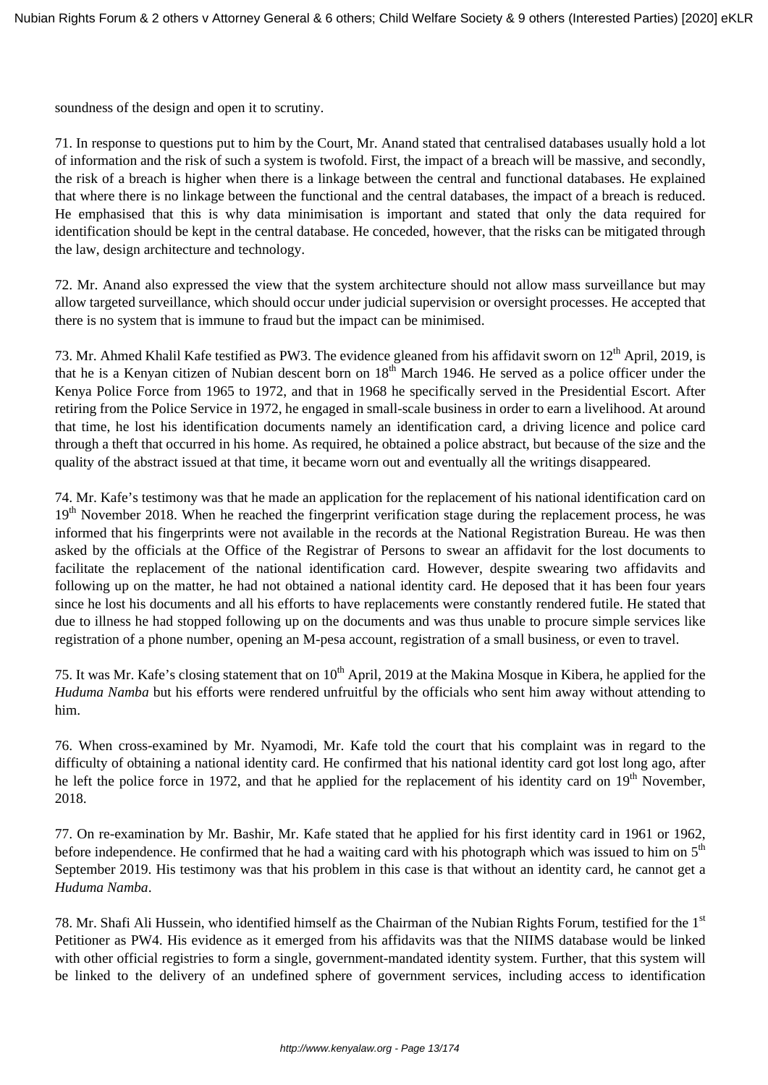soundness of the design and open it to scrutiny.

71. In response to questions put to him by the Court, Mr. Anand stated that centralised databases usually hold a lot of information and the risk of such a system is twofold. First, the impact of a breach will be massive, and secondly, the risk of a breach is higher when there is a linkage between the central and functional databases. He explained that where there is no linkage between the functional and the central databases, the impact of a breach is reduced. He emphasised that this is why data minimisation is important and stated that only the data required for identification should be kept in the central database. He conceded, however, that the risks can be mitigated through the law, design architecture and technology.

72. Mr. Anand also expressed the view that the system architecture should not allow mass surveillance but may allow targeted surveillance, which should occur under judicial supervision or oversight processes. He accepted that there is no system that is immune to fraud but the impact can be minimised.

73. Mr. Ahmed Khalil Kafe testified as PW3. The evidence gleaned from his affidavit sworn on 12<sup>th</sup> April, 2019, is that he is a Kenyan citizen of Nubian descent born on  $18<sup>th</sup>$  March 1946. He served as a police officer under the Kenya Police Force from 1965 to 1972, and that in 1968 he specifically served in the Presidential Escort. After retiring from the Police Service in 1972, he engaged in small-scale business in order to earn a livelihood. At around that time, he lost his identification documents namely an identification card, a driving licence and police card through a theft that occurred in his home. As required, he obtained a police abstract, but because of the size and the quality of the abstract issued at that time, it became worn out and eventually all the writings disappeared.

74. Mr. Kafe's testimony was that he made an application for the replacement of his national identification card on  $19<sup>th</sup>$  November 2018. When he reached the fingerprint verification stage during the replacement process, he was informed that his fingerprints were not available in the records at the National Registration Bureau. He was then asked by the officials at the Office of the Registrar of Persons to swear an affidavit for the lost documents to facilitate the replacement of the national identification card. However, despite swearing two affidavits and following up on the matter, he had not obtained a national identity card. He deposed that it has been four years since he lost his documents and all his efforts to have replacements were constantly rendered futile. He stated that due to illness he had stopped following up on the documents and was thus unable to procure simple services like registration of a phone number, opening an M-pesa account, registration of a small business, or even to travel.

75. It was Mr. Kafe's closing statement that on 10<sup>th</sup> April, 2019 at the Makina Mosque in Kibera, he applied for the *Huduma Namba* but his efforts were rendered unfruitful by the officials who sent him away without attending to him.

76. When cross-examined by Mr. Nyamodi, Mr. Kafe told the court that his complaint was in regard to the difficulty of obtaining a national identity card. He confirmed that his national identity card got lost long ago, after he left the police force in 1972, and that he applied for the replacement of his identity card on 19<sup>th</sup> November, 2018.

77. On re-examination by Mr. Bashir, Mr. Kafe stated that he applied for his first identity card in 1961 or 1962, before independence. He confirmed that he had a waiting card with his photograph which was issued to him on 5<sup>th</sup> September 2019. His testimony was that his problem in this case is that without an identity card, he cannot get a *Huduma Namba*.

78. Mr. Shafi Ali Hussein, who identified himself as the Chairman of the Nubian Rights Forum, testified for the 1<sup>st</sup> Petitioner as PW4. His evidence as it emerged from his affidavits was that the NIIMS database would be linked with other official registries to form a single, government-mandated identity system. Further, that this system will be linked to the delivery of an undefined sphere of government services, including access to identification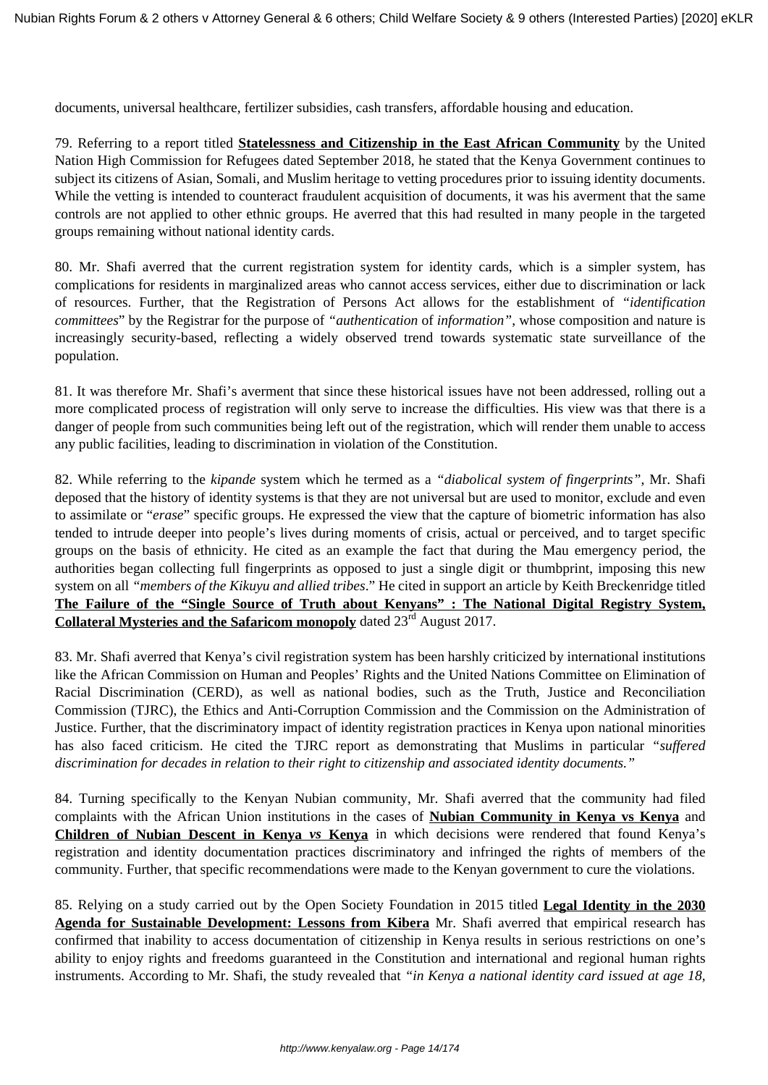documents, universal healthcare, fertilizer subsidies, cash transfers, affordable housing and education.

79. Referring to a report titled **Statelessness and Citizenship in the East African Community** by the United Nation High Commission for Refugees dated September 2018, he stated that the Kenya Government continues to subject its citizens of Asian, Somali, and Muslim heritage to vetting procedures prior to issuing identity documents. While the vetting is intended to counteract fraudulent acquisition of documents, it was his averment that the same controls are not applied to other ethnic groups. He averred that this had resulted in many people in the targeted groups remaining without national identity cards.

80. Mr. Shafi averred that the current registration system for identity cards, which is a simpler system, has complications for residents in marginalized areas who cannot access services, either due to discrimination or lack of resources. Further, that the Registration of Persons Act allows for the establishment of *"identification committees*" by the Registrar for the purpose of *"authentication* of *information"*, whose composition and nature is increasingly security-based, reflecting a widely observed trend towards systematic state surveillance of the population.

81. It was therefore Mr. Shafi's averment that since these historical issues have not been addressed, rolling out a more complicated process of registration will only serve to increase the difficulties. His view was that there is a danger of people from such communities being left out of the registration, which will render them unable to access any public facilities, leading to discrimination in violation of the Constitution.

82. While referring to the *kipande* system which he termed as a *"diabolical system of fingerprints"*, Mr. Shafi deposed that the history of identity systems is that they are not universal but are used to monitor, exclude and even to assimilate or "*erase*" specific groups. He expressed the view that the capture of biometric information has also tended to intrude deeper into people's lives during moments of crisis, actual or perceived, and to target specific groups on the basis of ethnicity. He cited as an example the fact that during the Mau emergency period, the authorities began collecting full fingerprints as opposed to just a single digit or thumbprint, imposing this new system on all *"members of the Kikuyu and allied tribes*." He cited in support an article by Keith Breckenridge titled **The Failure of the "Single Source of Truth about Kenyans" : The National Digital Registry System, Collateral Mysteries and the Safaricom monopoly** dated 23<sup>rd</sup> August 2017.

83. Mr. Shafi averred that Kenya's civil registration system has been harshly criticized by international institutions like the African Commission on Human and Peoples' Rights and the United Nations Committee on Elimination of Racial Discrimination (CERD), as well as national bodies, such as the Truth, Justice and Reconciliation Commission (TJRC), the Ethics and Anti-Corruption Commission and the Commission on the Administration of Justice. Further, that the discriminatory impact of identity registration practices in Kenya upon national minorities has also faced criticism. He cited the TJRC report as demonstrating that Muslims in particular *"suffered discrimination for decades in relation to their right to citizenship and associated identity documents."*

84. Turning specifically to the Kenyan Nubian community, Mr. Shafi averred that the community had filed complaints with the African Union institutions in the cases of **Nubian Community in Kenya vs Kenya** and **Children of Nubian Descent in Kenya** *vs* **Kenya** in which decisions were rendered that found Kenya's registration and identity documentation practices discriminatory and infringed the rights of members of the community. Further, that specific recommendations were made to the Kenyan government to cure the violations.

85. Relying on a study carried out by the Open Society Foundation in 2015 titled **Legal Identity in the 2030 Agenda for Sustainable Development: Lessons from Kibera** Mr. Shafi averred that empirical research has confirmed that inability to access documentation of citizenship in Kenya results in serious restrictions on one's ability to enjoy rights and freedoms guaranteed in the Constitution and international and regional human rights instruments. According to Mr. Shafi, the study revealed that *"in Kenya a national identity card issued at age 18,*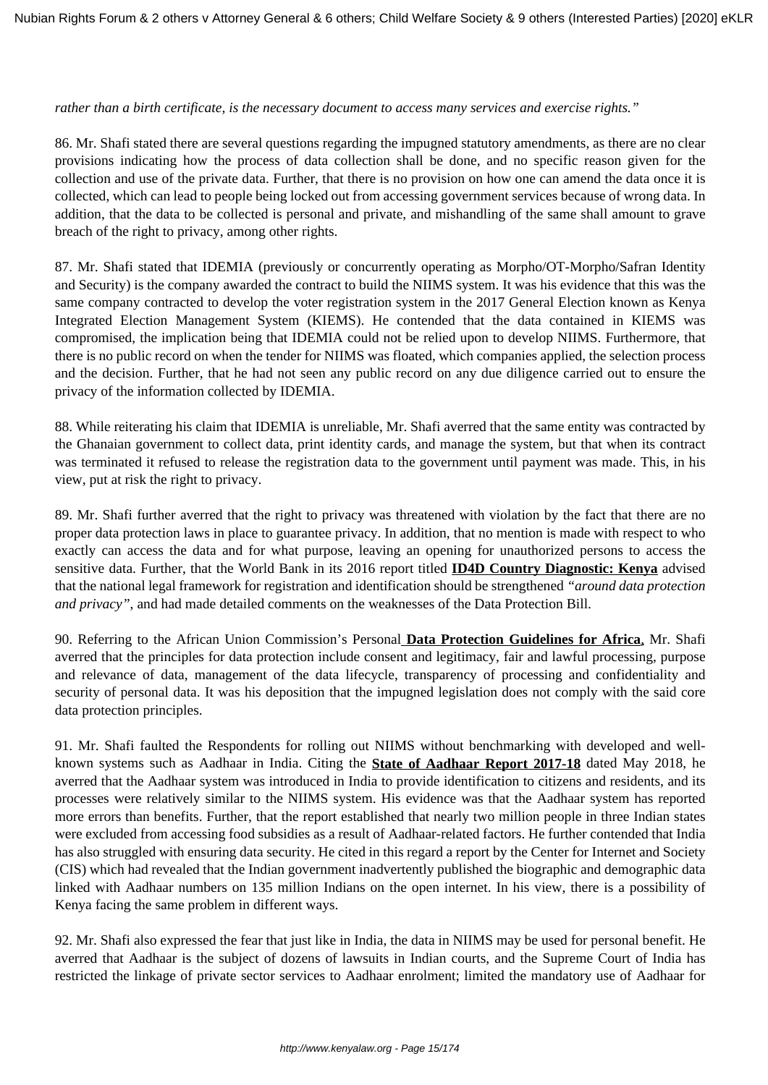#### *rather than a birth certificate, is the necessary document to access many services and exercise rights."*

86. Mr. Shafi stated there are several questions regarding the impugned statutory amendments, as there are no clear provisions indicating how the process of data collection shall be done, and no specific reason given for the collection and use of the private data. Further, that there is no provision on how one can amend the data once it is collected, which can lead to people being locked out from accessing government services because of wrong data. In addition, that the data to be collected is personal and private, and mishandling of the same shall amount to grave breach of the right to privacy, among other rights.

87. Mr. Shafi stated that IDEMIA (previously or concurrently operating as Morpho/OT-Morpho/Safran Identity and Security) is the company awarded the contract to build the NIIMS system. It was his evidence that this was the same company contracted to develop the voter registration system in the 2017 General Election known as Kenya Integrated Election Management System (KIEMS). He contended that the data contained in KIEMS was compromised, the implication being that IDEMIA could not be relied upon to develop NIIMS. Furthermore, that there is no public record on when the tender for NIIMS was floated, which companies applied, the selection process and the decision. Further, that he had not seen any public record on any due diligence carried out to ensure the privacy of the information collected by IDEMIA.

88. While reiterating his claim that IDEMIA is unreliable, Mr. Shafi averred that the same entity was contracted by the Ghanaian government to collect data, print identity cards, and manage the system, but that when its contract was terminated it refused to release the registration data to the government until payment was made. This, in his view, put at risk the right to privacy.

89. Mr. Shafi further averred that the right to privacy was threatened with violation by the fact that there are no proper data protection laws in place to guarantee privacy. In addition, that no mention is made with respect to who exactly can access the data and for what purpose, leaving an opening for unauthorized persons to access the sensitive data. Further, that the World Bank in its 2016 report titled **ID4D Country Diagnostic: Kenya** advised that the national legal framework for registration and identification should be strengthened *"around data protection and privacy"*, and had made detailed comments on the weaknesses of the Data Protection Bill.

90. Referring to the African Union Commission's Personal **Data Protection Guidelines for Africa**, Mr. Shafi averred that the principles for data protection include consent and legitimacy, fair and lawful processing, purpose and relevance of data, management of the data lifecycle, transparency of processing and confidentiality and security of personal data. It was his deposition that the impugned legislation does not comply with the said core data protection principles.

91. Mr. Shafi faulted the Respondents for rolling out NIIMS without benchmarking with developed and wellknown systems such as Aadhaar in India. Citing the **State of Aadhaar Report 2017-18** dated May 2018, he averred that the Aadhaar system was introduced in India to provide identification to citizens and residents, and its processes were relatively similar to the NIIMS system. His evidence was that the Aadhaar system has reported more errors than benefits. Further, that the report established that nearly two million people in three Indian states were excluded from accessing food subsidies as a result of Aadhaar-related factors. He further contended that India has also struggled with ensuring data security. He cited in this regard a report by the Center for Internet and Society (CIS) which had revealed that the Indian government inadvertently published the biographic and demographic data linked with Aadhaar numbers on 135 million Indians on the open internet. In his view, there is a possibility of Kenya facing the same problem in different ways.

92. Mr. Shafi also expressed the fear that just like in India, the data in NIIMS may be used for personal benefit. He averred that Aadhaar is the subject of dozens of lawsuits in Indian courts, and the Supreme Court of India has restricted the linkage of private sector services to Aadhaar enrolment; limited the mandatory use of Aadhaar for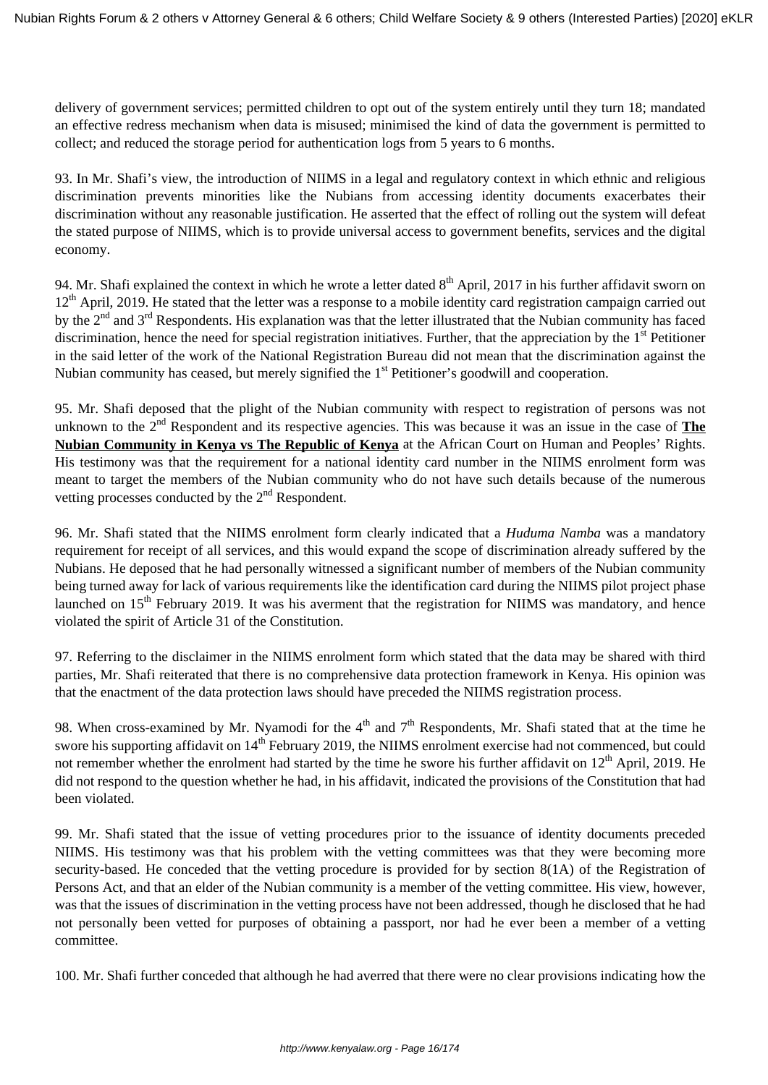delivery of government services; permitted children to opt out of the system entirely until they turn 18; mandated an effective redress mechanism when data is misused; minimised the kind of data the government is permitted to collect; and reduced the storage period for authentication logs from 5 years to 6 months.

93. In Mr. Shafi's view, the introduction of NIIMS in a legal and regulatory context in which ethnic and religious discrimination prevents minorities like the Nubians from accessing identity documents exacerbates their discrimination without any reasonable justification. He asserted that the effect of rolling out the system will defeat the stated purpose of NIIMS, which is to provide universal access to government benefits, services and the digital economy.

94. Mr. Shafi explained the context in which he wrote a letter dated  $8<sup>th</sup>$  April, 2017 in his further affidavit sworn on  $12<sup>th</sup>$  April, 2019. He stated that the letter was a response to a mobile identity card registration campaign carried out by the 2<sup>nd</sup> and 3<sup>rd</sup> Respondents. His explanation was that the letter illustrated that the Nubian community has faced discrimination, hence the need for special registration initiatives. Further, that the appreciation by the  $1<sup>st</sup>$  Petitioner in the said letter of the work of the National Registration Bureau did not mean that the discrimination against the Nubian community has ceased, but merely signified the 1<sup>st</sup> Petitioner's goodwill and cooperation.

95. Mr. Shafi deposed that the plight of the Nubian community with respect to registration of persons was not unknown to the 2<sup>nd</sup> Respondent and its respective agencies. This was because it was an issue in the case of **The Nubian Community in Kenya vs The Republic of Kenya** at the African Court on Human and Peoples' Rights. His testimony was that the requirement for a national identity card number in the NIIMS enrolment form was meant to target the members of the Nubian community who do not have such details because of the numerous vetting processes conducted by the  $2<sup>nd</sup>$  Respondent.

96. Mr. Shafi stated that the NIIMS enrolment form clearly indicated that a *Huduma Namba* was a mandatory requirement for receipt of all services, and this would expand the scope of discrimination already suffered by the Nubians. He deposed that he had personally witnessed a significant number of members of the Nubian community being turned away for lack of various requirements like the identification card during the NIIMS pilot project phase launched on 15<sup>th</sup> February 2019. It was his averment that the registration for NIIMS was mandatory, and hence violated the spirit of Article 31 of the Constitution.

97. Referring to the disclaimer in the NIIMS enrolment form which stated that the data may be shared with third parties, Mr. Shafi reiterated that there is no comprehensive data protection framework in Kenya. His opinion was that the enactment of the data protection laws should have preceded the NIIMS registration process.

98. When cross-examined by Mr. Nyamodi for the  $4<sup>th</sup>$  and  $7<sup>th</sup>$  Respondents, Mr. Shafi stated that at the time he swore his supporting affidavit on 14<sup>th</sup> February 2019, the NIIMS enrolment exercise had not commenced, but could not remember whether the enrolment had started by the time he swore his further affidavit on  $12<sup>th</sup>$  April, 2019. He did not respond to the question whether he had, in his affidavit, indicated the provisions of the Constitution that had been violated.

99. Mr. Shafi stated that the issue of vetting procedures prior to the issuance of identity documents preceded NIIMS. His testimony was that his problem with the vetting committees was that they were becoming more security-based. He conceded that the vetting procedure is provided for by section 8(1A) of the Registration of Persons Act, and that an elder of the Nubian community is a member of the vetting committee. His view, however, was that the issues of discrimination in the vetting process have not been addressed, though he disclosed that he had not personally been vetted for purposes of obtaining a passport, nor had he ever been a member of a vetting committee.

100. Mr. Shafi further conceded that although he had averred that there were no clear provisions indicating how the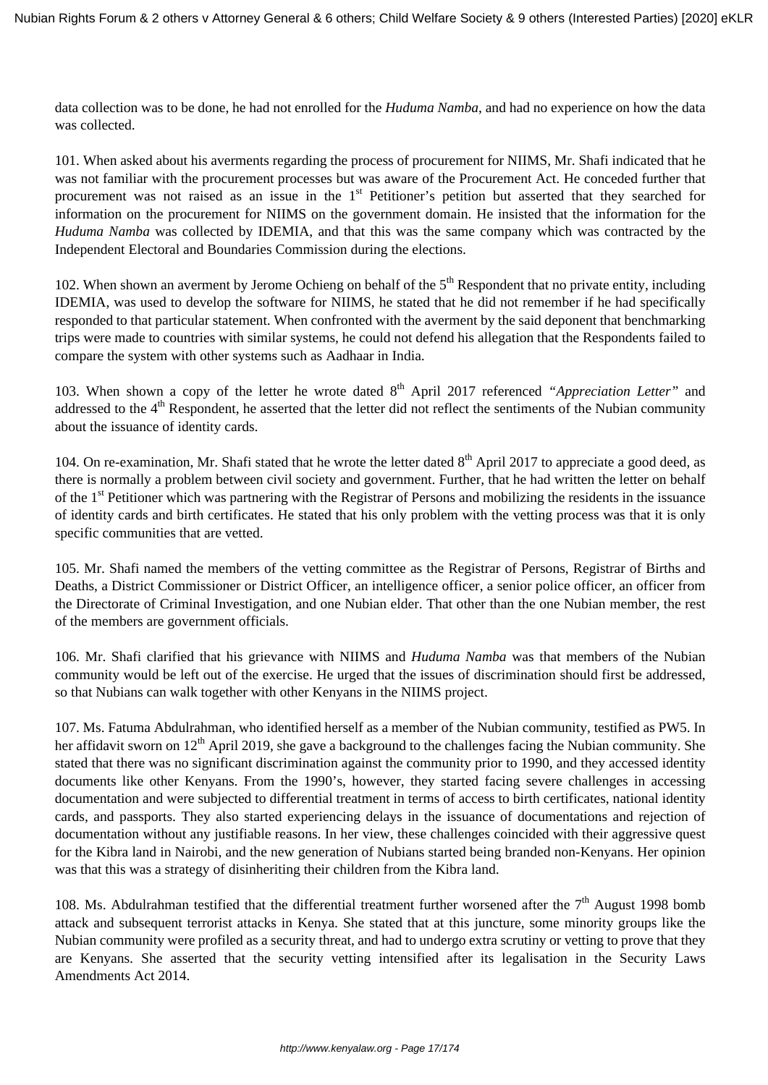data collection was to be done, he had not enrolled for the *Huduma Namba*, and had no experience on how the data was collected.

101. When asked about his averments regarding the process of procurement for NIIMS, Mr. Shafi indicated that he was not familiar with the procurement processes but was aware of the Procurement Act. He conceded further that procurement was not raised as an issue in the 1<sup>st</sup> Petitioner's petition but asserted that they searched for information on the procurement for NIIMS on the government domain. He insisted that the information for the *Huduma Namba* was collected by IDEMIA, and that this was the same company which was contracted by the Independent Electoral and Boundaries Commission during the elections.

102. When shown an averment by Jerome Ochieng on behalf of the  $5<sup>th</sup>$  Respondent that no private entity, including IDEMIA, was used to develop the software for NIIMS, he stated that he did not remember if he had specifically responded to that particular statement. When confronted with the averment by the said deponent that benchmarking trips were made to countries with similar systems, he could not defend his allegation that the Respondents failed to compare the system with other systems such as Aadhaar in India.

103. When shown a copy of the letter he wrote dated 8<sup>th</sup> April 2017 referenced *"Appreciation Letter"* and addressed to the 4<sup>th</sup> Respondent, he asserted that the letter did not reflect the sentiments of the Nubian community about the issuance of identity cards.

104. On re-examination, Mr. Shafi stated that he wrote the letter dated  $8<sup>th</sup>$  April 2017 to appreciate a good deed, as there is normally a problem between civil society and government. Further, that he had written the letter on behalf of the 1<sup>st</sup> Petitioner which was partnering with the Registrar of Persons and mobilizing the residents in the issuance of identity cards and birth certificates. He stated that his only problem with the vetting process was that it is only specific communities that are vetted.

105. Mr. Shafi named the members of the vetting committee as the Registrar of Persons, Registrar of Births and Deaths, a District Commissioner or District Officer, an intelligence officer, a senior police officer, an officer from the Directorate of Criminal Investigation, and one Nubian elder. That other than the one Nubian member, the rest of the members are government officials.

106. Mr. Shafi clarified that his grievance with NIIMS and *Huduma Namba* was that members of the Nubian community would be left out of the exercise. He urged that the issues of discrimination should first be addressed, so that Nubians can walk together with other Kenyans in the NIIMS project.

107. Ms. Fatuma Abdulrahman, who identified herself as a member of the Nubian community, testified as PW5. In her affidavit sworn on  $12<sup>th</sup>$  April 2019, she gave a background to the challenges facing the Nubian community. She stated that there was no significant discrimination against the community prior to 1990, and they accessed identity documents like other Kenyans. From the 1990's, however, they started facing severe challenges in accessing documentation and were subjected to differential treatment in terms of access to birth certificates, national identity cards, and passports. They also started experiencing delays in the issuance of documentations and rejection of documentation without any justifiable reasons. In her view, these challenges coincided with their aggressive quest for the Kibra land in Nairobi, and the new generation of Nubians started being branded non-Kenyans. Her opinion was that this was a strategy of disinheriting their children from the Kibra land.

108. Ms. Abdulrahman testified that the differential treatment further worsened after the  $7<sup>th</sup>$  August 1998 bomb attack and subsequent terrorist attacks in Kenya. She stated that at this juncture, some minority groups like the Nubian community were profiled as a security threat, and had to undergo extra scrutiny or vetting to prove that they are Kenyans. She asserted that the security vetting intensified after its legalisation in the Security Laws Amendments Act 2014.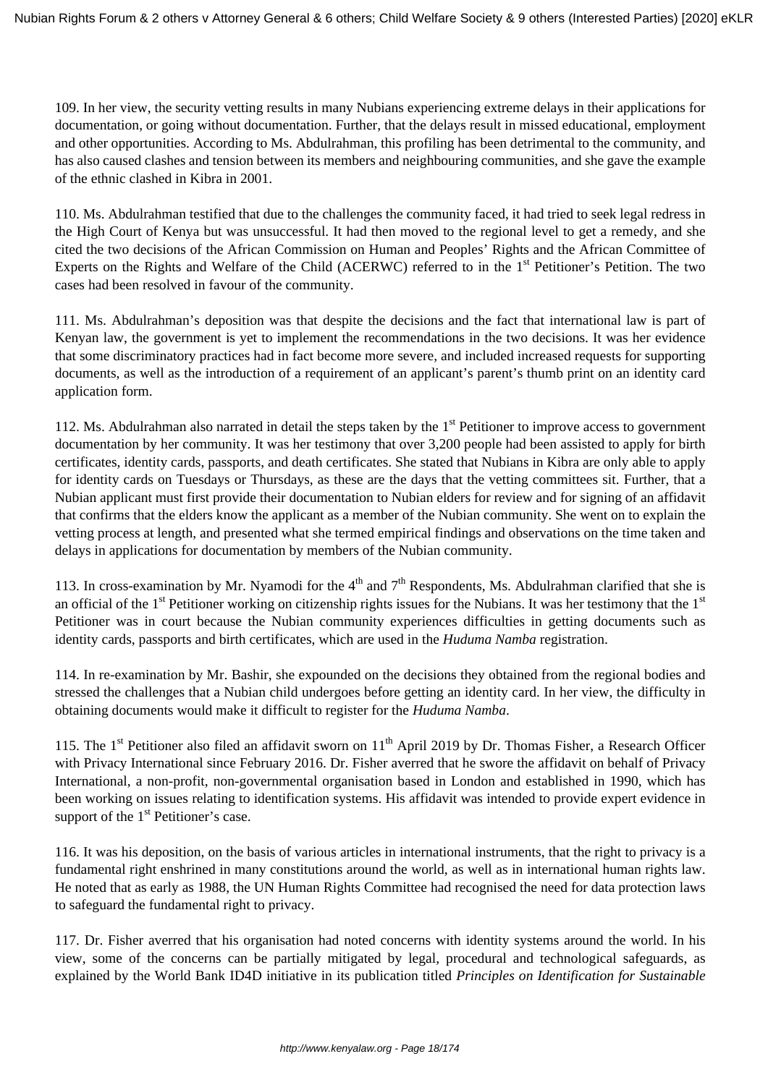109. In her view, the security vetting results in many Nubians experiencing extreme delays in their applications for documentation, or going without documentation. Further, that the delays result in missed educational, employment and other opportunities. According to Ms. Abdulrahman, this profiling has been detrimental to the community, and has also caused clashes and tension between its members and neighbouring communities, and she gave the example of the ethnic clashed in Kibra in 2001.

110. Ms. Abdulrahman testified that due to the challenges the community faced, it had tried to seek legal redress in the High Court of Kenya but was unsuccessful. It had then moved to the regional level to get a remedy, and she cited the two decisions of the African Commission on Human and Peoples' Rights and the African Committee of Experts on the Rights and Welfare of the Child (ACERWC) referred to in the 1<sup>st</sup> Petitioner's Petition. The two cases had been resolved in favour of the community.

111. Ms. Abdulrahman's deposition was that despite the decisions and the fact that international law is part of Kenyan law, the government is yet to implement the recommendations in the two decisions. It was her evidence that some discriminatory practices had in fact become more severe, and included increased requests for supporting documents, as well as the introduction of a requirement of an applicant's parent's thumb print on an identity card application form.

112. Ms. Abdulrahman also narrated in detail the steps taken by the  $1<sup>st</sup>$  Petitioner to improve access to government documentation by her community. It was her testimony that over 3,200 people had been assisted to apply for birth certificates, identity cards, passports, and death certificates. She stated that Nubians in Kibra are only able to apply for identity cards on Tuesdays or Thursdays, as these are the days that the vetting committees sit. Further, that a Nubian applicant must first provide their documentation to Nubian elders for review and for signing of an affidavit that confirms that the elders know the applicant as a member of the Nubian community. She went on to explain the vetting process at length, and presented what she termed empirical findings and observations on the time taken and delays in applications for documentation by members of the Nubian community.

113. In cross-examination by Mr. Nyamodi for the  $4<sup>th</sup>$  and  $7<sup>th</sup>$  Respondents, Ms. Abdulrahman clarified that she is an official of the  $1<sup>st</sup>$  Petitioner working on citizenship rights issues for the Nubians. It was her testimony that the  $1<sup>st</sup>$ Petitioner was in court because the Nubian community experiences difficulties in getting documents such as identity cards, passports and birth certificates, which are used in the *Huduma Namba* registration.

114. In re-examination by Mr. Bashir, she expounded on the decisions they obtained from the regional bodies and stressed the challenges that a Nubian child undergoes before getting an identity card. In her view, the difficulty in obtaining documents would make it difficult to register for the *Huduma Namba*.

115. The 1<sup>st</sup> Petitioner also filed an affidavit sworn on  $11<sup>th</sup>$  April 2019 by Dr. Thomas Fisher, a Research Officer with Privacy International since February 2016. Dr. Fisher averred that he swore the affidavit on behalf of Privacy International, a non-profit, non-governmental organisation based in London and established in 1990, which has been working on issues relating to identification systems. His affidavit was intended to provide expert evidence in support of the  $1<sup>st</sup>$  Petitioner's case.

116. It was his deposition, on the basis of various articles in international instruments, that the right to privacy is a fundamental right enshrined in many constitutions around the world, as well as in international human rights law. He noted that as early as 1988, the UN Human Rights Committee had recognised the need for data protection laws to safeguard the fundamental right to privacy.

117. Dr. Fisher averred that his organisation had noted concerns with identity systems around the world. In his view, some of the concerns can be partially mitigated by legal, procedural and technological safeguards, as explained by the World Bank ID4D initiative in its publication titled *Principles on Identification for Sustainable*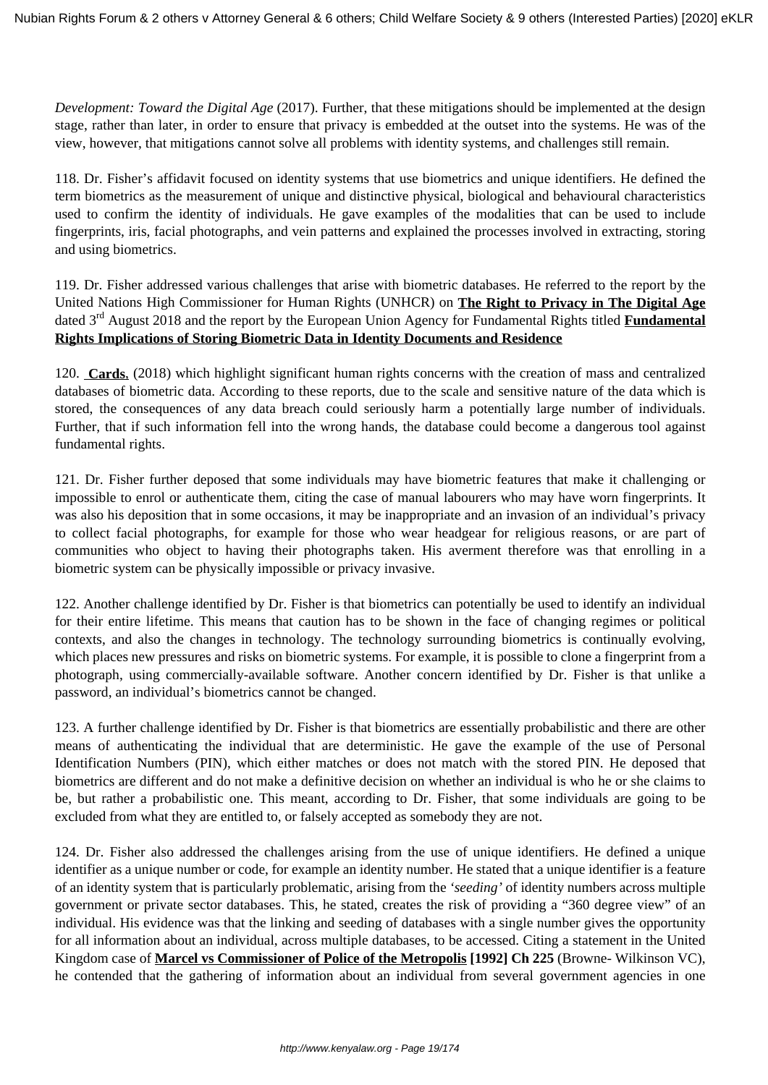*Development: Toward the Digital Age* (2017). Further, that these mitigations should be implemented at the design stage, rather than later, in order to ensure that privacy is embedded at the outset into the systems. He was of the view, however, that mitigations cannot solve all problems with identity systems, and challenges still remain.

118. Dr. Fisher's affidavit focused on identity systems that use biometrics and unique identifiers. He defined the term biometrics as the measurement of unique and distinctive physical, biological and behavioural characteristics used to confirm the identity of individuals. He gave examples of the modalities that can be used to include fingerprints, iris, facial photographs, and vein patterns and explained the processes involved in extracting, storing and using biometrics.

119. Dr. Fisher addressed various challenges that arise with biometric databases. He referred to the report by the United Nations High Commissioner for Human Rights (UNHCR) on **The Right to Privacy in The Digital Age** dated 3rd August 2018 and the report by the European Union Agency for Fundamental Rights titled **Fundamental Rights Implications of Storing Biometric Data in Identity Documents and Residence**

120. **Cards**, (2018) which highlight significant human rights concerns with the creation of mass and centralized databases of biometric data. According to these reports, due to the scale and sensitive nature of the data which is stored, the consequences of any data breach could seriously harm a potentially large number of individuals. Further, that if such information fell into the wrong hands, the database could become a dangerous tool against fundamental rights.

121. Dr. Fisher further deposed that some individuals may have biometric features that make it challenging or impossible to enrol or authenticate them, citing the case of manual labourers who may have worn fingerprints. It was also his deposition that in some occasions, it may be inappropriate and an invasion of an individual's privacy to collect facial photographs, for example for those who wear headgear for religious reasons, or are part of communities who object to having their photographs taken. His averment therefore was that enrolling in a biometric system can be physically impossible or privacy invasive.

122. Another challenge identified by Dr. Fisher is that biometrics can potentially be used to identify an individual for their entire lifetime. This means that caution has to be shown in the face of changing regimes or political contexts, and also the changes in technology. The technology surrounding biometrics is continually evolving, which places new pressures and risks on biometric systems. For example, it is possible to clone a fingerprint from a photograph, using commercially-available software. Another concern identified by Dr. Fisher is that unlike a password, an individual's biometrics cannot be changed.

123. A further challenge identified by Dr. Fisher is that biometrics are essentially probabilistic and there are other means of authenticating the individual that are deterministic. He gave the example of the use of Personal Identification Numbers (PIN), which either matches or does not match with the stored PIN. He deposed that biometrics are different and do not make a definitive decision on whether an individual is who he or she claims to be, but rather a probabilistic one. This meant, according to Dr. Fisher, that some individuals are going to be excluded from what they are entitled to, or falsely accepted as somebody they are not.

124. Dr. Fisher also addressed the challenges arising from the use of unique identifiers. He defined a unique identifier as a unique number or code, for example an identity number. He stated that a unique identifier is a feature of an identity system that is particularly problematic, arising from the *'seeding'* of identity numbers across multiple government or private sector databases. This, he stated, creates the risk of providing a "360 degree view" of an individual. His evidence was that the linking and seeding of databases with a single number gives the opportunity for all information about an individual, across multiple databases, to be accessed. Citing a statement in the United Kingdom case of **Marcel vs Commissioner of Police of the Metropolis [1992] Ch 225** (Browne- Wilkinson VC), he contended that the gathering of information about an individual from several government agencies in one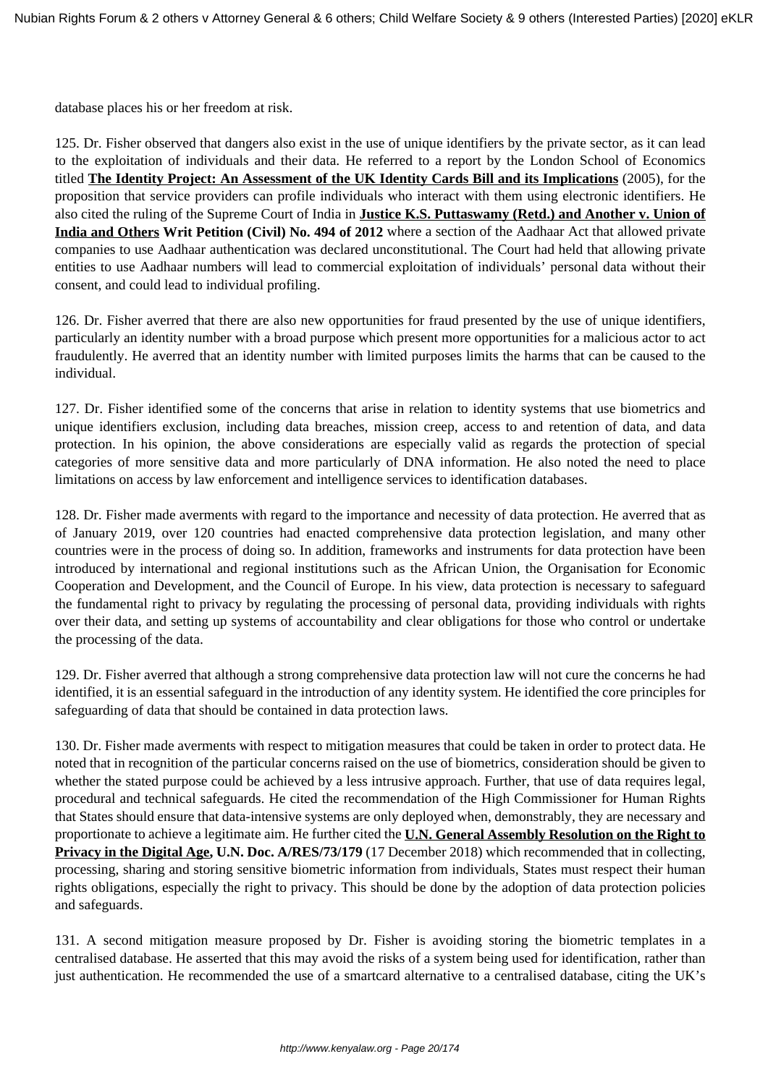database places his or her freedom at risk.

125. Dr. Fisher observed that dangers also exist in the use of unique identifiers by the private sector, as it can lead to the exploitation of individuals and their data. He referred to a report by the London School of Economics titled **The Identity Project: An Assessment of the UK Identity Cards Bill and its Implications** (2005), for the proposition that service providers can profile individuals who interact with them using electronic identifiers. He also cited the ruling of the Supreme Court of India in **Justice K.S. Puttaswamy (Retd.) and Another v. Union of India and Others Writ Petition (Civil) No. 494 of 2012** where a section of the Aadhaar Act that allowed private companies to use Aadhaar authentication was declared unconstitutional. The Court had held that allowing private entities to use Aadhaar numbers will lead to commercial exploitation of individuals' personal data without their consent, and could lead to individual profiling.

126. Dr. Fisher averred that there are also new opportunities for fraud presented by the use of unique identifiers, particularly an identity number with a broad purpose which present more opportunities for a malicious actor to act fraudulently. He averred that an identity number with limited purposes limits the harms that can be caused to the individual.

127. Dr. Fisher identified some of the concerns that arise in relation to identity systems that use biometrics and unique identifiers exclusion, including data breaches, mission creep, access to and retention of data, and data protection. In his opinion, the above considerations are especially valid as regards the protection of special categories of more sensitive data and more particularly of DNA information. He also noted the need to place limitations on access by law enforcement and intelligence services to identification databases.

128. Dr. Fisher made averments with regard to the importance and necessity of data protection. He averred that as of January 2019, over 120 countries had enacted comprehensive data protection legislation, and many other countries were in the process of doing so. In addition, frameworks and instruments for data protection have been introduced by international and regional institutions such as the African Union, the Organisation for Economic Cooperation and Development, and the Council of Europe. In his view, data protection is necessary to safeguard the fundamental right to privacy by regulating the processing of personal data, providing individuals with rights over their data, and setting up systems of accountability and clear obligations for those who control or undertake the processing of the data.

129. Dr. Fisher averred that although a strong comprehensive data protection law will not cure the concerns he had identified, it is an essential safeguard in the introduction of any identity system. He identified the core principles for safeguarding of data that should be contained in data protection laws.

130. Dr. Fisher made averments with respect to mitigation measures that could be taken in order to protect data. He noted that in recognition of the particular concerns raised on the use of biometrics, consideration should be given to whether the stated purpose could be achieved by a less intrusive approach. Further, that use of data requires legal, procedural and technical safeguards. He cited the recommendation of the High Commissioner for Human Rights that States should ensure that data-intensive systems are only deployed when, demonstrably, they are necessary and proportionate to achieve a legitimate aim. He further cited the **U.N. General Assembly Resolution on the Right to Privacy in the Digital Age, U.N. Doc. A/RES/73/179** (17 December 2018) which recommended that in collecting, processing, sharing and storing sensitive biometric information from individuals, States must respect their human rights obligations, especially the right to privacy. This should be done by the adoption of data protection policies and safeguards.

131. A second mitigation measure proposed by Dr. Fisher is avoiding storing the biometric templates in a centralised database. He asserted that this may avoid the risks of a system being used for identification, rather than just authentication. He recommended the use of a smartcard alternative to a centralised database, citing the UK's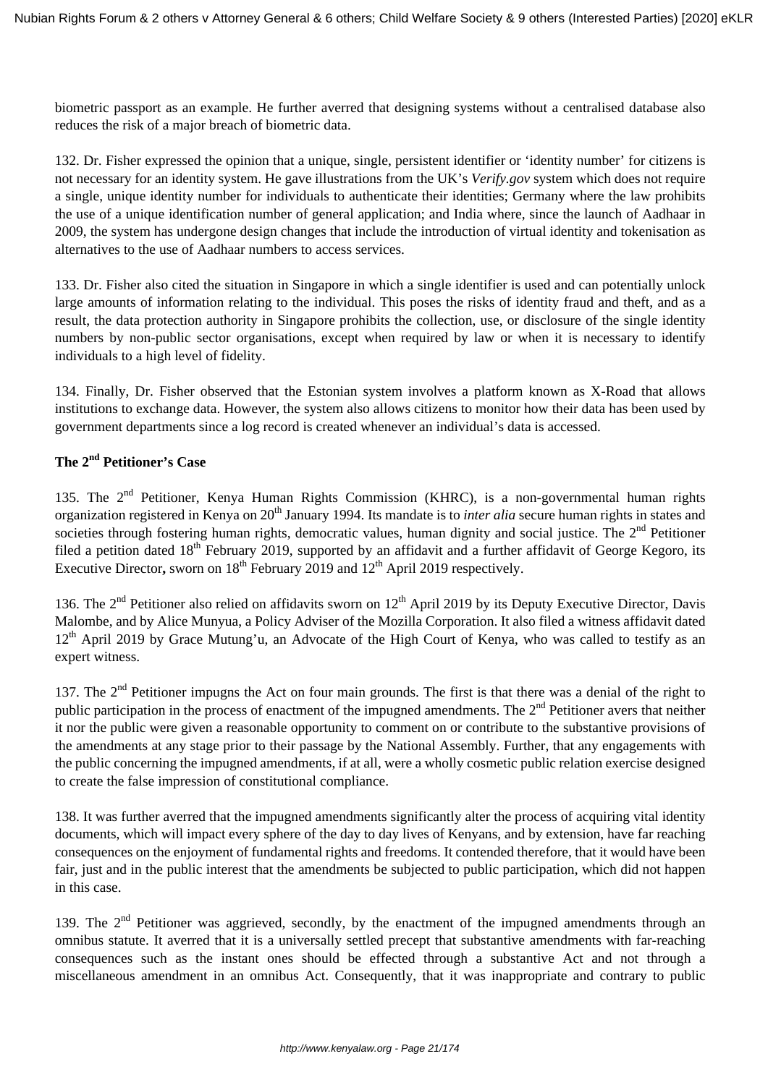biometric passport as an example. He further averred that designing systems without a centralised database also reduces the risk of a major breach of biometric data.

132. Dr. Fisher expressed the opinion that a unique, single, persistent identifier or 'identity number' for citizens is not necessary for an identity system. He gave illustrations from the UK's *Verify.gov* system which does not require a single, unique identity number for individuals to authenticate their identities; Germany where the law prohibits the use of a unique identification number of general application; and India where, since the launch of Aadhaar in 2009, the system has undergone design changes that include the introduction of virtual identity and tokenisation as alternatives to the use of Aadhaar numbers to access services.

133. Dr. Fisher also cited the situation in Singapore in which a single identifier is used and can potentially unlock large amounts of information relating to the individual. This poses the risks of identity fraud and theft, and as a result, the data protection authority in Singapore prohibits the collection, use, or disclosure of the single identity numbers by non-public sector organisations, except when required by law or when it is necessary to identify individuals to a high level of fidelity.

134. Finally, Dr. Fisher observed that the Estonian system involves a platform known as X-Road that allows institutions to exchange data. However, the system also allows citizens to monitor how their data has been used by government departments since a log record is created whenever an individual's data is accessed.

# **The 2nd Petitioner's Case**

135. The  $2<sup>nd</sup>$  Petitioner, Kenya Human Rights Commission (KHRC), is a non-governmental human rights organization registered in Kenya on 20<sup>th</sup> January 1994. Its mandate is to *inter alia* secure human rights in states and societies through fostering human rights, democratic values, human dignity and social justice. The  $2<sup>nd</sup>$  Petitioner filed a petition dated 18<sup>th</sup> February 2019, supported by an affidavit and a further affidavit of George Kegoro, its Executive Director, sworn on 18<sup>th</sup> February 2019 and 12<sup>th</sup> April 2019 respectively.

136. The  $2<sup>nd</sup>$  Petitioner also relied on affidavits sworn on  $12<sup>th</sup>$  April 2019 by its Deputy Executive Director, Davis Malombe, and by Alice Munyua, a Policy Adviser of the Mozilla Corporation. It also filed a witness affidavit dated  $12<sup>th</sup>$  April 2019 by Grace Mutung'u, an Advocate of the High Court of Kenya, who was called to testify as an expert witness.

137. The  $2<sup>nd</sup>$  Petitioner impugns the Act on four main grounds. The first is that there was a denial of the right to public participation in the process of enactment of the impugned amendments. The  $2<sup>nd</sup>$  Petitioner avers that neither it nor the public were given a reasonable opportunity to comment on or contribute to the substantive provisions of the amendments at any stage prior to their passage by the National Assembly. Further, that any engagements with the public concerning the impugned amendments, if at all, were a wholly cosmetic public relation exercise designed to create the false impression of constitutional compliance.

138. It was further averred that the impugned amendments significantly alter the process of acquiring vital identity documents, which will impact every sphere of the day to day lives of Kenyans, and by extension, have far reaching consequences on the enjoyment of fundamental rights and freedoms. It contended therefore, that it would have been fair, just and in the public interest that the amendments be subjected to public participation, which did not happen in this case.

139. The 2<sup>nd</sup> Petitioner was aggrieved, secondly, by the enactment of the impugned amendments through an omnibus statute. It averred that it is a universally settled precept that substantive amendments with far-reaching consequences such as the instant ones should be effected through a substantive Act and not through a miscellaneous amendment in an omnibus Act. Consequently, that it was inappropriate and contrary to public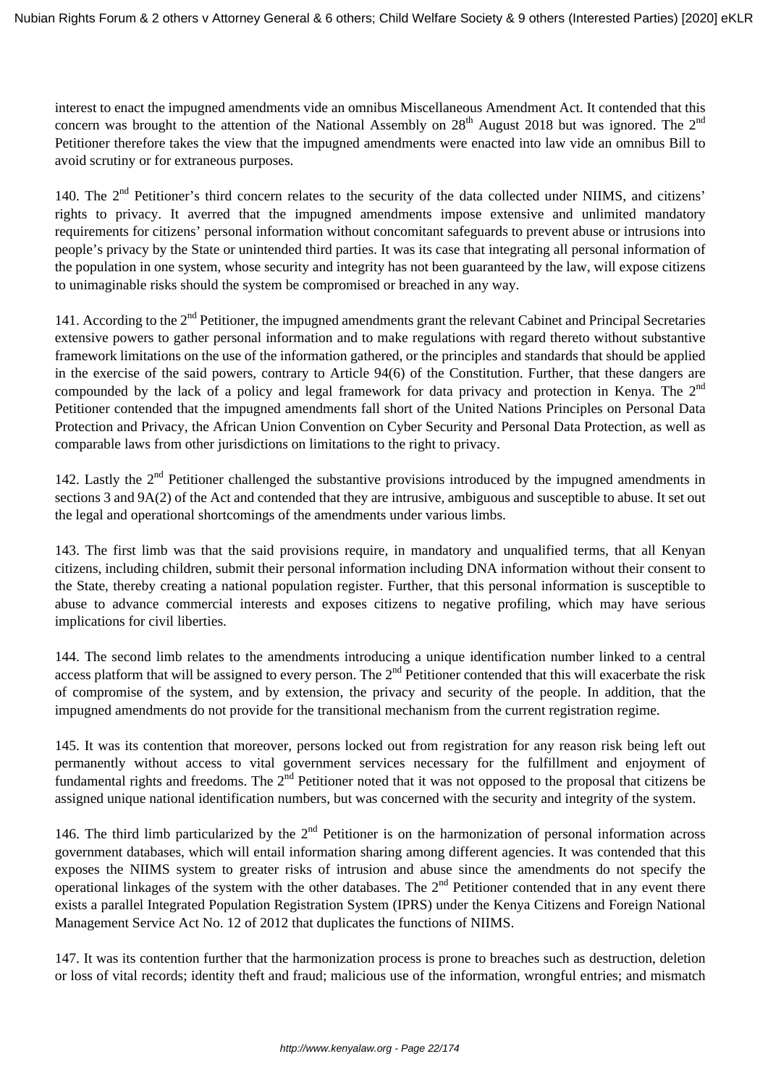interest to enact the impugned amendments vide an omnibus Miscellaneous Amendment Act. It contended that this concern was brought to the attention of the National Assembly on  $28<sup>th</sup>$  August 2018 but was ignored. The  $2<sup>nd</sup>$ Petitioner therefore takes the view that the impugned amendments were enacted into law vide an omnibus Bill to avoid scrutiny or for extraneous purposes.

140. The 2<sup>nd</sup> Petitioner's third concern relates to the security of the data collected under NIIMS, and citizens' rights to privacy. It averred that the impugned amendments impose extensive and unlimited mandatory requirements for citizens' personal information without concomitant safeguards to prevent abuse or intrusions into people's privacy by the State or unintended third parties. It was its case that integrating all personal information of the population in one system, whose security and integrity has not been guaranteed by the law, will expose citizens to unimaginable risks should the system be compromised or breached in any way.

141. According to the 2<sup>nd</sup> Petitioner, the impugned amendments grant the relevant Cabinet and Principal Secretaries extensive powers to gather personal information and to make regulations with regard thereto without substantive framework limitations on the use of the information gathered, or the principles and standards that should be applied in the exercise of the said powers, contrary to Article 94(6) of the Constitution. Further, that these dangers are compounded by the lack of a policy and legal framework for data privacy and protection in Kenya. The 2<sup>nd</sup> Petitioner contended that the impugned amendments fall short of the United Nations Principles on Personal Data Protection and Privacy, the African Union Convention on Cyber Security and Personal Data Protection, as well as comparable laws from other jurisdictions on limitations to the right to privacy.

142. Lastly the  $2<sup>nd</sup>$  Petitioner challenged the substantive provisions introduced by the impugned amendments in sections 3 and 9A(2) of the Act and contended that they are intrusive, ambiguous and susceptible to abuse. It set out the legal and operational shortcomings of the amendments under various limbs.

143. The first limb was that the said provisions require, in mandatory and unqualified terms, that all Kenyan citizens, including children, submit their personal information including DNA information without their consent to the State, thereby creating a national population register. Further, that this personal information is susceptible to abuse to advance commercial interests and exposes citizens to negative profiling, which may have serious implications for civil liberties.

144. The second limb relates to the amendments introducing a unique identification number linked to a central access platform that will be assigned to every person. The  $2<sup>nd</sup>$  Petitioner contended that this will exacerbate the risk of compromise of the system, and by extension, the privacy and security of the people. In addition, that the impugned amendments do not provide for the transitional mechanism from the current registration regime.

145. It was its contention that moreover, persons locked out from registration for any reason risk being left out permanently without access to vital government services necessary for the fulfillment and enjoyment of fundamental rights and freedoms. The 2<sup>nd</sup> Petitioner noted that it was not opposed to the proposal that citizens be assigned unique national identification numbers, but was concerned with the security and integrity of the system.

146. The third limb particularized by the  $2<sup>nd</sup>$  Petitioner is on the harmonization of personal information across government databases, which will entail information sharing among different agencies. It was contended that this exposes the NIIMS system to greater risks of intrusion and abuse since the amendments do not specify the operational linkages of the system with the other databases. The  $2<sup>nd</sup>$  Petitioner contended that in any event there exists a parallel Integrated Population Registration System (IPRS) under the Kenya Citizens and Foreign National Management Service Act No. 12 of 2012 that duplicates the functions of NIIMS.

147. It was its contention further that the harmonization process is prone to breaches such as destruction, deletion or loss of vital records; identity theft and fraud; malicious use of the information, wrongful entries; and mismatch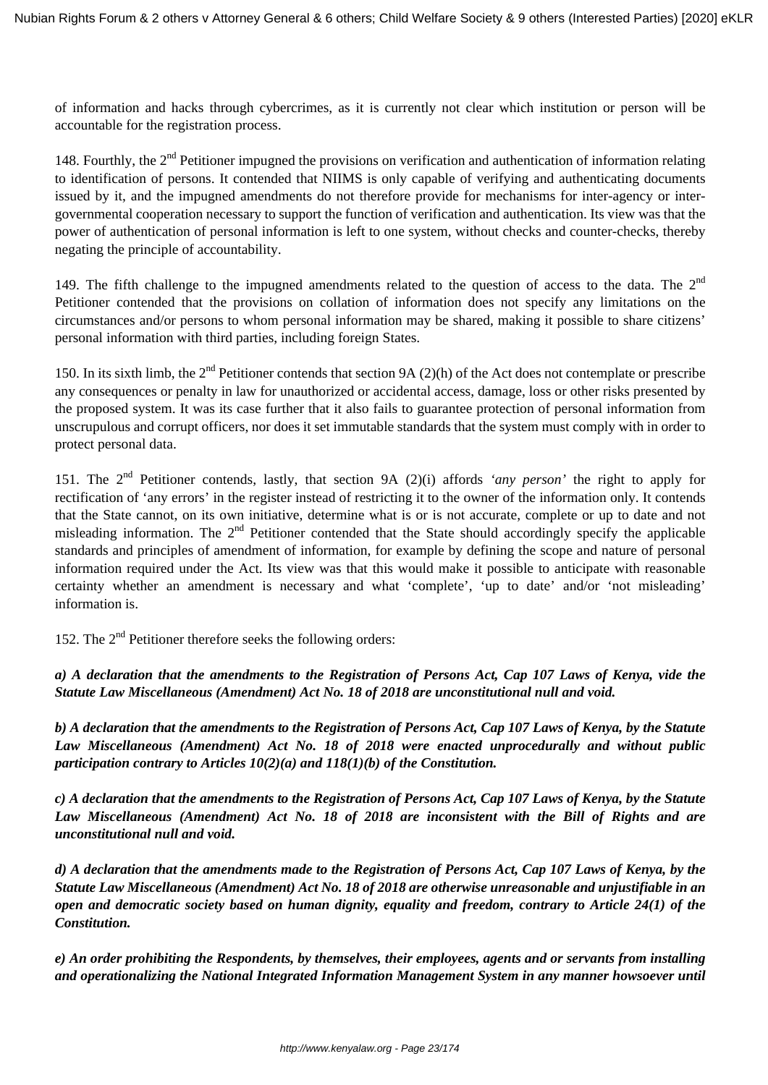of information and hacks through cybercrimes, as it is currently not clear which institution or person will be accountable for the registration process.

148. Fourthly, the  $2<sup>nd</sup>$  Petitioner impugned the provisions on verification and authentication of information relating to identification of persons. It contended that NIIMS is only capable of verifying and authenticating documents issued by it, and the impugned amendments do not therefore provide for mechanisms for inter-agency or intergovernmental cooperation necessary to support the function of verification and authentication. Its view was that the power of authentication of personal information is left to one system, without checks and counter-checks, thereby negating the principle of accountability.

149. The fifth challenge to the impugned amendments related to the question of access to the data. The  $2<sup>nd</sup>$ Petitioner contended that the provisions on collation of information does not specify any limitations on the circumstances and/or persons to whom personal information may be shared, making it possible to share citizens' personal information with third parties, including foreign States.

150. In its sixth limb, the  $2<sup>nd</sup>$  Petitioner contends that section 9A (2)(h) of the Act does not contemplate or prescribe any consequences or penalty in law for unauthorized or accidental access, damage, loss or other risks presented by the proposed system. It was its case further that it also fails to guarantee protection of personal information from unscrupulous and corrupt officers, nor does it set immutable standards that the system must comply with in order to protect personal data.

151. The 2nd Petitioner contends, lastly, that section 9A (2)(i) affords *'any person'* the right to apply for rectification of 'any errors' in the register instead of restricting it to the owner of the information only. It contends that the State cannot, on its own initiative, determine what is or is not accurate, complete or up to date and not misleading information. The  $2<sup>nd</sup>$  Petitioner contended that the State should accordingly specify the applicable standards and principles of amendment of information, for example by defining the scope and nature of personal information required under the Act. Its view was that this would make it possible to anticipate with reasonable certainty whether an amendment is necessary and what 'complete', 'up to date' and/or 'not misleading' information is.

152. The  $2<sup>nd</sup>$  Petitioner therefore seeks the following orders:

*a) A declaration that the amendments to the Registration of Persons Act, Cap 107 Laws of Kenya, vide the Statute Law Miscellaneous (Amendment) Act No. 18 of 2018 are unconstitutional null and void.*

*b) A declaration that the amendments to the Registration of Persons Act, Cap 107 Laws of Kenya, by the Statute Law Miscellaneous (Amendment) Act No. 18 of 2018 were enacted unprocedurally and without public participation contrary to Articles 10(2)(a) and 118(1)(b) of the Constitution.* 

*c) A declaration that the amendments to the Registration of Persons Act, Cap 107 Laws of Kenya, by the Statute Law Miscellaneous (Amendment) Act No. 18 of 2018 are inconsistent with the Bill of Rights and are unconstitutional null and void.*

*d) A declaration that the amendments made to the Registration of Persons Act, Cap 107 Laws of Kenya, by the Statute Law Miscellaneous (Amendment) Act No. 18 of 2018 are otherwise unreasonable and unjustifiable in an open and democratic society based on human dignity, equality and freedom, contrary to Article 24(1) of the Constitution.* 

*e) An order prohibiting the Respondents, by themselves, their employees, agents and or servants from installing and operationalizing the National Integrated Information Management System in any manner howsoever until*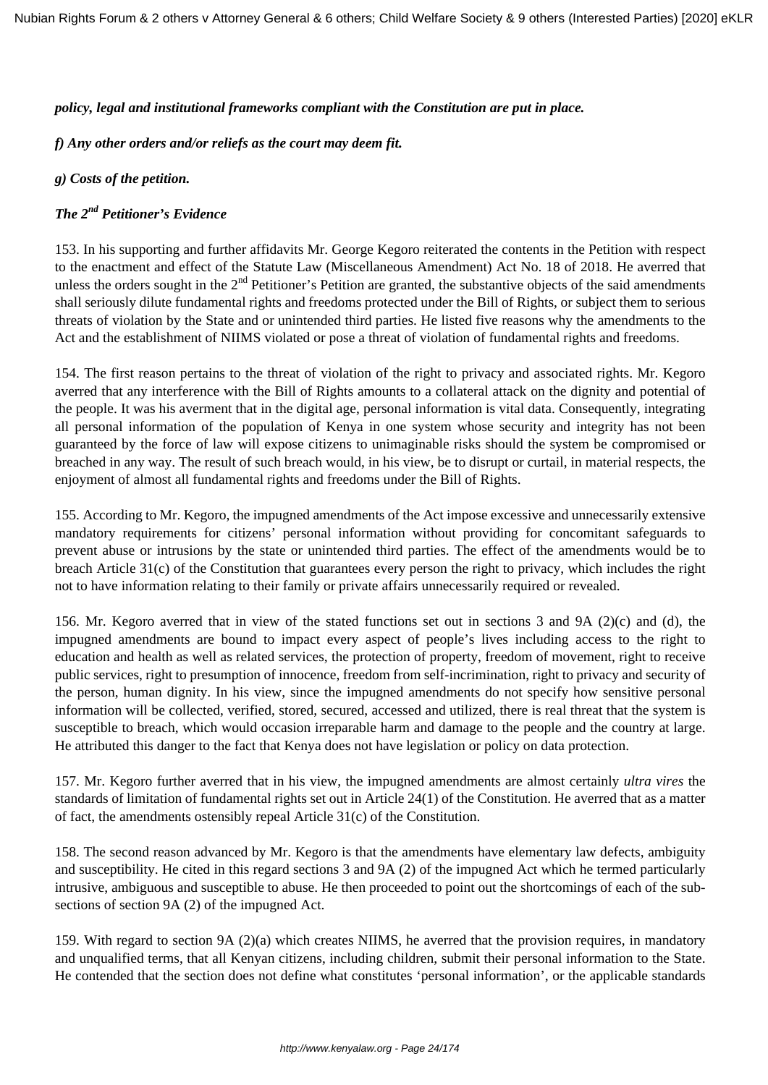#### *policy, legal and institutional frameworks compliant with the Constitution are put in place.*

## *f) Any other orders and/or reliefs as the court may deem fit.*

## *g) Costs of the petition.*

## *The 2nd Petitioner's Evidence*

153. In his supporting and further affidavits Mr. George Kegoro reiterated the contents in the Petition with respect to the enactment and effect of the Statute Law (Miscellaneous Amendment) Act No. 18 of 2018. He averred that unless the orders sought in the  $2<sup>nd</sup>$  Petitioner's Petition are granted, the substantive objects of the said amendments shall seriously dilute fundamental rights and freedoms protected under the Bill of Rights, or subject them to serious threats of violation by the State and or unintended third parties. He listed five reasons why the amendments to the Act and the establishment of NIIMS violated or pose a threat of violation of fundamental rights and freedoms.

154. The first reason pertains to the threat of violation of the right to privacy and associated rights. Mr. Kegoro averred that any interference with the Bill of Rights amounts to a collateral attack on the dignity and potential of the people. It was his averment that in the digital age, personal information is vital data. Consequently, integrating all personal information of the population of Kenya in one system whose security and integrity has not been guaranteed by the force of law will expose citizens to unimaginable risks should the system be compromised or breached in any way. The result of such breach would, in his view, be to disrupt or curtail, in material respects, the enjoyment of almost all fundamental rights and freedoms under the Bill of Rights.

155. According to Mr. Kegoro, the impugned amendments of the Act impose excessive and unnecessarily extensive mandatory requirements for citizens' personal information without providing for concomitant safeguards to prevent abuse or intrusions by the state or unintended third parties. The effect of the amendments would be to breach Article 31(c) of the Constitution that guarantees every person the right to privacy, which includes the right not to have information relating to their family or private affairs unnecessarily required or revealed.

156. Mr. Kegoro averred that in view of the stated functions set out in sections 3 and 9A (2)(c) and (d), the impugned amendments are bound to impact every aspect of people's lives including access to the right to education and health as well as related services, the protection of property, freedom of movement, right to receive public services, right to presumption of innocence, freedom from self-incrimination, right to privacy and security of the person, human dignity. In his view, since the impugned amendments do not specify how sensitive personal information will be collected, verified, stored, secured, accessed and utilized, there is real threat that the system is susceptible to breach, which would occasion irreparable harm and damage to the people and the country at large. He attributed this danger to the fact that Kenya does not have legislation or policy on data protection.

157. Mr. Kegoro further averred that in his view, the impugned amendments are almost certainly *ultra vires* the standards of limitation of fundamental rights set out in Article 24(1) of the Constitution. He averred that as a matter of fact, the amendments ostensibly repeal Article 31(c) of the Constitution.

158. The second reason advanced by Mr. Kegoro is that the amendments have elementary law defects, ambiguity and susceptibility. He cited in this regard sections 3 and 9A (2) of the impugned Act which he termed particularly intrusive, ambiguous and susceptible to abuse. He then proceeded to point out the shortcomings of each of the subsections of section 9A (2) of the impugned Act.

159. With regard to section 9A (2)(a) which creates NIIMS, he averred that the provision requires, in mandatory and unqualified terms, that all Kenyan citizens, including children, submit their personal information to the State. He contended that the section does not define what constitutes 'personal information', or the applicable standards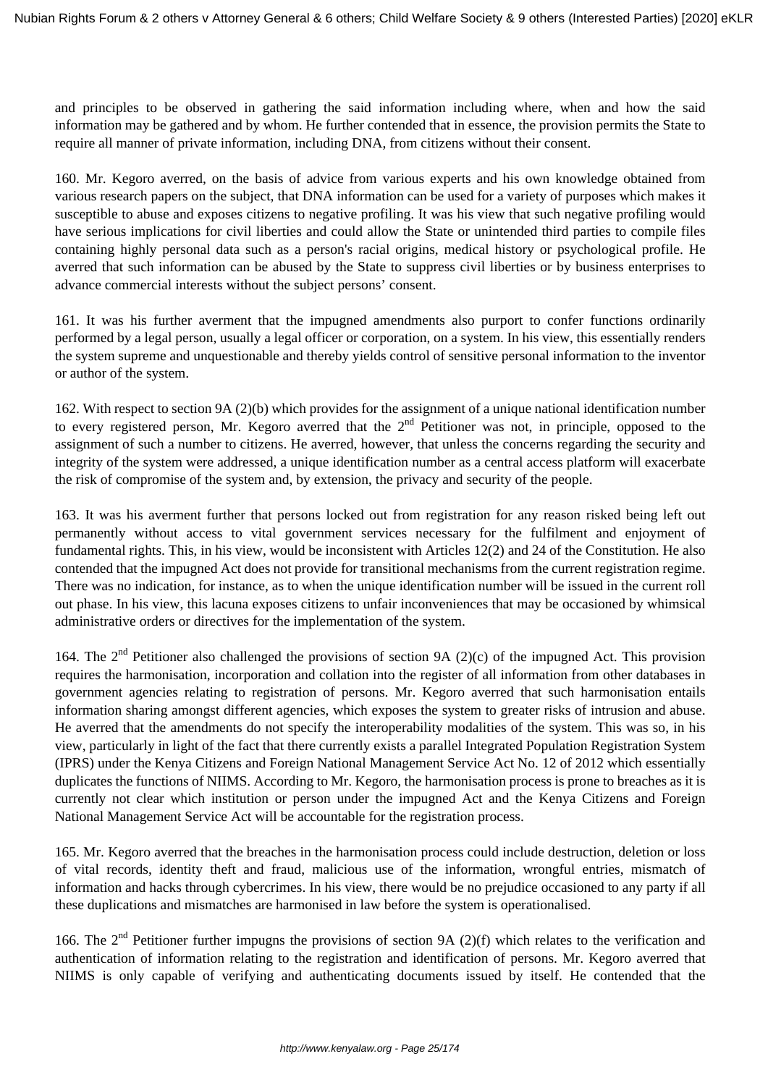and principles to be observed in gathering the said information including where, when and how the said information may be gathered and by whom. He further contended that in essence, the provision permits the State to require all manner of private information, including DNA, from citizens without their consent.

160. Mr. Kegoro averred, on the basis of advice from various experts and his own knowledge obtained from various research papers on the subject, that DNA information can be used for a variety of purposes which makes it susceptible to abuse and exposes citizens to negative profiling. It was his view that such negative profiling would have serious implications for civil liberties and could allow the State or unintended third parties to compile files containing highly personal data such as a person's racial origins, medical history or psychological profile. He averred that such information can be abused by the State to suppress civil liberties or by business enterprises to advance commercial interests without the subject persons' consent.

161. It was his further averment that the impugned amendments also purport to confer functions ordinarily performed by a legal person, usually a legal officer or corporation, on a system. In his view, this essentially renders the system supreme and unquestionable and thereby yields control of sensitive personal information to the inventor or author of the system.

162. With respect to section 9A (2)(b) which provides for the assignment of a unique national identification number to every registered person, Mr. Kegoro averred that the  $2<sup>nd</sup>$  Petitioner was not, in principle, opposed to the assignment of such a number to citizens. He averred, however, that unless the concerns regarding the security and integrity of the system were addressed, a unique identification number as a central access platform will exacerbate the risk of compromise of the system and, by extension, the privacy and security of the people.

163. It was his averment further that persons locked out from registration for any reason risked being left out permanently without access to vital government services necessary for the fulfilment and enjoyment of fundamental rights. This, in his view, would be inconsistent with Articles 12(2) and 24 of the Constitution. He also contended that the impugned Act does not provide for transitional mechanisms from the current registration regime. There was no indication, for instance, as to when the unique identification number will be issued in the current roll out phase. In his view, this lacuna exposes citizens to unfair inconveniences that may be occasioned by whimsical administrative orders or directives for the implementation of the system.

164. The  $2^{nd}$  Petitioner also challenged the provisions of section 9A (2)(c) of the impugned Act. This provision requires the harmonisation, incorporation and collation into the register of all information from other databases in government agencies relating to registration of persons. Mr. Kegoro averred that such harmonisation entails information sharing amongst different agencies, which exposes the system to greater risks of intrusion and abuse. He averred that the amendments do not specify the interoperability modalities of the system. This was so, in his view, particularly in light of the fact that there currently exists a parallel Integrated Population Registration System (IPRS) under the Kenya Citizens and Foreign National Management Service Act No. 12 of 2012 which essentially duplicates the functions of NIIMS. According to Mr. Kegoro, the harmonisation process is prone to breaches as it is currently not clear which institution or person under the impugned Act and the Kenya Citizens and Foreign National Management Service Act will be accountable for the registration process.

165. Mr. Kegoro averred that the breaches in the harmonisation process could include destruction, deletion or loss of vital records, identity theft and fraud, malicious use of the information, wrongful entries, mismatch of information and hacks through cybercrimes. In his view, there would be no prejudice occasioned to any party if all these duplications and mismatches are harmonised in law before the system is operationalised.

166. The  $2<sup>nd</sup>$  Petitioner further impugns the provisions of section 9A (2)(f) which relates to the verification and authentication of information relating to the registration and identification of persons. Mr. Kegoro averred that NIIMS is only capable of verifying and authenticating documents issued by itself. He contended that the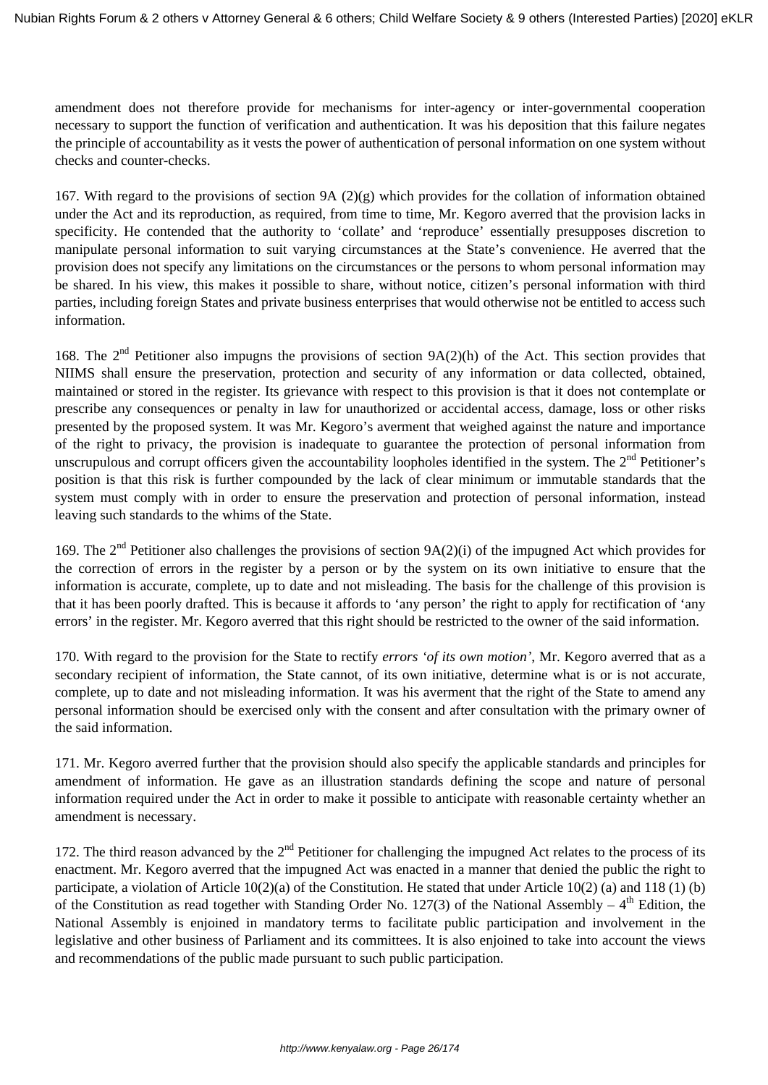amendment does not therefore provide for mechanisms for inter-agency or inter-governmental cooperation necessary to support the function of verification and authentication. It was his deposition that this failure negates the principle of accountability as it vests the power of authentication of personal information on one system without checks and counter-checks.

167. With regard to the provisions of section 9A (2)(g) which provides for the collation of information obtained under the Act and its reproduction, as required, from time to time, Mr. Kegoro averred that the provision lacks in specificity. He contended that the authority to 'collate' and 'reproduce' essentially presupposes discretion to manipulate personal information to suit varying circumstances at the State's convenience. He averred that the provision does not specify any limitations on the circumstances or the persons to whom personal information may be shared. In his view, this makes it possible to share, without notice, citizen's personal information with third parties, including foreign States and private business enterprises that would otherwise not be entitled to access such information.

168. The  $2<sup>nd</sup>$  Petitioner also impugns the provisions of section 9A(2)(h) of the Act. This section provides that NIIMS shall ensure the preservation, protection and security of any information or data collected, obtained, maintained or stored in the register. Its grievance with respect to this provision is that it does not contemplate or prescribe any consequences or penalty in law for unauthorized or accidental access, damage, loss or other risks presented by the proposed system. It was Mr. Kegoro's averment that weighed against the nature and importance of the right to privacy, the provision is inadequate to guarantee the protection of personal information from unscrupulous and corrupt officers given the accountability loopholes identified in the system. The  $2<sup>nd</sup>$  Petitioner's position is that this risk is further compounded by the lack of clear minimum or immutable standards that the system must comply with in order to ensure the preservation and protection of personal information, instead leaving such standards to the whims of the State.

169. The  $2<sup>nd</sup>$  Petitioner also challenges the provisions of section  $9A(2)(i)$  of the impugned Act which provides for the correction of errors in the register by a person or by the system on its own initiative to ensure that the information is accurate, complete, up to date and not misleading. The basis for the challenge of this provision is that it has been poorly drafted. This is because it affords to 'any person' the right to apply for rectification of 'any errors' in the register. Mr. Kegoro averred that this right should be restricted to the owner of the said information.

170. With regard to the provision for the State to rectify *errors 'of its own motion'*, Mr. Kegoro averred that as a secondary recipient of information, the State cannot, of its own initiative, determine what is or is not accurate, complete, up to date and not misleading information. It was his averment that the right of the State to amend any personal information should be exercised only with the consent and after consultation with the primary owner of the said information.

171. Mr. Kegoro averred further that the provision should also specify the applicable standards and principles for amendment of information. He gave as an illustration standards defining the scope and nature of personal information required under the Act in order to make it possible to anticipate with reasonable certainty whether an amendment is necessary.

172. The third reason advanced by the  $2<sup>nd</sup>$  Petitioner for challenging the impugned Act relates to the process of its enactment. Mr. Kegoro averred that the impugned Act was enacted in a manner that denied the public the right to participate, a violation of Article 10(2)(a) of the Constitution. He stated that under Article 10(2) (a) and 118 (1) (b) of the Constitution as read together with Standing Order No. 127(3) of the National Assembly –  $4<sup>th</sup>$  Edition, the National Assembly is enjoined in mandatory terms to facilitate public participation and involvement in the legislative and other business of Parliament and its committees. It is also enjoined to take into account the views and recommendations of the public made pursuant to such public participation.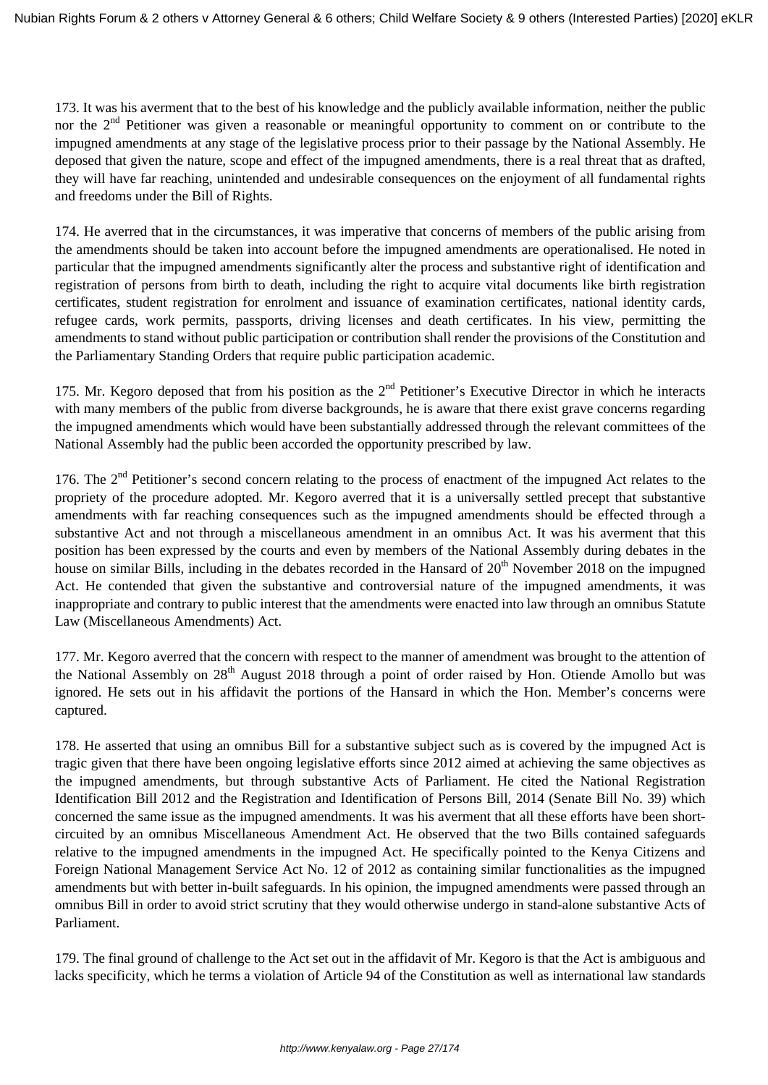173. It was his averment that to the best of his knowledge and the publicly available information, neither the public nor the  $2<sup>nd</sup>$  Petitioner was given a reasonable or meaningful opportunity to comment on or contribute to the impugned amendments at any stage of the legislative process prior to their passage by the National Assembly. He deposed that given the nature, scope and effect of the impugned amendments, there is a real threat that as drafted, they will have far reaching, unintended and undesirable consequences on the enjoyment of all fundamental rights and freedoms under the Bill of Rights.

174. He averred that in the circumstances, it was imperative that concerns of members of the public arising from the amendments should be taken into account before the impugned amendments are operationalised. He noted in particular that the impugned amendments significantly alter the process and substantive right of identification and registration of persons from birth to death, including the right to acquire vital documents like birth registration certificates, student registration for enrolment and issuance of examination certificates, national identity cards, refugee cards, work permits, passports, driving licenses and death certificates. In his view, permitting the amendments to stand without public participation or contribution shall render the provisions of the Constitution and the Parliamentary Standing Orders that require public participation academic.

175. Mr. Kegoro deposed that from his position as the 2<sup>nd</sup> Petitioner's Executive Director in which he interacts with many members of the public from diverse backgrounds, he is aware that there exist grave concerns regarding the impugned amendments which would have been substantially addressed through the relevant committees of the National Assembly had the public been accorded the opportunity prescribed by law.

176. The  $2<sup>nd</sup>$  Petitioner's second concern relating to the process of enactment of the impugned Act relates to the propriety of the procedure adopted. Mr. Kegoro averred that it is a universally settled precept that substantive amendments with far reaching consequences such as the impugned amendments should be effected through a substantive Act and not through a miscellaneous amendment in an omnibus Act. It was his averment that this position has been expressed by the courts and even by members of the National Assembly during debates in the house on similar Bills, including in the debates recorded in the Hansard of 20<sup>th</sup> November 2018 on the impugned Act. He contended that given the substantive and controversial nature of the impugned amendments, it was inappropriate and contrary to public interest that the amendments were enacted into law through an omnibus Statute Law (Miscellaneous Amendments) Act.

177. Mr. Kegoro averred that the concern with respect to the manner of amendment was brought to the attention of the National Assembly on 28<sup>th</sup> August 2018 through a point of order raised by Hon. Otiende Amollo but was ignored. He sets out in his affidavit the portions of the Hansard in which the Hon. Member's concerns were captured.

178. He asserted that using an omnibus Bill for a substantive subject such as is covered by the impugned Act is tragic given that there have been ongoing legislative efforts since 2012 aimed at achieving the same objectives as the impugned amendments, but through substantive Acts of Parliament. He cited the National Registration Identification Bill 2012 and the Registration and Identification of Persons Bill, 2014 (Senate Bill No. 39) which concerned the same issue as the impugned amendments. It was his averment that all these efforts have been shortcircuited by an omnibus Miscellaneous Amendment Act. He observed that the two Bills contained safeguards relative to the impugned amendments in the impugned Act. He specifically pointed to the Kenya Citizens and Foreign National Management Service Act No. 12 of 2012 as containing similar functionalities as the impugned amendments but with better in-built safeguards. In his opinion, the impugned amendments were passed through an omnibus Bill in order to avoid strict scrutiny that they would otherwise undergo in stand-alone substantive Acts of Parliament.

179. The final ground of challenge to the Act set out in the affidavit of Mr. Kegoro is that the Act is ambiguous and lacks specificity, which he terms a violation of Article 94 of the Constitution as well as international law standards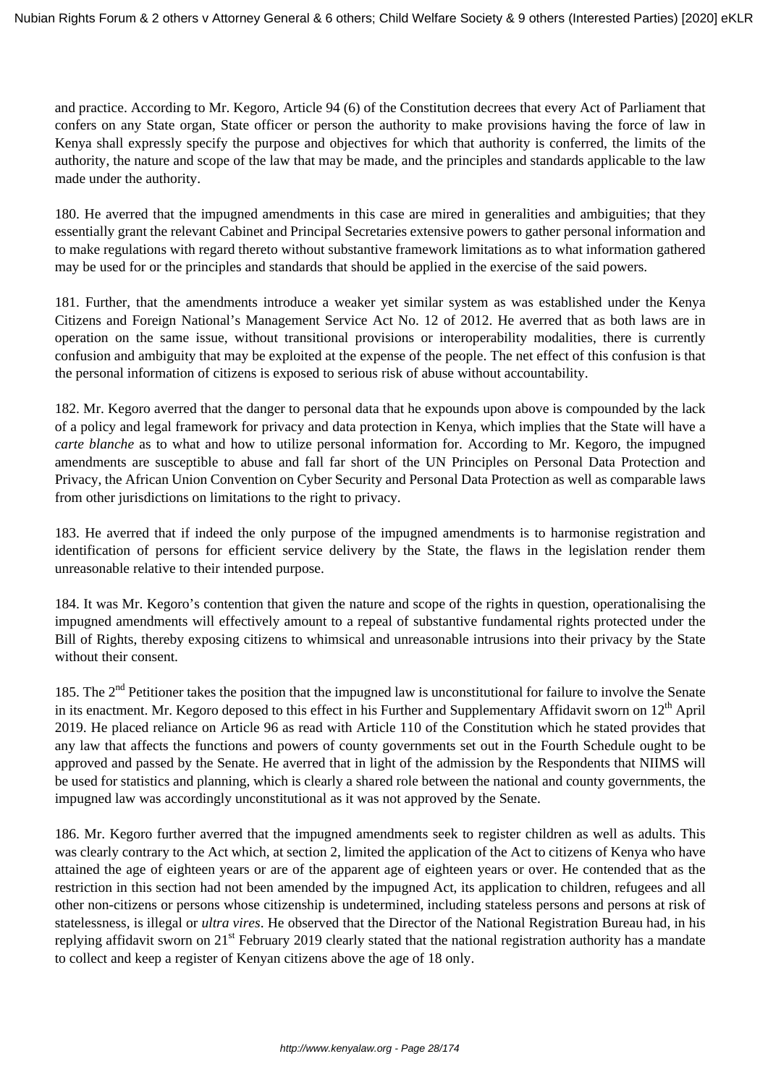and practice. According to Mr. Kegoro, Article 94 (6) of the Constitution decrees that every Act of Parliament that confers on any State organ, State officer or person the authority to make provisions having the force of law in Kenya shall expressly specify the purpose and objectives for which that authority is conferred, the limits of the authority, the nature and scope of the law that may be made, and the principles and standards applicable to the law made under the authority.

180. He averred that the impugned amendments in this case are mired in generalities and ambiguities; that they essentially grant the relevant Cabinet and Principal Secretaries extensive powers to gather personal information and to make regulations with regard thereto without substantive framework limitations as to what information gathered may be used for or the principles and standards that should be applied in the exercise of the said powers.

181. Further, that the amendments introduce a weaker yet similar system as was established under the Kenya Citizens and Foreign National's Management Service Act No. 12 of 2012. He averred that as both laws are in operation on the same issue, without transitional provisions or interoperability modalities, there is currently confusion and ambiguity that may be exploited at the expense of the people. The net effect of this confusion is that the personal information of citizens is exposed to serious risk of abuse without accountability.

182. Mr. Kegoro averred that the danger to personal data that he expounds upon above is compounded by the lack of a policy and legal framework for privacy and data protection in Kenya, which implies that the State will have a *carte blanche* as to what and how to utilize personal information for. According to Mr. Kegoro, the impugned amendments are susceptible to abuse and fall far short of the UN Principles on Personal Data Protection and Privacy, the African Union Convention on Cyber Security and Personal Data Protection as well as comparable laws from other jurisdictions on limitations to the right to privacy.

183. He averred that if indeed the only purpose of the impugned amendments is to harmonise registration and identification of persons for efficient service delivery by the State, the flaws in the legislation render them unreasonable relative to their intended purpose.

184. It was Mr. Kegoro's contention that given the nature and scope of the rights in question, operationalising the impugned amendments will effectively amount to a repeal of substantive fundamental rights protected under the Bill of Rights, thereby exposing citizens to whimsical and unreasonable intrusions into their privacy by the State without their consent.

185. The  $2<sup>nd</sup>$  Petitioner takes the position that the impugned law is unconstitutional for failure to involve the Senate in its enactment. Mr. Kegoro deposed to this effect in his Further and Supplementary Affidavit sworn on  $12<sup>th</sup>$  April 2019. He placed reliance on Article 96 as read with Article 110 of the Constitution which he stated provides that any law that affects the functions and powers of county governments set out in the Fourth Schedule ought to be approved and passed by the Senate. He averred that in light of the admission by the Respondents that NIIMS will be used for statistics and planning, which is clearly a shared role between the national and county governments, the impugned law was accordingly unconstitutional as it was not approved by the Senate.

186. Mr. Kegoro further averred that the impugned amendments seek to register children as well as adults. This was clearly contrary to the Act which, at section 2, limited the application of the Act to citizens of Kenya who have attained the age of eighteen years or are of the apparent age of eighteen years or over. He contended that as the restriction in this section had not been amended by the impugned Act, its application to children, refugees and all other non-citizens or persons whose citizenship is undetermined, including stateless persons and persons at risk of statelessness, is illegal or *ultra vires*. He observed that the Director of the National Registration Bureau had, in his replying affidavit sworn on  $21<sup>st</sup>$  February 2019 clearly stated that the national registration authority has a mandate to collect and keep a register of Kenyan citizens above the age of 18 only.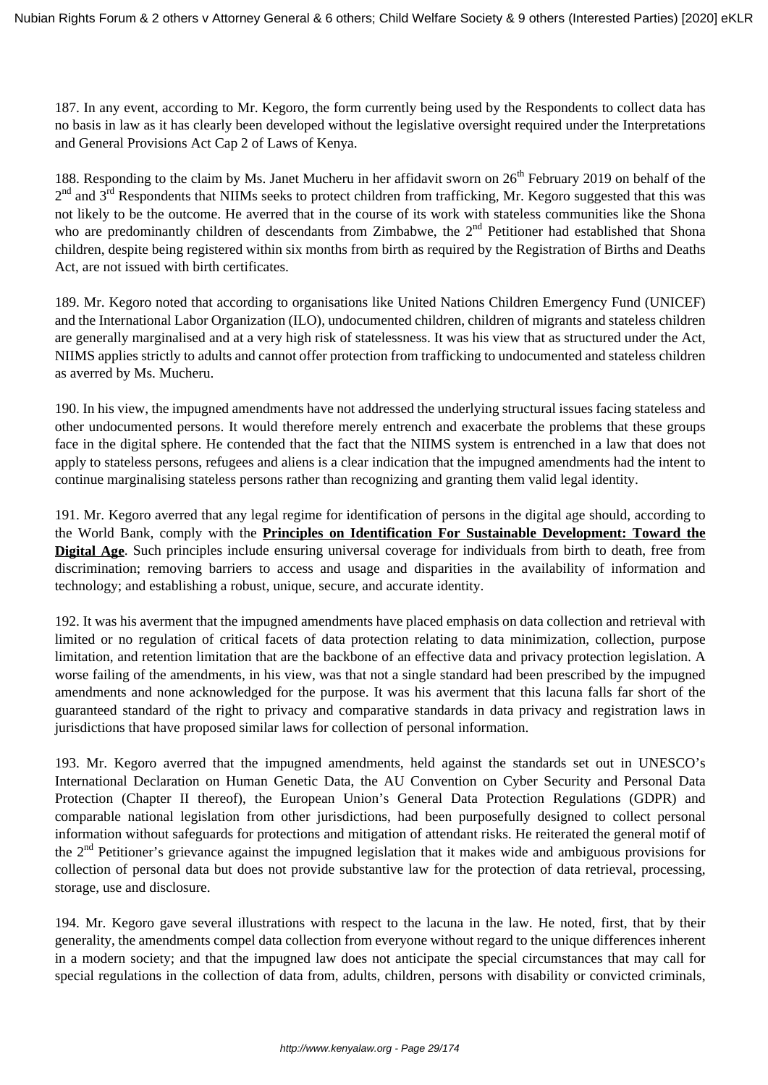187. In any event, according to Mr. Kegoro, the form currently being used by the Respondents to collect data has no basis in law as it has clearly been developed without the legislative oversight required under the Interpretations and General Provisions Act Cap 2 of Laws of Kenya.

188. Responding to the claim by Ms. Janet Mucheru in her affidavit sworn on  $26<sup>th</sup>$  February 2019 on behalf of the  $2<sup>nd</sup>$  and  $3<sup>rd</sup>$  Respondents that NIIMs seeks to protect children from trafficking, Mr. Kegoro suggested that this was not likely to be the outcome. He averred that in the course of its work with stateless communities like the Shona who are predominantly children of descendants from Zimbabwe, the  $2<sup>nd</sup>$  Petitioner had established that Shona children, despite being registered within six months from birth as required by the Registration of Births and Deaths Act, are not issued with birth certificates.

189. Mr. Kegoro noted that according to organisations like United Nations Children Emergency Fund (UNICEF) and the International Labor Organization (ILO), undocumented children, children of migrants and stateless children are generally marginalised and at a very high risk of statelessness. It was his view that as structured under the Act, NIIMS applies strictly to adults and cannot offer protection from trafficking to undocumented and stateless children as averred by Ms. Mucheru.

190. In his view, the impugned amendments have not addressed the underlying structural issues facing stateless and other undocumented persons. It would therefore merely entrench and exacerbate the problems that these groups face in the digital sphere. He contended that the fact that the NIIMS system is entrenched in a law that does not apply to stateless persons, refugees and aliens is a clear indication that the impugned amendments had the intent to continue marginalising stateless persons rather than recognizing and granting them valid legal identity.

191. Mr. Kegoro averred that any legal regime for identification of persons in the digital age should, according to the World Bank, comply with the **Principles on Identification For Sustainable Development: Toward the Digital Age**. Such principles include ensuring universal coverage for individuals from birth to death, free from discrimination; removing barriers to access and usage and disparities in the availability of information and technology; and establishing a robust, unique, secure, and accurate identity.

192. It was his averment that the impugned amendments have placed emphasis on data collection and retrieval with limited or no regulation of critical facets of data protection relating to data minimization, collection, purpose limitation, and retention limitation that are the backbone of an effective data and privacy protection legislation. A worse failing of the amendments, in his view, was that not a single standard had been prescribed by the impugned amendments and none acknowledged for the purpose. It was his averment that this lacuna falls far short of the guaranteed standard of the right to privacy and comparative standards in data privacy and registration laws in jurisdictions that have proposed similar laws for collection of personal information.

193. Mr. Kegoro averred that the impugned amendments, held against the standards set out in UNESCO's International Declaration on Human Genetic Data, the AU Convention on Cyber Security and Personal Data Protection (Chapter II thereof), the European Union's General Data Protection Regulations (GDPR) and comparable national legislation from other jurisdictions, had been purposefully designed to collect personal information without safeguards for protections and mitigation of attendant risks. He reiterated the general motif of the  $2<sup>nd</sup>$  Petitioner's grievance against the impugned legislation that it makes wide and ambiguous provisions for collection of personal data but does not provide substantive law for the protection of data retrieval, processing, storage, use and disclosure.

194. Mr. Kegoro gave several illustrations with respect to the lacuna in the law. He noted, first, that by their generality, the amendments compel data collection from everyone without regard to the unique differences inherent in a modern society; and that the impugned law does not anticipate the special circumstances that may call for special regulations in the collection of data from, adults, children, persons with disability or convicted criminals,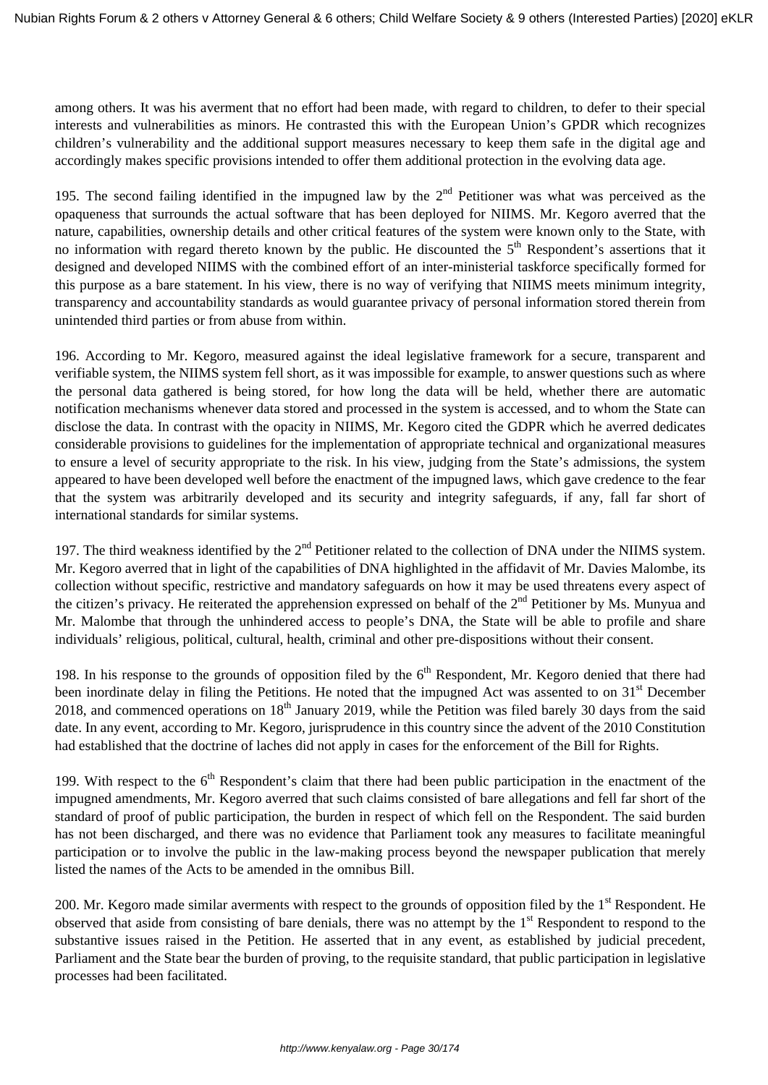among others. It was his averment that no effort had been made, with regard to children, to defer to their special interests and vulnerabilities as minors. He contrasted this with the European Union's GPDR which recognizes children's vulnerability and the additional support measures necessary to keep them safe in the digital age and accordingly makes specific provisions intended to offer them additional protection in the evolving data age.

195. The second failing identified in the impugned law by the  $2<sup>nd</sup>$  Petitioner was what was perceived as the opaqueness that surrounds the actual software that has been deployed for NIIMS. Mr. Kegoro averred that the nature, capabilities, ownership details and other critical features of the system were known only to the State, with no information with regard thereto known by the public. He discounted the 5<sup>th</sup> Respondent's assertions that it designed and developed NIIMS with the combined effort of an inter-ministerial taskforce specifically formed for this purpose as a bare statement. In his view, there is no way of verifying that NIIMS meets minimum integrity, transparency and accountability standards as would guarantee privacy of personal information stored therein from unintended third parties or from abuse from within.

196. According to Mr. Kegoro, measured against the ideal legislative framework for a secure, transparent and verifiable system, the NIIMS system fell short, as it was impossible for example, to answer questions such as where the personal data gathered is being stored, for how long the data will be held, whether there are automatic notification mechanisms whenever data stored and processed in the system is accessed, and to whom the State can disclose the data. In contrast with the opacity in NIIMS, Mr. Kegoro cited the GDPR which he averred dedicates considerable provisions to guidelines for the implementation of appropriate technical and organizational measures to ensure a level of security appropriate to the risk. In his view, judging from the State's admissions, the system appeared to have been developed well before the enactment of the impugned laws, which gave credence to the fear that the system was arbitrarily developed and its security and integrity safeguards, if any, fall far short of international standards for similar systems.

197. The third weakness identified by the 2<sup>nd</sup> Petitioner related to the collection of DNA under the NIIMS system. Mr. Kegoro averred that in light of the capabilities of DNA highlighted in the affidavit of Mr. Davies Malombe, its collection without specific, restrictive and mandatory safeguards on how it may be used threatens every aspect of the citizen's privacy. He reiterated the apprehension expressed on behalf of the  $2<sup>nd</sup>$  Petitioner by Ms. Munyua and Mr. Malombe that through the unhindered access to people's DNA, the State will be able to profile and share individuals' religious, political, cultural, health, criminal and other pre-dispositions without their consent.

198. In his response to the grounds of opposition filed by the  $6<sup>th</sup>$  Respondent, Mr. Kegoro denied that there had been inordinate delay in filing the Petitions. He noted that the impugned Act was assented to on 31<sup>st</sup> December 2018, and commenced operations on  $18<sup>th</sup>$  January 2019, while the Petition was filed barely 30 days from the said date. In any event, according to Mr. Kegoro, jurisprudence in this country since the advent of the 2010 Constitution had established that the doctrine of laches did not apply in cases for the enforcement of the Bill for Rights.

199. With respect to the  $6<sup>th</sup>$  Respondent's claim that there had been public participation in the enactment of the impugned amendments, Mr. Kegoro averred that such claims consisted of bare allegations and fell far short of the standard of proof of public participation, the burden in respect of which fell on the Respondent. The said burden has not been discharged, and there was no evidence that Parliament took any measures to facilitate meaningful participation or to involve the public in the law-making process beyond the newspaper publication that merely listed the names of the Acts to be amended in the omnibus Bill.

200. Mr. Kegoro made similar averments with respect to the grounds of opposition filed by the 1<sup>st</sup> Respondent. He observed that aside from consisting of bare denials, there was no attempt by the 1<sup>st</sup> Respondent to respond to the substantive issues raised in the Petition. He asserted that in any event, as established by judicial precedent, Parliament and the State bear the burden of proving, to the requisite standard, that public participation in legislative processes had been facilitated.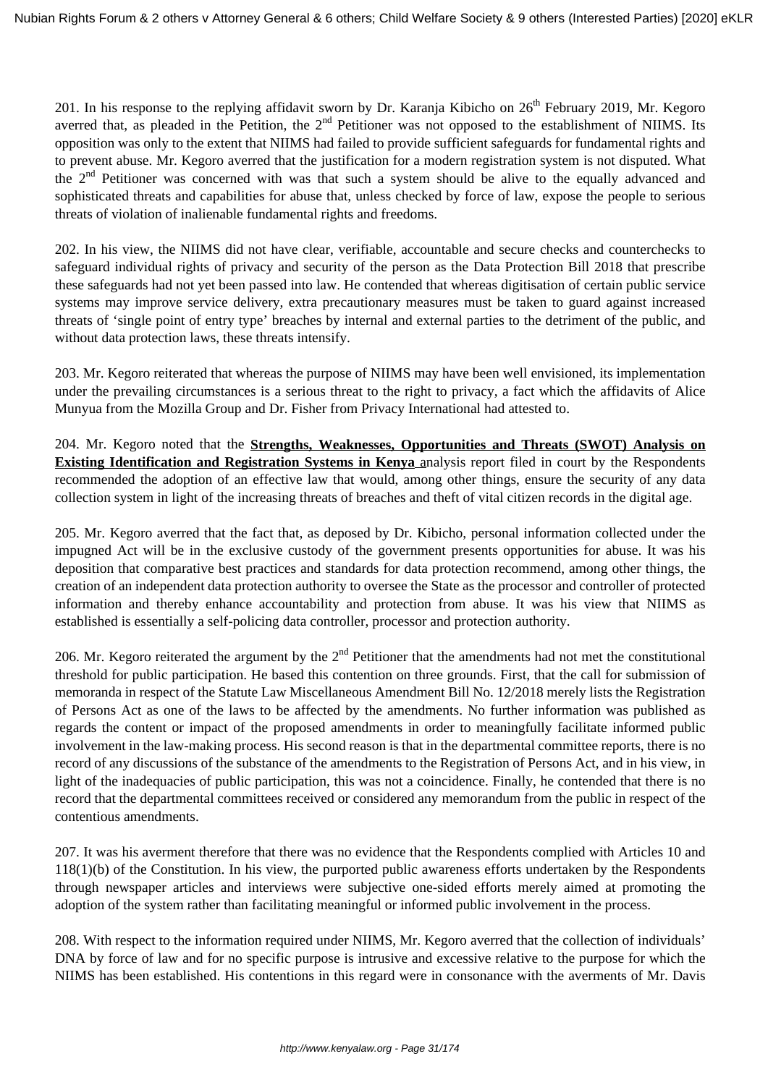201. In his response to the replying affidavit sworn by Dr. Karanja Kibicho on  $26<sup>th</sup>$  February 2019, Mr. Kegoro averred that, as pleaded in the Petition, the 2<sup>nd</sup> Petitioner was not opposed to the establishment of NIIMS. Its opposition was only to the extent that NIIMS had failed to provide sufficient safeguards for fundamental rights and to prevent abuse. Mr. Kegoro averred that the justification for a modern registration system is not disputed. What the 2nd Petitioner was concerned with was that such a system should be alive to the equally advanced and sophisticated threats and capabilities for abuse that, unless checked by force of law, expose the people to serious threats of violation of inalienable fundamental rights and freedoms.

202. In his view, the NIIMS did not have clear, verifiable, accountable and secure checks and counterchecks to safeguard individual rights of privacy and security of the person as the Data Protection Bill 2018 that prescribe these safeguards had not yet been passed into law. He contended that whereas digitisation of certain public service systems may improve service delivery, extra precautionary measures must be taken to guard against increased threats of 'single point of entry type' breaches by internal and external parties to the detriment of the public, and without data protection laws, these threats intensify.

203. Mr. Kegoro reiterated that whereas the purpose of NIIMS may have been well envisioned, its implementation under the prevailing circumstances is a serious threat to the right to privacy, a fact which the affidavits of Alice Munyua from the Mozilla Group and Dr. Fisher from Privacy International had attested to.

204. Mr. Kegoro noted that the **Strengths, Weaknesses, Opportunities and Threats (SWOT) Analysis on Existing Identification and Registration Systems in Kenya** analysis report filed in court by the Respondents recommended the adoption of an effective law that would, among other things, ensure the security of any data collection system in light of the increasing threats of breaches and theft of vital citizen records in the digital age.

205. Mr. Kegoro averred that the fact that, as deposed by Dr. Kibicho, personal information collected under the impugned Act will be in the exclusive custody of the government presents opportunities for abuse. It was his deposition that comparative best practices and standards for data protection recommend, among other things, the creation of an independent data protection authority to oversee the State as the processor and controller of protected information and thereby enhance accountability and protection from abuse. It was his view that NIIMS as established is essentially a self-policing data controller, processor and protection authority.

206. Mr. Kegoro reiterated the argument by the  $2<sup>nd</sup>$  Petitioner that the amendments had not met the constitutional threshold for public participation. He based this contention on three grounds. First, that the call for submission of memoranda in respect of the Statute Law Miscellaneous Amendment Bill No. 12/2018 merely lists the Registration of Persons Act as one of the laws to be affected by the amendments. No further information was published as regards the content or impact of the proposed amendments in order to meaningfully facilitate informed public involvement in the law-making process. His second reason is that in the departmental committee reports, there is no record of any discussions of the substance of the amendments to the Registration of Persons Act, and in his view, in light of the inadequacies of public participation, this was not a coincidence. Finally, he contended that there is no record that the departmental committees received or considered any memorandum from the public in respect of the contentious amendments.

207. It was his averment therefore that there was no evidence that the Respondents complied with Articles 10 and 118(1)(b) of the Constitution. In his view, the purported public awareness efforts undertaken by the Respondents through newspaper articles and interviews were subjective one-sided efforts merely aimed at promoting the adoption of the system rather than facilitating meaningful or informed public involvement in the process.

208. With respect to the information required under NIIMS, Mr. Kegoro averred that the collection of individuals' DNA by force of law and for no specific purpose is intrusive and excessive relative to the purpose for which the NIIMS has been established. His contentions in this regard were in consonance with the averments of Mr. Davis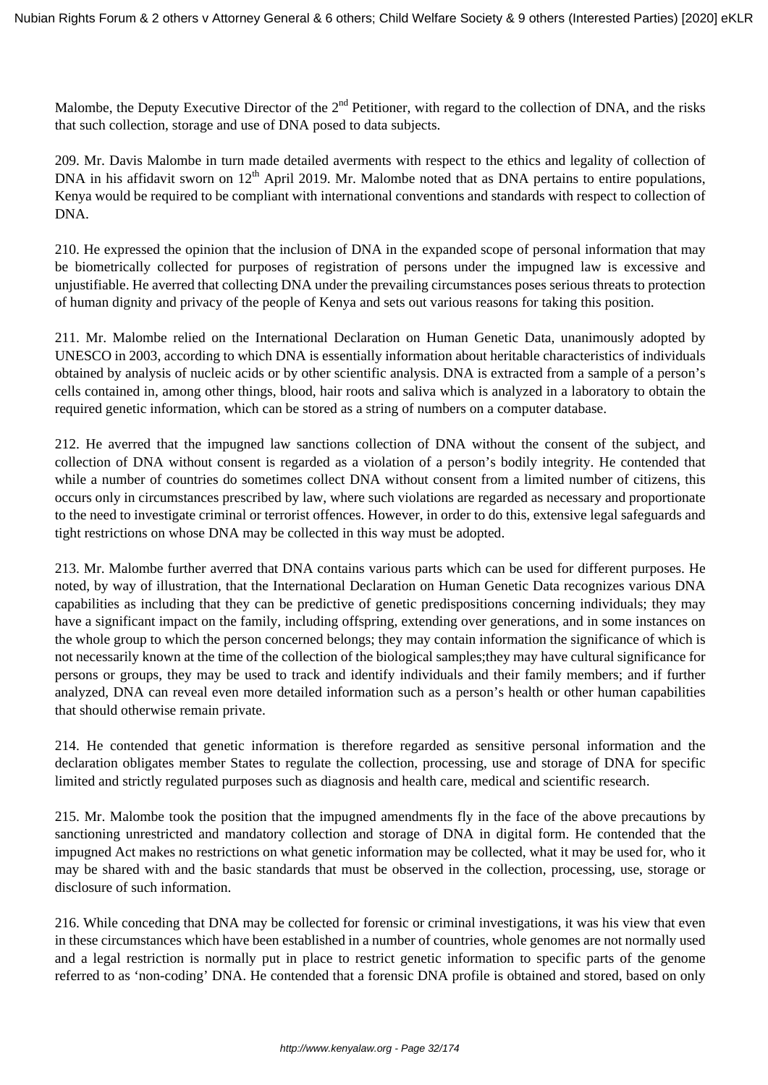Malombe, the Deputy Executive Director of the  $2<sup>nd</sup>$  Petitioner, with regard to the collection of DNA, and the risks that such collection, storage and use of DNA posed to data subjects.

209. Mr. Davis Malombe in turn made detailed averments with respect to the ethics and legality of collection of DNA in his affidavit sworn on 12<sup>th</sup> April 2019. Mr. Malombe noted that as DNA pertains to entire populations, Kenya would be required to be compliant with international conventions and standards with respect to collection of DNA.

210. He expressed the opinion that the inclusion of DNA in the expanded scope of personal information that may be biometrically collected for purposes of registration of persons under the impugned law is excessive and unjustifiable. He averred that collecting DNA under the prevailing circumstances poses serious threats to protection of human dignity and privacy of the people of Kenya and sets out various reasons for taking this position.

211. Mr. Malombe relied on the International Declaration on Human Genetic Data, unanimously adopted by UNESCO in 2003, according to which DNA is essentially information about heritable characteristics of individuals obtained by analysis of nucleic acids or by other scientific analysis. DNA is extracted from a sample of a person's cells contained in, among other things, blood, hair roots and saliva which is analyzed in a laboratory to obtain the required genetic information, which can be stored as a string of numbers on a computer database.

212. He averred that the impugned law sanctions collection of DNA without the consent of the subject, and collection of DNA without consent is regarded as a violation of a person's bodily integrity. He contended that while a number of countries do sometimes collect DNA without consent from a limited number of citizens, this occurs only in circumstances prescribed by law, where such violations are regarded as necessary and proportionate to the need to investigate criminal or terrorist offences. However, in order to do this, extensive legal safeguards and tight restrictions on whose DNA may be collected in this way must be adopted.

213. Mr. Malombe further averred that DNA contains various parts which can be used for different purposes. He noted, by way of illustration, that the International Declaration on Human Genetic Data recognizes various DNA capabilities as including that they can be predictive of genetic predispositions concerning individuals; they may have a significant impact on the family, including offspring, extending over generations, and in some instances on the whole group to which the person concerned belongs; they may contain information the significance of which is not necessarily known at the time of the collection of the biological samples;they may have cultural significance for persons or groups, they may be used to track and identify individuals and their family members; and if further analyzed, DNA can reveal even more detailed information such as a person's health or other human capabilities that should otherwise remain private.

214. He contended that genetic information is therefore regarded as sensitive personal information and the declaration obligates member States to regulate the collection, processing, use and storage of DNA for specific limited and strictly regulated purposes such as diagnosis and health care, medical and scientific research.

215. Mr. Malombe took the position that the impugned amendments fly in the face of the above precautions by sanctioning unrestricted and mandatory collection and storage of DNA in digital form. He contended that the impugned Act makes no restrictions on what genetic information may be collected, what it may be used for, who it may be shared with and the basic standards that must be observed in the collection, processing, use, storage or disclosure of such information.

216. While conceding that DNA may be collected for forensic or criminal investigations, it was his view that even in these circumstances which have been established in a number of countries, whole genomes are not normally used and a legal restriction is normally put in place to restrict genetic information to specific parts of the genome referred to as 'non-coding' DNA. He contended that a forensic DNA profile is obtained and stored, based on only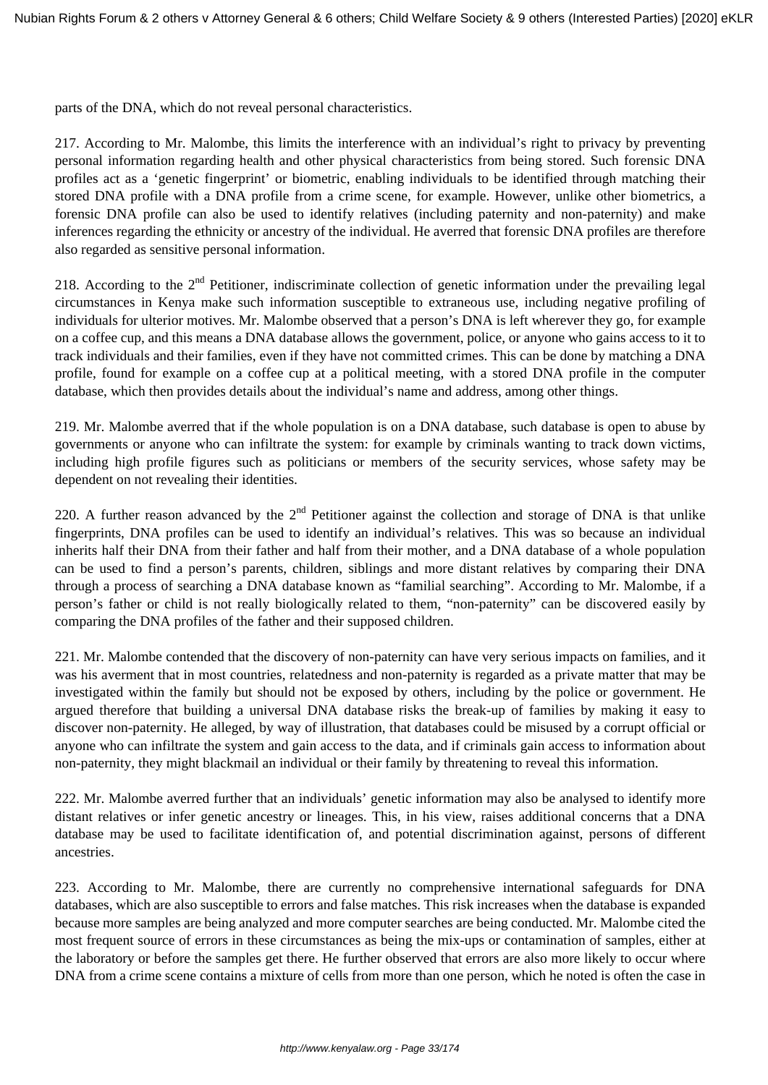parts of the DNA, which do not reveal personal characteristics.

217. According to Mr. Malombe, this limits the interference with an individual's right to privacy by preventing personal information regarding health and other physical characteristics from being stored. Such forensic DNA profiles act as a 'genetic fingerprint' or biometric, enabling individuals to be identified through matching their stored DNA profile with a DNA profile from a crime scene, for example. However, unlike other biometrics, a forensic DNA profile can also be used to identify relatives (including paternity and non-paternity) and make inferences regarding the ethnicity or ancestry of the individual. He averred that forensic DNA profiles are therefore also regarded as sensitive personal information.

218. According to the  $2<sup>nd</sup>$  Petitioner, indiscriminate collection of genetic information under the prevailing legal circumstances in Kenya make such information susceptible to extraneous use, including negative profiling of individuals for ulterior motives. Mr. Malombe observed that a person's DNA is left wherever they go, for example on a coffee cup, and this means a DNA database allows the government, police, or anyone who gains access to it to track individuals and their families, even if they have not committed crimes. This can be done by matching a DNA profile, found for example on a coffee cup at a political meeting, with a stored DNA profile in the computer database, which then provides details about the individual's name and address, among other things.

219. Mr. Malombe averred that if the whole population is on a DNA database, such database is open to abuse by governments or anyone who can infiltrate the system: for example by criminals wanting to track down victims, including high profile figures such as politicians or members of the security services, whose safety may be dependent on not revealing their identities.

220. A further reason advanced by the  $2<sup>nd</sup>$  Petitioner against the collection and storage of DNA is that unlike fingerprints, DNA profiles can be used to identify an individual's relatives. This was so because an individual inherits half their DNA from their father and half from their mother, and a DNA database of a whole population can be used to find a person's parents, children, siblings and more distant relatives by comparing their DNA through a process of searching a DNA database known as "familial searching". According to Mr. Malombe, if a person's father or child is not really biologically related to them, "non-paternity" can be discovered easily by comparing the DNA profiles of the father and their supposed children.

221. Mr. Malombe contended that the discovery of non-paternity can have very serious impacts on families, and it was his averment that in most countries, relatedness and non-paternity is regarded as a private matter that may be investigated within the family but should not be exposed by others, including by the police or government. He argued therefore that building a universal DNA database risks the break-up of families by making it easy to discover non-paternity. He alleged, by way of illustration, that databases could be misused by a corrupt official or anyone who can infiltrate the system and gain access to the data, and if criminals gain access to information about non-paternity, they might blackmail an individual or their family by threatening to reveal this information.

222. Mr. Malombe averred further that an individuals' genetic information may also be analysed to identify more distant relatives or infer genetic ancestry or lineages. This, in his view, raises additional concerns that a DNA database may be used to facilitate identification of, and potential discrimination against, persons of different ancestries.

223. According to Mr. Malombe, there are currently no comprehensive international safeguards for DNA databases, which are also susceptible to errors and false matches. This risk increases when the database is expanded because more samples are being analyzed and more computer searches are being conducted. Mr. Malombe cited the most frequent source of errors in these circumstances as being the mix-ups or contamination of samples, either at the laboratory or before the samples get there. He further observed that errors are also more likely to occur where DNA from a crime scene contains a mixture of cells from more than one person, which he noted is often the case in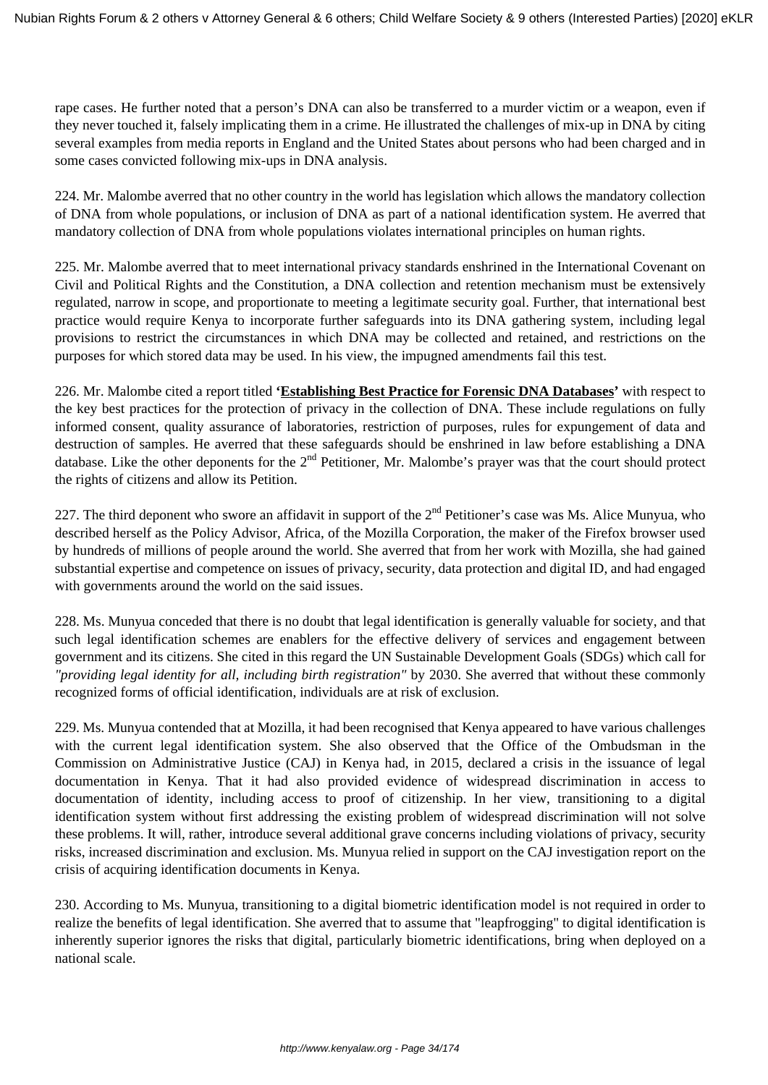rape cases. He further noted that a person's DNA can also be transferred to a murder victim or a weapon, even if they never touched it, falsely implicating them in a crime. He illustrated the challenges of mix-up in DNA by citing several examples from media reports in England and the United States about persons who had been charged and in some cases convicted following mix-ups in DNA analysis.

224. Mr. Malombe averred that no other country in the world has legislation which allows the mandatory collection of DNA from whole populations, or inclusion of DNA as part of a national identification system. He averred that mandatory collection of DNA from whole populations violates international principles on human rights.

225. Mr. Malombe averred that to meet international privacy standards enshrined in the International Covenant on Civil and Political Rights and the Constitution, a DNA collection and retention mechanism must be extensively regulated, narrow in scope, and proportionate to meeting a legitimate security goal. Further, that international best practice would require Kenya to incorporate further safeguards into its DNA gathering system, including legal provisions to restrict the circumstances in which DNA may be collected and retained, and restrictions on the purposes for which stored data may be used. In his view, the impugned amendments fail this test.

226. Mr. Malombe cited a report titled **'Establishing Best Practice for Forensic DNA Databases'** with respect to the key best practices for the protection of privacy in the collection of DNA. These include regulations on fully informed consent, quality assurance of laboratories, restriction of purposes, rules for expungement of data and destruction of samples. He averred that these safeguards should be enshrined in law before establishing a DNA database. Like the other deponents for the 2<sup>nd</sup> Petitioner, Mr. Malombe's prayer was that the court should protect the rights of citizens and allow its Petition.

227. The third deponent who swore an affidavit in support of the  $2<sup>nd</sup>$  Petitioner's case was Ms. Alice Munyua, who described herself as the Policy Advisor, Africa, of the Mozilla Corporation, the maker of the Firefox browser used by hundreds of millions of people around the world. She averred that from her work with Mozilla, she had gained substantial expertise and competence on issues of privacy, security, data protection and digital ID, and had engaged with governments around the world on the said issues.

228. Ms. Munyua conceded that there is no doubt that legal identification is generally valuable for society, and that such legal identification schemes are enablers for the effective delivery of services and engagement between government and its citizens. She cited in this regard the UN Sustainable Development Goals (SDGs) which call for *"providing legal identity for all, including birth registration"* by 2030. She averred that without these commonly recognized forms of official identification, individuals are at risk of exclusion.

229. Ms. Munyua contended that at Mozilla, it had been recognised that Kenya appeared to have various challenges with the current legal identification system. She also observed that the Office of the Ombudsman in the Commission on Administrative Justice (CAJ) in Kenya had, in 2015, declared a crisis in the issuance of legal documentation in Kenya. That it had also provided evidence of widespread discrimination in access to documentation of identity, including access to proof of citizenship. In her view, transitioning to a digital identification system without first addressing the existing problem of widespread discrimination will not solve these problems. It will, rather, introduce several additional grave concerns including violations of privacy, security risks, increased discrimination and exclusion. Ms. Munyua relied in support on the CAJ investigation report on the crisis of acquiring identification documents in Kenya.

230. According to Ms. Munyua, transitioning to a digital biometric identification model is not required in order to realize the benefits of legal identification. She averred that to assume that "leapfrogging" to digital identification is inherently superior ignores the risks that digital, particularly biometric identifications, bring when deployed on a national scale.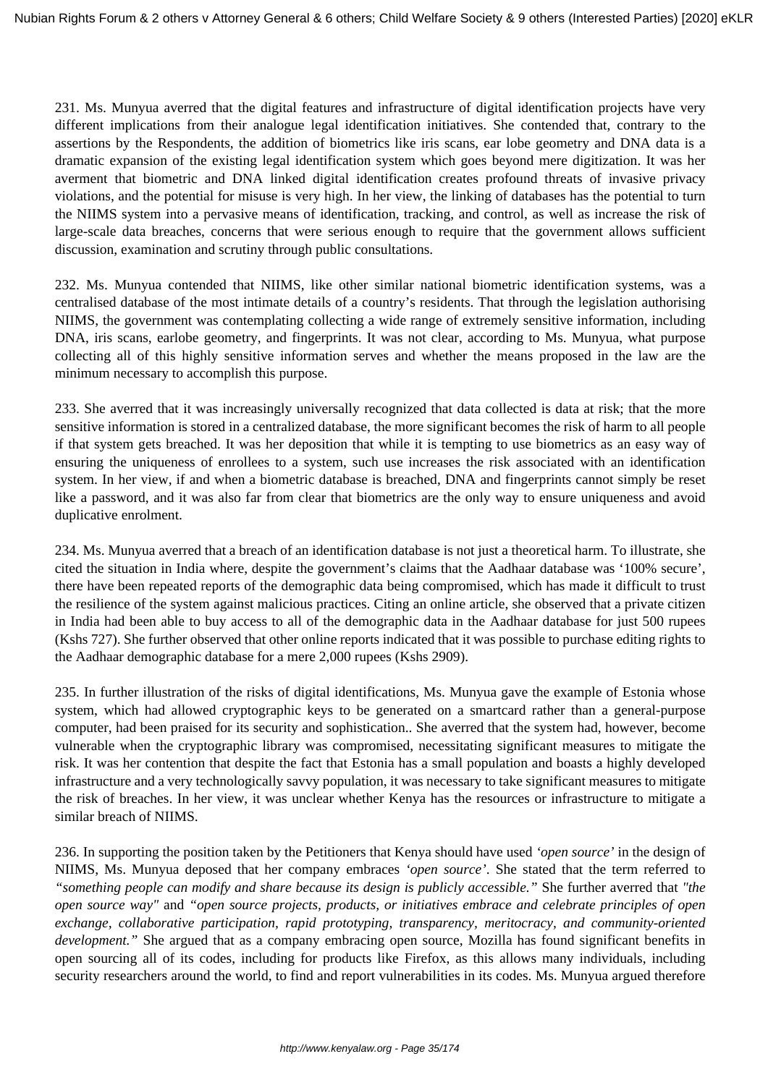231. Ms. Munyua averred that the digital features and infrastructure of digital identification projects have very different implications from their analogue legal identification initiatives. She contended that, contrary to the assertions by the Respondents, the addition of biometrics like iris scans, ear lobe geometry and DNA data is a dramatic expansion of the existing legal identification system which goes beyond mere digitization. It was her averment that biometric and DNA linked digital identification creates profound threats of invasive privacy violations, and the potential for misuse is very high. In her view, the linking of databases has the potential to turn the NIIMS system into a pervasive means of identification, tracking, and control, as well as increase the risk of large-scale data breaches, concerns that were serious enough to require that the government allows sufficient discussion, examination and scrutiny through public consultations.

232. Ms. Munyua contended that NIIMS, like other similar national biometric identification systems, was a centralised database of the most intimate details of a country's residents. That through the legislation authorising NIIMS, the government was contemplating collecting a wide range of extremely sensitive information, including DNA, iris scans, earlobe geometry, and fingerprints. It was not clear, according to Ms. Munyua, what purpose collecting all of this highly sensitive information serves and whether the means proposed in the law are the minimum necessary to accomplish this purpose.

233. She averred that it was increasingly universally recognized that data collected is data at risk; that the more sensitive information is stored in a centralized database, the more significant becomes the risk of harm to all people if that system gets breached. It was her deposition that while it is tempting to use biometrics as an easy way of ensuring the uniqueness of enrollees to a system, such use increases the risk associated with an identification system. In her view, if and when a biometric database is breached, DNA and fingerprints cannot simply be reset like a password, and it was also far from clear that biometrics are the only way to ensure uniqueness and avoid duplicative enrolment.

234. Ms. Munyua averred that a breach of an identification database is not just a theoretical harm. To illustrate, she cited the situation in India where, despite the government's claims that the Aadhaar database was '100% secure', there have been repeated reports of the demographic data being compromised, which has made it difficult to trust the resilience of the system against malicious practices. Citing an online article, she observed that a private citizen in India had been able to buy access to all of the demographic data in the Aadhaar database for just 500 rupees (Kshs 727). She further observed that other online reports indicated that it was possible to purchase editing rights to the Aadhaar demographic database for a mere 2,000 rupees (Kshs 2909).

235. In further illustration of the risks of digital identifications, Ms. Munyua gave the example of Estonia whose system, which had allowed cryptographic keys to be generated on a smartcard rather than a general-purpose computer, had been praised for its security and sophistication.. She averred that the system had, however, become vulnerable when the cryptographic library was compromised, necessitating significant measures to mitigate the risk. It was her contention that despite the fact that Estonia has a small population and boasts a highly developed infrastructure and a very technologically savvy population, it was necessary to take significant measures to mitigate the risk of breaches. In her view, it was unclear whether Kenya has the resources or infrastructure to mitigate a similar breach of NIIMS.

236. In supporting the position taken by the Petitioners that Kenya should have used *'open source'* in the design of NIIMS, Ms. Munyua deposed that her company embraces *'open source'*. She stated that the term referred to *"something people can modify and share because its design is publicly accessible."* She further averred that *"the open source way"* and *"open source projects, products, or initiatives embrace and celebrate principles of open exchange, collaborative participation, rapid prototyping, transparency, meritocracy, and community-oriented development.*" She argued that as a company embracing open source, Mozilla has found significant benefits in open sourcing all of its codes, including for products like Firefox, as this allows many individuals, including security researchers around the world, to find and report vulnerabilities in its codes. Ms. Munyua argued therefore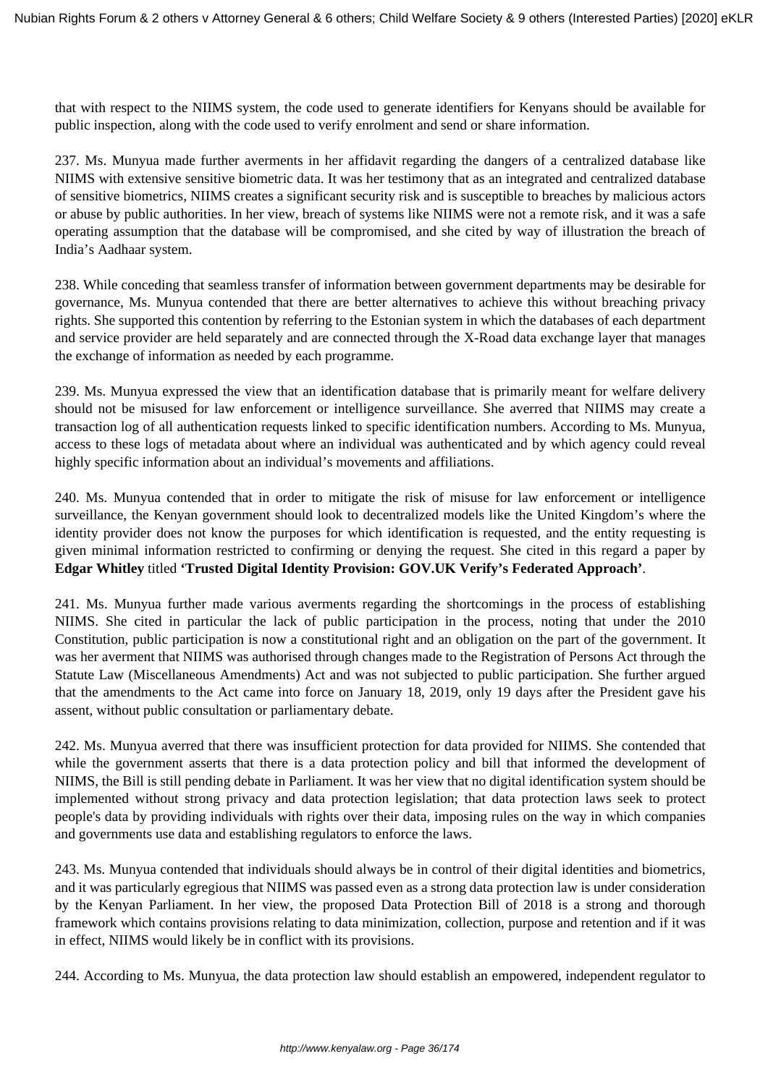that with respect to the NIIMS system, the code used to generate identifiers for Kenyans should be available for public inspection, along with the code used to verify enrolment and send or share information.

237. Ms. Munyua made further averments in her affidavit regarding the dangers of a centralized database like NIIMS with extensive sensitive biometric data. It was her testimony that as an integrated and centralized database of sensitive biometrics, NIIMS creates a significant security risk and is susceptible to breaches by malicious actors or abuse by public authorities. In her view, breach of systems like NIIMS were not a remote risk, and it was a safe operating assumption that the database will be compromised, and she cited by way of illustration the breach of India's Aadhaar system.

238. While conceding that seamless transfer of information between government departments may be desirable for governance, Ms. Munyua contended that there are better alternatives to achieve this without breaching privacy rights. She supported this contention by referring to the Estonian system in which the databases of each department and service provider are held separately and are connected through the X-Road data exchange layer that manages the exchange of information as needed by each programme.

239. Ms. Munyua expressed the view that an identification database that is primarily meant for welfare delivery should not be misused for law enforcement or intelligence surveillance. She averred that NIIMS may create a transaction log of all authentication requests linked to specific identification numbers. According to Ms. Munyua, access to these logs of metadata about where an individual was authenticated and by which agency could reveal highly specific information about an individual's movements and affiliations.

240. Ms. Munyua contended that in order to mitigate the risk of misuse for law enforcement or intelligence surveillance, the Kenyan government should look to decentralized models like the United Kingdom's where the identity provider does not know the purposes for which identification is requested, and the entity requesting is given minimal information restricted to confirming or denying the request. She cited in this regard a paper by **Edgar Whitley** titled **'Trusted Digital Identity Provision: GOV.UK Verify's Federated Approach'**.

241. Ms. Munyua further made various averments regarding the shortcomings in the process of establishing NIIMS. She cited in particular the lack of public participation in the process, noting that under the 2010 Constitution, public participation is now a constitutional right and an obligation on the part of the government. It was her averment that NIIMS was authorised through changes made to the Registration of Persons Act through the Statute Law (Miscellaneous Amendments) Act and was not subjected to public participation. She further argued that the amendments to the Act came into force on January 18, 2019, only 19 days after the President gave his assent, without public consultation or parliamentary debate.

242. Ms. Munyua averred that there was insufficient protection for data provided for NIIMS. She contended that while the government asserts that there is a data protection policy and bill that informed the development of NIIMS, the Bill is still pending debate in Parliament. It was her view that no digital identification system should be implemented without strong privacy and data protection legislation; that data protection laws seek to protect people's data by providing individuals with rights over their data, imposing rules on the way in which companies and governments use data and establishing regulators to enforce the laws.

243. Ms. Munyua contended that individuals should always be in control of their digital identities and biometrics, and it was particularly egregious that NIIMS was passed even as a strong data protection law is under consideration by the Kenyan Parliament. In her view, the proposed Data Protection Bill of 2018 is a strong and thorough framework which contains provisions relating to data minimization, collection, purpose and retention and if it was in effect, NIIMS would likely be in conflict with its provisions.

244. According to Ms. Munyua, the data protection law should establish an empowered, independent regulator to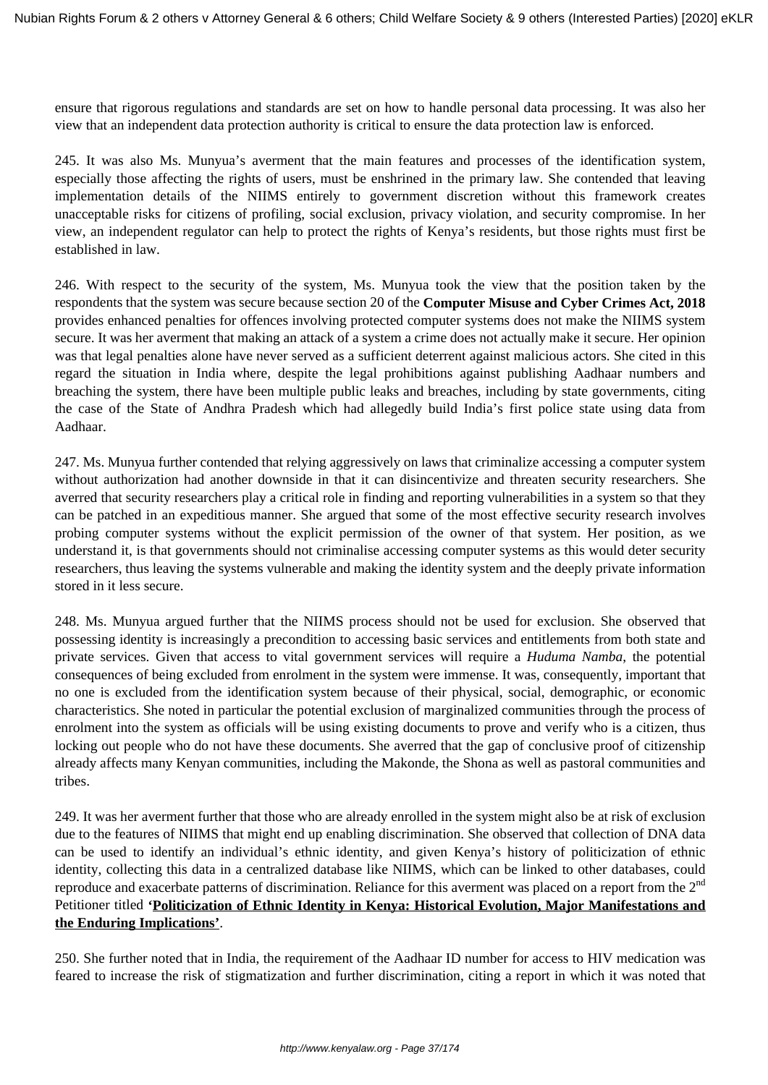ensure that rigorous regulations and standards are set on how to handle personal data processing. It was also her view that an independent data protection authority is critical to ensure the data protection law is enforced.

245. It was also Ms. Munyua's averment that the main features and processes of the identification system, especially those affecting the rights of users, must be enshrined in the primary law. She contended that leaving implementation details of the NIIMS entirely to government discretion without this framework creates unacceptable risks for citizens of profiling, social exclusion, privacy violation, and security compromise. In her view, an independent regulator can help to protect the rights of Kenya's residents, but those rights must first be established in law.

246. With respect to the security of the system, Ms. Munyua took the view that the position taken by the respondents that the system was secure because section 20 of the **Computer Misuse and Cyber Crimes Act, 2018** provides enhanced penalties for offences involving protected computer systems does not make the NIIMS system secure. It was her averment that making an attack of a system a crime does not actually make it secure. Her opinion was that legal penalties alone have never served as a sufficient deterrent against malicious actors. She cited in this regard the situation in India where, despite the legal prohibitions against publishing Aadhaar numbers and breaching the system, there have been multiple public leaks and breaches, including by state governments, citing the case of the State of Andhra Pradesh which had allegedly build India's first police state using data from Aadhaar.

247. Ms. Munyua further contended that relying aggressively on laws that criminalize accessing a computer system without authorization had another downside in that it can disincentivize and threaten security researchers. She averred that security researchers play a critical role in finding and reporting vulnerabilities in a system so that they can be patched in an expeditious manner. She argued that some of the most effective security research involves probing computer systems without the explicit permission of the owner of that system. Her position, as we understand it, is that governments should not criminalise accessing computer systems as this would deter security researchers, thus leaving the systems vulnerable and making the identity system and the deeply private information stored in it less secure.

248. Ms. Munyua argued further that the NIIMS process should not be used for exclusion. She observed that possessing identity is increasingly a precondition to accessing basic services and entitlements from both state and private services. Given that access to vital government services will require a *Huduma Namba*, the potential consequences of being excluded from enrolment in the system were immense. It was, consequently, important that no one is excluded from the identification system because of their physical, social, demographic, or economic characteristics. She noted in particular the potential exclusion of marginalized communities through the process of enrolment into the system as officials will be using existing documents to prove and verify who is a citizen, thus locking out people who do not have these documents. She averred that the gap of conclusive proof of citizenship already affects many Kenyan communities, including the Makonde, the Shona as well as pastoral communities and tribes.

249. It was her averment further that those who are already enrolled in the system might also be at risk of exclusion due to the features of NIIMS that might end up enabling discrimination. She observed that collection of DNA data can be used to identify an individual's ethnic identity, and given Kenya's history of politicization of ethnic identity, collecting this data in a centralized database like NIIMS, which can be linked to other databases, could reproduce and exacerbate patterns of discrimination. Reliance for this averment was placed on a report from the 2<sup>nd</sup> Petitioner titled **'Politicization of Ethnic Identity in Kenya: Historical Evolution, Major Manifestations and the Enduring Implications'**.

250. She further noted that in India, the requirement of the Aadhaar ID number for access to HIV medication was feared to increase the risk of stigmatization and further discrimination, citing a report in which it was noted that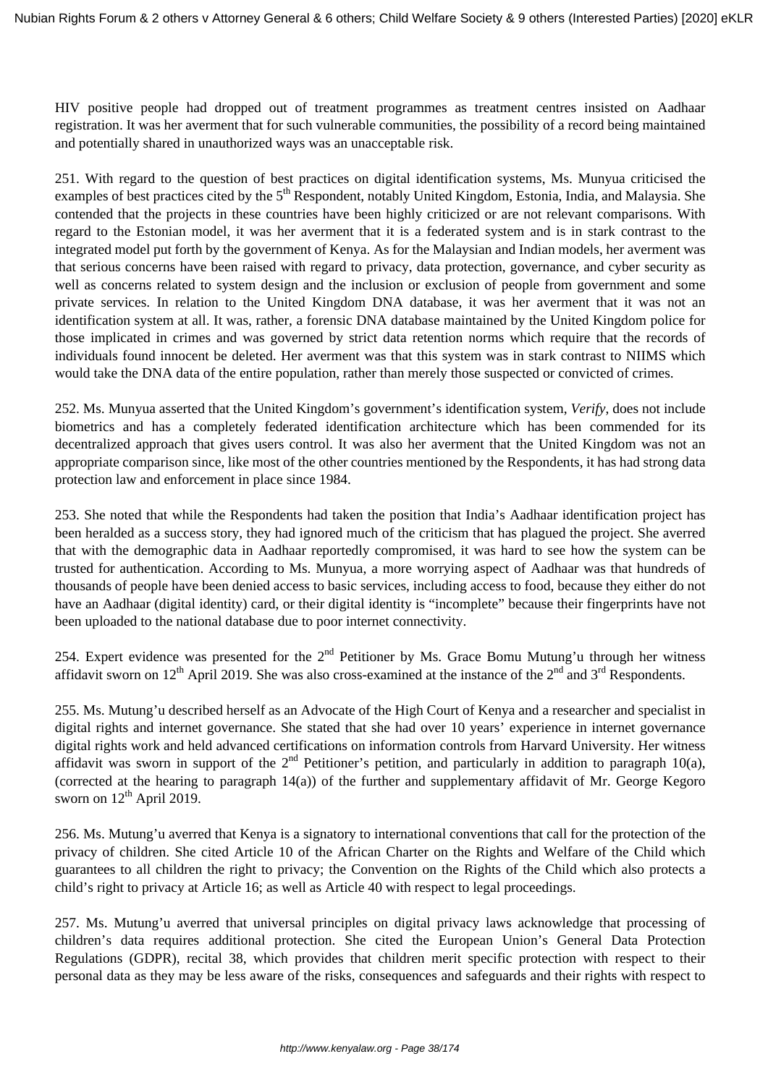HIV positive people had dropped out of treatment programmes as treatment centres insisted on Aadhaar registration. It was her averment that for such vulnerable communities, the possibility of a record being maintained and potentially shared in unauthorized ways was an unacceptable risk.

251. With regard to the question of best practices on digital identification systems, Ms. Munyua criticised the examples of best practices cited by the 5<sup>th</sup> Respondent, notably United Kingdom, Estonia, India, and Malaysia. She contended that the projects in these countries have been highly criticized or are not relevant comparisons. With regard to the Estonian model, it was her averment that it is a federated system and is in stark contrast to the integrated model put forth by the government of Kenya. As for the Malaysian and Indian models, her averment was that serious concerns have been raised with regard to privacy, data protection, governance, and cyber security as well as concerns related to system design and the inclusion or exclusion of people from government and some private services. In relation to the United Kingdom DNA database, it was her averment that it was not an identification system at all. It was, rather, a forensic DNA database maintained by the United Kingdom police for those implicated in crimes and was governed by strict data retention norms which require that the records of individuals found innocent be deleted. Her averment was that this system was in stark contrast to NIIMS which would take the DNA data of the entire population, rather than merely those suspected or convicted of crimes.

252. Ms. Munyua asserted that the United Kingdom's government's identification system, *Verify*, does not include biometrics and has a completely federated identification architecture which has been commended for its decentralized approach that gives users control. It was also her averment that the United Kingdom was not an appropriate comparison since, like most of the other countries mentioned by the Respondents, it has had strong data protection law and enforcement in place since 1984.

253. She noted that while the Respondents had taken the position that India's Aadhaar identification project has been heralded as a success story, they had ignored much of the criticism that has plagued the project. She averred that with the demographic data in Aadhaar reportedly compromised, it was hard to see how the system can be trusted for authentication. According to Ms. Munyua, a more worrying aspect of Aadhaar was that hundreds of thousands of people have been denied access to basic services, including access to food, because they either do not have an Aadhaar (digital identity) card, or their digital identity is "incomplete" because their fingerprints have not been uploaded to the national database due to poor internet connectivity.

254. Expert evidence was presented for the  $2<sup>nd</sup>$  Petitioner by Ms. Grace Bomu Mutung'u through her witness affidavit sworn on  $12^{th}$  April 2019. She was also cross-examined at the instance of the  $2^{nd}$  and  $3^{rd}$  Respondents.

255. Ms. Mutung'u described herself as an Advocate of the High Court of Kenya and a researcher and specialist in digital rights and internet governance. She stated that she had over 10 years' experience in internet governance digital rights work and held advanced certifications on information controls from Harvard University. Her witness affidavit was sworn in support of the  $2<sup>nd</sup>$  Petitioner's petition, and particularly in addition to paragraph 10(a), (corrected at the hearing to paragraph 14(a)) of the further and supplementary affidavit of Mr. George Kegoro sworn on  $12<sup>th</sup>$  April 2019.

256. Ms. Mutung'u averred that Kenya is a signatory to international conventions that call for the protection of the privacy of children. She cited Article 10 of the African Charter on the Rights and Welfare of the Child which guarantees to all children the right to privacy; the Convention on the Rights of the Child which also protects a child's right to privacy at Article 16; as well as Article 40 with respect to legal proceedings.

257. Ms. Mutung'u averred that universal principles on digital privacy laws acknowledge that processing of children's data requires additional protection. She cited the European Union's General Data Protection Regulations (GDPR), recital 38, which provides that children merit specific protection with respect to their personal data as they may be less aware of the risks, consequences and safeguards and their rights with respect to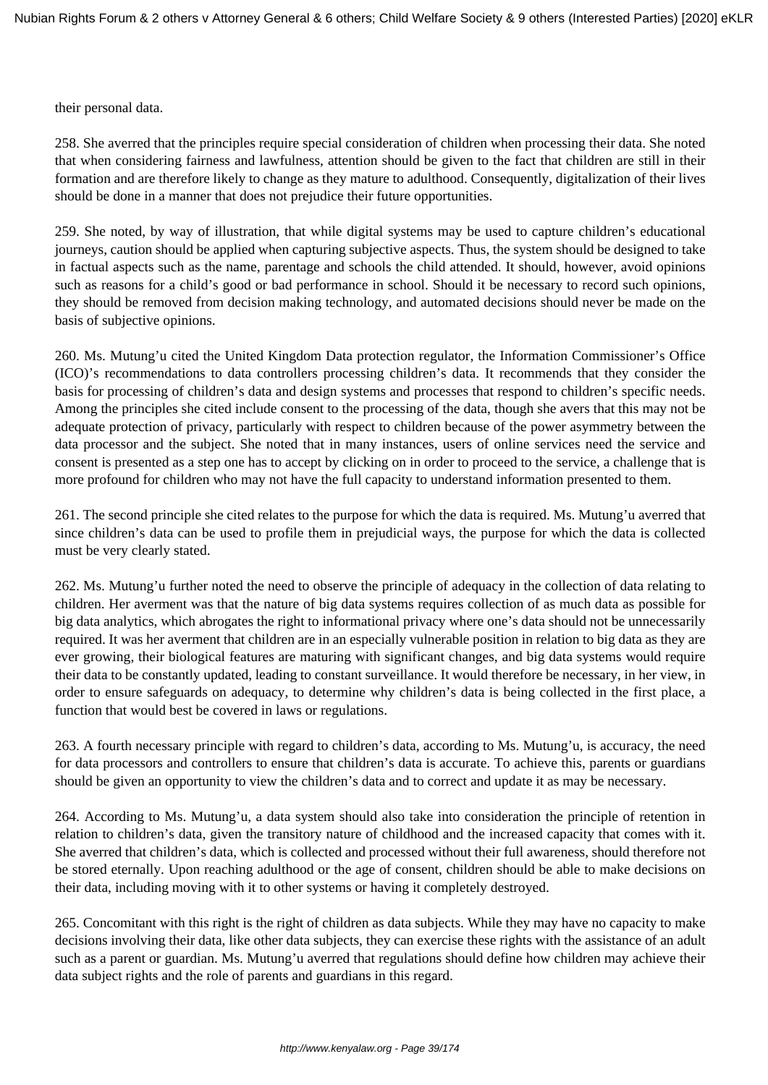their personal data.

258. She averred that the principles require special consideration of children when processing their data. She noted that when considering fairness and lawfulness, attention should be given to the fact that children are still in their formation and are therefore likely to change as they mature to adulthood. Consequently, digitalization of their lives should be done in a manner that does not prejudice their future opportunities.

259. She noted, by way of illustration, that while digital systems may be used to capture children's educational journeys, caution should be applied when capturing subjective aspects. Thus, the system should be designed to take in factual aspects such as the name, parentage and schools the child attended. It should, however, avoid opinions such as reasons for a child's good or bad performance in school. Should it be necessary to record such opinions, they should be removed from decision making technology, and automated decisions should never be made on the basis of subjective opinions.

260. Ms. Mutung'u cited the United Kingdom Data protection regulator, the Information Commissioner's Office (ICO)'s recommendations to data controllers processing children's data. It recommends that they consider the basis for processing of children's data and design systems and processes that respond to children's specific needs. Among the principles she cited include consent to the processing of the data, though she avers that this may not be adequate protection of privacy, particularly with respect to children because of the power asymmetry between the data processor and the subject. She noted that in many instances, users of online services need the service and consent is presented as a step one has to accept by clicking on in order to proceed to the service, a challenge that is more profound for children who may not have the full capacity to understand information presented to them.

261. The second principle she cited relates to the purpose for which the data is required. Ms. Mutung'u averred that since children's data can be used to profile them in prejudicial ways, the purpose for which the data is collected must be very clearly stated.

262. Ms. Mutung'u further noted the need to observe the principle of adequacy in the collection of data relating to children. Her averment was that the nature of big data systems requires collection of as much data as possible for big data analytics, which abrogates the right to informational privacy where one's data should not be unnecessarily required. It was her averment that children are in an especially vulnerable position in relation to big data as they are ever growing, their biological features are maturing with significant changes, and big data systems would require their data to be constantly updated, leading to constant surveillance. It would therefore be necessary, in her view, in order to ensure safeguards on adequacy, to determine why children's data is being collected in the first place, a function that would best be covered in laws or regulations.

263. A fourth necessary principle with regard to children's data, according to Ms. Mutung'u, is accuracy, the need for data processors and controllers to ensure that children's data is accurate. To achieve this, parents or guardians should be given an opportunity to view the children's data and to correct and update it as may be necessary.

264. According to Ms. Mutung'u, a data system should also take into consideration the principle of retention in relation to children's data, given the transitory nature of childhood and the increased capacity that comes with it. She averred that children's data, which is collected and processed without their full awareness, should therefore not be stored eternally. Upon reaching adulthood or the age of consent, children should be able to make decisions on their data, including moving with it to other systems or having it completely destroyed.

265. Concomitant with this right is the right of children as data subjects. While they may have no capacity to make decisions involving their data, like other data subjects, they can exercise these rights with the assistance of an adult such as a parent or guardian. Ms. Mutung'u averred that regulations should define how children may achieve their data subject rights and the role of parents and guardians in this regard.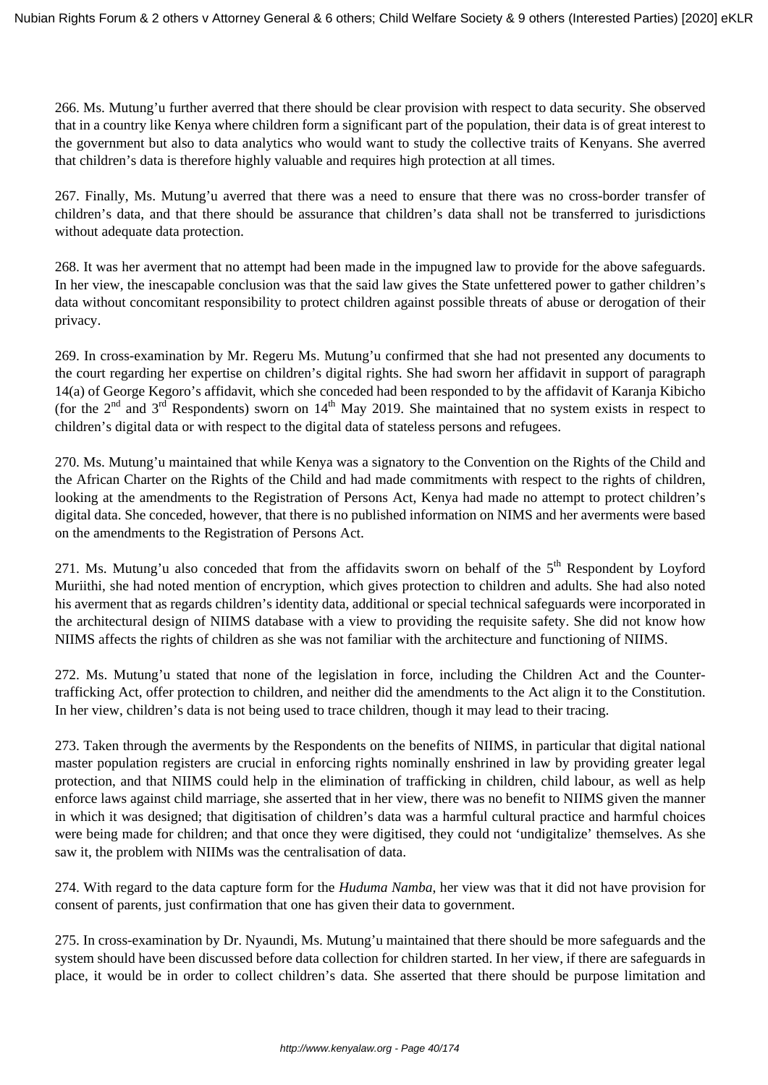266. Ms. Mutung'u further averred that there should be clear provision with respect to data security. She observed that in a country like Kenya where children form a significant part of the population, their data is of great interest to the government but also to data analytics who would want to study the collective traits of Kenyans. She averred that children's data is therefore highly valuable and requires high protection at all times.

267. Finally, Ms. Mutung'u averred that there was a need to ensure that there was no cross-border transfer of children's data, and that there should be assurance that children's data shall not be transferred to jurisdictions without adequate data protection.

268. It was her averment that no attempt had been made in the impugned law to provide for the above safeguards. In her view, the inescapable conclusion was that the said law gives the State unfettered power to gather children's data without concomitant responsibility to protect children against possible threats of abuse or derogation of their privacy.

269. In cross-examination by Mr. Regeru Ms. Mutung'u confirmed that she had not presented any documents to the court regarding her expertise on children's digital rights. She had sworn her affidavit in support of paragraph 14(a) of George Kegoro's affidavit, which she conceded had been responded to by the affidavit of Karanja Kibicho (for the  $2^{nd}$  and  $3^{rd}$  Respondents) sworn on  $14^{th}$  May 2019. She maintained that no system exists in respect to children's digital data or with respect to the digital data of stateless persons and refugees.

270. Ms. Mutung'u maintained that while Kenya was a signatory to the Convention on the Rights of the Child and the African Charter on the Rights of the Child and had made commitments with respect to the rights of children, looking at the amendments to the Registration of Persons Act, Kenya had made no attempt to protect children's digital data. She conceded, however, that there is no published information on NIMS and her averments were based on the amendments to the Registration of Persons Act.

271. Ms. Mutung'u also conceded that from the affidavits sworn on behalf of the  $5<sup>th</sup>$  Respondent by Loyford Muriithi, she had noted mention of encryption, which gives protection to children and adults. She had also noted his averment that as regards children's identity data, additional or special technical safeguards were incorporated in the architectural design of NIIMS database with a view to providing the requisite safety. She did not know how NIIMS affects the rights of children as she was not familiar with the architecture and functioning of NIIMS.

272. Ms. Mutung'u stated that none of the legislation in force, including the Children Act and the Countertrafficking Act, offer protection to children, and neither did the amendments to the Act align it to the Constitution. In her view, children's data is not being used to trace children, though it may lead to their tracing.

273. Taken through the averments by the Respondents on the benefits of NIIMS, in particular that digital national master population registers are crucial in enforcing rights nominally enshrined in law by providing greater legal protection, and that NIIMS could help in the elimination of trafficking in children, child labour, as well as help enforce laws against child marriage, she asserted that in her view, there was no benefit to NIIMS given the manner in which it was designed; that digitisation of children's data was a harmful cultural practice and harmful choices were being made for children; and that once they were digitised, they could not 'undigitalize' themselves. As she saw it, the problem with NIIMs was the centralisation of data.

274. With regard to the data capture form for the *Huduma Namba*, her view was that it did not have provision for consent of parents, just confirmation that one has given their data to government.

275. In cross-examination by Dr. Nyaundi, Ms. Mutung'u maintained that there should be more safeguards and the system should have been discussed before data collection for children started. In her view, if there are safeguards in place, it would be in order to collect children's data. She asserted that there should be purpose limitation and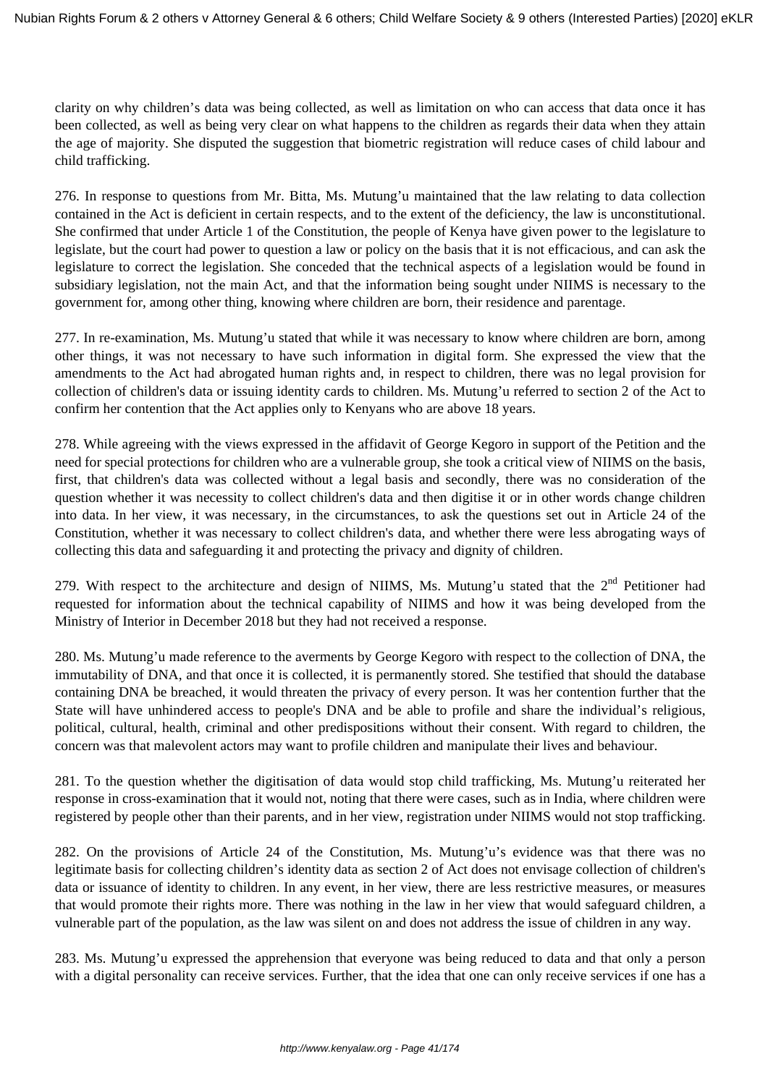clarity on why children's data was being collected, as well as limitation on who can access that data once it has been collected, as well as being very clear on what happens to the children as regards their data when they attain the age of majority. She disputed the suggestion that biometric registration will reduce cases of child labour and child trafficking.

276. In response to questions from Mr. Bitta, Ms. Mutung'u maintained that the law relating to data collection contained in the Act is deficient in certain respects, and to the extent of the deficiency, the law is unconstitutional. She confirmed that under Article 1 of the Constitution, the people of Kenya have given power to the legislature to legislate, but the court had power to question a law or policy on the basis that it is not efficacious, and can ask the legislature to correct the legislation. She conceded that the technical aspects of a legislation would be found in subsidiary legislation, not the main Act, and that the information being sought under NIIMS is necessary to the government for, among other thing, knowing where children are born, their residence and parentage.

277. In re-examination, Ms. Mutung'u stated that while it was necessary to know where children are born, among other things, it was not necessary to have such information in digital form. She expressed the view that the amendments to the Act had abrogated human rights and, in respect to children, there was no legal provision for collection of children's data or issuing identity cards to children. Ms. Mutung'u referred to section 2 of the Act to confirm her contention that the Act applies only to Kenyans who are above 18 years.

278. While agreeing with the views expressed in the affidavit of George Kegoro in support of the Petition and the need for special protections for children who are a vulnerable group, she took a critical view of NIIMS on the basis, first, that children's data was collected without a legal basis and secondly, there was no consideration of the question whether it was necessity to collect children's data and then digitise it or in other words change children into data. In her view, it was necessary, in the circumstances, to ask the questions set out in Article 24 of the Constitution, whether it was necessary to collect children's data, and whether there were less abrogating ways of collecting this data and safeguarding it and protecting the privacy and dignity of children.

279. With respect to the architecture and design of NIIMS, Ms. Mutung'u stated that the  $2<sup>nd</sup>$  Petitioner had requested for information about the technical capability of NIIMS and how it was being developed from the Ministry of Interior in December 2018 but they had not received a response.

280. Ms. Mutung'u made reference to the averments by George Kegoro with respect to the collection of DNA, the immutability of DNA, and that once it is collected, it is permanently stored. She testified that should the database containing DNA be breached, it would threaten the privacy of every person. It was her contention further that the State will have unhindered access to people's DNA and be able to profile and share the individual's religious, political, cultural, health, criminal and other predispositions without their consent. With regard to children, the concern was that malevolent actors may want to profile children and manipulate their lives and behaviour.

281. To the question whether the digitisation of data would stop child trafficking, Ms. Mutung'u reiterated her response in cross-examination that it would not, noting that there were cases, such as in India, where children were registered by people other than their parents, and in her view, registration under NIIMS would not stop trafficking.

282. On the provisions of Article 24 of the Constitution, Ms. Mutung'u's evidence was that there was no legitimate basis for collecting children's identity data as section 2 of Act does not envisage collection of children's data or issuance of identity to children. In any event, in her view, there are less restrictive measures, or measures that would promote their rights more. There was nothing in the law in her view that would safeguard children, a vulnerable part of the population, as the law was silent on and does not address the issue of children in any way.

283. Ms. Mutung'u expressed the apprehension that everyone was being reduced to data and that only a person with a digital personality can receive services. Further, that the idea that one can only receive services if one has a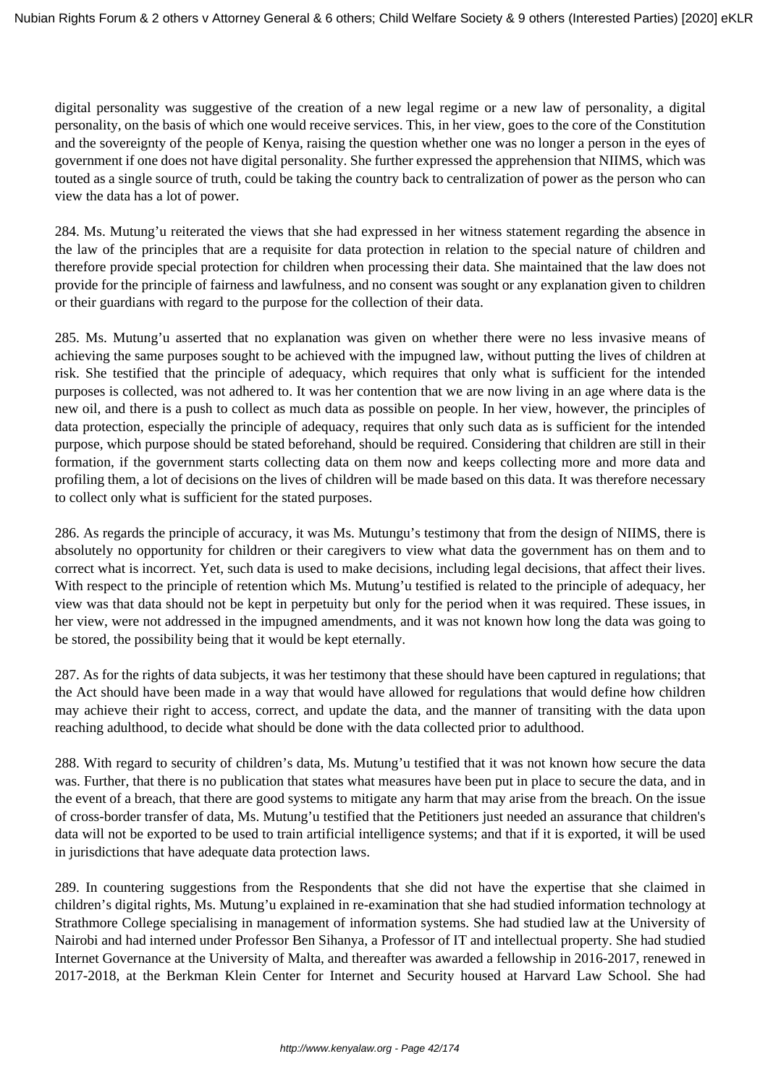digital personality was suggestive of the creation of a new legal regime or a new law of personality, a digital personality, on the basis of which one would receive services. This, in her view, goes to the core of the Constitution and the sovereignty of the people of Kenya, raising the question whether one was no longer a person in the eyes of government if one does not have digital personality. She further expressed the apprehension that NIIMS, which was touted as a single source of truth, could be taking the country back to centralization of power as the person who can view the data has a lot of power.

284. Ms. Mutung'u reiterated the views that she had expressed in her witness statement regarding the absence in the law of the principles that are a requisite for data protection in relation to the special nature of children and therefore provide special protection for children when processing their data. She maintained that the law does not provide for the principle of fairness and lawfulness, and no consent was sought or any explanation given to children or their guardians with regard to the purpose for the collection of their data.

285. Ms. Mutung'u asserted that no explanation was given on whether there were no less invasive means of achieving the same purposes sought to be achieved with the impugned law, without putting the lives of children at risk. She testified that the principle of adequacy, which requires that only what is sufficient for the intended purposes is collected, was not adhered to. It was her contention that we are now living in an age where data is the new oil, and there is a push to collect as much data as possible on people. In her view, however, the principles of data protection, especially the principle of adequacy, requires that only such data as is sufficient for the intended purpose, which purpose should be stated beforehand, should be required. Considering that children are still in their formation, if the government starts collecting data on them now and keeps collecting more and more data and profiling them, a lot of decisions on the lives of children will be made based on this data. It was therefore necessary to collect only what is sufficient for the stated purposes.

286. As regards the principle of accuracy, it was Ms. Mutungu's testimony that from the design of NIIMS, there is absolutely no opportunity for children or their caregivers to view what data the government has on them and to correct what is incorrect. Yet, such data is used to make decisions, including legal decisions, that affect their lives. With respect to the principle of retention which Ms. Mutung'u testified is related to the principle of adequacy, her view was that data should not be kept in perpetuity but only for the period when it was required. These issues, in her view, were not addressed in the impugned amendments, and it was not known how long the data was going to be stored, the possibility being that it would be kept eternally.

287. As for the rights of data subjects, it was her testimony that these should have been captured in regulations; that the Act should have been made in a way that would have allowed for regulations that would define how children may achieve their right to access, correct, and update the data, and the manner of transiting with the data upon reaching adulthood, to decide what should be done with the data collected prior to adulthood.

288. With regard to security of children's data, Ms. Mutung'u testified that it was not known how secure the data was. Further, that there is no publication that states what measures have been put in place to secure the data, and in the event of a breach, that there are good systems to mitigate any harm that may arise from the breach. On the issue of cross-border transfer of data, Ms. Mutung'u testified that the Petitioners just needed an assurance that children's data will not be exported to be used to train artificial intelligence systems; and that if it is exported, it will be used in jurisdictions that have adequate data protection laws.

289. In countering suggestions from the Respondents that she did not have the expertise that she claimed in children's digital rights, Ms. Mutung'u explained in re-examination that she had studied information technology at Strathmore College specialising in management of information systems. She had studied law at the University of Nairobi and had interned under Professor Ben Sihanya, a Professor of IT and intellectual property. She had studied Internet Governance at the University of Malta, and thereafter was awarded a fellowship in 2016-2017, renewed in 2017-2018, at the Berkman Klein Center for Internet and Security housed at Harvard Law School. She had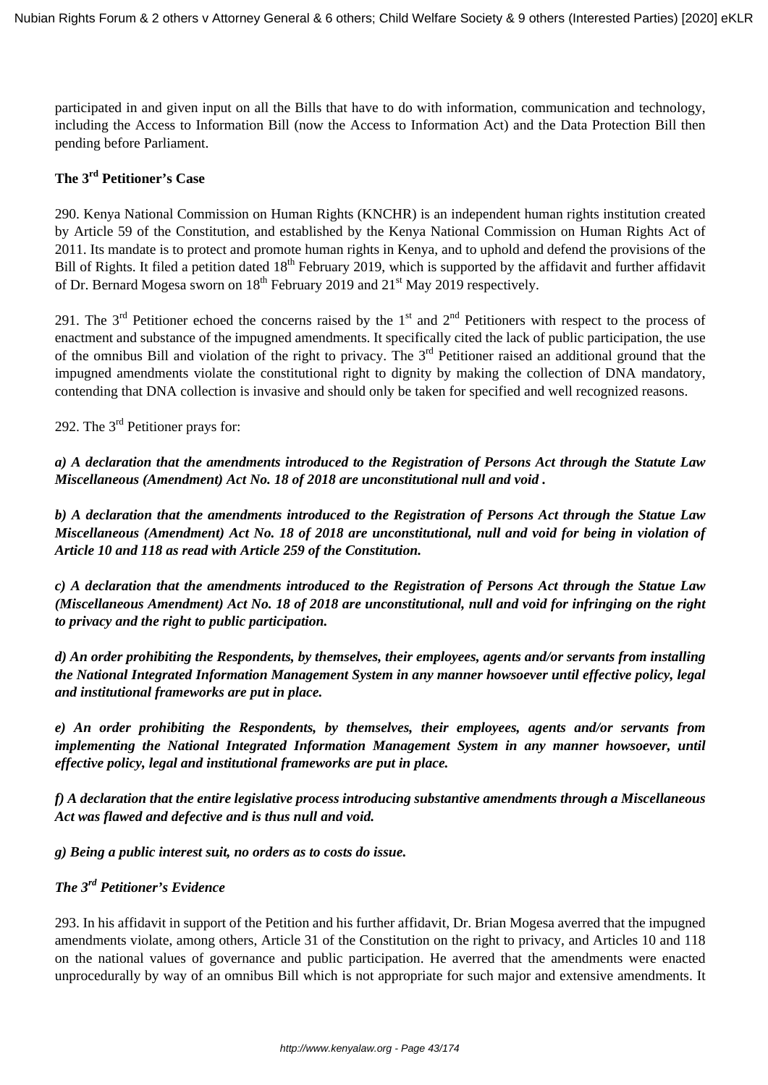participated in and given input on all the Bills that have to do with information, communication and technology, including the Access to Information Bill (now the Access to Information Act) and the Data Protection Bill then pending before Parliament.

# **The 3rd Petitioner's Case**

290. Kenya National Commission on Human Rights (KNCHR) is an independent human rights institution created by Article 59 of the Constitution, and established by the Kenya National Commission on Human Rights Act of 2011. Its mandate is to protect and promote human rights in Kenya, and to uphold and defend the provisions of the Bill of Rights. It filed a petition dated 18<sup>th</sup> February 2019, which is supported by the affidavit and further affidavit of Dr. Bernard Mogesa sworn on  $18<sup>th</sup>$  February 2019 and  $21<sup>st</sup>$  May 2019 respectively.

291. The  $3<sup>rd</sup>$  Petitioner echoed the concerns raised by the  $1<sup>st</sup>$  and  $2<sup>nd</sup>$  Petitioners with respect to the process of enactment and substance of the impugned amendments. It specifically cited the lack of public participation, the use of the omnibus Bill and violation of the right to privacy. The 3<sup>rd</sup> Petitioner raised an additional ground that the impugned amendments violate the constitutional right to dignity by making the collection of DNA mandatory, contending that DNA collection is invasive and should only be taken for specified and well recognized reasons.

292. The 3rd Petitioner prays for:

*a) A declaration that the amendments introduced to the Registration of Persons Act through the Statute Law Miscellaneous (Amendment) Act No. 18 of 2018 are unconstitutional null and void .*

*b) A declaration that the amendments introduced to the Registration of Persons Act through the Statue Law Miscellaneous (Amendment) Act No. 18 of 2018 are unconstitutional, null and void for being in violation of Article 10 and 118 as read with Article 259 of the Constitution.*

*c) A declaration that the amendments introduced to the Registration of Persons Act through the Statue Law (Miscellaneous Amendment) Act No. 18 of 2018 are unconstitutional, null and void for infringing on the right to privacy and the right to public participation.*

*d) An order prohibiting the Respondents, by themselves, their employees, agents and/or servants from installing the National Integrated Information Management System in any manner howsoever until effective policy, legal and institutional frameworks are put in place.*

*e) An order prohibiting the Respondents, by themselves, their employees, agents and/or servants from implementing the National Integrated Information Management System in any manner howsoever, until effective policy, legal and institutional frameworks are put in place.*

*f) A declaration that the entire legislative process introducing substantive amendments through a Miscellaneous Act was flawed and defective and is thus null and void.*

*g) Being a public interest suit, no orders as to costs do issue.* 

## *The 3rd Petitioner's Evidence*

293. In his affidavit in support of the Petition and his further affidavit, Dr. Brian Mogesa averred that the impugned amendments violate, among others, Article 31 of the Constitution on the right to privacy, and Articles 10 and 118 on the national values of governance and public participation. He averred that the amendments were enacted unprocedurally by way of an omnibus Bill which is not appropriate for such major and extensive amendments. It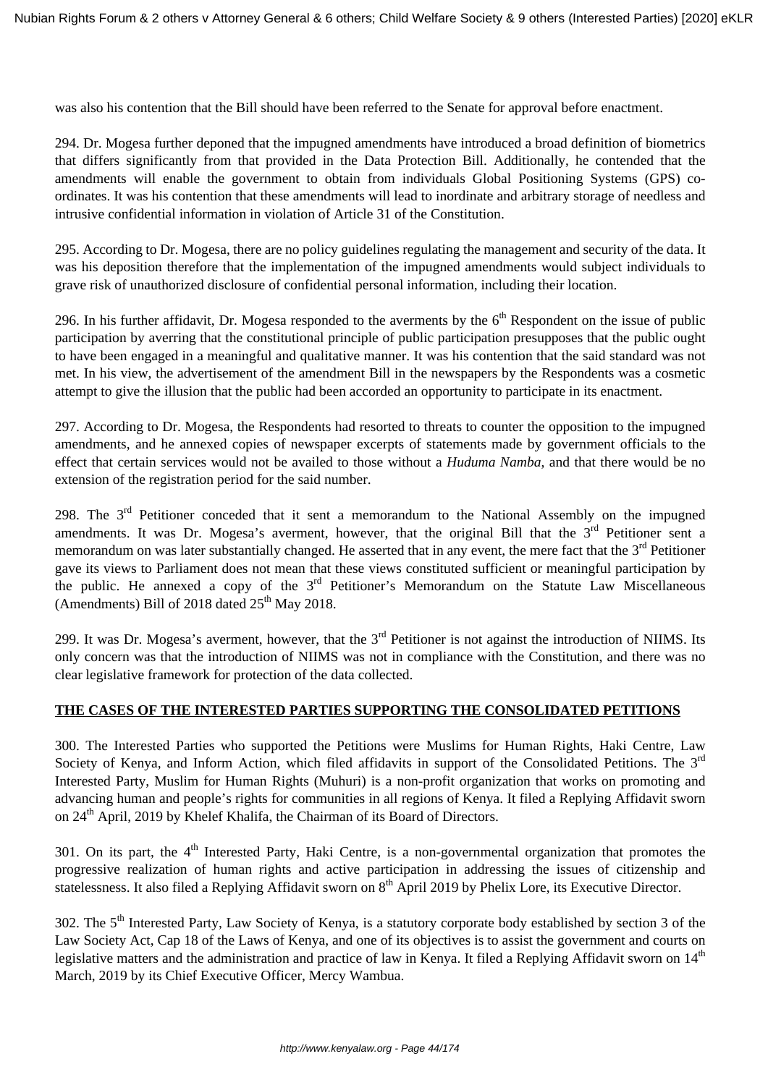was also his contention that the Bill should have been referred to the Senate for approval before enactment.

294. Dr. Mogesa further deponed that the impugned amendments have introduced a broad definition of biometrics that differs significantly from that provided in the Data Protection Bill. Additionally, he contended that the amendments will enable the government to obtain from individuals Global Positioning Systems (GPS) coordinates. It was his contention that these amendments will lead to inordinate and arbitrary storage of needless and intrusive confidential information in violation of Article 31 of the Constitution.

295. According to Dr. Mogesa, there are no policy guidelines regulating the management and security of the data. It was his deposition therefore that the implementation of the impugned amendments would subject individuals to grave risk of unauthorized disclosure of confidential personal information, including their location.

296. In his further affidavit, Dr. Mogesa responded to the averments by the  $6<sup>th</sup>$  Respondent on the issue of public participation by averring that the constitutional principle of public participation presupposes that the public ought to have been engaged in a meaningful and qualitative manner. It was his contention that the said standard was not met. In his view, the advertisement of the amendment Bill in the newspapers by the Respondents was a cosmetic attempt to give the illusion that the public had been accorded an opportunity to participate in its enactment.

297. According to Dr. Mogesa, the Respondents had resorted to threats to counter the opposition to the impugned amendments, and he annexed copies of newspaper excerpts of statements made by government officials to the effect that certain services would not be availed to those without a *Huduma Namba*, and that there would be no extension of the registration period for the said number.

298. The 3<sup>rd</sup> Petitioner conceded that it sent a memorandum to the National Assembly on the impugned amendments. It was Dr. Mogesa's averment, however, that the original Bill that the  $3<sup>rd</sup>$  Petitioner sent a memorandum on was later substantially changed. He asserted that in any event, the mere fact that the  $3<sup>rd</sup>$  Petitioner gave its views to Parliament does not mean that these views constituted sufficient or meaningful participation by the public. He annexed a copy of the  $3<sup>rd</sup>$  Petitioner's Memorandum on the Statute Law Miscellaneous (Amendments) Bill of 2018 dated  $25<sup>th</sup>$  May 2018.

299. It was Dr. Mogesa's averment, however, that the  $3<sup>rd</sup>$  Petitioner is not against the introduction of NIIMS. Its only concern was that the introduction of NIIMS was not in compliance with the Constitution, and there was no clear legislative framework for protection of the data collected.

### **THE CASES OF THE INTERESTED PARTIES SUPPORTING THE CONSOLIDATED PETITIONS**

300. The Interested Parties who supported the Petitions were Muslims for Human Rights, Haki Centre, Law Society of Kenya, and Inform Action, which filed affidavits in support of the Consolidated Petitions. The 3<sup>rd</sup> Interested Party, Muslim for Human Rights (Muhuri) is a non-profit organization that works on promoting and advancing human and people's rights for communities in all regions of Kenya. It filed a Replying Affidavit sworn on 24<sup>th</sup> April, 2019 by Khelef Khalifa, the Chairman of its Board of Directors.

301. On its part, the  $4<sup>th</sup>$  Interested Party, Haki Centre, is a non-governmental organization that promotes the progressive realization of human rights and active participation in addressing the issues of citizenship and statelessness. It also filed a Replying Affidavit sworn on 8<sup>th</sup> April 2019 by Phelix Lore, its Executive Director.

302. The 5<sup>th</sup> Interested Party, Law Society of Kenya, is a statutory corporate body established by section 3 of the Law Society Act, Cap 18 of the Laws of Kenya, and one of its objectives is to assist the government and courts on legislative matters and the administration and practice of law in Kenya. It filed a Replying Affidavit sworn on 14<sup>th</sup> March, 2019 by its Chief Executive Officer, Mercy Wambua.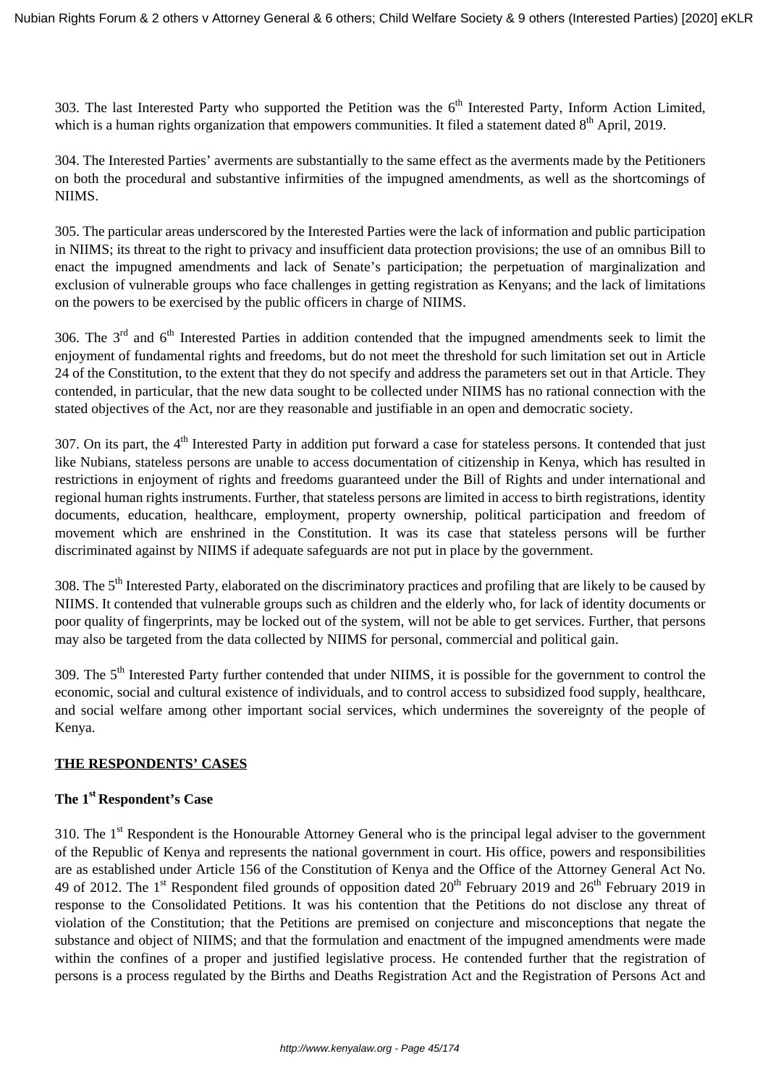303. The last Interested Party who supported the Petition was the  $6<sup>th</sup>$  Interested Party, Inform Action Limited, which is a human rights organization that empowers communities. It filed a statement dated  $8<sup>th</sup>$  April, 2019.

304. The Interested Parties' averments are substantially to the same effect as the averments made by the Petitioners on both the procedural and substantive infirmities of the impugned amendments, as well as the shortcomings of NIIMS.

305. The particular areas underscored by the Interested Parties were the lack of information and public participation in NIIMS; its threat to the right to privacy and insufficient data protection provisions; the use of an omnibus Bill to enact the impugned amendments and lack of Senate's participation; the perpetuation of marginalization and exclusion of vulnerable groups who face challenges in getting registration as Kenyans; and the lack of limitations on the powers to be exercised by the public officers in charge of NIIMS.

306. The  $3<sup>rd</sup>$  and  $6<sup>th</sup>$  Interested Parties in addition contended that the impugned amendments seek to limit the enjoyment of fundamental rights and freedoms, but do not meet the threshold for such limitation set out in Article 24 of the Constitution, to the extent that they do not specify and address the parameters set out in that Article. They contended, in particular, that the new data sought to be collected under NIIMS has no rational connection with the stated objectives of the Act, nor are they reasonable and justifiable in an open and democratic society.

307. On its part, the  $4<sup>th</sup>$  Interested Party in addition put forward a case for stateless persons. It contended that just like Nubians, stateless persons are unable to access documentation of citizenship in Kenya, which has resulted in restrictions in enjoyment of rights and freedoms guaranteed under the Bill of Rights and under international and regional human rights instruments. Further, that stateless persons are limited in access to birth registrations, identity documents, education, healthcare, employment, property ownership, political participation and freedom of movement which are enshrined in the Constitution. It was its case that stateless persons will be further discriminated against by NIIMS if adequate safeguards are not put in place by the government.

308. The  $5<sup>th</sup>$  Interested Party, elaborated on the discriminatory practices and profiling that are likely to be caused by NIIMS. It contended that vulnerable groups such as children and the elderly who, for lack of identity documents or poor quality of fingerprints, may be locked out of the system, will not be able to get services. Further, that persons may also be targeted from the data collected by NIIMS for personal, commercial and political gain.

309. The 5<sup>th</sup> Interested Party further contended that under NIIMS, it is possible for the government to control the economic, social and cultural existence of individuals, and to control access to subsidized food supply, healthcare, and social welfare among other important social services, which undermines the sovereignty of the people of Kenya.

### **THE RESPONDENTS' CASES**

## **The 1st Respondent's Case**

310. The 1<sup>st</sup> Respondent is the Honourable Attorney General who is the principal legal adviser to the government of the Republic of Kenya and represents the national government in court. His office, powers and responsibilities are as established under Article 156 of the Constitution of Kenya and the Office of the Attorney General Act No. 49 of 2012. The 1<sup>st</sup> Respondent filed grounds of opposition dated  $20^{th}$  February 2019 and  $26^{th}$  February 2019 in response to the Consolidated Petitions. It was his contention that the Petitions do not disclose any threat of violation of the Constitution; that the Petitions are premised on conjecture and misconceptions that negate the substance and object of NIIMS; and that the formulation and enactment of the impugned amendments were made within the confines of a proper and justified legislative process. He contended further that the registration of persons is a process regulated by the Births and Deaths Registration Act and the Registration of Persons Act and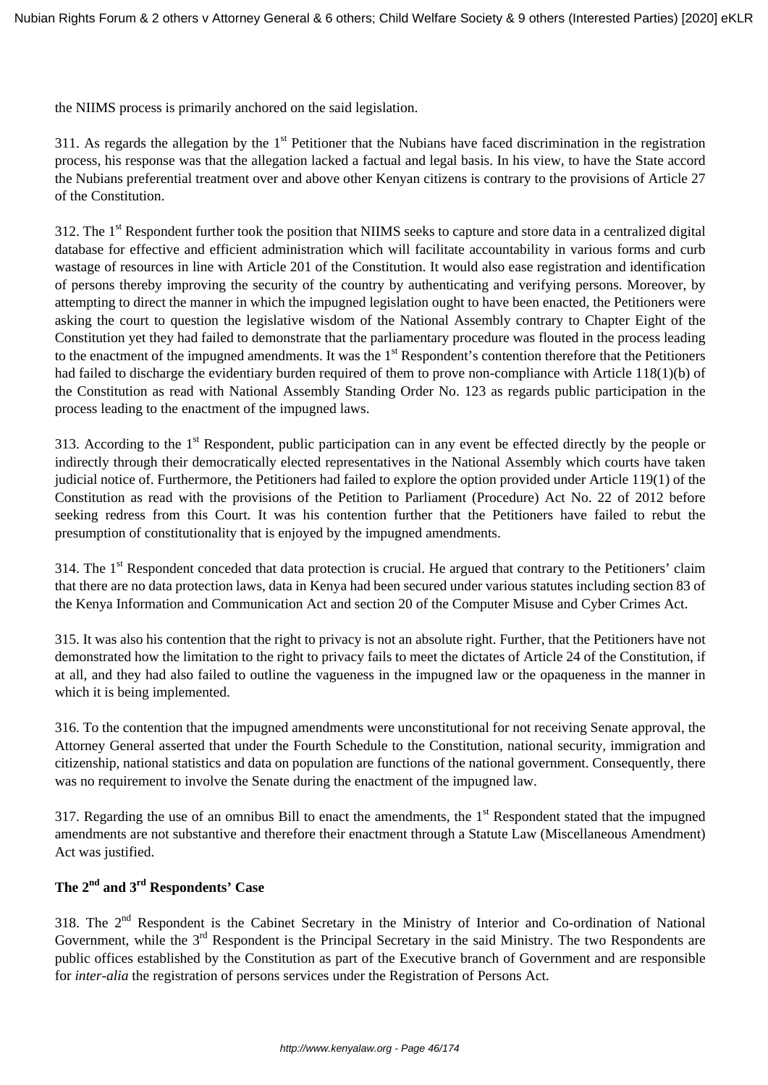the NIIMS process is primarily anchored on the said legislation.

311. As regards the allegation by the  $1<sup>st</sup>$  Petitioner that the Nubians have faced discrimination in the registration process, his response was that the allegation lacked a factual and legal basis. In his view, to have the State accord the Nubians preferential treatment over and above other Kenyan citizens is contrary to the provisions of Article 27 of the Constitution.

312. The 1<sup>st</sup> Respondent further took the position that NIIMS seeks to capture and store data in a centralized digital database for effective and efficient administration which will facilitate accountability in various forms and curb wastage of resources in line with Article 201 of the Constitution. It would also ease registration and identification of persons thereby improving the security of the country by authenticating and verifying persons. Moreover, by attempting to direct the manner in which the impugned legislation ought to have been enacted, the Petitioners were asking the court to question the legislative wisdom of the National Assembly contrary to Chapter Eight of the Constitution yet they had failed to demonstrate that the parliamentary procedure was flouted in the process leading to the enactment of the impugned amendments. It was the 1<sup>st</sup> Respondent's contention therefore that the Petitioners had failed to discharge the evidentiary burden required of them to prove non-compliance with Article 118(1)(b) of the Constitution as read with National Assembly Standing Order No. 123 as regards public participation in the process leading to the enactment of the impugned laws.

313. According to the 1<sup>st</sup> Respondent, public participation can in any event be effected directly by the people or indirectly through their democratically elected representatives in the National Assembly which courts have taken judicial notice of. Furthermore, the Petitioners had failed to explore the option provided under Article 119(1) of the Constitution as read with the provisions of the Petition to Parliament (Procedure) Act No. 22 of 2012 before seeking redress from this Court. It was his contention further that the Petitioners have failed to rebut the presumption of constitutionality that is enjoyed by the impugned amendments.

314. The  $1<sup>st</sup>$  Respondent conceded that data protection is crucial. He argued that contrary to the Petitioners' claim that there are no data protection laws, data in Kenya had been secured under various statutes including section 83 of the Kenya Information and Communication Act and section 20 of the Computer Misuse and Cyber Crimes Act.

315. It was also his contention that the right to privacy is not an absolute right. Further, that the Petitioners have not demonstrated how the limitation to the right to privacy fails to meet the dictates of Article 24 of the Constitution, if at all, and they had also failed to outline the vagueness in the impugned law or the opaqueness in the manner in which it is being implemented.

316. To the contention that the impugned amendments were unconstitutional for not receiving Senate approval, the Attorney General asserted that under the Fourth Schedule to the Constitution, national security, immigration and citizenship, national statistics and data on population are functions of the national government. Consequently, there was no requirement to involve the Senate during the enactment of the impugned law.

317. Regarding the use of an omnibus Bill to enact the amendments, the  $1<sup>st</sup>$  Respondent stated that the impugned amendments are not substantive and therefore their enactment through a Statute Law (Miscellaneous Amendment) Act was justified.

# **The 2nd and 3rd Respondents' Case**

318. The 2<sup>nd</sup> Respondent is the Cabinet Secretary in the Ministry of Interior and Co-ordination of National Government, while the 3<sup>rd</sup> Respondent is the Principal Secretary in the said Ministry. The two Respondents are public offices established by the Constitution as part of the Executive branch of Government and are responsible for *inter-alia* the registration of persons services under the Registration of Persons Act.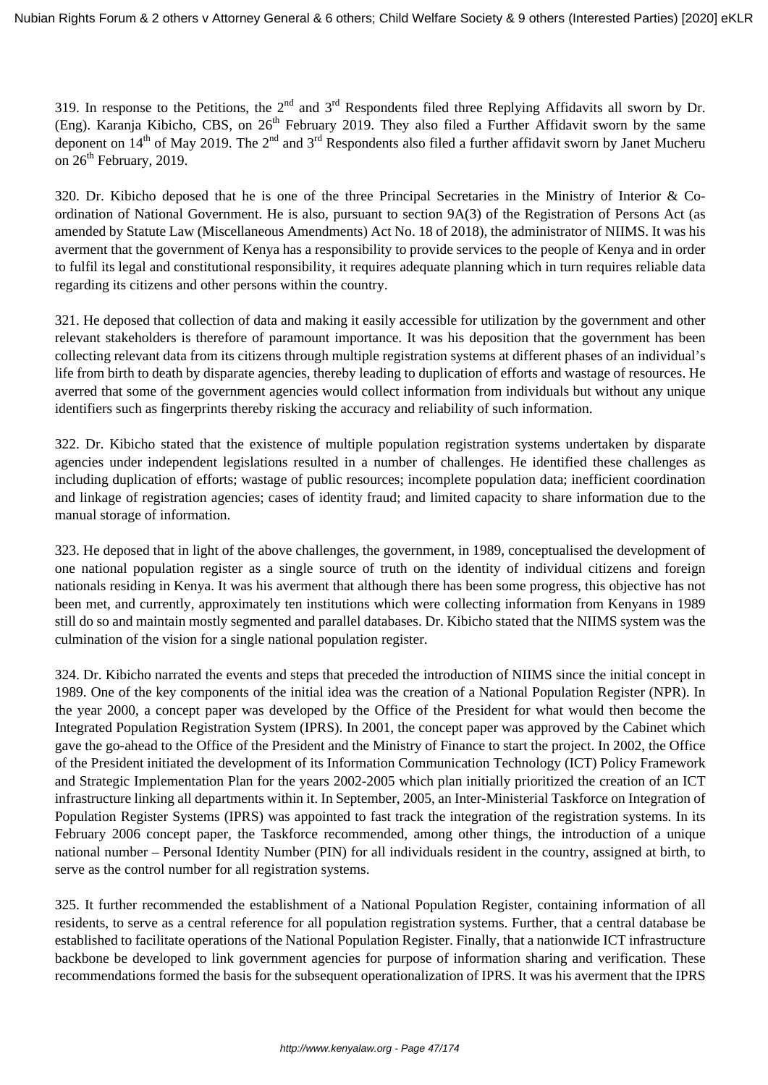319. In response to the Petitions, the  $2<sup>nd</sup>$  and  $3<sup>rd</sup>$  Respondents filed three Replying Affidavits all sworn by Dr. (Eng). Karanja Kibicho, CBS, on  $26<sup>th</sup>$  February 2019. They also filed a Further Affidavit sworn by the same deponent on  $14^{th}$  of May 2019. The  $2^{nd}$  and  $3^{rd}$  Respondents also filed a further affidavit sworn by Janet Mucheru on  $26<sup>th</sup>$  February, 2019.

320. Dr. Kibicho deposed that he is one of the three Principal Secretaries in the Ministry of Interior & Coordination of National Government. He is also, pursuant to section 9A(3) of the Registration of Persons Act (as amended by Statute Law (Miscellaneous Amendments) Act No. 18 of 2018), the administrator of NIIMS. It was his averment that the government of Kenya has a responsibility to provide services to the people of Kenya and in order to fulfil its legal and constitutional responsibility, it requires adequate planning which in turn requires reliable data regarding its citizens and other persons within the country.

321. He deposed that collection of data and making it easily accessible for utilization by the government and other relevant stakeholders is therefore of paramount importance. It was his deposition that the government has been collecting relevant data from its citizens through multiple registration systems at different phases of an individual's life from birth to death by disparate agencies, thereby leading to duplication of efforts and wastage of resources. He averred that some of the government agencies would collect information from individuals but without any unique identifiers such as fingerprints thereby risking the accuracy and reliability of such information.

322. Dr. Kibicho stated that the existence of multiple population registration systems undertaken by disparate agencies under independent legislations resulted in a number of challenges. He identified these challenges as including duplication of efforts; wastage of public resources; incomplete population data; inefficient coordination and linkage of registration agencies; cases of identity fraud; and limited capacity to share information due to the manual storage of information.

323. He deposed that in light of the above challenges, the government, in 1989, conceptualised the development of one national population register as a single source of truth on the identity of individual citizens and foreign nationals residing in Kenya. It was his averment that although there has been some progress, this objective has not been met, and currently, approximately ten institutions which were collecting information from Kenyans in 1989 still do so and maintain mostly segmented and parallel databases. Dr. Kibicho stated that the NIIMS system was the culmination of the vision for a single national population register.

324. Dr. Kibicho narrated the events and steps that preceded the introduction of NIIMS since the initial concept in 1989. One of the key components of the initial idea was the creation of a National Population Register (NPR). In the year 2000, a concept paper was developed by the Office of the President for what would then become the Integrated Population Registration System (IPRS). In 2001, the concept paper was approved by the Cabinet which gave the go-ahead to the Office of the President and the Ministry of Finance to start the project. In 2002, the Office of the President initiated the development of its Information Communication Technology (ICT) Policy Framework and Strategic Implementation Plan for the years 2002-2005 which plan initially prioritized the creation of an ICT infrastructure linking all departments within it. In September, 2005, an Inter-Ministerial Taskforce on Integration of Population Register Systems (IPRS) was appointed to fast track the integration of the registration systems. In its February 2006 concept paper, the Taskforce recommended, among other things, the introduction of a unique national number – Personal Identity Number (PIN) for all individuals resident in the country, assigned at birth, to serve as the control number for all registration systems.

325. It further recommended the establishment of a National Population Register, containing information of all residents, to serve as a central reference for all population registration systems. Further, that a central database be established to facilitate operations of the National Population Register. Finally, that a nationwide ICT infrastructure backbone be developed to link government agencies for purpose of information sharing and verification. These recommendations formed the basis for the subsequent operationalization of IPRS. It was his averment that the IPRS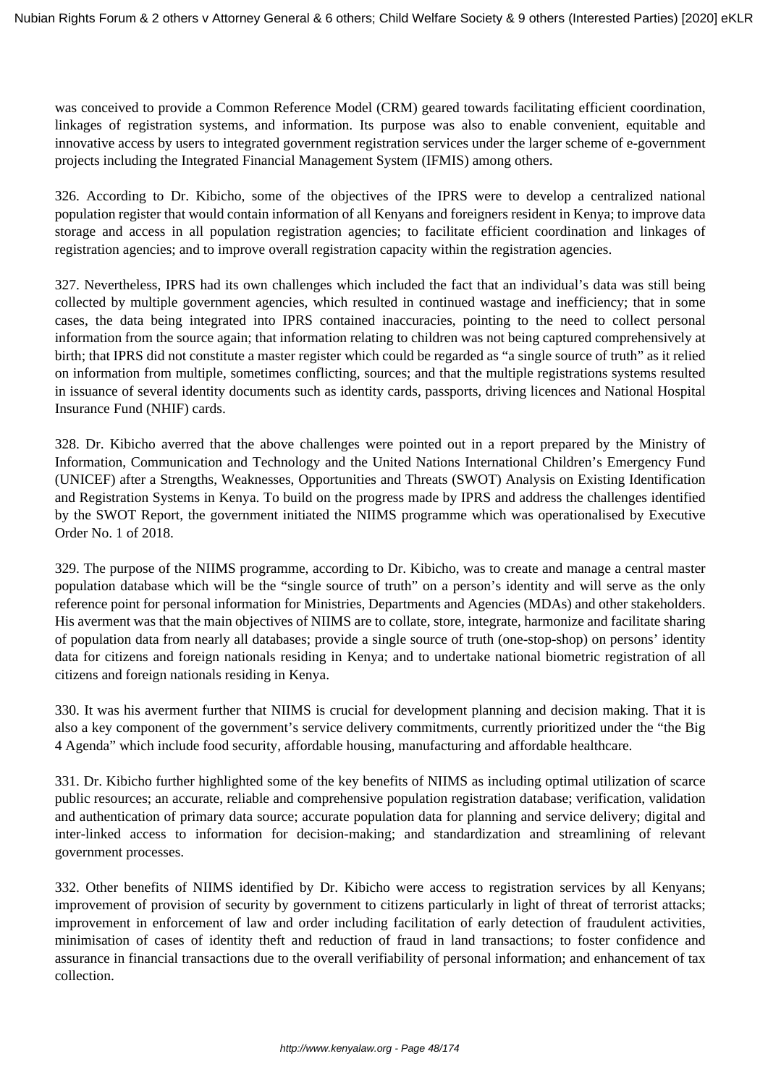was conceived to provide a Common Reference Model (CRM) geared towards facilitating efficient coordination, linkages of registration systems, and information. Its purpose was also to enable convenient, equitable and innovative access by users to integrated government registration services under the larger scheme of e-government projects including the Integrated Financial Management System (IFMIS) among others.

326. According to Dr. Kibicho, some of the objectives of the IPRS were to develop a centralized national population register that would contain information of all Kenyans and foreigners resident in Kenya; to improve data storage and access in all population registration agencies; to facilitate efficient coordination and linkages of registration agencies; and to improve overall registration capacity within the registration agencies.

327. Nevertheless, IPRS had its own challenges which included the fact that an individual's data was still being collected by multiple government agencies, which resulted in continued wastage and inefficiency; that in some cases, the data being integrated into IPRS contained inaccuracies, pointing to the need to collect personal information from the source again; that information relating to children was not being captured comprehensively at birth; that IPRS did not constitute a master register which could be regarded as "a single source of truth" as it relied on information from multiple, sometimes conflicting, sources; and that the multiple registrations systems resulted in issuance of several identity documents such as identity cards, passports, driving licences and National Hospital Insurance Fund (NHIF) cards.

328. Dr. Kibicho averred that the above challenges were pointed out in a report prepared by the Ministry of Information, Communication and Technology and the United Nations International Children's Emergency Fund (UNICEF) after a Strengths, Weaknesses, Opportunities and Threats (SWOT) Analysis on Existing Identification and Registration Systems in Kenya. To build on the progress made by IPRS and address the challenges identified by the SWOT Report, the government initiated the NIIMS programme which was operationalised by Executive Order No. 1 of 2018.

329. The purpose of the NIIMS programme, according to Dr. Kibicho, was to create and manage a central master population database which will be the "single source of truth" on a person's identity and will serve as the only reference point for personal information for Ministries, Departments and Agencies (MDAs) and other stakeholders. His averment was that the main objectives of NIIMS are to collate, store, integrate, harmonize and facilitate sharing of population data from nearly all databases; provide a single source of truth (one-stop-shop) on persons' identity data for citizens and foreign nationals residing in Kenya; and to undertake national biometric registration of all citizens and foreign nationals residing in Kenya.

330. It was his averment further that NIIMS is crucial for development planning and decision making. That it is also a key component of the government's service delivery commitments, currently prioritized under the "the Big 4 Agenda" which include food security, affordable housing, manufacturing and affordable healthcare.

331. Dr. Kibicho further highlighted some of the key benefits of NIIMS as including optimal utilization of scarce public resources; an accurate, reliable and comprehensive population registration database; verification, validation and authentication of primary data source; accurate population data for planning and service delivery; digital and inter-linked access to information for decision-making; and standardization and streamlining of relevant government processes.

332. Other benefits of NIIMS identified by Dr. Kibicho were access to registration services by all Kenyans; improvement of provision of security by government to citizens particularly in light of threat of terrorist attacks; improvement in enforcement of law and order including facilitation of early detection of fraudulent activities, minimisation of cases of identity theft and reduction of fraud in land transactions; to foster confidence and assurance in financial transactions due to the overall verifiability of personal information; and enhancement of tax collection.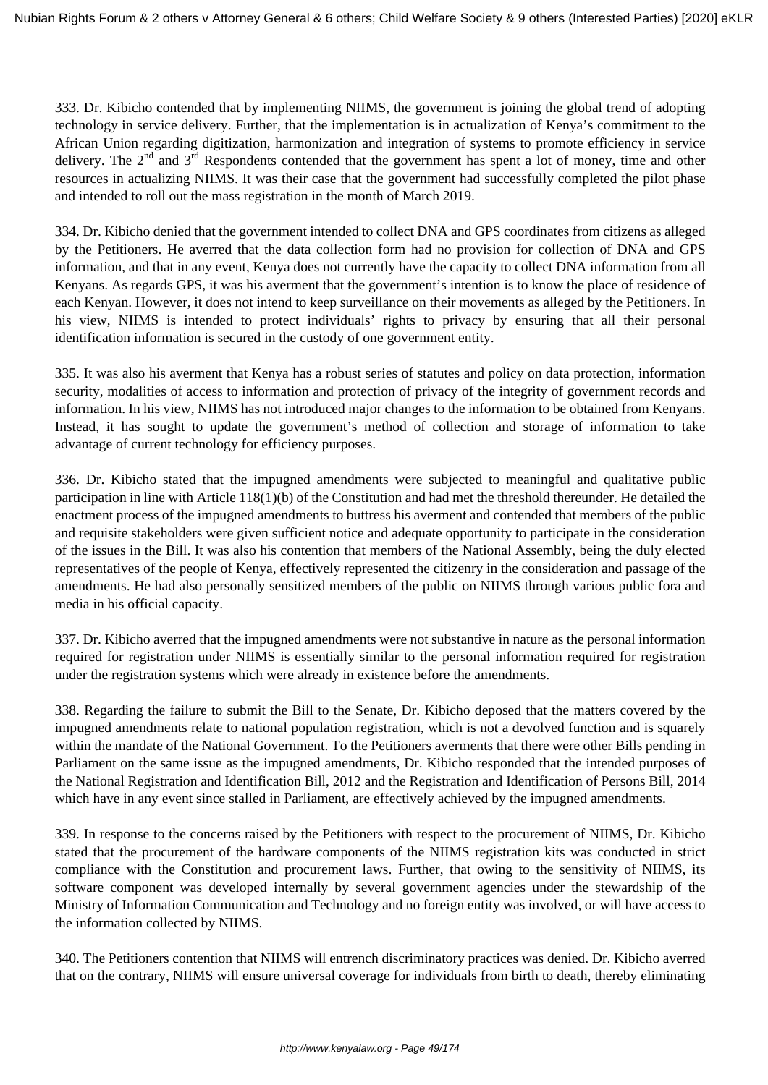333. Dr. Kibicho contended that by implementing NIIMS, the government is joining the global trend of adopting technology in service delivery. Further, that the implementation is in actualization of Kenya's commitment to the African Union regarding digitization, harmonization and integration of systems to promote efficiency in service delivery. The  $2<sup>nd</sup>$  and  $3<sup>rd</sup>$  Respondents contended that the government has spent a lot of money, time and other resources in actualizing NIIMS. It was their case that the government had successfully completed the pilot phase and intended to roll out the mass registration in the month of March 2019.

334. Dr. Kibicho denied that the government intended to collect DNA and GPS coordinates from citizens as alleged by the Petitioners. He averred that the data collection form had no provision for collection of DNA and GPS information, and that in any event, Kenya does not currently have the capacity to collect DNA information from all Kenyans. As regards GPS, it was his averment that the government's intention is to know the place of residence of each Kenyan. However, it does not intend to keep surveillance on their movements as alleged by the Petitioners. In his view, NIIMS is intended to protect individuals' rights to privacy by ensuring that all their personal identification information is secured in the custody of one government entity.

335. It was also his averment that Kenya has a robust series of statutes and policy on data protection, information security, modalities of access to information and protection of privacy of the integrity of government records and information. In his view, NIIMS has not introduced major changes to the information to be obtained from Kenyans. Instead, it has sought to update the government's method of collection and storage of information to take advantage of current technology for efficiency purposes.

336. Dr. Kibicho stated that the impugned amendments were subjected to meaningful and qualitative public participation in line with Article 118(1)(b) of the Constitution and had met the threshold thereunder. He detailed the enactment process of the impugned amendments to buttress his averment and contended that members of the public and requisite stakeholders were given sufficient notice and adequate opportunity to participate in the consideration of the issues in the Bill. It was also his contention that members of the National Assembly, being the duly elected representatives of the people of Kenya, effectively represented the citizenry in the consideration and passage of the amendments. He had also personally sensitized members of the public on NIIMS through various public fora and media in his official capacity.

337. Dr. Kibicho averred that the impugned amendments were not substantive in nature as the personal information required for registration under NIIMS is essentially similar to the personal information required for registration under the registration systems which were already in existence before the amendments.

338. Regarding the failure to submit the Bill to the Senate, Dr. Kibicho deposed that the matters covered by the impugned amendments relate to national population registration, which is not a devolved function and is squarely within the mandate of the National Government. To the Petitioners averments that there were other Bills pending in Parliament on the same issue as the impugned amendments, Dr. Kibicho responded that the intended purposes of the National Registration and Identification Bill, 2012 and the Registration and Identification of Persons Bill, 2014 which have in any event since stalled in Parliament, are effectively achieved by the impugned amendments.

339. In response to the concerns raised by the Petitioners with respect to the procurement of NIIMS, Dr. Kibicho stated that the procurement of the hardware components of the NIIMS registration kits was conducted in strict compliance with the Constitution and procurement laws. Further, that owing to the sensitivity of NIIMS, its software component was developed internally by several government agencies under the stewardship of the Ministry of Information Communication and Technology and no foreign entity was involved, or will have access to the information collected by NIIMS.

340. The Petitioners contention that NIIMS will entrench discriminatory practices was denied. Dr. Kibicho averred that on the contrary, NIIMS will ensure universal coverage for individuals from birth to death, thereby eliminating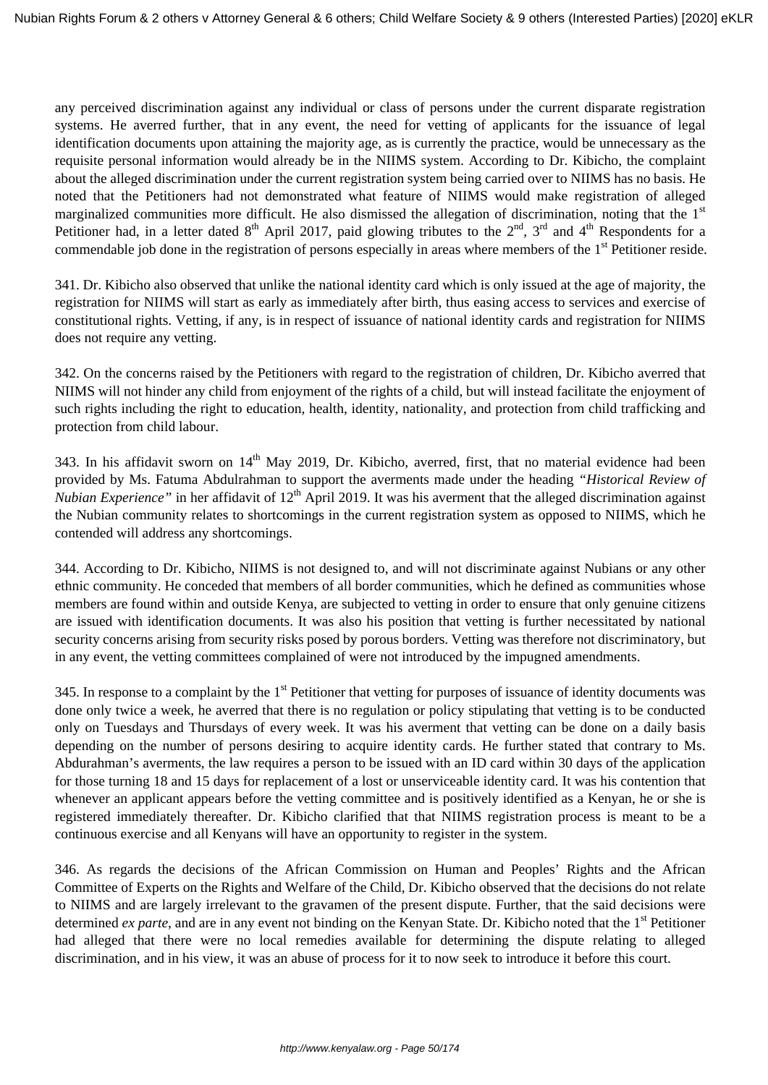any perceived discrimination against any individual or class of persons under the current disparate registration systems. He averred further, that in any event, the need for vetting of applicants for the issuance of legal identification documents upon attaining the majority age, as is currently the practice, would be unnecessary as the requisite personal information would already be in the NIIMS system. According to Dr. Kibicho, the complaint about the alleged discrimination under the current registration system being carried over to NIIMS has no basis. He noted that the Petitioners had not demonstrated what feature of NIIMS would make registration of alleged marginalized communities more difficult. He also dismissed the allegation of discrimination, noting that the  $1<sup>st</sup>$ Petitioner had, in a letter dated  $8<sup>th</sup>$  April 2017, paid glowing tributes to the  $2<sup>nd</sup>$ ,  $3<sup>rd</sup>$  and  $4<sup>th</sup>$  Respondents for a commendable job done in the registration of persons especially in areas where members of the  $1<sup>st</sup>$  Petitioner reside.

341. Dr. Kibicho also observed that unlike the national identity card which is only issued at the age of majority, the registration for NIIMS will start as early as immediately after birth, thus easing access to services and exercise of constitutional rights. Vetting, if any, is in respect of issuance of national identity cards and registration for NIIMS does not require any vetting.

342. On the concerns raised by the Petitioners with regard to the registration of children, Dr. Kibicho averred that NIIMS will not hinder any child from enjoyment of the rights of a child, but will instead facilitate the enjoyment of such rights including the right to education, health, identity, nationality, and protection from child trafficking and protection from child labour.

343. In his affidavit sworn on 14<sup>th</sup> May 2019, Dr. Kibicho, averred, first, that no material evidence had been provided by Ms. Fatuma Abdulrahman to support the averments made under the heading *"Historical Review of Nubian Experience*" in her affidavit of 12<sup>th</sup> April 2019. It was his averment that the alleged discrimination against the Nubian community relates to shortcomings in the current registration system as opposed to NIIMS, which he contended will address any shortcomings.

344. According to Dr. Kibicho, NIIMS is not designed to, and will not discriminate against Nubians or any other ethnic community. He conceded that members of all border communities, which he defined as communities whose members are found within and outside Kenya, are subjected to vetting in order to ensure that only genuine citizens are issued with identification documents. It was also his position that vetting is further necessitated by national security concerns arising from security risks posed by porous borders. Vetting was therefore not discriminatory, but in any event, the vetting committees complained of were not introduced by the impugned amendments.

345. In response to a complaint by the  $1<sup>st</sup>$  Petitioner that vetting for purposes of issuance of identity documents was done only twice a week, he averred that there is no regulation or policy stipulating that vetting is to be conducted only on Tuesdays and Thursdays of every week. It was his averment that vetting can be done on a daily basis depending on the number of persons desiring to acquire identity cards. He further stated that contrary to Ms. Abdurahman's averments, the law requires a person to be issued with an ID card within 30 days of the application for those turning 18 and 15 days for replacement of a lost or unserviceable identity card. It was his contention that whenever an applicant appears before the vetting committee and is positively identified as a Kenyan, he or she is registered immediately thereafter. Dr. Kibicho clarified that that NIIMS registration process is meant to be a continuous exercise and all Kenyans will have an opportunity to register in the system.

346. As regards the decisions of the African Commission on Human and Peoples' Rights and the African Committee of Experts on the Rights and Welfare of the Child, Dr. Kibicho observed that the decisions do not relate to NIIMS and are largely irrelevant to the gravamen of the present dispute. Further, that the said decisions were determined *ex parte*, and are in any event not binding on the Kenyan State. Dr. Kibicho noted that the 1<sup>st</sup> Petitioner had alleged that there were no local remedies available for determining the dispute relating to alleged discrimination, and in his view, it was an abuse of process for it to now seek to introduce it before this court.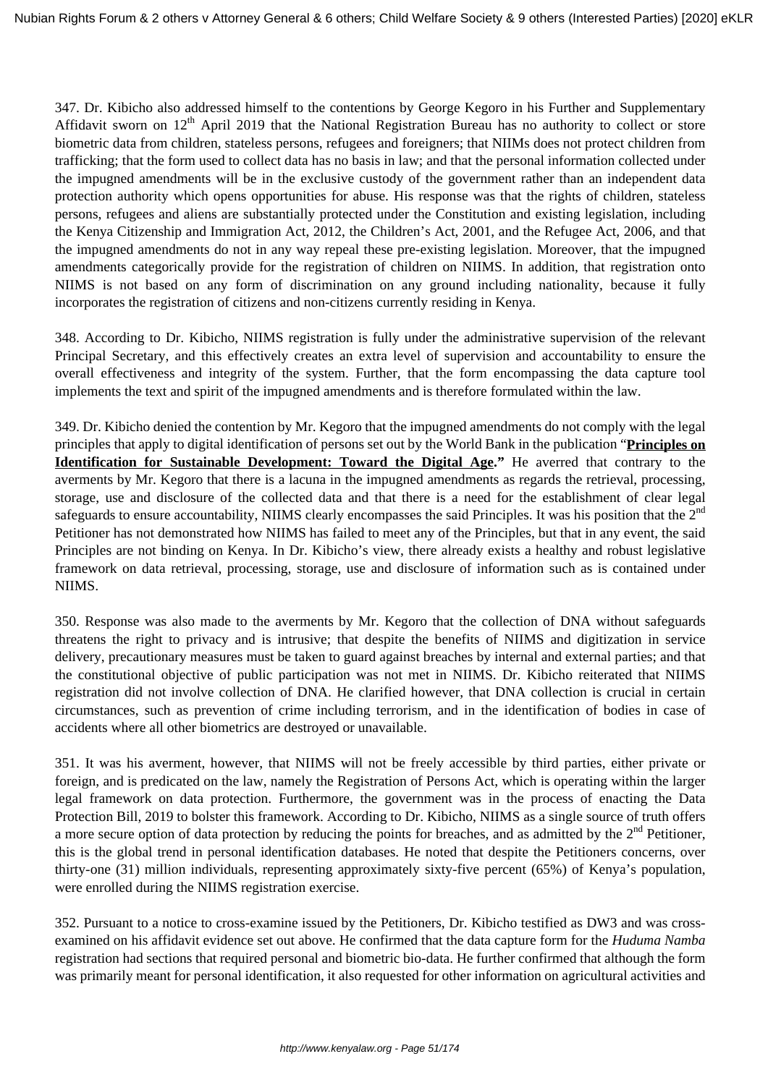347. Dr. Kibicho also addressed himself to the contentions by George Kegoro in his Further and Supplementary Affidavit sworn on 12<sup>th</sup> April 2019 that the National Registration Bureau has no authority to collect or store biometric data from children, stateless persons, refugees and foreigners; that NIIMs does not protect children from trafficking; that the form used to collect data has no basis in law; and that the personal information collected under the impugned amendments will be in the exclusive custody of the government rather than an independent data protection authority which opens opportunities for abuse. His response was that the rights of children, stateless persons, refugees and aliens are substantially protected under the Constitution and existing legislation, including the Kenya Citizenship and Immigration Act, 2012, the Children's Act, 2001, and the Refugee Act, 2006, and that the impugned amendments do not in any way repeal these pre-existing legislation. Moreover, that the impugned amendments categorically provide for the registration of children on NIIMS. In addition, that registration onto NIIMS is not based on any form of discrimination on any ground including nationality, because it fully incorporates the registration of citizens and non-citizens currently residing in Kenya.

348. According to Dr. Kibicho, NIIMS registration is fully under the administrative supervision of the relevant Principal Secretary, and this effectively creates an extra level of supervision and accountability to ensure the overall effectiveness and integrity of the system. Further, that the form encompassing the data capture tool implements the text and spirit of the impugned amendments and is therefore formulated within the law.

349. Dr. Kibicho denied the contention by Mr. Kegoro that the impugned amendments do not comply with the legal principles that apply to digital identification of persons set out by the World Bank in the publication "**Principles on Identification for Sustainable Development: Toward the Digital Age."** He averred that contrary to the averments by Mr. Kegoro that there is a lacuna in the impugned amendments as regards the retrieval, processing, storage, use and disclosure of the collected data and that there is a need for the establishment of clear legal safeguards to ensure accountability, NIIMS clearly encompasses the said Principles. It was his position that the 2<sup>nd</sup> Petitioner has not demonstrated how NIIMS has failed to meet any of the Principles, but that in any event, the said Principles are not binding on Kenya. In Dr. Kibicho's view, there already exists a healthy and robust legislative framework on data retrieval, processing, storage, use and disclosure of information such as is contained under NIIMS.

350. Response was also made to the averments by Mr. Kegoro that the collection of DNA without safeguards threatens the right to privacy and is intrusive; that despite the benefits of NIIMS and digitization in service delivery, precautionary measures must be taken to guard against breaches by internal and external parties; and that the constitutional objective of public participation was not met in NIIMS. Dr. Kibicho reiterated that NIIMS registration did not involve collection of DNA. He clarified however, that DNA collection is crucial in certain circumstances, such as prevention of crime including terrorism, and in the identification of bodies in case of accidents where all other biometrics are destroyed or unavailable.

351. It was his averment, however, that NIIMS will not be freely accessible by third parties, either private or foreign, and is predicated on the law, namely the Registration of Persons Act, which is operating within the larger legal framework on data protection. Furthermore, the government was in the process of enacting the Data Protection Bill, 2019 to bolster this framework. According to Dr. Kibicho, NIIMS as a single source of truth offers a more secure option of data protection by reducing the points for breaches, and as admitted by the  $2<sup>nd</sup>$  Petitioner, this is the global trend in personal identification databases. He noted that despite the Petitioners concerns, over thirty-one (31) million individuals, representing approximately sixty-five percent (65%) of Kenya's population, were enrolled during the NIIMS registration exercise.

352. Pursuant to a notice to cross-examine issued by the Petitioners, Dr. Kibicho testified as DW3 and was crossexamined on his affidavit evidence set out above. He confirmed that the data capture form for the *Huduma Namba* registration had sections that required personal and biometric bio-data. He further confirmed that although the form was primarily meant for personal identification, it also requested for other information on agricultural activities and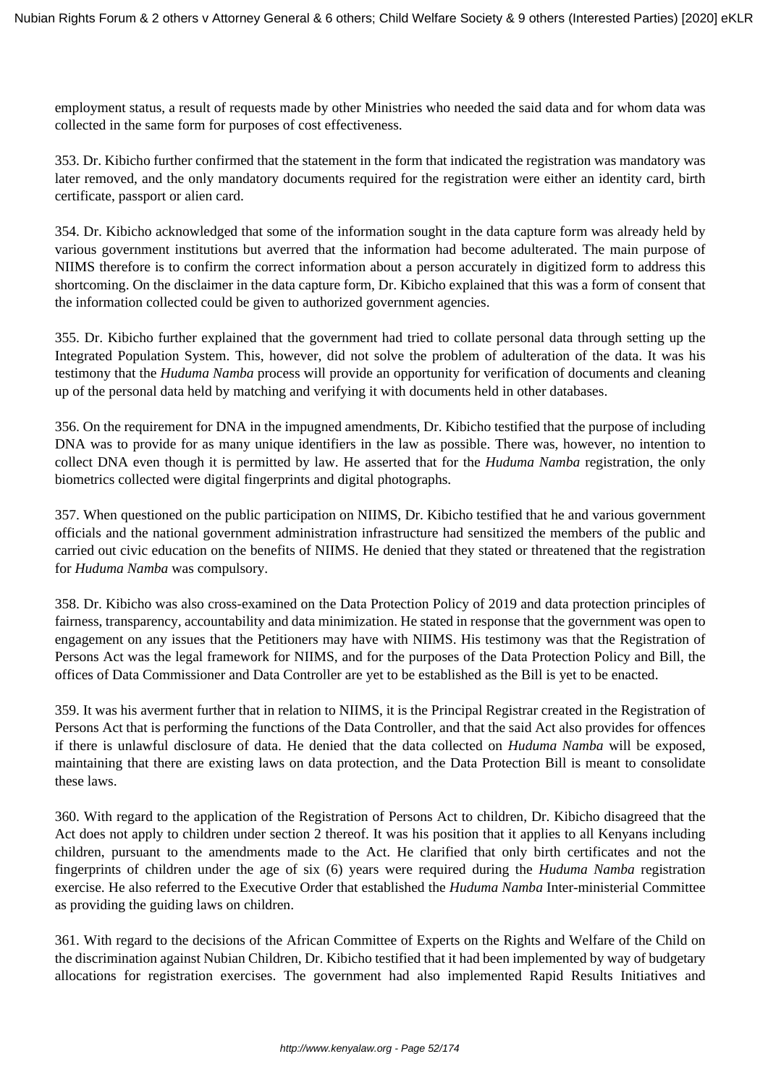employment status, a result of requests made by other Ministries who needed the said data and for whom data was collected in the same form for purposes of cost effectiveness.

353. Dr. Kibicho further confirmed that the statement in the form that indicated the registration was mandatory was later removed, and the only mandatory documents required for the registration were either an identity card, birth certificate, passport or alien card.

354. Dr. Kibicho acknowledged that some of the information sought in the data capture form was already held by various government institutions but averred that the information had become adulterated. The main purpose of NIIMS therefore is to confirm the correct information about a person accurately in digitized form to address this shortcoming. On the disclaimer in the data capture form, Dr. Kibicho explained that this was a form of consent that the information collected could be given to authorized government agencies.

355. Dr. Kibicho further explained that the government had tried to collate personal data through setting up the Integrated Population System. This, however, did not solve the problem of adulteration of the data. It was his testimony that the *Huduma Namba* process will provide an opportunity for verification of documents and cleaning up of the personal data held by matching and verifying it with documents held in other databases.

356. On the requirement for DNA in the impugned amendments, Dr. Kibicho testified that the purpose of including DNA was to provide for as many unique identifiers in the law as possible. There was, however, no intention to collect DNA even though it is permitted by law. He asserted that for the *Huduma Namba* registration, the only biometrics collected were digital fingerprints and digital photographs.

357. When questioned on the public participation on NIIMS, Dr. Kibicho testified that he and various government officials and the national government administration infrastructure had sensitized the members of the public and carried out civic education on the benefits of NIIMS. He denied that they stated or threatened that the registration for *Huduma Namba* was compulsory.

358. Dr. Kibicho was also cross-examined on the Data Protection Policy of 2019 and data protection principles of fairness, transparency, accountability and data minimization. He stated in response that the government was open to engagement on any issues that the Petitioners may have with NIIMS. His testimony was that the Registration of Persons Act was the legal framework for NIIMS, and for the purposes of the Data Protection Policy and Bill, the offices of Data Commissioner and Data Controller are yet to be established as the Bill is yet to be enacted.

359. It was his averment further that in relation to NIIMS, it is the Principal Registrar created in the Registration of Persons Act that is performing the functions of the Data Controller, and that the said Act also provides for offences if there is unlawful disclosure of data. He denied that the data collected on *Huduma Namba* will be exposed, maintaining that there are existing laws on data protection, and the Data Protection Bill is meant to consolidate these laws.

360. With regard to the application of the Registration of Persons Act to children, Dr. Kibicho disagreed that the Act does not apply to children under section 2 thereof. It was his position that it applies to all Kenyans including children, pursuant to the amendments made to the Act. He clarified that only birth certificates and not the fingerprints of children under the age of six (6) years were required during the *Huduma Namba* registration exercise. He also referred to the Executive Order that established the *Huduma Namba* Inter-ministerial Committee as providing the guiding laws on children.

361. With regard to the decisions of the African Committee of Experts on the Rights and Welfare of the Child on the discrimination against Nubian Children, Dr. Kibicho testified that it had been implemented by way of budgetary allocations for registration exercises. The government had also implemented Rapid Results Initiatives and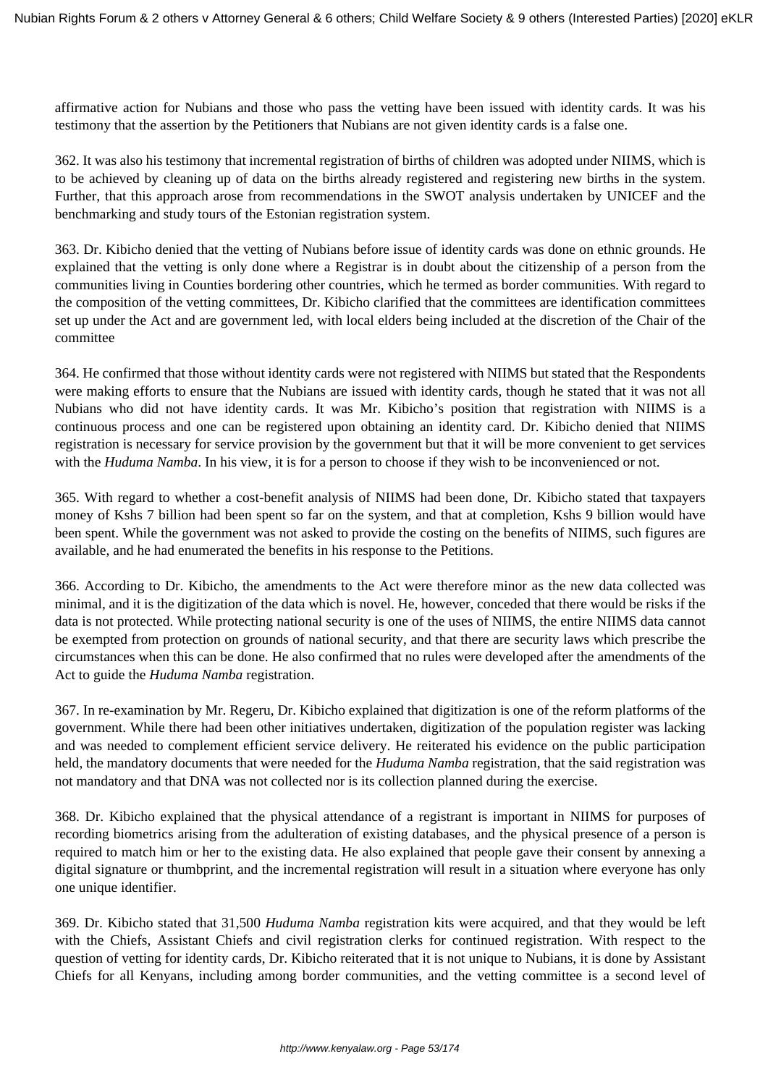affirmative action for Nubians and those who pass the vetting have been issued with identity cards. It was his testimony that the assertion by the Petitioners that Nubians are not given identity cards is a false one.

362. It was also his testimony that incremental registration of births of children was adopted under NIIMS, which is to be achieved by cleaning up of data on the births already registered and registering new births in the system. Further, that this approach arose from recommendations in the SWOT analysis undertaken by UNICEF and the benchmarking and study tours of the Estonian registration system.

363. Dr. Kibicho denied that the vetting of Nubians before issue of identity cards was done on ethnic grounds. He explained that the vetting is only done where a Registrar is in doubt about the citizenship of a person from the communities living in Counties bordering other countries, which he termed as border communities. With regard to the composition of the vetting committees, Dr. Kibicho clarified that the committees are identification committees set up under the Act and are government led, with local elders being included at the discretion of the Chair of the committee

364. He confirmed that those without identity cards were not registered with NIIMS but stated that the Respondents were making efforts to ensure that the Nubians are issued with identity cards, though he stated that it was not all Nubians who did not have identity cards. It was Mr. Kibicho's position that registration with NIIMS is a continuous process and one can be registered upon obtaining an identity card. Dr. Kibicho denied that NIIMS registration is necessary for service provision by the government but that it will be more convenient to get services with the *Huduma Namba*. In his view, it is for a person to choose if they wish to be inconvenienced or not.

365. With regard to whether a cost-benefit analysis of NIIMS had been done, Dr. Kibicho stated that taxpayers money of Kshs 7 billion had been spent so far on the system, and that at completion, Kshs 9 billion would have been spent. While the government was not asked to provide the costing on the benefits of NIIMS, such figures are available, and he had enumerated the benefits in his response to the Petitions.

366. According to Dr. Kibicho, the amendments to the Act were therefore minor as the new data collected was minimal, and it is the digitization of the data which is novel. He, however, conceded that there would be risks if the data is not protected. While protecting national security is one of the uses of NIIMS, the entire NIIMS data cannot be exempted from protection on grounds of national security, and that there are security laws which prescribe the circumstances when this can be done. He also confirmed that no rules were developed after the amendments of the Act to guide the *Huduma Namba* registration.

367. In re-examination by Mr. Regeru, Dr. Kibicho explained that digitization is one of the reform platforms of the government. While there had been other initiatives undertaken, digitization of the population register was lacking and was needed to complement efficient service delivery. He reiterated his evidence on the public participation held, the mandatory documents that were needed for the *Huduma Namba* registration, that the said registration was not mandatory and that DNA was not collected nor is its collection planned during the exercise.

368. Dr. Kibicho explained that the physical attendance of a registrant is important in NIIMS for purposes of recording biometrics arising from the adulteration of existing databases, and the physical presence of a person is required to match him or her to the existing data. He also explained that people gave their consent by annexing a digital signature or thumbprint, and the incremental registration will result in a situation where everyone has only one unique identifier.

369. Dr. Kibicho stated that 31,500 *Huduma Namba* registration kits were acquired, and that they would be left with the Chiefs, Assistant Chiefs and civil registration clerks for continued registration. With respect to the question of vetting for identity cards, Dr. Kibicho reiterated that it is not unique to Nubians, it is done by Assistant Chiefs for all Kenyans, including among border communities, and the vetting committee is a second level of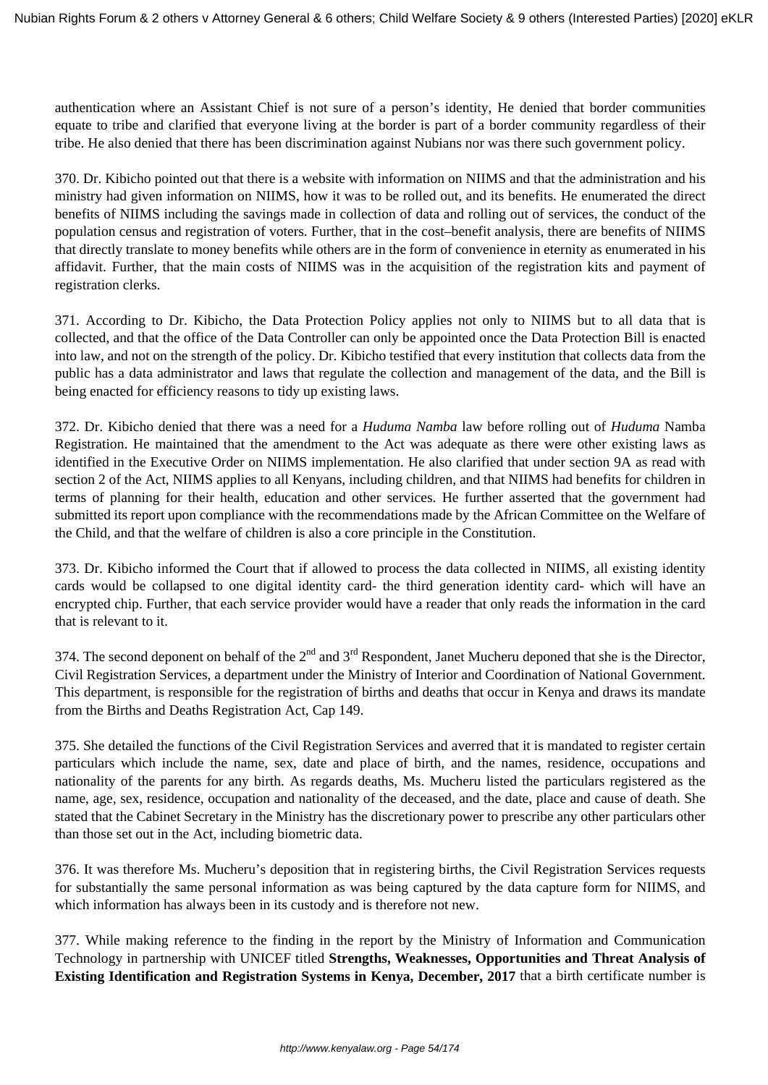authentication where an Assistant Chief is not sure of a person's identity, He denied that border communities equate to tribe and clarified that everyone living at the border is part of a border community regardless of their tribe. He also denied that there has been discrimination against Nubians nor was there such government policy.

370. Dr. Kibicho pointed out that there is a website with information on NIIMS and that the administration and his ministry had given information on NIIMS, how it was to be rolled out, and its benefits. He enumerated the direct benefits of NIIMS including the savings made in collection of data and rolling out of services, the conduct of the population census and registration of voters. Further, that in the cost–benefit analysis, there are benefits of NIIMS that directly translate to money benefits while others are in the form of convenience in eternity as enumerated in his affidavit. Further, that the main costs of NIIMS was in the acquisition of the registration kits and payment of registration clerks.

371. According to Dr. Kibicho, the Data Protection Policy applies not only to NIIMS but to all data that is collected, and that the office of the Data Controller can only be appointed once the Data Protection Bill is enacted into law, and not on the strength of the policy. Dr. Kibicho testified that every institution that collects data from the public has a data administrator and laws that regulate the collection and management of the data, and the Bill is being enacted for efficiency reasons to tidy up existing laws.

372. Dr. Kibicho denied that there was a need for a *Huduma Namba* law before rolling out of *Huduma* Namba Registration. He maintained that the amendment to the Act was adequate as there were other existing laws as identified in the Executive Order on NIIMS implementation. He also clarified that under section 9A as read with section 2 of the Act, NIIMS applies to all Kenyans, including children, and that NIIMS had benefits for children in terms of planning for their health, education and other services. He further asserted that the government had submitted its report upon compliance with the recommendations made by the African Committee on the Welfare of the Child, and that the welfare of children is also a core principle in the Constitution.

373. Dr. Kibicho informed the Court that if allowed to process the data collected in NIIMS, all existing identity cards would be collapsed to one digital identity card- the third generation identity card- which will have an encrypted chip. Further, that each service provider would have a reader that only reads the information in the card that is relevant to it.

374. The second deponent on behalf of the  $2<sup>nd</sup>$  and  $3<sup>rd</sup>$  Respondent, Janet Mucheru deponed that she is the Director, Civil Registration Services, a department under the Ministry of Interior and Coordination of National Government. This department, is responsible for the registration of births and deaths that occur in Kenya and draws its mandate from the Births and Deaths Registration Act, Cap 149.

375. She detailed the functions of the Civil Registration Services and averred that it is mandated to register certain particulars which include the name, sex, date and place of birth, and the names, residence, occupations and nationality of the parents for any birth. As regards deaths, Ms. Mucheru listed the particulars registered as the name, age, sex, residence, occupation and nationality of the deceased, and the date, place and cause of death. She stated that the Cabinet Secretary in the Ministry has the discretionary power to prescribe any other particulars other than those set out in the Act, including biometric data.

376. It was therefore Ms. Mucheru's deposition that in registering births, the Civil Registration Services requests for substantially the same personal information as was being captured by the data capture form for NIIMS, and which information has always been in its custody and is therefore not new.

377. While making reference to the finding in the report by the Ministry of Information and Communication Technology in partnership with UNICEF titled **Strengths, Weaknesses, Opportunities and Threat Analysis of Existing Identification and Registration Systems in Kenya, December, 2017** that a birth certificate number is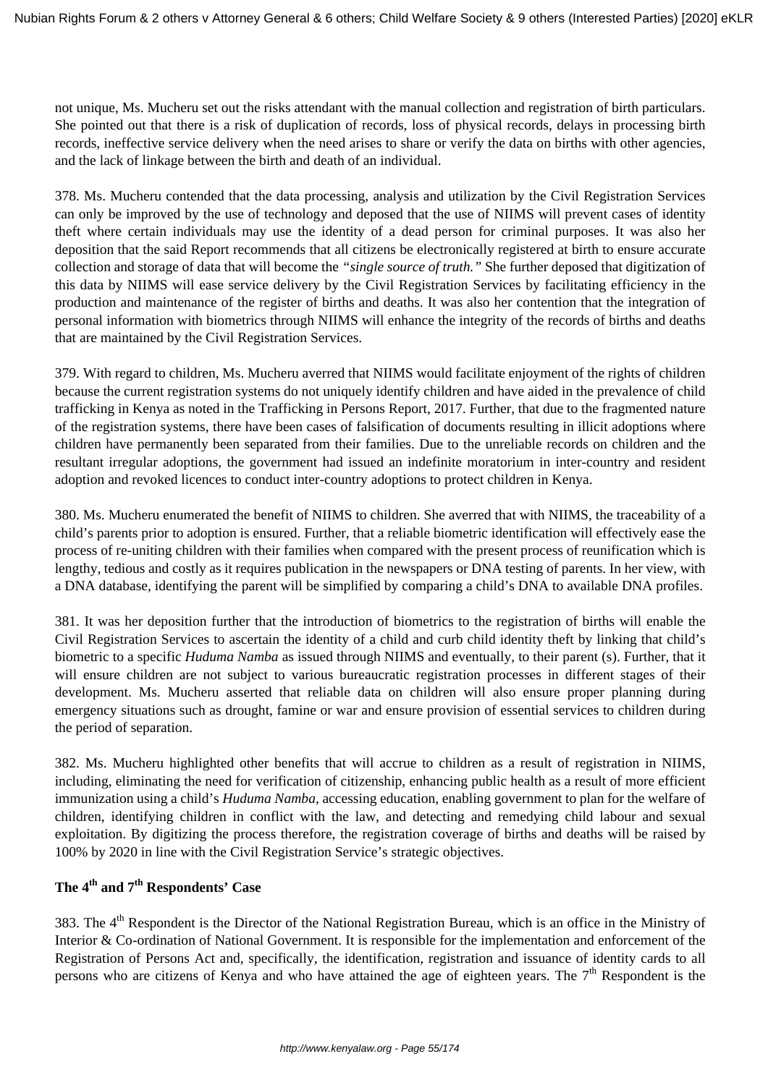not unique, Ms. Mucheru set out the risks attendant with the manual collection and registration of birth particulars. She pointed out that there is a risk of duplication of records, loss of physical records, delays in processing birth records, ineffective service delivery when the need arises to share or verify the data on births with other agencies, and the lack of linkage between the birth and death of an individual.

378. Ms. Mucheru contended that the data processing, analysis and utilization by the Civil Registration Services can only be improved by the use of technology and deposed that the use of NIIMS will prevent cases of identity theft where certain individuals may use the identity of a dead person for criminal purposes. It was also her deposition that the said Report recommends that all citizens be electronically registered at birth to ensure accurate collection and storage of data that will become the *"single source of truth."* She further deposed that digitization of this data by NIIMS will ease service delivery by the Civil Registration Services by facilitating efficiency in the production and maintenance of the register of births and deaths. It was also her contention that the integration of personal information with biometrics through NIIMS will enhance the integrity of the records of births and deaths that are maintained by the Civil Registration Services.

379. With regard to children, Ms. Mucheru averred that NIIMS would facilitate enjoyment of the rights of children because the current registration systems do not uniquely identify children and have aided in the prevalence of child trafficking in Kenya as noted in the Trafficking in Persons Report, 2017. Further, that due to the fragmented nature of the registration systems, there have been cases of falsification of documents resulting in illicit adoptions where children have permanently been separated from their families. Due to the unreliable records on children and the resultant irregular adoptions, the government had issued an indefinite moratorium in inter-country and resident adoption and revoked licences to conduct inter-country adoptions to protect children in Kenya.

380. Ms. Mucheru enumerated the benefit of NIIMS to children. She averred that with NIIMS, the traceability of a child's parents prior to adoption is ensured. Further, that a reliable biometric identification will effectively ease the process of re-uniting children with their families when compared with the present process of reunification which is lengthy, tedious and costly as it requires publication in the newspapers or DNA testing of parents. In her view, with a DNA database, identifying the parent will be simplified by comparing a child's DNA to available DNA profiles.

381. It was her deposition further that the introduction of biometrics to the registration of births will enable the Civil Registration Services to ascertain the identity of a child and curb child identity theft by linking that child's biometric to a specific *Huduma Namba* as issued through NIIMS and eventually, to their parent (s). Further, that it will ensure children are not subject to various bureaucratic registration processes in different stages of their development. Ms. Mucheru asserted that reliable data on children will also ensure proper planning during emergency situations such as drought, famine or war and ensure provision of essential services to children during the period of separation.

382. Ms. Mucheru highlighted other benefits that will accrue to children as a result of registration in NIIMS, including, eliminating the need for verification of citizenship, enhancing public health as a result of more efficient immunization using a child's *Huduma Namba*, accessing education, enabling government to plan for the welfare of children, identifying children in conflict with the law, and detecting and remedying child labour and sexual exploitation. By digitizing the process therefore, the registration coverage of births and deaths will be raised by 100% by 2020 in line with the Civil Registration Service's strategic objectives.

# **The 4th and 7th Respondents' Case**

383. The  $4<sup>th</sup>$  Respondent is the Director of the National Registration Bureau, which is an office in the Ministry of Interior & Co-ordination of National Government. It is responsible for the implementation and enforcement of the Registration of Persons Act and, specifically, the identification, registration and issuance of identity cards to all persons who are citizens of Kenya and who have attained the age of eighteen years. The  $7<sup>th</sup>$  Respondent is the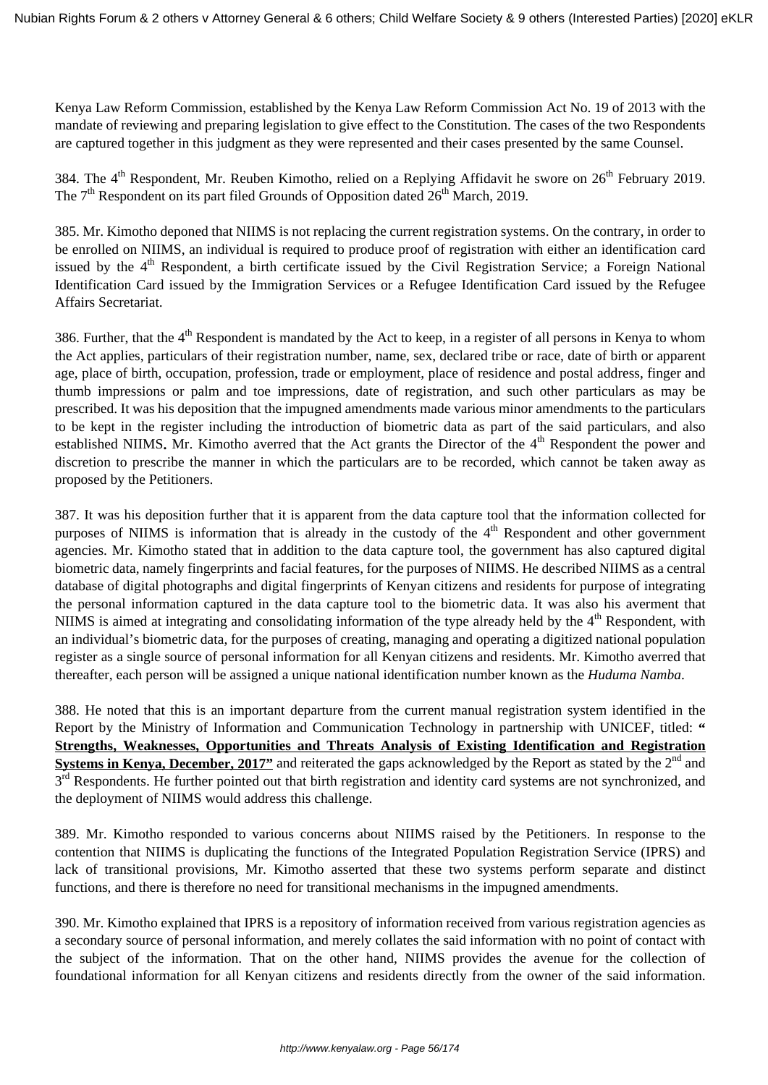Kenya Law Reform Commission, established by the Kenya Law Reform Commission Act No. 19 of 2013 with the mandate of reviewing and preparing legislation to give effect to the Constitution. The cases of the two Respondents are captured together in this judgment as they were represented and their cases presented by the same Counsel.

384. The 4<sup>th</sup> Respondent, Mr. Reuben Kimotho, relied on a Replying Affidavit he swore on 26<sup>th</sup> February 2019. The  $7<sup>th</sup>$  Respondent on its part filed Grounds of Opposition dated  $26<sup>th</sup>$  March, 2019.

385. Mr. Kimotho deponed that NIIMS is not replacing the current registration systems. On the contrary, in order to be enrolled on NIIMS, an individual is required to produce proof of registration with either an identification card issued by the 4<sup>th</sup> Respondent, a birth certificate issued by the Civil Registration Service; a Foreign National Identification Card issued by the Immigration Services or a Refugee Identification Card issued by the Refugee Affairs Secretariat.

386. Further, that the 4<sup>th</sup> Respondent is mandated by the Act to keep, in a register of all persons in Kenya to whom the Act applies, particulars of their registration number, name, sex, declared tribe or race, date of birth or apparent age, place of birth, occupation, profession, trade or employment, place of residence and postal address, finger and thumb impressions or palm and toe impressions, date of registration, and such other particulars as may be prescribed. It was his deposition that the impugned amendments made various minor amendments to the particulars to be kept in the register including the introduction of biometric data as part of the said particulars, and also established NIIMS. Mr. Kimotho averred that the Act grants the Director of the 4<sup>th</sup> Respondent the power and discretion to prescribe the manner in which the particulars are to be recorded, which cannot be taken away as proposed by the Petitioners.

387. It was his deposition further that it is apparent from the data capture tool that the information collected for purposes of NIIMS is information that is already in the custody of the  $4<sup>th</sup>$  Respondent and other government agencies. Mr. Kimotho stated that in addition to the data capture tool, the government has also captured digital biometric data, namely fingerprints and facial features, for the purposes of NIIMS. He described NIIMS as a central database of digital photographs and digital fingerprints of Kenyan citizens and residents for purpose of integrating the personal information captured in the data capture tool to the biometric data. It was also his averment that NIIMS is aimed at integrating and consolidating information of the type already held by the 4<sup>th</sup> Respondent, with an individual's biometric data, for the purposes of creating, managing and operating a digitized national population register as a single source of personal information for all Kenyan citizens and residents. Mr. Kimotho averred that thereafter, each person will be assigned a unique national identification number known as the *Huduma Namba*.

388. He noted that this is an important departure from the current manual registration system identified in the Report by the Ministry of Information and Communication Technology in partnership with UNICEF, titled: **" Strengths, Weaknesses, Opportunities and Threats Analysis of Existing Identification and Registration Systems in Kenya, December, 2017"** and reiterated the gaps acknowledged by the Report as stated by the 2<sup>nd</sup> and 3<sup>rd</sup> Respondents. He further pointed out that birth registration and identity card systems are not synchronized, and the deployment of NIIMS would address this challenge.

389. Mr. Kimotho responded to various concerns about NIIMS raised by the Petitioners. In response to the contention that NIIMS is duplicating the functions of the Integrated Population Registration Service (IPRS) and lack of transitional provisions, Mr. Kimotho asserted that these two systems perform separate and distinct functions, and there is therefore no need for transitional mechanisms in the impugned amendments.

390. Mr. Kimotho explained that IPRS is a repository of information received from various registration agencies as a secondary source of personal information, and merely collates the said information with no point of contact with the subject of the information. That on the other hand, NIIMS provides the avenue for the collection of foundational information for all Kenyan citizens and residents directly from the owner of the said information.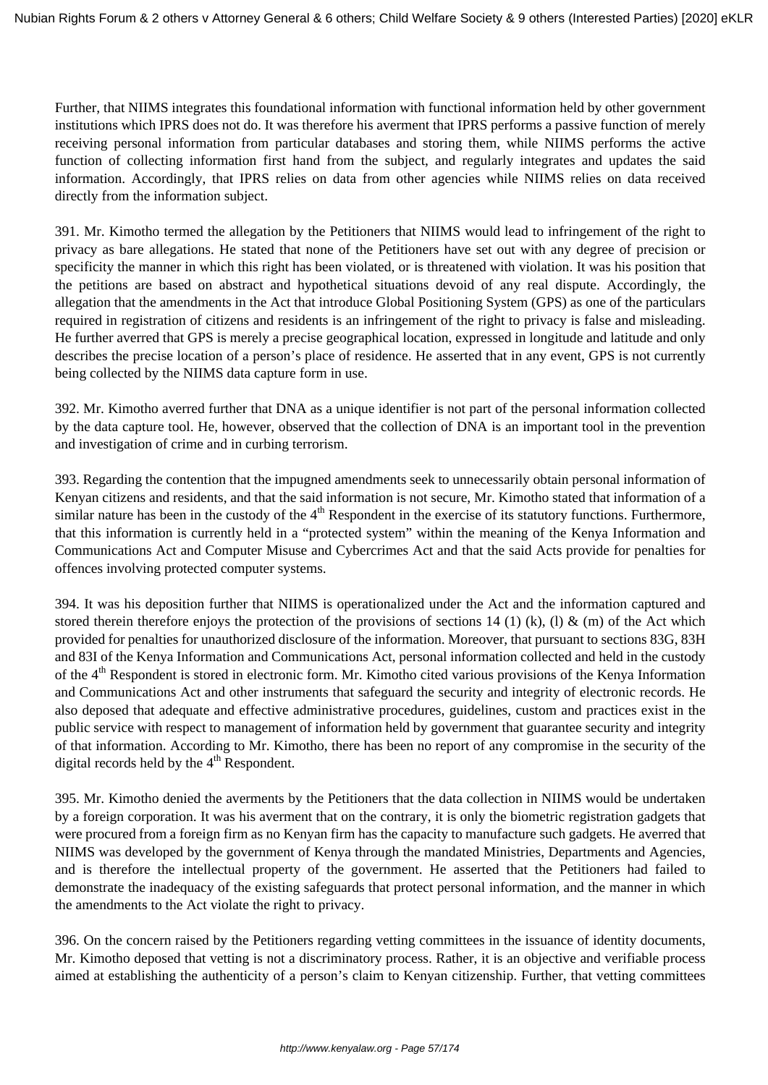Further, that NIIMS integrates this foundational information with functional information held by other government institutions which IPRS does not do. It was therefore his averment that IPRS performs a passive function of merely receiving personal information from particular databases and storing them, while NIIMS performs the active function of collecting information first hand from the subject, and regularly integrates and updates the said information. Accordingly, that IPRS relies on data from other agencies while NIIMS relies on data received directly from the information subject.

391. Mr. Kimotho termed the allegation by the Petitioners that NIIMS would lead to infringement of the right to privacy as bare allegations. He stated that none of the Petitioners have set out with any degree of precision or specificity the manner in which this right has been violated, or is threatened with violation. It was his position that the petitions are based on abstract and hypothetical situations devoid of any real dispute. Accordingly, the allegation that the amendments in the Act that introduce Global Positioning System (GPS) as one of the particulars required in registration of citizens and residents is an infringement of the right to privacy is false and misleading. He further averred that GPS is merely a precise geographical location, expressed in longitude and latitude and only describes the precise location of a person's place of residence. He asserted that in any event, GPS is not currently being collected by the NIIMS data capture form in use.

392. Mr. Kimotho averred further that DNA as a unique identifier is not part of the personal information collected by the data capture tool. He, however, observed that the collection of DNA is an important tool in the prevention and investigation of crime and in curbing terrorism.

393. Regarding the contention that the impugned amendments seek to unnecessarily obtain personal information of Kenyan citizens and residents, and that the said information is not secure, Mr. Kimotho stated that information of a similar nature has been in the custody of the  $4<sup>th</sup>$  Respondent in the exercise of its statutory functions. Furthermore, that this information is currently held in a "protected system" within the meaning of the Kenya Information and Communications Act and Computer Misuse and Cybercrimes Act and that the said Acts provide for penalties for offences involving protected computer systems.

394. It was his deposition further that NIIMS is operationalized under the Act and the information captured and stored therein therefore enjoys the protection of the provisions of sections 14 (1) (k), (1) & (m) of the Act which provided for penalties for unauthorized disclosure of the information. Moreover, that pursuant to sections 83G, 83H and 83I of the Kenya Information and Communications Act, personal information collected and held in the custody of the 4<sup>th</sup> Respondent is stored in electronic form. Mr. Kimotho cited various provisions of the Kenya Information and Communications Act and other instruments that safeguard the security and integrity of electronic records. He also deposed that adequate and effective administrative procedures, guidelines, custom and practices exist in the public service with respect to management of information held by government that guarantee security and integrity of that information. According to Mr. Kimotho, there has been no report of any compromise in the security of the digital records held by the  $4<sup>th</sup>$  Respondent.

395. Mr. Kimotho denied the averments by the Petitioners that the data collection in NIIMS would be undertaken by a foreign corporation. It was his averment that on the contrary, it is only the biometric registration gadgets that were procured from a foreign firm as no Kenyan firm has the capacity to manufacture such gadgets. He averred that NIIMS was developed by the government of Kenya through the mandated Ministries, Departments and Agencies, and is therefore the intellectual property of the government. He asserted that the Petitioners had failed to demonstrate the inadequacy of the existing safeguards that protect personal information, and the manner in which the amendments to the Act violate the right to privacy.

396. On the concern raised by the Petitioners regarding vetting committees in the issuance of identity documents, Mr. Kimotho deposed that vetting is not a discriminatory process. Rather, it is an objective and verifiable process aimed at establishing the authenticity of a person's claim to Kenyan citizenship. Further, that vetting committees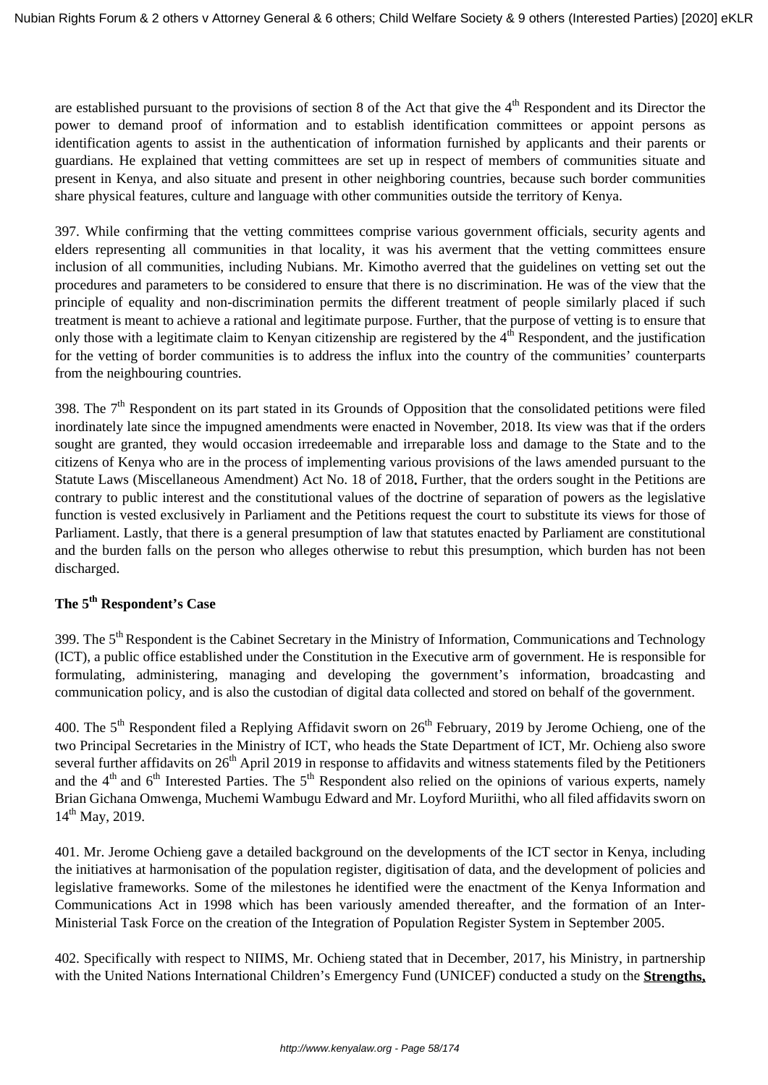are established pursuant to the provisions of section 8 of the Act that give the  $4<sup>th</sup>$  Respondent and its Director the power to demand proof of information and to establish identification committees or appoint persons as identification agents to assist in the authentication of information furnished by applicants and their parents or guardians. He explained that vetting committees are set up in respect of members of communities situate and present in Kenya, and also situate and present in other neighboring countries, because such border communities share physical features, culture and language with other communities outside the territory of Kenya.

397. While confirming that the vetting committees comprise various government officials, security agents and elders representing all communities in that locality, it was his averment that the vetting committees ensure inclusion of all communities, including Nubians. Mr. Kimotho averred that the guidelines on vetting set out the procedures and parameters to be considered to ensure that there is no discrimination. He was of the view that the principle of equality and non-discrimination permits the different treatment of people similarly placed if such treatment is meant to achieve a rational and legitimate purpose. Further, that the purpose of vetting is to ensure that only those with a legitimate claim to Kenyan citizenship are registered by the  $4<sup>th</sup>$  Respondent, and the justification for the vetting of border communities is to address the influx into the country of the communities' counterparts from the neighbouring countries.

398. The  $7<sup>th</sup>$  Respondent on its part stated in its Grounds of Opposition that the consolidated petitions were filed inordinately late since the impugned amendments were enacted in November, 2018. Its view was that if the orders sought are granted, they would occasion irredeemable and irreparable loss and damage to the State and to the citizens of Kenya who are in the process of implementing various provisions of the laws amended pursuant to the Statute Laws (Miscellaneous Amendment) Act No. 18 of 2018**.** Further, that the orders sought in the Petitions are contrary to public interest and the constitutional values of the doctrine of separation of powers as the legislative function is vested exclusively in Parliament and the Petitions request the court to substitute its views for those of Parliament. Lastly, that there is a general presumption of law that statutes enacted by Parliament are constitutional and the burden falls on the person who alleges otherwise to rebut this presumption, which burden has not been discharged.

## **The 5th Respondent's Case**

399. The 5<sup>th</sup> Respondent is the Cabinet Secretary in the Ministry of Information, Communications and Technology (ICT), a public office established under the Constitution in the Executive arm of government. He is responsible for formulating, administering, managing and developing the government's information, broadcasting and communication policy, and is also the custodian of digital data collected and stored on behalf of the government.

400. The 5<sup>th</sup> Respondent filed a Replying Affidavit sworn on 26<sup>th</sup> February, 2019 by Jerome Ochieng, one of the two Principal Secretaries in the Ministry of ICT, who heads the State Department of ICT, Mr. Ochieng also swore several further affidavits on  $26<sup>th</sup>$  April 2019 in response to affidavits and witness statements filed by the Petitioners and the 4<sup>th</sup> and 6<sup>th</sup> Interested Parties. The 5<sup>th</sup> Respondent also relied on the opinions of various experts, namely Brian Gichana Omwenga, Muchemi Wambugu Edward and Mr. Loyford Muriithi, who all filed affidavits sworn on  $14^{th}$  May, 2019.

401. Mr. Jerome Ochieng gave a detailed background on the developments of the ICT sector in Kenya, including the initiatives at harmonisation of the population register, digitisation of data, and the development of policies and legislative frameworks. Some of the milestones he identified were the enactment of the Kenya Information and Communications Act in 1998 which has been variously amended thereafter, and the formation of an Inter-Ministerial Task Force on the creation of the Integration of Population Register System in September 2005.

402. Specifically with respect to NIIMS, Mr. Ochieng stated that in December, 2017, his Ministry, in partnership with the United Nations International Children's Emergency Fund (UNICEF) conducted a study on the **Strengths,**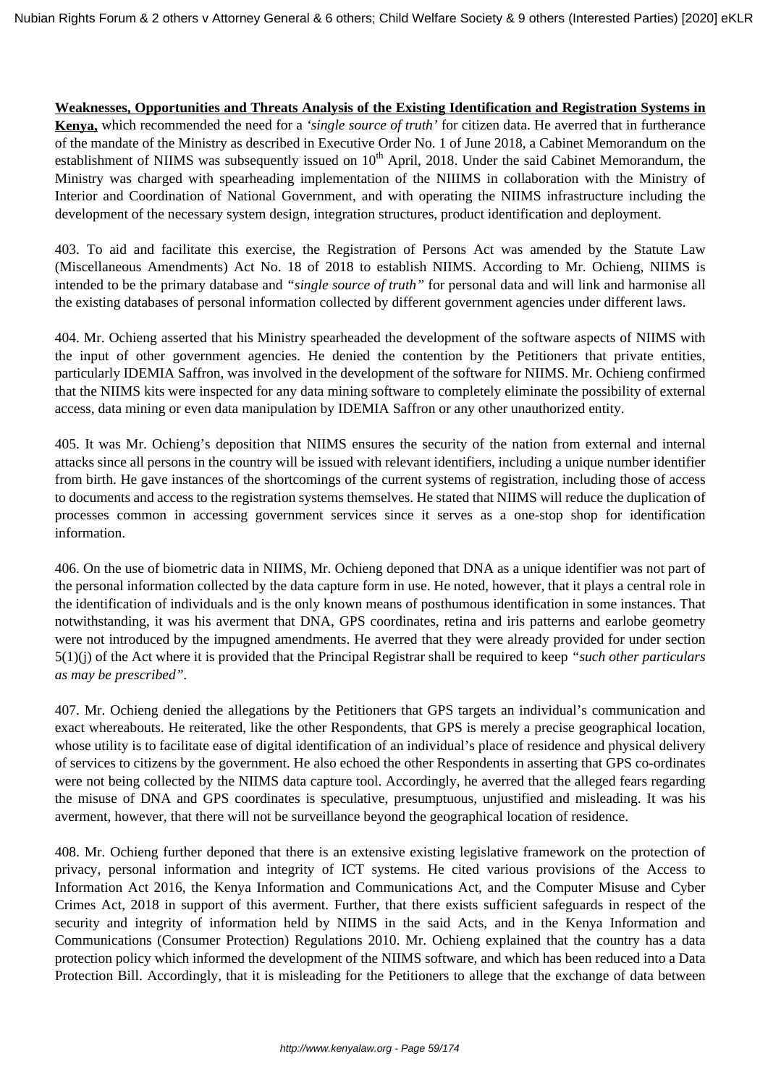#### **Weaknesses, Opportunities and Threats Analysis of the Existing Identification and Registration Systems in**

**Kenya,** which recommended the need for a *'single source of truth'* for citizen data. He averred that in furtherance of the mandate of the Ministry as described in Executive Order No. 1 of June 2018, a Cabinet Memorandum on the establishment of NIIMS was subsequently issued on  $10<sup>th</sup>$  April, 2018. Under the said Cabinet Memorandum, the Ministry was charged with spearheading implementation of the NIIIMS in collaboration with the Ministry of Interior and Coordination of National Government, and with operating the NIIMS infrastructure including the development of the necessary system design, integration structures, product identification and deployment.

403. To aid and facilitate this exercise, the Registration of Persons Act was amended by the Statute Law (Miscellaneous Amendments) Act No. 18 of 2018 to establish NIIMS. According to Mr. Ochieng, NIIMS is intended to be the primary database and *"single source of truth"* for personal data and will link and harmonise all the existing databases of personal information collected by different government agencies under different laws.

404. Mr. Ochieng asserted that his Ministry spearheaded the development of the software aspects of NIIMS with the input of other government agencies. He denied the contention by the Petitioners that private entities, particularly IDEMIA Saffron, was involved in the development of the software for NIIMS. Mr. Ochieng confirmed that the NIIMS kits were inspected for any data mining software to completely eliminate the possibility of external access, data mining or even data manipulation by IDEMIA Saffron or any other unauthorized entity.

405. It was Mr. Ochieng's deposition that NIIMS ensures the security of the nation from external and internal attacks since all persons in the country will be issued with relevant identifiers, including a unique number identifier from birth. He gave instances of the shortcomings of the current systems of registration, including those of access to documents and access to the registration systems themselves. He stated that NIIMS will reduce the duplication of processes common in accessing government services since it serves as a one-stop shop for identification information.

406. On the use of biometric data in NIIMS, Mr. Ochieng deponed that DNA as a unique identifier was not part of the personal information collected by the data capture form in use. He noted, however, that it plays a central role in the identification of individuals and is the only known means of posthumous identification in some instances. That notwithstanding, it was his averment that DNA, GPS coordinates, retina and iris patterns and earlobe geometry were not introduced by the impugned amendments. He averred that they were already provided for under section 5(1)(j) of the Act where it is provided that the Principal Registrar shall be required to keep *"such other particulars as may be prescribed".*

407. Mr. Ochieng denied the allegations by the Petitioners that GPS targets an individual's communication and exact whereabouts. He reiterated, like the other Respondents, that GPS is merely a precise geographical location, whose utility is to facilitate ease of digital identification of an individual's place of residence and physical delivery of services to citizens by the government. He also echoed the other Respondents in asserting that GPS co-ordinates were not being collected by the NIIMS data capture tool. Accordingly, he averred that the alleged fears regarding the misuse of DNA and GPS coordinates is speculative, presumptuous, unjustified and misleading. It was his averment, however, that there will not be surveillance beyond the geographical location of residence.

408. Mr. Ochieng further deponed that there is an extensive existing legislative framework on the protection of privacy, personal information and integrity of ICT systems. He cited various provisions of the Access to Information Act 2016, the Kenya Information and Communications Act, and the Computer Misuse and Cyber Crimes Act, 2018 in support of this averment. Further, that there exists sufficient safeguards in respect of the security and integrity of information held by NIIMS in the said Acts, and in the Kenya Information and Communications (Consumer Protection) Regulations 2010. Mr. Ochieng explained that the country has a data protection policy which informed the development of the NIIMS software, and which has been reduced into a Data Protection Bill. Accordingly, that it is misleading for the Petitioners to allege that the exchange of data between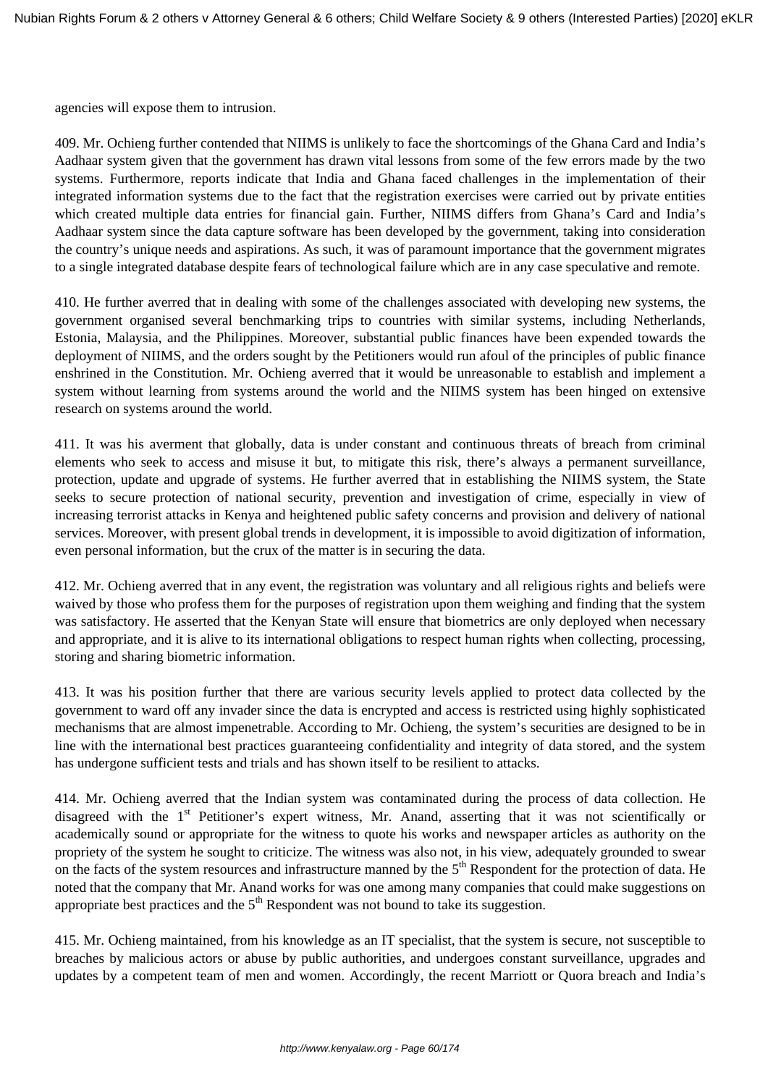agencies will expose them to intrusion.

409. Mr. Ochieng further contended that NIIMS is unlikely to face the shortcomings of the Ghana Card and India's Aadhaar system given that the government has drawn vital lessons from some of the few errors made by the two systems. Furthermore, reports indicate that India and Ghana faced challenges in the implementation of their integrated information systems due to the fact that the registration exercises were carried out by private entities which created multiple data entries for financial gain. Further, NIIMS differs from Ghana's Card and India's Aadhaar system since the data capture software has been developed by the government, taking into consideration the country's unique needs and aspirations. As such, it was of paramount importance that the government migrates to a single integrated database despite fears of technological failure which are in any case speculative and remote.

410. He further averred that in dealing with some of the challenges associated with developing new systems, the government organised several benchmarking trips to countries with similar systems, including Netherlands, Estonia, Malaysia, and the Philippines. Moreover, substantial public finances have been expended towards the deployment of NIIMS, and the orders sought by the Petitioners would run afoul of the principles of public finance enshrined in the Constitution. Mr. Ochieng averred that it would be unreasonable to establish and implement a system without learning from systems around the world and the NIIMS system has been hinged on extensive research on systems around the world.

411. It was his averment that globally, data is under constant and continuous threats of breach from criminal elements who seek to access and misuse it but, to mitigate this risk, there's always a permanent surveillance, protection, update and upgrade of systems. He further averred that in establishing the NIIMS system, the State seeks to secure protection of national security, prevention and investigation of crime, especially in view of increasing terrorist attacks in Kenya and heightened public safety concerns and provision and delivery of national services. Moreover, with present global trends in development, it is impossible to avoid digitization of information, even personal information, but the crux of the matter is in securing the data.

412. Mr. Ochieng averred that in any event, the registration was voluntary and all religious rights and beliefs were waived by those who profess them for the purposes of registration upon them weighing and finding that the system was satisfactory. He asserted that the Kenyan State will ensure that biometrics are only deployed when necessary and appropriate, and it is alive to its international obligations to respect human rights when collecting, processing, storing and sharing biometric information.

413. It was his position further that there are various security levels applied to protect data collected by the government to ward off any invader since the data is encrypted and access is restricted using highly sophisticated mechanisms that are almost impenetrable. According to Mr. Ochieng, the system's securities are designed to be in line with the international best practices guaranteeing confidentiality and integrity of data stored, and the system has undergone sufficient tests and trials and has shown itself to be resilient to attacks.

414. Mr. Ochieng averred that the Indian system was contaminated during the process of data collection. He disagreed with the 1<sup>st</sup> Petitioner's expert witness, Mr. Anand, asserting that it was not scientifically or academically sound or appropriate for the witness to quote his works and newspaper articles as authority on the propriety of the system he sought to criticize. The witness was also not, in his view, adequately grounded to swear on the facts of the system resources and infrastructure manned by the  $5<sup>th</sup>$  Respondent for the protection of data. He noted that the company that Mr. Anand works for was one among many companies that could make suggestions on appropriate best practices and the  $5<sup>th</sup>$  Respondent was not bound to take its suggestion.

415. Mr. Ochieng maintained, from his knowledge as an IT specialist, that the system is secure, not susceptible to breaches by malicious actors or abuse by public authorities, and undergoes constant surveillance, upgrades and updates by a competent team of men and women. Accordingly, the recent Marriott or Quora breach and India's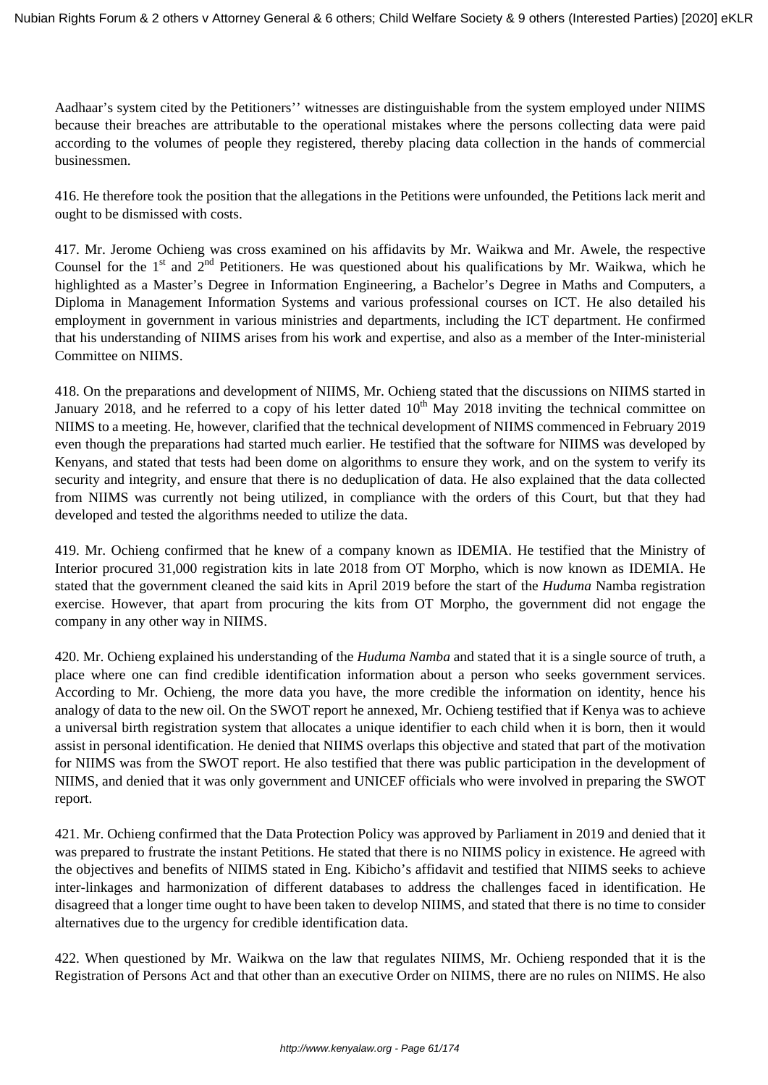Aadhaar's system cited by the Petitioners'' witnesses are distinguishable from the system employed under NIIMS because their breaches are attributable to the operational mistakes where the persons collecting data were paid according to the volumes of people they registered, thereby placing data collection in the hands of commercial businessmen.

416. He therefore took the position that the allegations in the Petitions were unfounded, the Petitions lack merit and ought to be dismissed with costs.

417. Mr. Jerome Ochieng was cross examined on his affidavits by Mr. Waikwa and Mr. Awele, the respective Counsel for the  $1<sup>st</sup>$  and  $2<sup>nd</sup>$  Petitioners. He was questioned about his qualifications by Mr. Waikwa, which he highlighted as a Master's Degree in Information Engineering, a Bachelor's Degree in Maths and Computers, a Diploma in Management Information Systems and various professional courses on ICT. He also detailed his employment in government in various ministries and departments, including the ICT department. He confirmed that his understanding of NIIMS arises from his work and expertise, and also as a member of the Inter-ministerial Committee on NIIMS.

418. On the preparations and development of NIIMS, Mr. Ochieng stated that the discussions on NIIMS started in January 2018, and he referred to a copy of his letter dated  $10<sup>th</sup>$  May 2018 inviting the technical committee on NIIMS to a meeting. He, however, clarified that the technical development of NIIMS commenced in February 2019 even though the preparations had started much earlier. He testified that the software for NIIMS was developed by Kenyans, and stated that tests had been dome on algorithms to ensure they work, and on the system to verify its security and integrity, and ensure that there is no deduplication of data. He also explained that the data collected from NIIMS was currently not being utilized, in compliance with the orders of this Court, but that they had developed and tested the algorithms needed to utilize the data.

419. Mr. Ochieng confirmed that he knew of a company known as IDEMIA. He testified that the Ministry of Interior procured 31,000 registration kits in late 2018 from OT Morpho, which is now known as IDEMIA. He stated that the government cleaned the said kits in April 2019 before the start of the *Huduma* Namba registration exercise. However, that apart from procuring the kits from OT Morpho, the government did not engage the company in any other way in NIIMS.

420. Mr. Ochieng explained his understanding of the *Huduma Namba* and stated that it is a single source of truth, a place where one can find credible identification information about a person who seeks government services. According to Mr. Ochieng, the more data you have, the more credible the information on identity, hence his analogy of data to the new oil. On the SWOT report he annexed, Mr. Ochieng testified that if Kenya was to achieve a universal birth registration system that allocates a unique identifier to each child when it is born, then it would assist in personal identification. He denied that NIIMS overlaps this objective and stated that part of the motivation for NIIMS was from the SWOT report. He also testified that there was public participation in the development of NIIMS, and denied that it was only government and UNICEF officials who were involved in preparing the SWOT report.

421. Mr. Ochieng confirmed that the Data Protection Policy was approved by Parliament in 2019 and denied that it was prepared to frustrate the instant Petitions. He stated that there is no NIIMS policy in existence. He agreed with the objectives and benefits of NIIMS stated in Eng. Kibicho's affidavit and testified that NIIMS seeks to achieve inter-linkages and harmonization of different databases to address the challenges faced in identification. He disagreed that a longer time ought to have been taken to develop NIIMS, and stated that there is no time to consider alternatives due to the urgency for credible identification data.

422. When questioned by Mr. Waikwa on the law that regulates NIIMS, Mr. Ochieng responded that it is the Registration of Persons Act and that other than an executive Order on NIIMS, there are no rules on NIIMS. He also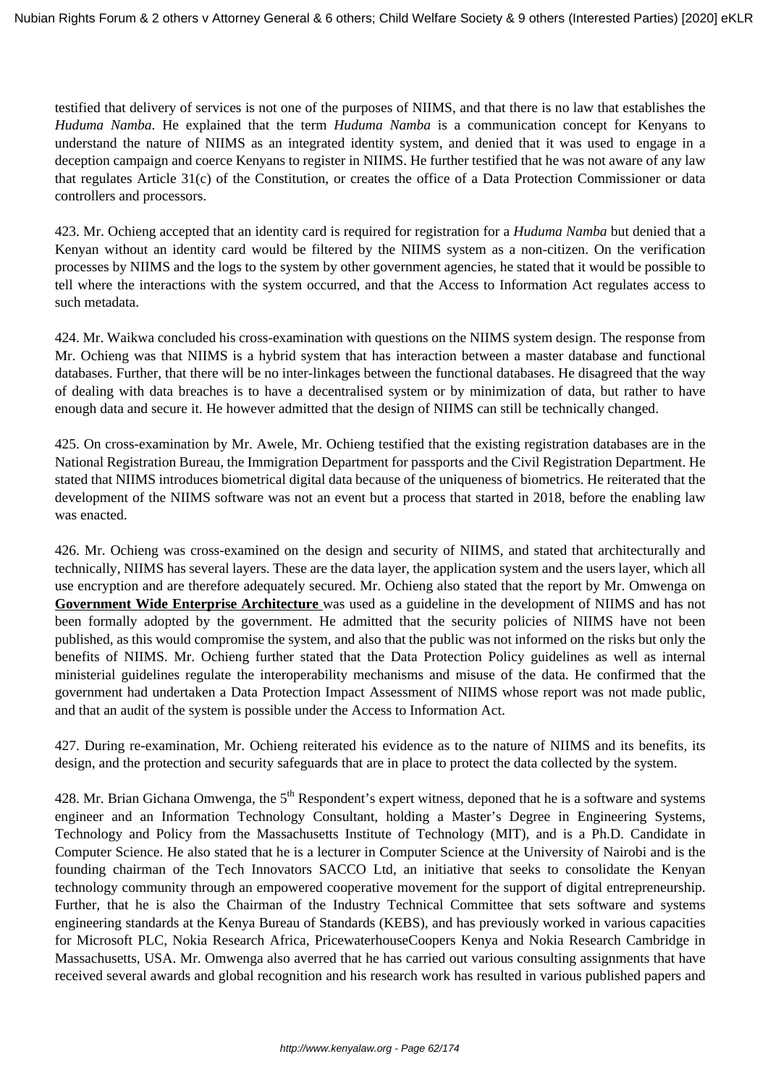testified that delivery of services is not one of the purposes of NIIMS, and that there is no law that establishes the *Huduma Namba*. He explained that the term *Huduma Namba* is a communication concept for Kenyans to understand the nature of NIIMS as an integrated identity system, and denied that it was used to engage in a deception campaign and coerce Kenyans to register in NIIMS. He further testified that he was not aware of any law that regulates Article 31(c) of the Constitution, or creates the office of a Data Protection Commissioner or data controllers and processors.

423. Mr. Ochieng accepted that an identity card is required for registration for a *Huduma Namba* but denied that a Kenyan without an identity card would be filtered by the NIIMS system as a non-citizen. On the verification processes by NIIMS and the logs to the system by other government agencies, he stated that it would be possible to tell where the interactions with the system occurred, and that the Access to Information Act regulates access to such metadata.

424. Mr. Waikwa concluded his cross-examination with questions on the NIIMS system design. The response from Mr. Ochieng was that NIIMS is a hybrid system that has interaction between a master database and functional databases. Further, that there will be no inter-linkages between the functional databases. He disagreed that the way of dealing with data breaches is to have a decentralised system or by minimization of data, but rather to have enough data and secure it. He however admitted that the design of NIIMS can still be technically changed.

425. On cross-examination by Mr. Awele, Mr. Ochieng testified that the existing registration databases are in the National Registration Bureau, the Immigration Department for passports and the Civil Registration Department. He stated that NIIMS introduces biometrical digital data because of the uniqueness of biometrics. He reiterated that the development of the NIIMS software was not an event but a process that started in 2018, before the enabling law was enacted.

426. Mr. Ochieng was cross-examined on the design and security of NIIMS, and stated that architecturally and technically, NIIMS has several layers. These are the data layer, the application system and the users layer, which all use encryption and are therefore adequately secured. Mr. Ochieng also stated that the report by Mr. Omwenga on **Government Wide Enterprise Architecture** was used as a guideline in the development of NIIMS and has not been formally adopted by the government. He admitted that the security policies of NIIMS have not been published, as this would compromise the system, and also that the public was not informed on the risks but only the benefits of NIIMS. Mr. Ochieng further stated that the Data Protection Policy guidelines as well as internal ministerial guidelines regulate the interoperability mechanisms and misuse of the data. He confirmed that the government had undertaken a Data Protection Impact Assessment of NIIMS whose report was not made public, and that an audit of the system is possible under the Access to Information Act.

427. During re-examination, Mr. Ochieng reiterated his evidence as to the nature of NIIMS and its benefits, its design, and the protection and security safeguards that are in place to protect the data collected by the system.

428. Mr. Brian Gichana Omwenga, the 5<sup>th</sup> Respondent's expert witness, deponed that he is a software and systems engineer and an Information Technology Consultant, holding a Master's Degree in Engineering Systems, Technology and Policy from the Massachusetts Institute of Technology (MIT), and is a Ph.D. Candidate in Computer Science. He also stated that he is a lecturer in Computer Science at the University of Nairobi and is the founding chairman of the Tech Innovators SACCO Ltd, an initiative that seeks to consolidate the Kenyan technology community through an empowered cooperative movement for the support of digital entrepreneurship. Further, that he is also the Chairman of the Industry Technical Committee that sets software and systems engineering standards at the Kenya Bureau of Standards (KEBS), and has previously worked in various capacities for Microsoft PLC, Nokia Research Africa, PricewaterhouseCoopers Kenya and Nokia Research Cambridge in Massachusetts, USA. Mr. Omwenga also averred that he has carried out various consulting assignments that have received several awards and global recognition and his research work has resulted in various published papers and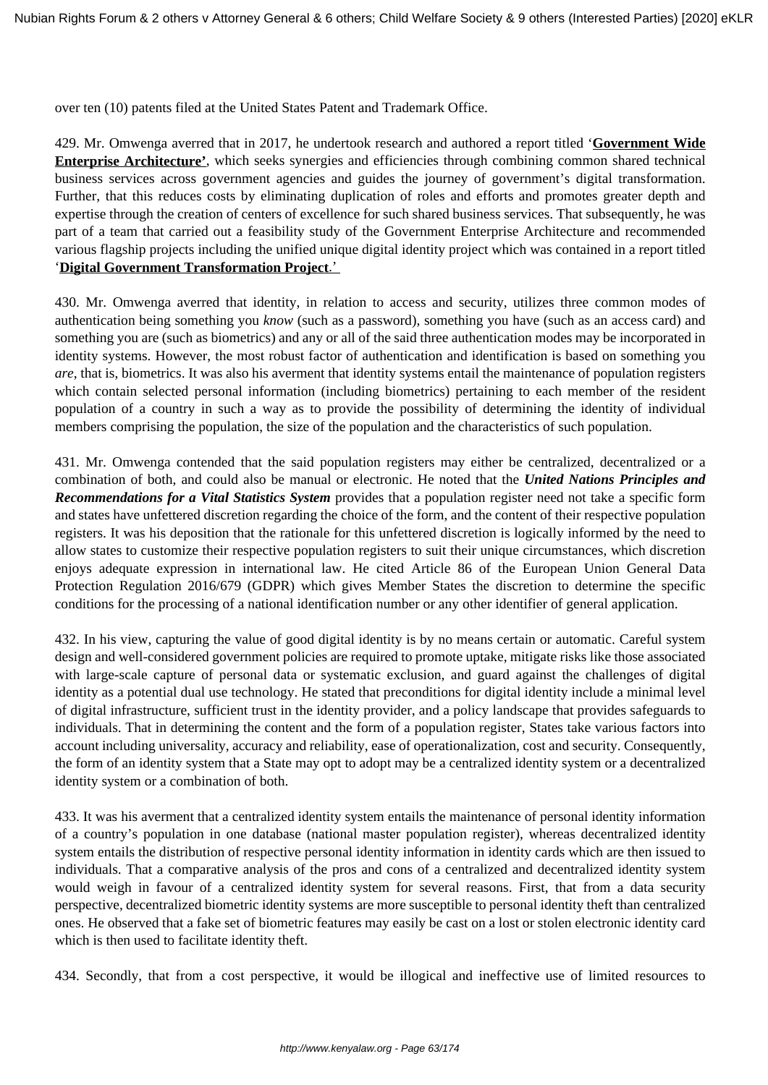over ten (10) patents filed at the United States Patent and Trademark Office.

429. Mr. Omwenga averred that in 2017, he undertook research and authored a report titled '**Government Wide Enterprise Architecture'**, which seeks synergies and efficiencies through combining common shared technical business services across government agencies and guides the journey of government's digital transformation. Further, that this reduces costs by eliminating duplication of roles and efforts and promotes greater depth and expertise through the creation of centers of excellence for such shared business services. That subsequently, he was part of a team that carried out a feasibility study of the Government Enterprise Architecture and recommended various flagship projects including the unified unique digital identity project which was contained in a report titled '**Digital Government Transformation Project**.'

430. Mr. Omwenga averred that identity, in relation to access and security, utilizes three common modes of authentication being something you *know* (such as a password), something you have (such as an access card) and something you are (such as biometrics) and any or all of the said three authentication modes may be incorporated in identity systems. However, the most robust factor of authentication and identification is based on something you *are*, that is, biometrics. It was also his averment that identity systems entail the maintenance of population registers which contain selected personal information (including biometrics) pertaining to each member of the resident population of a country in such a way as to provide the possibility of determining the identity of individual members comprising the population, the size of the population and the characteristics of such population.

431. Mr. Omwenga contended that the said population registers may either be centralized, decentralized or a combination of both, and could also be manual or electronic. He noted that the *United Nations Principles and Recommendations for a Vital Statistics System* provides that a population register need not take a specific form and states have unfettered discretion regarding the choice of the form, and the content of their respective population registers. It was his deposition that the rationale for this unfettered discretion is logically informed by the need to allow states to customize their respective population registers to suit their unique circumstances, which discretion enjoys adequate expression in international law. He cited Article 86 of the European Union General Data Protection Regulation 2016/679 (GDPR) which gives Member States the discretion to determine the specific conditions for the processing of a national identification number or any other identifier of general application.

432. In his view, capturing the value of good digital identity is by no means certain or automatic. Careful system design and well-considered government policies are required to promote uptake, mitigate risks like those associated with large-scale capture of personal data or systematic exclusion, and guard against the challenges of digital identity as a potential dual use technology. He stated that preconditions for digital identity include a minimal level of digital infrastructure, sufficient trust in the identity provider, and a policy landscape that provides safeguards to individuals. That in determining the content and the form of a population register, States take various factors into account including universality, accuracy and reliability, ease of operationalization, cost and security. Consequently, the form of an identity system that a State may opt to adopt may be a centralized identity system or a decentralized identity system or a combination of both.

433. It was his averment that a centralized identity system entails the maintenance of personal identity information of a country's population in one database (national master population register), whereas decentralized identity system entails the distribution of respective personal identity information in identity cards which are then issued to individuals. That a comparative analysis of the pros and cons of a centralized and decentralized identity system would weigh in favour of a centralized identity system for several reasons. First, that from a data security perspective, decentralized biometric identity systems are more susceptible to personal identity theft than centralized ones. He observed that a fake set of biometric features may easily be cast on a lost or stolen electronic identity card which is then used to facilitate identity theft.

434. Secondly, that from a cost perspective, it would be illogical and ineffective use of limited resources to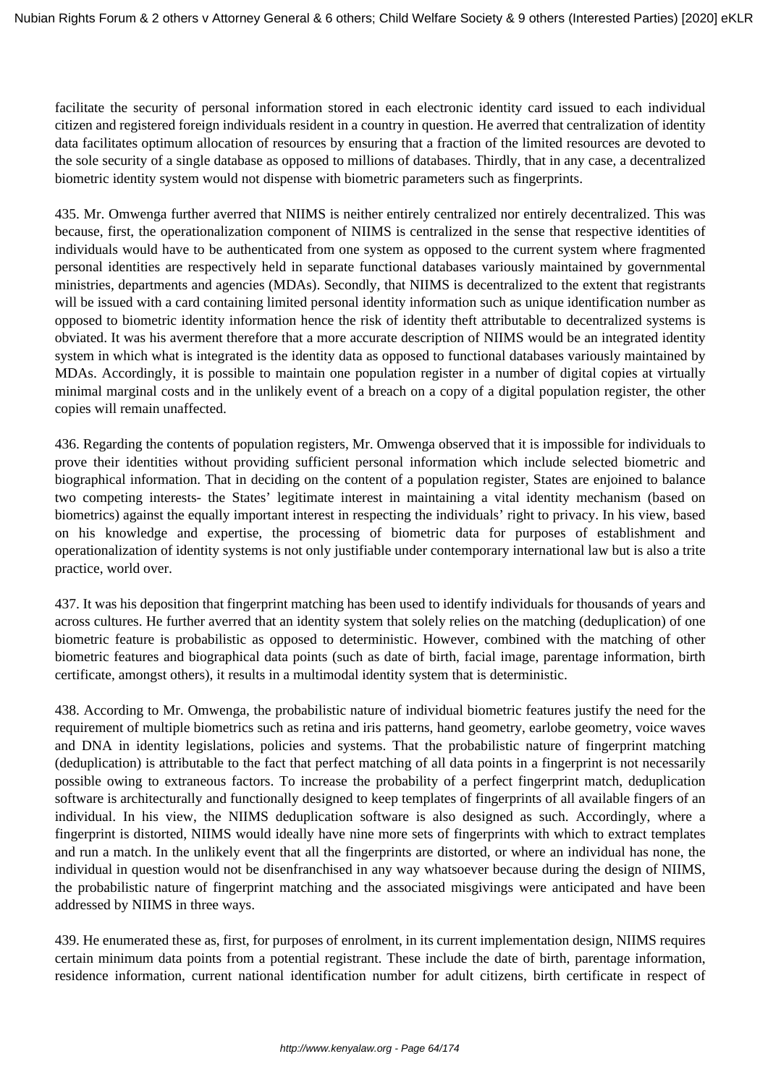facilitate the security of personal information stored in each electronic identity card issued to each individual citizen and registered foreign individuals resident in a country in question. He averred that centralization of identity data facilitates optimum allocation of resources by ensuring that a fraction of the limited resources are devoted to the sole security of a single database as opposed to millions of databases. Thirdly, that in any case, a decentralized biometric identity system would not dispense with biometric parameters such as fingerprints.

435. Mr. Omwenga further averred that NIIMS is neither entirely centralized nor entirely decentralized. This was because, first, the operationalization component of NIIMS is centralized in the sense that respective identities of individuals would have to be authenticated from one system as opposed to the current system where fragmented personal identities are respectively held in separate functional databases variously maintained by governmental ministries, departments and agencies (MDAs). Secondly, that NIIMS is decentralized to the extent that registrants will be issued with a card containing limited personal identity information such as unique identification number as opposed to biometric identity information hence the risk of identity theft attributable to decentralized systems is obviated. It was his averment therefore that a more accurate description of NIIMS would be an integrated identity system in which what is integrated is the identity data as opposed to functional databases variously maintained by MDAs. Accordingly, it is possible to maintain one population register in a number of digital copies at virtually minimal marginal costs and in the unlikely event of a breach on a copy of a digital population register, the other copies will remain unaffected.

436. Regarding the contents of population registers, Mr. Omwenga observed that it is impossible for individuals to prove their identities without providing sufficient personal information which include selected biometric and biographical information. That in deciding on the content of a population register, States are enjoined to balance two competing interests- the States' legitimate interest in maintaining a vital identity mechanism (based on biometrics) against the equally important interest in respecting the individuals' right to privacy. In his view, based on his knowledge and expertise, the processing of biometric data for purposes of establishment and operationalization of identity systems is not only justifiable under contemporary international law but is also a trite practice, world over.

437. It was his deposition that fingerprint matching has been used to identify individuals for thousands of years and across cultures. He further averred that an identity system that solely relies on the matching (deduplication) of one biometric feature is probabilistic as opposed to deterministic. However, combined with the matching of other biometric features and biographical data points (such as date of birth, facial image, parentage information, birth certificate, amongst others), it results in a multimodal identity system that is deterministic.

438. According to Mr. Omwenga, the probabilistic nature of individual biometric features justify the need for the requirement of multiple biometrics such as retina and iris patterns, hand geometry, earlobe geometry, voice waves and DNA in identity legislations, policies and systems. That the probabilistic nature of fingerprint matching (deduplication) is attributable to the fact that perfect matching of all data points in a fingerprint is not necessarily possible owing to extraneous factors. To increase the probability of a perfect fingerprint match, deduplication software is architecturally and functionally designed to keep templates of fingerprints of all available fingers of an individual. In his view, the NIIMS deduplication software is also designed as such. Accordingly, where a fingerprint is distorted, NIIMS would ideally have nine more sets of fingerprints with which to extract templates and run a match. In the unlikely event that all the fingerprints are distorted, or where an individual has none, the individual in question would not be disenfranchised in any way whatsoever because during the design of NIIMS, the probabilistic nature of fingerprint matching and the associated misgivings were anticipated and have been addressed by NIIMS in three ways.

439. He enumerated these as, first, for purposes of enrolment, in its current implementation design, NIIMS requires certain minimum data points from a potential registrant. These include the date of birth, parentage information, residence information, current national identification number for adult citizens, birth certificate in respect of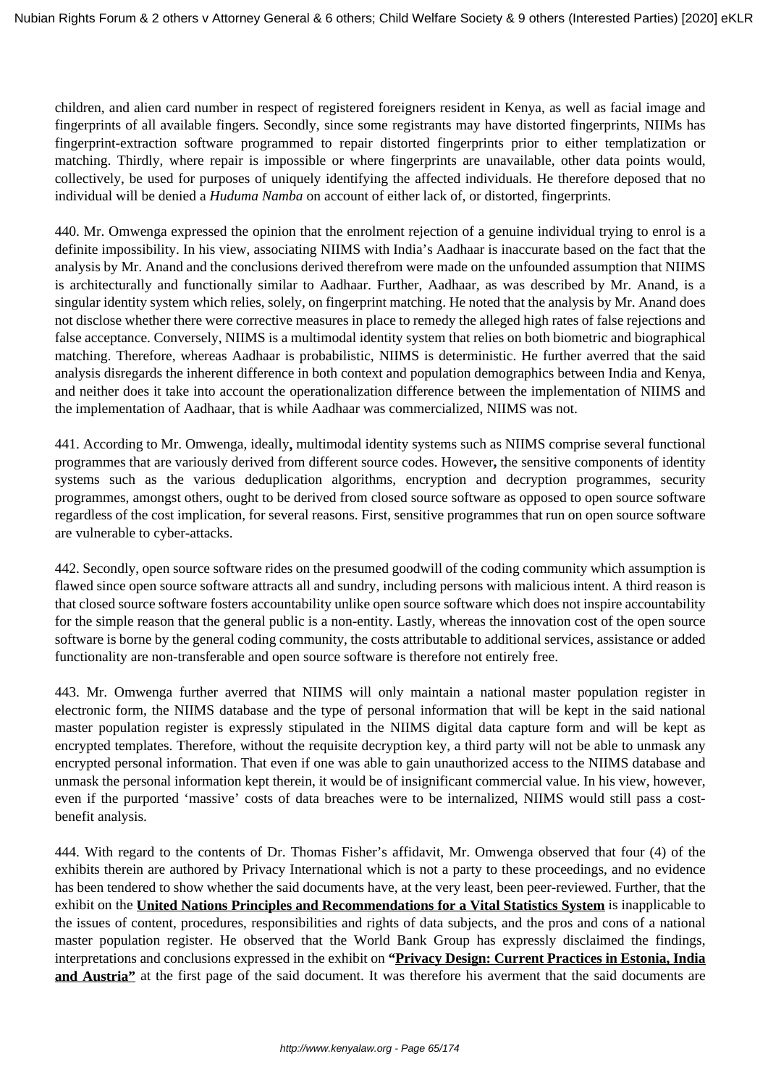children, and alien card number in respect of registered foreigners resident in Kenya, as well as facial image and fingerprints of all available fingers. Secondly, since some registrants may have distorted fingerprints, NIIMs has fingerprint-extraction software programmed to repair distorted fingerprints prior to either templatization or matching. Thirdly, where repair is impossible or where fingerprints are unavailable, other data points would, collectively, be used for purposes of uniquely identifying the affected individuals. He therefore deposed that no individual will be denied a *Huduma Namba* on account of either lack of, or distorted, fingerprints.

440. Mr. Omwenga expressed the opinion that the enrolment rejection of a genuine individual trying to enrol is a definite impossibility. In his view, associating NIIMS with India's Aadhaar is inaccurate based on the fact that the analysis by Mr. Anand and the conclusions derived therefrom were made on the unfounded assumption that NIIMS is architecturally and functionally similar to Aadhaar. Further, Aadhaar, as was described by Mr. Anand, is a singular identity system which relies, solely, on fingerprint matching. He noted that the analysis by Mr. Anand does not disclose whether there were corrective measures in place to remedy the alleged high rates of false rejections and false acceptance. Conversely, NIIMS is a multimodal identity system that relies on both biometric and biographical matching. Therefore, whereas Aadhaar is probabilistic, NIIMS is deterministic. He further averred that the said analysis disregards the inherent difference in both context and population demographics between India and Kenya, and neither does it take into account the operationalization difference between the implementation of NIIMS and the implementation of Aadhaar, that is while Aadhaar was commercialized, NIIMS was not.

441. According to Mr. Omwenga, ideally**,** multimodal identity systems such as NIIMS comprise several functional programmes that are variously derived from different source codes. However**,** the sensitive components of identity systems such as the various deduplication algorithms, encryption and decryption programmes, security programmes, amongst others, ought to be derived from closed source software as opposed to open source software regardless of the cost implication, for several reasons. First, sensitive programmes that run on open source software are vulnerable to cyber-attacks.

442. Secondly, open source software rides on the presumed goodwill of the coding community which assumption is flawed since open source software attracts all and sundry, including persons with malicious intent. A third reason is that closed source software fosters accountability unlike open source software which does not inspire accountability for the simple reason that the general public is a non-entity. Lastly, whereas the innovation cost of the open source software is borne by the general coding community, the costs attributable to additional services, assistance or added functionality are non-transferable and open source software is therefore not entirely free.

443. Mr. Omwenga further averred that NIIMS will only maintain a national master population register in electronic form, the NIIMS database and the type of personal information that will be kept in the said national master population register is expressly stipulated in the NIIMS digital data capture form and will be kept as encrypted templates. Therefore, without the requisite decryption key, a third party will not be able to unmask any encrypted personal information. That even if one was able to gain unauthorized access to the NIIMS database and unmask the personal information kept therein, it would be of insignificant commercial value. In his view, however, even if the purported 'massive' costs of data breaches were to be internalized, NIIMS would still pass a costbenefit analysis.

444. With regard to the contents of Dr. Thomas Fisher's affidavit, Mr. Omwenga observed that four (4) of the exhibits therein are authored by Privacy International which is not a party to these proceedings, and no evidence has been tendered to show whether the said documents have, at the very least, been peer-reviewed. Further, that the exhibit on the **United Nations Principles and Recommendations for a Vital Statistics System** is inapplicable to the issues of content, procedures, responsibilities and rights of data subjects, and the pros and cons of a national master population register. He observed that the World Bank Group has expressly disclaimed the findings, interpretations and conclusions expressed in the exhibit on **"Privacy Design: Current Practices in Estonia, India and Austria"** at the first page of the said document. It was therefore his averment that the said documents are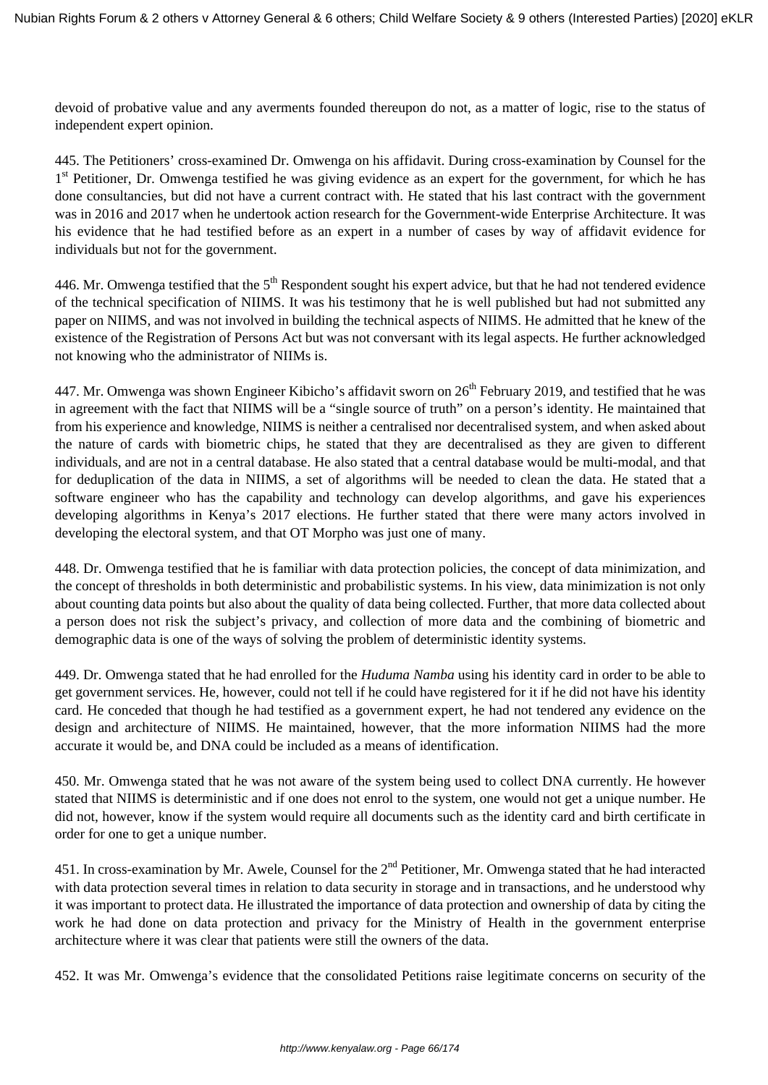devoid of probative value and any averments founded thereupon do not, as a matter of logic, rise to the status of independent expert opinion.

445. The Petitioners' cross-examined Dr. Omwenga on his affidavit. During cross-examination by Counsel for the 1<sup>st</sup> Petitioner, Dr. Omwenga testified he was giving evidence as an expert for the government, for which he has done consultancies, but did not have a current contract with. He stated that his last contract with the government was in 2016 and 2017 when he undertook action research for the Government-wide Enterprise Architecture. It was his evidence that he had testified before as an expert in a number of cases by way of affidavit evidence for individuals but not for the government.

446. Mr. Omwenga testified that the  $5<sup>th</sup>$  Respondent sought his expert advice, but that he had not tendered evidence of the technical specification of NIIMS. It was his testimony that he is well published but had not submitted any paper on NIIMS, and was not involved in building the technical aspects of NIIMS. He admitted that he knew of the existence of the Registration of Persons Act but was not conversant with its legal aspects. He further acknowledged not knowing who the administrator of NIIMs is.

447. Mr. Omwenga was shown Engineer Kibicho's affidavit sworn on  $26<sup>th</sup>$  February 2019, and testified that he was in agreement with the fact that NIIMS will be a "single source of truth" on a person's identity. He maintained that from his experience and knowledge, NIIMS is neither a centralised nor decentralised system, and when asked about the nature of cards with biometric chips, he stated that they are decentralised as they are given to different individuals, and are not in a central database. He also stated that a central database would be multi-modal, and that for deduplication of the data in NIIMS, a set of algorithms will be needed to clean the data. He stated that a software engineer who has the capability and technology can develop algorithms, and gave his experiences developing algorithms in Kenya's 2017 elections. He further stated that there were many actors involved in developing the electoral system, and that OT Morpho was just one of many.

448. Dr. Omwenga testified that he is familiar with data protection policies, the concept of data minimization, and the concept of thresholds in both deterministic and probabilistic systems. In his view, data minimization is not only about counting data points but also about the quality of data being collected. Further, that more data collected about a person does not risk the subject's privacy, and collection of more data and the combining of biometric and demographic data is one of the ways of solving the problem of deterministic identity systems.

449. Dr. Omwenga stated that he had enrolled for the *Huduma Namba* using his identity card in order to be able to get government services. He, however, could not tell if he could have registered for it if he did not have his identity card. He conceded that though he had testified as a government expert, he had not tendered any evidence on the design and architecture of NIIMS. He maintained, however, that the more information NIIMS had the more accurate it would be, and DNA could be included as a means of identification.

450. Mr. Omwenga stated that he was not aware of the system being used to collect DNA currently. He however stated that NIIMS is deterministic and if one does not enrol to the system, one would not get a unique number. He did not, however, know if the system would require all documents such as the identity card and birth certificate in order for one to get a unique number.

451. In cross-examination by Mr. Awele, Counsel for the 2<sup>nd</sup> Petitioner, Mr. Omwenga stated that he had interacted with data protection several times in relation to data security in storage and in transactions, and he understood why it was important to protect data. He illustrated the importance of data protection and ownership of data by citing the work he had done on data protection and privacy for the Ministry of Health in the government enterprise architecture where it was clear that patients were still the owners of the data.

452. It was Mr. Omwenga's evidence that the consolidated Petitions raise legitimate concerns on security of the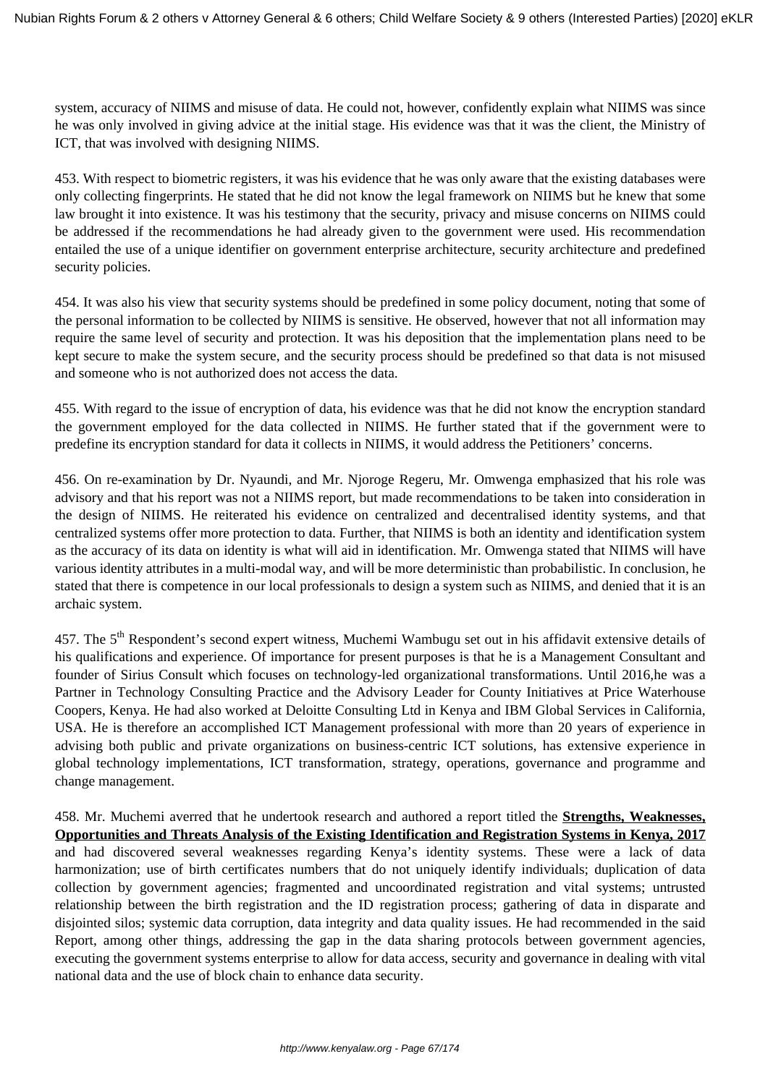system, accuracy of NIIMS and misuse of data. He could not, however, confidently explain what NIIMS was since he was only involved in giving advice at the initial stage. His evidence was that it was the client, the Ministry of ICT, that was involved with designing NIIMS.

453. With respect to biometric registers, it was his evidence that he was only aware that the existing databases were only collecting fingerprints. He stated that he did not know the legal framework on NIIMS but he knew that some law brought it into existence. It was his testimony that the security, privacy and misuse concerns on NIIMS could be addressed if the recommendations he had already given to the government were used. His recommendation entailed the use of a unique identifier on government enterprise architecture, security architecture and predefined security policies.

454. It was also his view that security systems should be predefined in some policy document, noting that some of the personal information to be collected by NIIMS is sensitive. He observed, however that not all information may require the same level of security and protection. It was his deposition that the implementation plans need to be kept secure to make the system secure, and the security process should be predefined so that data is not misused and someone who is not authorized does not access the data.

455. With regard to the issue of encryption of data, his evidence was that he did not know the encryption standard the government employed for the data collected in NIIMS. He further stated that if the government were to predefine its encryption standard for data it collects in NIIMS, it would address the Petitioners' concerns.

456. On re-examination by Dr. Nyaundi, and Mr. Njoroge Regeru, Mr. Omwenga emphasized that his role was advisory and that his report was not a NIIMS report, but made recommendations to be taken into consideration in the design of NIIMS. He reiterated his evidence on centralized and decentralised identity systems, and that centralized systems offer more protection to data. Further, that NIIMS is both an identity and identification system as the accuracy of its data on identity is what will aid in identification. Mr. Omwenga stated that NIIMS will have various identity attributes in a multi-modal way, and will be more deterministic than probabilistic. In conclusion, he stated that there is competence in our local professionals to design a system such as NIIMS, and denied that it is an archaic system.

457. The 5<sup>th</sup> Respondent's second expert witness, Muchemi Wambugu set out in his affidavit extensive details of his qualifications and experience. Of importance for present purposes is that he is a Management Consultant and founder of Sirius Consult which focuses on technology-led organizational transformations. Until 2016,he was a Partner in Technology Consulting Practice and the Advisory Leader for County Initiatives at Price Waterhouse Coopers, Kenya. He had also worked at Deloitte Consulting Ltd in Kenya and IBM Global Services in California, USA. He is therefore an accomplished ICT Management professional with more than 20 years of experience in advising both public and private organizations on business-centric ICT solutions, has extensive experience in global technology implementations, ICT transformation, strategy, operations, governance and programme and change management.

458. Mr. Muchemi averred that he undertook research and authored a report titled the **Strengths, Weaknesses, Opportunities and Threats Analysis of the Existing Identification and Registration Systems in Kenya, 2017** and had discovered several weaknesses regarding Kenya's identity systems. These were a lack of data harmonization; use of birth certificates numbers that do not uniquely identify individuals; duplication of data collection by government agencies; fragmented and uncoordinated registration and vital systems; untrusted relationship between the birth registration and the ID registration process; gathering of data in disparate and disjointed silos; systemic data corruption, data integrity and data quality issues. He had recommended in the said Report, among other things, addressing the gap in the data sharing protocols between government agencies, executing the government systems enterprise to allow for data access, security and governance in dealing with vital national data and the use of block chain to enhance data security.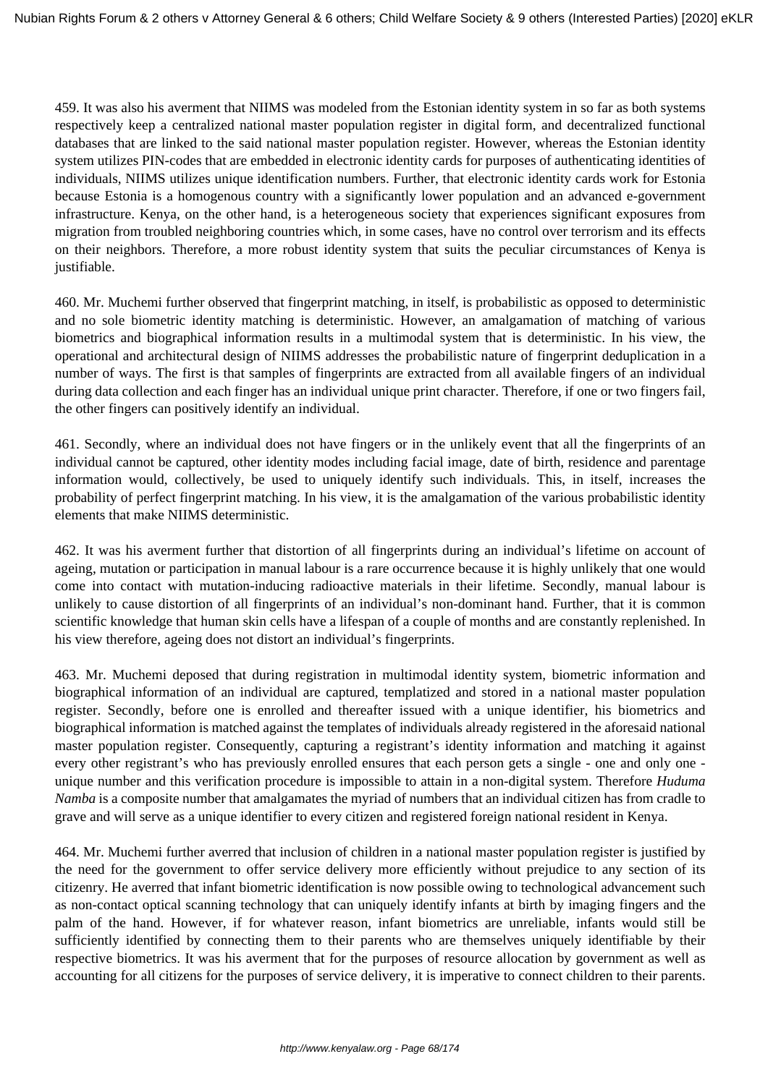459. It was also his averment that NIIMS was modeled from the Estonian identity system in so far as both systems respectively keep a centralized national master population register in digital form, and decentralized functional databases that are linked to the said national master population register. However, whereas the Estonian identity system utilizes PIN-codes that are embedded in electronic identity cards for purposes of authenticating identities of individuals, NIIMS utilizes unique identification numbers. Further, that electronic identity cards work for Estonia because Estonia is a homogenous country with a significantly lower population and an advanced e-government infrastructure. Kenya, on the other hand, is a heterogeneous society that experiences significant exposures from migration from troubled neighboring countries which, in some cases, have no control over terrorism and its effects on their neighbors. Therefore, a more robust identity system that suits the peculiar circumstances of Kenya is justifiable.

460. Mr. Muchemi further observed that fingerprint matching, in itself, is probabilistic as opposed to deterministic and no sole biometric identity matching is deterministic. However, an amalgamation of matching of various biometrics and biographical information results in a multimodal system that is deterministic. In his view, the operational and architectural design of NIIMS addresses the probabilistic nature of fingerprint deduplication in a number of ways. The first is that samples of fingerprints are extracted from all available fingers of an individual during data collection and each finger has an individual unique print character. Therefore, if one or two fingers fail, the other fingers can positively identify an individual.

461. Secondly, where an individual does not have fingers or in the unlikely event that all the fingerprints of an individual cannot be captured, other identity modes including facial image, date of birth, residence and parentage information would, collectively, be used to uniquely identify such individuals. This, in itself, increases the probability of perfect fingerprint matching. In his view, it is the amalgamation of the various probabilistic identity elements that make NIIMS deterministic.

462. It was his averment further that distortion of all fingerprints during an individual's lifetime on account of ageing, mutation or participation in manual labour is a rare occurrence because it is highly unlikely that one would come into contact with mutation-inducing radioactive materials in their lifetime. Secondly, manual labour is unlikely to cause distortion of all fingerprints of an individual's non-dominant hand. Further, that it is common scientific knowledge that human skin cells have a lifespan of a couple of months and are constantly replenished. In his view therefore, ageing does not distort an individual's fingerprints.

463. Mr. Muchemi deposed that during registration in multimodal identity system, biometric information and biographical information of an individual are captured, templatized and stored in a national master population register. Secondly, before one is enrolled and thereafter issued with a unique identifier, his biometrics and biographical information is matched against the templates of individuals already registered in the aforesaid national master population register. Consequently, capturing a registrant's identity information and matching it against every other registrant's who has previously enrolled ensures that each person gets a single - one and only one unique number and this verification procedure is impossible to attain in a non-digital system. Therefore *Huduma Namba* is a composite number that amalgamates the myriad of numbers that an individual citizen has from cradle to grave and will serve as a unique identifier to every citizen and registered foreign national resident in Kenya.

464. Mr. Muchemi further averred that inclusion of children in a national master population register is justified by the need for the government to offer service delivery more efficiently without prejudice to any section of its citizenry. He averred that infant biometric identification is now possible owing to technological advancement such as non-contact optical scanning technology that can uniquely identify infants at birth by imaging fingers and the palm of the hand. However, if for whatever reason, infant biometrics are unreliable, infants would still be sufficiently identified by connecting them to their parents who are themselves uniquely identifiable by their respective biometrics. It was his averment that for the purposes of resource allocation by government as well as accounting for all citizens for the purposes of service delivery, it is imperative to connect children to their parents.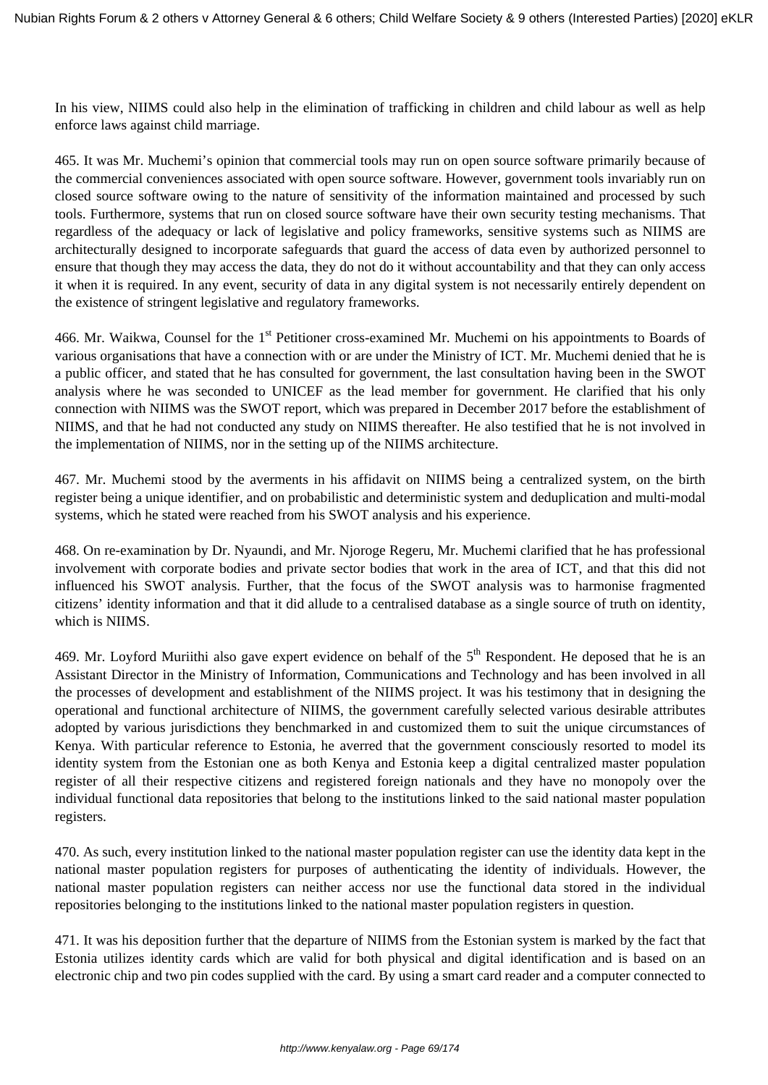In his view, NIIMS could also help in the elimination of trafficking in children and child labour as well as help enforce laws against child marriage.

465. It was Mr. Muchemi's opinion that commercial tools may run on open source software primarily because of the commercial conveniences associated with open source software. However, government tools invariably run on closed source software owing to the nature of sensitivity of the information maintained and processed by such tools. Furthermore, systems that run on closed source software have their own security testing mechanisms. That regardless of the adequacy or lack of legislative and policy frameworks, sensitive systems such as NIIMS are architecturally designed to incorporate safeguards that guard the access of data even by authorized personnel to ensure that though they may access the data, they do not do it without accountability and that they can only access it when it is required. In any event, security of data in any digital system is not necessarily entirely dependent on the existence of stringent legislative and regulatory frameworks.

466. Mr. Waikwa, Counsel for the 1<sup>st</sup> Petitioner cross-examined Mr. Muchemi on his appointments to Boards of various organisations that have a connection with or are under the Ministry of ICT. Mr. Muchemi denied that he is a public officer, and stated that he has consulted for government, the last consultation having been in the SWOT analysis where he was seconded to UNICEF as the lead member for government. He clarified that his only connection with NIIMS was the SWOT report, which was prepared in December 2017 before the establishment of NIIMS, and that he had not conducted any study on NIIMS thereafter. He also testified that he is not involved in the implementation of NIIMS, nor in the setting up of the NIIMS architecture.

467. Mr. Muchemi stood by the averments in his affidavit on NIIMS being a centralized system, on the birth register being a unique identifier, and on probabilistic and deterministic system and deduplication and multi-modal systems, which he stated were reached from his SWOT analysis and his experience.

468. On re-examination by Dr. Nyaundi, and Mr. Njoroge Regeru, Mr. Muchemi clarified that he has professional involvement with corporate bodies and private sector bodies that work in the area of ICT, and that this did not influenced his SWOT analysis. Further, that the focus of the SWOT analysis was to harmonise fragmented citizens' identity information and that it did allude to a centralised database as a single source of truth on identity, which is NIIMS.

469. Mr. Loyford Muriithi also gave expert evidence on behalf of the  $5<sup>th</sup>$  Respondent. He deposed that he is an Assistant Director in the Ministry of Information, Communications and Technology and has been involved in all the processes of development and establishment of the NIIMS project. It was his testimony that in designing the operational and functional architecture of NIIMS, the government carefully selected various desirable attributes adopted by various jurisdictions they benchmarked in and customized them to suit the unique circumstances of Kenya. With particular reference to Estonia, he averred that the government consciously resorted to model its identity system from the Estonian one as both Kenya and Estonia keep a digital centralized master population register of all their respective citizens and registered foreign nationals and they have no monopoly over the individual functional data repositories that belong to the institutions linked to the said national master population registers.

470. As such, every institution linked to the national master population register can use the identity data kept in the national master population registers for purposes of authenticating the identity of individuals. However, the national master population registers can neither access nor use the functional data stored in the individual repositories belonging to the institutions linked to the national master population registers in question.

471. It was his deposition further that the departure of NIIMS from the Estonian system is marked by the fact that Estonia utilizes identity cards which are valid for both physical and digital identification and is based on an electronic chip and two pin codes supplied with the card. By using a smart card reader and a computer connected to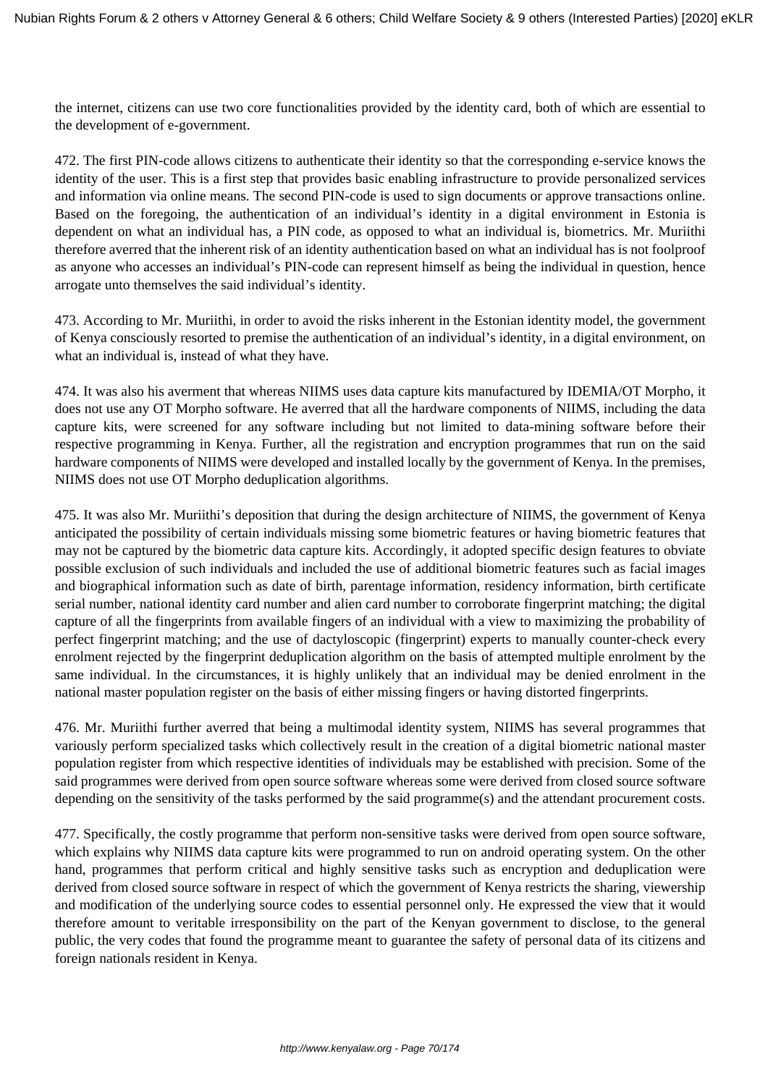the internet, citizens can use two core functionalities provided by the identity card, both of which are essential to the development of e-government.

472. The first PIN-code allows citizens to authenticate their identity so that the corresponding e-service knows the identity of the user. This is a first step that provides basic enabling infrastructure to provide personalized services and information via online means. The second PIN-code is used to sign documents or approve transactions online. Based on the foregoing, the authentication of an individual's identity in a digital environment in Estonia is dependent on what an individual has, a PIN code, as opposed to what an individual is, biometrics. Mr. Muriithi therefore averred that the inherent risk of an identity authentication based on what an individual has is not foolproof as anyone who accesses an individual's PIN-code can represent himself as being the individual in question, hence arrogate unto themselves the said individual's identity.

473. According to Mr. Muriithi, in order to avoid the risks inherent in the Estonian identity model, the government of Kenya consciously resorted to premise the authentication of an individual's identity, in a digital environment, on what an individual is, instead of what they have.

474. It was also his averment that whereas NIIMS uses data capture kits manufactured by IDEMIA/OT Morpho, it does not use any OT Morpho software. He averred that all the hardware components of NIIMS, including the data capture kits, were screened for any software including but not limited to data-mining software before their respective programming in Kenya. Further, all the registration and encryption programmes that run on the said hardware components of NIIMS were developed and installed locally by the government of Kenya. In the premises, NIIMS does not use OT Morpho deduplication algorithms.

475. It was also Mr. Muriithi's deposition that during the design architecture of NIIMS, the government of Kenya anticipated the possibility of certain individuals missing some biometric features or having biometric features that may not be captured by the biometric data capture kits. Accordingly, it adopted specific design features to obviate possible exclusion of such individuals and included the use of additional biometric features such as facial images and biographical information such as date of birth, parentage information, residency information, birth certificate serial number, national identity card number and alien card number to corroborate fingerprint matching; the digital capture of all the fingerprints from available fingers of an individual with a view to maximizing the probability of perfect fingerprint matching; and the use of dactyloscopic (fingerprint) experts to manually counter-check every enrolment rejected by the fingerprint deduplication algorithm on the basis of attempted multiple enrolment by the same individual. In the circumstances, it is highly unlikely that an individual may be denied enrolment in the national master population register on the basis of either missing fingers or having distorted fingerprints.

476. Mr. Muriithi further averred that being a multimodal identity system, NIIMS has several programmes that variously perform specialized tasks which collectively result in the creation of a digital biometric national master population register from which respective identities of individuals may be established with precision. Some of the said programmes were derived from open source software whereas some were derived from closed source software depending on the sensitivity of the tasks performed by the said programme(s) and the attendant procurement costs.

477. Specifically, the costly programme that perform non-sensitive tasks were derived from open source software, which explains why NIIMS data capture kits were programmed to run on android operating system. On the other hand, programmes that perform critical and highly sensitive tasks such as encryption and deduplication were derived from closed source software in respect of which the government of Kenya restricts the sharing, viewership and modification of the underlying source codes to essential personnel only. He expressed the view that it would therefore amount to veritable irresponsibility on the part of the Kenyan government to disclose, to the general public, the very codes that found the programme meant to guarantee the safety of personal data of its citizens and foreign nationals resident in Kenya.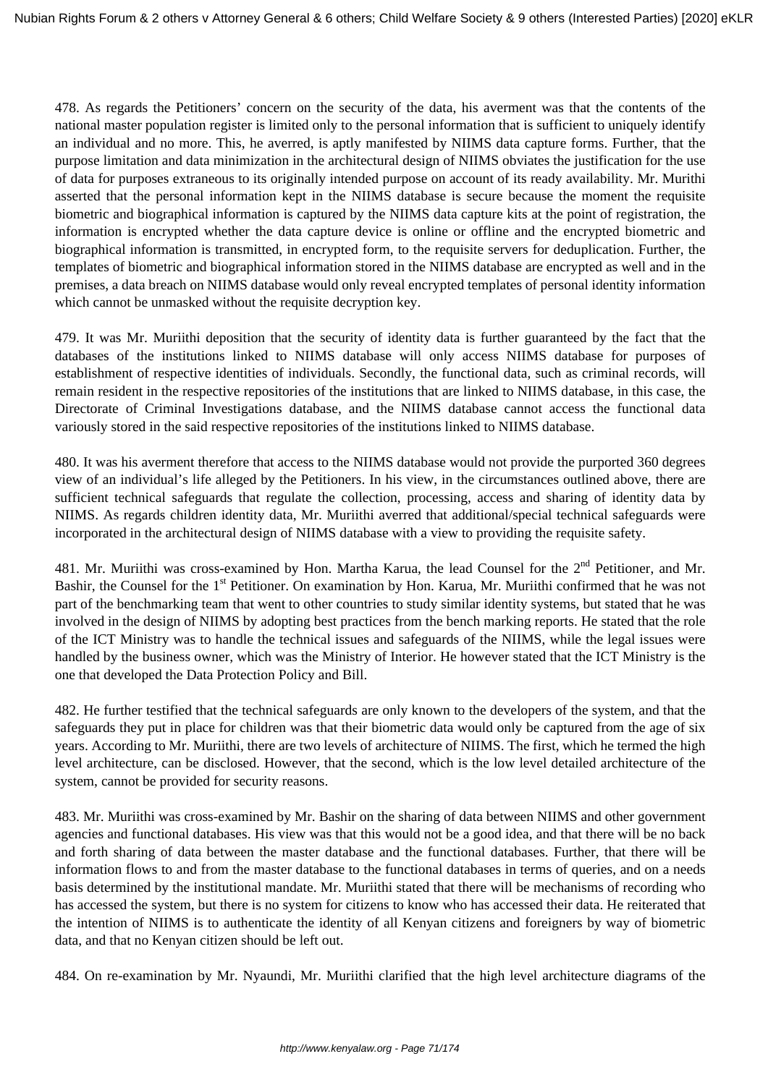478. As regards the Petitioners' concern on the security of the data, his averment was that the contents of the national master population register is limited only to the personal information that is sufficient to uniquely identify an individual and no more. This, he averred, is aptly manifested by NIIMS data capture forms. Further, that the purpose limitation and data minimization in the architectural design of NIIMS obviates the justification for the use of data for purposes extraneous to its originally intended purpose on account of its ready availability. Mr. Murithi asserted that the personal information kept in the NIIMS database is secure because the moment the requisite biometric and biographical information is captured by the NIIMS data capture kits at the point of registration, the information is encrypted whether the data capture device is online or offline and the encrypted biometric and biographical information is transmitted, in encrypted form, to the requisite servers for deduplication. Further, the templates of biometric and biographical information stored in the NIIMS database are encrypted as well and in the premises, a data breach on NIIMS database would only reveal encrypted templates of personal identity information which cannot be unmasked without the requisite decryption key.

479. It was Mr. Muriithi deposition that the security of identity data is further guaranteed by the fact that the databases of the institutions linked to NIIMS database will only access NIIMS database for purposes of establishment of respective identities of individuals. Secondly, the functional data, such as criminal records, will remain resident in the respective repositories of the institutions that are linked to NIIMS database, in this case, the Directorate of Criminal Investigations database, and the NIIMS database cannot access the functional data variously stored in the said respective repositories of the institutions linked to NIIMS database.

480. It was his averment therefore that access to the NIIMS database would not provide the purported 360 degrees view of an individual's life alleged by the Petitioners. In his view, in the circumstances outlined above, there are sufficient technical safeguards that regulate the collection, processing, access and sharing of identity data by NIIMS. As regards children identity data, Mr. Muriithi averred that additional/special technical safeguards were incorporated in the architectural design of NIIMS database with a view to providing the requisite safety.

481. Mr. Muriithi was cross-examined by Hon. Martha Karua, the lead Counsel for the 2<sup>nd</sup> Petitioner, and Mr. Bashir, the Counsel for the 1<sup>st</sup> Petitioner. On examination by Hon. Karua, Mr. Muriithi confirmed that he was not part of the benchmarking team that went to other countries to study similar identity systems, but stated that he was involved in the design of NIIMS by adopting best practices from the bench marking reports. He stated that the role of the ICT Ministry was to handle the technical issues and safeguards of the NIIMS, while the legal issues were handled by the business owner, which was the Ministry of Interior. He however stated that the ICT Ministry is the one that developed the Data Protection Policy and Bill.

482. He further testified that the technical safeguards are only known to the developers of the system, and that the safeguards they put in place for children was that their biometric data would only be captured from the age of six years. According to Mr. Muriithi, there are two levels of architecture of NIIMS. The first, which he termed the high level architecture, can be disclosed. However, that the second, which is the low level detailed architecture of the system, cannot be provided for security reasons.

483. Mr. Muriithi was cross-examined by Mr. Bashir on the sharing of data between NIIMS and other government agencies and functional databases. His view was that this would not be a good idea, and that there will be no back and forth sharing of data between the master database and the functional databases. Further, that there will be information flows to and from the master database to the functional databases in terms of queries, and on a needs basis determined by the institutional mandate. Mr. Muriithi stated that there will be mechanisms of recording who has accessed the system, but there is no system for citizens to know who has accessed their data. He reiterated that the intention of NIIMS is to authenticate the identity of all Kenyan citizens and foreigners by way of biometric data, and that no Kenyan citizen should be left out.

484. On re-examination by Mr. Nyaundi, Mr. Muriithi clarified that the high level architecture diagrams of the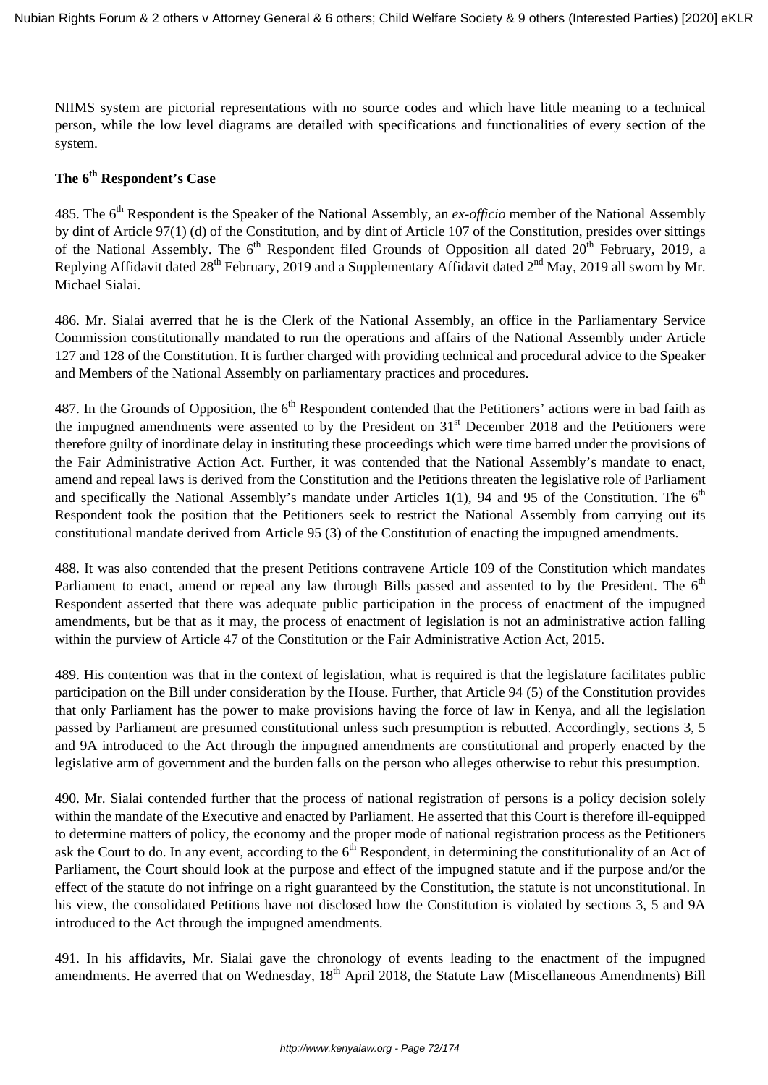NIIMS system are pictorial representations with no source codes and which have little meaning to a technical person, while the low level diagrams are detailed with specifications and functionalities of every section of the system.

### **The 6th Respondent's Case**

485. The 6<sup>th</sup> Respondent is the Speaker of the National Assembly, an *ex-officio* member of the National Assembly by dint of Article 97(1) (d) of the Constitution, and by dint of Article 107 of the Constitution, presides over sittings of the National Assembly. The  $6<sup>th</sup>$  Respondent filed Grounds of Opposition all dated  $20<sup>th</sup>$  February, 2019, a Replying Affidavit dated  $28^{th}$  February, 2019 and a Supplementary Affidavit dated  $2^{nd}$  May, 2019 all sworn by Mr. Michael Sialai.

486. Mr. Sialai averred that he is the Clerk of the National Assembly, an office in the Parliamentary Service Commission constitutionally mandated to run the operations and affairs of the National Assembly under Article 127 and 128 of the Constitution. It is further charged with providing technical and procedural advice to the Speaker and Members of the National Assembly on parliamentary practices and procedures.

487. In the Grounds of Opposition, the  $6<sup>th</sup>$  Respondent contended that the Petitioners' actions were in bad faith as the impugned amendments were assented to by the President on  $31<sup>st</sup>$  December 2018 and the Petitioners were therefore guilty of inordinate delay in instituting these proceedings which were time barred under the provisions of the Fair Administrative Action Act. Further, it was contended that the National Assembly's mandate to enact, amend and repeal laws is derived from the Constitution and the Petitions threaten the legislative role of Parliament and specifically the National Assembly's mandate under Articles 1(1), 94 and 95 of the Constitution. The  $6<sup>th</sup>$ Respondent took the position that the Petitioners seek to restrict the National Assembly from carrying out its constitutional mandate derived from Article 95 (3) of the Constitution of enacting the impugned amendments.

488. It was also contended that the present Petitions contravene Article 109 of the Constitution which mandates Parliament to enact, amend or repeal any law through Bills passed and assented to by the President. The 6<sup>th</sup> Respondent asserted that there was adequate public participation in the process of enactment of the impugned amendments, but be that as it may, the process of enactment of legislation is not an administrative action falling within the purview of Article 47 of the Constitution or the Fair Administrative Action Act, 2015.

489. His contention was that in the context of legislation, what is required is that the legislature facilitates public participation on the Bill under consideration by the House. Further, that Article 94 (5) of the Constitution provides that only Parliament has the power to make provisions having the force of law in Kenya, and all the legislation passed by Parliament are presumed constitutional unless such presumption is rebutted. Accordingly, sections 3, 5 and 9A introduced to the Act through the impugned amendments are constitutional and properly enacted by the legislative arm of government and the burden falls on the person who alleges otherwise to rebut this presumption.

490. Mr. Sialai contended further that the process of national registration of persons is a policy decision solely within the mandate of the Executive and enacted by Parliament. He asserted that this Court is therefore ill-equipped to determine matters of policy, the economy and the proper mode of national registration process as the Petitioners ask the Court to do. In any event, according to the  $6<sup>th</sup>$  Respondent, in determining the constitutionality of an Act of Parliament, the Court should look at the purpose and effect of the impugned statute and if the purpose and/or the effect of the statute do not infringe on a right guaranteed by the Constitution, the statute is not unconstitutional. In his view, the consolidated Petitions have not disclosed how the Constitution is violated by sections 3, 5 and 9A introduced to the Act through the impugned amendments.

491. In his affidavits, Mr. Sialai gave the chronology of events leading to the enactment of the impugned amendments. He averred that on Wednesday, 18<sup>th</sup> April 2018, the Statute Law (Miscellaneous Amendments) Bill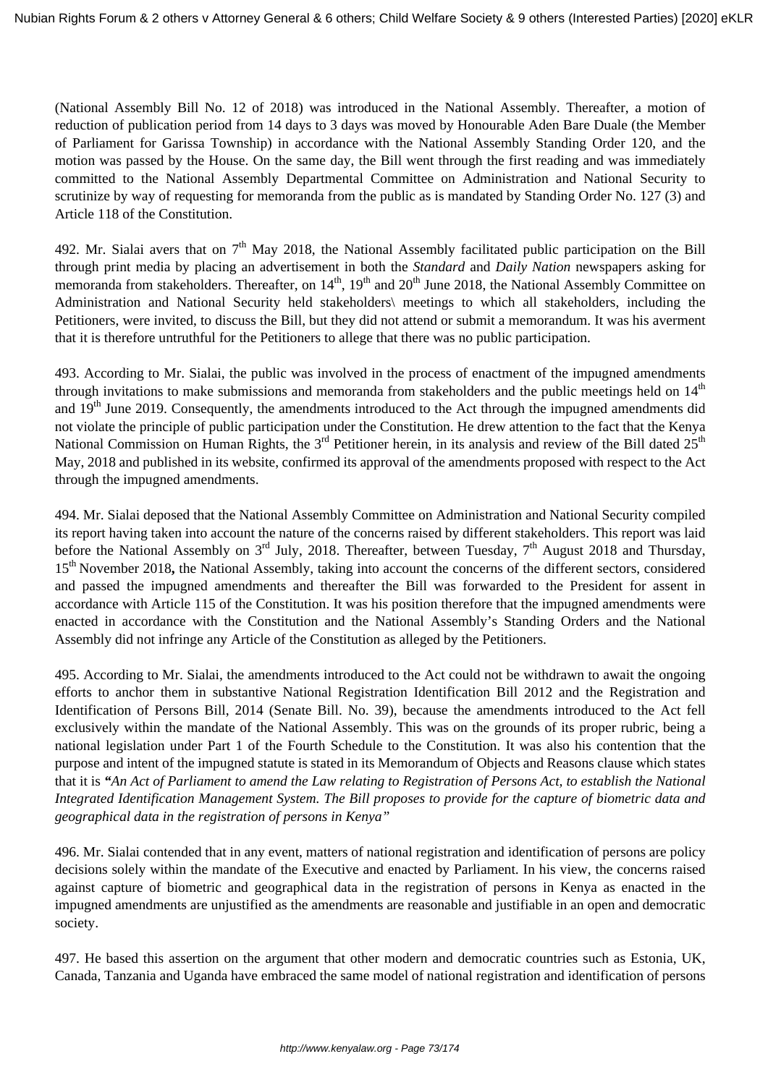(National Assembly Bill No. 12 of 2018) was introduced in the National Assembly. Thereafter, a motion of reduction of publication period from 14 days to 3 days was moved by Honourable Aden Bare Duale (the Member of Parliament for Garissa Township) in accordance with the National Assembly Standing Order 120, and the motion was passed by the House. On the same day, the Bill went through the first reading and was immediately committed to the National Assembly Departmental Committee on Administration and National Security to scrutinize by way of requesting for memoranda from the public as is mandated by Standing Order No. 127 (3) and Article 118 of the Constitution.

492. Mr. Sialai avers that on 7<sup>th</sup> May 2018, the National Assembly facilitated public participation on the Bill through print media by placing an advertisement in both the *Standard* and *Daily Nation* newspapers asking for memoranda from stakeholders. Thereafter, on 14<sup>th</sup>, 19<sup>th</sup> and 20<sup>th</sup> June 2018, the National Assembly Committee on Administration and National Security held stakeholders\ meetings to which all stakeholders, including the Petitioners, were invited, to discuss the Bill, but they did not attend or submit a memorandum. It was his averment that it is therefore untruthful for the Petitioners to allege that there was no public participation.

493. According to Mr. Sialai, the public was involved in the process of enactment of the impugned amendments through invitations to make submissions and memoranda from stakeholders and the public meetings held on  $14<sup>th</sup>$ and 19<sup>th</sup> June 2019. Consequently, the amendments introduced to the Act through the impugned amendments did not violate the principle of public participation under the Constitution. He drew attention to the fact that the Kenya National Commission on Human Rights, the 3<sup>rd</sup> Petitioner herein, in its analysis and review of the Bill dated 25<sup>th</sup> May, 2018 and published in its website, confirmed its approval of the amendments proposed with respect to the Act through the impugned amendments.

494. Mr. Sialai deposed that the National Assembly Committee on Administration and National Security compiled its report having taken into account the nature of the concerns raised by different stakeholders. This report was laid before the National Assembly on  $3<sup>rd</sup>$  July, 2018. Thereafter, between Tuesday,  $7<sup>th</sup>$  August 2018 and Thursday, 15<sup>th</sup> November 2018, the National Assembly, taking into account the concerns of the different sectors, considered and passed the impugned amendments and thereafter the Bill was forwarded to the President for assent in accordance with Article 115 of the Constitution. It was his position therefore that the impugned amendments were enacted in accordance with the Constitution and the National Assembly's Standing Orders and the National Assembly did not infringe any Article of the Constitution as alleged by the Petitioners.

495. According to Mr. Sialai, the amendments introduced to the Act could not be withdrawn to await the ongoing efforts to anchor them in substantive National Registration Identification Bill 2012 and the Registration and Identification of Persons Bill, 2014 (Senate Bill. No. 39), because the amendments introduced to the Act fell exclusively within the mandate of the National Assembly. This was on the grounds of its proper rubric, being a national legislation under Part 1 of the Fourth Schedule to the Constitution. It was also his contention that the purpose and intent of the impugned statute is stated in its Memorandum of Objects and Reasons clause which states that it is *"An Act of Parliament to amend the Law relating to Registration of Persons Act, to establish the National Integrated Identification Management System. The Bill proposes to provide for the capture of biometric data and geographical data in the registration of persons in Kenya"* 

496. Mr. Sialai contended that in any event, matters of national registration and identification of persons are policy decisions solely within the mandate of the Executive and enacted by Parliament. In his view, the concerns raised against capture of biometric and geographical data in the registration of persons in Kenya as enacted in the impugned amendments are unjustified as the amendments are reasonable and justifiable in an open and democratic society.

497. He based this assertion on the argument that other modern and democratic countries such as Estonia, UK, Canada, Tanzania and Uganda have embraced the same model of national registration and identification of persons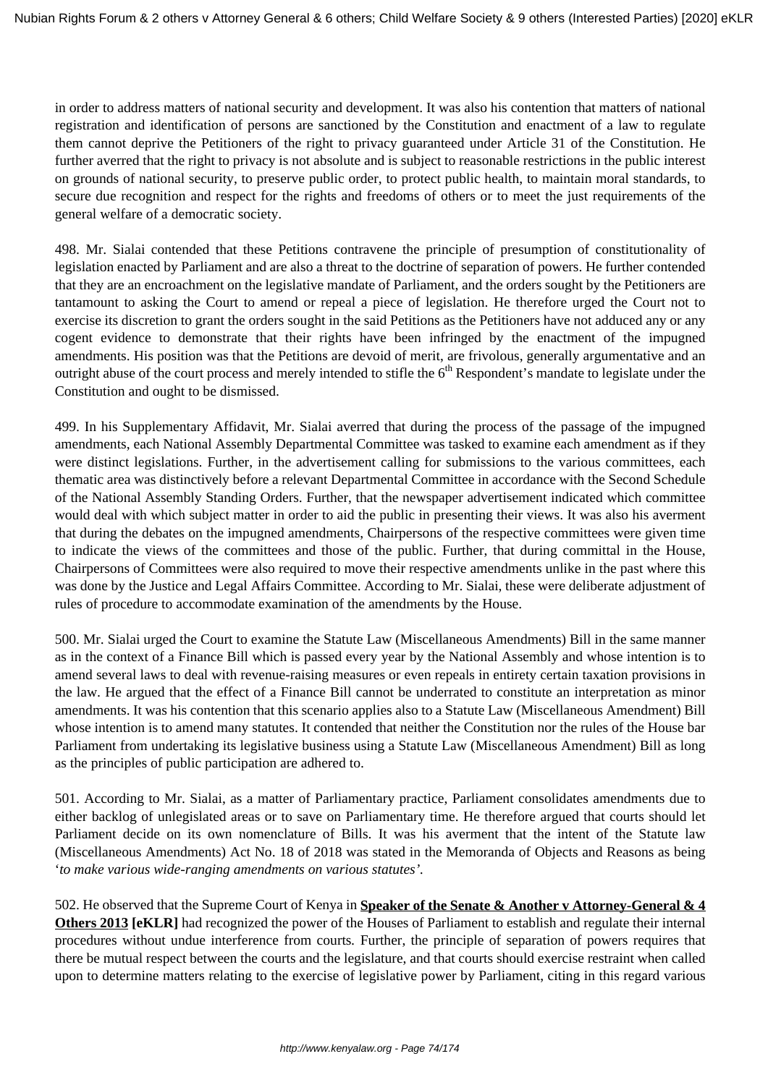in order to address matters of national security and development. It was also his contention that matters of national registration and identification of persons are sanctioned by the Constitution and enactment of a law to regulate them cannot deprive the Petitioners of the right to privacy guaranteed under Article 31 of the Constitution. He further averred that the right to privacy is not absolute and is subject to reasonable restrictions in the public interest on grounds of national security, to preserve public order, to protect public health, to maintain moral standards, to secure due recognition and respect for the rights and freedoms of others or to meet the just requirements of the general welfare of a democratic society.

498. Mr. Sialai contended that these Petitions contravene the principle of presumption of constitutionality of legislation enacted by Parliament and are also a threat to the doctrine of separation of powers. He further contended that they are an encroachment on the legislative mandate of Parliament, and the orders sought by the Petitioners are tantamount to asking the Court to amend or repeal a piece of legislation. He therefore urged the Court not to exercise its discretion to grant the orders sought in the said Petitions as the Petitioners have not adduced any or any cogent evidence to demonstrate that their rights have been infringed by the enactment of the impugned amendments. His position was that the Petitions are devoid of merit, are frivolous, generally argumentative and an outright abuse of the court process and merely intended to stifle the  $6<sup>th</sup>$  Respondent's mandate to legislate under the Constitution and ought to be dismissed.

499. In his Supplementary Affidavit, Mr. Sialai averred that during the process of the passage of the impugned amendments, each National Assembly Departmental Committee was tasked to examine each amendment as if they were distinct legislations. Further, in the advertisement calling for submissions to the various committees, each thematic area was distinctively before a relevant Departmental Committee in accordance with the Second Schedule of the National Assembly Standing Orders. Further, that the newspaper advertisement indicated which committee would deal with which subject matter in order to aid the public in presenting their views. It was also his averment that during the debates on the impugned amendments, Chairpersons of the respective committees were given time to indicate the views of the committees and those of the public. Further, that during committal in the House, Chairpersons of Committees were also required to move their respective amendments unlike in the past where this was done by the Justice and Legal Affairs Committee. According to Mr. Sialai, these were deliberate adjustment of rules of procedure to accommodate examination of the amendments by the House.

500. Mr. Sialai urged the Court to examine the Statute Law (Miscellaneous Amendments) Bill in the same manner as in the context of a Finance Bill which is passed every year by the National Assembly and whose intention is to amend several laws to deal with revenue-raising measures or even repeals in entirety certain taxation provisions in the law. He argued that the effect of a Finance Bill cannot be underrated to constitute an interpretation as minor amendments. It was his contention that this scenario applies also to a Statute Law (Miscellaneous Amendment) Bill whose intention is to amend many statutes. It contended that neither the Constitution nor the rules of the House bar Parliament from undertaking its legislative business using a Statute Law (Miscellaneous Amendment) Bill as long as the principles of public participation are adhered to.

501. According to Mr. Sialai, as a matter of Parliamentary practice, Parliament consolidates amendments due to either backlog of unlegislated areas or to save on Parliamentary time. He therefore argued that courts should let Parliament decide on its own nomenclature of Bills. It was his averment that the intent of the Statute law (Miscellaneous Amendments) Act No. 18 of 2018 was stated in the Memoranda of Objects and Reasons as being '*to make various wide-ranging amendments on various statutes'.*

502. He observed that the Supreme Court of Kenya in **Speaker of the Senate & Another v Attorney-General & 4 Others 2013 [eKLR]** had recognized the power of the Houses of Parliament to establish and regulate their internal procedures without undue interference from courts*.* Further, the principle of separation of powers requires that there be mutual respect between the courts and the legislature, and that courts should exercise restraint when called upon to determine matters relating to the exercise of legislative power by Parliament, citing in this regard various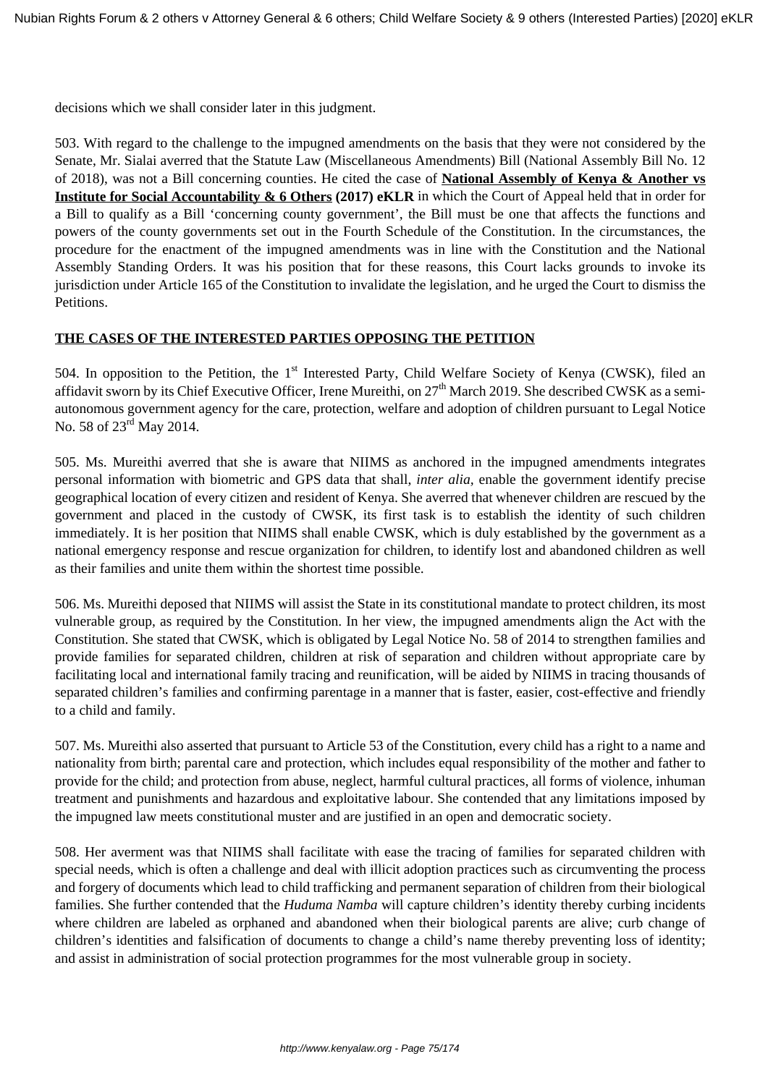decisions which we shall consider later in this judgment.

503. With regard to the challenge to the impugned amendments on the basis that they were not considered by the Senate, Mr. Sialai averred that the Statute Law (Miscellaneous Amendments) Bill (National Assembly Bill No. 12 of 2018), was not a Bill concerning counties. He cited the case of **National Assembly of Kenya & Another vs Institute for Social Accountability & 6 Others (2017) eKLR** in which the Court of Appeal held that in order for a Bill to qualify as a Bill 'concerning county government', the Bill must be one that affects the functions and powers of the county governments set out in the Fourth Schedule of the Constitution. In the circumstances, the procedure for the enactment of the impugned amendments was in line with the Constitution and the National Assembly Standing Orders. It was his position that for these reasons, this Court lacks grounds to invoke its jurisdiction under Article 165 of the Constitution to invalidate the legislation, and he urged the Court to dismiss the Petitions.

### **THE CASES OF THE INTERESTED PARTIES OPPOSING THE PETITION**

504. In opposition to the Petition, the 1<sup>st</sup> Interested Party, Child Welfare Society of Kenya (CWSK), filed an affidavit sworn by its Chief Executive Officer, Irene Mureithi, on 27<sup>th</sup> March 2019. She described CWSK as a semiautonomous government agency for the care, protection, welfare and adoption of children pursuant to Legal Notice No. 58 of  $23^{\text{rd}}$  May 2014.

505. Ms. Mureithi averred that she is aware that NIIMS as anchored in the impugned amendments integrates personal information with biometric and GPS data that shall, *inter alia,* enable the government identify precise geographical location of every citizen and resident of Kenya. She averred that whenever children are rescued by the government and placed in the custody of CWSK, its first task is to establish the identity of such children immediately. It is her position that NIIMS shall enable CWSK, which is duly established by the government as a national emergency response and rescue organization for children, to identify lost and abandoned children as well as their families and unite them within the shortest time possible.

506. Ms. Mureithi deposed that NIIMS will assist the State in its constitutional mandate to protect children, its most vulnerable group, as required by the Constitution. In her view, the impugned amendments align the Act with the Constitution. She stated that CWSK, which is obligated by Legal Notice No. 58 of 2014 to strengthen families and provide families for separated children, children at risk of separation and children without appropriate care by facilitating local and international family tracing and reunification, will be aided by NIIMS in tracing thousands of separated children's families and confirming parentage in a manner that is faster, easier, cost-effective and friendly to a child and family.

507. Ms. Mureithi also asserted that pursuant to Article 53 of the Constitution, every child has a right to a name and nationality from birth; parental care and protection, which includes equal responsibility of the mother and father to provide for the child; and protection from abuse, neglect, harmful cultural practices, all forms of violence, inhuman treatment and punishments and hazardous and exploitative labour. She contended that any limitations imposed by the impugned law meets constitutional muster and are justified in an open and democratic society.

508. Her averment was that NIIMS shall facilitate with ease the tracing of families for separated children with special needs, which is often a challenge and deal with illicit adoption practices such as circumventing the process and forgery of documents which lead to child trafficking and permanent separation of children from their biological families. She further contended that the *Huduma Namba* will capture children's identity thereby curbing incidents where children are labeled as orphaned and abandoned when their biological parents are alive; curb change of children's identities and falsification of documents to change a child's name thereby preventing loss of identity; and assist in administration of social protection programmes for the most vulnerable group in society.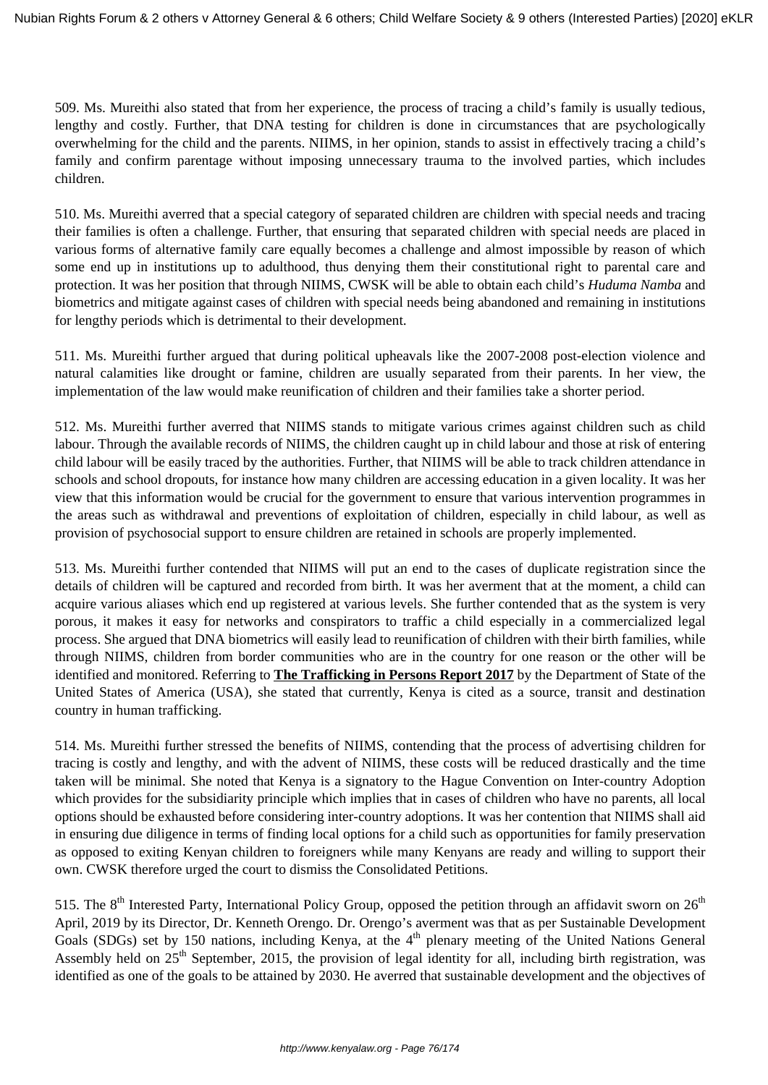509. Ms. Mureithi also stated that from her experience, the process of tracing a child's family is usually tedious, lengthy and costly. Further, that DNA testing for children is done in circumstances that are psychologically overwhelming for the child and the parents. NIIMS, in her opinion, stands to assist in effectively tracing a child's family and confirm parentage without imposing unnecessary trauma to the involved parties, which includes children.

510. Ms. Mureithi averred that a special category of separated children are children with special needs and tracing their families is often a challenge. Further, that ensuring that separated children with special needs are placed in various forms of alternative family care equally becomes a challenge and almost impossible by reason of which some end up in institutions up to adulthood, thus denying them their constitutional right to parental care and protection. It was her position that through NIIMS, CWSK will be able to obtain each child's *Huduma Namba* and biometrics and mitigate against cases of children with special needs being abandoned and remaining in institutions for lengthy periods which is detrimental to their development.

511. Ms. Mureithi further argued that during political upheavals like the 2007-2008 post-election violence and natural calamities like drought or famine, children are usually separated from their parents. In her view, the implementation of the law would make reunification of children and their families take a shorter period.

512. Ms. Mureithi further averred that NIIMS stands to mitigate various crimes against children such as child labour. Through the available records of NIIMS, the children caught up in child labour and those at risk of entering child labour will be easily traced by the authorities. Further, that NIIMS will be able to track children attendance in schools and school dropouts, for instance how many children are accessing education in a given locality. It was her view that this information would be crucial for the government to ensure that various intervention programmes in the areas such as withdrawal and preventions of exploitation of children, especially in child labour, as well as provision of psychosocial support to ensure children are retained in schools are properly implemented.

513. Ms. Mureithi further contended that NIIMS will put an end to the cases of duplicate registration since the details of children will be captured and recorded from birth. It was her averment that at the moment, a child can acquire various aliases which end up registered at various levels. She further contended that as the system is very porous, it makes it easy for networks and conspirators to traffic a child especially in a commercialized legal process. She argued that DNA biometrics will easily lead to reunification of children with their birth families, while through NIIMS, children from border communities who are in the country for one reason or the other will be identified and monitored. Referring to **The Trafficking in Persons Report 2017** by the Department of State of the United States of America (USA), she stated that currently, Kenya is cited as a source, transit and destination country in human trafficking.

514. Ms. Mureithi further stressed the benefits of NIIMS, contending that the process of advertising children for tracing is costly and lengthy, and with the advent of NIIMS, these costs will be reduced drastically and the time taken will be minimal. She noted that Kenya is a signatory to the Hague Convention on Inter-country Adoption which provides for the subsidiarity principle which implies that in cases of children who have no parents, all local options should be exhausted before considering inter-country adoptions. It was her contention that NIIMS shall aid in ensuring due diligence in terms of finding local options for a child such as opportunities for family preservation as opposed to exiting Kenyan children to foreigners while many Kenyans are ready and willing to support their own. CWSK therefore urged the court to dismiss the Consolidated Petitions.

515. The  $8<sup>th</sup>$  Interested Party, International Policy Group, opposed the petition through an affidavit sworn on  $26<sup>th</sup>$ April, 2019 by its Director, Dr. Kenneth Orengo. Dr. Orengo's averment was that as per Sustainable Development Goals (SDGs) set by 150 nations, including Kenya, at the  $4<sup>th</sup>$  plenary meeting of the United Nations General Assembly held on  $25<sup>th</sup>$  September, 2015, the provision of legal identity for all, including birth registration, was identified as one of the goals to be attained by 2030. He averred that sustainable development and the objectives of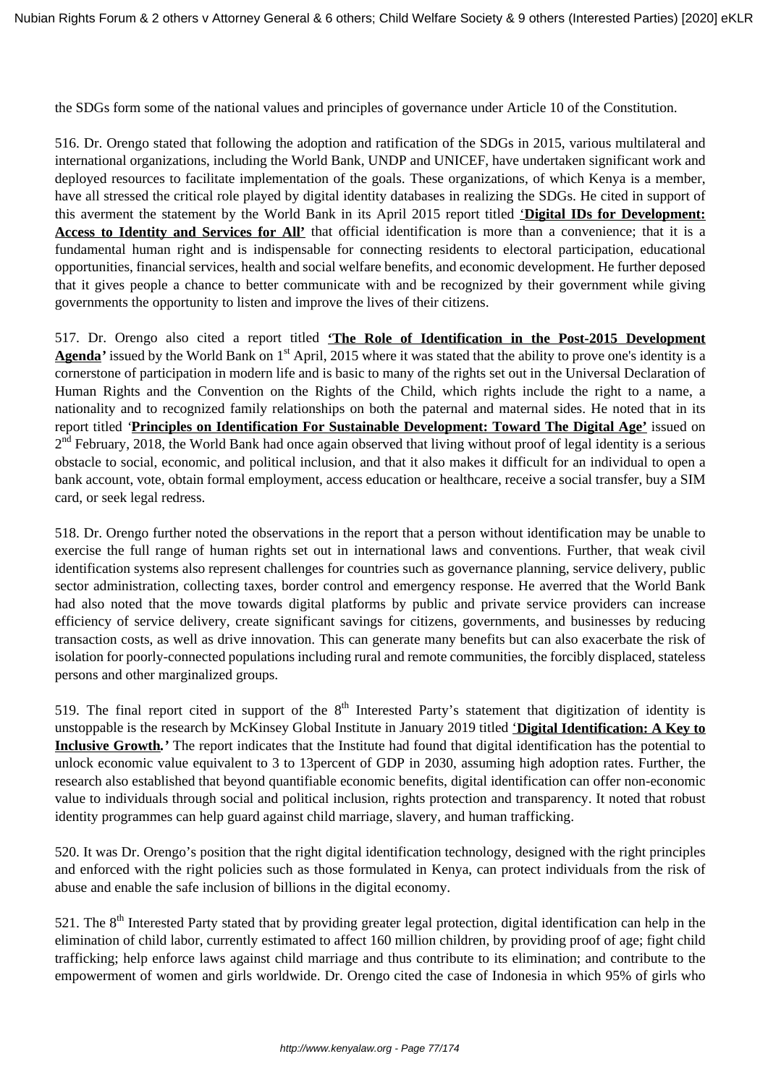the SDGs form some of the national values and principles of governance under Article 10 of the Constitution.

516. Dr. Orengo stated that following the adoption and ratification of the SDGs in 2015, various multilateral and international organizations, including the World Bank, UNDP and UNICEF, have undertaken significant work and deployed resources to facilitate implementation of the goals. These organizations, of which Kenya is a member, have all stressed the critical role played by digital identity databases in realizing the SDGs. He cited in support of this averment the statement by the World Bank in its April 2015 report titled '**Digital IDs for Development: Access to Identity and Services for All'** that official identification is more than a convenience; that it is a fundamental human right and is indispensable for connecting residents to electoral participation, educational opportunities, financial services, health and social welfare benefits, and economic development. He further deposed that it gives people a chance to better communicate with and be recognized by their government while giving governments the opportunity to listen and improve the lives of their citizens.

517. Dr. Orengo also cited a report titled **'The Role of Identification in the Post-2015 Development** Agenda<sup>*'*</sup> issued by the World Bank on 1<sup>st</sup> April, 2015 where it was stated that the ability to prove one's identity is a cornerstone of participation in modern life and is basic to many of the rights set out in the Universal Declaration of Human Rights and the Convention on the Rights of the Child, which rights include the right to a name, a nationality and to recognized family relationships on both the paternal and maternal sides. He noted that in its report titled *'***Principles on Identification For Sustainable Development: Toward The Digital Age'** issued on 2<sup>nd</sup> February, 2018, the World Bank had once again observed that living without proof of legal identity is a serious obstacle to social, economic, and political inclusion, and that it also makes it difficult for an individual to open a bank account, vote, obtain formal employment, access education or healthcare, receive a social transfer, buy a SIM card, or seek legal redress.

518. Dr. Orengo further noted the observations in the report that a person without identification may be unable to exercise the full range of human rights set out in international laws and conventions. Further, that weak civil identification systems also represent challenges for countries such as governance planning, service delivery, public sector administration, collecting taxes, border control and emergency response. He averred that the World Bank had also noted that the move towards digital platforms by public and private service providers can increase efficiency of service delivery, create significant savings for citizens, governments, and businesses by reducing transaction costs, as well as drive innovation. This can generate many benefits but can also exacerbate the risk of isolation for poorly-connected populations including rural and remote communities, the forcibly displaced, stateless persons and other marginalized groups.

519. The final report cited in support of the  $8<sup>th</sup>$  Interested Party's statement that digitization of identity is unstoppable is the research by McKinsey Global Institute in January 2019 titled '**Digital Identification: A Key to Inclusive Growth***.'* The report indicates that the Institute had found that digital identification has the potential to unlock economic value equivalent to 3 to 13percent of GDP in 2030, assuming high adoption rates. Further, the research also established that beyond quantifiable economic benefits, digital identification can offer non-economic value to individuals through social and political inclusion, rights protection and transparency. It noted that robust identity programmes can help guard against child marriage, slavery, and human trafficking.

520. It was Dr. Orengo's position that the right digital identification technology, designed with the right principles and enforced with the right policies such as those formulated in Kenya, can protect individuals from the risk of abuse and enable the safe inclusion of billions in the digital economy.

521. The  $8<sup>th</sup>$  Interested Party stated that by providing greater legal protection, digital identification can help in the elimination of child labor, currently estimated to affect 160 million children, by providing proof of age; fight child trafficking; help enforce laws against child marriage and thus contribute to its elimination; and contribute to the empowerment of women and girls worldwide. Dr. Orengo cited the case of Indonesia in which 95% of girls who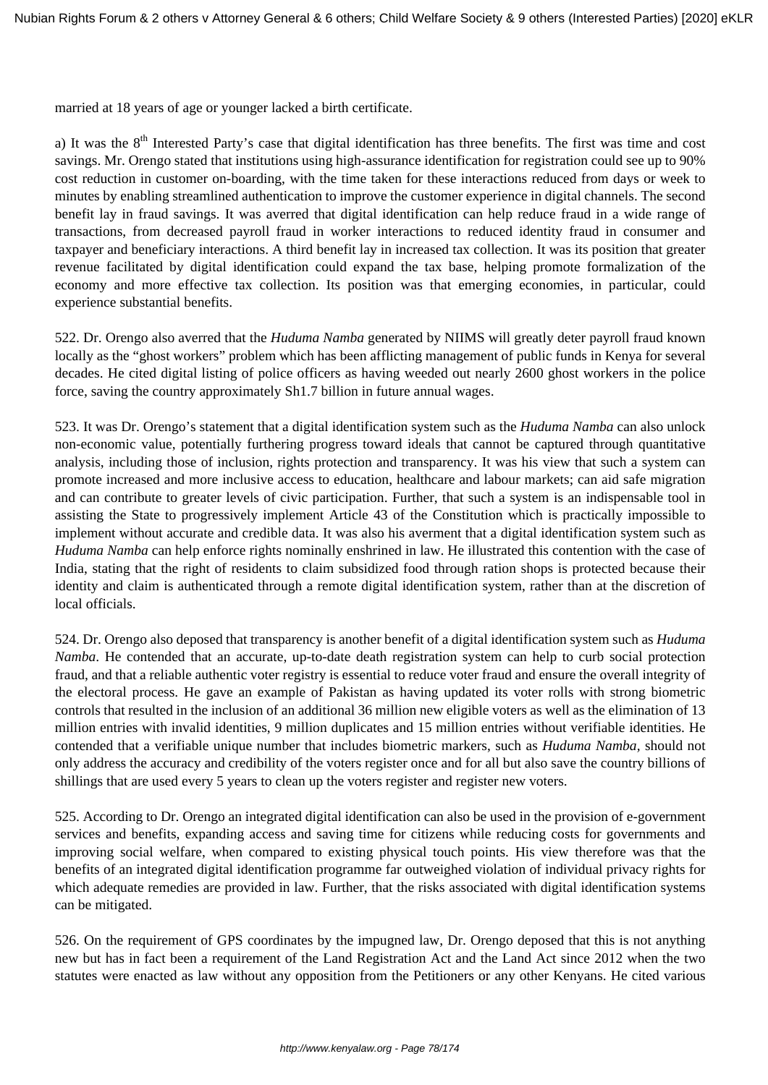married at 18 years of age or younger lacked a birth certificate.

a) It was the  $8<sup>th</sup>$  Interested Party's case that digital identification has three benefits. The first was time and cost savings. Mr. Orengo stated that institutions using high-assurance identification for registration could see up to 90% cost reduction in customer on-boarding, with the time taken for these interactions reduced from days or week to minutes by enabling streamlined authentication to improve the customer experience in digital channels. The second benefit lay in fraud savings. It was averred that digital identification can help reduce fraud in a wide range of transactions, from decreased payroll fraud in worker interactions to reduced identity fraud in consumer and taxpayer and beneficiary interactions. A third benefit lay in increased tax collection. It was its position that greater revenue facilitated by digital identification could expand the tax base, helping promote formalization of the economy and more effective tax collection. Its position was that emerging economies, in particular, could experience substantial benefits.

522. Dr. Orengo also averred that the *Huduma Namba* generated by NIIMS will greatly deter payroll fraud known locally as the "ghost workers" problem which has been afflicting management of public funds in Kenya for several decades. He cited digital listing of police officers as having weeded out nearly 2600 ghost workers in the police force, saving the country approximately Sh1.7 billion in future annual wages.

523. It was Dr. Orengo's statement that a digital identification system such as the *Huduma Namba* can also unlock non-economic value, potentially furthering progress toward ideals that cannot be captured through quantitative analysis, including those of inclusion, rights protection and transparency. It was his view that such a system can promote increased and more inclusive access to education, healthcare and labour markets; can aid safe migration and can contribute to greater levels of civic participation. Further, that such a system is an indispensable tool in assisting the State to progressively implement Article 43 of the Constitution which is practically impossible to implement without accurate and credible data. It was also his averment that a digital identification system such as *Huduma Namba* can help enforce rights nominally enshrined in law. He illustrated this contention with the case of India, stating that the right of residents to claim subsidized food through ration shops is protected because their identity and claim is authenticated through a remote digital identification system, rather than at the discretion of local officials.

524. Dr. Orengo also deposed that transparency is another benefit of a digital identification system such as *Huduma Namba*. He contended that an accurate, up-to-date death registration system can help to curb social protection fraud, and that a reliable authentic voter registry is essential to reduce voter fraud and ensure the overall integrity of the electoral process. He gave an example of Pakistan as having updated its voter rolls with strong biometric controls that resulted in the inclusion of an additional 36 million new eligible voters as well as the elimination of 13 million entries with invalid identities, 9 million duplicates and 15 million entries without verifiable identities. He contended that a verifiable unique number that includes biometric markers, such as *Huduma Namba,* should not only address the accuracy and credibility of the voters register once and for all but also save the country billions of shillings that are used every 5 years to clean up the voters register and register new voters.

525. According to Dr. Orengo an integrated digital identification can also be used in the provision of e-government services and benefits, expanding access and saving time for citizens while reducing costs for governments and improving social welfare, when compared to existing physical touch points. His view therefore was that the benefits of an integrated digital identification programme far outweighed violation of individual privacy rights for which adequate remedies are provided in law. Further, that the risks associated with digital identification systems can be mitigated.

526. On the requirement of GPS coordinates by the impugned law, Dr. Orengo deposed that this is not anything new but has in fact been a requirement of the Land Registration Act and the Land Act since 2012 when the two statutes were enacted as law without any opposition from the Petitioners or any other Kenyans. He cited various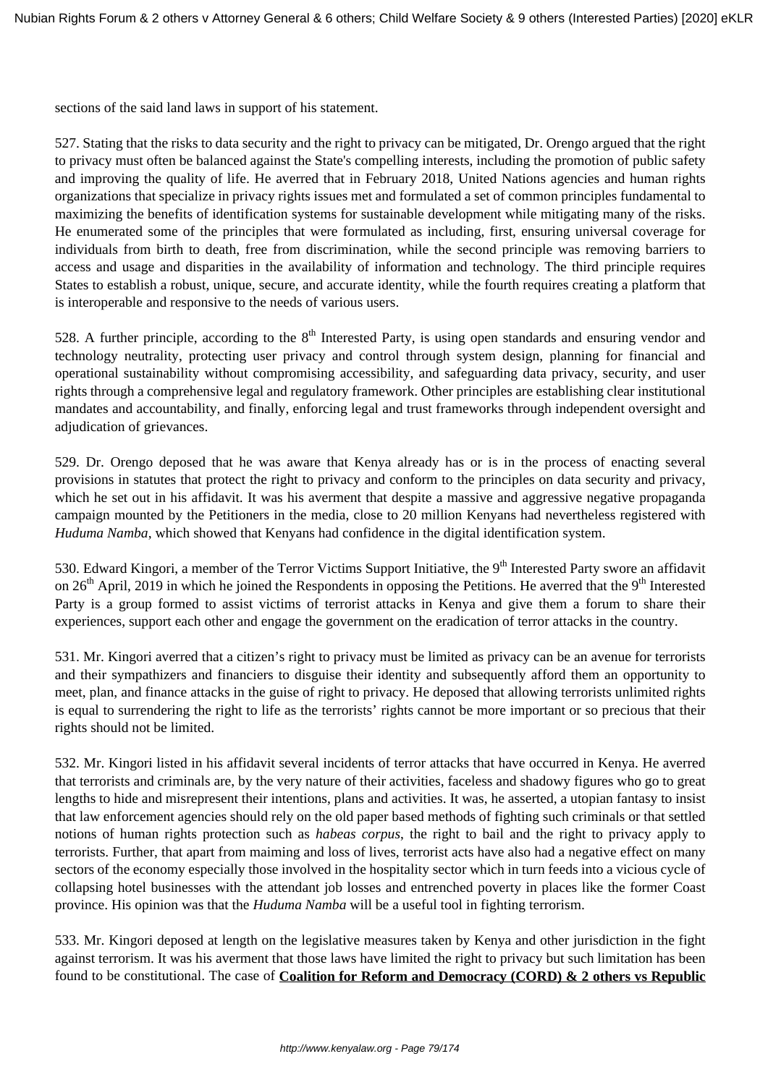sections of the said land laws in support of his statement.

527. Stating that the risks to data security and the right to privacy can be mitigated, Dr. Orengo argued that the right to privacy must often be balanced against the State's compelling interests, including the promotion of public safety and improving the quality of life. He averred that in February 2018, United Nations agencies and human rights organizations that specialize in privacy rights issues met and formulated a set of common principles fundamental to maximizing the benefits of identification systems for sustainable development while mitigating many of the risks. He enumerated some of the principles that were formulated as including, first, ensuring universal coverage for individuals from birth to death, free from discrimination, while the second principle was removing barriers to access and usage and disparities in the availability of information and technology. The third principle requires States to establish a robust, unique, secure, and accurate identity, while the fourth requires creating a platform that is interoperable and responsive to the needs of various users.

528. A further principle, according to the  $8<sup>th</sup>$  Interested Party, is using open standards and ensuring vendor and technology neutrality, protecting user privacy and control through system design, planning for financial and operational sustainability without compromising accessibility, and safeguarding data privacy, security, and user rights through a comprehensive legal and regulatory framework. Other principles are establishing clear institutional mandates and accountability, and finally, enforcing legal and trust frameworks through independent oversight and adjudication of grievances.

529. Dr. Orengo deposed that he was aware that Kenya already has or is in the process of enacting several provisions in statutes that protect the right to privacy and conform to the principles on data security and privacy, which he set out in his affidavit. It was his averment that despite a massive and aggressive negative propaganda campaign mounted by the Petitioners in the media, close to 20 million Kenyans had nevertheless registered with *Huduma Namba*, which showed that Kenyans had confidence in the digital identification system.

530. Edward Kingori, a member of the Terror Victims Support Initiative, the 9<sup>th</sup> Interested Party swore an affidavit on  $26<sup>th</sup>$  April, 2019 in which he joined the Respondents in opposing the Petitions. He averred that the 9<sup>th</sup> Interested Party is a group formed to assist victims of terrorist attacks in Kenya and give them a forum to share their experiences, support each other and engage the government on the eradication of terror attacks in the country.

531. Mr. Kingori averred that a citizen's right to privacy must be limited as privacy can be an avenue for terrorists and their sympathizers and financiers to disguise their identity and subsequently afford them an opportunity to meet, plan, and finance attacks in the guise of right to privacy. He deposed that allowing terrorists unlimited rights is equal to surrendering the right to life as the terrorists' rights cannot be more important or so precious that their rights should not be limited.

532. Mr. Kingori listed in his affidavit several incidents of terror attacks that have occurred in Kenya. He averred that terrorists and criminals are, by the very nature of their activities, faceless and shadowy figures who go to great lengths to hide and misrepresent their intentions, plans and activities. It was, he asserted, a utopian fantasy to insist that law enforcement agencies should rely on the old paper based methods of fighting such criminals or that settled notions of human rights protection such as *habeas corpus*, the right to bail and the right to privacy apply to terrorists. Further, that apart from maiming and loss of lives, terrorist acts have also had a negative effect on many sectors of the economy especially those involved in the hospitality sector which in turn feeds into a vicious cycle of collapsing hotel businesses with the attendant job losses and entrenched poverty in places like the former Coast province. His opinion was that the *Huduma Namba* will be a useful tool in fighting terrorism.

533. Mr. Kingori deposed at length on the legislative measures taken by Kenya and other jurisdiction in the fight against terrorism. It was his averment that those laws have limited the right to privacy but such limitation has been found to be constitutional. The case of **Coalition for Reform and Democracy (CORD) & 2 others vs Republic**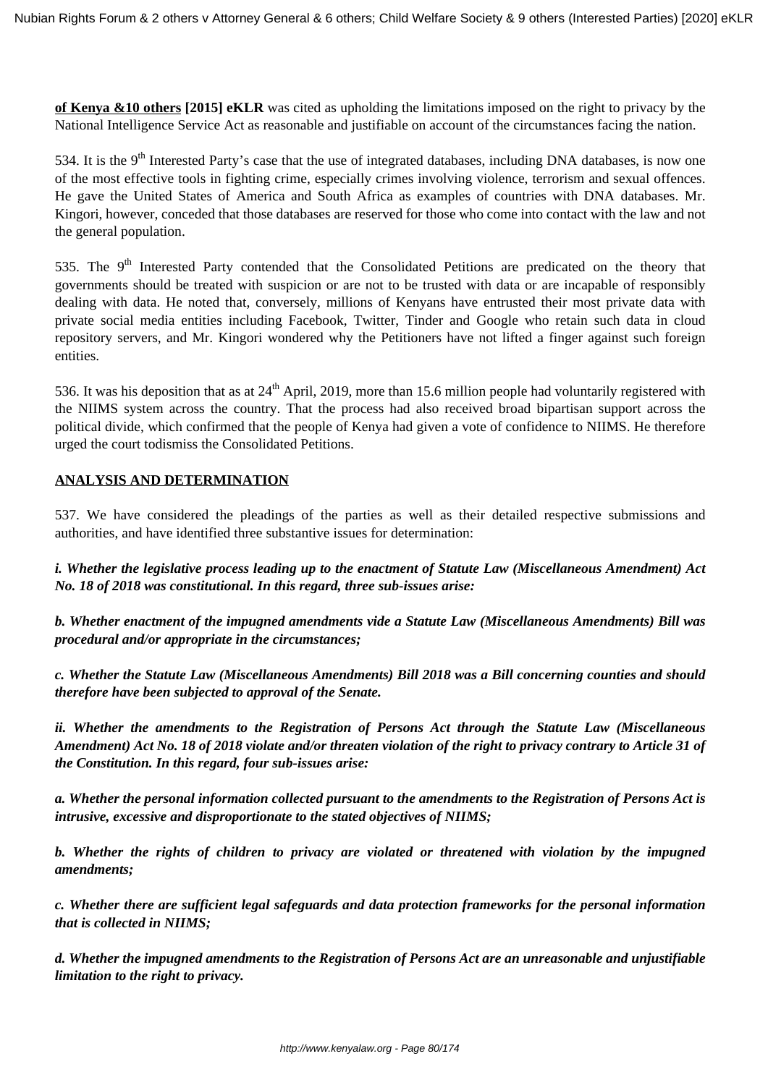**of Kenya &10 others [2015] eKLR** was cited as upholding the limitations imposed on the right to privacy by the National Intelligence Service Act as reasonable and justifiable on account of the circumstances facing the nation.

534. It is the  $9<sup>th</sup>$  Interested Party's case that the use of integrated databases, including DNA databases, is now one of the most effective tools in fighting crime, especially crimes involving violence, terrorism and sexual offences. He gave the United States of America and South Africa as examples of countries with DNA databases. Mr. Kingori, however, conceded that those databases are reserved for those who come into contact with the law and not the general population.

535. The 9<sup>th</sup> Interested Party contended that the Consolidated Petitions are predicated on the theory that governments should be treated with suspicion or are not to be trusted with data or are incapable of responsibly dealing with data. He noted that, conversely, millions of Kenyans have entrusted their most private data with private social media entities including Facebook, Twitter, Tinder and Google who retain such data in cloud repository servers, and Mr. Kingori wondered why the Petitioners have not lifted a finger against such foreign entities.

536. It was his deposition that as at  $24<sup>th</sup>$  April, 2019, more than 15.6 million people had voluntarily registered with the NIIMS system across the country. That the process had also received broad bipartisan support across the political divide, which confirmed that the people of Kenya had given a vote of confidence to NIIMS. He therefore urged the court todismiss the Consolidated Petitions.

## **ANALYSIS AND DETERMINATION**

537. We have considered the pleadings of the parties as well as their detailed respective submissions and authorities, and have identified three substantive issues for determination:

*i. Whether the legislative process leading up to the enactment of Statute Law (Miscellaneous Amendment) Act No. 18 of 2018 was constitutional. In this regard, three sub-issues arise:*

*b. Whether enactment of the impugned amendments vide a Statute Law (Miscellaneous Amendments) Bill was procedural and/or appropriate in the circumstances;*

*c. Whether the Statute Law (Miscellaneous Amendments) Bill 2018 was a Bill concerning counties and should therefore have been subjected to approval of the Senate.*

*ii. Whether the amendments to the Registration of Persons Act through the Statute Law (Miscellaneous Amendment) Act No. 18 of 2018 violate and/or threaten violation of the right to privacy contrary to Article 31 of the Constitution. In this regard, four sub-issues arise:*

*a. Whether the personal information collected pursuant to the amendments to the Registration of Persons Act is intrusive, excessive and disproportionate to the stated objectives of NIIMS;*

*b. Whether the rights of children to privacy are violated or threatened with violation by the impugned amendments;* 

*c. Whether there are sufficient legal safeguards and data protection frameworks for the personal information that is collected in NIIMS;*

*d. Whether the impugned amendments to the Registration of Persons Act are an unreasonable and unjustifiable limitation to the right to privacy.*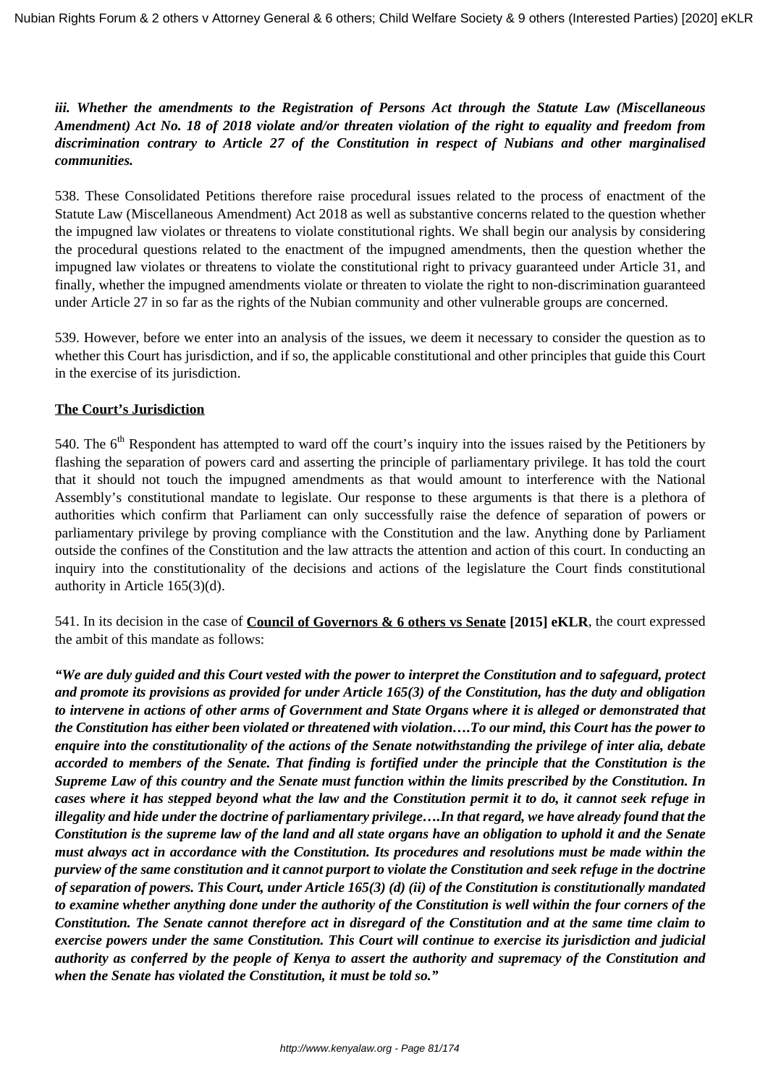# *iii. Whether the amendments to the Registration of Persons Act through the Statute Law (Miscellaneous Amendment) Act No. 18 of 2018 violate and/or threaten violation of the right to equality and freedom from discrimination contrary to Article 27 of the Constitution in respect of Nubians and other marginalised communities.*

538. These Consolidated Petitions therefore raise procedural issues related to the process of enactment of the Statute Law (Miscellaneous Amendment) Act 2018 as well as substantive concerns related to the question whether the impugned law violates or threatens to violate constitutional rights. We shall begin our analysis by considering the procedural questions related to the enactment of the impugned amendments, then the question whether the impugned law violates or threatens to violate the constitutional right to privacy guaranteed under Article 31, and finally, whether the impugned amendments violate or threaten to violate the right to non-discrimination guaranteed under Article 27 in so far as the rights of the Nubian community and other vulnerable groups are concerned.

539. However, before we enter into an analysis of the issues, we deem it necessary to consider the question as to whether this Court has jurisdiction, and if so, the applicable constitutional and other principles that guide this Court in the exercise of its jurisdiction.

# **The Court's Jurisdiction**

540. The 6<sup>th</sup> Respondent has attempted to ward off the court's inquiry into the issues raised by the Petitioners by flashing the separation of powers card and asserting the principle of parliamentary privilege. It has told the court that it should not touch the impugned amendments as that would amount to interference with the National Assembly's constitutional mandate to legislate. Our response to these arguments is that there is a plethora of authorities which confirm that Parliament can only successfully raise the defence of separation of powers or parliamentary privilege by proving compliance with the Constitution and the law. Anything done by Parliament outside the confines of the Constitution and the law attracts the attention and action of this court. In conducting an inquiry into the constitutionality of the decisions and actions of the legislature the Court finds constitutional authority in Article 165(3)(d).

541. In its decision in the case of **Council of Governors & 6 others vs Senate [2015] eKLR**, the court expressed the ambit of this mandate as follows:

*"We are duly guided and this Court vested with the power to interpret the Constitution and to safeguard, protect and promote its provisions as provided for under Article 165(3) of the Constitution, has the duty and obligation to intervene in actions of other arms of Government and State Organs where it is alleged or demonstrated that the Constitution has either been violated or threatened with violation….To our mind, this Court has the power to enquire into the constitutionality of the actions of the Senate notwithstanding the privilege of inter alia, debate accorded to members of the Senate. That finding is fortified under the principle that the Constitution is the Supreme Law of this country and the Senate must function within the limits prescribed by the Constitution. In cases where it has stepped beyond what the law and the Constitution permit it to do, it cannot seek refuge in illegality and hide under the doctrine of parliamentary privilege….In that regard, we have already found that the Constitution is the supreme law of the land and all state organs have an obligation to uphold it and the Senate must always act in accordance with the Constitution. Its procedures and resolutions must be made within the purview of the same constitution and it cannot purport to violate the Constitution and seek refuge in the doctrine of separation of powers. This Court, under Article 165(3) (d) (ii) of the Constitution is constitutionally mandated to examine whether anything done under the authority of the Constitution is well within the four corners of the Constitution. The Senate cannot therefore act in disregard of the Constitution and at the same time claim to exercise powers under the same Constitution. This Court will continue to exercise its jurisdiction and judicial authority as conferred by the people of Kenya to assert the authority and supremacy of the Constitution and when the Senate has violated the Constitution, it must be told so."*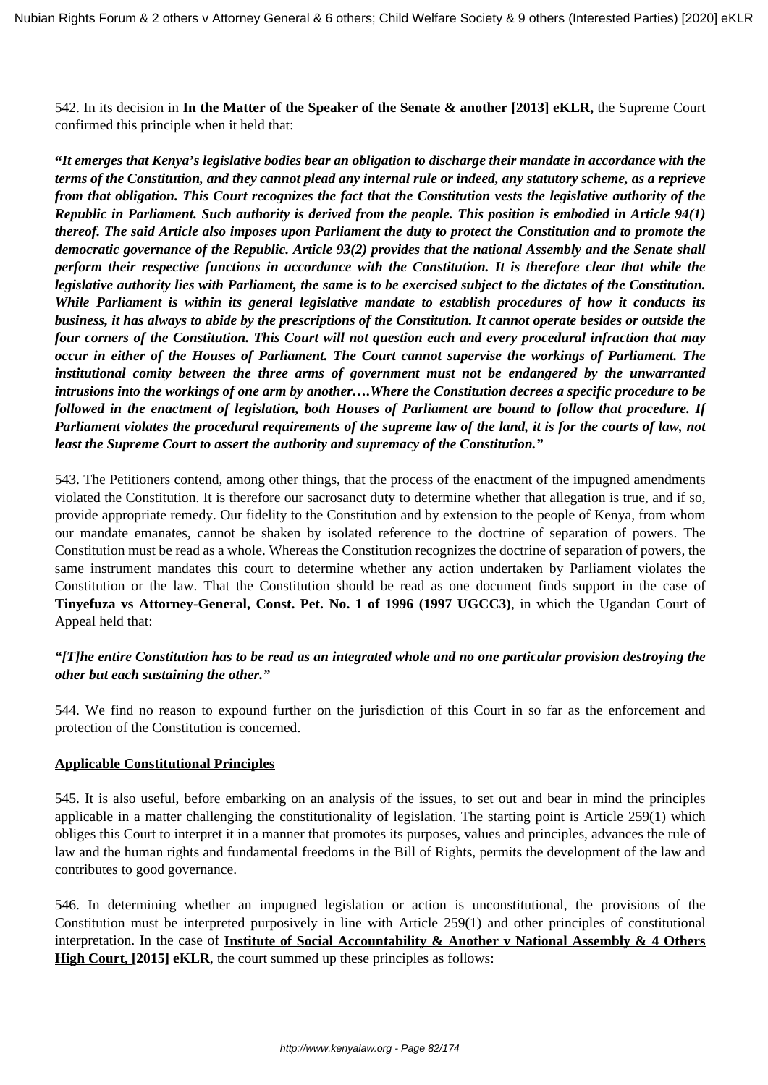542. In its decision in **In the Matter of the Speaker of the Senate & another [2013] eKLR,** the Supreme Court confirmed this principle when it held that:

**"***It emerges that Kenya's legislative bodies bear an obligation to discharge their mandate in accordance with the terms of the Constitution, and they cannot plead any internal rule or indeed, any statutory scheme, as a reprieve from that obligation. This Court recognizes the fact that the Constitution vests the legislative authority of the Republic in Parliament. Such authority is derived from the people. This position is embodied in Article 94(1) thereof. The said Article also imposes upon Parliament the duty to protect the Constitution and to promote the democratic governance of the Republic. Article 93(2) provides that the national Assembly and the Senate shall perform their respective functions in accordance with the Constitution. It is therefore clear that while the legislative authority lies with Parliament, the same is to be exercised subject to the dictates of the Constitution. While Parliament is within its general legislative mandate to establish procedures of how it conducts its business, it has always to abide by the prescriptions of the Constitution. It cannot operate besides or outside the four corners of the Constitution. This Court will not question each and every procedural infraction that may occur in either of the Houses of Parliament. The Court cannot supervise the workings of Parliament. The institutional comity between the three arms of government must not be endangered by the unwarranted intrusions into the workings of one arm by another….Where the Constitution decrees a specific procedure to be followed in the enactment of legislation, both Houses of Parliament are bound to follow that procedure. If Parliament violates the procedural requirements of the supreme law of the land, it is for the courts of law, not least the Supreme Court to assert the authority and supremacy of the Constitution."* 

543. The Petitioners contend, among other things, that the process of the enactment of the impugned amendments violated the Constitution. It is therefore our sacrosanct duty to determine whether that allegation is true, and if so, provide appropriate remedy. Our fidelity to the Constitution and by extension to the people of Kenya, from whom our mandate emanates, cannot be shaken by isolated reference to the doctrine of separation of powers. The Constitution must be read as a whole. Whereas the Constitution recognizes the doctrine of separation of powers, the same instrument mandates this court to determine whether any action undertaken by Parliament violates the Constitution or the law. That the Constitution should be read as one document finds support in the case of **Tinyefuza vs Attorney-General, Const. Pet. No. 1 of 1996 (1997 UGCC3)**, in which the Ugandan Court of Appeal held that:

## *"[T]he entire Constitution has to be read as an integrated whole and no one particular provision destroying the other but each sustaining the other."*

544. We find no reason to expound further on the jurisdiction of this Court in so far as the enforcement and protection of the Constitution is concerned.

## **Applicable Constitutional Principles**

545. It is also useful, before embarking on an analysis of the issues, to set out and bear in mind the principles applicable in a matter challenging the constitutionality of legislation. The starting point is Article 259(1) which obliges this Court to interpret it in a manner that promotes its purposes, values and principles, advances the rule of law and the human rights and fundamental freedoms in the Bill of Rights, permits the development of the law and contributes to good governance.

546. In determining whether an impugned legislation or action is unconstitutional, the provisions of the Constitution must be interpreted purposively in line with Article 259(1) and other principles of constitutional interpretation. In the case of **Institute of Social Accountability & Another v National Assembly & 4 Others High Court, [2015] eKLR**, the court summed up these principles as follows: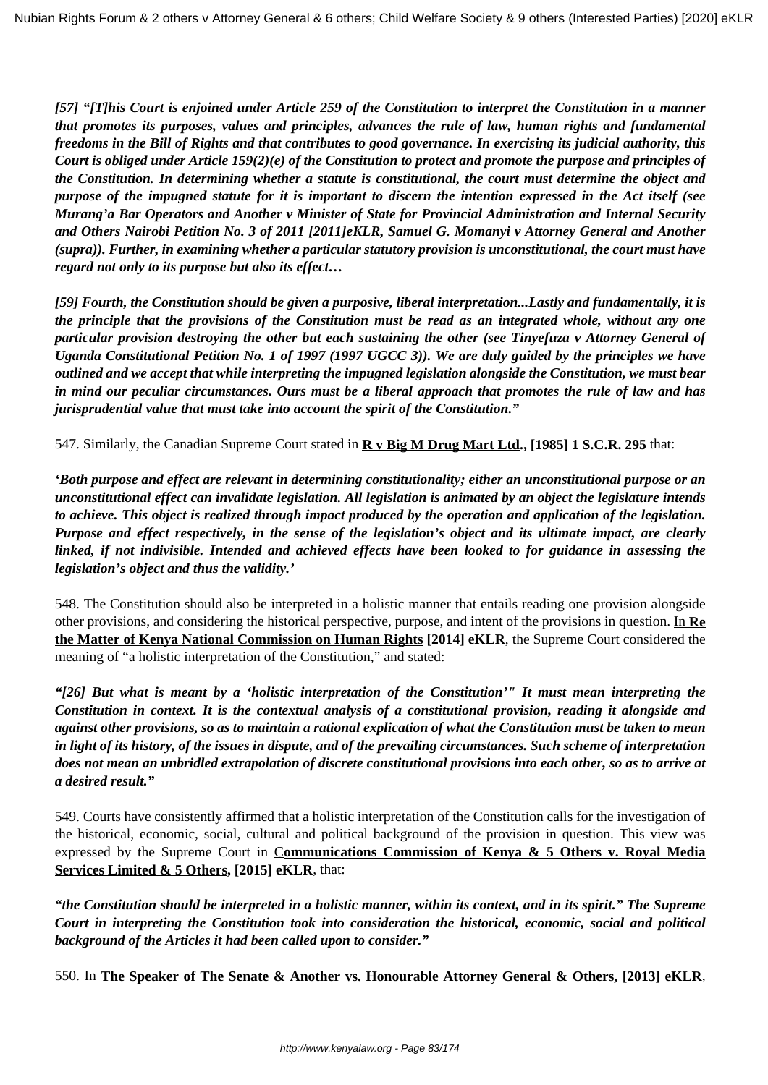*[57] "[T]his Court is enjoined under Article 259 of the Constitution to interpret the Constitution in a manner that promotes its purposes, values and principles, advances the rule of law, human rights and fundamental freedoms in the Bill of Rights and that contributes to good governance. In exercising its judicial authority, this Court is obliged under Article 159(2)(e) of the Constitution to protect and promote the purpose and principles of the Constitution. In determining whether a statute is constitutional, the court must determine the object and purpose of the impugned statute for it is important to discern the intention expressed in the Act itself (see Murang'a Bar Operators and Another v Minister of State for Provincial Administration and Internal Security and Others Nairobi Petition No. 3 of 2011 [2011]eKLR, Samuel G. Momanyi v Attorney General and Another (supra)). Further, in examining whether a particular statutory provision is unconstitutional, the court must have regard not only to its purpose but also its effect…*

*[59] Fourth, the Constitution should be given a purposive, liberal interpretation...Lastly and fundamentally, it is the principle that the provisions of the Constitution must be read as an integrated whole, without any one particular provision destroying the other but each sustaining the other (see Tinyefuza v Attorney General of Uganda Constitutional Petition No. 1 of 1997 (1997 UGCC 3)). We are duly guided by the principles we have outlined and we accept that while interpreting the impugned legislation alongside the Constitution, we must bear in mind our peculiar circumstances. Ours must be a liberal approach that promotes the rule of law and has jurisprudential value that must take into account the spirit of the Constitution."*

547. Similarly, the Canadian Supreme Court stated in **R v Big M Drug Mart Ltd., [1985] 1 S.C.R. 295** that:

*'Both purpose and effect are relevant in determining constitutionality; either an unconstitutional purpose or an unconstitutional effect can invalidate legislation. All legislation is animated by an object the legislature intends to achieve. This object is realized through impact produced by the operation and application of the legislation. Purpose and effect respectively, in the sense of the legislation's object and its ultimate impact, are clearly linked, if not indivisible. Intended and achieved effects have been looked to for guidance in assessing the legislation's object and thus the validity.'*

548. The Constitution should also be interpreted in a holistic manner that entails reading one provision alongside other provisions, and considering the historical perspective, purpose, and intent of the provisions in question. In **Re the Matter of Kenya National Commission on Human Rights [2014] eKLR**, the Supreme Court considered the meaning of "a holistic interpretation of the Constitution," and stated:

*"[26] But what is meant by a 'holistic interpretation of the Constitution'" It must mean interpreting the Constitution in context. It is the contextual analysis of a constitutional provision, reading it alongside and against other provisions, so as to maintain a rational explication of what the Constitution must be taken to mean in light of its history, of the issues in dispute, and of the prevailing circumstances. Such scheme of interpretation does not mean an unbridled extrapolation of discrete constitutional provisions into each other, so as to arrive at a desired result."*

549. Courts have consistently affirmed that a holistic interpretation of the Constitution calls for the investigation of the historical, economic, social, cultural and political background of the provision in question. This view was expressed by the Supreme Court in C**ommunications Commission of Kenya & 5 Others v. Royal Media Services Limited & 5 Others, [2015] eKLR**, that:

*"the Constitution should be interpreted in a holistic manner, within its context, and in its spirit." The Supreme Court in interpreting the Constitution took into consideration the historical, economic, social and political background of the Articles it had been called upon to consider."* 

550. In **The Speaker of The Senate & Another vs. Honourable Attorney General & Others, [2013] eKLR**,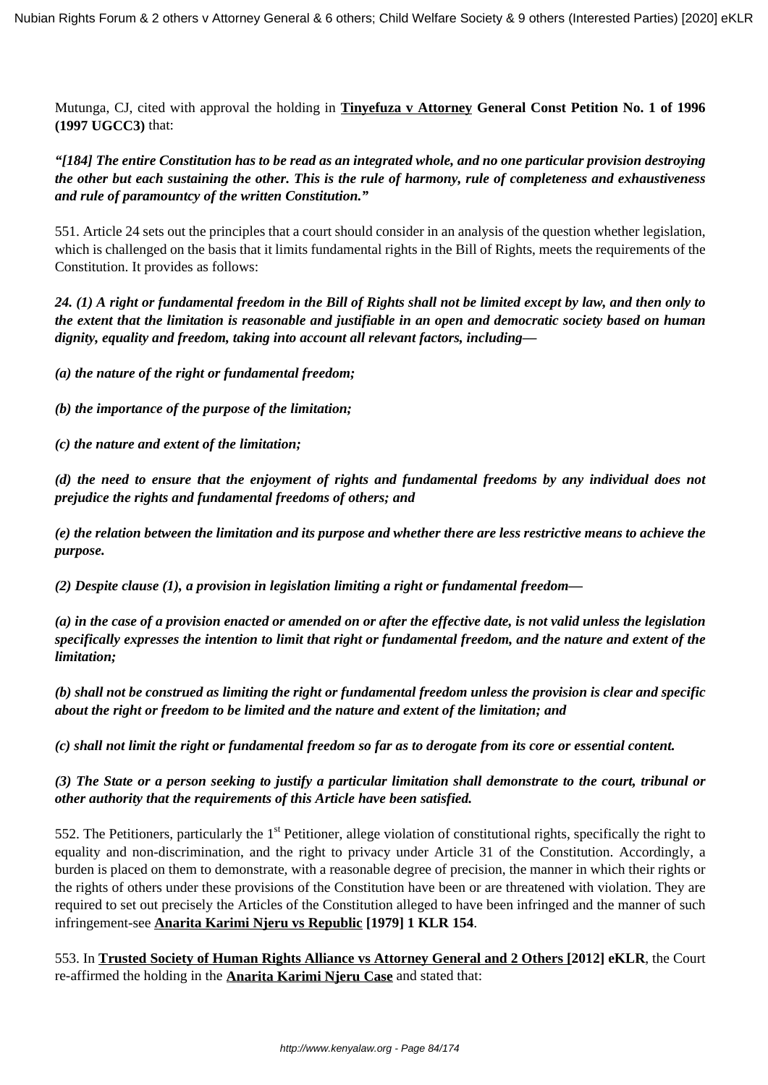Mutunga, CJ, cited with approval the holding in **Tinyefuza v Attorney General Const Petition No. 1 of 1996 (1997 UGCC3)** that:

*"[184] The entire Constitution has to be read as an integrated whole, and no one particular provision destroying the other but each sustaining the other. This is the rule of harmony, rule of completeness and exhaustiveness and rule of paramountcy of the written Constitution."*

551. Article 24 sets out the principles that a court should consider in an analysis of the question whether legislation, which is challenged on the basis that it limits fundamental rights in the Bill of Rights, meets the requirements of the Constitution. It provides as follows:

*24. (1) A right or fundamental freedom in the Bill of Rights shall not be limited except by law, and then only to the extent that the limitation is reasonable and justifiable in an open and democratic society based on human dignity, equality and freedom, taking into account all relevant factors, including––*

*(a) the nature of the right or fundamental freedom;*

*(b) the importance of the purpose of the limitation;*

*(c) the nature and extent of the limitation;*

*(d) the need to ensure that the enjoyment of rights and fundamental freedoms by any individual does not prejudice the rights and fundamental freedoms of others; and*

*(e) the relation between the limitation and its purpose and whether there are less restrictive means to achieve the purpose.*

*(2) Despite clause (1), a provision in legislation limiting a right or fundamental freedom—*

*(a) in the case of a provision enacted or amended on or after the effective date, is not valid unless the legislation specifically expresses the intention to limit that right or fundamental freedom, and the nature and extent of the limitation;*

*(b) shall not be construed as limiting the right or fundamental freedom unless the provision is clear and specific about the right or freedom to be limited and the nature and extent of the limitation; and*

*(c) shall not limit the right or fundamental freedom so far as to derogate from its core or essential content.*

*(3) The State or a person seeking to justify a particular limitation shall demonstrate to the court, tribunal or other authority that the requirements of this Article have been satisfied.*

552. The Petitioners, particularly the  $1<sup>st</sup>$  Petitioner, allege violation of constitutional rights, specifically the right to equality and non-discrimination, and the right to privacy under Article 31 of the Constitution. Accordingly, a burden is placed on them to demonstrate, with a reasonable degree of precision, the manner in which their rights or the rights of others under these provisions of the Constitution have been or are threatened with violation. They are required to set out precisely the Articles of the Constitution alleged to have been infringed and the manner of such infringement-see **Anarita Karimi Njeru vs Republic [1979] 1 KLR 154**.

553. In **Trusted Society of Human Rights Alliance vs Attorney General and 2 Others [2012] eKLR**, the Court re-affirmed the holding in the **Anarita Karimi Njeru Case** and stated that: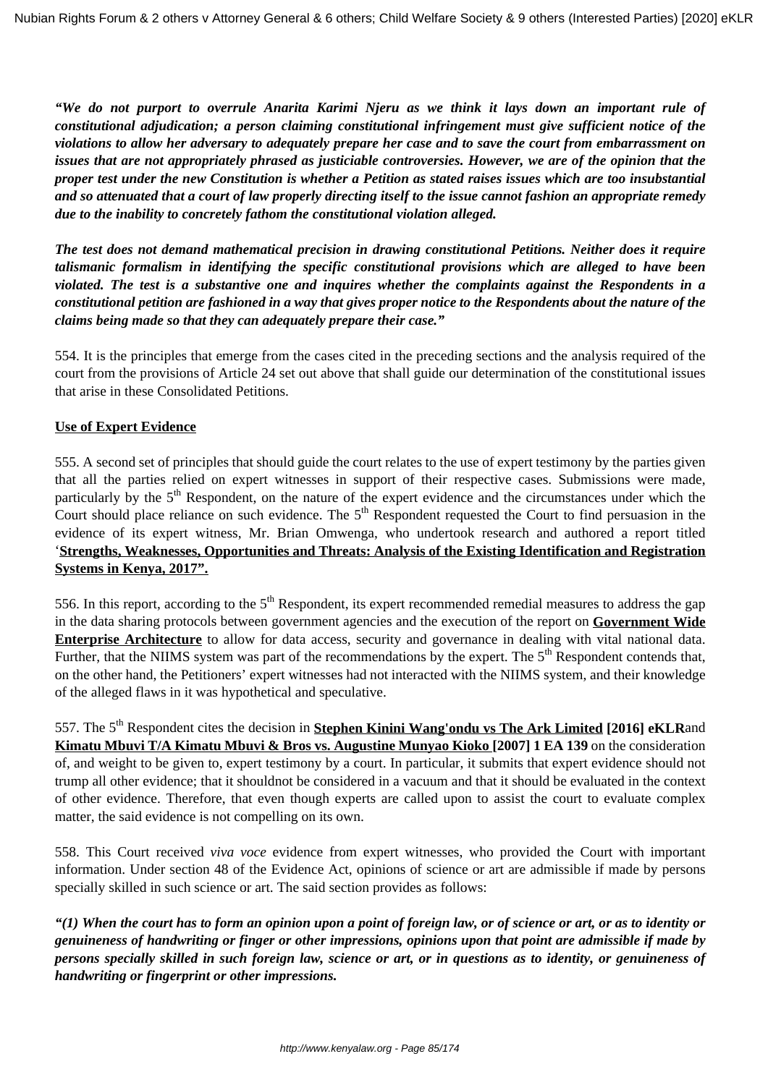*"We do not purport to overrule Anarita Karimi Njeru as we think it lays down an important rule of constitutional adjudication; a person claiming constitutional infringement must give sufficient notice of the violations to allow her adversary to adequately prepare her case and to save the court from embarrassment on issues that are not appropriately phrased as justiciable controversies. However, we are of the opinion that the proper test under the new Constitution is whether a Petition as stated raises issues which are too insubstantial and so attenuated that a court of law properly directing itself to the issue cannot fashion an appropriate remedy due to the inability to concretely fathom the constitutional violation alleged.*

*The test does not demand mathematical precision in drawing constitutional Petitions. Neither does it require talismanic formalism in identifying the specific constitutional provisions which are alleged to have been violated. The test is a substantive one and inquires whether the complaints against the Respondents in a constitutional petition are fashioned in a way that gives proper notice to the Respondents about the nature of the claims being made so that they can adequately prepare their case."*

554. It is the principles that emerge from the cases cited in the preceding sections and the analysis required of the court from the provisions of Article 24 set out above that shall guide our determination of the constitutional issues that arise in these Consolidated Petitions.

## **Use of Expert Evidence**

555. A second set of principles that should guide the court relates to the use of expert testimony by the parties given that all the parties relied on expert witnesses in support of their respective cases. Submissions were made, particularly by the 5<sup>th</sup> Respondent, on the nature of the expert evidence and the circumstances under which the Court should place reliance on such evidence. The  $5<sup>th</sup>$  Respondent requested the Court to find persuasion in the evidence of its expert witness, Mr. Brian Omwenga, who undertook research and authored a report titled '**Strengths, Weaknesses, Opportunities and Threats: Analysis of the Existing Identification and Registration Systems in Kenya, 2017".**

556. In this report, according to the  $5<sup>th</sup>$  Respondent, its expert recommended remedial measures to address the gap in the data sharing protocols between government agencies and the execution of the report on **Government Wide Enterprise Architecture** to allow for data access, security and governance in dealing with vital national data. Further, that the NIIMS system was part of the recommendations by the expert. The  $5<sup>th</sup>$  Respondent contends that, on the other hand, the Petitioners' expert witnesses had not interacted with the NIIMS system, and their knowledge of the alleged flaws in it was hypothetical and speculative.

557. The 5<sup>th</sup> Respondent cites the decision in **Stephen Kinini Wang'ondu vs The Ark Limited** [2016] eKLRand **Kimatu Mbuvi T/A Kimatu Mbuvi & Bros vs. Augustine Munyao Kioko [2007] 1 EA 139** on the consideration of, and weight to be given to, expert testimony by a court. In particular, it submits that expert evidence should not trump all other evidence; that it shouldnot be considered in a vacuum and that it should be evaluated in the context of other evidence. Therefore, that even though experts are called upon to assist the court to evaluate complex matter, the said evidence is not compelling on its own.

558. This Court received *viva voce* evidence from expert witnesses, who provided the Court with important information. Under section 48 of the Evidence Act, opinions of science or art are admissible if made by persons specially skilled in such science or art. The said section provides as follows:

*"(1) When the court has to form an opinion upon a point of foreign law, or of science or art, or as to identity or genuineness of handwriting or finger or other impressions, opinions upon that point are admissible if made by persons specially skilled in such foreign law, science or art, or in questions as to identity, or genuineness of handwriting or fingerprint or other impressions.*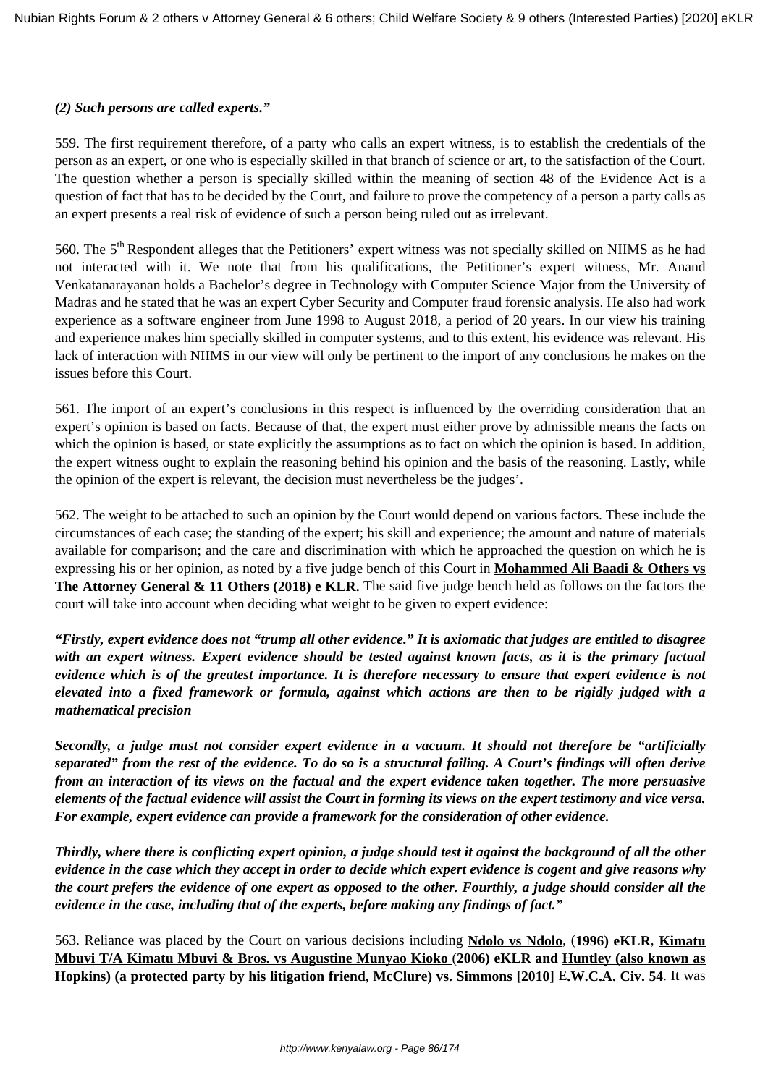### *(2) Such persons are called experts."*

559. The first requirement therefore, of a party who calls an expert witness, is to establish the credentials of the person as an expert, or one who is especially skilled in that branch of science or art, to the satisfaction of the Court. The question whether a person is specially skilled within the meaning of section 48 of the Evidence Act is a question of fact that has to be decided by the Court, and failure to prove the competency of a person a party calls as an expert presents a real risk of evidence of such a person being ruled out as irrelevant.

560. The 5<sup>th</sup> Respondent alleges that the Petitioners' expert witness was not specially skilled on NIIMS as he had not interacted with it. We note that from his qualifications, the Petitioner's expert witness, Mr. Anand Venkatanarayanan holds a Bachelor's degree in Technology with Computer Science Major from the University of Madras and he stated that he was an expert Cyber Security and Computer fraud forensic analysis. He also had work experience as a software engineer from June 1998 to August 2018, a period of 20 years. In our view his training and experience makes him specially skilled in computer systems, and to this extent, his evidence was relevant. His lack of interaction with NIIMS in our view will only be pertinent to the import of any conclusions he makes on the issues before this Court.

561. The import of an expert's conclusions in this respect is influenced by the overriding consideration that an expert's opinion is based on facts. Because of that, the expert must either prove by admissible means the facts on which the opinion is based, or state explicitly the assumptions as to fact on which the opinion is based. In addition, the expert witness ought to explain the reasoning behind his opinion and the basis of the reasoning. Lastly, while the opinion of the expert is relevant, the decision must nevertheless be the judges'.

562. The weight to be attached to such an opinion by the Court would depend on various factors. These include the circumstances of each case; the standing of the expert; his skill and experience; the amount and nature of materials available for comparison; and the care and discrimination with which he approached the question on which he is expressing his or her opinion, as noted by a five judge bench of this Court in **Mohammed Ali Baadi & Others vs The Attorney General & 11 Others (2018) e KLR.** The said five judge bench held as follows on the factors the court will take into account when deciding what weight to be given to expert evidence:

*"Firstly, expert evidence does not "trump all other evidence." It is axiomatic that judges are entitled to disagree with an expert witness. Expert evidence should be tested against known facts, as it is the primary factual evidence which is of the greatest importance. It is therefore necessary to ensure that expert evidence is not elevated into a fixed framework or formula, against which actions are then to be rigidly judged with a mathematical precision*

*Secondly, a judge must not consider expert evidence in a vacuum. It should not therefore be "artificially separated" from the rest of the evidence. To do so is a structural failing. A Court's findings will often derive from an interaction of its views on the factual and the expert evidence taken together. The more persuasive elements of the factual evidence will assist the Court in forming its views on the expert testimony and vice versa. For example, expert evidence can provide a framework for the consideration of other evidence.*

*Thirdly, where there is conflicting expert opinion, a judge should test it against the background of all the other evidence in the case which they accept in order to decide which expert evidence is cogent and give reasons why the court prefers the evidence of one expert as opposed to the other. Fourthly, a judge should consider all the evidence in the case, including that of the experts, before making any findings of fact."*

563. Reliance was placed by the Court on various decisions including **Ndolo vs Ndolo***,* (**1996) eKLR**, **Kimatu Mbuvi T/A Kimatu Mbuvi & Bros. vs Augustine Munyao Kioko** (**2006) eKLR and Huntley (also known as Hopkins) (a protected party by his litigation friend, McClure) vs. Simmons [2010]** E**.W.C.A. Civ. 54**. It was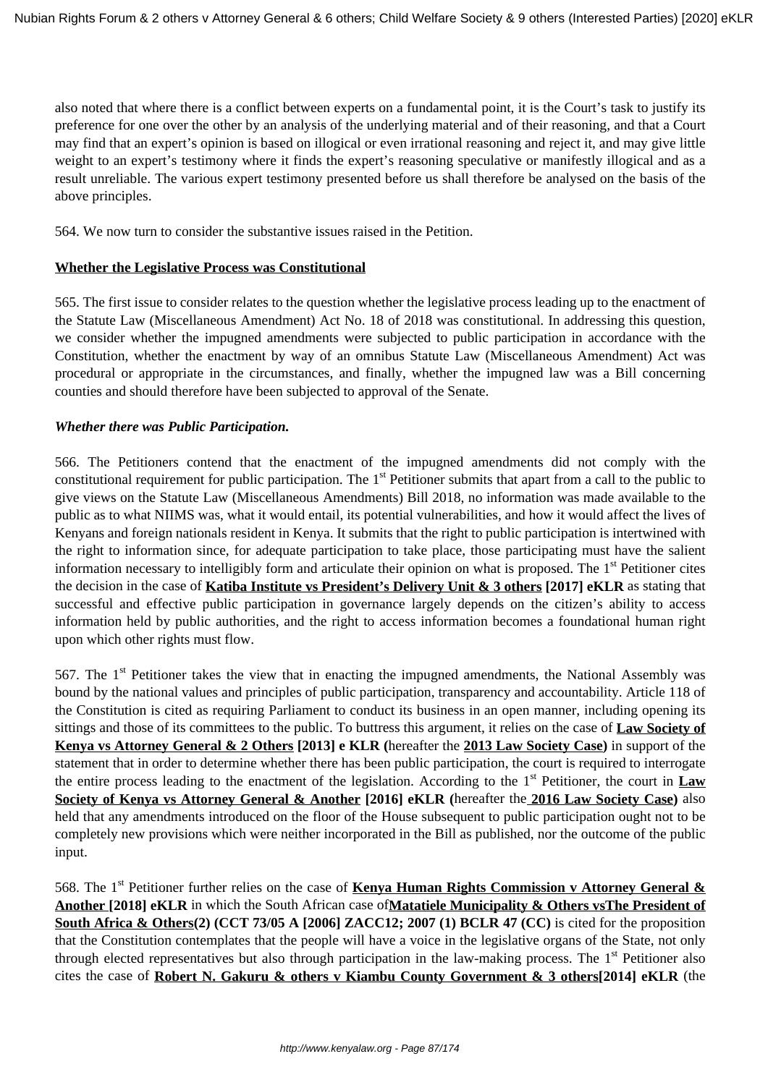also noted that where there is a conflict between experts on a fundamental point, it is the Court's task to justify its preference for one over the other by an analysis of the underlying material and of their reasoning, and that a Court may find that an expert's opinion is based on illogical or even irrational reasoning and reject it, and may give little weight to an expert's testimony where it finds the expert's reasoning speculative or manifestly illogical and as a result unreliable. The various expert testimony presented before us shall therefore be analysed on the basis of the above principles.

564. We now turn to consider the substantive issues raised in the Petition.

### **Whether the Legislative Process was Constitutional**

565. The first issue to consider relates to the question whether the legislative process leading up to the enactment of the Statute Law (Miscellaneous Amendment) Act No. 18 of 2018 was constitutional. In addressing this question, we consider whether the impugned amendments were subjected to public participation in accordance with the Constitution, whether the enactment by way of an omnibus Statute Law (Miscellaneous Amendment) Act was procedural or appropriate in the circumstances, and finally, whether the impugned law was a Bill concerning counties and should therefore have been subjected to approval of the Senate.

### *Whether there was Public Participation.*

566. The Petitioners contend that the enactment of the impugned amendments did not comply with the constitutional requirement for public participation. The  $1<sup>st</sup>$  Petitioner submits that apart from a call to the public to give views on the Statute Law (Miscellaneous Amendments) Bill 2018, no information was made available to the public as to what NIIMS was, what it would entail, its potential vulnerabilities, and how it would affect the lives of Kenyans and foreign nationals resident in Kenya. It submits that the right to public participation is intertwined with the right to information since, for adequate participation to take place, those participating must have the salient information necessary to intelligibly form and articulate their opinion on what is proposed. The 1<sup>st</sup> Petitioner cites the decision in the case of **Katiba Institute vs President's Delivery Unit & 3 others [2017] eKLR** as stating that successful and effective public participation in governance largely depends on the citizen's ability to access information held by public authorities, and the right to access information becomes a foundational human right upon which other rights must flow.

567. The 1<sup>st</sup> Petitioner takes the view that in enacting the impugned amendments, the National Assembly was bound by the national values and principles of public participation, transparency and accountability. Article 118 of the Constitution is cited as requiring Parliament to conduct its business in an open manner, including opening its sittings and those of its committees to the public. To buttress this argument, it relies on the case of **Law Society of Kenya vs Attorney General & 2 Others [2013] e KLR (**hereafter the **2013 Law Society Case)** in support of the statement that in order to determine whether there has been public participation, the court is required to interrogate the entire process leading to the enactment of the legislation. According to the 1st Petitioner, the court in **Law Society of Kenya vs Attorney General & Another [2016] eKLR (**hereafter the **2016 Law Society Case)** also held that any amendments introduced on the floor of the House subsequent to public participation ought not to be completely new provisions which were neither incorporated in the Bill as published, nor the outcome of the public input.

568. The 1st Petitioner further relies on the case of **Kenya Human Rights Commission v Attorney General & Another [2018] eKLR** in which the South African case of**Matatiele Municipality & Others vsThe President of South Africa & Others(2) (CCT 73/05 A [2006] ZACC12; 2007 (1) BCLR 47 (CC)** is cited for the proposition that the Constitution contemplates that the people will have a voice in the legislative organs of the State, not only through elected representatives but also through participation in the law-making process. The  $1<sup>st</sup>$  Petitioner also cites the case of **Robert N. Gakuru & others v Kiambu County Government & 3 others[2014] eKLR** (the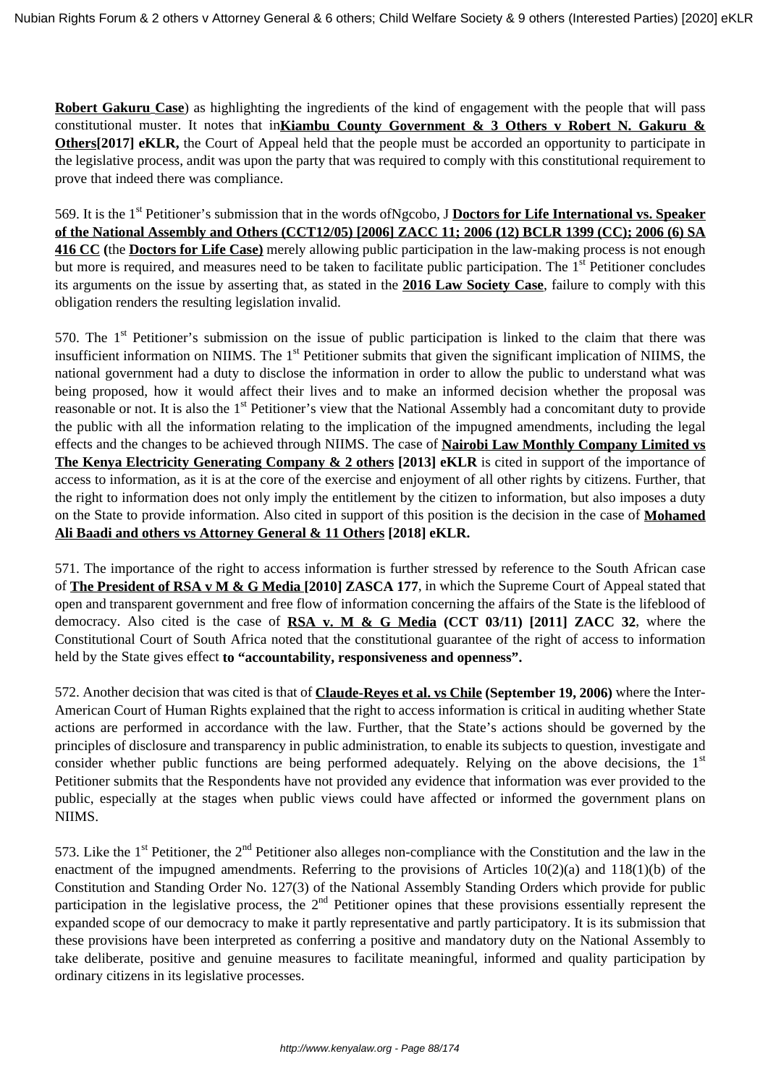**Robert Gakuru Case**) as highlighting the ingredients of the kind of engagement with the people that will pass constitutional muster. It notes that in**Kiambu County Government & 3 Others v Robert N. Gakuru & Others**[2017] eKLR, the Court of Appeal held that the people must be accorded an opportunity to participate in the legislative process, andit was upon the party that was required to comply with this constitutional requirement to prove that indeed there was compliance.

569. It is the 1st Petitioner's submission that in the words ofNgcobo, J **Doctors for Life International vs. Speaker of the National Assembly and Others (CCT12/05) [2006] ZACC 11; 2006 (12) BCLR 1399 (CC); 2006 (6) SA 416 CC (**the **Doctors for Life Case)** merely allowing public participation in the law-making process is not enough but more is required, and measures need to be taken to facilitate public participation. The 1<sup>st</sup> Petitioner concludes its arguments on the issue by asserting that, as stated in the **2016 Law Society Case**, failure to comply with this obligation renders the resulting legislation invalid.

570. The 1<sup>st</sup> Petitioner's submission on the issue of public participation is linked to the claim that there was insufficient information on NIIMS. The  $1<sup>st</sup>$  Petitioner submits that given the significant implication of NIIMS, the national government had a duty to disclose the information in order to allow the public to understand what was being proposed, how it would affect their lives and to make an informed decision whether the proposal was reasonable or not. It is also the 1<sup>st</sup> Petitioner's view that the National Assembly had a concomitant duty to provide the public with all the information relating to the implication of the impugned amendments, including the legal effects and the changes to be achieved through NIIMS. The case of **Nairobi Law Monthly Company Limited vs The Kenya Electricity Generating Company & 2 others [2013] eKLR** is cited in support of the importance of access to information, as it is at the core of the exercise and enjoyment of all other rights by citizens. Further, that the right to information does not only imply the entitlement by the citizen to information, but also imposes a duty on the State to provide information. Also cited in support of this position is the decision in the case of **Mohamed Ali Baadi and others vs Attorney General & 11 Others [2018] eKLR.** 

571. The importance of the right to access information is further stressed by reference to the South African case of **The President of RSA v M & G Media [2010] ZASCA 177**, in which the Supreme Court of Appeal stated that open and transparent government and free flow of information concerning the affairs of the State is the lifeblood of democracy. Also cited is the case of **RSA v. M & G Media (CCT 03/11) [2011] ZACC 32**, where the Constitutional Court of South Africa noted that the constitutional guarantee of the right of access to information held by the State gives effect **to "accountability, responsiveness and openness".**

572. Another decision that was cited is that of **Claude-Reyes et al. vs Chile (September 19, 2006)** where the Inter-American Court of Human Rights explained that the right to access information is critical in auditing whether State actions are performed in accordance with the law. Further, that the State's actions should be governed by the principles of disclosure and transparency in public administration, to enable its subjects to question, investigate and consider whether public functions are being performed adequately. Relying on the above decisions, the  $1<sup>st</sup>$ Petitioner submits that the Respondents have not provided any evidence that information was ever provided to the public, especially at the stages when public views could have affected or informed the government plans on NIIMS.

573. Like the  $1<sup>st</sup>$  Petitioner, the  $2<sup>nd</sup>$  Petitioner also alleges non-compliance with the Constitution and the law in the enactment of the impugned amendments. Referring to the provisions of Articles 10(2)(a) and 118(1)(b) of the Constitution and Standing Order No. 127(3) of the National Assembly Standing Orders which provide for public participation in the legislative process, the 2<sup>nd</sup> Petitioner opines that these provisions essentially represent the expanded scope of our democracy to make it partly representative and partly participatory. It is its submission that these provisions have been interpreted as conferring a positive and mandatory duty on the National Assembly to take deliberate, positive and genuine measures to facilitate meaningful, informed and quality participation by ordinary citizens in its legislative processes.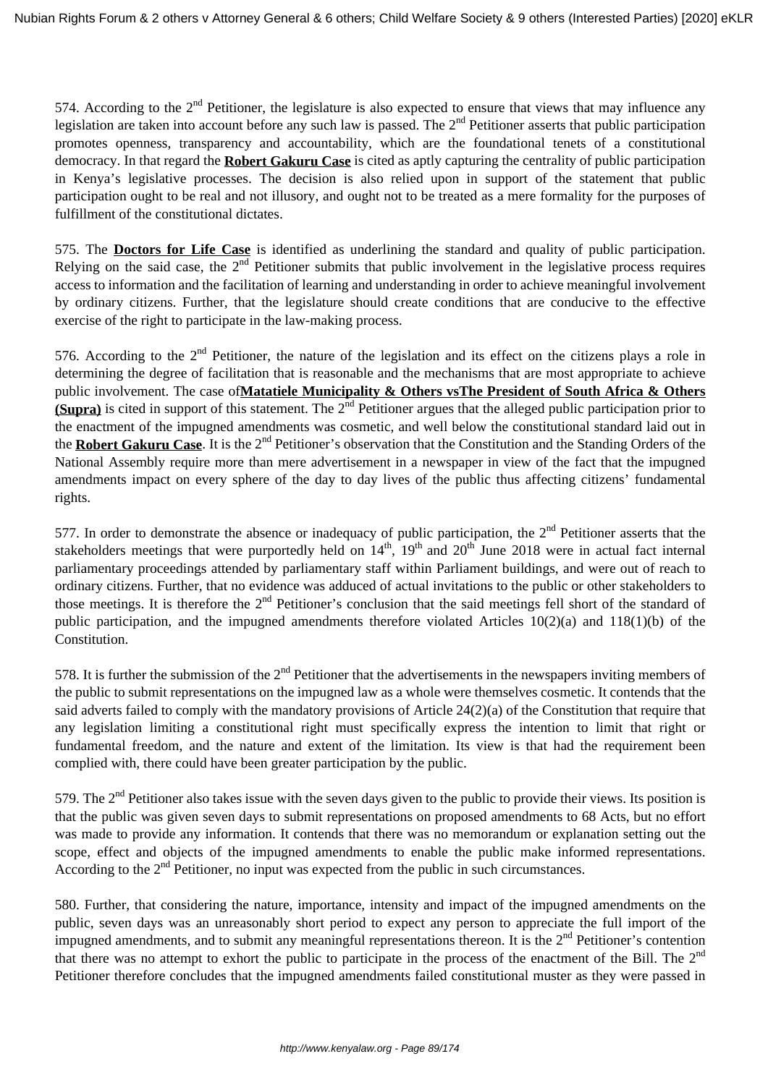574. According to the  $2<sup>nd</sup>$  Petitioner, the legislature is also expected to ensure that views that may influence any legislation are taken into account before any such law is passed. The  $2<sup>nd</sup>$  Petitioner asserts that public participation promotes openness, transparency and accountability, which are the foundational tenets of a constitutional democracy. In that regard the **Robert Gakuru Case** is cited as aptly capturing the centrality of public participation in Kenya's legislative processes. The decision is also relied upon in support of the statement that public participation ought to be real and not illusory, and ought not to be treated as a mere formality for the purposes of fulfillment of the constitutional dictates.

575. The **Doctors for Life Case** is identified as underlining the standard and quality of public participation. Relying on the said case, the  $2<sup>nd</sup>$  Petitioner submits that public involvement in the legislative process requires access to information and the facilitation of learning and understanding in order to achieve meaningful involvement by ordinary citizens. Further, that the legislature should create conditions that are conducive to the effective exercise of the right to participate in the law-making process.

576. According to the  $2<sup>nd</sup>$  Petitioner, the nature of the legislation and its effect on the citizens plays a role in determining the degree of facilitation that is reasonable and the mechanisms that are most appropriate to achieve public involvement. The case of**Matatiele Municipality & Others vsThe President of South Africa & Others (Supra)** is cited in support of this statement. The 2<sup>nd</sup> Petitioner argues that the alleged public participation prior to the enactment of the impugned amendments was cosmetic, and well below the constitutional standard laid out in the **Robert Gakuru Case**. It is the 2<sup>nd</sup> Petitioner's observation that the Constitution and the Standing Orders of the National Assembly require more than mere advertisement in a newspaper in view of the fact that the impugned amendments impact on every sphere of the day to day lives of the public thus affecting citizens' fundamental rights.

577. In order to demonstrate the absence or inadequacy of public participation, the  $2<sup>nd</sup>$  Petitioner asserts that the stakeholders meetings that were purportedly held on  $14<sup>th</sup>$ ,  $19<sup>th</sup>$  and  $20<sup>th</sup>$  June 2018 were in actual fact internal parliamentary proceedings attended by parliamentary staff within Parliament buildings, and were out of reach to ordinary citizens. Further, that no evidence was adduced of actual invitations to the public or other stakeholders to those meetings. It is therefore the  $2<sup>nd</sup>$  Petitioner's conclusion that the said meetings fell short of the standard of public participation, and the impugned amendments therefore violated Articles 10(2)(a) and 118(1)(b) of the Constitution.

578. It is further the submission of the  $2<sup>nd</sup>$  Petitioner that the advertisements in the newspapers inviting members of the public to submit representations on the impugned law as a whole were themselves cosmetic. It contends that the said adverts failed to comply with the mandatory provisions of Article 24(2)(a) of the Constitution that require that any legislation limiting a constitutional right must specifically express the intention to limit that right or fundamental freedom, and the nature and extent of the limitation. Its view is that had the requirement been complied with, there could have been greater participation by the public.

579. The  $2<sup>nd</sup>$  Petitioner also takes issue with the seven days given to the public to provide their views. Its position is that the public was given seven days to submit representations on proposed amendments to 68 Acts, but no effort was made to provide any information. It contends that there was no memorandum or explanation setting out the scope, effect and objects of the impugned amendments to enable the public make informed representations. According to the  $2<sup>nd</sup>$  Petitioner, no input was expected from the public in such circumstances.

580. Further, that considering the nature, importance, intensity and impact of the impugned amendments on the public, seven days was an unreasonably short period to expect any person to appreciate the full import of the impugned amendments, and to submit any meaningful representations thereon. It is the 2<sup>nd</sup> Petitioner's contention that there was no attempt to exhort the public to participate in the process of the enactment of the Bill. The 2<sup>nd</sup> Petitioner therefore concludes that the impugned amendments failed constitutional muster as they were passed in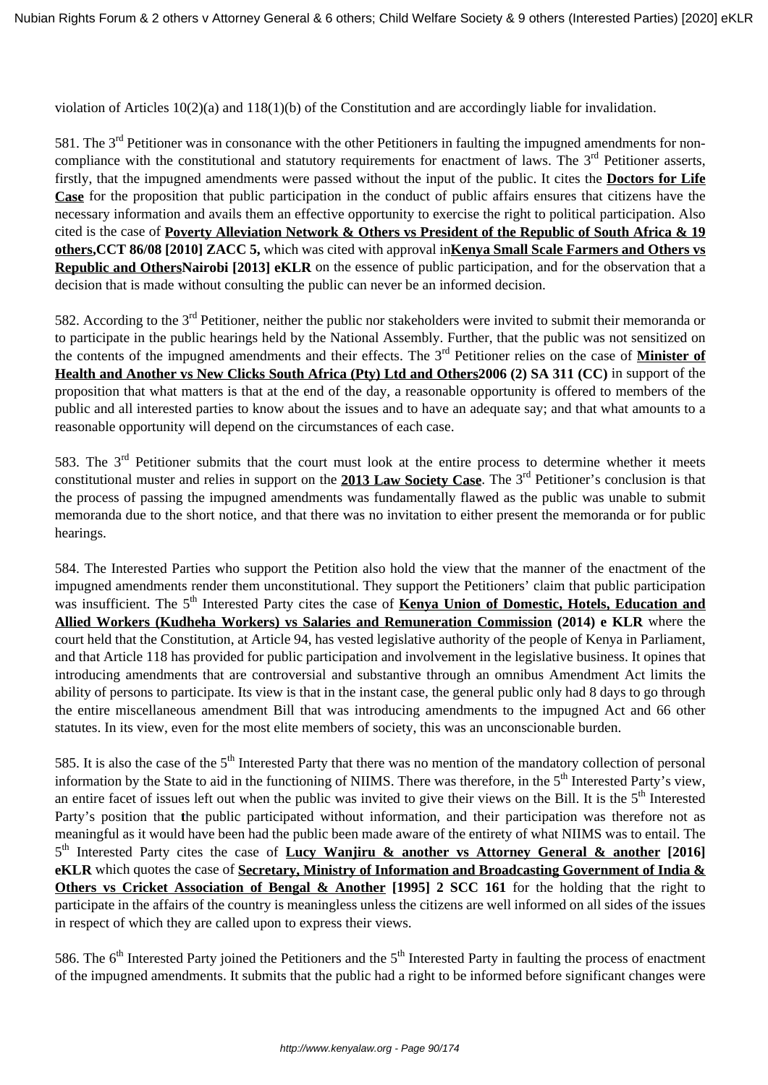violation of Articles 10(2)(a) and 118(1)(b) of the Constitution and are accordingly liable for invalidation.

581. The  $3<sup>rd</sup>$  Petitioner was in consonance with the other Petitioners in faulting the impugned amendments for noncompliance with the constitutional and statutory requirements for enactment of laws. The  $3<sup>rd</sup>$  Petitioner asserts, firstly, that the impugned amendments were passed without the input of the public. It cites the **Doctors for Life Case** for the proposition that public participation in the conduct of public affairs ensures that citizens have the necessary information and avails them an effective opportunity to exercise the right to political participation. Also cited is the case of **Poverty Alleviation Network & Others vs President of the Republic of South Africa & 19 others,CCT 86/08 [2010] ZACC 5,** which was cited with approval in**Kenya Small Scale Farmers and Others vs Republic and OthersNairobi [2013] eKLR** on the essence of public participation, and for the observation that a decision that is made without consulting the public can never be an informed decision.

582. According to the 3<sup>rd</sup> Petitioner, neither the public nor stakeholders were invited to submit their memoranda or to participate in the public hearings held by the National Assembly. Further, that the public was not sensitized on the contents of the impugned amendments and their effects. The 3rd Petitioner relies on the case of **Minister of Health and Another vs New Clicks South Africa (Pty) Ltd and Others2006 (2) SA 311 (CC)** in support of the proposition that what matters is that at the end of the day, a reasonable opportunity is offered to members of the public and all interested parties to know about the issues and to have an adequate say; and that what amounts to a reasonable opportunity will depend on the circumstances of each case.

583. The 3rd Petitioner submits that the court must look at the entire process to determine whether it meets constitutional muster and relies in support on the **2013 Law Society Case**. The 3<sup>rd</sup> Petitioner's conclusion is that the process of passing the impugned amendments was fundamentally flawed as the public was unable to submit memoranda due to the short notice, and that there was no invitation to either present the memoranda or for public hearings.

584. The Interested Parties who support the Petition also hold the view that the manner of the enactment of the impugned amendments render them unconstitutional. They support the Petitioners' claim that public participation was insufficient. The 5<sup>th</sup> Interested Party cites the case of **Kenya Union of Domestic, Hotels, Education and Allied Workers (Kudheha Workers) vs Salaries and Remuneration Commission (2014) e KLR** where the court held that the Constitution, at Article 94, has vested legislative authority of the people of Kenya in Parliament, and that Article 118 has provided for public participation and involvement in the legislative business. It opines that introducing amendments that are controversial and substantive through an omnibus Amendment Act limits the ability of persons to participate. Its view is that in the instant case, the general public only had 8 days to go through the entire miscellaneous amendment Bill that was introducing amendments to the impugned Act and 66 other statutes. In its view, even for the most elite members of society, this was an unconscionable burden.

585. It is also the case of the 5<sup>th</sup> Interested Party that there was no mention of the mandatory collection of personal information by the State to aid in the functioning of NIIMS. There was therefore, in the 5<sup>th</sup> Interested Party's view, an entire facet of issues left out when the public was invited to give their views on the Bill. It is the  $5<sup>th</sup>$  Interested Party's position that **t**he public participated without information, and their participation was therefore not as meaningful as it would have been had the public been made aware of the entirety of what NIIMS was to entail. The 5<sup>th</sup> Interested Party cites the case of Lucy Wanjiru & another vs Attorney General & another [2016] **eKLR** which quotes the case of **Secretary, Ministry of Information and Broadcasting Government of India & Others vs Cricket Association of Bengal & Another [1995] 2 SCC 161** for the holding that the right to participate in the affairs of the country is meaningless unless the citizens are well informed on all sides of the issues in respect of which they are called upon to express their views.

586. The  $6<sup>th</sup>$  Interested Party joined the Petitioners and the  $5<sup>th</sup>$  Interested Party in faulting the process of enactment of the impugned amendments. It submits that the public had a right to be informed before significant changes were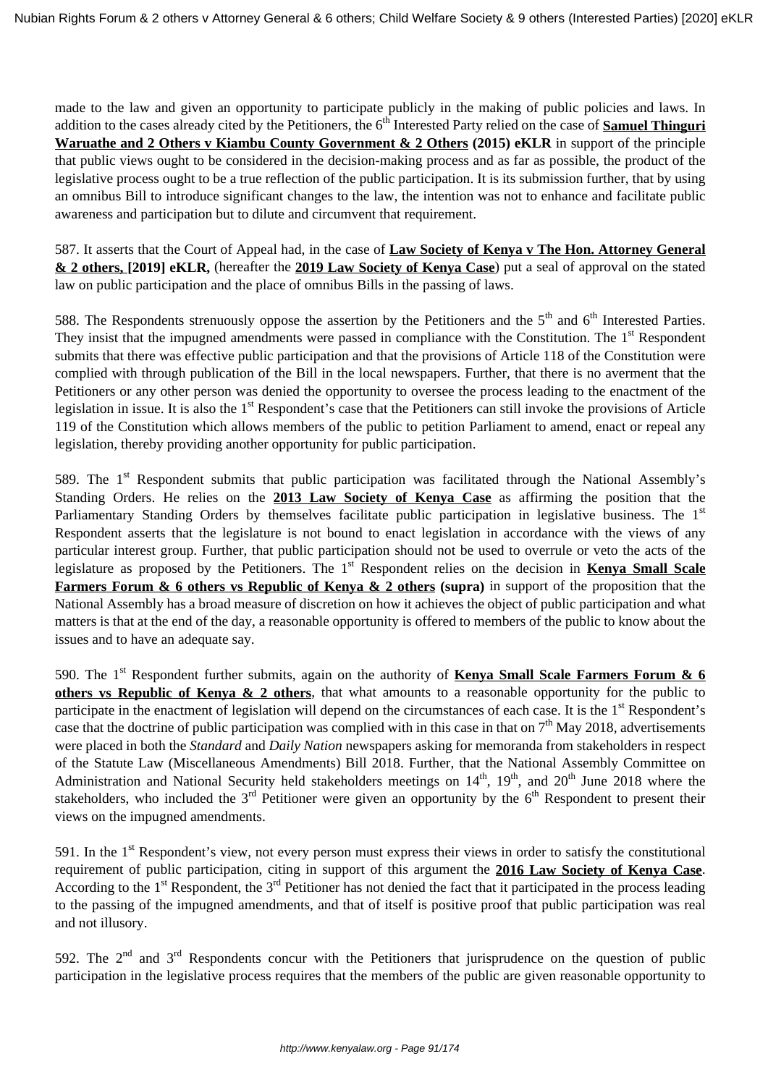made to the law and given an opportunity to participate publicly in the making of public policies and laws. In addition to the cases already cited by the Petitioners, the 6<sup>th</sup> Interested Party relied on the case of **Samuel Thinguri Waruathe and 2 Others v Kiambu County Government & 2 Others (2015) eKLR** in support of the principle that public views ought to be considered in the decision-making process and as far as possible, the product of the legislative process ought to be a true reflection of the public participation. It is its submission further, that by using an omnibus Bill to introduce significant changes to the law, the intention was not to enhance and facilitate public awareness and participation but to dilute and circumvent that requirement.

587. It asserts that the Court of Appeal had, in the case of **Law Society of Kenya v The Hon. Attorney General & 2 others, [2019] eKLR,** (hereafter the **2019 Law Society of Kenya Case**) put a seal of approval on the stated law on public participation and the place of omnibus Bills in the passing of laws.

588. The Respondents strenuously oppose the assertion by the Petitioners and the  $5<sup>th</sup>$  and  $6<sup>th</sup>$  Interested Parties. They insist that the impugned amendments were passed in compliance with the Constitution. The 1<sup>st</sup> Respondent submits that there was effective public participation and that the provisions of Article 118 of the Constitution were complied with through publication of the Bill in the local newspapers. Further, that there is no averment that the Petitioners or any other person was denied the opportunity to oversee the process leading to the enactment of the legislation in issue. It is also the  $1<sup>st</sup>$  Respondent's case that the Petitioners can still invoke the provisions of Article 119 of the Constitution which allows members of the public to petition Parliament to amend, enact or repeal any legislation, thereby providing another opportunity for public participation.

589. The 1<sup>st</sup> Respondent submits that public participation was facilitated through the National Assembly's Standing Orders. He relies on the **2013 Law Society of Kenya Case** as affirming the position that the Parliamentary Standing Orders by themselves facilitate public participation in legislative business. The 1<sup>st</sup> Respondent asserts that the legislature is not bound to enact legislation in accordance with the views of any particular interest group. Further, that public participation should not be used to overrule or veto the acts of the legislature as proposed by the Petitioners. The 1<sup>st</sup> Respondent relies on the decision in **Kenya Small Scale Farmers Forum & 6 others vs Republic of Kenya & 2 others (supra)** in support of the proposition that the National Assembly has a broad measure of discretion on how it achieves the object of public participation and what matters is that at the end of the day, a reasonable opportunity is offered to members of the public to know about the issues and to have an adequate say.

590. The 1<sup>st</sup> Respondent further submits, again on the authority of **Kenya Small Scale Farmers Forum & 6 others vs Republic of Kenya & 2 others**, that what amounts to a reasonable opportunity for the public to participate in the enactment of legislation will depend on the circumstances of each case. It is the 1<sup>st</sup> Respondent's case that the doctrine of public participation was complied with in this case in that on  $7<sup>th</sup>$  May 2018, advertisements were placed in both the *Standard* and *Daily Nation* newspapers asking for memoranda from stakeholders in respect of the Statute Law (Miscellaneous Amendments) Bill 2018. Further, that the National Assembly Committee on Administration and National Security held stakeholders meetings on 14<sup>th</sup>, 19<sup>th</sup>, and 20<sup>th</sup> June 2018 where the stakeholders, who included the  $3<sup>rd</sup>$  Petitioner were given an opportunity by the  $6<sup>th</sup>$  Respondent to present their views on the impugned amendments.

591. In the  $1<sup>st</sup>$  Respondent's view, not every person must express their views in order to satisfy the constitutional requirement of public participation, citing in support of this argument the **2016 Law Society of Kenya Case**. According to the  $1<sup>st</sup>$  Respondent, the  $3<sup>rd</sup>$  Petitioner has not denied the fact that it participated in the process leading to the passing of the impugned amendments, and that of itself is positive proof that public participation was real and not illusory.

592. The  $2<sup>nd</sup>$  and  $3<sup>rd</sup>$  Respondents concur with the Petitioners that jurisprudence on the question of public participation in the legislative process requires that the members of the public are given reasonable opportunity to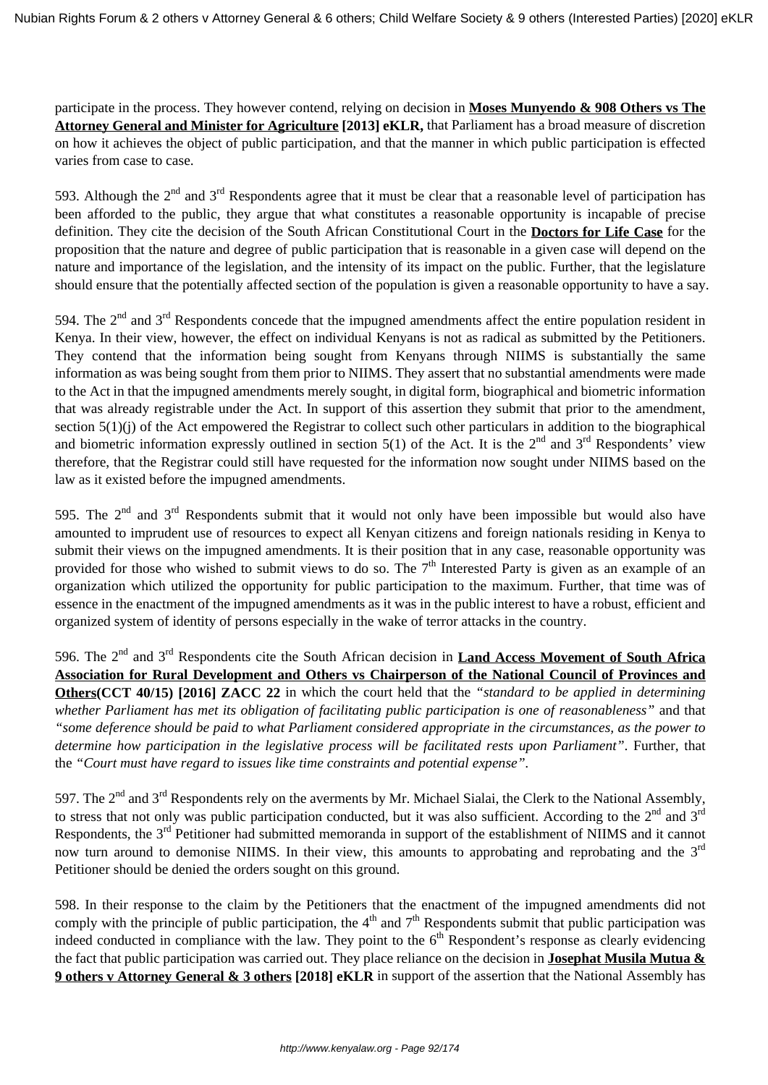participate in the process. They however contend, relying on decision in **Moses Munyendo & 908 Others vs The Attorney General and Minister for Agriculture [2013] eKLR,** that Parliament has a broad measure of discretion on how it achieves the object of public participation, and that the manner in which public participation is effected varies from case to case.

593. Although the  $2<sup>nd</sup>$  and  $3<sup>rd</sup>$  Respondents agree that it must be clear that a reasonable level of participation has been afforded to the public, they argue that what constitutes a reasonable opportunity is incapable of precise definition. They cite the decision of the South African Constitutional Court in the **Doctors for Life Case** for the proposition that the nature and degree of public participation that is reasonable in a given case will depend on the nature and importance of the legislation, and the intensity of its impact on the public. Further, that the legislature should ensure that the potentially affected section of the population is given a reasonable opportunity to have a say.

594. The  $2<sup>nd</sup>$  and  $3<sup>rd</sup>$  Respondents concede that the impugned amendments affect the entire population resident in Kenya. In their view, however, the effect on individual Kenyans is not as radical as submitted by the Petitioners. They contend that the information being sought from Kenyans through NIIMS is substantially the same information as was being sought from them prior to NIIMS. They assert that no substantial amendments were made to the Act in that the impugned amendments merely sought, in digital form, biographical and biometric information that was already registrable under the Act. In support of this assertion they submit that prior to the amendment, section  $5(1)(i)$  of the Act empowered the Registrar to collect such other particulars in addition to the biographical and biometric information expressly outlined in section 5(1) of the Act. It is the  $2<sup>nd</sup>$  and  $3<sup>rd</sup>$  Respondents' view therefore, that the Registrar could still have requested for the information now sought under NIIMS based on the law as it existed before the impugned amendments.

595. The  $2<sup>nd</sup>$  and  $3<sup>rd</sup>$  Respondents submit that it would not only have been impossible but would also have amounted to imprudent use of resources to expect all Kenyan citizens and foreign nationals residing in Kenya to submit their views on the impugned amendments. It is their position that in any case, reasonable opportunity was provided for those who wished to submit views to do so. The  $7<sup>th</sup>$  Interested Party is given as an example of an organization which utilized the opportunity for public participation to the maximum. Further, that time was of essence in the enactment of the impugned amendments as it was in the public interest to have a robust, efficient and organized system of identity of persons especially in the wake of terror attacks in the country.

596. The 2nd and 3rd Respondents cite the South African decision in **Land Access Movement of South Africa Association for Rural Development and Others vs Chairperson of the National Council of Provinces and Others(CCT 40/15) [2016] ZACC 22** in which the court held that the *"standard to be applied in determining whether Parliament has met its obligation of facilitating public participation is one of reasonableness"* and that *"some deference should be paid to what Parliament considered appropriate in the circumstances, as the power to determine how participation in the legislative process will be facilitated rests upon Parliament"*. Further, that the *"Court must have regard to issues like time constraints and potential expense".* 

597. The  $2<sup>nd</sup>$  and  $3<sup>rd</sup>$  Respondents rely on the averments by Mr. Michael Sialai, the Clerk to the National Assembly, to stress that not only was public participation conducted, but it was also sufficient. According to the  $2<sup>nd</sup>$  and  $3<sup>rd</sup>$ Respondents, the 3<sup>rd</sup> Petitioner had submitted memoranda in support of the establishment of NIIMS and it cannot now turn around to demonise NIIMS. In their view, this amounts to approbating and reprobating and the 3<sup>rd</sup> Petitioner should be denied the orders sought on this ground.

598. In their response to the claim by the Petitioners that the enactment of the impugned amendments did not comply with the principle of public participation, the  $4<sup>th</sup>$  and  $7<sup>th</sup>$  Respondents submit that public participation was indeed conducted in compliance with the law. They point to the  $6<sup>th</sup>$  Respondent's response as clearly evidencing the fact that public participation was carried out. They place reliance on the decision in **Josephat Musila Mutua & 9 others v Attorney General & 3 others [2018] eKLR** in support of the assertion that the National Assembly has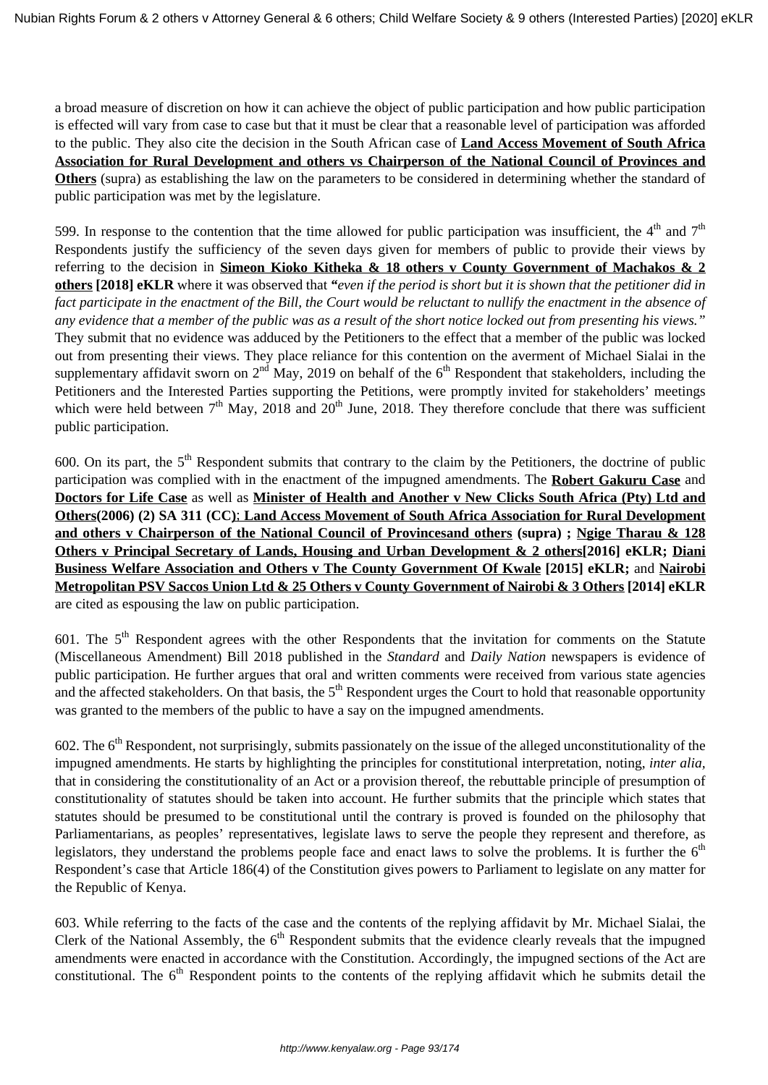a broad measure of discretion on how it can achieve the object of public participation and how public participation is effected will vary from case to case but that it must be clear that a reasonable level of participation was afforded to the public. They also cite the decision in the South African case of **Land Access Movement of South Africa Association for Rural Development and others vs Chairperson of the National Council of Provinces and Others** (supra) as establishing the law on the parameters to be considered in determining whether the standard of public participation was met by the legislature.

599. In response to the contention that the time allowed for public participation was insufficient, the  $4<sup>th</sup>$  and  $7<sup>th</sup>$ Respondents justify the sufficiency of the seven days given for members of public to provide their views by referring to the decision in **Simeon Kioko Kitheka & 18 others v County Government of Machakos & 2 others [2018] eKLR** where it was observed that *"even if the period is short but it is shown that the petitioner did in fact participate in the enactment of the Bill, the Court would be reluctant to nullify the enactment in the absence of any evidence that a member of the public was as a result of the short notice locked out from presenting his views."* They submit that no evidence was adduced by the Petitioners to the effect that a member of the public was locked out from presenting their views. They place reliance for this contention on the averment of Michael Sialai in the supplementary affidavit sworn on  $2<sup>nd</sup>$  May, 2019 on behalf of the  $6<sup>th</sup>$  Respondent that stakeholders, including the Petitioners and the Interested Parties supporting the Petitions, were promptly invited for stakeholders' meetings which were held between  $7<sup>th</sup>$  May, 2018 and 20<sup>th</sup> June, 2018. They therefore conclude that there was sufficient public participation.

600. On its part, the  $5<sup>th</sup>$  Respondent submits that contrary to the claim by the Petitioners, the doctrine of public participation was complied with in the enactment of the impugned amendments. The **Robert Gakuru Case** and **Doctors for Life Case** as well as **Minister of Health and Another v New Clicks South Africa (Pty) Ltd and Others(2006) (2) SA 311 (CC)**; **Land Access Movement of South Africa Association for Rural Development and others v Chairperson of the National Council of Provincesand others (supra) ; Ngige Tharau & 128 Others v Principal Secretary of Lands, Housing and Urban Development & 2 others[2016] eKLR; Diani Business Welfare Association and Others v The County Government Of Kwale [2015] eKLR;** and **Nairobi Metropolitan PSV Saccos Union Ltd & 25 Others v County Government of Nairobi & 3 Others [2014] eKLR** are cited as espousing the law on public participation.

601. The  $5<sup>th</sup>$  Respondent agrees with the other Respondents that the invitation for comments on the Statute (Miscellaneous Amendment) Bill 2018 published in the *Standard* and *Daily Nation* newspapers is evidence of public participation. He further argues that oral and written comments were received from various state agencies and the affected stakeholders. On that basis, the  $5<sup>th</sup>$  Respondent urges the Court to hold that reasonable opportunity was granted to the members of the public to have a say on the impugned amendments.

602. The  $6<sup>th</sup>$  Respondent, not surprisingly, submits passionately on the issue of the alleged unconstitutionality of the impugned amendments. He starts by highlighting the principles for constitutional interpretation, noting, *inter alia,* that in considering the constitutionality of an Act or a provision thereof, the rebuttable principle of presumption of constitutionality of statutes should be taken into account. He further submits that the principle which states that statutes should be presumed to be constitutional until the contrary is proved is founded on the philosophy that Parliamentarians, as peoples' representatives, legislate laws to serve the people they represent and therefore, as legislators, they understand the problems people face and enact laws to solve the problems. It is further the  $6<sup>th</sup>$ Respondent's case that Article 186(4) of the Constitution gives powers to Parliament to legislate on any matter for the Republic of Kenya.

603. While referring to the facts of the case and the contents of the replying affidavit by Mr. Michael Sialai, the Clerk of the National Assembly, the  $6<sup>th</sup>$  Respondent submits that the evidence clearly reveals that the impugned amendments were enacted in accordance with the Constitution. Accordingly, the impugned sections of the Act are constitutional. The  $6<sup>th</sup>$  Respondent points to the contents of the replying affidavit which he submits detail the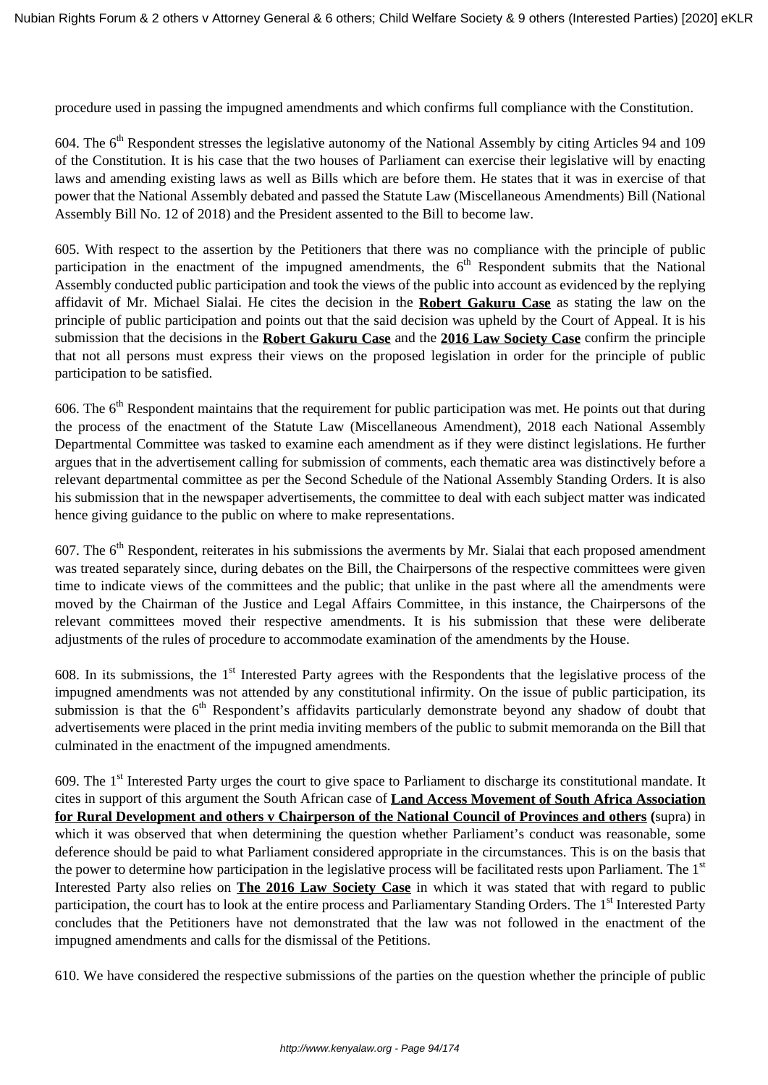procedure used in passing the impugned amendments and which confirms full compliance with the Constitution.

604. The 6<sup>th</sup> Respondent stresses the legislative autonomy of the National Assembly by citing Articles 94 and 109 of the Constitution. It is his case that the two houses of Parliament can exercise their legislative will by enacting laws and amending existing laws as well as Bills which are before them. He states that it was in exercise of that power that the National Assembly debated and passed the Statute Law (Miscellaneous Amendments) Bill (National Assembly Bill No. 12 of 2018) and the President assented to the Bill to become law.

605. With respect to the assertion by the Petitioners that there was no compliance with the principle of public participation in the enactment of the impugned amendments, the  $6<sup>th</sup>$  Respondent submits that the National Assembly conducted public participation and took the views of the public into account as evidenced by the replying affidavit of Mr. Michael Sialai. He cites the decision in the **Robert Gakuru Case** as stating the law on the principle of public participation and points out that the said decision was upheld by the Court of Appeal. It is his submission that the decisions in the **Robert Gakuru Case** and the **2016 Law Society Case** confirm the principle that not all persons must express their views on the proposed legislation in order for the principle of public participation to be satisfied.

606. The  $6<sup>th</sup>$  Respondent maintains that the requirement for public participation was met. He points out that during the process of the enactment of the Statute Law (Miscellaneous Amendment), 2018 each National Assembly Departmental Committee was tasked to examine each amendment as if they were distinct legislations. He further argues that in the advertisement calling for submission of comments, each thematic area was distinctively before a relevant departmental committee as per the Second Schedule of the National Assembly Standing Orders. It is also his submission that in the newspaper advertisements, the committee to deal with each subject matter was indicated hence giving guidance to the public on where to make representations.

607. The  $6<sup>th</sup>$  Respondent, reiterates in his submissions the averments by Mr. Sialai that each proposed amendment was treated separately since, during debates on the Bill, the Chairpersons of the respective committees were given time to indicate views of the committees and the public; that unlike in the past where all the amendments were moved by the Chairman of the Justice and Legal Affairs Committee, in this instance, the Chairpersons of the relevant committees moved their respective amendments. It is his submission that these were deliberate adjustments of the rules of procedure to accommodate examination of the amendments by the House.

608. In its submissions, the  $1<sup>st</sup>$  Interested Party agrees with the Respondents that the legislative process of the impugned amendments was not attended by any constitutional infirmity. On the issue of public participation, its submission is that the  $6<sup>th</sup>$  Respondent's affidavits particularly demonstrate beyond any shadow of doubt that advertisements were placed in the print media inviting members of the public to submit memoranda on the Bill that culminated in the enactment of the impugned amendments.

609. The 1st Interested Party urges the court to give space to Parliament to discharge its constitutional mandate. It cites in support of this argument the South African case of **Land Access Movement of South Africa Association for Rural Development and others v Chairperson of the National Council of Provinces and others (**supra) in which it was observed that when determining the question whether Parliament's conduct was reasonable, some deference should be paid to what Parliament considered appropriate in the circumstances. This is on the basis that the power to determine how participation in the legislative process will be facilitated rests upon Parliament. The  $1<sup>st</sup>$ Interested Party also relies on **The 2016 Law Society Case** in which it was stated that with regard to public participation, the court has to look at the entire process and Parliamentary Standing Orders. The 1<sup>st</sup> Interested Party concludes that the Petitioners have not demonstrated that the law was not followed in the enactment of the impugned amendments and calls for the dismissal of the Petitions.

610. We have considered the respective submissions of the parties on the question whether the principle of public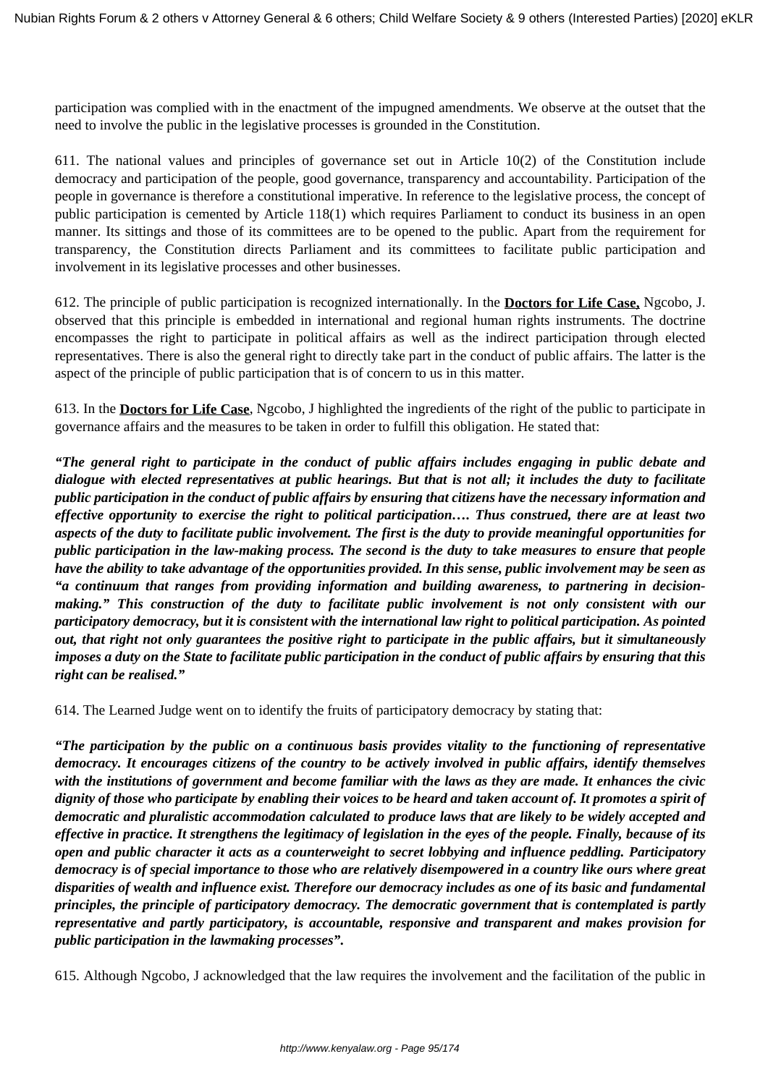participation was complied with in the enactment of the impugned amendments. We observe at the outset that the need to involve the public in the legislative processes is grounded in the Constitution.

611. The national values and principles of governance set out in Article 10(2) of the Constitution include democracy and participation of the people, good governance, transparency and accountability. Participation of the people in governance is therefore a constitutional imperative. In reference to the legislative process, the concept of public participation is cemented by Article 118(1) which requires Parliament to conduct its business in an open manner. Its sittings and those of its committees are to be opened to the public. Apart from the requirement for transparency, the Constitution directs Parliament and its committees to facilitate public participation and involvement in its legislative processes and other businesses.

612. The principle of public participation is recognized internationally. In the **Doctors for Life Case,** Ngcobo, J. observed that this principle is embedded in international and regional human rights instruments. The doctrine encompasses the right to participate in political affairs as well as the indirect participation through elected representatives. There is also the general right to directly take part in the conduct of public affairs. The latter is the aspect of the principle of public participation that is of concern to us in this matter.

613. In the **Doctors for Life Case**, Ngcobo, J highlighted the ingredients of the right of the public to participate in governance affairs and the measures to be taken in order to fulfill this obligation. He stated that:

*"The general right to participate in the conduct of public affairs includes engaging in public debate and dialogue with elected representatives at public hearings. But that is not all; it includes the duty to facilitate public participation in the conduct of public affairs by ensuring that citizens have the necessary information and effective opportunity to exercise the right to political participation…. Thus construed, there are at least two aspects of the duty to facilitate public involvement. The first is the duty to provide meaningful opportunities for public participation in the law-making process. The second is the duty to take measures to ensure that people have the ability to take advantage of the opportunities provided. In this sense, public involvement may be seen as "a continuum that ranges from providing information and building awareness, to partnering in decisionmaking." This construction of the duty to facilitate public involvement is not only consistent with our participatory democracy, but it is consistent with the international law right to political participation. As pointed out, that right not only guarantees the positive right to participate in the public affairs, but it simultaneously imposes a duty on the State to facilitate public participation in the conduct of public affairs by ensuring that this right can be realised."*

614. The Learned Judge went on to identify the fruits of participatory democracy by stating that:

*"The participation by the public on a continuous basis provides vitality to the functioning of representative democracy. It encourages citizens of the country to be actively involved in public affairs, identify themselves with the institutions of government and become familiar with the laws as they are made. It enhances the civic dignity of those who participate by enabling their voices to be heard and taken account of. It promotes a spirit of democratic and pluralistic accommodation calculated to produce laws that are likely to be widely accepted and effective in practice. It strengthens the legitimacy of legislation in the eyes of the people. Finally, because of its open and public character it acts as a counterweight to secret lobbying and influence peddling. Participatory democracy is of special importance to those who are relatively disempowered in a country like ours where great disparities of wealth and influence exist. Therefore our democracy includes as one of its basic and fundamental principles, the principle of participatory democracy. The democratic government that is contemplated is partly representative and partly participatory, is accountable, responsive and transparent and makes provision for public participation in the lawmaking processes".*

615. Although Ngcobo, J acknowledged that the law requires the involvement and the facilitation of the public in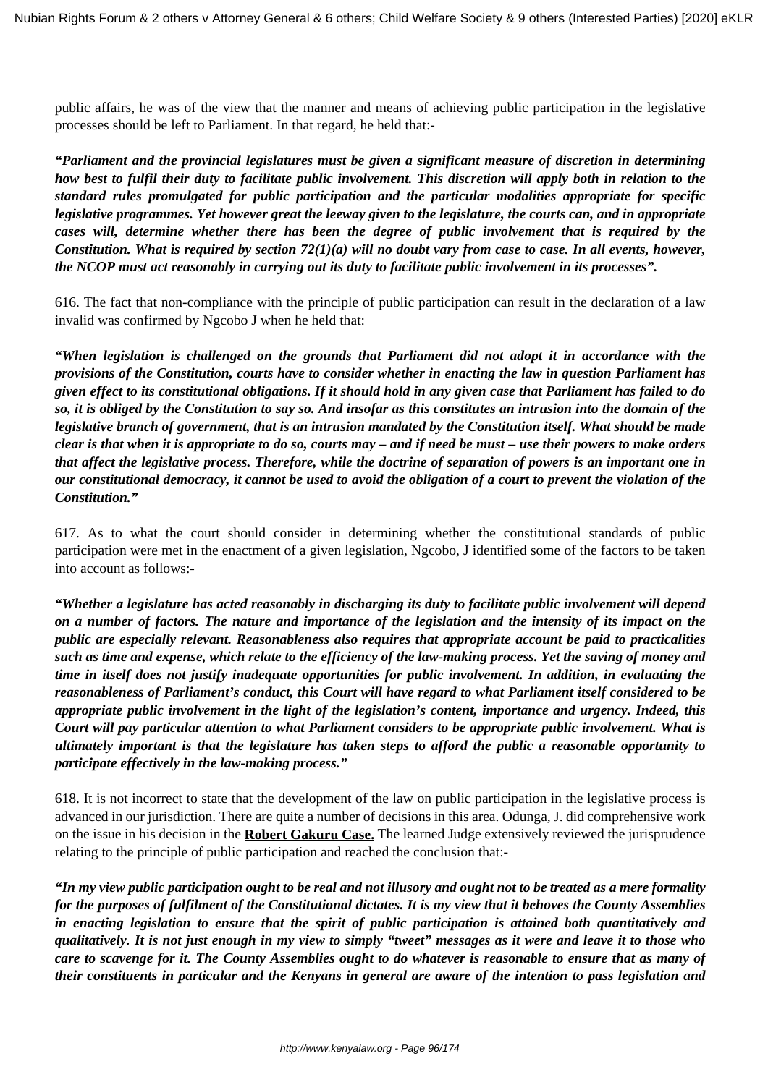public affairs, he was of the view that the manner and means of achieving public participation in the legislative processes should be left to Parliament. In that regard, he held that:-

*"Parliament and the provincial legislatures must be given a significant measure of discretion in determining how best to fulfil their duty to facilitate public involvement. This discretion will apply both in relation to the standard rules promulgated for public participation and the particular modalities appropriate for specific legislative programmes. Yet however great the leeway given to the legislature, the courts can, and in appropriate cases will, determine whether there has been the degree of public involvement that is required by the Constitution. What is required by section 72(1)(a) will no doubt vary from case to case. In all events, however, the NCOP must act reasonably in carrying out its duty to facilitate public involvement in its processes".*

616. The fact that non-compliance with the principle of public participation can result in the declaration of a law invalid was confirmed by Ngcobo J when he held that:

*"When legislation is challenged on the grounds that Parliament did not adopt it in accordance with the provisions of the Constitution, courts have to consider whether in enacting the law in question Parliament has given effect to its constitutional obligations. If it should hold in any given case that Parliament has failed to do so, it is obliged by the Constitution to say so. And insofar as this constitutes an intrusion into the domain of the legislative branch of government, that is an intrusion mandated by the Constitution itself. What should be made clear is that when it is appropriate to do so, courts may – and if need be must – use their powers to make orders that affect the legislative process. Therefore, while the doctrine of separation of powers is an important one in our constitutional democracy, it cannot be used to avoid the obligation of a court to prevent the violation of the Constitution."*

617. As to what the court should consider in determining whether the constitutional standards of public participation were met in the enactment of a given legislation, Ngcobo, J identified some of the factors to be taken into account as follows:-

*"Whether a legislature has acted reasonably in discharging its duty to facilitate public involvement will depend on a number of factors. The nature and importance of the legislation and the intensity of its impact on the public are especially relevant. Reasonableness also requires that appropriate account be paid to practicalities such as time and expense, which relate to the efficiency of the law-making process. Yet the saving of money and time in itself does not justify inadequate opportunities for public involvement. In addition, in evaluating the reasonableness of Parliament's conduct, this Court will have regard to what Parliament itself considered to be appropriate public involvement in the light of the legislation's content, importance and urgency. Indeed, this Court will pay particular attention to what Parliament considers to be appropriate public involvement. What is ultimately important is that the legislature has taken steps to afford the public a reasonable opportunity to participate effectively in the law-making process."* 

618. It is not incorrect to state that the development of the law on public participation in the legislative process is advanced in our jurisdiction. There are quite a number of decisions in this area. Odunga, J. did comprehensive work on the issue in his decision in the **Robert Gakuru Case.** The learned Judge extensively reviewed the jurisprudence relating to the principle of public participation and reached the conclusion that:-

*"In my view public participation ought to be real and not illusory and ought not to be treated as a mere formality for the purposes of fulfilment of the Constitutional dictates. It is my view that it behoves the County Assemblies in enacting legislation to ensure that the spirit of public participation is attained both quantitatively and qualitatively. It is not just enough in my view to simply "tweet" messages as it were and leave it to those who care to scavenge for it. The County Assemblies ought to do whatever is reasonable to ensure that as many of their constituents in particular and the Kenyans in general are aware of the intention to pass legislation and*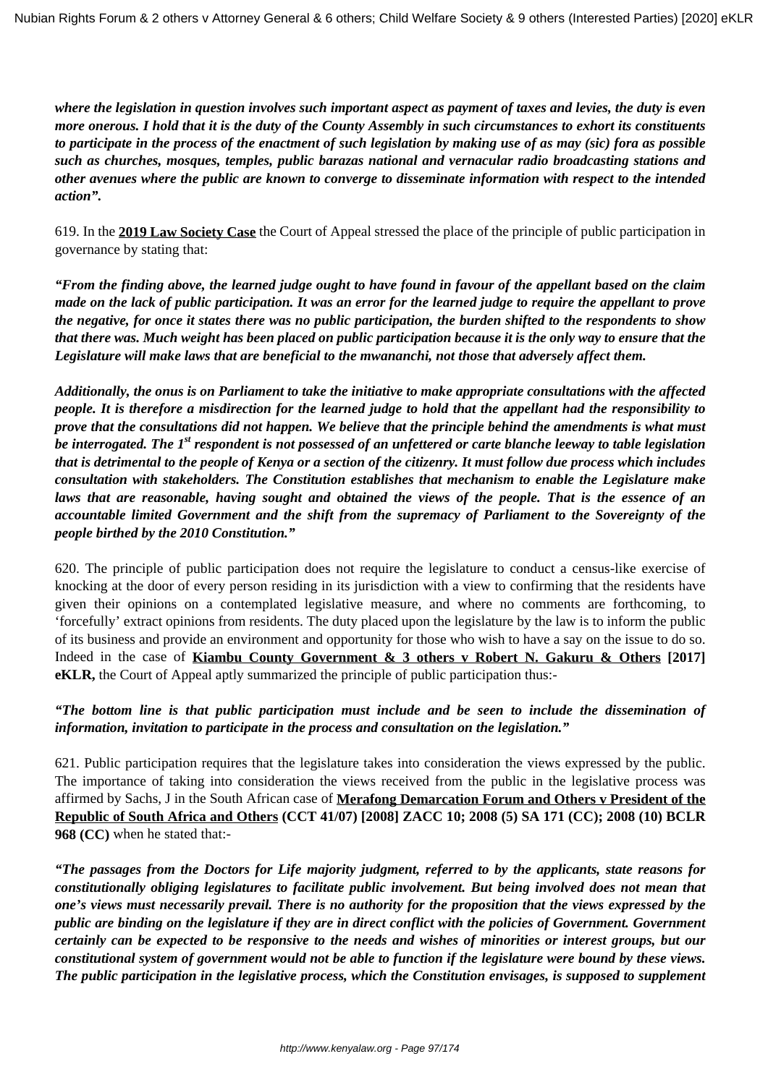*where the legislation in question involves such important aspect as payment of taxes and levies, the duty is even more onerous. I hold that it is the duty of the County Assembly in such circumstances to exhort its constituents to participate in the process of the enactment of such legislation by making use of as may (sic) fora as possible such as churches, mosques, temples, public barazas national and vernacular radio broadcasting stations and other avenues where the public are known to converge to disseminate information with respect to the intended action".* 

619. In the **2019 Law Society Case** the Court of Appeal stressed the place of the principle of public participation in governance by stating that:

*"From the finding above, the learned judge ought to have found in favour of the appellant based on the claim made on the lack of public participation. It was an error for the learned judge to require the appellant to prove the negative, for once it states there was no public participation, the burden shifted to the respondents to show that there was. Much weight has been placed on public participation because it is the only way to ensure that the Legislature will make laws that are beneficial to the mwananchi, not those that adversely affect them.*

*Additionally, the onus is on Parliament to take the initiative to make appropriate consultations with the affected people. It is therefore a misdirection for the learned judge to hold that the appellant had the responsibility to prove that the consultations did not happen. We believe that the principle behind the amendments is what must be interrogated. The 1st respondent is not possessed of an unfettered or carte blanche leeway to table legislation that is detrimental to the people of Kenya or a section of the citizenry. It must follow due process which includes consultation with stakeholders. The Constitution establishes that mechanism to enable the Legislature make laws that are reasonable, having sought and obtained the views of the people. That is the essence of an accountable limited Government and the shift from the supremacy of Parliament to the Sovereignty of the people birthed by the 2010 Constitution."*

620. The principle of public participation does not require the legislature to conduct a census-like exercise of knocking at the door of every person residing in its jurisdiction with a view to confirming that the residents have given their opinions on a contemplated legislative measure, and where no comments are forthcoming, to 'forcefully' extract opinions from residents. The duty placed upon the legislature by the law is to inform the public of its business and provide an environment and opportunity for those who wish to have a say on the issue to do so. Indeed in the case of **Kiambu County Government & 3 others v Robert N. Gakuru & Others [2017] eKLR,** the Court of Appeal aptly summarized the principle of public participation thus:-

*"The bottom line is that public participation must include and be seen to include the dissemination of information, invitation to participate in the process and consultation on the legislation."*

621. Public participation requires that the legislature takes into consideration the views expressed by the public. The importance of taking into consideration the views received from the public in the legislative process was affirmed by Sachs, J in the South African case of **Merafong Demarcation Forum and Others v President of the Republic of South Africa and Others (CCT 41/07) [2008] ZACC 10; 2008 (5) SA 171 (CC); 2008 (10) BCLR 968 (CC)** when he stated that:-

*"The passages from the Doctors for Life majority judgment, referred to by the applicants, state reasons for constitutionally obliging legislatures to facilitate public involvement. But being involved does not mean that one's views must necessarily prevail. There is no authority for the proposition that the views expressed by the public are binding on the legislature if they are in direct conflict with the policies of Government. Government certainly can be expected to be responsive to the needs and wishes of minorities or interest groups, but our constitutional system of government would not be able to function if the legislature were bound by these views. The public participation in the legislative process, which the Constitution envisages, is supposed to supplement*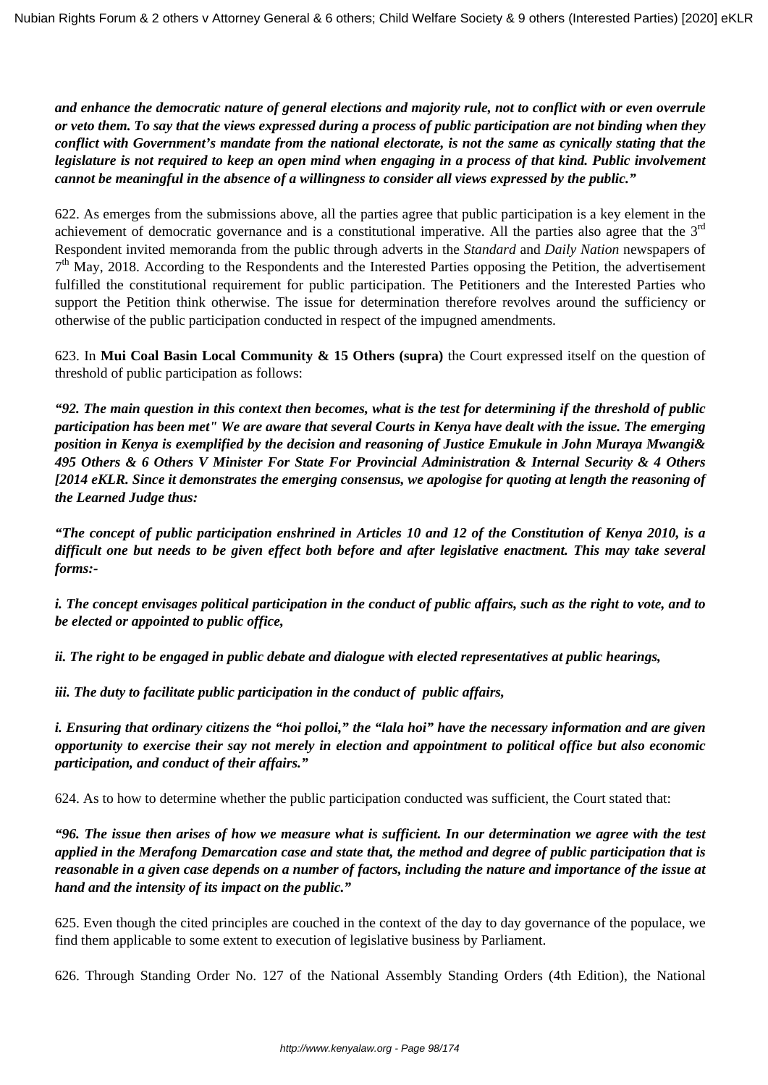*and enhance the democratic nature of general elections and majority rule, not to conflict with or even overrule or veto them. To say that the views expressed during a process of public participation are not binding when they conflict with Government's mandate from the national electorate, is not the same as cynically stating that the legislature is not required to keep an open mind when engaging in a process of that kind. Public involvement cannot be meaningful in the absence of a willingness to consider all views expressed by the public."* 

622. As emerges from the submissions above, all the parties agree that public participation is a key element in the achievement of democratic governance and is a constitutional imperative. All the parties also agree that the 3<sup>rd</sup> Respondent invited memoranda from the public through adverts in the *Standard* and *Daily Nation* newspapers of 7<sup>th</sup> May, 2018. According to the Respondents and the Interested Parties opposing the Petition, the advertisement fulfilled the constitutional requirement for public participation. The Petitioners and the Interested Parties who support the Petition think otherwise. The issue for determination therefore revolves around the sufficiency or otherwise of the public participation conducted in respect of the impugned amendments.

623. In **Mui Coal Basin Local Community & 15 Others (supra)** the Court expressed itself on the question of threshold of public participation as follows:

*"92. The main question in this context then becomes, what is the test for determining if the threshold of public participation has been met" We are aware that several Courts in Kenya have dealt with the issue. The emerging position in Kenya is exemplified by the decision and reasoning of Justice Emukule in John Muraya Mwangi& 495 Others & 6 Others V Minister For State For Provincial Administration & Internal Security & 4 Others [2014 eKLR. Since it demonstrates the emerging consensus, we apologise for quoting at length the reasoning of the Learned Judge thus:*

*"The concept of public participation enshrined in Articles 10 and 12 of the Constitution of Kenya 2010, is a difficult one but needs to be given effect both before and after legislative enactment. This may take several forms:-*

*i. The concept envisages political participation in the conduct of public affairs, such as the right to vote, and to be elected or appointed to public office,*

*ii. The right to be engaged in public debate and dialogue with elected representatives at public hearings,*

*iii. The duty to facilitate public participation in the conduct of public affairs,*

*i. Ensuring that ordinary citizens the "hoi polloi," the "lala hoi" have the necessary information and are given opportunity to exercise their say not merely in election and appointment to political office but also economic participation, and conduct of their affairs."*

624. As to how to determine whether the public participation conducted was sufficient, the Court stated that:

*"96. The issue then arises of how we measure what is sufficient. In our determination we agree with the test applied in the Merafong Demarcation case and state that, the method and degree of public participation that is reasonable in a given case depends on a number of factors, including the nature and importance of the issue at hand and the intensity of its impact on the public."*

625. Even though the cited principles are couched in the context of the day to day governance of the populace, we find them applicable to some extent to execution of legislative business by Parliament.

626. Through Standing Order No. 127 of the National Assembly Standing Orders (4th Edition), the National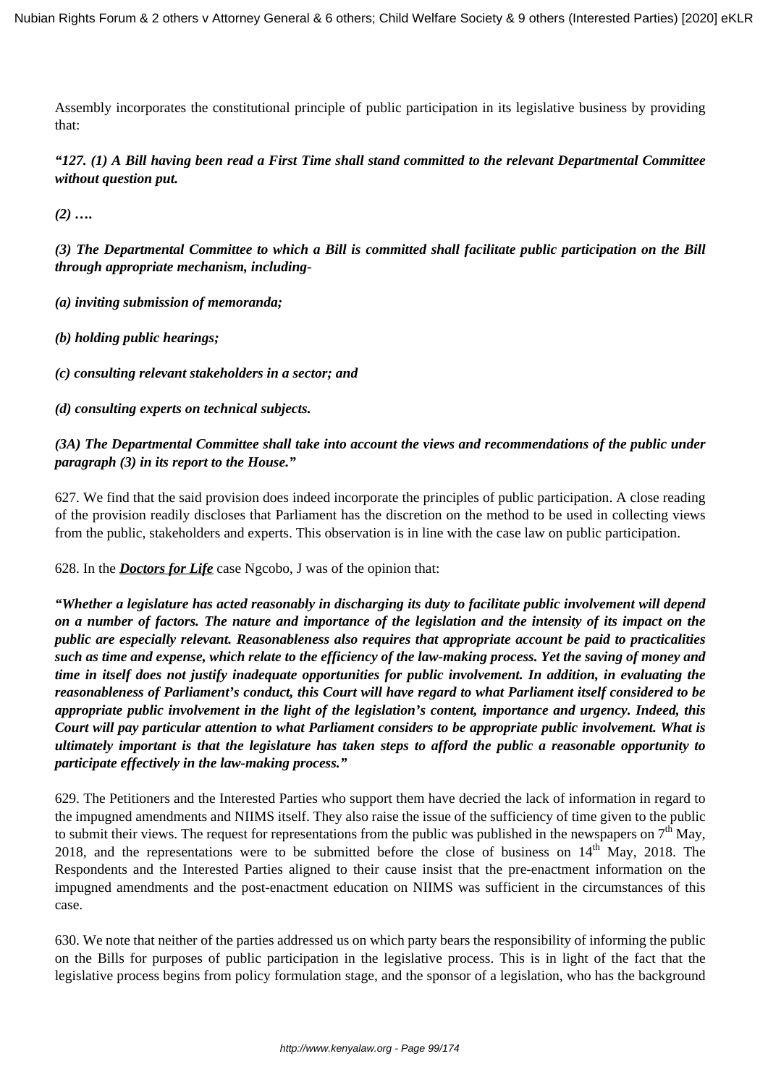Assembly incorporates the constitutional principle of public participation in its legislative business by providing that:

*"127. (1) A Bill having been read a First Time shall stand committed to the relevant Departmental Committee without question put.*

*(2) ….*

*(3) The Departmental Committee to which a Bill is committed shall facilitate public participation on the Bill through appropriate mechanism, including-*

*(a) inviting submission of memoranda;*

*(b) holding public hearings;*

*(c) consulting relevant stakeholders in a sector; and* 

*(d) consulting experts on technical subjects.*

### *(3A) The Departmental Committee shall take into account the views and recommendations of the public under paragraph (3) in its report to the House."*

627. We find that the said provision does indeed incorporate the principles of public participation. A close reading of the provision readily discloses that Parliament has the discretion on the method to be used in collecting views from the public, stakeholders and experts. This observation is in line with the case law on public participation.

628. In the *Doctors for Life* case Ngcobo, J was of the opinion that:

*"Whether a legislature has acted reasonably in discharging its duty to facilitate public involvement will depend on a number of factors. The nature and importance of the legislation and the intensity of its impact on the public are especially relevant. Reasonableness also requires that appropriate account be paid to practicalities such as time and expense, which relate to the efficiency of the law-making process. Yet the saving of money and time in itself does not justify inadequate opportunities for public involvement. In addition, in evaluating the reasonableness of Parliament's conduct, this Court will have regard to what Parliament itself considered to be appropriate public involvement in the light of the legislation's content, importance and urgency. Indeed, this Court will pay particular attention to what Parliament considers to be appropriate public involvement. What is ultimately important is that the legislature has taken steps to afford the public a reasonable opportunity to participate effectively in the law-making process."* 

629. The Petitioners and the Interested Parties who support them have decried the lack of information in regard to the impugned amendments and NIIMS itself. They also raise the issue of the sufficiency of time given to the public to submit their views. The request for representations from the public was published in the newspapers on  $7<sup>th</sup>$  May, 2018, and the representations were to be submitted before the close of business on  $14<sup>th</sup>$  May, 2018. The Respondents and the Interested Parties aligned to their cause insist that the pre-enactment information on the impugned amendments and the post-enactment education on NIIMS was sufficient in the circumstances of this case.

630. We note that neither of the parties addressed us on which party bears the responsibility of informing the public on the Bills for purposes of public participation in the legislative process. This is in light of the fact that the legislative process begins from policy formulation stage, and the sponsor of a legislation, who has the background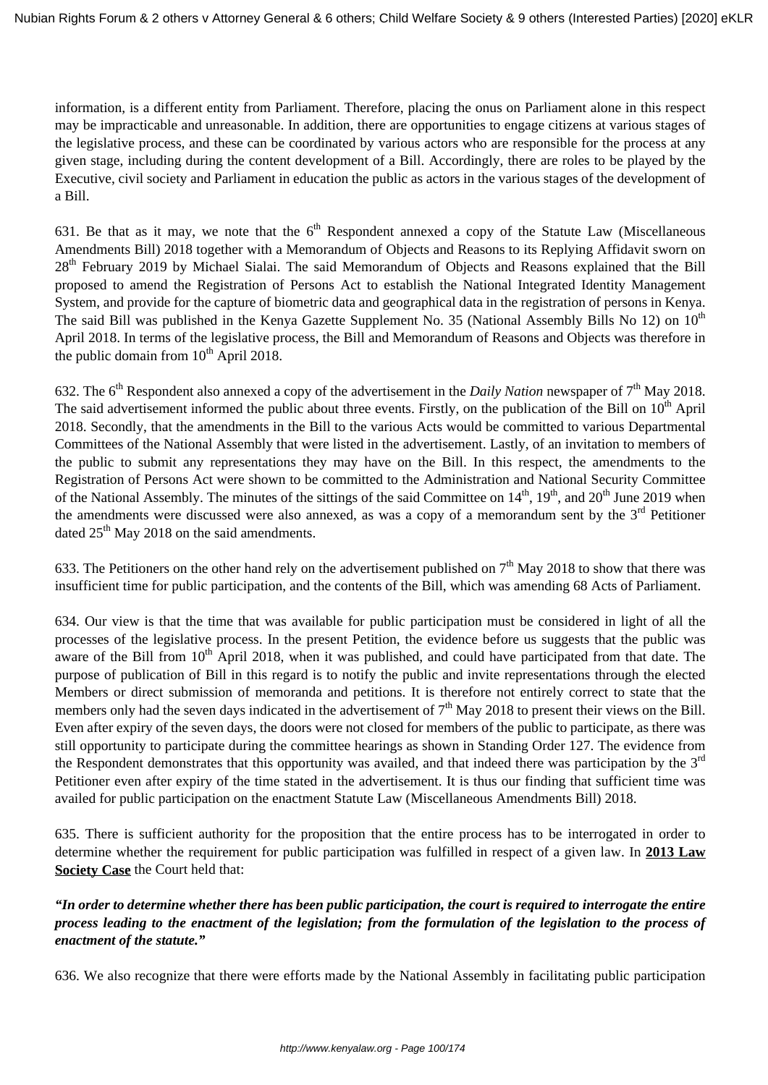information, is a different entity from Parliament. Therefore, placing the onus on Parliament alone in this respect may be impracticable and unreasonable. In addition, there are opportunities to engage citizens at various stages of the legislative process, and these can be coordinated by various actors who are responsible for the process at any given stage, including during the content development of a Bill. Accordingly, there are roles to be played by the Executive, civil society and Parliament in education the public as actors in the various stages of the development of a Bill.

631. Be that as it may, we note that the  $6<sup>th</sup>$  Respondent annexed a copy of the Statute Law (Miscellaneous Amendments Bill) 2018 together with a Memorandum of Objects and Reasons to its Replying Affidavit sworn on 28<sup>th</sup> February 2019 by Michael Sialai. The said Memorandum of Objects and Reasons explained that the Bill proposed to amend the Registration of Persons Act to establish the National Integrated Identity Management System, and provide for the capture of biometric data and geographical data in the registration of persons in Kenya. The said Bill was published in the Kenya Gazette Supplement No. 35 (National Assembly Bills No 12) on 10<sup>th</sup> April 2018. In terms of the legislative process, the Bill and Memorandum of Reasons and Objects was therefore in the public domain from  $10^{th}$  April 2018.

632. The 6th Respondent also annexed a copy of the advertisement in the *Daily Nation* newspaper of 7th May 2018. The said advertisement informed the public about three events. Firstly, on the publication of the Bill on 10<sup>th</sup> April 2018. Secondly, that the amendments in the Bill to the various Acts would be committed to various Departmental Committees of the National Assembly that were listed in the advertisement. Lastly, of an invitation to members of the public to submit any representations they may have on the Bill. In this respect, the amendments to the Registration of Persons Act were shown to be committed to the Administration and National Security Committee of the National Assembly. The minutes of the sittings of the said Committee on  $14<sup>th</sup>$ ,  $19<sup>th</sup>$ , and  $20<sup>th</sup>$  June 2019 when the amendments were discussed were also annexed, as was a copy of a memorandum sent by the  $3<sup>rd</sup>$  Petitioner dated  $25<sup>th</sup>$  May 2018 on the said amendments.

633. The Petitioners on the other hand rely on the advertisement published on  $7<sup>th</sup>$  May 2018 to show that there was insufficient time for public participation, and the contents of the Bill, which was amending 68 Acts of Parliament.

634. Our view is that the time that was available for public participation must be considered in light of all the processes of the legislative process. In the present Petition, the evidence before us suggests that the public was aware of the Bill from  $10<sup>th</sup>$  April 2018, when it was published, and could have participated from that date. The purpose of publication of Bill in this regard is to notify the public and invite representations through the elected Members or direct submission of memoranda and petitions. It is therefore not entirely correct to state that the members only had the seven days indicated in the advertisement of  $7<sup>th</sup>$  May 2018 to present their views on the Bill. Even after expiry of the seven days, the doors were not closed for members of the public to participate, as there was still opportunity to participate during the committee hearings as shown in Standing Order 127. The evidence from the Respondent demonstrates that this opportunity was availed, and that indeed there was participation by the  $3<sup>rd</sup>$ Petitioner even after expiry of the time stated in the advertisement. It is thus our finding that sufficient time was availed for public participation on the enactment Statute Law (Miscellaneous Amendments Bill) 2018.

635. There is sufficient authority for the proposition that the entire process has to be interrogated in order to determine whether the requirement for public participation was fulfilled in respect of a given law. In **2013 Law Society Case** the Court held that:

*"In order to determine whether there has been public participation, the court is required to interrogate the entire process leading to the enactment of the legislation; from the formulation of the legislation to the process of enactment of the statute."*

636. We also recognize that there were efforts made by the National Assembly in facilitating public participation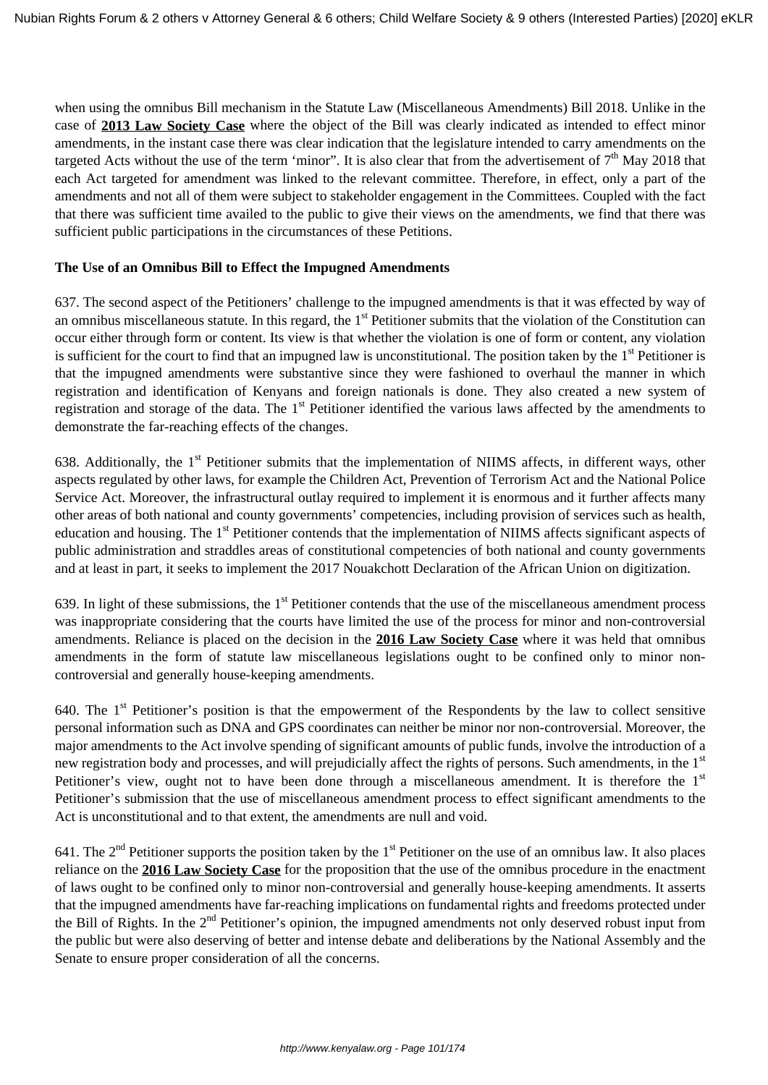when using the omnibus Bill mechanism in the Statute Law (Miscellaneous Amendments) Bill 2018. Unlike in the case of **2013 Law Society Case** where the object of the Bill was clearly indicated as intended to effect minor amendments, in the instant case there was clear indication that the legislature intended to carry amendments on the targeted Acts without the use of the term 'minor". It is also clear that from the advertisement of  $7<sup>th</sup>$  May 2018 that each Act targeted for amendment was linked to the relevant committee. Therefore, in effect, only a part of the amendments and not all of them were subject to stakeholder engagement in the Committees. Coupled with the fact that there was sufficient time availed to the public to give their views on the amendments, we find that there was sufficient public participations in the circumstances of these Petitions.

### **The Use of an Omnibus Bill to Effect the Impugned Amendments**

637. The second aspect of the Petitioners' challenge to the impugned amendments is that it was effected by way of an omnibus miscellaneous statute. In this regard, the  $1<sup>st</sup>$  Petitioner submits that the violation of the Constitution can occur either through form or content. Its view is that whether the violation is one of form or content, any violation is sufficient for the court to find that an impugned law is unconstitutional. The position taken by the  $1<sup>st</sup>$  Petitioner is that the impugned amendments were substantive since they were fashioned to overhaul the manner in which registration and identification of Kenyans and foreign nationals is done. They also created a new system of registration and storage of the data. The  $1<sup>st</sup>$  Petitioner identified the various laws affected by the amendments to demonstrate the far-reaching effects of the changes.

638. Additionally, the 1<sup>st</sup> Petitioner submits that the implementation of NIIMS affects, in different ways, other aspects regulated by other laws, for example the Children Act, Prevention of Terrorism Act and the National Police Service Act. Moreover, the infrastructural outlay required to implement it is enormous and it further affects many other areas of both national and county governments' competencies, including provision of services such as health, education and housing. The 1<sup>st</sup> Petitioner contends that the implementation of NIIMS affects significant aspects of public administration and straddles areas of constitutional competencies of both national and county governments and at least in part, it seeks to implement the 2017 Nouakchott Declaration of the African Union on digitization.

639. In light of these submissions, the  $1<sup>st</sup>$  Petitioner contends that the use of the miscellaneous amendment process was inappropriate considering that the courts have limited the use of the process for minor and non-controversial amendments. Reliance is placed on the decision in the **2016 Law Society Case** where it was held that omnibus amendments in the form of statute law miscellaneous legislations ought to be confined only to minor noncontroversial and generally house-keeping amendments.

640. The  $1<sup>st</sup>$  Petitioner's position is that the empowerment of the Respondents by the law to collect sensitive personal information such as DNA and GPS coordinates can neither be minor nor non-controversial. Moreover, the major amendments to the Act involve spending of significant amounts of public funds, involve the introduction of a new registration body and processes, and will prejudicially affect the rights of persons. Such amendments, in the 1<sup>st</sup> Petitioner's view, ought not to have been done through a miscellaneous amendment. It is therefore the 1<sup>st</sup> Petitioner's submission that the use of miscellaneous amendment process to effect significant amendments to the Act is unconstitutional and to that extent, the amendments are null and void.

641. The  $2^{nd}$  Petitioner supports the position taken by the  $1<sup>st</sup>$  Petitioner on the use of an omnibus law. It also places reliance on the **2016 Law Society Case** for the proposition that the use of the omnibus procedure in the enactment of laws ought to be confined only to minor non-controversial and generally house-keeping amendments. It asserts that the impugned amendments have far-reaching implications on fundamental rights and freedoms protected under the Bill of Rights. In the  $2<sup>nd</sup>$  Petitioner's opinion, the impugned amendments not only deserved robust input from the public but were also deserving of better and intense debate and deliberations by the National Assembly and the Senate to ensure proper consideration of all the concerns.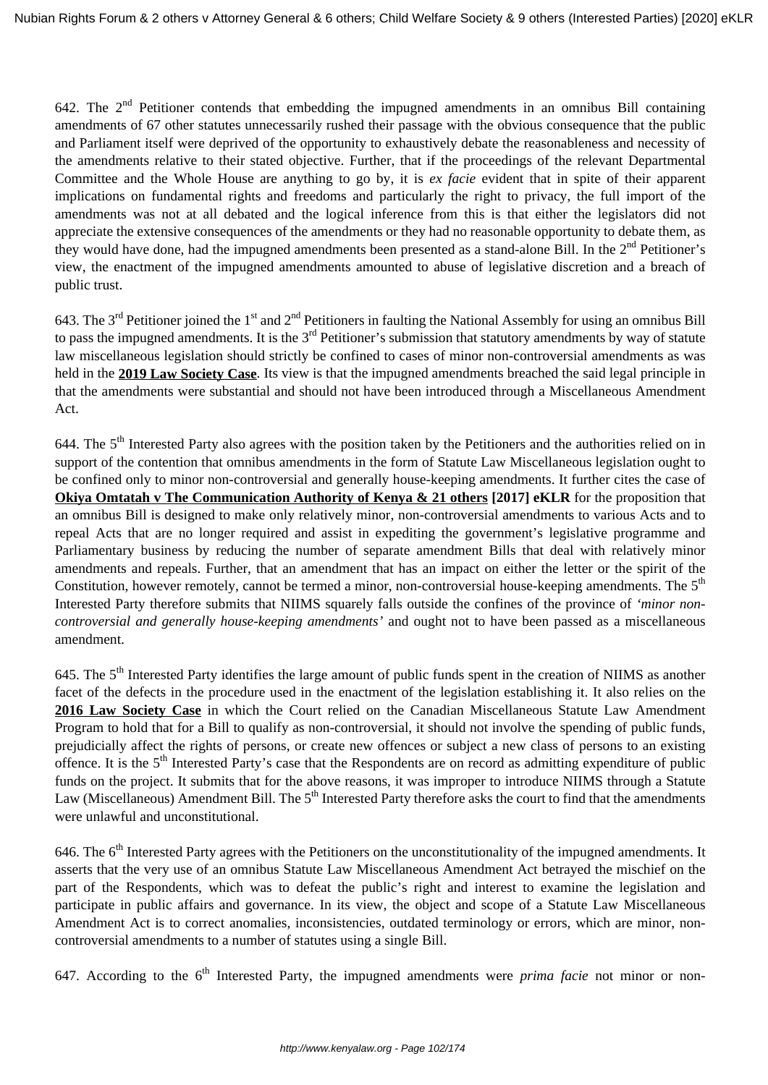642. The  $2^{nd}$  Petitioner contends that embedding the impugned amendments in an omnibus Bill containing amendments of 67 other statutes unnecessarily rushed their passage with the obvious consequence that the public and Parliament itself were deprived of the opportunity to exhaustively debate the reasonableness and necessity of the amendments relative to their stated objective. Further, that if the proceedings of the relevant Departmental Committee and the Whole House are anything to go by, it is *ex facie* evident that in spite of their apparent implications on fundamental rights and freedoms and particularly the right to privacy, the full import of the amendments was not at all debated and the logical inference from this is that either the legislators did not appreciate the extensive consequences of the amendments or they had no reasonable opportunity to debate them, as they would have done, had the impugned amendments been presented as a stand-alone Bill. In the 2<sup>nd</sup> Petitioner's view, the enactment of the impugned amendments amounted to abuse of legislative discretion and a breach of public trust.

643. The 3<sup>rd</sup> Petitioner joined the 1<sup>st</sup> and 2<sup>nd</sup> Petitioners in faulting the National Assembly for using an omnibus Bill to pass the impugned amendments. It is the 3<sup>rd</sup> Petitioner's submission that statutory amendments by way of statute law miscellaneous legislation should strictly be confined to cases of minor non-controversial amendments as was held in the **2019 Law Society Case**. Its view is that the impugned amendments breached the said legal principle in that the amendments were substantial and should not have been introduced through a Miscellaneous Amendment Act.

644. The  $5<sup>th</sup>$  Interested Party also agrees with the position taken by the Petitioners and the authorities relied on in support of the contention that omnibus amendments in the form of Statute Law Miscellaneous legislation ought to be confined only to minor non-controversial and generally house-keeping amendments. It further cites the case of **Okiya Omtatah v The Communication Authority of Kenya & 21 others [2017] eKLR** for the proposition that an omnibus Bill is designed to make only relatively minor, non-controversial amendments to various Acts and to repeal Acts that are no longer required and assist in expediting the government's legislative programme and Parliamentary business by reducing the number of separate amendment Bills that deal with relatively minor amendments and repeals. Further, that an amendment that has an impact on either the letter or the spirit of the Constitution, however remotely, cannot be termed a minor, non-controversial house-keeping amendments. The  $5<sup>th</sup>$ Interested Party therefore submits that NIIMS squarely falls outside the confines of the province of *'minor noncontroversial and generally house-keeping amendments'* and ought not to have been passed as a miscellaneous amendment.

645. The 5<sup>th</sup> Interested Party identifies the large amount of public funds spent in the creation of NIIMS as another facet of the defects in the procedure used in the enactment of the legislation establishing it. It also relies on the **2016 Law Society Case** in which the Court relied on the Canadian Miscellaneous Statute Law Amendment Program to hold that for a Bill to qualify as non-controversial, it should not involve the spending of public funds, prejudicially affect the rights of persons, or create new offences or subject a new class of persons to an existing offence. It is the  $5<sup>th</sup>$  Interested Party's case that the Respondents are on record as admitting expenditure of public funds on the project. It submits that for the above reasons, it was improper to introduce NIIMS through a Statute Law (Miscellaneous) Amendment Bill. The  $5<sup>th</sup>$  Interested Party therefore asks the court to find that the amendments were unlawful and unconstitutional.

646. The  $6<sup>th</sup>$  Interested Party agrees with the Petitioners on the unconstitutionality of the impugned amendments. It asserts that the very use of an omnibus Statute Law Miscellaneous Amendment Act betrayed the mischief on the part of the Respondents, which was to defeat the public's right and interest to examine the legislation and participate in public affairs and governance. In its view, the object and scope of a Statute Law Miscellaneous Amendment Act is to correct anomalies, inconsistencies, outdated terminology or errors, which are minor, noncontroversial amendments to a number of statutes using a single Bill.

647. According to the 6<sup>th</sup> Interested Party, the impugned amendments were *prima facie* not minor or non-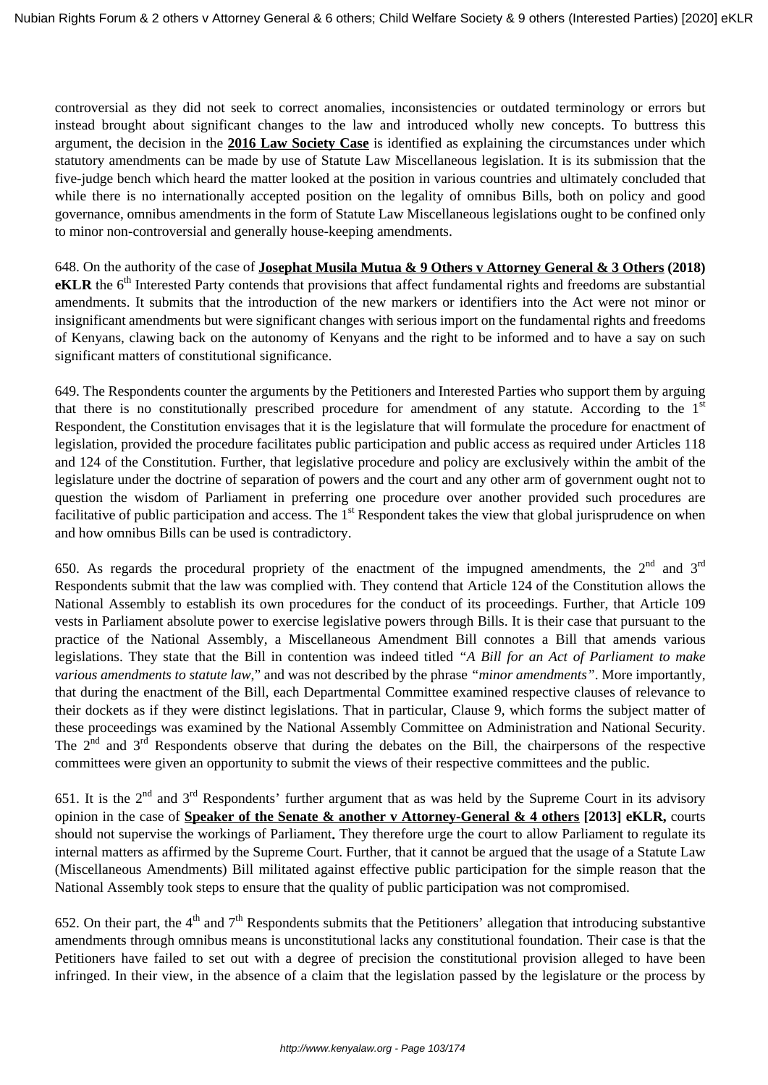controversial as they did not seek to correct anomalies, inconsistencies or outdated terminology or errors but instead brought about significant changes to the law and introduced wholly new concepts. To buttress this argument, the decision in the **2016 Law Society Case** is identified as explaining the circumstances under which statutory amendments can be made by use of Statute Law Miscellaneous legislation. It is its submission that the five-judge bench which heard the matter looked at the position in various countries and ultimately concluded that while there is no internationally accepted position on the legality of omnibus Bills, both on policy and good governance, omnibus amendments in the form of Statute Law Miscellaneous legislations ought to be confined only to minor non-controversial and generally house-keeping amendments.

648. On the authority of the case of **Josephat Musila Mutua & 9 Others v Attorney General & 3 Others (2018) eKLR** the 6<sup>th</sup> Interested Party contends that provisions that affect fundamental rights and freedoms are substantial amendments. It submits that the introduction of the new markers or identifiers into the Act were not minor or insignificant amendments but were significant changes with serious import on the fundamental rights and freedoms of Kenyans, clawing back on the autonomy of Kenyans and the right to be informed and to have a say on such significant matters of constitutional significance.

649. The Respondents counter the arguments by the Petitioners and Interested Parties who support them by arguing that there is no constitutionally prescribed procedure for amendment of any statute. According to the  $1<sup>st</sup>$ Respondent, the Constitution envisages that it is the legislature that will formulate the procedure for enactment of legislation, provided the procedure facilitates public participation and public access as required under Articles 118 and 124 of the Constitution. Further, that legislative procedure and policy are exclusively within the ambit of the legislature under the doctrine of separation of powers and the court and any other arm of government ought not to question the wisdom of Parliament in preferring one procedure over another provided such procedures are facilitative of public participation and access. The  $1<sup>st</sup>$  Respondent takes the view that global jurisprudence on when and how omnibus Bills can be used is contradictory.

650. As regards the procedural propriety of the enactment of the impugned amendments, the  $2<sup>nd</sup>$  and  $3<sup>rd</sup>$ Respondents submit that the law was complied with. They contend that Article 124 of the Constitution allows the National Assembly to establish its own procedures for the conduct of its proceedings. Further, that Article 109 vests in Parliament absolute power to exercise legislative powers through Bills. It is their case that pursuant to the practice of the National Assembly, a Miscellaneous Amendment Bill connotes a Bill that amends various legislations. They state that the Bill in contention was indeed titled *"A Bill for an Act of Parliament to make various amendments to statute law*," and was not described by the phrase *"minor amendments"*. More importantly, that during the enactment of the Bill, each Departmental Committee examined respective clauses of relevance to their dockets as if they were distinct legislations. That in particular, Clause 9, which forms the subject matter of these proceedings was examined by the National Assembly Committee on Administration and National Security. The  $2<sup>nd</sup>$  and  $3<sup>rd</sup>$  Respondents observe that during the debates on the Bill, the chairpersons of the respective committees were given an opportunity to submit the views of their respective committees and the public.

651. It is the  $2^{nd}$  and  $3^{rd}$  Respondents' further argument that as was held by the Supreme Court in its advisory opinion in the case of **Speaker of the Senate & another v Attorney-General & 4 others [2013] eKLR,** courts should not supervise the workings of Parliament**.** They therefore urge the court to allow Parliament to regulate its internal matters as affirmed by the Supreme Court. Further, that it cannot be argued that the usage of a Statute Law (Miscellaneous Amendments) Bill militated against effective public participation for the simple reason that the National Assembly took steps to ensure that the quality of public participation was not compromised.

652. On their part, the  $4<sup>th</sup>$  and  $7<sup>th</sup>$  Respondents submits that the Petitioners' allegation that introducing substantive amendments through omnibus means is unconstitutional lacks any constitutional foundation. Their case is that the Petitioners have failed to set out with a degree of precision the constitutional provision alleged to have been infringed. In their view, in the absence of a claim that the legislation passed by the legislature or the process by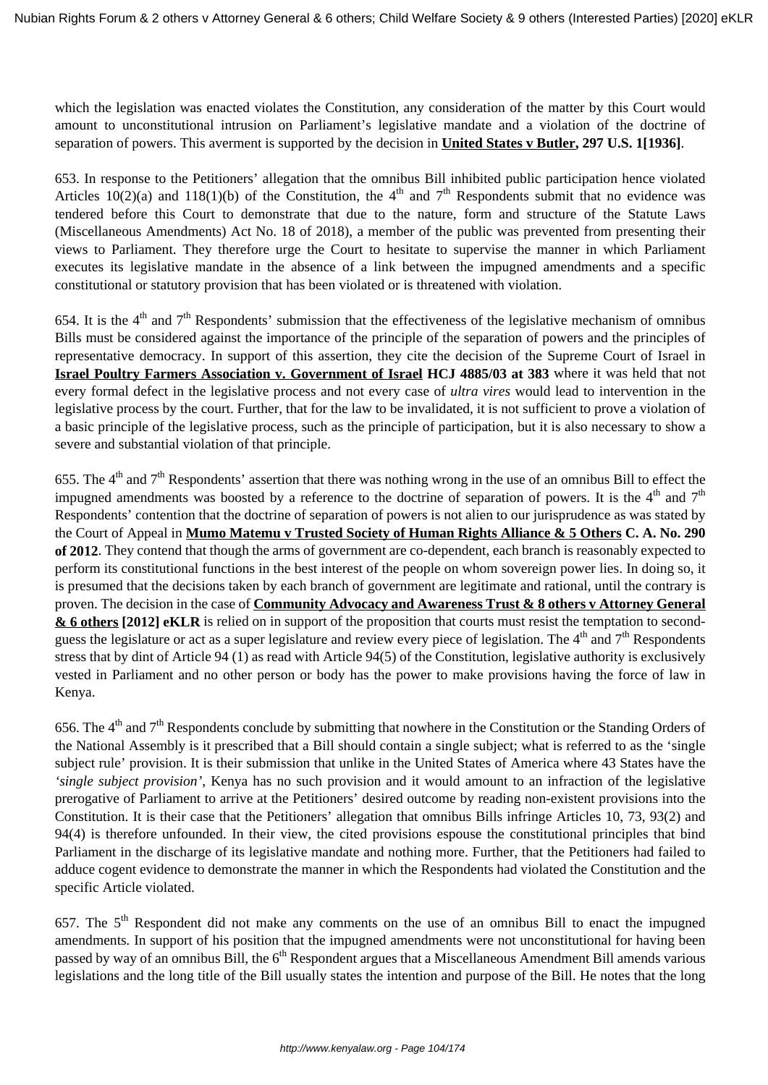which the legislation was enacted violates the Constitution, any consideration of the matter by this Court would amount to unconstitutional intrusion on Parliament's legislative mandate and a violation of the doctrine of separation of powers. This averment is supported by the decision in **United States v Butler, 297 U.S. 1[1936]**.

653. In response to the Petitioners' allegation that the omnibus Bill inhibited public participation hence violated Articles  $10(2)(a)$  and  $118(1)(b)$  of the Constitution, the 4<sup>th</sup> and 7<sup>th</sup> Respondents submit that no evidence was tendered before this Court to demonstrate that due to the nature, form and structure of the Statute Laws (Miscellaneous Amendments) Act No. 18 of 2018), a member of the public was prevented from presenting their views to Parliament. They therefore urge the Court to hesitate to supervise the manner in which Parliament executes its legislative mandate in the absence of a link between the impugned amendments and a specific constitutional or statutory provision that has been violated or is threatened with violation.

654. It is the  $4<sup>th</sup>$  and  $7<sup>th</sup>$  Respondents' submission that the effectiveness of the legislative mechanism of omnibus Bills must be considered against the importance of the principle of the separation of powers and the principles of representative democracy. In support of this assertion, they cite the decision of the Supreme Court of Israel in **Israel Poultry Farmers Association v. Government of Israel HCJ 4885/03 at 383** where it was held that not every formal defect in the legislative process and not every case of *ultra vires* would lead to intervention in the legislative process by the court. Further, that for the law to be invalidated, it is not sufficient to prove a violation of a basic principle of the legislative process, such as the principle of participation, but it is also necessary to show a severe and substantial violation of that principle.

655. The  $4<sup>th</sup>$  and  $7<sup>th</sup>$  Respondents' assertion that there was nothing wrong in the use of an omnibus Bill to effect the impugned amendments was boosted by a reference to the doctrine of separation of powers. It is the  $4<sup>th</sup>$  and  $7<sup>th</sup>$ Respondents' contention that the doctrine of separation of powers is not alien to our jurisprudence as was stated by the Court of Appeal in **Mumo Matemu v Trusted Society of Human Rights Alliance & 5 Others C. A. No. 290 of 2012**. They contend that though the arms of government are co-dependent, each branch is reasonably expected to perform its constitutional functions in the best interest of the people on whom sovereign power lies. In doing so, it is presumed that the decisions taken by each branch of government are legitimate and rational, until the contrary is proven. The decision in the case of **Community Advocacy and Awareness Trust & 8 others v Attorney General & 6 others [2012] eKLR** is relied on in support of the proposition that courts must resist the temptation to secondguess the legislature or act as a super legislature and review every piece of legislation. The  $4<sup>th</sup>$  and  $7<sup>th</sup>$  Respondents stress that by dint of Article 94 (1) as read with Article 94(5) of the Constitution, legislative authority is exclusively vested in Parliament and no other person or body has the power to make provisions having the force of law in Kenya.

656. The  $4<sup>th</sup>$  and  $7<sup>th</sup>$  Respondents conclude by submitting that nowhere in the Constitution or the Standing Orders of the National Assembly is it prescribed that a Bill should contain a single subject; what is referred to as the 'single subject rule' provision. It is their submission that unlike in the United States of America where 43 States have the *'single subject provision'*, Kenya has no such provision and it would amount to an infraction of the legislative prerogative of Parliament to arrive at the Petitioners' desired outcome by reading non-existent provisions into the Constitution. It is their case that the Petitioners' allegation that omnibus Bills infringe Articles 10, 73, 93(2) and 94(4) is therefore unfounded. In their view, the cited provisions espouse the constitutional principles that bind Parliament in the discharge of its legislative mandate and nothing more. Further, that the Petitioners had failed to adduce cogent evidence to demonstrate the manner in which the Respondents had violated the Constitution and the specific Article violated.

657. The 5<sup>th</sup> Respondent did not make any comments on the use of an omnibus Bill to enact the impugned amendments*.* In support of his position that the impugned amendments were not unconstitutional for having been passed by way of an omnibus Bill, the 6<sup>th</sup> Respondent argues that a Miscellaneous Amendment Bill amends various legislations and the long title of the Bill usually states the intention and purpose of the Bill. He notes that the long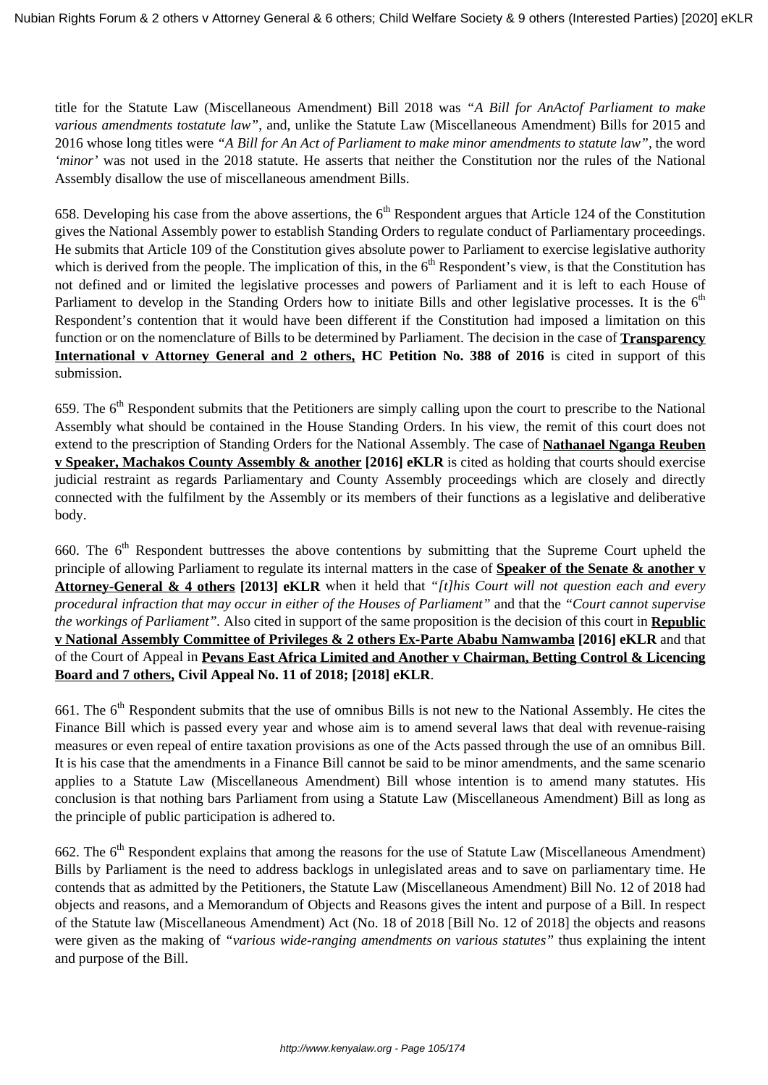title for the Statute Law (Miscellaneous Amendment) Bill 2018 was *"A Bill for AnActof Parliament to make various amendments tostatute law"*, and, unlike the Statute Law (Miscellaneous Amendment) Bills for 2015 and 2016 whose long titles were *"A Bill for An Act of Parliament to make minor amendments to statute law",* the word *'minor'* was not used in the 2018 statute. He asserts that neither the Constitution nor the rules of the National Assembly disallow the use of miscellaneous amendment Bills.

658. Developing his case from the above assertions, the  $6<sup>th</sup>$  Respondent argues that Article 124 of the Constitution gives the National Assembly power to establish Standing Orders to regulate conduct of Parliamentary proceedings. He submits that Article 109 of the Constitution gives absolute power to Parliament to exercise legislative authority which is derived from the people. The implication of this, in the  $6<sup>th</sup>$  Respondent's view, is that the Constitution has not defined and or limited the legislative processes and powers of Parliament and it is left to each House of Parliament to develop in the Standing Orders how to initiate Bills and other legislative processes. It is the 6<sup>th</sup> Respondent's contention that it would have been different if the Constitution had imposed a limitation on this function or on the nomenclature of Bills to be determined by Parliament. The decision in the case of **Transparency International v Attorney General and 2 others, HC Petition No. 388 of 2016** is cited in support of this submission.

659. The  $6<sup>th</sup>$  Respondent submits that the Petitioners are simply calling upon the court to prescribe to the National Assembly what should be contained in the House Standing Orders. In his view, the remit of this court does not extend to the prescription of Standing Orders for the National Assembly. The case of **Nathanael Nganga Reuben v Speaker, Machakos County Assembly & another [2016] eKLR** is cited as holding that courts should exercise judicial restraint as regards Parliamentary and County Assembly proceedings which are closely and directly connected with the fulfilment by the Assembly or its members of their functions as a legislative and deliberative body.

660. The  $6<sup>th</sup>$  Respondent buttresses the above contentions by submitting that the Supreme Court upheld the principle of allowing Parliament to regulate its internal matters in the case of **Speaker of the Senate & another v Attorney-General & 4 others [2013] eKLR** when it held that *"[t]his Court will not question each and every procedural infraction that may occur in either of the Houses of Parliament"* and that the *"Court cannot supervise the workings of Parliament".* Also cited in support of the same proposition is the decision of this court in **Republic v National Assembly Committee of Privileges & 2 others Ex-Parte Ababu Namwamba [2016] eKLR** and that of the Court of Appeal in **Pevans East Africa Limited and Another v Chairman, Betting Control & Licencing Board and 7 others, Civil Appeal No. 11 of 2018; [2018] eKLR**.

661. The  $6<sup>th</sup>$  Respondent submits that the use of omnibus Bills is not new to the National Assembly. He cites the Finance Bill which is passed every year and whose aim is to amend several laws that deal with revenue-raising measures or even repeal of entire taxation provisions as one of the Acts passed through the use of an omnibus Bill. It is his case that the amendments in a Finance Bill cannot be said to be minor amendments, and the same scenario applies to a Statute Law (Miscellaneous Amendment) Bill whose intention is to amend many statutes. His conclusion is that nothing bars Parliament from using a Statute Law (Miscellaneous Amendment) Bill as long as the principle of public participation is adhered to.

662. The  $6<sup>th</sup>$  Respondent explains that among the reasons for the use of Statute Law (Miscellaneous Amendment) Bills by Parliament is the need to address backlogs in unlegislated areas and to save on parliamentary time. He contends that as admitted by the Petitioners, the Statute Law (Miscellaneous Amendment) Bill No. 12 of 2018 had objects and reasons, and a Memorandum of Objects and Reasons gives the intent and purpose of a Bill. In respect of the Statute law (Miscellaneous Amendment) Act (No. 18 of 2018 [Bill No. 12 of 2018] the objects and reasons were given as the making of *"various wide-ranging amendments on various statutes"* thus explaining the intent and purpose of the Bill.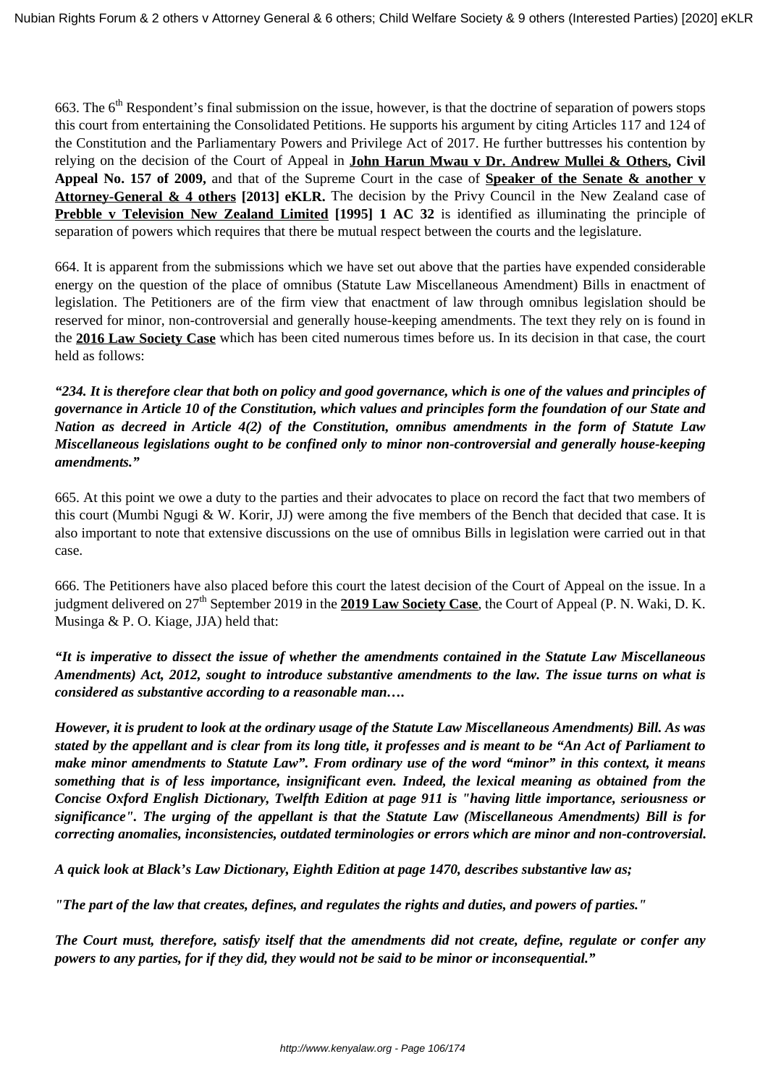663. The  $6<sup>th</sup>$  Respondent's final submission on the issue, however, is that the doctrine of separation of powers stops this court from entertaining the Consolidated Petitions. He supports his argument by citing Articles 117 and 124 of the Constitution and the Parliamentary Powers and Privilege Act of 2017. He further buttresses his contention by relying on the decision of the Court of Appeal in **John Harun Mwau v Dr. Andrew Mullei & Others, Civil Appeal No. 157 of 2009,** and that of the Supreme Court in the case of **Speaker of the Senate & another v Attorney-General & 4 others [2013] eKLR.** The decision by the Privy Council in the New Zealand case of **Prebble v Television New Zealand Limited [1995] 1 AC 32** is identified as illuminating the principle of separation of powers which requires that there be mutual respect between the courts and the legislature.

664. It is apparent from the submissions which we have set out above that the parties have expended considerable energy on the question of the place of omnibus (Statute Law Miscellaneous Amendment) Bills in enactment of legislation. The Petitioners are of the firm view that enactment of law through omnibus legislation should be reserved for minor, non-controversial and generally house-keeping amendments. The text they rely on is found in the **2016 Law Society Case** which has been cited numerous times before us. In its decision in that case, the court held as follows:

*"234. It is therefore clear that both on policy and good governance, which is one of the values and principles of governance in Article 10 of the Constitution, which values and principles form the foundation of our State and Nation as decreed in Article 4(2) of the Constitution, omnibus amendments in the form of Statute Law Miscellaneous legislations ought to be confined only to minor non-controversial and generally house-keeping amendments."*

665. At this point we owe a duty to the parties and their advocates to place on record the fact that two members of this court (Mumbi Ngugi & W. Korir, JJ) were among the five members of the Bench that decided that case. It is also important to note that extensive discussions on the use of omnibus Bills in legislation were carried out in that case.

666. The Petitioners have also placed before this court the latest decision of the Court of Appeal on the issue. In a iudgment delivered on 27<sup>th</sup> September 2019 in the **2019 Law Society Case**, the Court of Appeal (P. N. Waki, D. K. Musinga & P. O. Kiage, JJA) held that:

*"It is imperative to dissect the issue of whether the amendments contained in the Statute Law Miscellaneous Amendments) Act, 2012, sought to introduce substantive amendments to the law. The issue turns on what is considered as substantive according to a reasonable man….* 

*However, it is prudent to look at the ordinary usage of the Statute Law Miscellaneous Amendments) Bill. As was stated by the appellant and is clear from its long title, it professes and is meant to be "An Act of Parliament to make minor amendments to Statute Law". From ordinary use of the word "minor" in this context, it means something that is of less importance, insignificant even. Indeed, the lexical meaning as obtained from the Concise Oxford English Dictionary, Twelfth Edition at page 911 is "having little importance, seriousness or significance". The urging of the appellant is that the Statute Law (Miscellaneous Amendments) Bill is for correcting anomalies, inconsistencies, outdated terminologies or errors which are minor and non-controversial.*

*A quick look at Black's Law Dictionary, Eighth Edition at page 1470, describes substantive law as;*

*"The part of the law that creates, defines, and regulates the rights and duties, and powers of parties."*

*The Court must, therefore, satisfy itself that the amendments did not create, define, regulate or confer any powers to any parties, for if they did, they would not be said to be minor or inconsequential."*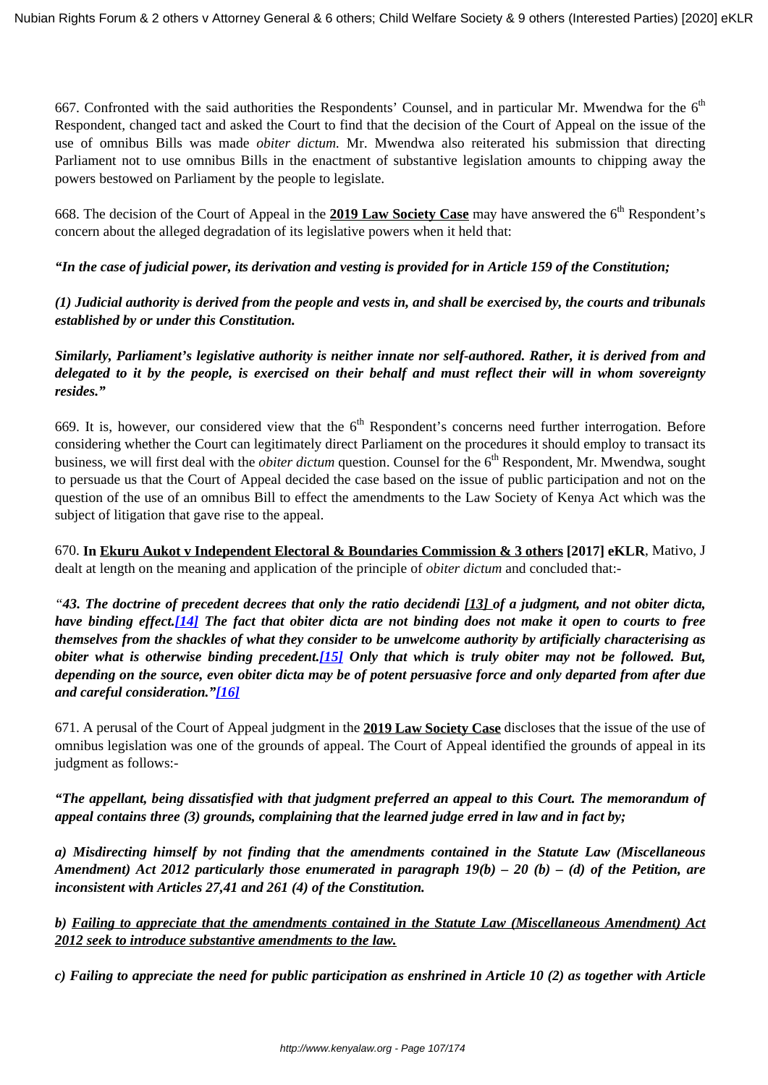667. Confronted with the said authorities the Respondents' Counsel, and in particular Mr. Mwendwa for the  $6<sup>th</sup>$ Respondent, changed tact and asked the Court to find that the decision of the Court of Appeal on the issue of the use of omnibus Bills was made *obiter dictum.* Mr. Mwendwa also reiterated his submission that directing Parliament not to use omnibus Bills in the enactment of substantive legislation amounts to chipping away the powers bestowed on Parliament by the people to legislate.

668. The decision of the Court of Appeal in the **2019 Law Society Case** may have answered the 6<sup>th</sup> Respondent's concern about the alleged degradation of its legislative powers when it held that:

*"In the case of judicial power, its derivation and vesting is provided for in Article 159 of the Constitution;*

*(1) Judicial authority is derived from the people and vests in, and shall be exercised by, the courts and tribunals established by or under this Constitution.*

*Similarly, Parliament's legislative authority is neither innate nor self-authored. Rather, it is derived from and delegated to it by the people, is exercised on their behalf and must reflect their will in whom sovereignty resides."* 

669. It is, however, our considered view that the  $6<sup>th</sup>$  Respondent's concerns need further interrogation. Before considering whether the Court can legitimately direct Parliament on the procedures it should employ to transact its business, we will first deal with the *obiter dictum* question. Counsel for the 6<sup>th</sup> Respondent, Mr. Mwendwa, sought to persuade us that the Court of Appeal decided the case based on the issue of public participation and not on the question of the use of an omnibus Bill to effect the amendments to the Law Society of Kenya Act which was the subject of litigation that gave rise to the appeal.

670. **In Ekuru Aukot v Independent Electoral & Boundaries Commission & 3 others [2017] eKLR**, Mativo, J dealt at length on the meaning and application of the principle of *obiter dictum* and concluded that:-

*"43. The doctrine of precedent decrees that only the ratio decidendi [13] of a judgment, and not obiter dicta, have binding effect.[\[14\]](http://kenyalaw.org/caselaw/file:/C:/Users/Admin%20E/Downloads/Judgement_Pet_No_471_of_2017.doc#_ftn14) The fact that obiter dicta are not binding does not make it open to courts to free themselves from the shackles of what they consider to be unwelcome authority by artificially characterising as obiter what is otherwise binding precedent.[\[15\]](http://kenyalaw.org/caselaw/file:/C:/Users/Admin%20E/Downloads/Judgement_Pet_No_471_of_2017.doc#_ftn15) Only that which is truly obiter may not be followed. But, depending on the source, even obiter dicta may be of potent persuasive force and only departed from after due and careful consideration."[\[16\]](http://kenyalaw.org/caselaw/file:/C:/Users/Admin%20E/Downloads/Judgement_Pet_No_471_of_2017.doc#_ftn16)*

671. A perusal of the Court of Appeal judgment in the **2019 Law Society Case** discloses that the issue of the use of omnibus legislation was one of the grounds of appeal. The Court of Appeal identified the grounds of appeal in its judgment as follows:-

*"The appellant, being dissatisfied with that judgment preferred an appeal to this Court. The memorandum of appeal contains three (3) grounds, complaining that the learned judge erred in law and in fact by;*

*a) Misdirecting himself by not finding that the amendments contained in the Statute Law (Miscellaneous Amendment) Act 2012 particularly those enumerated in paragraph 19(b) – 20 (b) – (d) of the Petition, are inconsistent with Articles 27,41 and 261 (4) of the Constitution.*

*b) Failing to appreciate that the amendments contained in the Statute Law (Miscellaneous Amendment) Act 2012 seek to introduce substantive amendments to the law.*

*c) Failing to appreciate the need for public participation as enshrined in Article 10 (2) as together with Article*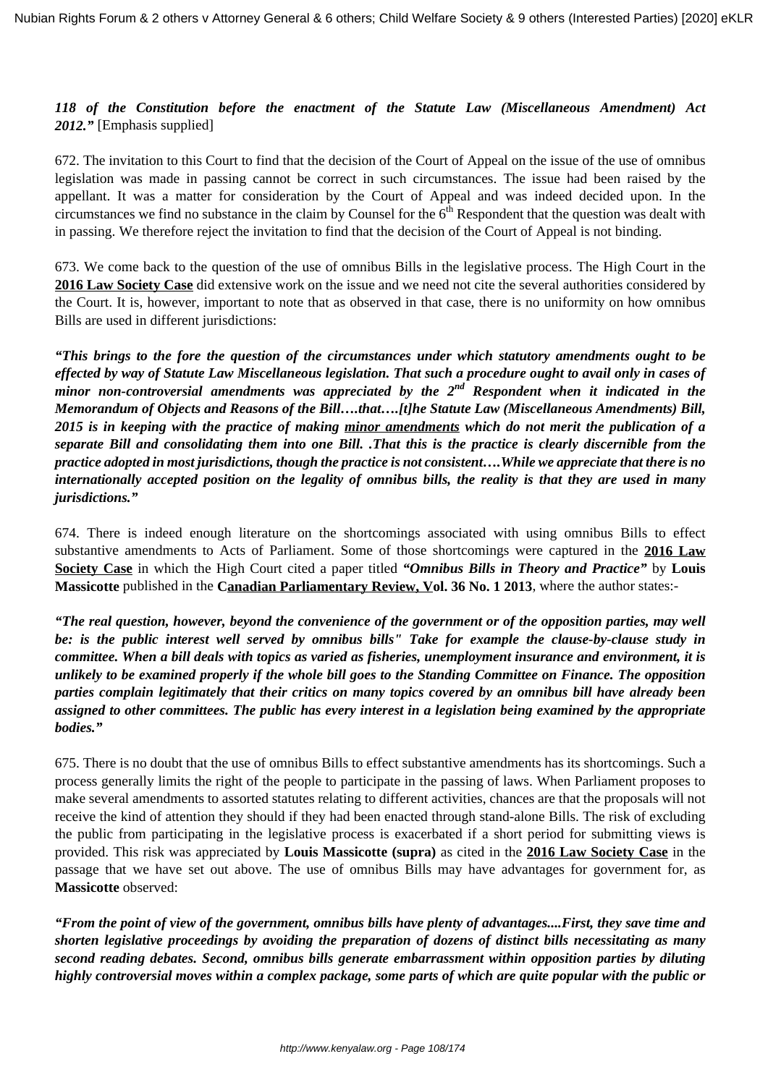*118 of the Constitution before the enactment of the Statute Law (Miscellaneous Amendment) Act 2012."* [Emphasis supplied]

672. The invitation to this Court to find that the decision of the Court of Appeal on the issue of the use of omnibus legislation was made in passing cannot be correct in such circumstances. The issue had been raised by the appellant. It was a matter for consideration by the Court of Appeal and was indeed decided upon. In the circumstances we find no substance in the claim by Counsel for the  $6<sup>th</sup>$  Respondent that the question was dealt with in passing. We therefore reject the invitation to find that the decision of the Court of Appeal is not binding.

673. We come back to the question of the use of omnibus Bills in the legislative process. The High Court in the **2016 Law Society Case** did extensive work on the issue and we need not cite the several authorities considered by the Court. It is, however, important to note that as observed in that case, there is no uniformity on how omnibus Bills are used in different jurisdictions:

*"This brings to the fore the question of the circumstances under which statutory amendments ought to be effected by way of Statute Law Miscellaneous legislation. That such a procedure ought to avail only in cases of minor non-controversial amendments was appreciated by the 2nd Respondent when it indicated in the Memorandum of Objects and Reasons of the Bill….that….[t]he Statute Law (Miscellaneous Amendments) Bill, 2015 is in keeping with the practice of making minor amendments which do not merit the publication of a separate Bill and consolidating them into one Bill. .That this is the practice is clearly discernible from the practice adopted in most jurisdictions, though the practice is not consistent….While we appreciate that there is no internationally accepted position on the legality of omnibus bills, the reality is that they are used in many jurisdictions."*

674. There is indeed enough literature on the shortcomings associated with using omnibus Bills to effect substantive amendments to Acts of Parliament. Some of those shortcomings were captured in the **2016 Law Society Case** in which the High Court cited a paper titled *"Omnibus Bills in Theory and Practice"* by **Louis Massicotte** published in the **Canadian Parliamentary Review, Vol. 36 No. 1 2013**, where the author states:-

*"The real question, however, beyond the convenience of the government or of the opposition parties, may well be: is the public interest well served by omnibus bills" Take for example the clause-by-clause study in committee. When a bill deals with topics as varied as fisheries, unemployment insurance and environment, it is unlikely to be examined properly if the whole bill goes to the Standing Committee on Finance. The opposition parties complain legitimately that their critics on many topics covered by an omnibus bill have already been assigned to other committees. The public has every interest in a legislation being examined by the appropriate bodies."*

675. There is no doubt that the use of omnibus Bills to effect substantive amendments has its shortcomings. Such a process generally limits the right of the people to participate in the passing of laws. When Parliament proposes to make several amendments to assorted statutes relating to different activities, chances are that the proposals will not receive the kind of attention they should if they had been enacted through stand-alone Bills. The risk of excluding the public from participating in the legislative process is exacerbated if a short period for submitting views is provided. This risk was appreciated by **Louis Massicotte (supra)** as cited in the **2016 Law Society Case** in the passage that we have set out above. The use of omnibus Bills may have advantages for government for, as **Massicotte** observed:

*"From the point of view of the government, omnibus bills have plenty of advantages....First, they save time and shorten legislative proceedings by avoiding the preparation of dozens of distinct bills necessitating as many second reading debates. Second, omnibus bills generate embarrassment within opposition parties by diluting highly controversial moves within a complex package, some parts of which are quite popular with the public or*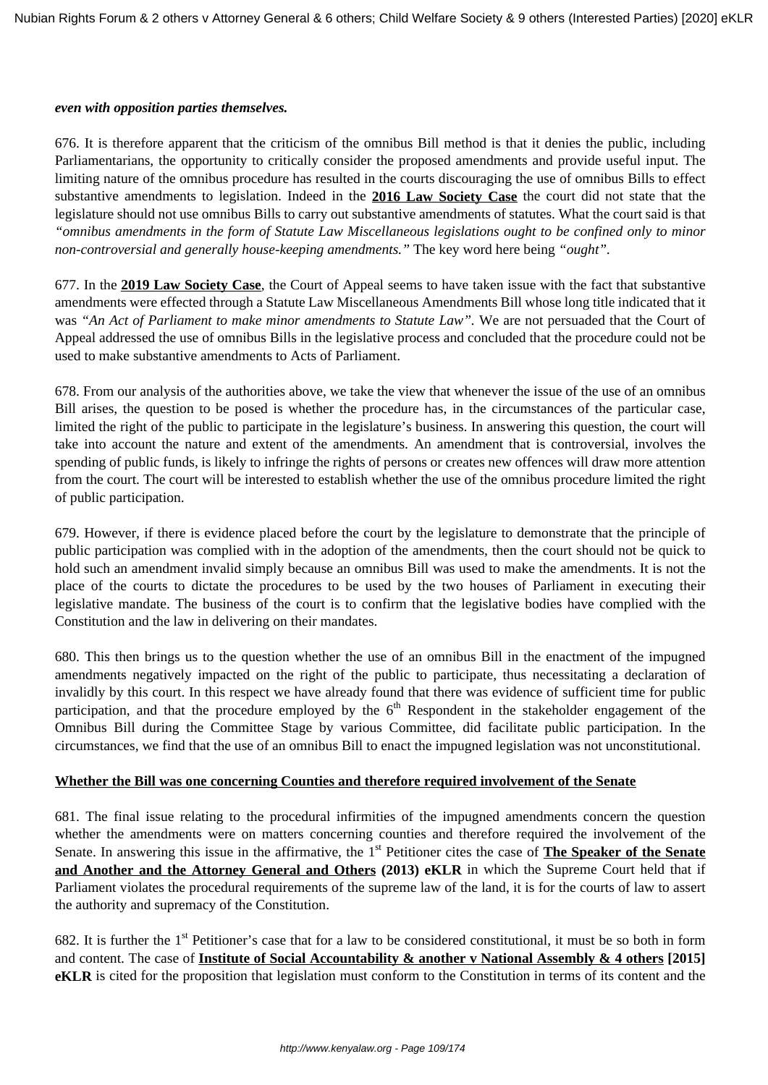#### *even with opposition parties themselves.*

676. It is therefore apparent that the criticism of the omnibus Bill method is that it denies the public, including Parliamentarians, the opportunity to critically consider the proposed amendments and provide useful input. The limiting nature of the omnibus procedure has resulted in the courts discouraging the use of omnibus Bills to effect substantive amendments to legislation. Indeed in the **2016 Law Society Case** the court did not state that the legislature should not use omnibus Bills to carry out substantive amendments of statutes. What the court said is that *"omnibus amendments in the form of Statute Law Miscellaneous legislations ought to be confined only to minor non-controversial and generally house-keeping amendments."* The key word here being *"ought".*

677. In the **2019 Law Society Case**, the Court of Appeal seems to have taken issue with the fact that substantive amendments were effected through a Statute Law Miscellaneous Amendments Bill whose long title indicated that it was *"An Act of Parliament to make minor amendments to Statute Law".* We are not persuaded that the Court of Appeal addressed the use of omnibus Bills in the legislative process and concluded that the procedure could not be used to make substantive amendments to Acts of Parliament.

678. From our analysis of the authorities above, we take the view that whenever the issue of the use of an omnibus Bill arises, the question to be posed is whether the procedure has, in the circumstances of the particular case, limited the right of the public to participate in the legislature's business. In answering this question, the court will take into account the nature and extent of the amendments. An amendment that is controversial, involves the spending of public funds, is likely to infringe the rights of persons or creates new offences will draw more attention from the court. The court will be interested to establish whether the use of the omnibus procedure limited the right of public participation.

679. However, if there is evidence placed before the court by the legislature to demonstrate that the principle of public participation was complied with in the adoption of the amendments, then the court should not be quick to hold such an amendment invalid simply because an omnibus Bill was used to make the amendments. It is not the place of the courts to dictate the procedures to be used by the two houses of Parliament in executing their legislative mandate. The business of the court is to confirm that the legislative bodies have complied with the Constitution and the law in delivering on their mandates.

680. This then brings us to the question whether the use of an omnibus Bill in the enactment of the impugned amendments negatively impacted on the right of the public to participate, thus necessitating a declaration of invalidly by this court. In this respect we have already found that there was evidence of sufficient time for public participation, and that the procedure employed by the  $6<sup>th</sup>$  Respondent in the stakeholder engagement of the Omnibus Bill during the Committee Stage by various Committee, did facilitate public participation. In the circumstances, we find that the use of an omnibus Bill to enact the impugned legislation was not unconstitutional.

#### **Whether the Bill was one concerning Counties and therefore required involvement of the Senate**

681. The final issue relating to the procedural infirmities of the impugned amendments concern the question whether the amendments were on matters concerning counties and therefore required the involvement of the Senate. In answering this issue in the affirmative, the 1<sup>st</sup> Petitioner cites the case of **The Speaker of the Senate and Another and the Attorney General and Others (2013) eKLR** in which the Supreme Court held that if Parliament violates the procedural requirements of the supreme law of the land, it is for the courts of law to assert the authority and supremacy of the Constitution.

682. It is further the  $1<sup>st</sup>$  Petitioner's case that for a law to be considered constitutional, it must be so both in form and content. The case of **Institute of Social Accountability & another v National Assembly & 4 others [2015] eKLR** is cited for the proposition that legislation must conform to the Constitution in terms of its content and the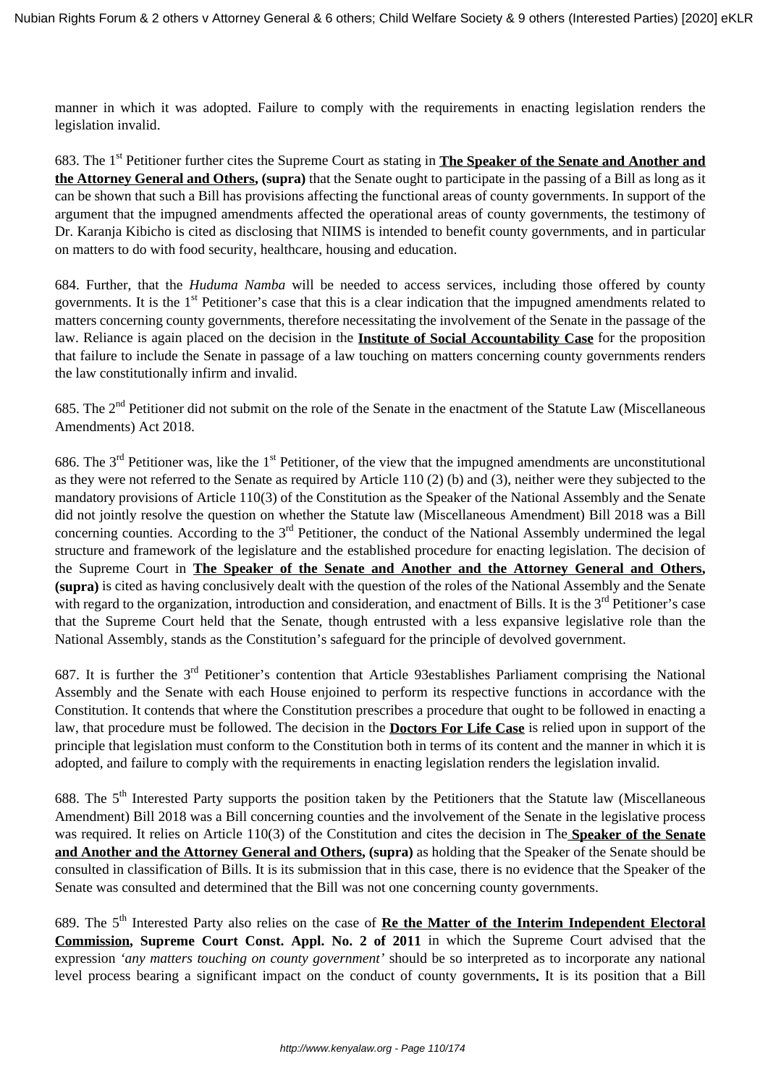manner in which it was adopted. Failure to comply with the requirements in enacting legislation renders the legislation invalid.

683. The 1<sup>st</sup> Petitioner further cites the Supreme Court as stating in **The Speaker of the Senate and Another and the Attorney General and Others, (supra)** that the Senate ought to participate in the passing of a Bill as long as it can be shown that such a Bill has provisions affecting the functional areas of county governments. In support of the argument that the impugned amendments affected the operational areas of county governments, the testimony of Dr. Karanja Kibicho is cited as disclosing that NIIMS is intended to benefit county governments, and in particular on matters to do with food security, healthcare, housing and education.

684. Further, that the *Huduma Namba* will be needed to access services, including those offered by county governments. It is the 1<sup>st</sup> Petitioner's case that this is a clear indication that the impugned amendments related to matters concerning county governments, therefore necessitating the involvement of the Senate in the passage of the law. Reliance is again placed on the decision in the **Institute of Social Accountability Case** for the proposition that failure to include the Senate in passage of a law touching on matters concerning county governments renders the law constitutionally infirm and invalid.

685. The  $2<sup>nd</sup>$  Petitioner did not submit on the role of the Senate in the enactment of the Statute Law (Miscellaneous Amendments) Act 2018.

686. The  $3<sup>rd</sup>$  Petitioner was, like the  $1<sup>st</sup>$  Petitioner, of the view that the impugned amendments are unconstitutional as they were not referred to the Senate as required by Article 110 (2) (b) and (3), neither were they subjected to the mandatory provisions of Article 110(3) of the Constitution as the Speaker of the National Assembly and the Senate did not jointly resolve the question on whether the Statute law (Miscellaneous Amendment) Bill 2018 was a Bill concerning counties. According to the  $3<sup>rd</sup>$  Petitioner, the conduct of the National Assembly undermined the legal structure and framework of the legislature and the established procedure for enacting legislation. The decision of the Supreme Court in **The Speaker of the Senate and Another and the Attorney General and Others, (supra)** is cited as having conclusively dealt with the question of the roles of the National Assembly and the Senate with regard to the organization, introduction and consideration, and enactment of Bills. It is the  $3<sup>rd</sup>$  Petitioner's case that the Supreme Court held that the Senate, though entrusted with a less expansive legislative role than the National Assembly, stands as the Constitution's safeguard for the principle of devolved government.

687. It is further the 3rd Petitioner's contention that Article 93establishes Parliament comprising the National Assembly and the Senate with each House enjoined to perform its respective functions in accordance with the Constitution. It contends that where the Constitution prescribes a procedure that ought to be followed in enacting a law, that procedure must be followed. The decision in the **Doctors For Life Case** is relied upon in support of the principle that legislation must conform to the Constitution both in terms of its content and the manner in which it is adopted, and failure to comply with the requirements in enacting legislation renders the legislation invalid.

688. The 5<sup>th</sup> Interested Party supports the position taken by the Petitioners that the Statute law (Miscellaneous Amendment) Bill 2018 was a Bill concerning counties and the involvement of the Senate in the legislative process was required. It relies on Article 110(3) of the Constitution and cites the decision in The **Speaker of the Senate and Another and the Attorney General and Others, (supra)** as holding that the Speaker of the Senate should be consulted in classification of Bills. It is its submission that in this case, there is no evidence that the Speaker of the Senate was consulted and determined that the Bill was not one concerning county governments.

689. The 5<sup>th</sup> Interested Party also relies on the case of **Re the Matter of the Interim Independent Electoral Commission, Supreme Court Const. Appl. No. 2 of 2011** in which the Supreme Court advised that the expression *'any matters touching on county government'* should be so interpreted as to incorporate any national level process bearing a significant impact on the conduct of county governments**.** It is its position that a Bill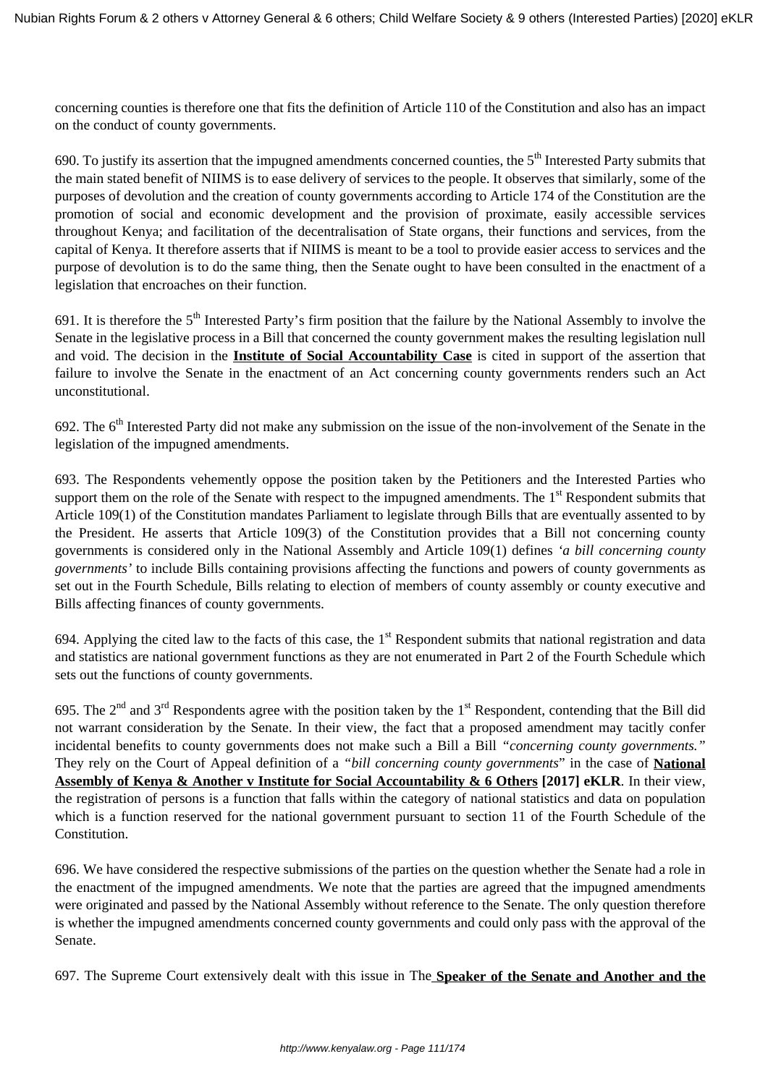concerning counties is therefore one that fits the definition of Article 110 of the Constitution and also has an impact on the conduct of county governments.

690. To justify its assertion that the impugned amendments concerned counties, the  $5<sup>th</sup>$  Interested Party submits that the main stated benefit of NIIMS is to ease delivery of services to the people. It observes that similarly, some of the purposes of devolution and the creation of county governments according to Article 174 of the Constitution are the promotion of social and economic development and the provision of proximate, easily accessible services throughout Kenya; and facilitation of the decentralisation of State organs, their functions and services, from the capital of Kenya. It therefore asserts that if NIIMS is meant to be a tool to provide easier access to services and the purpose of devolution is to do the same thing, then the Senate ought to have been consulted in the enactment of a legislation that encroaches on their function.

691. It is therefore the  $5<sup>th</sup>$  Interested Party's firm position that the failure by the National Assembly to involve the Senate in the legislative process in a Bill that concerned the county government makes the resulting legislation null and void. The decision in the **Institute of Social Accountability Case** is cited in support of the assertion that failure to involve the Senate in the enactment of an Act concerning county governments renders such an Act unconstitutional.

692. The  $6<sup>th</sup>$  Interested Party did not make any submission on the issue of the non-involvement of the Senate in the legislation of the impugned amendments.

693. The Respondents vehemently oppose the position taken by the Petitioners and the Interested Parties who support them on the role of the Senate with respect to the impugned amendments. The 1<sup>st</sup> Respondent submits that Article 109(1) of the Constitution mandates Parliament to legislate through Bills that are eventually assented to by the President. He asserts that Article 109(3) of the Constitution provides that a Bill not concerning county governments is considered only in the National Assembly and Article 109(1) defines *'a bill concerning county governments'* to include Bills containing provisions affecting the functions and powers of county governments as set out in the Fourth Schedule, Bills relating to election of members of county assembly or county executive and Bills affecting finances of county governments.

694. Applying the cited law to the facts of this case, the  $1<sup>st</sup>$  Respondent submits that national registration and data and statistics are national government functions as they are not enumerated in Part 2 of the Fourth Schedule which sets out the functions of county governments.

695. The  $2^{nd}$  and  $3^{rd}$  Respondents agree with the position taken by the  $1^{st}$  Respondent, contending that the Bill did not warrant consideration by the Senate. In their view, the fact that a proposed amendment may tacitly confer incidental benefits to county governments does not make such a Bill a Bill *"concerning county governments."* They rely on the Court of Appeal definition of a *"bill concerning county governments*" in the case of **National Assembly of Kenya & Another v Institute for Social Accountability & 6 Others [2017] eKLR**. In their view, the registration of persons is a function that falls within the category of national statistics and data on population which is a function reserved for the national government pursuant to section 11 of the Fourth Schedule of the Constitution.

696. We have considered the respective submissions of the parties on the question whether the Senate had a role in the enactment of the impugned amendments. We note that the parties are agreed that the impugned amendments were originated and passed by the National Assembly without reference to the Senate. The only question therefore is whether the impugned amendments concerned county governments and could only pass with the approval of the Senate.

697. The Supreme Court extensively dealt with this issue in The **Speaker of the Senate and Another and the**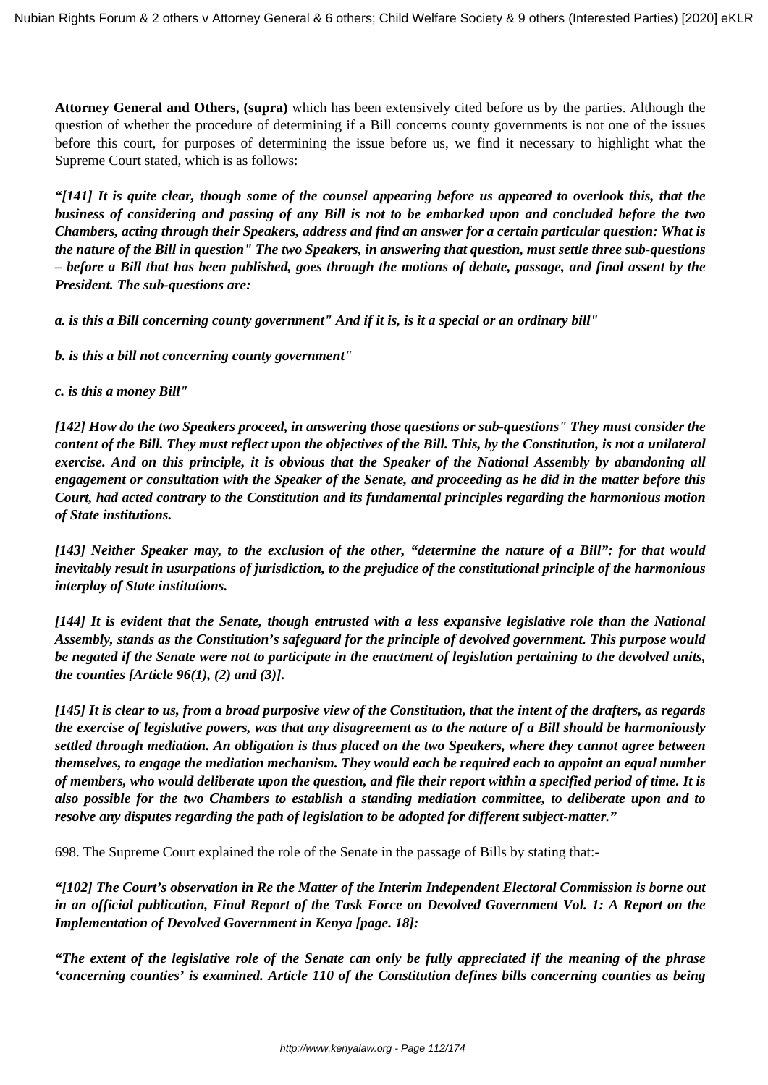**Attorney General and Others, (supra)** which has been extensively cited before us by the parties. Although the question of whether the procedure of determining if a Bill concerns county governments is not one of the issues before this court, for purposes of determining the issue before us, we find it necessary to highlight what the Supreme Court stated, which is as follows:

*"[141] It is quite clear, though some of the counsel appearing before us appeared to overlook this, that the business of considering and passing of any Bill is not to be embarked upon and concluded before the two Chambers, acting through their Speakers, address and find an answer for a certain particular question: What is the nature of the Bill in question" The two Speakers, in answering that question, must settle three sub-questions – before a Bill that has been published, goes through the motions of debate, passage, and final assent by the President. The sub-questions are:*

*a. is this a Bill concerning county government" And if it is, is it a special or an ordinary bill"*

*b. is this a bill not concerning county government"*

*c. is this a money Bill"*

*[142] How do the two Speakers proceed, in answering those questions or sub-questions" They must consider the content of the Bill. They must reflect upon the objectives of the Bill. This, by the Constitution, is not a unilateral exercise. And on this principle, it is obvious that the Speaker of the National Assembly by abandoning all engagement or consultation with the Speaker of the Senate, and proceeding as he did in the matter before this Court, had acted contrary to the Constitution and its fundamental principles regarding the harmonious motion of State institutions.*

*[143] Neither Speaker may, to the exclusion of the other, "determine the nature of a Bill": for that would inevitably result in usurpations of jurisdiction, to the prejudice of the constitutional principle of the harmonious interplay of State institutions.*

*[144] It is evident that the Senate, though entrusted with a less expansive legislative role than the National Assembly, stands as the Constitution's safeguard for the principle of devolved government. This purpose would be negated if the Senate were not to participate in the enactment of legislation pertaining to the devolved units, the counties [Article 96(1), (2) and (3)].*

*[145] It is clear to us, from a broad purposive view of the Constitution, that the intent of the drafters, as regards the exercise of legislative powers, was that any disagreement as to the nature of a Bill should be harmoniously settled through mediation. An obligation is thus placed on the two Speakers, where they cannot agree between themselves, to engage the mediation mechanism. They would each be required each to appoint an equal number of members, who would deliberate upon the question, and file their report within a specified period of time. It is also possible for the two Chambers to establish a standing mediation committee, to deliberate upon and to resolve any disputes regarding the path of legislation to be adopted for different subject-matter."*

698. The Supreme Court explained the role of the Senate in the passage of Bills by stating that:-

*"[102] The Court's observation in Re the Matter of the Interim Independent Electoral Commission is borne out in an official publication, Final Report of the Task Force on Devolved Government Vol. 1: A Report on the Implementation of Devolved Government in Kenya [page. 18]:*

*"The extent of the legislative role of the Senate can only be fully appreciated if the meaning of the phrase 'concerning counties' is examined. Article 110 of the Constitution defines bills concerning counties as being*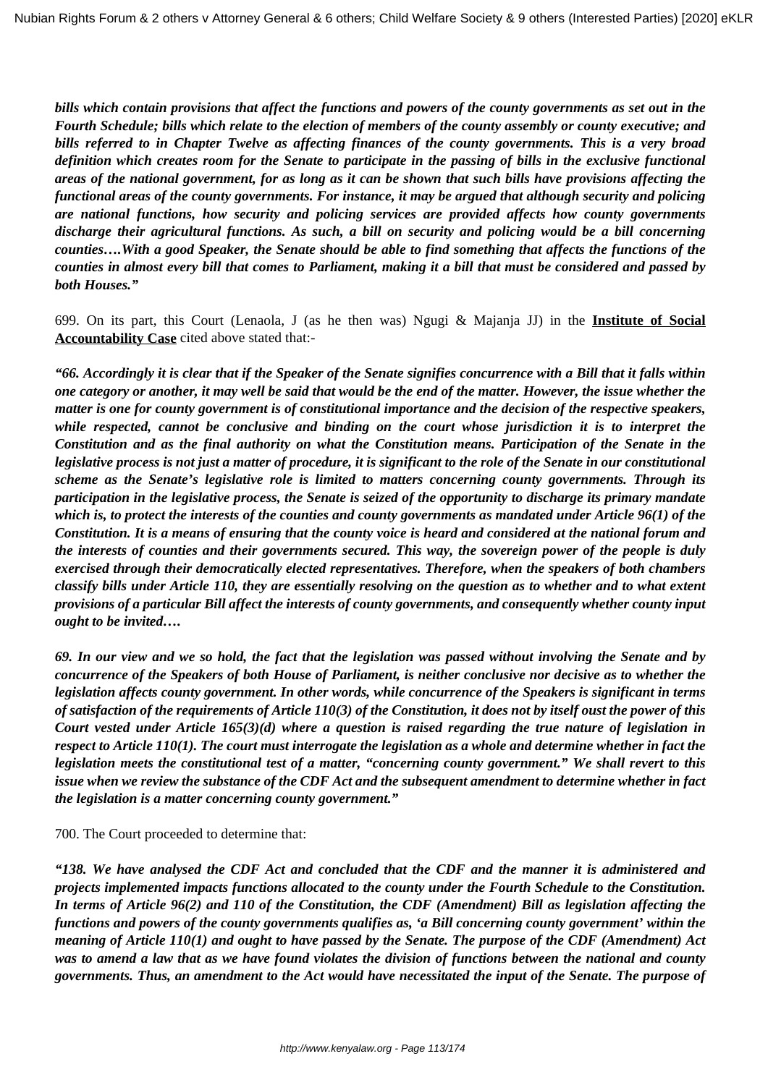*bills which contain provisions that affect the functions and powers of the county governments as set out in the Fourth Schedule; bills which relate to the election of members of the county assembly or county executive; and bills referred to in Chapter Twelve as affecting finances of the county governments. This is a very broad definition which creates room for the Senate to participate in the passing of bills in the exclusive functional areas of the national government, for as long as it can be shown that such bills have provisions affecting the functional areas of the county governments. For instance, it may be argued that although security and policing are national functions, how security and policing services are provided affects how county governments discharge their agricultural functions. As such, a bill on security and policing would be a bill concerning counties….With a good Speaker, the Senate should be able to find something that affects the functions of the counties in almost every bill that comes to Parliament, making it a bill that must be considered and passed by both Houses."*

699. On its part, this Court (Lenaola, J (as he then was) Ngugi & Majanja JJ) in the **Institute of Social Accountability Case** cited above stated that:-

*"66. Accordingly it is clear that if the Speaker of the Senate signifies concurrence with a Bill that it falls within one category or another, it may well be said that would be the end of the matter. However, the issue whether the matter is one for county government is of constitutional importance and the decision of the respective speakers, while respected, cannot be conclusive and binding on the court whose jurisdiction it is to interpret the Constitution and as the final authority on what the Constitution means. Participation of the Senate in the legislative process is not just a matter of procedure, it is significant to the role of the Senate in our constitutional scheme as the Senate's legislative role is limited to matters concerning county governments. Through its participation in the legislative process, the Senate is seized of the opportunity to discharge its primary mandate which is, to protect the interests of the counties and county governments as mandated under Article 96(1) of the Constitution. It is a means of ensuring that the county voice is heard and considered at the national forum and the interests of counties and their governments secured. This way, the sovereign power of the people is duly exercised through their democratically elected representatives. Therefore, when the speakers of both chambers classify bills under Article 110, they are essentially resolving on the question as to whether and to what extent provisions of a particular Bill affect the interests of county governments, and consequently whether county input ought to be invited….* 

*69. In our view and we so hold, the fact that the legislation was passed without involving the Senate and by concurrence of the Speakers of both House of Parliament, is neither conclusive nor decisive as to whether the legislation affects county government. In other words, while concurrence of the Speakers is significant in terms of satisfaction of the requirements of Article 110(3) of the Constitution, it does not by itself oust the power of this Court vested under Article 165(3)(d) where a question is raised regarding the true nature of legislation in respect to Article 110(1). The court must interrogate the legislation as a whole and determine whether in fact the legislation meets the constitutional test of a matter, "concerning county government." We shall revert to this issue when we review the substance of the CDF Act and the subsequent amendment to determine whether in fact the legislation is a matter concerning county government."*

700. The Court proceeded to determine that:

*"138. We have analysed the CDF Act and concluded that the CDF and the manner it is administered and projects implemented impacts functions allocated to the county under the Fourth Schedule to the Constitution. In terms of Article 96(2) and 110 of the Constitution, the CDF (Amendment) Bill as legislation affecting the functions and powers of the county governments qualifies as, 'a Bill concerning county government' within the meaning of Article 110(1) and ought to have passed by the Senate. The purpose of the CDF (Amendment) Act was to amend a law that as we have found violates the division of functions between the national and county governments. Thus, an amendment to the Act would have necessitated the input of the Senate. The purpose of*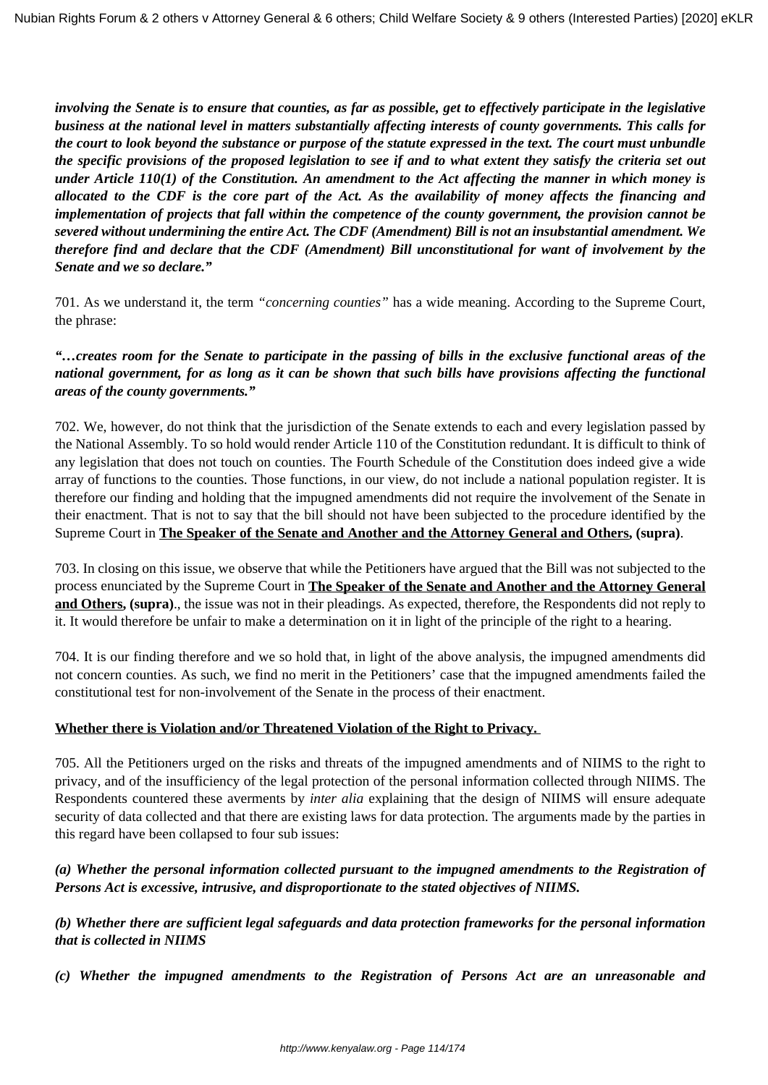*involving the Senate is to ensure that counties, as far as possible, get to effectively participate in the legislative business at the national level in matters substantially affecting interests of county governments. This calls for the court to look beyond the substance or purpose of the statute expressed in the text. The court must unbundle the specific provisions of the proposed legislation to see if and to what extent they satisfy the criteria set out under Article 110(1) of the Constitution. An amendment to the Act affecting the manner in which money is allocated to the CDF is the core part of the Act. As the availability of money affects the financing and implementation of projects that fall within the competence of the county government, the provision cannot be severed without undermining the entire Act. The CDF (Amendment) Bill is not an insubstantial amendment. We therefore find and declare that the CDF (Amendment) Bill unconstitutional for want of involvement by the Senate and we so declare."*

701. As we understand it, the term *"concerning counties"* has a wide meaning. According to the Supreme Court, the phrase:

# *"…creates room for the Senate to participate in the passing of bills in the exclusive functional areas of the national government, for as long as it can be shown that such bills have provisions affecting the functional areas of the county governments."*

702. We, however, do not think that the jurisdiction of the Senate extends to each and every legislation passed by the National Assembly. To so hold would render Article 110 of the Constitution redundant. It is difficult to think of any legislation that does not touch on counties. The Fourth Schedule of the Constitution does indeed give a wide array of functions to the counties. Those functions, in our view, do not include a national population register. It is therefore our finding and holding that the impugned amendments did not require the involvement of the Senate in their enactment. That is not to say that the bill should not have been subjected to the procedure identified by the Supreme Court in **The Speaker of the Senate and Another and the Attorney General and Others, (supra)**.

703. In closing on this issue, we observe that while the Petitioners have argued that the Bill was not subjected to the process enunciated by the Supreme Court in **The Speaker of the Senate and Another and the Attorney General and Others, (supra)**., the issue was not in their pleadings. As expected, therefore, the Respondents did not reply to it. It would therefore be unfair to make a determination on it in light of the principle of the right to a hearing.

704. It is our finding therefore and we so hold that, in light of the above analysis, the impugned amendments did not concern counties. As such, we find no merit in the Petitioners' case that the impugned amendments failed the constitutional test for non-involvement of the Senate in the process of their enactment.

### **Whether there is Violation and/or Threatened Violation of the Right to Privacy.**

705. All the Petitioners urged on the risks and threats of the impugned amendments and of NIIMS to the right to privacy, and of the insufficiency of the legal protection of the personal information collected through NIIMS. The Respondents countered these averments by *inter alia* explaining that the design of NIIMS will ensure adequate security of data collected and that there are existing laws for data protection. The arguments made by the parties in this regard have been collapsed to four sub issues:

# *(a) Whether the personal information collected pursuant to the impugned amendments to the Registration of Persons Act is excessive, intrusive, and disproportionate to the stated objectives of NIIMS.*

*(b) Whether there are sufficient legal safeguards and data protection frameworks for the personal information that is collected in NIIMS*

*(c) Whether the impugned amendments to the Registration of Persons Act are an unreasonable and*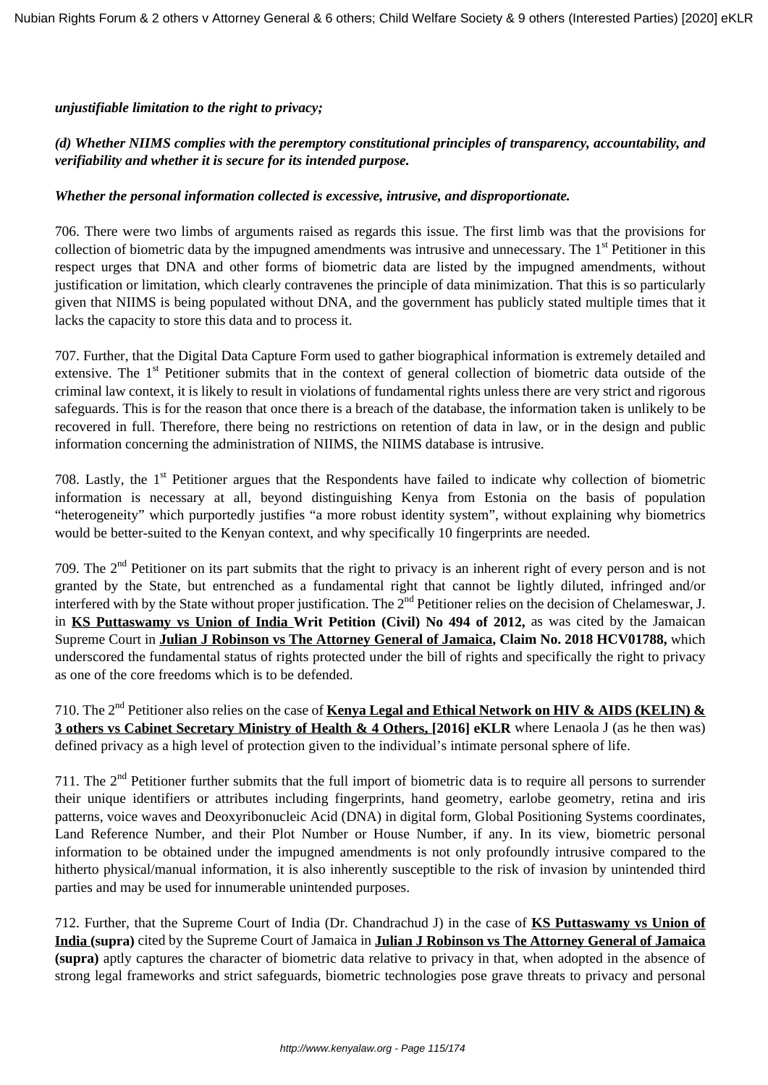*unjustifiable limitation to the right to privacy;*

# *(d) Whether NIIMS complies with the peremptory constitutional principles of transparency, accountability, and verifiability and whether it is secure for its intended purpose.*

#### *Whether the personal information collected is excessive, intrusive, and disproportionate.*

706. There were two limbs of arguments raised as regards this issue. The first limb was that the provisions for collection of biometric data by the impugned amendments was intrusive and unnecessary. The 1<sup>st</sup> Petitioner in this respect urges that DNA and other forms of biometric data are listed by the impugned amendments, without justification or limitation, which clearly contravenes the principle of data minimization. That this is so particularly given that NIIMS is being populated without DNA, and the government has publicly stated multiple times that it lacks the capacity to store this data and to process it.

707. Further, that the Digital Data Capture Form used to gather biographical information is extremely detailed and extensive. The 1<sup>st</sup> Petitioner submits that in the context of general collection of biometric data outside of the criminal law context, it is likely to result in violations of fundamental rights unless there are very strict and rigorous safeguards. This is for the reason that once there is a breach of the database, the information taken is unlikely to be recovered in full. Therefore, there being no restrictions on retention of data in law, or in the design and public information concerning the administration of NIIMS, the NIIMS database is intrusive.

708. Lastly, the 1<sup>st</sup> Petitioner argues that the Respondents have failed to indicate why collection of biometric information is necessary at all, beyond distinguishing Kenya from Estonia on the basis of population "heterogeneity" which purportedly justifies "a more robust identity system", without explaining why biometrics would be better-suited to the Kenyan context, and why specifically 10 fingerprints are needed.

709. The  $2<sup>nd</sup>$  Petitioner on its part submits that the right to privacy is an inherent right of every person and is not granted by the State, but entrenched as a fundamental right that cannot be lightly diluted, infringed and/or interfered with by the State without proper justification. The  $2^{nd}$  Petitioner relies on the decision of Chelameswar, J. in **KS Puttaswamy vs Union of India Writ Petition (Civil) No 494 of 2012,** as was cited by the Jamaican Supreme Court in **Julian J Robinson vs The Attorney General of Jamaica, Claim No. 2018 HCV01788,** which underscored the fundamental status of rights protected under the bill of rights and specifically the right to privacy as one of the core freedoms which is to be defended.

710. The 2nd Petitioner also relies on the case of **Kenya Legal and Ethical Network on HIV & AIDS (KELIN) & 3 others vs Cabinet Secretary Ministry of Health & 4 Others, [2016] eKLR** where Lenaola J (as he then was) defined privacy as a high level of protection given to the individual's intimate personal sphere of life.

711. The  $2<sup>nd</sup>$  Petitioner further submits that the full import of biometric data is to require all persons to surrender their unique identifiers or attributes including fingerprints, hand geometry, earlobe geometry, retina and iris patterns, voice waves and Deoxyribonucleic Acid (DNA) in digital form, Global Positioning Systems coordinates, Land Reference Number, and their Plot Number or House Number, if any. In its view, biometric personal information to be obtained under the impugned amendments is not only profoundly intrusive compared to the hitherto physical/manual information, it is also inherently susceptible to the risk of invasion by unintended third parties and may be used for innumerable unintended purposes.

712. Further, that the Supreme Court of India (Dr. Chandrachud J) in the case of **KS Puttaswamy vs Union of India (supra)** cited by the Supreme Court of Jamaica in **Julian J Robinson vs The Attorney General of Jamaica (supra)** aptly captures the character of biometric data relative to privacy in that, when adopted in the absence of strong legal frameworks and strict safeguards, biometric technologies pose grave threats to privacy and personal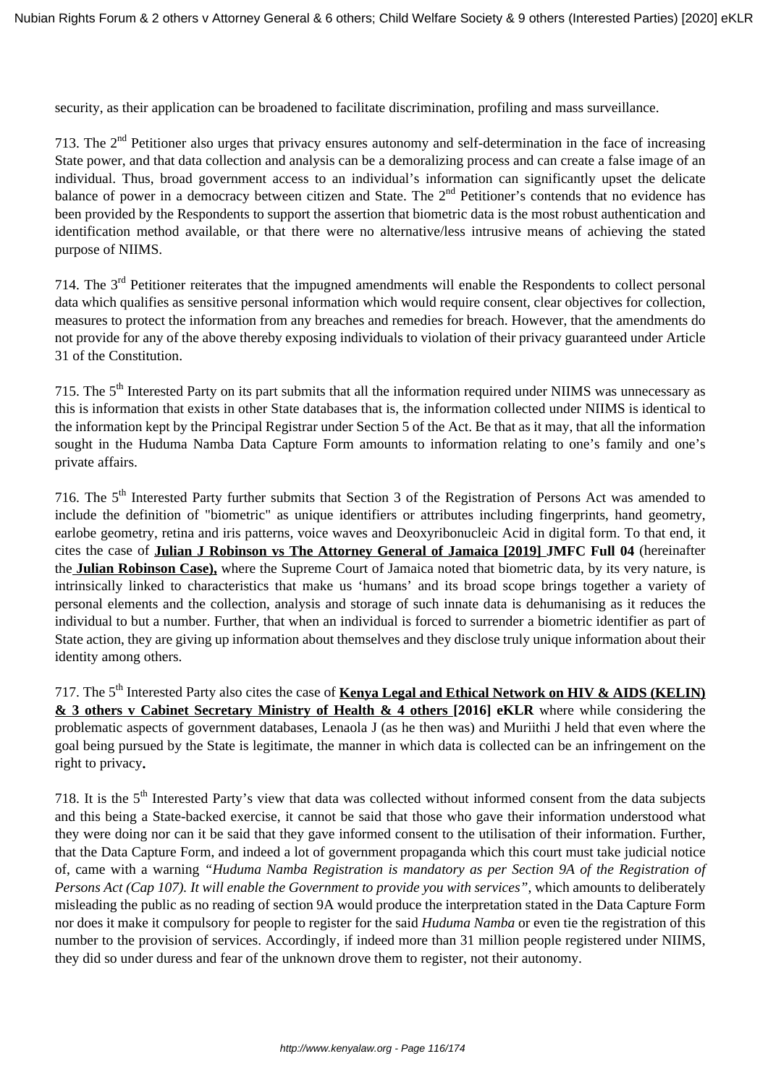security, as their application can be broadened to facilitate discrimination, profiling and mass surveillance.

713. The  $2<sup>nd</sup>$  Petitioner also urges that privacy ensures autonomy and self-determination in the face of increasing State power, and that data collection and analysis can be a demoralizing process and can create a false image of an individual. Thus, broad government access to an individual's information can significantly upset the delicate balance of power in a democracy between citizen and State. The 2<sup>nd</sup> Petitioner's contends that no evidence has been provided by the Respondents to support the assertion that biometric data is the most robust authentication and identification method available, or that there were no alternative/less intrusive means of achieving the stated purpose of NIIMS.

714. The 3rd Petitioner reiterates that the impugned amendments will enable the Respondents to collect personal data which qualifies as sensitive personal information which would require consent, clear objectives for collection, measures to protect the information from any breaches and remedies for breach. However, that the amendments do not provide for any of the above thereby exposing individuals to violation of their privacy guaranteed under Article 31 of the Constitution.

715. The  $5<sup>th</sup>$  Interested Party on its part submits that all the information required under NIIMS was unnecessary as this is information that exists in other State databases that is, the information collected under NIIMS is identical to the information kept by the Principal Registrar under Section 5 of the Act. Be that as it may, that all the information sought in the Huduma Namba Data Capture Form amounts to information relating to one's family and one's private affairs.

716. The 5th Interested Party further submits that Section 3 of the Registration of Persons Act was amended to include the definition of "biometric" as unique identifiers or attributes including fingerprints, hand geometry, earlobe geometry, retina and iris patterns, voice waves and Deoxyribonucleic Acid in digital form. To that end, it cites the case of **Julian J Robinson vs The Attorney General of Jamaica [2019] JMFC Full 04** (hereinafter the **Julian Robinson Case),** where the Supreme Court of Jamaica noted that biometric data, by its very nature, is intrinsically linked to characteristics that make us 'humans' and its broad scope brings together a variety of personal elements and the collection, analysis and storage of such innate data is dehumanising as it reduces the individual to but a number. Further, that when an individual is forced to surrender a biometric identifier as part of State action, they are giving up information about themselves and they disclose truly unique information about their identity among others.

717. The 5<sup>th</sup> Interested Party also cites the case of **Kenya Legal and Ethical Network on HIV & AIDS (KELIN) & 3 others v Cabinet Secretary Ministry of Health & 4 others [2016] eKLR** where while considering the problematic aspects of government databases, Lenaola J (as he then was) and Muriithi J held that even where the goal being pursued by the State is legitimate, the manner in which data is collected can be an infringement on the right to privacy**.**

718. It is the 5<sup>th</sup> Interested Party's view that data was collected without informed consent from the data subjects and this being a State-backed exercise, it cannot be said that those who gave their information understood what they were doing nor can it be said that they gave informed consent to the utilisation of their information. Further, that the Data Capture Form, and indeed a lot of government propaganda which this court must take judicial notice of, came with a warning *"Huduma Namba Registration is mandatory as per Section 9A of the Registration of Persons Act (Cap 107). It will enable the Government to provide you with services"*, which amounts to deliberately misleading the public as no reading of section 9A would produce the interpretation stated in the Data Capture Form nor does it make it compulsory for people to register for the said *Huduma Namba* or even tie the registration of this number to the provision of services. Accordingly, if indeed more than 31 million people registered under NIIMS, they did so under duress and fear of the unknown drove them to register, not their autonomy.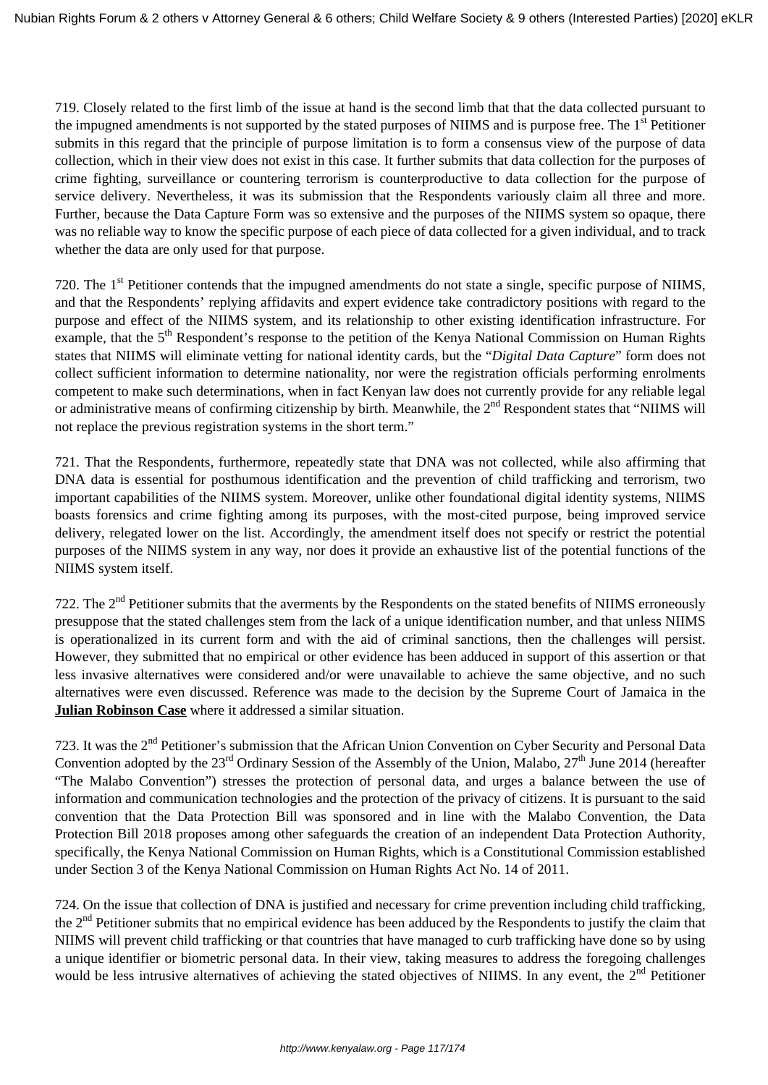719. Closely related to the first limb of the issue at hand is the second limb that that the data collected pursuant to the impugned amendments is not supported by the stated purposes of NIIMS and is purpose free. The 1<sup>st</sup> Petitioner submits in this regard that the principle of purpose limitation is to form a consensus view of the purpose of data collection, which in their view does not exist in this case. It further submits that data collection for the purposes of crime fighting, surveillance or countering terrorism is counterproductive to data collection for the purpose of service delivery. Nevertheless, it was its submission that the Respondents variously claim all three and more. Further, because the Data Capture Form was so extensive and the purposes of the NIIMS system so opaque, there was no reliable way to know the specific purpose of each piece of data collected for a given individual, and to track whether the data are only used for that purpose.

720. The 1<sup>st</sup> Petitioner contends that the impugned amendments do not state a single, specific purpose of NIIMS, and that the Respondents' replying affidavits and expert evidence take contradictory positions with regard to the purpose and effect of the NIIMS system, and its relationship to other existing identification infrastructure. For example, that the 5<sup>th</sup> Respondent's response to the petition of the Kenya National Commission on Human Rights states that NIIMS will eliminate vetting for national identity cards, but the "*Digital Data Capture*" form does not collect sufficient information to determine nationality, nor were the registration officials performing enrolments competent to make such determinations, when in fact Kenyan law does not currently provide for any reliable legal or administrative means of confirming citizenship by birth. Meanwhile, the  $2<sup>nd</sup>$  Respondent states that "NIIMS will not replace the previous registration systems in the short term."

721. That the Respondents, furthermore, repeatedly state that DNA was not collected, while also affirming that DNA data is essential for posthumous identification and the prevention of child trafficking and terrorism, two important capabilities of the NIIMS system. Moreover, unlike other foundational digital identity systems, NIIMS boasts forensics and crime fighting among its purposes, with the most-cited purpose, being improved service delivery, relegated lower on the list. Accordingly, the amendment itself does not specify or restrict the potential purposes of the NIIMS system in any way, nor does it provide an exhaustive list of the potential functions of the NIIMS system itself.

722. The  $2<sup>nd</sup>$  Petitioner submits that the averments by the Respondents on the stated benefits of NIIMS erroneously presuppose that the stated challenges stem from the lack of a unique identification number, and that unless NIIMS is operationalized in its current form and with the aid of criminal sanctions, then the challenges will persist. However, they submitted that no empirical or other evidence has been adduced in support of this assertion or that less invasive alternatives were considered and/or were unavailable to achieve the same objective, and no such alternatives were even discussed. Reference was made to the decision by the Supreme Court of Jamaica in the **Julian Robinson Case** where it addressed a similar situation.

723. It was the 2<sup>nd</sup> Petitioner's submission that the African Union Convention on Cyber Security and Personal Data Convention adopted by the  $23<sup>rd</sup>$  Ordinary Session of the Assembly of the Union, Malabo,  $27<sup>th</sup>$  June 2014 (hereafter "The Malabo Convention") stresses the protection of personal data, and urges a balance between the use of information and communication technologies and the protection of the privacy of citizens. It is pursuant to the said convention that the Data Protection Bill was sponsored and in line with the Malabo Convention, the Data Protection Bill 2018 proposes among other safeguards the creation of an independent Data Protection Authority, specifically, the Kenya National Commission on Human Rights, which is a Constitutional Commission established under Section 3 of the Kenya National Commission on Human Rights Act No. 14 of 2011.

724. On the issue that collection of DNA is justified and necessary for crime prevention including child trafficking, the 2<sup>nd</sup> Petitioner submits that no empirical evidence has been adduced by the Respondents to justify the claim that NIIMS will prevent child trafficking or that countries that have managed to curb trafficking have done so by using a unique identifier or biometric personal data. In their view, taking measures to address the foregoing challenges would be less intrusive alternatives of achieving the stated objectives of NIIMS. In any event, the  $2<sup>nd</sup>$  Petitioner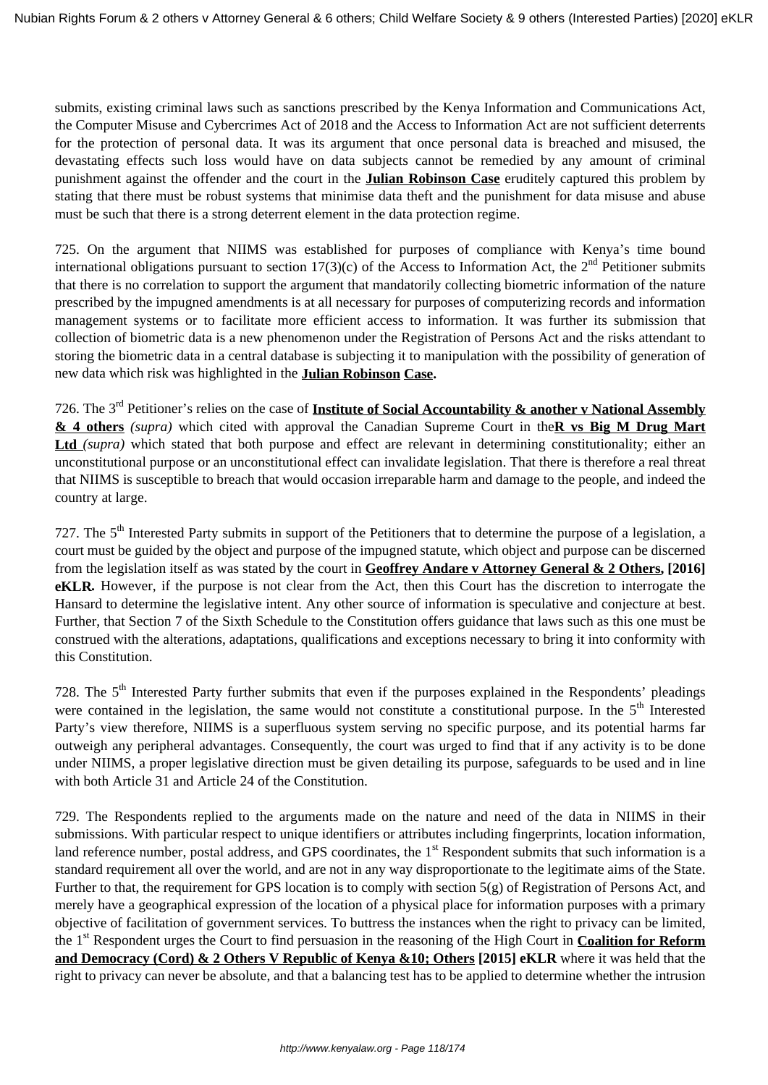submits, existing criminal laws such as sanctions prescribed by the Kenya Information and Communications Act, the Computer Misuse and Cybercrimes Act of 2018 and the Access to Information Act are not sufficient deterrents for the protection of personal data. It was its argument that once personal data is breached and misused, the devastating effects such loss would have on data subjects cannot be remedied by any amount of criminal punishment against the offender and the court in the **Julian Robinson Case** eruditely captured this problem by stating that there must be robust systems that minimise data theft and the punishment for data misuse and abuse must be such that there is a strong deterrent element in the data protection regime.

725. On the argument that NIIMS was established for purposes of compliance with Kenya's time bound international obligations pursuant to section 17(3)(c) of the Access to Information Act, the  $2<sup>nd</sup>$  Petitioner submits that there is no correlation to support the argument that mandatorily collecting biometric information of the nature prescribed by the impugned amendments is at all necessary for purposes of computerizing records and information management systems or to facilitate more efficient access to information. It was further its submission that collection of biometric data is a new phenomenon under the Registration of Persons Act and the risks attendant to storing the biometric data in a central database is subjecting it to manipulation with the possibility of generation of new data which risk was highlighted in the **Julian Robinson Case.**

726. The 3rd Petitioner's relies on the case of **Institute of Social Accountability & another v National Assembly & 4 others** *(supra)* which cited with approval the Canadian Supreme Court in the**R vs Big M Drug Mart** Ltd *(supra)* which stated that both purpose and effect are relevant in determining constitutionality; either an unconstitutional purpose or an unconstitutional effect can invalidate legislation. That there is therefore a real threat that NIIMS is susceptible to breach that would occasion irreparable harm and damage to the people, and indeed the country at large.

727. The  $5<sup>th</sup>$  Interested Party submits in support of the Petitioners that to determine the purpose of a legislation, a court must be guided by the object and purpose of the impugned statute, which object and purpose can be discerned from the legislation itself as was stated by the court in **Geoffrey Andare v Attorney General & 2 Others, [2016] eKLR***.* However, if the purpose is not clear from the Act, then this Court has the discretion to interrogate the Hansard to determine the legislative intent. Any other source of information is speculative and conjecture at best. Further, that Section 7 of the Sixth Schedule to the Constitution offers guidance that laws such as this one must be construed with the alterations, adaptations, qualifications and exceptions necessary to bring it into conformity with this Constitution.

728. The 5<sup>th</sup> Interested Party further submits that even if the purposes explained in the Respondents' pleadings were contained in the legislation, the same would not constitute a constitutional purpose. In the  $5<sup>th</sup>$  Interested Party's view therefore, NIIMS is a superfluous system serving no specific purpose, and its potential harms far outweigh any peripheral advantages. Consequently, the court was urged to find that if any activity is to be done under NIIMS, a proper legislative direction must be given detailing its purpose, safeguards to be used and in line with both Article 31 and Article 24 of the Constitution.

729. The Respondents replied to the arguments made on the nature and need of the data in NIIMS in their submissions. With particular respect to unique identifiers or attributes including fingerprints, location information, land reference number, postal address, and GPS coordinates, the  $1<sup>st</sup>$  Respondent submits that such information is a standard requirement all over the world, and are not in any way disproportionate to the legitimate aims of the State. Further to that, the requirement for GPS location is to comply with section 5(g) of Registration of Persons Act, and merely have a geographical expression of the location of a physical place for information purposes with a primary objective of facilitation of government services. To buttress the instances when the right to privacy can be limited, the 1st Respondent urges the Court to find persuasion in the reasoning of the High Court in **Coalition for Reform and Democracy (Cord) & 2 Others V Republic of Kenya &10; Others [2015] eKLR** where it was held that the right to privacy can never be absolute, and that a balancing test has to be applied to determine whether the intrusion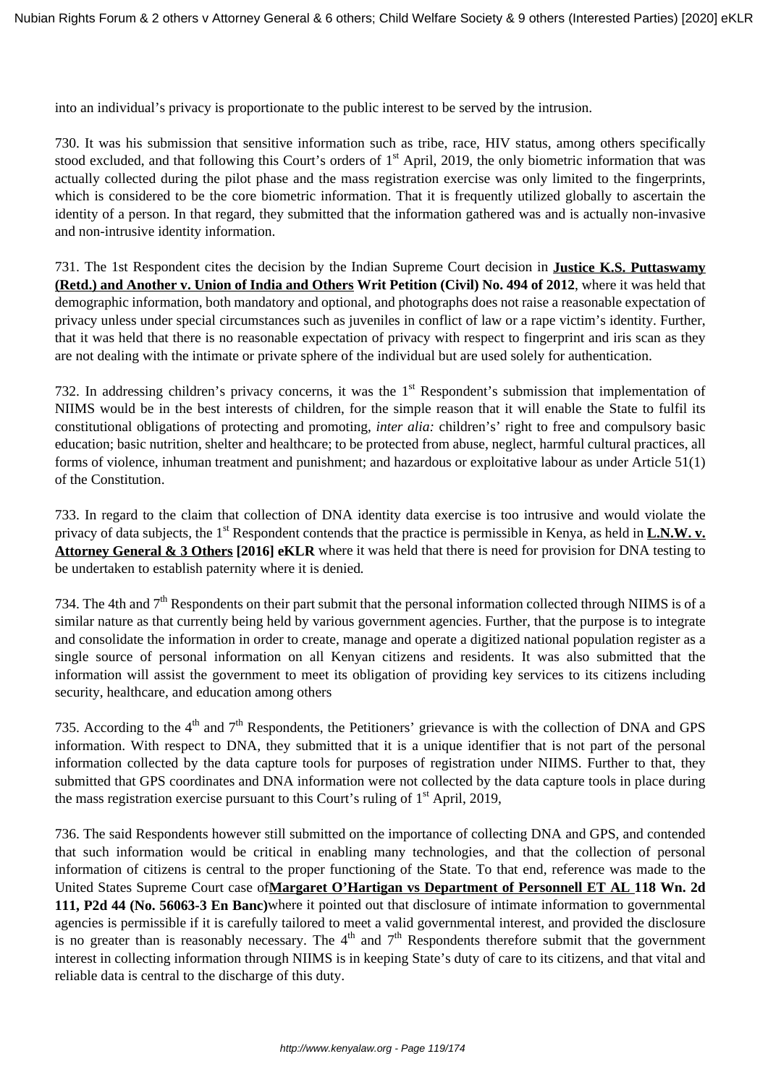into an individual's privacy is proportionate to the public interest to be served by the intrusion.

730. It was his submission that sensitive information such as tribe, race, HIV status, among others specifically stood excluded, and that following this Court's orders of  $1<sup>st</sup>$  April, 2019, the only biometric information that was actually collected during the pilot phase and the mass registration exercise was only limited to the fingerprints, which is considered to be the core biometric information. That it is frequently utilized globally to ascertain the identity of a person. In that regard, they submitted that the information gathered was and is actually non-invasive and non-intrusive identity information.

731. The 1st Respondent cites the decision by the Indian Supreme Court decision in **Justice K.S. Puttaswamy (Retd.) and Another v. Union of India and Others Writ Petition (Civil) No. 494 of 2012**, where it was held that demographic information, both mandatory and optional, and photographs does not raise a reasonable expectation of privacy unless under special circumstances such as juveniles in conflict of law or a rape victim's identity. Further, that it was held that there is no reasonable expectation of privacy with respect to fingerprint and iris scan as they are not dealing with the intimate or private sphere of the individual but are used solely for authentication.

732. In addressing children's privacy concerns, it was the 1<sup>st</sup> Respondent's submission that implementation of NIIMS would be in the best interests of children, for the simple reason that it will enable the State to fulfil its constitutional obligations of protecting and promoting, *inter alia:* children's' right to free and compulsory basic education; basic nutrition, shelter and healthcare; to be protected from abuse, neglect, harmful cultural practices, all forms of violence, inhuman treatment and punishment; and hazardous or exploitative labour as under Article 51(1) of the Constitution.

733. In regard to the claim that collection of DNA identity data exercise is too intrusive and would violate the privacy of data subjects, the 1<sup>st</sup> Respondent contends that the practice is permissible in Kenya, as held in **L.N.W. v. Attorney General & 3 Others [2016] eKLR** where it was held that there is need for provision for DNA testing to be undertaken to establish paternity where it is denied*.*

734. The 4th and 7<sup>th</sup> Respondents on their part submit that the personal information collected through NIIMS is of a similar nature as that currently being held by various government agencies. Further, that the purpose is to integrate and consolidate the information in order to create, manage and operate a digitized national population register as a single source of personal information on all Kenyan citizens and residents. It was also submitted that the information will assist the government to meet its obligation of providing key services to its citizens including security, healthcare, and education among others

735. According to the 4<sup>th</sup> and 7<sup>th</sup> Respondents, the Petitioners' grievance is with the collection of DNA and GPS information. With respect to DNA, they submitted that it is a unique identifier that is not part of the personal information collected by the data capture tools for purposes of registration under NIIMS. Further to that, they submitted that GPS coordinates and DNA information were not collected by the data capture tools in place during the mass registration exercise pursuant to this Court's ruling of  $1<sup>st</sup>$  April, 2019,

736. The said Respondents however still submitted on the importance of collecting DNA and GPS, and contended that such information would be critical in enabling many technologies, and that the collection of personal information of citizens is central to the proper functioning of the State. To that end, reference was made to the United States Supreme Court case of**Margaret O'Hartigan vs Department of Personnell ET AL 118 Wn. 2d 111, P2d 44 (No. 56063-3 En Banc)**where it pointed out that disclosure of intimate information to governmental agencies is permissible if it is carefully tailored to meet a valid governmental interest, and provided the disclosure is no greater than is reasonably necessary. The  $4<sup>th</sup>$  and  $7<sup>th</sup>$  Respondents therefore submit that the government interest in collecting information through NIIMS is in keeping State's duty of care to its citizens, and that vital and reliable data is central to the discharge of this duty.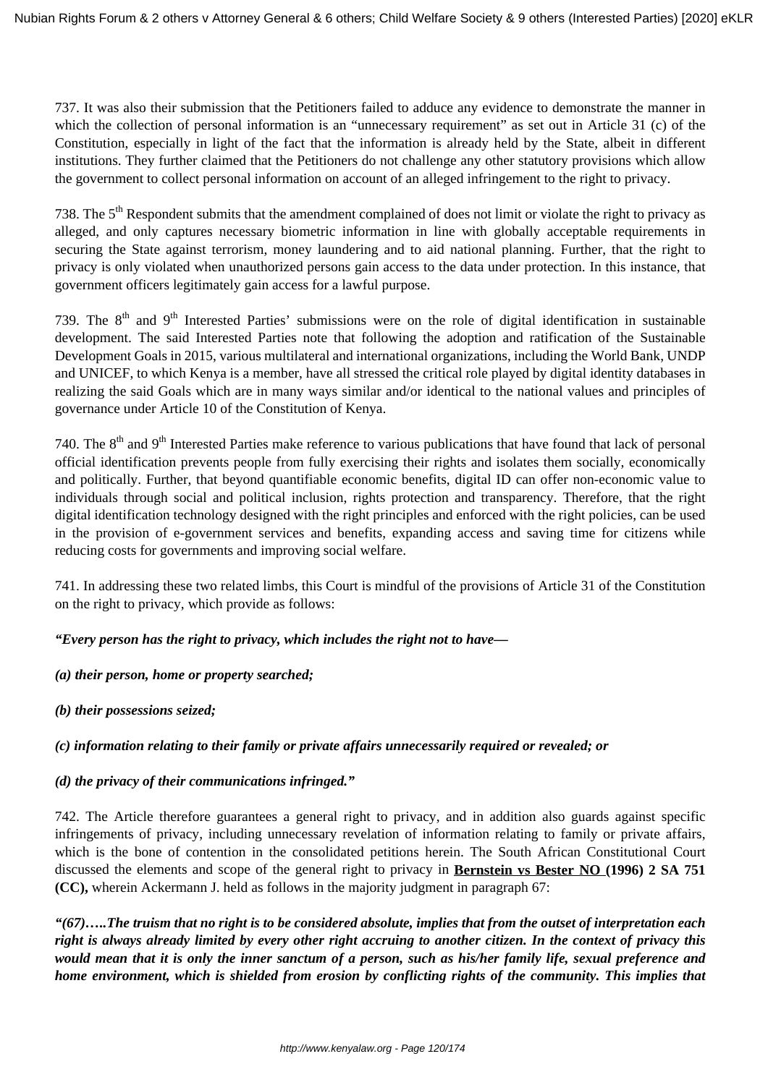737. It was also their submission that the Petitioners failed to adduce any evidence to demonstrate the manner in which the collection of personal information is an "unnecessary requirement" as set out in Article 31 (c) of the Constitution, especially in light of the fact that the information is already held by the State, albeit in different institutions. They further claimed that the Petitioners do not challenge any other statutory provisions which allow the government to collect personal information on account of an alleged infringement to the right to privacy.

738. The  $5<sup>th</sup>$  Respondent submits that the amendment complained of does not limit or violate the right to privacy as alleged, and only captures necessary biometric information in line with globally acceptable requirements in securing the State against terrorism, money laundering and to aid national planning. Further, that the right to privacy is only violated when unauthorized persons gain access to the data under protection. In this instance, that government officers legitimately gain access for a lawful purpose.

739. The  $8<sup>th</sup>$  and  $9<sup>th</sup>$  Interested Parties' submissions were on the role of digital identification in sustainable development. The said Interested Parties note that following the adoption and ratification of the Sustainable Development Goals in 2015, various multilateral and international organizations, including the World Bank, UNDP and UNICEF, to which Kenya is a member, have all stressed the critical role played by digital identity databases in realizing the said Goals which are in many ways similar and/or identical to the national values and principles of governance under Article 10 of the Constitution of Kenya.

740. The 8<sup>th</sup> and 9<sup>th</sup> Interested Parties make reference to various publications that have found that lack of personal official identification prevents people from fully exercising their rights and isolates them socially, economically and politically. Further, that beyond quantifiable economic benefits, digital ID can offer non-economic value to individuals through social and political inclusion, rights protection and transparency. Therefore, that the right digital identification technology designed with the right principles and enforced with the right policies, can be used in the provision of e-government services and benefits, expanding access and saving time for citizens while reducing costs for governments and improving social welfare.

741. In addressing these two related limbs, this Court is mindful of the provisions of Article 31 of the Constitution on the right to privacy, which provide as follows:

*"Every person has the right to privacy, which includes the right not to have—* 

*(a) their person, home or property searched;*

*(b) their possessions seized;*

# *(c) information relating to their family or private affairs unnecessarily required or revealed; or*

# *(d) the privacy of their communications infringed."*

742. The Article therefore guarantees a general right to privacy, and in addition also guards against specific infringements of privacy, including unnecessary revelation of information relating to family or private affairs, which is the bone of contention in the consolidated petitions herein. The South African Constitutional Court discussed the elements and scope of the general right to privacy in **Bernstein vs Bester NO (1996) 2 SA 751 (CC),** wherein Ackermann J. held as follows in the majority judgment in paragraph 67:

*"(67)…..The truism that no right is to be considered absolute, implies that from the outset of interpretation each right is always already limited by every other right accruing to another citizen. In the context of privacy this would mean that it is only the inner sanctum of a person, such as his/her family life, sexual preference and home environment, which is shielded from erosion by conflicting rights of the community. This implies that*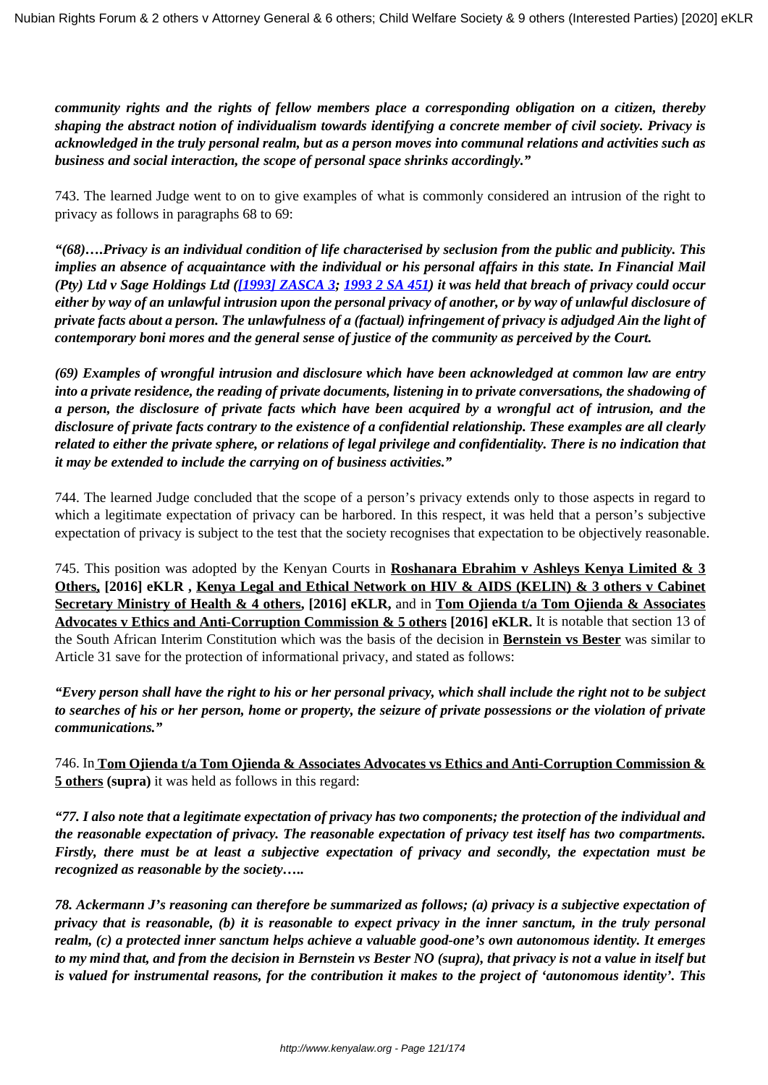*community rights and the rights of fellow members place a corresponding obligation on a citizen, thereby shaping the abstract notion of individualism towards identifying a concrete member of civil society. Privacy is acknowledged in the truly personal realm, but as a person moves into communal relations and activities such as business and social interaction, the scope of personal space shrinks accordingly."*

743. The learned Judge went to on to give examples of what is commonly considered an intrusion of the right to privacy as follows in paragraphs 68 to 69:

*"(68)….Privacy is an individual condition of life characterised by seclusion from the public and publicity. This implies an absence of acquaintance with the individual or his personal affairs in this state. In Financial Mail (Pty) Ltd v Sage Holdings Ltd ([\[1993\] ZASCA 3](http://www.saflii.org/za/cases/ZASCA/1993/3.html); [1993 2 SA 451\)](http://www.saflii.org/cgi-bin/LawCite"cit=1993%202%20SA%20451) it was held that breach of privacy could occur either by way of an unlawful intrusion upon the personal privacy of another, or by way of unlawful disclosure of private facts about a person. The unlawfulness of a (factual) infringement of privacy is adjudged Ain the light of contemporary boni mores and the general sense of justice of the community as perceived by the Court.*

*(69) Examples of wrongful intrusion and disclosure which have been acknowledged at common law are entry into a private residence, the reading of private documents, listening in to private conversations, the shadowing of a person, the disclosure of private facts which have been acquired by a wrongful act of intrusion, and the disclosure of private facts contrary to the existence of a confidential relationship. These examples are all clearly related to either the private sphere, or relations of legal privilege and confidentiality. There is no indication that it may be extended to include the carrying on of business activities."*

744. The learned Judge concluded that the scope of a person's privacy extends only to those aspects in regard to which a legitimate expectation of privacy can be harbored. In this respect, it was held that a person's subjective expectation of privacy is subject to the test that the society recognises that expectation to be objectively reasonable.

745. This position was adopted by the Kenyan Courts in **Roshanara Ebrahim v Ashleys Kenya Limited & 3 Others, [2016] eKLR , Kenya Legal and Ethical Network on HIV & AIDS (KELIN) & 3 others v Cabinet Secretary Ministry of Health & 4 others, [2016] eKLR,** and in **Tom Ojienda t/a Tom Ojienda & Associates Advocates v Ethics and Anti-Corruption Commission & 5 others [2016] eKLR.** It is notable that section 13 of the South African Interim Constitution which was the basis of the decision in **Bernstein vs Bester** was similar to Article 31 save for the protection of informational privacy, and stated as follows:

*"Every person shall have the right to his or her personal privacy, which shall include the right not to be subject to searches of his or her person, home or property, the seizure of private possessions or the violation of private communications."*

746. In **Tom Ojienda t/a Tom Ojienda & Associates Advocates vs Ethics and Anti-Corruption Commission & 5 others (supra)** it was held as follows in this regard:

*"77. I also note that a legitimate expectation of privacy has two components; the protection of the individual and the reasonable expectation of privacy. The reasonable expectation of privacy test itself has two compartments. Firstly, there must be at least a subjective expectation of privacy and secondly, the expectation must be recognized as reasonable by the society…..*

*78. Ackermann J's reasoning can therefore be summarized as follows; (a) privacy is a subjective expectation of privacy that is reasonable, (b) it is reasonable to expect privacy in the inner sanctum, in the truly personal realm, (c) a protected inner sanctum helps achieve a valuable good-one's own autonomous identity. It emerges to my mind that, and from the decision in Bernstein vs Bester NO (supra), that privacy is not a value in itself but is valued for instrumental reasons, for the contribution it makes to the project of 'autonomous identity'. This*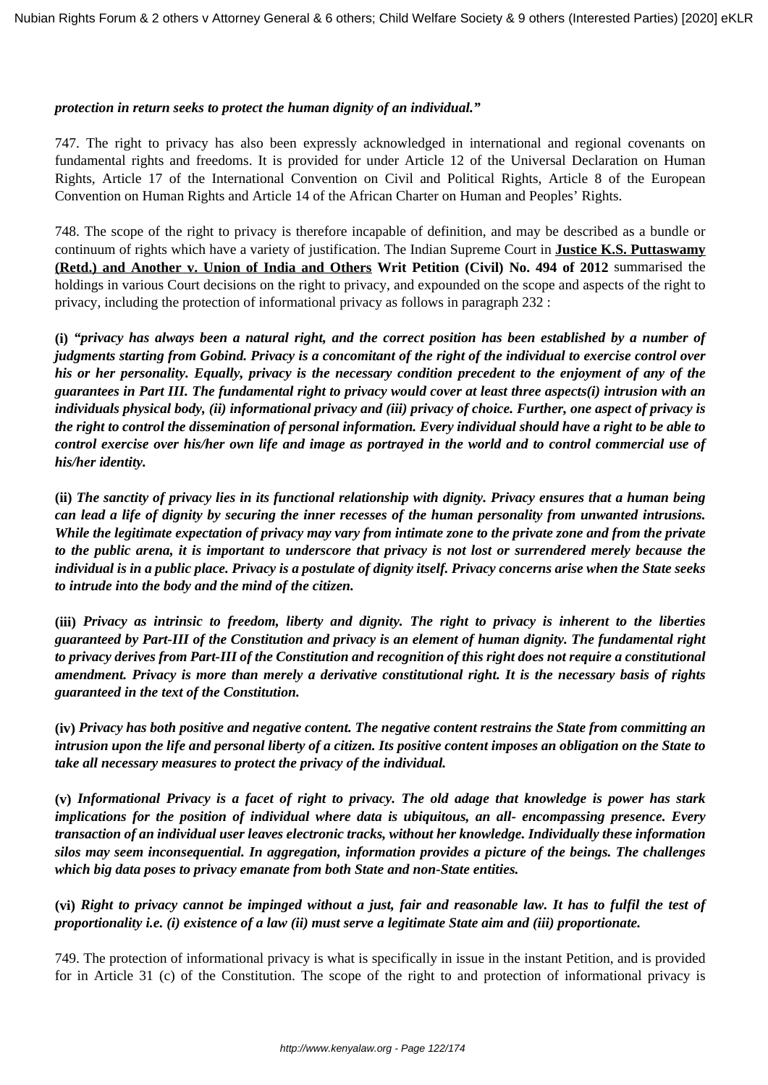#### *protection in return seeks to protect the human dignity of an individual."*

747. The right to privacy has also been expressly acknowledged in international and regional covenants on fundamental rights and freedoms. It is provided for under Article 12 of the Universal Declaration on Human Rights, Article 17 of the International Convention on Civil and Political Rights, Article 8 of the European Convention on Human Rights and Article 14 of the African Charter on Human and Peoples' Rights.

748. The scope of the right to privacy is therefore incapable of definition, and may be described as a bundle or continuum of rights which have a variety of justification. The Indian Supreme Court in **Justice K.S. Puttaswamy (Retd.) and Another v. Union of India and Others Writ Petition (Civil) No. 494 of 2012** summarised the holdings in various Court decisions on the right to privacy, and expounded on the scope and aspects of the right to privacy, including the protection of informational privacy as follows in paragraph 232 :

**(i)** *"privacy has always been a natural right, and the correct position has been established by a number of judgments starting from Gobind. Privacy is a concomitant of the right of the individual to exercise control over his or her personality. Equally, privacy is the necessary condition precedent to the enjoyment of any of the guarantees in Part III. The fundamental right to privacy would cover at least three aspects(i) intrusion with an individuals physical body, (ii) informational privacy and (iii) privacy of choice. Further, one aspect of privacy is the right to control the dissemination of personal information. Every individual should have a right to be able to control exercise over his/her own life and image as portrayed in the world and to control commercial use of his/her identity.*

**(ii)** *The sanctity of privacy lies in its functional relationship with dignity. Privacy ensures that a human being can lead a life of dignity by securing the inner recesses of the human personality from unwanted intrusions. While the legitimate expectation of privacy may vary from intimate zone to the private zone and from the private to the public arena, it is important to underscore that privacy is not lost or surrendered merely because the individual is in a public place. Privacy is a postulate of dignity itself. Privacy concerns arise when the State seeks to intrude into the body and the mind of the citizen.*

**(iii)** *Privacy as intrinsic to freedom, liberty and dignity. The right to privacy is inherent to the liberties guaranteed by Part-III of the Constitution and privacy is an element of human dignity. The fundamental right to privacy derives from Part-III of the Constitution and recognition of this right does not require a constitutional amendment. Privacy is more than merely a derivative constitutional right. It is the necessary basis of rights guaranteed in the text of the Constitution.*

**(iv)** *Privacy has both positive and negative content. The negative content restrains the State from committing an intrusion upon the life and personal liberty of a citizen. Its positive content imposes an obligation on the State to take all necessary measures to protect the privacy of the individual.*

**(v)** *Informational Privacy is a facet of right to privacy. The old adage that knowledge is power has stark implications for the position of individual where data is ubiquitous, an all- encompassing presence. Every transaction of an individual user leaves electronic tracks, without her knowledge. Individually these information silos may seem inconsequential. In aggregation, information provides a picture of the beings. The challenges which big data poses to privacy emanate from both State and non-State entities.*

**(vi)** *Right to privacy cannot be impinged without a just, fair and reasonable law. It has to fulfil the test of proportionality i.e. (i) existence of a law (ii) must serve a legitimate State aim and (iii) proportionate.*

749. The protection of informational privacy is what is specifically in issue in the instant Petition, and is provided for in Article 31 (c) of the Constitution. The scope of the right to and protection of informational privacy is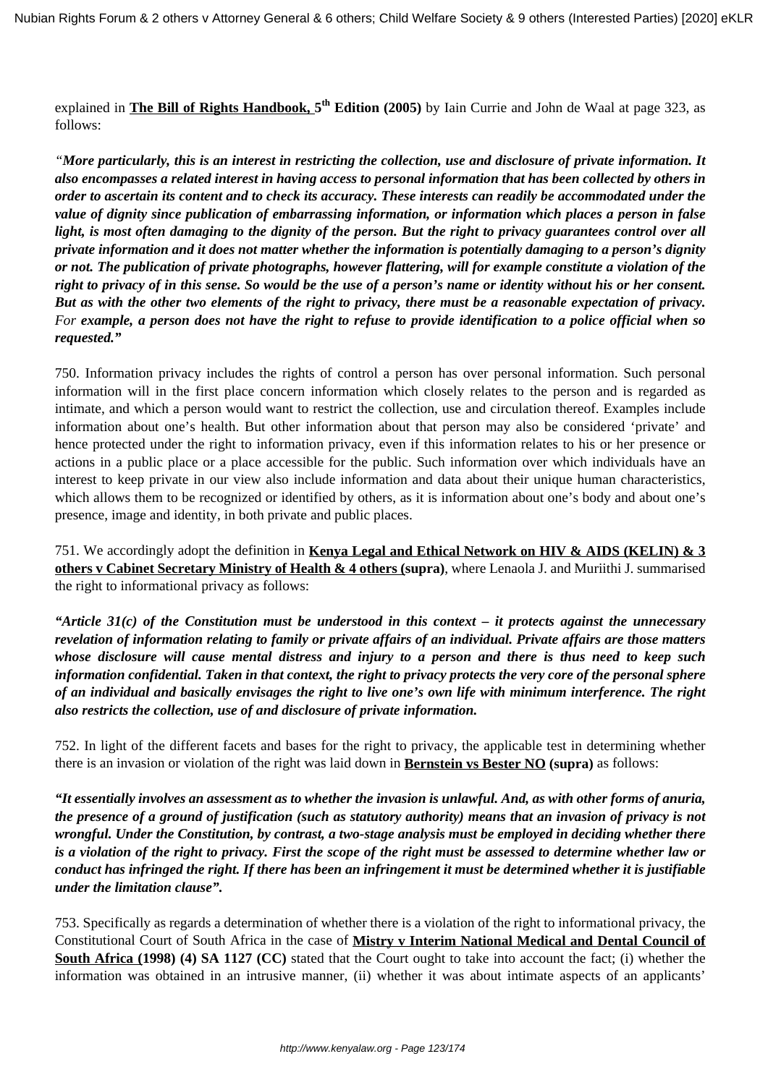explained in **The Bill of Rights Handbook, 5 th Edition (2005)** by Iain Currie and John de Waal at page 323, as follows:

*"More particularly, this is an interest in restricting the collection, use and disclosure of private information. It also encompasses a related interest in having access to personal information that has been collected by others in order to ascertain its content and to check its accuracy. These interests can readily be accommodated under the value of dignity since publication of embarrassing information, or information which places a person in false light, is most often damaging to the dignity of the person. But the right to privacy guarantees control over all private information and it does not matter whether the information is potentially damaging to a person's dignity or not. The publication of private photographs, however flattering, will for example constitute a violation of the right to privacy of in this sense. So would be the use of a person's name or identity without his or her consent. But as with the other two elements of the right to privacy, there must be a reasonable expectation of privacy. For example, a person does not have the right to refuse to provide identification to a police official when so requested."*

750. Information privacy includes the rights of control a person has over personal information. Such personal information will in the first place concern information which closely relates to the person and is regarded as intimate, and which a person would want to restrict the collection, use and circulation thereof. Examples include information about one's health. But other information about that person may also be considered 'private' and hence protected under the right to information privacy, even if this information relates to his or her presence or actions in a public place or a place accessible for the public. Such information over which individuals have an interest to keep private in our view also include information and data about their unique human characteristics, which allows them to be recognized or identified by others, as it is information about one's body and about one's presence, image and identity, in both private and public places.

751. We accordingly adopt the definition in **Kenya Legal and Ethical Network on HIV & AIDS (KELIN) & 3 others v Cabinet Secretary Ministry of Health & 4 others (supra)**, where Lenaola J. and Muriithi J. summarised the right to informational privacy as follows:

*"Article 31(c) of the Constitution must be understood in this context – it protects against the unnecessary revelation of information relating to family or private affairs of an individual. Private affairs are those matters whose disclosure will cause mental distress and injury to a person and there is thus need to keep such information confidential. Taken in that context, the right to privacy protects the very core of the personal sphere of an individual and basically envisages the right to live one's own life with minimum interference. The right also restricts the collection, use of and disclosure of private information.*

752. In light of the different facets and bases for the right to privacy, the applicable test in determining whether there is an invasion or violation of the right was laid down in **Bernstein vs Bester NO (supra)** as follows:

*"It essentially involves an assessment as to whether the invasion is unlawful. And, as with other forms of anuria, the presence of a ground of justification (such as statutory authority) means that an invasion of privacy is not wrongful. Under the Constitution, by contrast, a two-stage analysis must be employed in deciding whether there is a violation of the right to privacy. First the scope of the right must be assessed to determine whether law or conduct has infringed the right. If there has been an infringement it must be determined whether it is justifiable under the limitation clause".* 

753. Specifically as regards a determination of whether there is a violation of the right to informational privacy, the Constitutional Court of South Africa in the case of **Mistry v Interim National Medical and Dental Council of South Africa (1998) (4) SA 1127 (CC)** stated that the Court ought to take into account the fact; (i) whether the information was obtained in an intrusive manner, (ii) whether it was about intimate aspects of an applicants'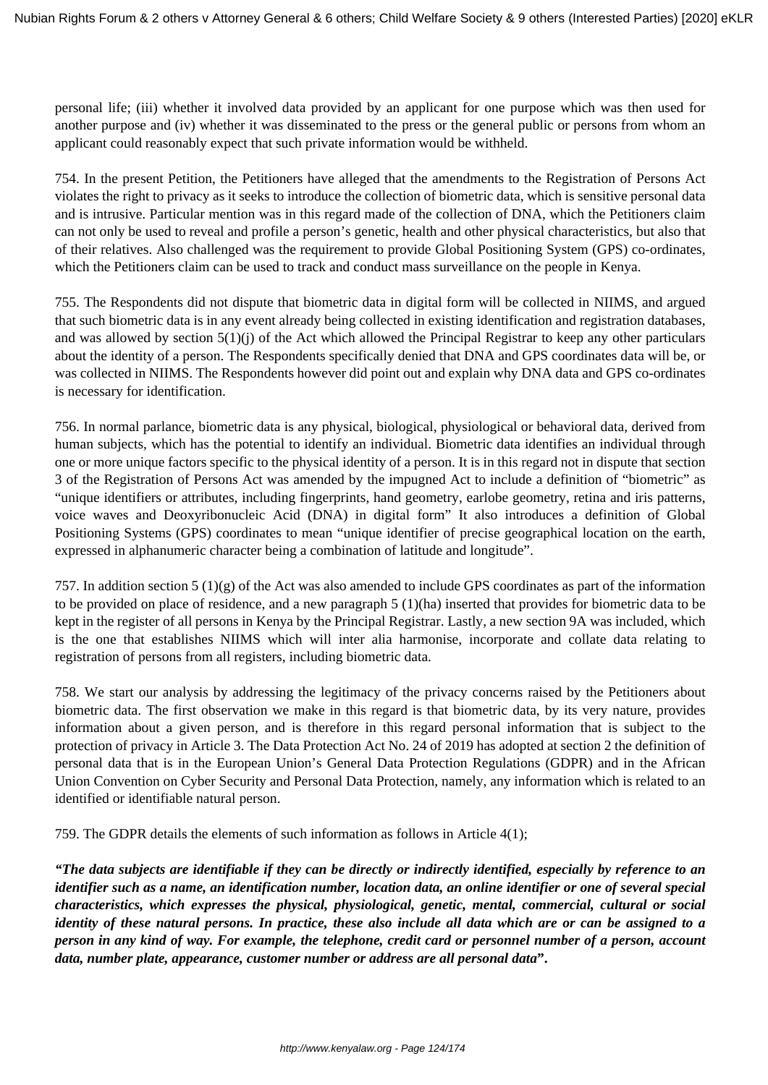personal life; (iii) whether it involved data provided by an applicant for one purpose which was then used for another purpose and (iv) whether it was disseminated to the press or the general public or persons from whom an applicant could reasonably expect that such private information would be withheld.

754. In the present Petition, the Petitioners have alleged that the amendments to the Registration of Persons Act violates the right to privacy as it seeks to introduce the collection of biometric data, which is sensitive personal data and is intrusive. Particular mention was in this regard made of the collection of DNA, which the Petitioners claim can not only be used to reveal and profile a person's genetic, health and other physical characteristics, but also that of their relatives. Also challenged was the requirement to provide Global Positioning System (GPS) co-ordinates, which the Petitioners claim can be used to track and conduct mass surveillance on the people in Kenya.

755. The Respondents did not dispute that biometric data in digital form will be collected in NIIMS, and argued that such biometric data is in any event already being collected in existing identification and registration databases, and was allowed by section  $5(1)(i)$  of the Act which allowed the Principal Registrar to keep any other particulars about the identity of a person. The Respondents specifically denied that DNA and GPS coordinates data will be, or was collected in NIIMS. The Respondents however did point out and explain why DNA data and GPS co-ordinates is necessary for identification.

756. In normal parlance, biometric data is any physical, biological, physiological or behavioral data, derived from human subjects, which has the potential to identify an individual. Biometric data identifies an individual through one or more unique factors specific to the physical identity of a person. It is in this regard not in dispute that section 3 of the Registration of Persons Act was amended by the impugned Act to include a definition of "biometric" as "unique identifiers or attributes, including fingerprints, hand geometry, earlobe geometry, retina and iris patterns, voice waves and Deoxyribonucleic Acid (DNA) in digital form" It also introduces a definition of Global Positioning Systems (GPS) coordinates to mean "unique identifier of precise geographical location on the earth, expressed in alphanumeric character being a combination of latitude and longitude".

757. In addition section 5 (1)(g) of the Act was also amended to include GPS coordinates as part of the information to be provided on place of residence, and a new paragraph 5 (1)(ha) inserted that provides for biometric data to be kept in the register of all persons in Kenya by the Principal Registrar. Lastly, a new section 9A was included, which is the one that establishes NIIMS which will inter alia harmonise, incorporate and collate data relating to registration of persons from all registers, including biometric data.

758. We start our analysis by addressing the legitimacy of the privacy concerns raised by the Petitioners about biometric data. The first observation we make in this regard is that biometric data, by its very nature, provides information about a given person, and is therefore in this regard personal information that is subject to the protection of privacy in Article 3. The Data Protection Act No. 24 of 2019 has adopted at section 2 the definition of personal data that is in the European Union's General Data Protection Regulations (GDPR) and in the African Union Convention on Cyber Security and Personal Data Protection, namely, any information which is related to an identified or identifiable natural person.

759. The GDPR details the elements of such information as follows in Article 4(1);

*"The data subjects are identifiable if they can be directly or indirectly identified, especially by reference to an identifier such as a name, an identification number, location data, an online identifier or one of several special characteristics, which expresses the physical, physiological, genetic, mental, commercial, cultural or social identity of these natural persons. In practice, these also include all data which are or can be assigned to a person in any kind of way. For example, the telephone, credit card or personnel number of a person, account data, number plate, appearance, customer number or address are all personal data***".**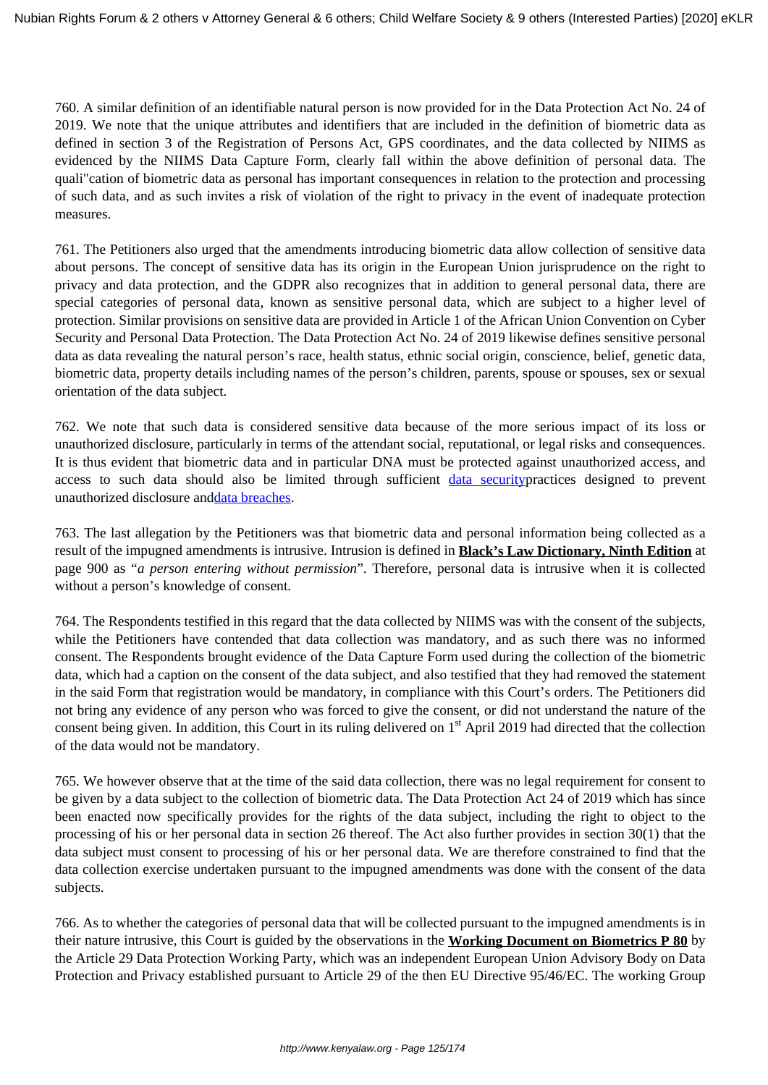760. A similar definition of an identifiable natural person is now provided for in the Data Protection Act No. 24 of 2019. We note that the unique attributes and identifiers that are included in the definition of biometric data as defined in section 3 of the Registration of Persons Act, GPS coordinates, and the data collected by NIIMS as evidenced by the NIIMS Data Capture Form, clearly fall within the above definition of personal data. The quali"cation of biometric data as personal has important consequences in relation to the protection and processing of such data, and as such invites a risk of violation of the right to privacy in the event of inadequate protection measures.

761. The Petitioners also urged that the amendments introducing biometric data allow collection of sensitive data about persons. The concept of sensitive data has its origin in the European Union jurisprudence on the right to privacy and data protection, and the GDPR also recognizes that in addition to general personal data, there are special categories of personal data, known as sensitive personal data, which are subject to a higher level of protection. Similar provisions on sensitive data are provided in Article 1 of the African Union Convention on Cyber Security and Personal Data Protection. The Data Protection Act No. 24 of 2019 likewise defines sensitive personal data as data revealing the natural person's race, health status, ethnic social origin, conscience, belief, genetic data, biometric data, property details including names of the person's children, parents, spouse or spouses, sex or sexual orientation of the data subject.

762. We note that such data is considered sensitive data because of the more serious impact of its loss or unauthorized disclosure, particularly in terms of the attendant social, reputational, or legal risks and consequences. It is thus evident that biometric data and in particular DNA must be protected against unauthorized access, and access to such data should also be limited through sufficient [data securityp](https://www.upguard.com/blog/data-security)ractices designed to prevent unauthorized disclosure and[data breaches](https://www.upguard.com/blog/data-breach).

763. The last allegation by the Petitioners was that biometric data and personal information being collected as a result of the impugned amendments is intrusive. Intrusion is defined in **Black's Law Dictionary, Ninth Edition** at page 900 as "*a person entering without permission*". Therefore, personal data is intrusive when it is collected without a person's knowledge of consent.

764. The Respondents testified in this regard that the data collected by NIIMS was with the consent of the subjects, while the Petitioners have contended that data collection was mandatory, and as such there was no informed consent. The Respondents brought evidence of the Data Capture Form used during the collection of the biometric data, which had a caption on the consent of the data subject, and also testified that they had removed the statement in the said Form that registration would be mandatory, in compliance with this Court's orders. The Petitioners did not bring any evidence of any person who was forced to give the consent, or did not understand the nature of the consent being given. In addition, this Court in its ruling delivered on 1<sup>st</sup> April 2019 had directed that the collection of the data would not be mandatory.

765. We however observe that at the time of the said data collection, there was no legal requirement for consent to be given by a data subject to the collection of biometric data. The Data Protection Act 24 of 2019 which has since been enacted now specifically provides for the rights of the data subject, including the right to object to the processing of his or her personal data in section 26 thereof. The Act also further provides in section 30(1) that the data subject must consent to processing of his or her personal data. We are therefore constrained to find that the data collection exercise undertaken pursuant to the impugned amendments was done with the consent of the data subjects.

766. As to whether the categories of personal data that will be collected pursuant to the impugned amendments is in their nature intrusive, this Court is guided by the observations in the **Working Document on Biometrics P 80** by the Article 29 Data Protection Working Party, which was an independent European Union Advisory Body on Data Protection and Privacy established pursuant to Article 29 of the then EU Directive 95/46/EC. The working Group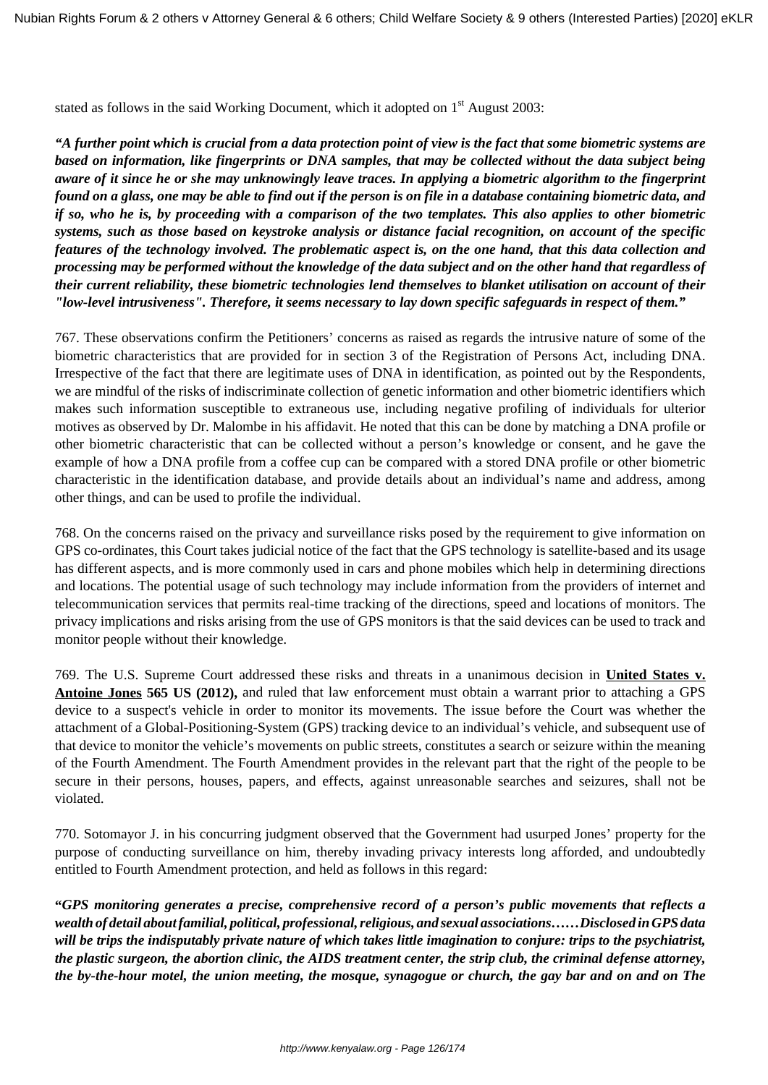stated as follows in the said Working Document, which it adopted on  $1<sup>st</sup>$  August 2003:

*"A further point which is crucial from a data protection point of view is the fact that some biometric systems are based on information, like fingerprints or DNA samples, that may be collected without the data subject being aware of it since he or she may unknowingly leave traces. In applying a biometric algorithm to the fingerprint found on a glass, one may be able to find out if the person is on file in a database containing biometric data, and if so, who he is, by proceeding with a comparison of the two templates. This also applies to other biometric systems, such as those based on keystroke analysis or distance facial recognition, on account of the specific features of the technology involved. The problematic aspect is, on the one hand, that this data collection and processing may be performed without the knowledge of the data subject and on the other hand that regardless of their current reliability, these biometric technologies lend themselves to blanket utilisation on account of their "low-level intrusiveness". Therefore, it seems necessary to lay down specific safeguards in respect of them."*

767. These observations confirm the Petitioners' concerns as raised as regards the intrusive nature of some of the biometric characteristics that are provided for in section 3 of the Registration of Persons Act, including DNA. Irrespective of the fact that there are legitimate uses of DNA in identification, as pointed out by the Respondents, we are mindful of the risks of indiscriminate collection of genetic information and other biometric identifiers which makes such information susceptible to extraneous use, including negative profiling of individuals for ulterior motives as observed by Dr. Malombe in his affidavit. He noted that this can be done by matching a DNA profile or other biometric characteristic that can be collected without a person's knowledge or consent, and he gave the example of how a DNA profile from a coffee cup can be compared with a stored DNA profile or other biometric characteristic in the identification database, and provide details about an individual's name and address, among other things, and can be used to profile the individual.

768. On the concerns raised on the privacy and surveillance risks posed by the requirement to give information on GPS co-ordinates, this Court takes judicial notice of the fact that the GPS technology is satellite-based and its usage has different aspects, and is more commonly used in cars and phone mobiles which help in determining directions and locations. The potential usage of such technology may include information from the providers of internet and telecommunication services that permits real-time tracking of the directions, speed and locations of monitors. The privacy implications and risks arising from the use of GPS monitors is that the said devices can be used to track and monitor people without their knowledge.

769. The U.S. Supreme Court addressed these risks and threats in a unanimous decision in **United States v. Antoine Jones 565 US (2012),** and ruled that law enforcement must obtain a warrant prior to attaching a GPS device to a suspect's vehicle in order to monitor its movements. The issue before the Court was whether the attachment of a Global-Positioning-System (GPS) tracking device to an individual's vehicle, and subsequent use of that device to monitor the vehicle's movements on public streets, constitutes a search or seizure within the meaning of the Fourth Amendment. The Fourth Amendment provides in the relevant part that the right of the people to be secure in their persons, houses, papers, and effects, against unreasonable searches and seizures, shall not be violated.

770. Sotomayor J. in his concurring judgment observed that the Government had usurped Jones' property for the purpose of conducting surveillance on him, thereby invading privacy interests long afforded, and undoubtedly entitled to Fourth Amendment protection, and held as follows in this regard:

**"***GPS monitoring generates a precise, comprehensive record of a person's public movements that reflects a wealth of detail about familial, political, professional, religious, and sexual associations……Disclosed in GPS data will be trips the indisputably private nature of which takes little imagination to conjure: trips to the psychiatrist, the plastic surgeon, the abortion clinic, the AIDS treatment center, the strip club, the criminal defense attorney, the by-the-hour motel, the union meeting, the mosque, synagogue or church, the gay bar and on and on The*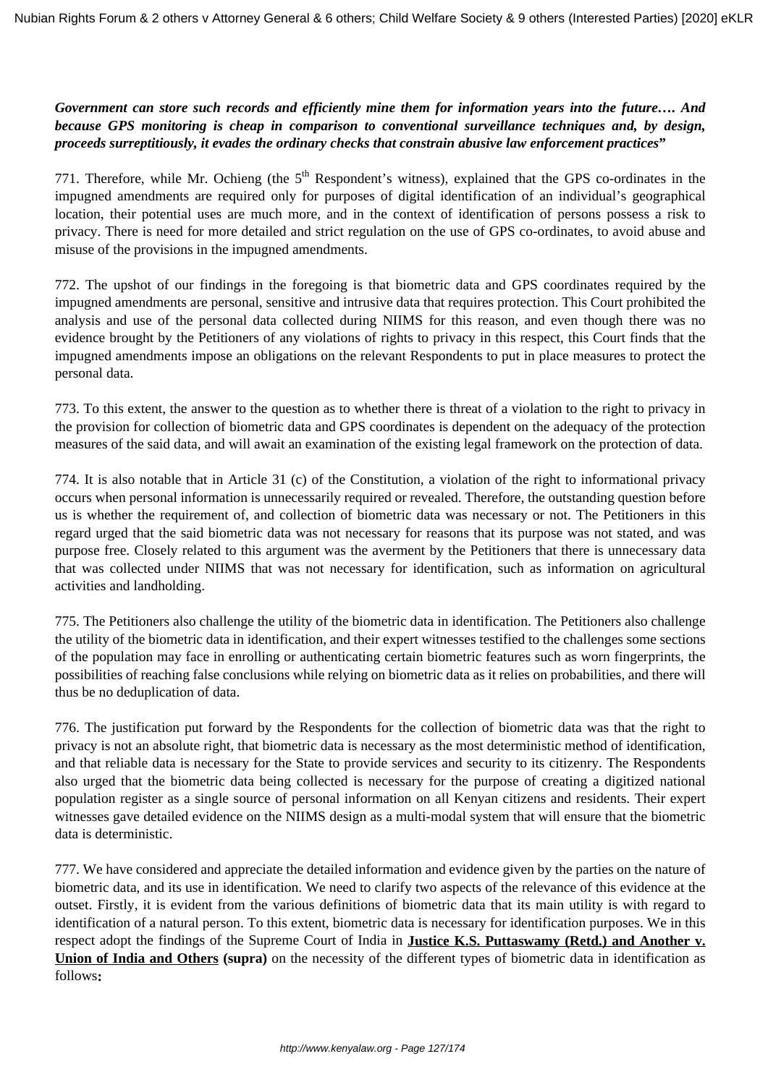# *Government can store such records and efficiently mine them for information years into the future…. And because GPS monitoring is cheap in comparison to conventional surveillance techniques and, by design, proceeds surreptitiously, it evades the ordinary checks that constrain abusive law enforcement practices***"**

771. Therefore, while Mr. Ochieng (the  $5<sup>th</sup>$  Respondent's witness), explained that the GPS co-ordinates in the impugned amendments are required only for purposes of digital identification of an individual's geographical location, their potential uses are much more, and in the context of identification of persons possess a risk to privacy. There is need for more detailed and strict regulation on the use of GPS co-ordinates, to avoid abuse and misuse of the provisions in the impugned amendments.

772. The upshot of our findings in the foregoing is that biometric data and GPS coordinates required by the impugned amendments are personal, sensitive and intrusive data that requires protection. This Court prohibited the analysis and use of the personal data collected during NIIMS for this reason, and even though there was no evidence brought by the Petitioners of any violations of rights to privacy in this respect, this Court finds that the impugned amendments impose an obligations on the relevant Respondents to put in place measures to protect the personal data.

773. To this extent, the answer to the question as to whether there is threat of a violation to the right to privacy in the provision for collection of biometric data and GPS coordinates is dependent on the adequacy of the protection measures of the said data, and will await an examination of the existing legal framework on the protection of data.

774. It is also notable that in Article 31 (c) of the Constitution, a violation of the right to informational privacy occurs when personal information is unnecessarily required or revealed. Therefore, the outstanding question before us is whether the requirement of, and collection of biometric data was necessary or not. The Petitioners in this regard urged that the said biometric data was not necessary for reasons that its purpose was not stated, and was purpose free. Closely related to this argument was the averment by the Petitioners that there is unnecessary data that was collected under NIIMS that was not necessary for identification, such as information on agricultural activities and landholding.

775. The Petitioners also challenge the utility of the biometric data in identification. The Petitioners also challenge the utility of the biometric data in identification, and their expert witnesses testified to the challenges some sections of the population may face in enrolling or authenticating certain biometric features such as worn fingerprints, the possibilities of reaching false conclusions while relying on biometric data as it relies on probabilities, and there will thus be no deduplication of data.

776. The justification put forward by the Respondents for the collection of biometric data was that the right to privacy is not an absolute right, that biometric data is necessary as the most deterministic method of identification, and that reliable data is necessary for the State to provide services and security to its citizenry. The Respondents also urged that the biometric data being collected is necessary for the purpose of creating a digitized national population register as a single source of personal information on all Kenyan citizens and residents. Their expert witnesses gave detailed evidence on the NIIMS design as a multi-modal system that will ensure that the biometric data is deterministic.

777. We have considered and appreciate the detailed information and evidence given by the parties on the nature of biometric data, and its use in identification. We need to clarify two aspects of the relevance of this evidence at the outset. Firstly, it is evident from the various definitions of biometric data that its main utility is with regard to identification of a natural person. To this extent, biometric data is necessary for identification purposes. We in this respect adopt the findings of the Supreme Court of India in **Justice K.S. Puttaswamy (Retd.) and Another v. Union of India and Others (supra)** on the necessity of the different types of biometric data in identification as follows**:**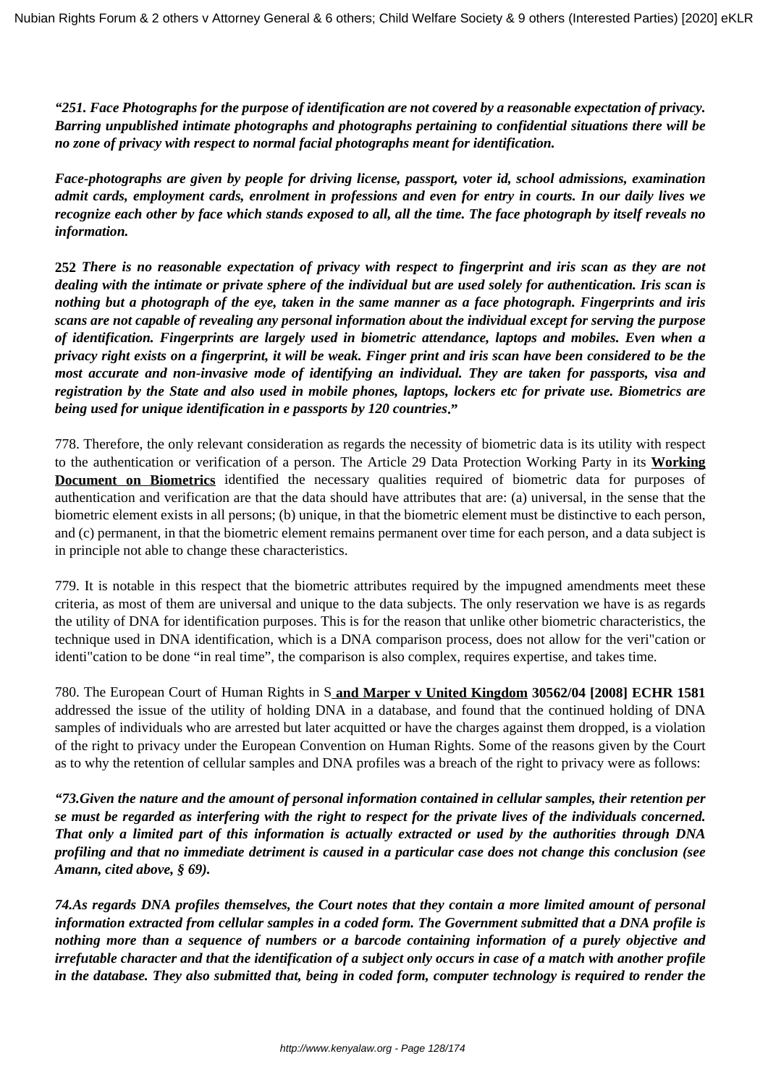*"251. Face Photographs for the purpose of identification are not covered by a reasonable expectation of privacy. Barring unpublished intimate photographs and photographs pertaining to confidential situations there will be no zone of privacy with respect to normal facial photographs meant for identification.*

*Face-photographs are given by people for driving license, passport, voter id, school admissions, examination admit cards, employment cards, enrolment in professions and even for entry in courts. In our daily lives we recognize each other by face which stands exposed to all, all the time. The face photograph by itself reveals no information.*

**252** *There is no reasonable expectation of privacy with respect to fingerprint and iris scan as they are not dealing with the intimate or private sphere of the individual but are used solely for authentication. Iris scan is nothing but a photograph of the eye, taken in the same manner as a face photograph. Fingerprints and iris scans are not capable of revealing any personal information about the individual except for serving the purpose of identification. Fingerprints are largely used in biometric attendance, laptops and mobiles. Even when a privacy right exists on a fingerprint, it will be weak. Finger print and iris scan have been considered to be the most accurate and non-invasive mode of identifying an individual. They are taken for passports, visa and registration by the State and also used in mobile phones, laptops, lockers etc for private use. Biometrics are being used for unique identification in e passports by 120 countries***."**

778. Therefore, the only relevant consideration as regards the necessity of biometric data is its utility with respect to the authentication or verification of a person. The Article 29 Data Protection Working Party in its **Working Document on Biometrics** identified the necessary qualities required of biometric data for purposes of authentication and verification are that the data should have attributes that are: (a) universal, in the sense that the biometric element exists in all persons; (b) unique, in that the biometric element must be distinctive to each person, and (c) permanent, in that the biometric element remains permanent over time for each person, and a data subject is in principle not able to change these characteristics.

779. It is notable in this respect that the biometric attributes required by the impugned amendments meet these criteria, as most of them are universal and unique to the data subjects. The only reservation we have is as regards the utility of DNA for identification purposes. This is for the reason that unlike other biometric characteristics, the technique used in DNA identification, which is a DNA comparison process, does not allow for the veri"cation or identi"cation to be done "in real time", the comparison is also complex, requires expertise, and takes time.

780. The European Court of Human Rights in S **and Marper v United Kingdom 30562/04 [2008] ECHR 1581** addressed the issue of the utility of holding DNA in a database, and found that the continued holding of DNA samples of individuals who are arrested but later acquitted or have the charges against them dropped, is a violation of the right to privacy under the European Convention on Human Rights. Some of the reasons given by the Court as to why the retention of cellular samples and DNA profiles was a breach of the right to privacy were as follows:

*"73.Given the nature and the amount of personal information contained in cellular samples, their retention per se must be regarded as interfering with the right to respect for the private lives of the individuals concerned. That only a limited part of this information is actually extracted or used by the authorities through DNA profiling and that no immediate detriment is caused in a particular case does not change this conclusion (see Amann, cited above, § 69).*

*74.As regards DNA profiles themselves, the Court notes that they contain a more limited amount of personal information extracted from cellular samples in a coded form. The Government submitted that a DNA profile is nothing more than a sequence of numbers or a barcode containing information of a purely objective and irrefutable character and that the identification of a subject only occurs in case of a match with another profile in the database. They also submitted that, being in coded form, computer technology is required to render the*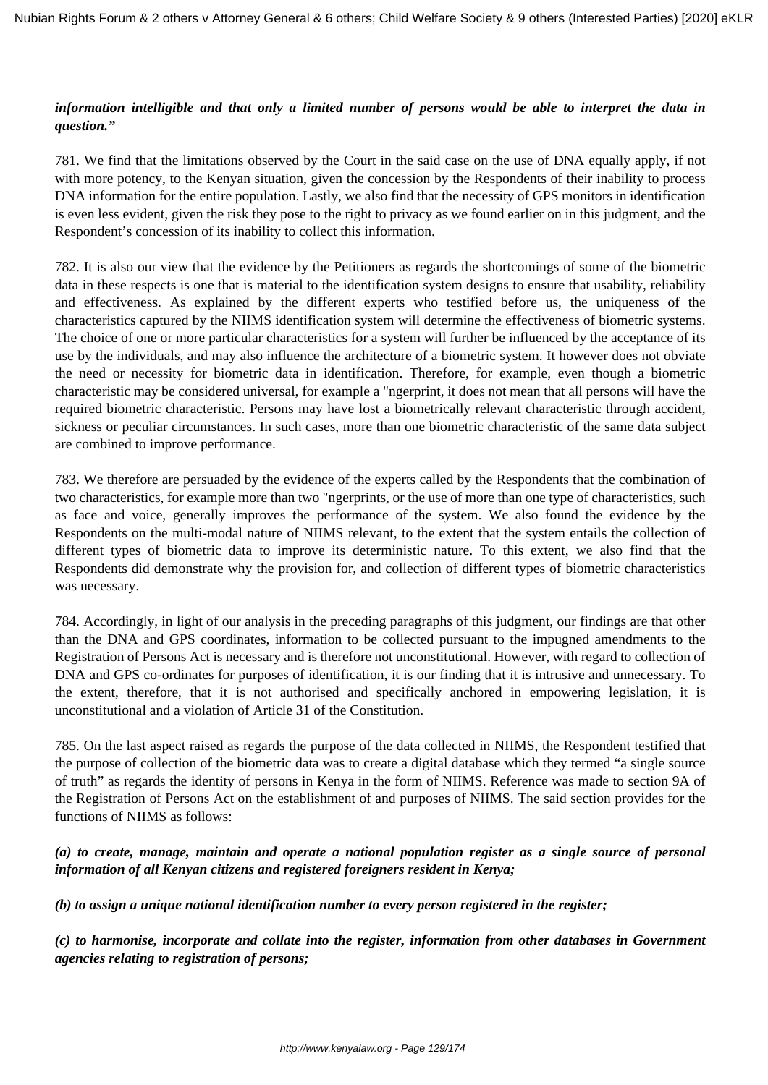### *information intelligible and that only a limited number of persons would be able to interpret the data in question."*

781. We find that the limitations observed by the Court in the said case on the use of DNA equally apply, if not with more potency, to the Kenyan situation, given the concession by the Respondents of their inability to process DNA information for the entire population. Lastly, we also find that the necessity of GPS monitors in identification is even less evident, given the risk they pose to the right to privacy as we found earlier on in this judgment, and the Respondent's concession of its inability to collect this information.

782. It is also our view that the evidence by the Petitioners as regards the shortcomings of some of the biometric data in these respects is one that is material to the identification system designs to ensure that usability, reliability and effectiveness. As explained by the different experts who testified before us, the uniqueness of the characteristics captured by the NIIMS identification system will determine the effectiveness of biometric systems. The choice of one or more particular characteristics for a system will further be influenced by the acceptance of its use by the individuals, and may also influence the architecture of a biometric system. It however does not obviate the need or necessity for biometric data in identification. Therefore, for example, even though a biometric characteristic may be considered universal, for example a "ngerprint, it does not mean that all persons will have the required biometric characteristic. Persons may have lost a biometrically relevant characteristic through accident, sickness or peculiar circumstances. In such cases, more than one biometric characteristic of the same data subject are combined to improve performance.

783. We therefore are persuaded by the evidence of the experts called by the Respondents that the combination of two characteristics, for example more than two "ngerprints, or the use of more than one type of characteristics, such as face and voice, generally improves the performance of the system. We also found the evidence by the Respondents on the multi-modal nature of NIIMS relevant, to the extent that the system entails the collection of different types of biometric data to improve its deterministic nature. To this extent, we also find that the Respondents did demonstrate why the provision for, and collection of different types of biometric characteristics was necessary.

784. Accordingly, in light of our analysis in the preceding paragraphs of this judgment, our findings are that other than the DNA and GPS coordinates, information to be collected pursuant to the impugned amendments to the Registration of Persons Act is necessary and is therefore not unconstitutional. However, with regard to collection of DNA and GPS co-ordinates for purposes of identification, it is our finding that it is intrusive and unnecessary. To the extent, therefore, that it is not authorised and specifically anchored in empowering legislation, it is unconstitutional and a violation of Article 31 of the Constitution.

785. On the last aspect raised as regards the purpose of the data collected in NIIMS, the Respondent testified that the purpose of collection of the biometric data was to create a digital database which they termed "a single source of truth" as regards the identity of persons in Kenya in the form of NIIMS. Reference was made to section 9A of the Registration of Persons Act on the establishment of and purposes of NIIMS. The said section provides for the functions of NIIMS as follows:

# *(a) to create, manage, maintain and operate a national population register as a single source of personal information of all Kenyan citizens and registered foreigners resident in Kenya;*

*(b) to assign a unique national identification number to every person registered in the register;*

*(c) to harmonise, incorporate and collate into the register, information from other databases in Government agencies relating to registration of persons;*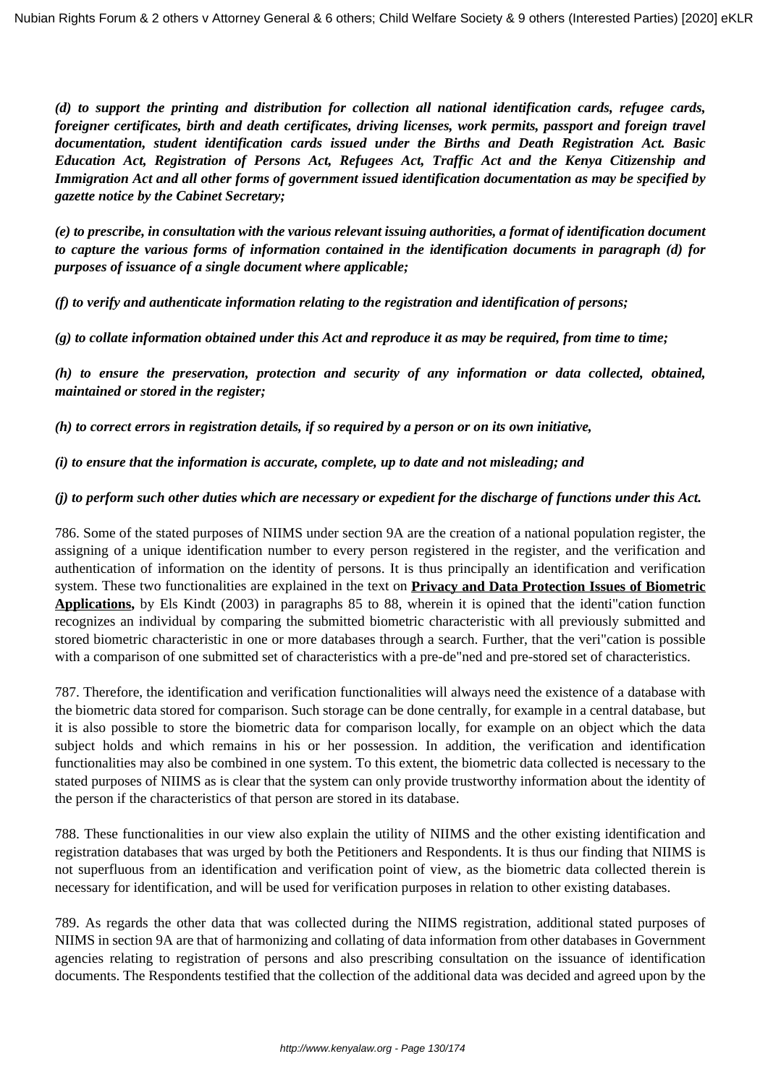*(d) to support the printing and distribution for collection all national identification cards, refugee cards, foreigner certificates, birth and death certificates, driving licenses, work permits, passport and foreign travel documentation, student identification cards issued under the Births and Death Registration Act. Basic Education Act, Registration of Persons Act, Refugees Act, Traffic Act and the Kenya Citizenship and Immigration Act and all other forms of government issued identification documentation as may be specified by gazette notice by the Cabinet Secretary;*

*(e) to prescribe, in consultation with the various relevant issuing authorities, a format of identification document to capture the various forms of information contained in the identification documents in paragraph (d) for purposes of issuance of a single document where applicable;*

*(f) to verify and authenticate information relating to the registration and identification of persons;*

*(g) to collate information obtained under this Act and reproduce it as may be required, from time to time;* 

*(h) to ensure the preservation, protection and security of any information or data collected, obtained, maintained or stored in the register;* 

*(h) to correct errors in registration details, if so required by a person or on its own initiative,*

*(i) to ensure that the information is accurate, complete, up to date and not misleading; and*

#### *(j) to perform such other duties which are necessary or expedient for the discharge of functions under this Act.*

786. Some of the stated purposes of NIIMS under section 9A are the creation of a national population register, the assigning of a unique identification number to every person registered in the register, and the verification and authentication of information on the identity of persons. It is thus principally an identification and verification system. These two functionalities are explained in the text on **Privacy and Data Protection Issues of Biometric Applications,** by Els Kindt (2003) in paragraphs 85 to 88, wherein it is opined that the identi"cation function recognizes an individual by comparing the submitted biometric characteristic with all previously submitted and stored biometric characteristic in one or more databases through a search. Further, that the veri"cation is possible with a comparison of one submitted set of characteristics with a pre-de"ned and pre-stored set of characteristics.

787. Therefore, the identification and verification functionalities will always need the existence of a database with the biometric data stored for comparison. Such storage can be done centrally, for example in a central database, but it is also possible to store the biometric data for comparison locally, for example on an object which the data subject holds and which remains in his or her possession. In addition, the verification and identification functionalities may also be combined in one system. To this extent, the biometric data collected is necessary to the stated purposes of NIIMS as is clear that the system can only provide trustworthy information about the identity of the person if the characteristics of that person are stored in its database.

788. These functionalities in our view also explain the utility of NIIMS and the other existing identification and registration databases that was urged by both the Petitioners and Respondents. It is thus our finding that NIIMS is not superfluous from an identification and verification point of view, as the biometric data collected therein is necessary for identification, and will be used for verification purposes in relation to other existing databases.

789. As regards the other data that was collected during the NIIMS registration, additional stated purposes of NIIMS in section 9A are that of harmonizing and collating of data information from other databases in Government agencies relating to registration of persons and also prescribing consultation on the issuance of identification documents. The Respondents testified that the collection of the additional data was decided and agreed upon by the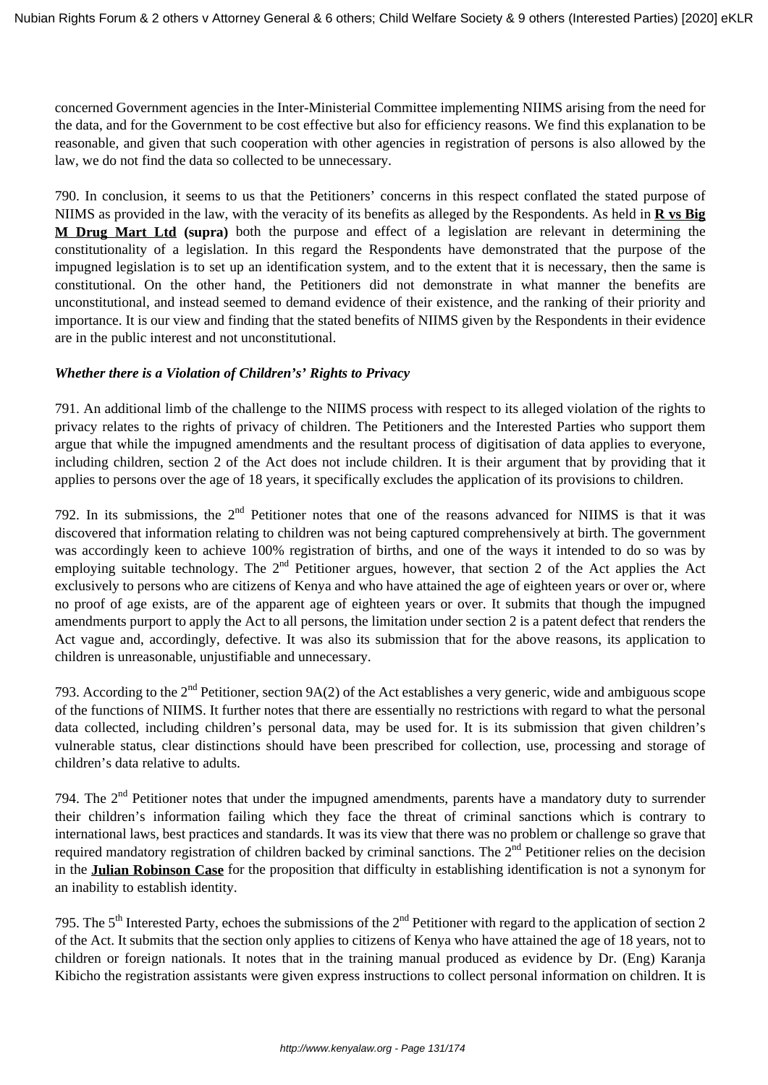concerned Government agencies in the Inter-Ministerial Committee implementing NIIMS arising from the need for the data, and for the Government to be cost effective but also for efficiency reasons. We find this explanation to be reasonable, and given that such cooperation with other agencies in registration of persons is also allowed by the law, we do not find the data so collected to be unnecessary.

790. In conclusion, it seems to us that the Petitioners' concerns in this respect conflated the stated purpose of NIIMS as provided in the law, with the veracity of its benefits as alleged by the Respondents. As held in **R vs Big M Drug Mart Ltd (supra)** both the purpose and effect of a legislation are relevant in determining the constitutionality of a legislation. In this regard the Respondents have demonstrated that the purpose of the impugned legislation is to set up an identification system, and to the extent that it is necessary, then the same is constitutional. On the other hand, the Petitioners did not demonstrate in what manner the benefits are unconstitutional, and instead seemed to demand evidence of their existence, and the ranking of their priority and importance. It is our view and finding that the stated benefits of NIIMS given by the Respondents in their evidence are in the public interest and not unconstitutional.

#### *Whether there is a Violation of Children's' Rights to Privacy*

791. An additional limb of the challenge to the NIIMS process with respect to its alleged violation of the rights to privacy relates to the rights of privacy of children. The Petitioners and the Interested Parties who support them argue that while the impugned amendments and the resultant process of digitisation of data applies to everyone, including children, section 2 of the Act does not include children. It is their argument that by providing that it applies to persons over the age of 18 years, it specifically excludes the application of its provisions to children.

792. In its submissions, the  $2<sup>nd</sup>$  Petitioner notes that one of the reasons advanced for NIIMS is that it was discovered that information relating to children was not being captured comprehensively at birth. The government was accordingly keen to achieve 100% registration of births, and one of the ways it intended to do so was by employing suitable technology. The 2<sup>nd</sup> Petitioner argues, however, that section 2 of the Act applies the Act exclusively to persons who are citizens of Kenya and who have attained the age of eighteen years or over or, where no proof of age exists, are of the apparent age of eighteen years or over. It submits that though the impugned amendments purport to apply the Act to all persons, the limitation under section 2 is a patent defect that renders the Act vague and, accordingly, defective. It was also its submission that for the above reasons, its application to children is unreasonable, unjustifiable and unnecessary.

793. According to the  $2<sup>nd</sup>$  Petitioner, section 9A(2) of the Act establishes a very generic, wide and ambiguous scope of the functions of NIIMS. It further notes that there are essentially no restrictions with regard to what the personal data collected, including children's personal data, may be used for. It is its submission that given children's vulnerable status, clear distinctions should have been prescribed for collection, use, processing and storage of children's data relative to adults.

794. The 2<sup>nd</sup> Petitioner notes that under the impugned amendments, parents have a mandatory duty to surrender their children's information failing which they face the threat of criminal sanctions which is contrary to international laws, best practices and standards. It was its view that there was no problem or challenge so grave that required mandatory registration of children backed by criminal sanctions. The  $2<sup>nd</sup>$  Petitioner relies on the decision in the **Julian Robinson Case** for the proposition that difficulty in establishing identification is not a synonym for an inability to establish identity.

795. The  $5<sup>th</sup>$  Interested Party, echoes the submissions of the  $2<sup>nd</sup>$  Petitioner with regard to the application of section 2 of the Act. It submits that the section only applies to citizens of Kenya who have attained the age of 18 years, not to children or foreign nationals. It notes that in the training manual produced as evidence by Dr. (Eng) Karanja Kibicho the registration assistants were given express instructions to collect personal information on children. It is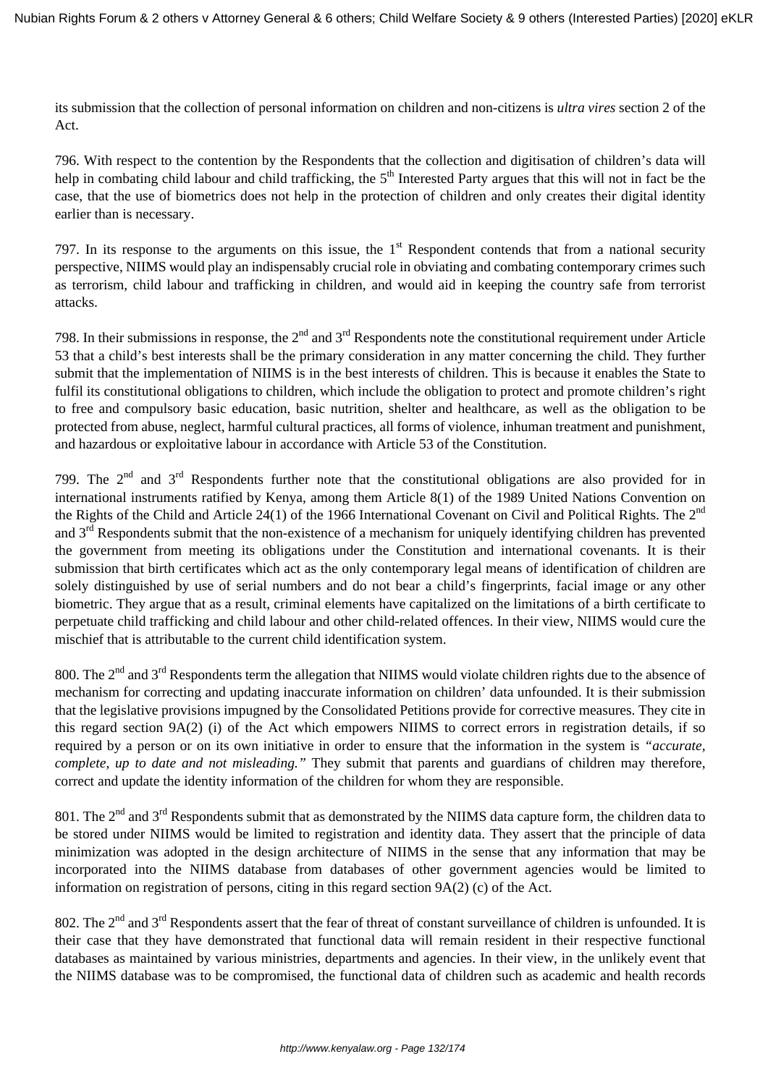its submission that the collection of personal information on children and non-citizens is *ultra vires* section 2 of the Act.

796. With respect to the contention by the Respondents that the collection and digitisation of children's data will help in combating child labour and child trafficking, the 5<sup>th</sup> Interested Party argues that this will not in fact be the case, that the use of biometrics does not help in the protection of children and only creates their digital identity earlier than is necessary.

797. In its response to the arguments on this issue, the  $1<sup>st</sup>$  Respondent contends that from a national security perspective, NIIMS would play an indispensably crucial role in obviating and combating contemporary crimes such as terrorism, child labour and trafficking in children, and would aid in keeping the country safe from terrorist attacks.

798. In their submissions in response, the  $2<sup>nd</sup>$  and  $3<sup>rd</sup>$  Respondents note the constitutional requirement under Article 53 that a child's best interests shall be the primary consideration in any matter concerning the child. They further submit that the implementation of NIIMS is in the best interests of children. This is because it enables the State to fulfil its constitutional obligations to children, which include the obligation to protect and promote children's right to free and compulsory basic education, basic nutrition, shelter and healthcare, as well as the obligation to be protected from abuse, neglect, harmful cultural practices, all forms of violence, inhuman treatment and punishment, and hazardous or exploitative labour in accordance with Article 53 of the Constitution.

799. The  $2<sup>nd</sup>$  and  $3<sup>rd</sup>$  Respondents further note that the constitutional obligations are also provided for in international instruments ratified by Kenya, among them Article 8(1) of the 1989 United Nations Convention on the Rights of the Child and Article 24(1) of the 1966 International Covenant on Civil and Political Rights. The  $2<sup>nd</sup>$ and  $3<sup>rd</sup>$  Respondents submit that the non-existence of a mechanism for uniquely identifying children has prevented the government from meeting its obligations under the Constitution and international covenants. It is their submission that birth certificates which act as the only contemporary legal means of identification of children are solely distinguished by use of serial numbers and do not bear a child's fingerprints, facial image or any other biometric. They argue that as a result, criminal elements have capitalized on the limitations of a birth certificate to perpetuate child trafficking and child labour and other child-related offences. In their view, NIIMS would cure the mischief that is attributable to the current child identification system.

800. The 2<sup>nd</sup> and 3<sup>rd</sup> Respondents term the allegation that NIIMS would violate children rights due to the absence of mechanism for correcting and updating inaccurate information on children' data unfounded. It is their submission that the legislative provisions impugned by the Consolidated Petitions provide for corrective measures. They cite in this regard section 9A(2) (i) of the Act which empowers NIIMS to correct errors in registration details, if so required by a person or on its own initiative in order to ensure that the information in the system is *"accurate, complete, up to date and not misleading."* They submit that parents and guardians of children may therefore, correct and update the identity information of the children for whom they are responsible.

801. The  $2<sup>nd</sup>$  and  $3<sup>rd</sup>$  Respondents submit that as demonstrated by the NIIMS data capture form, the children data to be stored under NIIMS would be limited to registration and identity data. They assert that the principle of data minimization was adopted in the design architecture of NIIMS in the sense that any information that may be incorporated into the NIIMS database from databases of other government agencies would be limited to information on registration of persons, citing in this regard section 9A(2) (c) of the Act.

802. The  $2^{nd}$  and  $3^{rd}$  Respondents assert that the fear of threat of constant surveillance of children is unfounded. It is their case that they have demonstrated that functional data will remain resident in their respective functional databases as maintained by various ministries, departments and agencies. In their view, in the unlikely event that the NIIMS database was to be compromised, the functional data of children such as academic and health records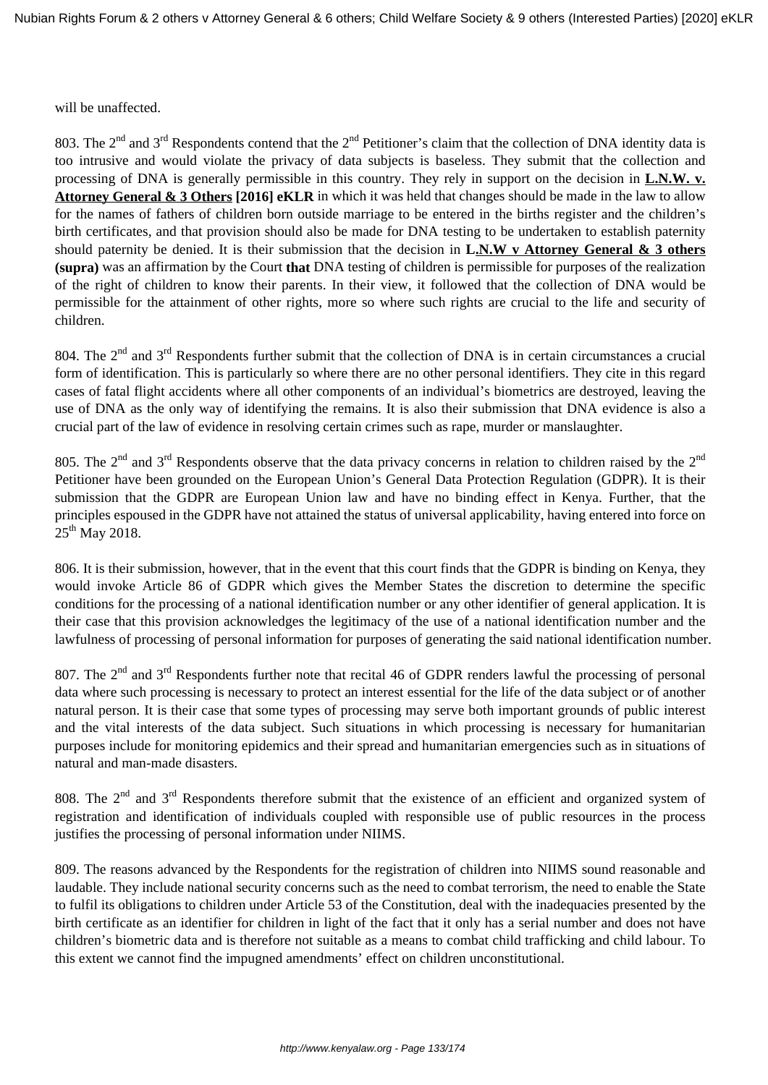will be unaffected.

803. The  $2^{nd}$  and  $3^{rd}$  Respondents contend that the  $2^{nd}$  Petitioner's claim that the collection of DNA identity data is too intrusive and would violate the privacy of data subjects is baseless. They submit that the collection and processing of DNA is generally permissible in this country. They rely in support on the decision in **L.N.W. v. Attorney General & 3 Others [2016] eKLR** in which it was held that changes should be made in the law to allow for the names of fathers of children born outside marriage to be entered in the births register and the children's birth certificates, and that provision should also be made for DNA testing to be undertaken to establish paternity should paternity be denied. It is their submission that the decision in **L.N.W v Attorney General & 3 others (supra)** was an affirmation by the Court **that** DNA testing of children is permissible for purposes of the realization of the right of children to know their parents. In their view, it followed that the collection of DNA would be permissible for the attainment of other rights, more so where such rights are crucial to the life and security of children.

804. The 2<sup>nd</sup> and 3<sup>rd</sup> Respondents further submit that the collection of DNA is in certain circumstances a crucial form of identification. This is particularly so where there are no other personal identifiers. They cite in this regard cases of fatal flight accidents where all other components of an individual's biometrics are destroyed, leaving the use of DNA as the only way of identifying the remains. It is also their submission that DNA evidence is also a crucial part of the law of evidence in resolving certain crimes such as rape, murder or manslaughter.

805. The  $2^{nd}$  and  $3^{rd}$  Respondents observe that the data privacy concerns in relation to children raised by the  $2^{nd}$ Petitioner have been grounded on the European Union's General Data Protection Regulation (GDPR). It is their submission that the GDPR are European Union law and have no binding effect in Kenya. Further, that the principles espoused in the GDPR have not attained the status of universal applicability, having entered into force on  $25^{th}$  May 2018.

806. It is their submission, however, that in the event that this court finds that the GDPR is binding on Kenya, they would invoke Article 86 of GDPR which gives the Member States the discretion to determine the specific conditions for the processing of a national identification number or any other identifier of general application. It is their case that this provision acknowledges the legitimacy of the use of a national identification number and the lawfulness of processing of personal information for purposes of generating the said national identification number.

807. The 2<sup>nd</sup> and 3<sup>rd</sup> Respondents further note that recital 46 of GDPR renders lawful the processing of personal data where such processing is necessary to protect an interest essential for the life of the data subject or of another natural person. It is their case that some types of processing may serve both important grounds of public interest and the vital interests of the data subject. Such situations in which processing is necessary for humanitarian purposes include for monitoring epidemics and their spread and humanitarian emergencies such as in situations of natural and man-made disasters.

808. The 2<sup>nd</sup> and 3<sup>rd</sup> Respondents therefore submit that the existence of an efficient and organized system of registration and identification of individuals coupled with responsible use of public resources in the process justifies the processing of personal information under NIIMS.

809. The reasons advanced by the Respondents for the registration of children into NIIMS sound reasonable and laudable. They include national security concerns such as the need to combat terrorism, the need to enable the State to fulfil its obligations to children under Article 53 of the Constitution, deal with the inadequacies presented by the birth certificate as an identifier for children in light of the fact that it only has a serial number and does not have children's biometric data and is therefore not suitable as a means to combat child trafficking and child labour. To this extent we cannot find the impugned amendments' effect on children unconstitutional.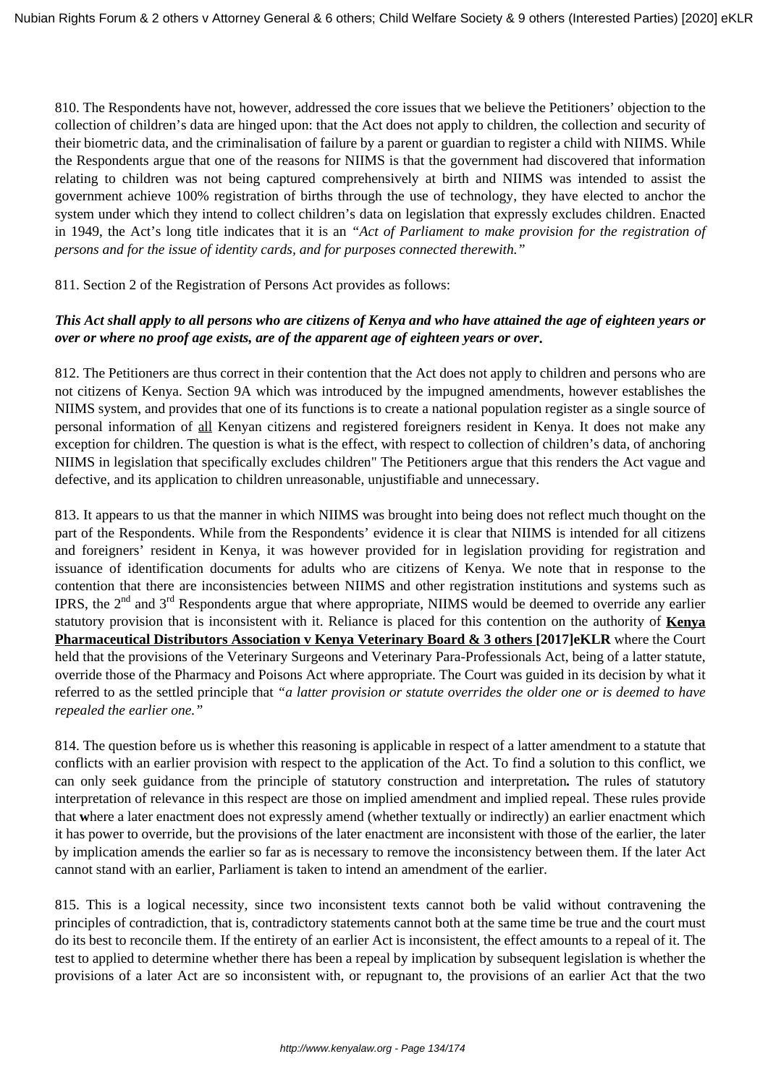810. The Respondents have not, however, addressed the core issues that we believe the Petitioners' objection to the collection of children's data are hinged upon: that the Act does not apply to children, the collection and security of their biometric data, and the criminalisation of failure by a parent or guardian to register a child with NIIMS. While the Respondents argue that one of the reasons for NIIMS is that the government had discovered that information relating to children was not being captured comprehensively at birth and NIIMS was intended to assist the government achieve 100% registration of births through the use of technology, they have elected to anchor the system under which they intend to collect children's data on legislation that expressly excludes children. Enacted in 1949, the Act's long title indicates that it is an *"Act of Parliament to make provision for the registration of persons and for the issue of identity cards, and for purposes connected therewith."* 

811. Section 2 of the Registration of Persons Act provides as follows:

### *This Act shall apply to all persons who are citizens of Kenya and who have attained the age of eighteen years or over or where no proof age exists, are of the apparent age of eighteen years or over***.**

812. The Petitioners are thus correct in their contention that the Act does not apply to children and persons who are not citizens of Kenya. Section 9A which was introduced by the impugned amendments, however establishes the NIIMS system, and provides that one of its functions is to create a national population register as a single source of personal information of all Kenyan citizens and registered foreigners resident in Kenya. It does not make any exception for children. The question is what is the effect, with respect to collection of children's data, of anchoring NIIMS in legislation that specifically excludes children" The Petitioners argue that this renders the Act vague and defective, and its application to children unreasonable, unjustifiable and unnecessary.

813. It appears to us that the manner in which NIIMS was brought into being does not reflect much thought on the part of the Respondents. While from the Respondents' evidence it is clear that NIIMS is intended for all citizens and foreigners' resident in Kenya, it was however provided for in legislation providing for registration and issuance of identification documents for adults who are citizens of Kenya. We note that in response to the contention that there are inconsistencies between NIIMS and other registration institutions and systems such as IPRS, the 2<sup>nd</sup> and 3<sup>rd</sup> Respondents argue that where appropriate, NIIMS would be deemed to override any earlier statutory provision that is inconsistent with it. Reliance is placed for this contention on the authority of **Kenya Pharmaceutical Distributors Association v Kenya Veterinary Board & 3 others [2017]eKLR** where the Court held that the provisions of the Veterinary Surgeons and Veterinary Para-Professionals Act, being of a latter statute, override those of the Pharmacy and Poisons Act where appropriate. The Court was guided in its decision by what it referred to as the settled principle that *"a latter provision or statute overrides the older one or is deemed to have repealed the earlier one."* 

814. The question before us is whether this reasoning is applicable in respect of a latter amendment to a statute that conflicts with an earlier provision with respect to the application of the Act. To find a solution to this conflict, we can only seek guidance from the principle of statutory construction and interpretation*.* The rules of statutory interpretation of relevance in this respect are those on implied amendment and implied repeal. These rules provide that **w**here a later enactment does not expressly amend (whether textually or indirectly) an earlier enactment which it has power to override, but the provisions of the later enactment are inconsistent with those of the earlier, the later by implication amends the earlier so far as is necessary to remove the inconsistency between them. If the later Act cannot stand with an earlier, Parliament is taken to intend an amendment of the earlier.

815. This is a logical necessity, since two inconsistent texts cannot both be valid without contravening the principles of contradiction, that is, contradictory statements cannot both at the same time be true and the court must do its best to reconcile them. If the entirety of an earlier Act is inconsistent, the effect amounts to a repeal of it. The test to applied to determine whether there has been a repeal by implication by subsequent legislation is whether the provisions of a later Act are so inconsistent with, or repugnant to, the provisions of an earlier Act that the two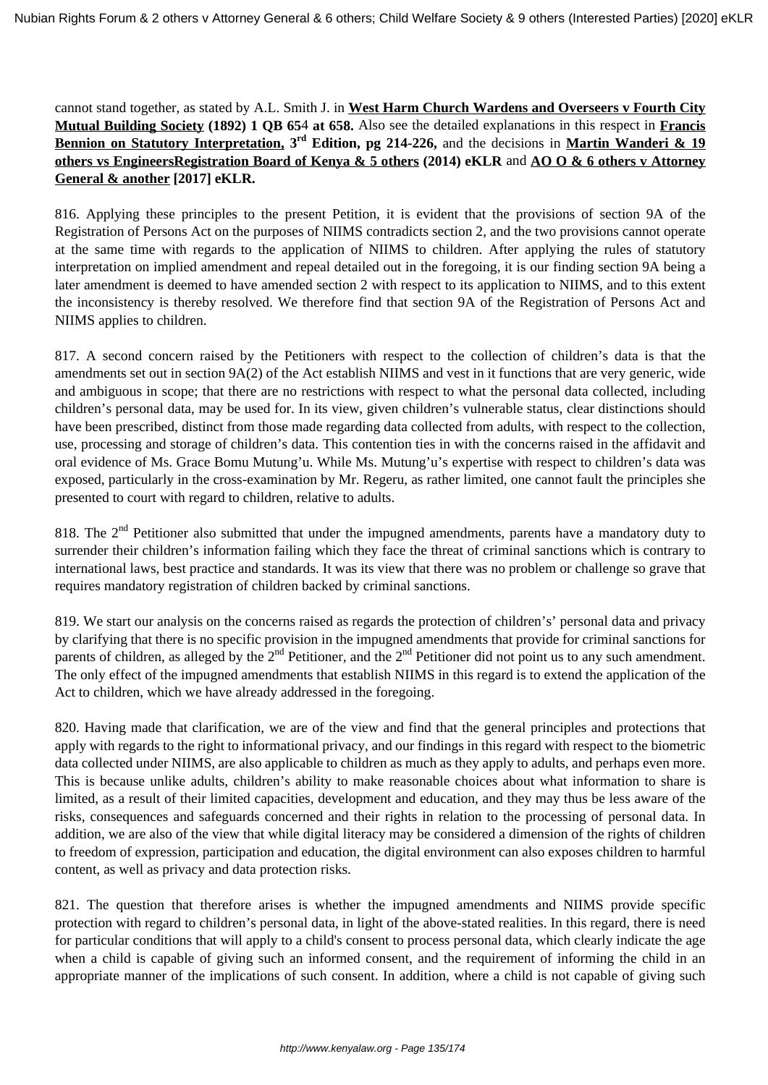cannot stand together, as stated by A.L. Smith J. in **West Harm Church Wardens and Overseers v Fourth City Mutual Building Society (1892) 1 QB 65**4 **at 658.** Also see the detailed explanations in this respect in **Francis Bennion on Statutory Interpretation, 3rd Edition, pg 214-226,** and the decisions in **Martin Wanderi & 19 others vs EngineersRegistration Board of Kenya & 5 others (2014) eKLR** and **AO O & 6 others v Attorney General & another [2017] eKLR.**

816. Applying these principles to the present Petition, it is evident that the provisions of section 9A of the Registration of Persons Act on the purposes of NIIMS contradicts section 2, and the two provisions cannot operate at the same time with regards to the application of NIIMS to children. After applying the rules of statutory interpretation on implied amendment and repeal detailed out in the foregoing, it is our finding section 9A being a later amendment is deemed to have amended section 2 with respect to its application to NIIMS, and to this extent the inconsistency is thereby resolved. We therefore find that section 9A of the Registration of Persons Act and NIIMS applies to children.

817. A second concern raised by the Petitioners with respect to the collection of children's data is that the amendments set out in section 9A(2) of the Act establish NIIMS and vest in it functions that are very generic, wide and ambiguous in scope; that there are no restrictions with respect to what the personal data collected, including children's personal data, may be used for. In its view, given children's vulnerable status, clear distinctions should have been prescribed, distinct from those made regarding data collected from adults, with respect to the collection, use, processing and storage of children's data. This contention ties in with the concerns raised in the affidavit and oral evidence of Ms. Grace Bomu Mutung'u. While Ms. Mutung'u's expertise with respect to children's data was exposed, particularly in the cross-examination by Mr. Regeru, as rather limited, one cannot fault the principles she presented to court with regard to children, relative to adults.

818. The 2<sup>nd</sup> Petitioner also submitted that under the impugned amendments, parents have a mandatory duty to surrender their children's information failing which they face the threat of criminal sanctions which is contrary to international laws, best practice and standards. It was its view that there was no problem or challenge so grave that requires mandatory registration of children backed by criminal sanctions.

819. We start our analysis on the concerns raised as regards the protection of children's' personal data and privacy by clarifying that there is no specific provision in the impugned amendments that provide for criminal sanctions for parents of children, as alleged by the  $2<sup>nd</sup>$  Petitioner, and the  $2<sup>nd</sup>$  Petitioner did not point us to any such amendment. The only effect of the impugned amendments that establish NIIMS in this regard is to extend the application of the Act to children, which we have already addressed in the foregoing.

820. Having made that clarification, we are of the view and find that the general principles and protections that apply with regards to the right to informational privacy, and our findings in this regard with respect to the biometric data collected under NIIMS, are also applicable to children as much as they apply to adults, and perhaps even more. This is because unlike adults, children's ability to make reasonable choices about what information to share is limited, as a result of their limited capacities, development and education, and they may thus be less aware of the risks, consequences and safeguards concerned and their rights in relation to the processing of personal data. In addition, we are also of the view that while digital literacy may be considered a dimension of the rights of children to freedom of expression, participation and education*,* the digital environment can also exposes children to harmful content, as well as privacy and data protection risks.

821. The question that therefore arises is whether the impugned amendments and NIIMS provide specific protection with regard to children's personal data, in light of the above-stated realities. In this regard, there is need for particular conditions that will apply to a child's consent to process personal data, which clearly indicate the age when a child is capable of giving such an informed consent, and the requirement of informing the child in an appropriate manner of the implications of such consent. In addition, where a child is not capable of giving such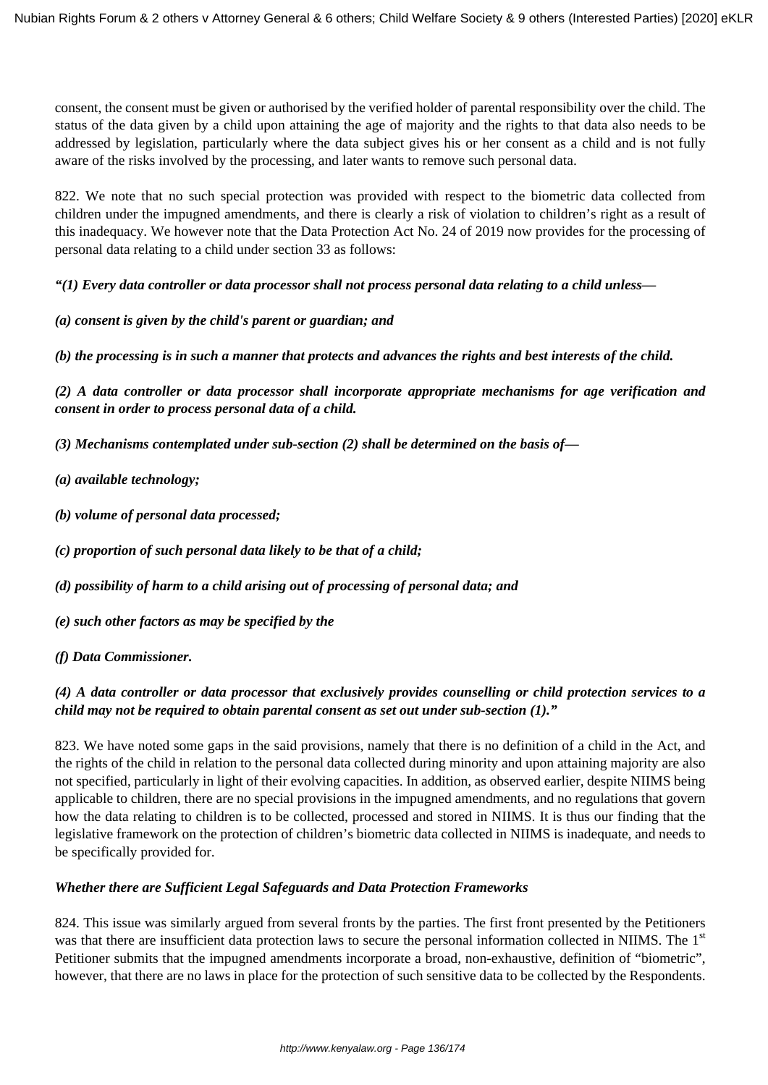consent, the consent must be given or authorised by the verified holder of parental responsibility over the child. The status of the data given by a child upon attaining the age of majority and the rights to that data also needs to be addressed by legislation, particularly where the data subject gives his or her consent as a child and is not fully aware of the risks involved by the processing, and later wants to remove such personal data.

822. We note that no such special protection was provided with respect to the biometric data collected from children under the impugned amendments, and there is clearly a risk of violation to children's right as a result of this inadequacy. We however note that the Data Protection Act No. 24 of 2019 now provides for the processing of personal data relating to a child under section 33 as follows:

*"(1) Every data controller or data processor shall not process personal data relating to a child unless—*

*(a) consent is given by the child's parent or guardian; and*

*(b) the processing is in such a manner that protects and advances the rights and best interests of the child.*

*(2) A data controller or data processor shall incorporate appropriate mechanisms for age verification and consent in order to process personal data of a child.*

*(3) Mechanisms contemplated under sub-section (2) shall be determined on the basis of—*

- *(a) available technology;*
- *(b) volume of personal data processed;*
- *(c) proportion of such personal data likely to be that of a child;*
- *(d) possibility of harm to a child arising out of processing of personal data; and*
- *(e) such other factors as may be specified by the*
- *(f) Data Commissioner.*

### *(4) A data controller or data processor that exclusively provides counselling or child protection services to a child may not be required to obtain parental consent as set out under sub-section (1)."*

823. We have noted some gaps in the said provisions, namely that there is no definition of a child in the Act, and the rights of the child in relation to the personal data collected during minority and upon attaining majority are also not specified, particularly in light of their evolving capacities. In addition, as observed earlier, despite NIIMS being applicable to children, there are no special provisions in the impugned amendments, and no regulations that govern how the data relating to children is to be collected, processed and stored in NIIMS. It is thus our finding that the legislative framework on the protection of children's biometric data collected in NIIMS is inadequate, and needs to be specifically provided for.

#### *Whether there are Sufficient Legal Safeguards and Data Protection Frameworks*

824. This issue was similarly argued from several fronts by the parties. The first front presented by the Petitioners was that there are insufficient data protection laws to secure the personal information collected in NIIMS. The 1<sup>st</sup> Petitioner submits that the impugned amendments incorporate a broad, non-exhaustive, definition of "biometric", however, that there are no laws in place for the protection of such sensitive data to be collected by the Respondents.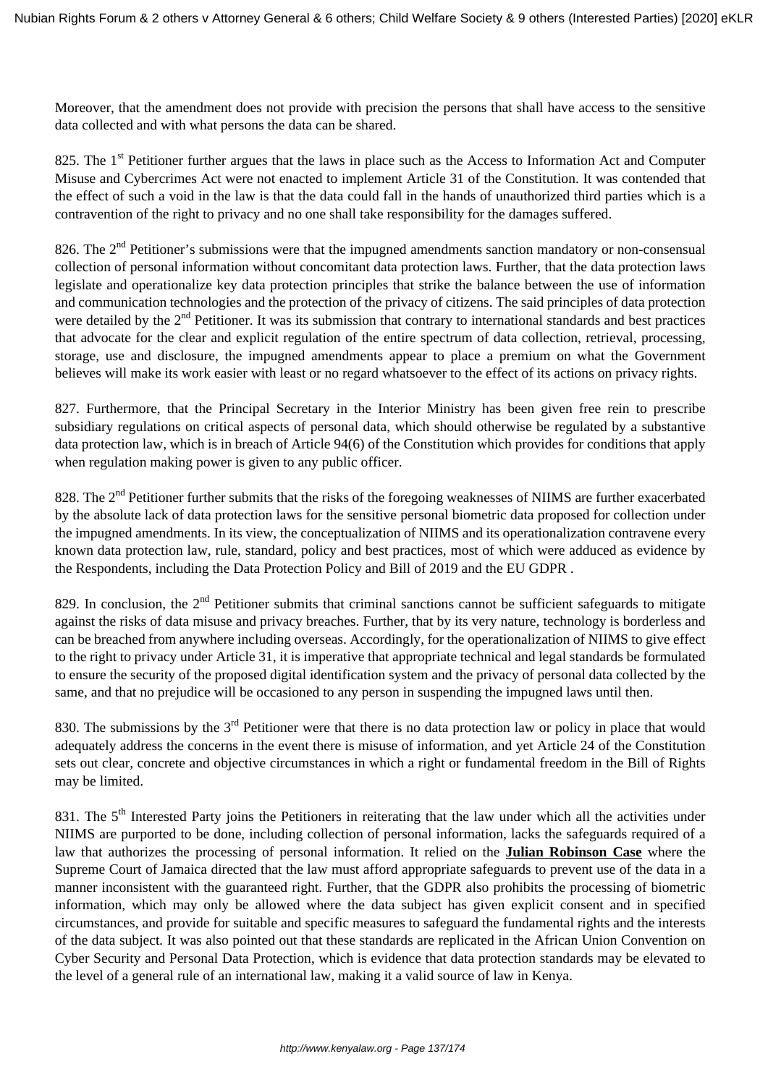Moreover, that the amendment does not provide with precision the persons that shall have access to the sensitive data collected and with what persons the data can be shared.

825. The 1<sup>st</sup> Petitioner further argues that the laws in place such as the Access to Information Act and Computer Misuse and Cybercrimes Act were not enacted to implement Article 31 of the Constitution. It was contended that the effect of such a void in the law is that the data could fall in the hands of unauthorized third parties which is a contravention of the right to privacy and no one shall take responsibility for the damages suffered.

826. The  $2<sup>nd</sup>$  Petitioner's submissions were that the impugned amendments sanction mandatory or non-consensual collection of personal information without concomitant data protection laws. Further, that the data protection laws legislate and operationalize key data protection principles that strike the balance between the use of information and communication technologies and the protection of the privacy of citizens. The said principles of data protection were detailed by the  $2<sup>nd</sup>$  Petitioner. It was its submission that contrary to international standards and best practices that advocate for the clear and explicit regulation of the entire spectrum of data collection, retrieval, processing, storage, use and disclosure, the impugned amendments appear to place a premium on what the Government believes will make its work easier with least or no regard whatsoever to the effect of its actions on privacy rights.

827. Furthermore, that the Principal Secretary in the Interior Ministry has been given free rein to prescribe subsidiary regulations on critical aspects of personal data, which should otherwise be regulated by a substantive data protection law, which is in breach of Article 94(6) of the Constitution which provides for conditions that apply when regulation making power is given to any public officer.

828. The  $2<sup>nd</sup>$  Petitioner further submits that the risks of the foregoing weaknesses of NIIMS are further exacerbated by the absolute lack of data protection laws for the sensitive personal biometric data proposed for collection under the impugned amendments. In its view, the conceptualization of NIIMS and its operationalization contravene every known data protection law, rule, standard, policy and best practices, most of which were adduced as evidence by the Respondents, including the Data Protection Policy and Bill of 2019 and the EU GDPR .

829. In conclusion, the  $2<sup>nd</sup>$  Petitioner submits that criminal sanctions cannot be sufficient safeguards to mitigate against the risks of data misuse and privacy breaches. Further, that by its very nature, technology is borderless and can be breached from anywhere including overseas. Accordingly, for the operationalization of NIIMS to give effect to the right to privacy under Article 31, it is imperative that appropriate technical and legal standards be formulated to ensure the security of the proposed digital identification system and the privacy of personal data collected by the same, and that no prejudice will be occasioned to any person in suspending the impugned laws until then.

830. The submissions by the 3<sup>rd</sup> Petitioner were that there is no data protection law or policy in place that would adequately address the concerns in the event there is misuse of information, and yet Article 24 of the Constitution sets out clear, concrete and objective circumstances in which a right or fundamental freedom in the Bill of Rights may be limited.

831. The 5<sup>th</sup> Interested Party joins the Petitioners in reiterating that the law under which all the activities under NIIMS are purported to be done, including collection of personal information, lacks the safeguards required of a law that authorizes the processing of personal information. It relied on the **Julian Robinson Case** where the Supreme Court of Jamaica directed that the law must afford appropriate safeguards to prevent use of the data in a manner inconsistent with the guaranteed right. Further, that the GDPR also prohibits the processing of biometric information, which may only be allowed where the data subject has given explicit consent and in specified circumstances, and provide for suitable and specific measures to safeguard the fundamental rights and the interests of the data subject*.* It was also pointed out that these standards are replicated in the African Union Convention on Cyber Security and Personal Data Protection, which is evidence that data protection standards may be elevated to the level of a general rule of an international law, making it a valid source of law in Kenya.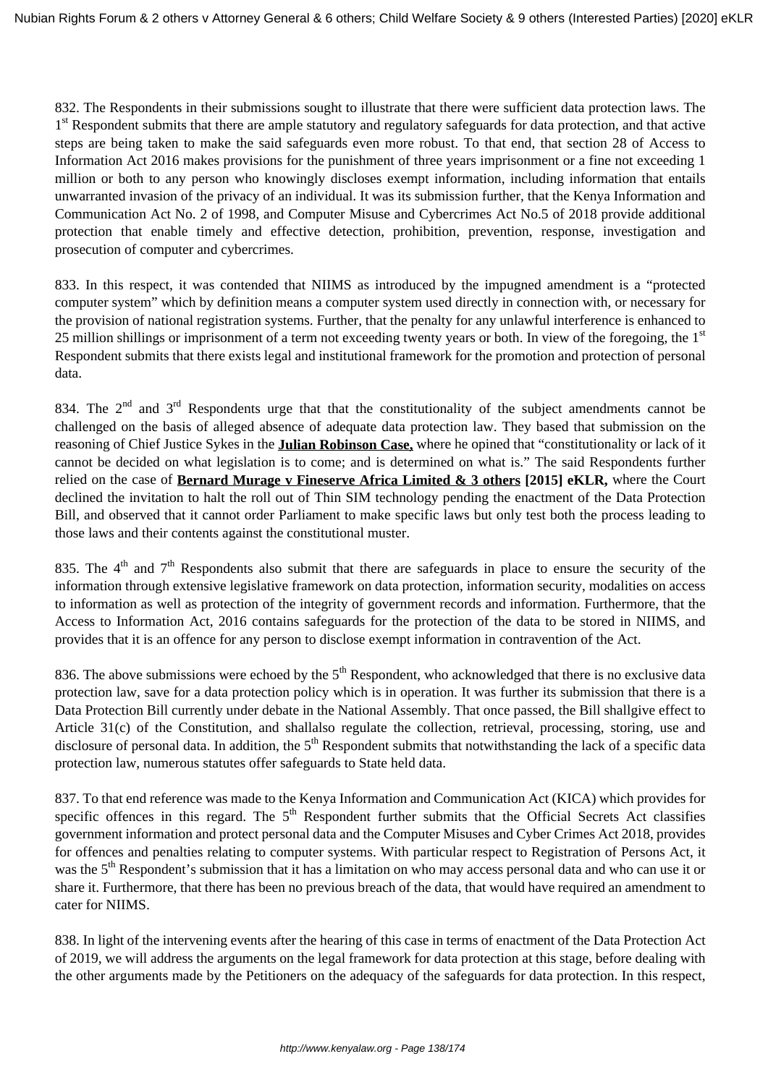832. The Respondents in their submissions sought to illustrate that there were sufficient data protection laws. The 1<sup>st</sup> Respondent submits that there are ample statutory and regulatory safeguards for data protection, and that active steps are being taken to make the said safeguards even more robust. To that end, that section 28 of Access to Information Act 2016 makes provisions for the punishment of three years imprisonment or a fine not exceeding 1 million or both to any person who knowingly discloses exempt information, including information that entails unwarranted invasion of the privacy of an individual. It was its submission further, that the Kenya Information and Communication Act No. 2 of 1998, and Computer Misuse and Cybercrimes Act No.5 of 2018 provide additional protection that enable timely and effective detection, prohibition, prevention, response, investigation and prosecution of computer and cybercrimes.

833. In this respect, it was contended that NIIMS as introduced by the impugned amendment is a "protected computer system" which by definition means a computer system used directly in connection with, or necessary for the provision of national registration systems. Further, that the penalty for any unlawful interference is enhanced to 25 million shillings or imprisonment of a term not exceeding twenty years or both. In view of the foregoing, the  $1<sup>st</sup>$ Respondent submits that there exists legal and institutional framework for the promotion and protection of personal data.

834. The 2<sup>nd</sup> and 3<sup>rd</sup> Respondents urge that that the constitutionality of the subject amendments cannot be challenged on the basis of alleged absence of adequate data protection law. They based that submission on the reasoning of Chief Justice Sykes in the **Julian Robinson Case,** where he opined that "constitutionality or lack of it cannot be decided on what legislation is to come; and is determined on what is." The said Respondents further relied on the case of **Bernard Murage v Fineserve Africa Limited & 3 others [2015] eKLR,** where the Court declined the invitation to halt the roll out of Thin SIM technology pending the enactment of the Data Protection Bill, and observed that it cannot order Parliament to make specific laws but only test both the process leading to those laws and their contents against the constitutional muster.

835. The  $4<sup>th</sup>$  and  $7<sup>th</sup>$  Respondents also submit that there are safeguards in place to ensure the security of the information through extensive legislative framework on data protection, information security, modalities on access to information as well as protection of the integrity of government records and information. Furthermore, that the Access to Information Act, 2016 contains safeguards for the protection of the data to be stored in NIIMS, and provides that it is an offence for any person to disclose exempt information in contravention of the Act.

836. The above submissions were echoed by the 5<sup>th</sup> Respondent, who acknowledged that there is no exclusive data protection law, save for a data protection policy which is in operation. It was further its submission that there is a Data Protection Bill currently under debate in the National Assembly. That once passed, the Bill shallgive effect to Article 31(c) of the Constitution, and shallalso regulate the collection, retrieval, processing, storing, use and disclosure of personal data. In addition, the  $5<sup>th</sup>$  Respondent submits that notwithstanding the lack of a specific data protection law, numerous statutes offer safeguards to State held data.

837. To that end reference was made to the Kenya Information and Communication Act (KICA) which provides for specific offences in this regard. The  $5<sup>th</sup>$  Respondent further submits that the Official Secrets Act classifies government information and protect personal data and the Computer Misuses and Cyber Crimes Act 2018, provides for offences and penalties relating to computer systems. With particular respect to Registration of Persons Act, it was the 5<sup>th</sup> Respondent's submission that it has a limitation on who may access personal data and who can use it or share it. Furthermore, that there has been no previous breach of the data, that would have required an amendment to cater for NIIMS.

838. In light of the intervening events after the hearing of this case in terms of enactment of the Data Protection Act of 2019, we will address the arguments on the legal framework for data protection at this stage, before dealing with the other arguments made by the Petitioners on the adequacy of the safeguards for data protection. In this respect,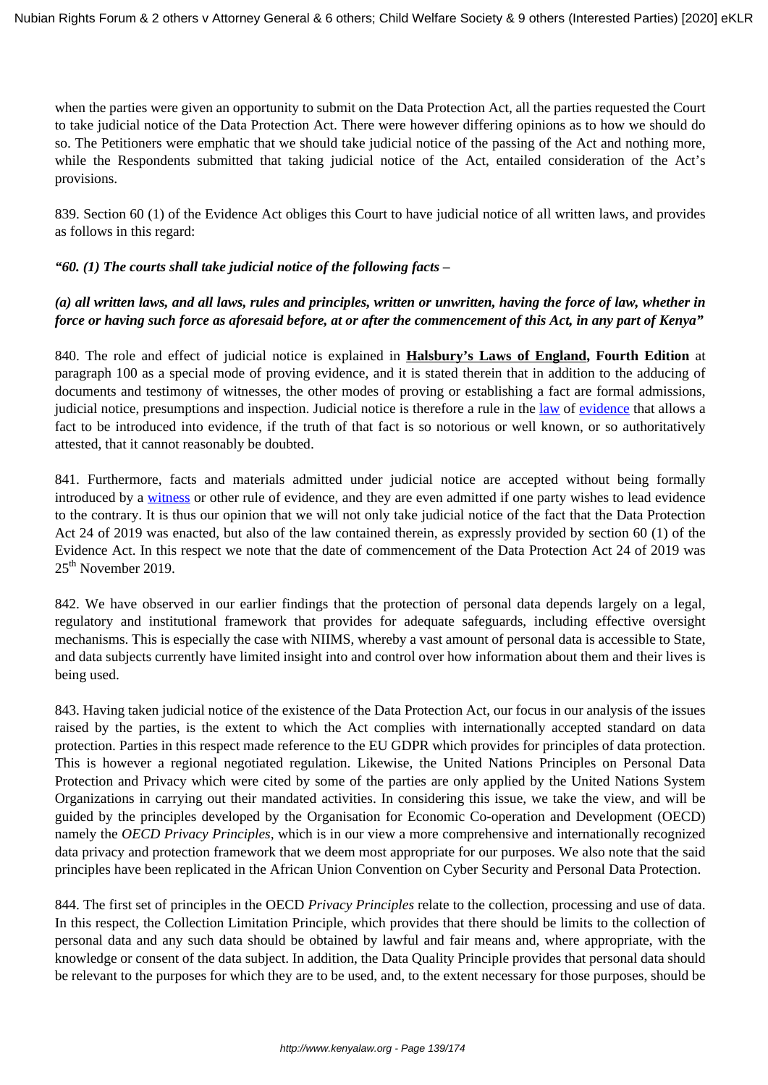when the parties were given an opportunity to submit on the Data Protection Act, all the parties requested the Court to take judicial notice of the Data Protection Act. There were however differing opinions as to how we should do so. The Petitioners were emphatic that we should take judicial notice of the passing of the Act and nothing more, while the Respondents submitted that taking judicial notice of the Act, entailed consideration of the Act's provisions.

839. Section 60 (1) of the Evidence Act obliges this Court to have judicial notice of all written laws, and provides as follows in this regard:

#### *"60. (1) The courts shall take judicial notice of the following facts –*

# *(a) all written laws, and all laws, rules and principles, written or unwritten, having the force of law, whether in force or having such force as aforesaid before, at or after the commencement of this Act, in any part of Kenya"*

840. The role and effect of judicial notice is explained in **Halsbury's Laws of England, Fourth Edition** at paragraph 100 as a special mode of proving evidence, and it is stated therein that in addition to the adducing of documents and testimony of witnesses, the other modes of proving or establishing a fact are formal admissions, judicial notice, presumptions and inspection. Judicial notice is therefore a rule in the [law](https://en.wikipedia.org/wiki/Law) of [evidence](https://en.wikipedia.org/wiki/Evidence_(law)) that allows a fact to be introduced into evidence, if the truth of that fact is so notorious or well known, or so authoritatively attested, that it cannot reasonably be doubted.

841. Furthermore, facts and materials admitted under judicial notice are accepted without being formally introduced by a [witness](https://en.wikipedia.org/wiki/Witness) or other rule of evidence, and they are even admitted if one party wishes to lead evidence to the contrary. It is thus our opinion that we will not only take judicial notice of the fact that the Data Protection Act 24 of 2019 was enacted, but also of the law contained therein, as expressly provided by section 60 (1) of the Evidence Act. In this respect we note that the date of commencement of the Data Protection Act 24 of 2019 was 25<sup>th</sup> November 2019.

842. We have observed in our earlier findings that the protection of personal data depends largely on a legal, regulatory and institutional framework that provides for adequate safeguards, including effective oversight mechanisms. This is especially the case with NIIMS, whereby a vast amount of personal data is accessible to State, and data subjects currently have limited insight into and control over how information about them and their lives is being used.

843. Having taken judicial notice of the existence of the Data Protection Act, our focus in our analysis of the issues raised by the parties, is the extent to which the Act complies with internationally accepted standard on data protection. Parties in this respect made reference to the EU GDPR which provides for principles of data protection. This is however a regional negotiated regulation. Likewise, the United Nations Principles on Personal Data Protection and Privacy which were cited by some of the parties are only applied by the United Nations System Organizations in carrying out their mandated activities. In considering this issue, we take the view, and will be guided by the principles developed by the Organisation for Economic Co-operation and Development (OECD) namely the *OECD Privacy Principles,* which is in our view a more comprehensive and internationally recognized data privacy and protection framework that we deem most appropriate for our purposes. We also note that the said principles have been replicated in the African Union Convention on Cyber Security and Personal Data Protection.

844. The first set of principles in the OECD *Privacy Principles* relate to the collection, processing and use of data. In this respect, the Collection Limitation Principle, which provides that there should be limits to the collection of personal data and any such data should be obtained by lawful and fair means and, where appropriate, with the knowledge or consent of the data subject. In addition, the Data Quality Principle provides that personal data should be relevant to the purposes for which they are to be used, and, to the extent necessary for those purposes, should be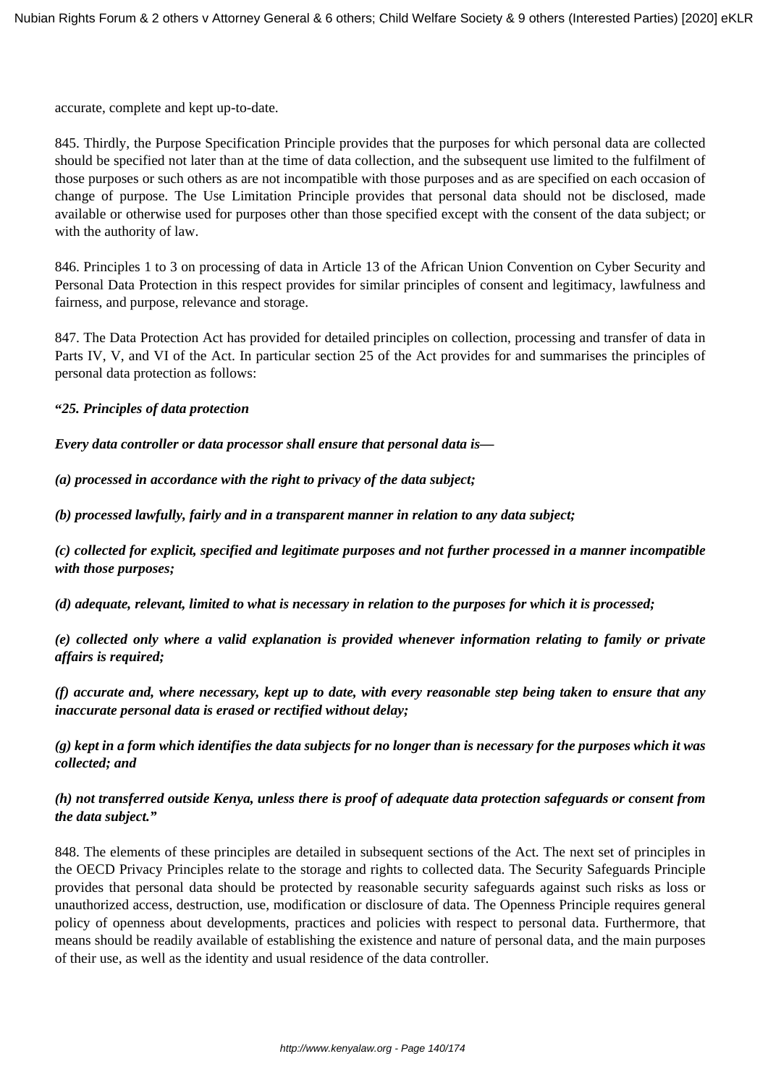accurate, complete and kept up-to-date.

845. Thirdly, the Purpose Specification Principle provides that the purposes for which personal data are collected should be specified not later than at the time of data collection, and the subsequent use limited to the fulfilment of those purposes or such others as are not incompatible with those purposes and as are specified on each occasion of change of purpose. The Use Limitation Principle provides that personal data should not be disclosed, made available or otherwise used for purposes other than those specified except with the consent of the data subject; or with the authority of law.

846. Principles 1 to 3 on processing of data in Article 13 of the African Union Convention on Cyber Security and Personal Data Protection in this respect provides for similar principles of consent and legitimacy, lawfulness and fairness, and purpose, relevance and storage.

847. The Data Protection Act has provided for detailed principles on collection, processing and transfer of data in Parts IV, V, and VI of the Act. In particular section 25 of the Act provides for and summarises the principles of personal data protection as follows:

**"***25. Principles of data protection*

*Every data controller or data processor shall ensure that personal data is—*

*(a) processed in accordance with the right to privacy of the data subject;*

*(b) processed lawfully, fairly and in a transparent manner in relation to any data subject;*

*(c) collected for explicit, specified and legitimate purposes and not further processed in a manner incompatible with those purposes;*

*(d) adequate, relevant, limited to what is necessary in relation to the purposes for which it is processed;*

*(e) collected only where a valid explanation is provided whenever information relating to family or private affairs is required;*

*(f) accurate and, where necessary, kept up to date, with every reasonable step being taken to ensure that any inaccurate personal data is erased or rectified without delay;*

*(g) kept in a form which identifies the data subjects for no longer than is necessary for the purposes which it was collected; and*

### *(h) not transferred outside Kenya, unless there is proof of adequate data protection safeguards or consent from the data subject."*

848. The elements of these principles are detailed in subsequent sections of the Act. The next set of principles in the OECD Privacy Principles relate to the storage and rights to collected data. The Security Safeguards Principle provides that personal data should be protected by reasonable security safeguards against such risks as loss or unauthorized access, destruction, use, modification or disclosure of data. The Openness Principle requires general policy of openness about developments, practices and policies with respect to personal data. Furthermore, that means should be readily available of establishing the existence and nature of personal data, and the main purposes of their use, as well as the identity and usual residence of the data controller.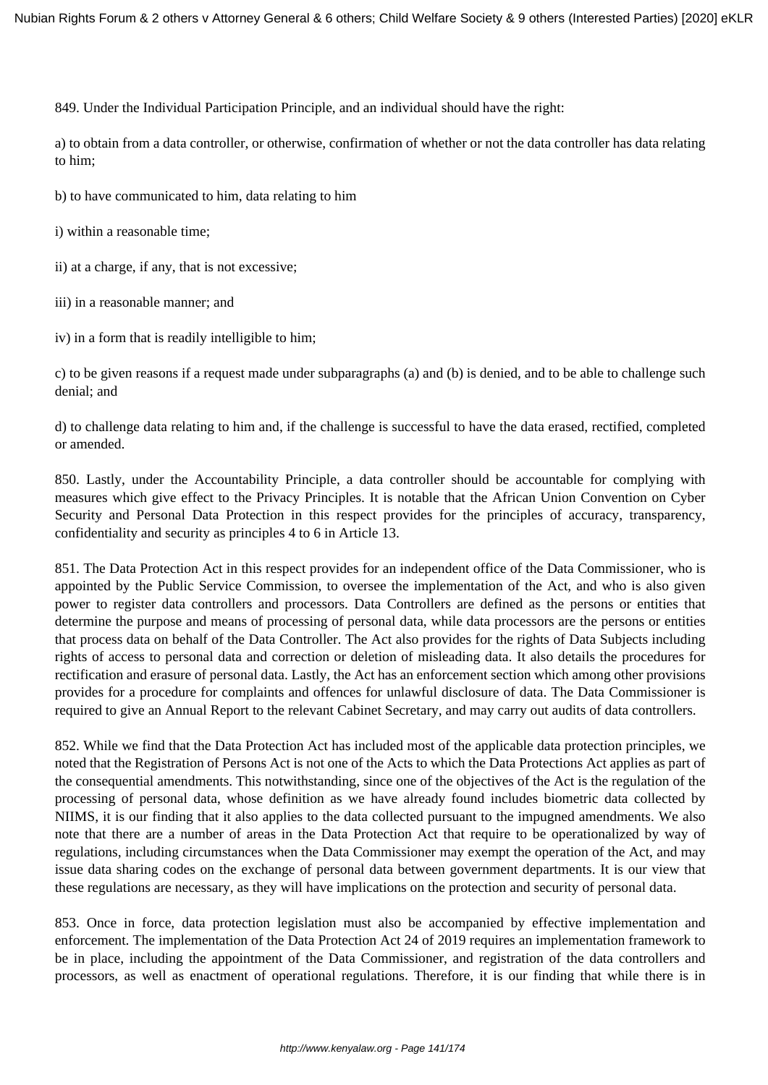849. Under the Individual Participation Principle, and an individual should have the right:

a) to obtain from a data controller, or otherwise, confirmation of whether or not the data controller has data relating to him;

b) to have communicated to him, data relating to him

i) within a reasonable time;

ii) at a charge, if any, that is not excessive;

iii) in a reasonable manner; and

iv) in a form that is readily intelligible to him;

c) to be given reasons if a request made under subparagraphs (a) and (b) is denied, and to be able to challenge such denial; and

d) to challenge data relating to him and, if the challenge is successful to have the data erased, rectified, completed or amended.

850. Lastly, under the Accountability Principle, a data controller should be accountable for complying with measures which give effect to the Privacy Principles. It is notable that the African Union Convention on Cyber Security and Personal Data Protection in this respect provides for the principles of accuracy, transparency, confidentiality and security as principles 4 to 6 in Article 13.

851. The Data Protection Act in this respect provides for an independent office of the Data Commissioner, who is appointed by the Public Service Commission, to oversee the implementation of the Act, and who is also given power to register data controllers and processors. Data Controllers are defined as the persons or entities that determine the purpose and means of processing of personal data, while data processors are the persons or entities that process data on behalf of the Data Controller. The Act also provides for the rights of Data Subjects including rights of access to personal data and correction or deletion of misleading data. It also details the procedures for rectification and erasure of personal data. Lastly, the Act has an enforcement section which among other provisions provides for a procedure for complaints and offences for unlawful disclosure of data. The Data Commissioner is required to give an Annual Report to the relevant Cabinet Secretary, and may carry out audits of data controllers.

852. While we find that the Data Protection Act has included most of the applicable data protection principles, we noted that the Registration of Persons Act is not one of the Acts to which the Data Protections Act applies as part of the consequential amendments. This notwithstanding, since one of the objectives of the Act is the regulation of the processing of personal data, whose definition as we have already found includes biometric data collected by NIIMS, it is our finding that it also applies to the data collected pursuant to the impugned amendments. We also note that there are a number of areas in the Data Protection Act that require to be operationalized by way of regulations, including circumstances when the Data Commissioner may exempt the operation of the Act, and may issue data sharing codes on the exchange of personal data between government departments. It is our view that these regulations are necessary, as they will have implications on the protection and security of personal data.

853. Once in force, data protection legislation must also be accompanied by effective implementation and enforcement. The implementation of the Data Protection Act 24 of 2019 requires an implementation framework to be in place, including the appointment of the Data Commissioner, and registration of the data controllers and processors, as well as enactment of operational regulations. Therefore, it is our finding that while there is in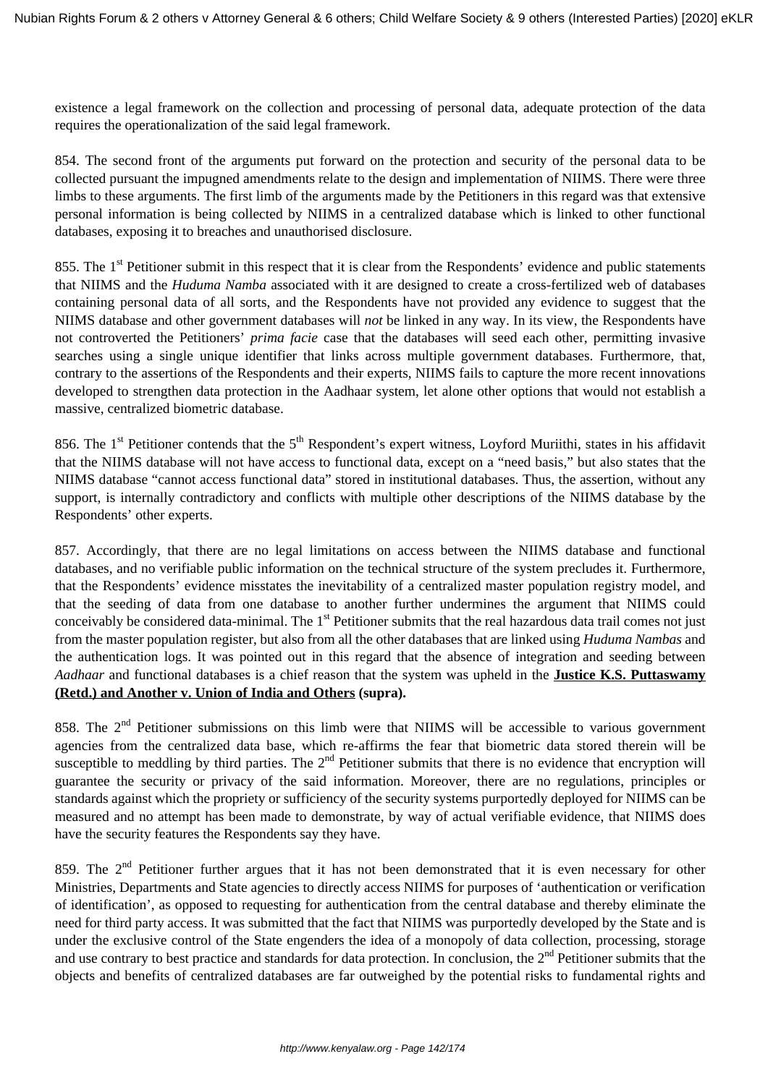existence a legal framework on the collection and processing of personal data, adequate protection of the data requires the operationalization of the said legal framework.

854. The second front of the arguments put forward on the protection and security of the personal data to be collected pursuant the impugned amendments relate to the design and implementation of NIIMS. There were three limbs to these arguments. The first limb of the arguments made by the Petitioners in this regard was that extensive personal information is being collected by NIIMS in a centralized database which is linked to other functional databases, exposing it to breaches and unauthorised disclosure.

855. The 1<sup>st</sup> Petitioner submit in this respect that it is clear from the Respondents' evidence and public statements that NIIMS and the *Huduma Namba* associated with it are designed to create a cross-fertilized web of databases containing personal data of all sorts, and the Respondents have not provided any evidence to suggest that the NIIMS database and other government databases will *not* be linked in any way. In its view, the Respondents have not controverted the Petitioners' *prima facie* case that the databases will seed each other, permitting invasive searches using a single unique identifier that links across multiple government databases. Furthermore, that, contrary to the assertions of the Respondents and their experts, NIIMS fails to capture the more recent innovations developed to strengthen data protection in the Aadhaar system, let alone other options that would not establish a massive, centralized biometric database.

856. The  $1<sup>st</sup>$  Petitioner contends that the  $5<sup>th</sup>$  Respondent's expert witness, Loyford Muriithi, states in his affidavit that the NIIMS database will not have access to functional data, except on a "need basis," but also states that the NIIMS database "cannot access functional data" stored in institutional databases. Thus, the assertion, without any support, is internally contradictory and conflicts with multiple other descriptions of the NIIMS database by the Respondents' other experts.

857. Accordingly, that there are no legal limitations on access between the NIIMS database and functional databases, and no verifiable public information on the technical structure of the system precludes it. Furthermore, that the Respondents' evidence misstates the inevitability of a centralized master population registry model, and that the seeding of data from one database to another further undermines the argument that NIIMS could conceivably be considered data-minimal. The 1<sup>st</sup> Petitioner submits that the real hazardous data trail comes not just from the master population register, but also from all the other databases that are linked using *Huduma Nambas* and the authentication logs. It was pointed out in this regard that the absence of integration and seeding between *Aadhaar* and functional databases is a chief reason that the system was upheld in the **Justice K.S. Puttaswamy (Retd.) and Another v. Union of India and Others (supra).**

858. The 2<sup>nd</sup> Petitioner submissions on this limb were that NIIMS will be accessible to various government agencies from the centralized data base, which re-affirms the fear that biometric data stored therein will be susceptible to meddling by third parties. The  $2<sup>nd</sup>$  Petitioner submits that there is no evidence that encryption will guarantee the security or privacy of the said information. Moreover, there are no regulations, principles or standards against which the propriety or sufficiency of the security systems purportedly deployed for NIIMS can be measured and no attempt has been made to demonstrate, by way of actual verifiable evidence, that NIIMS does have the security features the Respondents say they have.

859. The 2<sup>nd</sup> Petitioner further argues that it has not been demonstrated that it is even necessary for other Ministries, Departments and State agencies to directly access NIIMS for purposes of 'authentication or verification of identification', as opposed to requesting for authentication from the central database and thereby eliminate the need for third party access. It was submitted that the fact that NIIMS was purportedly developed by the State and is under the exclusive control of the State engenders the idea of a monopoly of data collection, processing, storage and use contrary to best practice and standards for data protection. In conclusion, the  $2<sup>nd</sup>$  Petitioner submits that the objects and benefits of centralized databases are far outweighed by the potential risks to fundamental rights and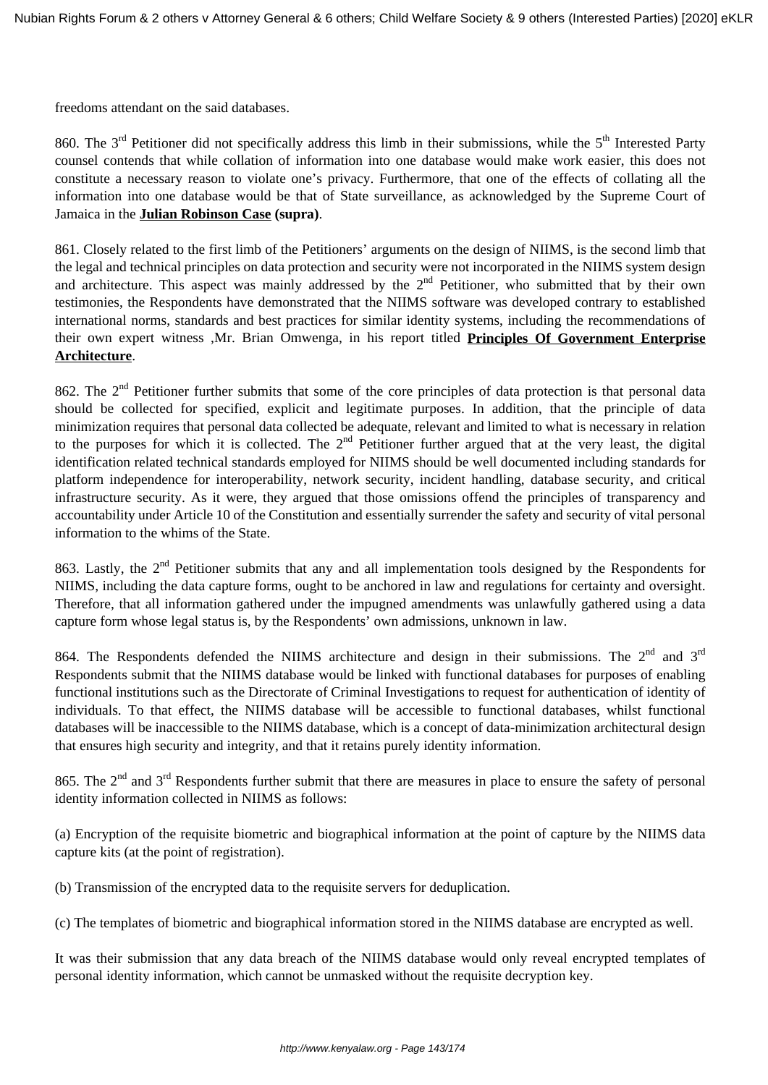freedoms attendant on the said databases.

860. The  $3<sup>rd</sup>$  Petitioner did not specifically address this limb in their submissions, while the  $5<sup>th</sup>$  Interested Party counsel contends that while collation of information into one database would make work easier, this does not constitute a necessary reason to violate one's privacy. Furthermore, that one of the effects of collating all the information into one database would be that of State surveillance, as acknowledged by the Supreme Court of Jamaica in the **Julian Robinson Case (supra)**.

861. Closely related to the first limb of the Petitioners' arguments on the design of NIIMS, is the second limb that the legal and technical principles on data protection and security were not incorporated in the NIIMS system design and architecture. This aspect was mainly addressed by the  $2<sup>nd</sup>$  Petitioner, who submitted that by their own testimonies, the Respondents have demonstrated that the NIIMS software was developed contrary to established international norms, standards and best practices for similar identity systems, including the recommendations of their own expert witness ,Mr. Brian Omwenga, in his report titled **Principles Of Government Enterprise Architecture**.

862. The 2<sup>nd</sup> Petitioner further submits that some of the core principles of data protection is that personal data should be collected for specified, explicit and legitimate purposes. In addition, that the principle of data minimization requires that personal data collected be adequate, relevant and limited to what is necessary in relation to the purposes for which it is collected. The  $2<sup>nd</sup>$  Petitioner further argued that at the very least, the digital identification related technical standards employed for NIIMS should be well documented including standards for platform independence for interoperability, network security, incident handling, database security, and critical infrastructure security. As it were, they argued that those omissions offend the principles of transparency and accountability under Article 10 of the Constitution and essentially surrender the safety and security of vital personal information to the whims of the State.

863. Lastly, the 2<sup>nd</sup> Petitioner submits that any and all implementation tools designed by the Respondents for NIIMS, including the data capture forms, ought to be anchored in law and regulations for certainty and oversight. Therefore, that all information gathered under the impugned amendments was unlawfully gathered using a data capture form whose legal status is, by the Respondents' own admissions, unknown in law.

864. The Respondents defended the NIIMS architecture and design in their submissions. The  $2^{nd}$  and  $3^{rd}$ Respondents submit that the NIIMS database would be linked with functional databases for purposes of enabling functional institutions such as the Directorate of Criminal Investigations to request for authentication of identity of individuals. To that effect, the NIIMS database will be accessible to functional databases, whilst functional databases will be inaccessible to the NIIMS database, which is a concept of data-minimization architectural design that ensures high security and integrity, and that it retains purely identity information.

865. The 2<sup>nd</sup> and 3<sup>rd</sup> Respondents further submit that there are measures in place to ensure the safety of personal identity information collected in NIIMS as follows:

(a) Encryption of the requisite biometric and biographical information at the point of capture by the NIIMS data capture kits (at the point of registration).

(b) Transmission of the encrypted data to the requisite servers for deduplication.

(c) The templates of biometric and biographical information stored in the NIIMS database are encrypted as well.

It was their submission that any data breach of the NIIMS database would only reveal encrypted templates of personal identity information, which cannot be unmasked without the requisite decryption key.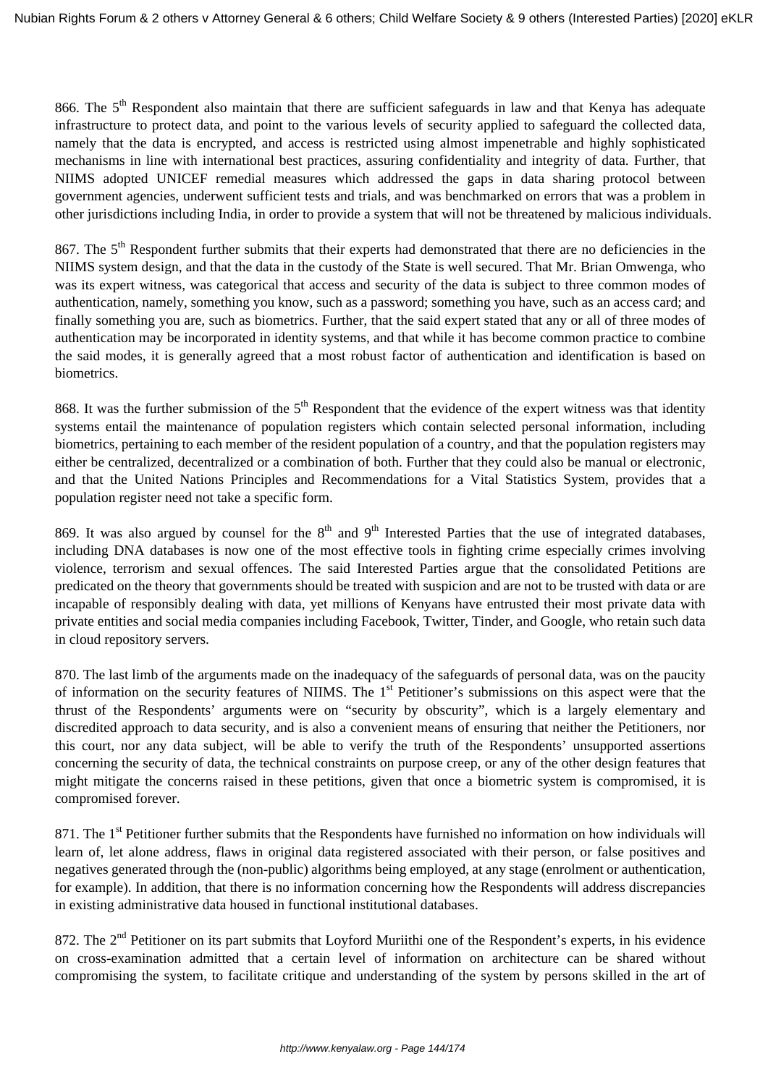866. The 5<sup>th</sup> Respondent also maintain that there are sufficient safeguards in law and that Kenya has adequate infrastructure to protect data, and point to the various levels of security applied to safeguard the collected data, namely that the data is encrypted, and access is restricted using almost impenetrable and highly sophisticated mechanisms in line with international best practices, assuring confidentiality and integrity of data. Further, that NIIMS adopted UNICEF remedial measures which addressed the gaps in data sharing protocol between government agencies, underwent sufficient tests and trials, and was benchmarked on errors that was a problem in other jurisdictions including India, in order to provide a system that will not be threatened by malicious individuals.

867. The 5<sup>th</sup> Respondent further submits that their experts had demonstrated that there are no deficiencies in the NIIMS system design, and that the data in the custody of the State is well secured. That Mr. Brian Omwenga, who was its expert witness, was categorical that access and security of the data is subject to three common modes of authentication, namely, something you know, such as a password; something you have, such as an access card; and finally something you are, such as biometrics. Further, that the said expert stated that any or all of three modes of authentication may be incorporated in identity systems, and that while it has become common practice to combine the said modes, it is generally agreed that a most robust factor of authentication and identification is based on biometrics.

868. It was the further submission of the  $5<sup>th</sup>$  Respondent that the evidence of the expert witness was that identity systems entail the maintenance of population registers which contain selected personal information, including biometrics, pertaining to each member of the resident population of a country, and that the population registers may either be centralized, decentralized or a combination of both. Further that they could also be manual or electronic, and that the United Nations Principles and Recommendations for a Vital Statistics System, provides that a population register need not take a specific form.

869. It was also argued by counsel for the  $8<sup>th</sup>$  and  $9<sup>th</sup>$  Interested Parties that the use of integrated databases, including DNA databases is now one of the most effective tools in fighting crime especially crimes involving violence, terrorism and sexual offences. The said Interested Parties argue that the consolidated Petitions are predicated on the theory that governments should be treated with suspicion and are not to be trusted with data or are incapable of responsibly dealing with data, yet millions of Kenyans have entrusted their most private data with private entities and social media companies including Facebook, Twitter, Tinder, and Google, who retain such data in cloud repository servers.

870. The last limb of the arguments made on the inadequacy of the safeguards of personal data, was on the paucity of information on the security features of NIIMS. The 1<sup>st</sup> Petitioner's submissions on this aspect were that the thrust of the Respondents' arguments were on "security by obscurity", which is a largely elementary and discredited approach to data security, and is also a convenient means of ensuring that neither the Petitioners, nor this court, nor any data subject, will be able to verify the truth of the Respondents' unsupported assertions concerning the security of data, the technical constraints on purpose creep, or any of the other design features that might mitigate the concerns raised in these petitions, given that once a biometric system is compromised, it is compromised forever.

871. The 1<sup>st</sup> Petitioner further submits that the Respondents have furnished no information on how individuals will learn of, let alone address, flaws in original data registered associated with their person, or false positives and negatives generated through the (non-public) algorithms being employed, at any stage (enrolment or authentication, for example). In addition, that there is no information concerning how the Respondents will address discrepancies in existing administrative data housed in functional institutional databases.

872. The 2<sup>nd</sup> Petitioner on its part submits that Loyford Muriithi one of the Respondent's experts, in his evidence on cross-examination admitted that a certain level of information on architecture can be shared without compromising the system, to facilitate critique and understanding of the system by persons skilled in the art of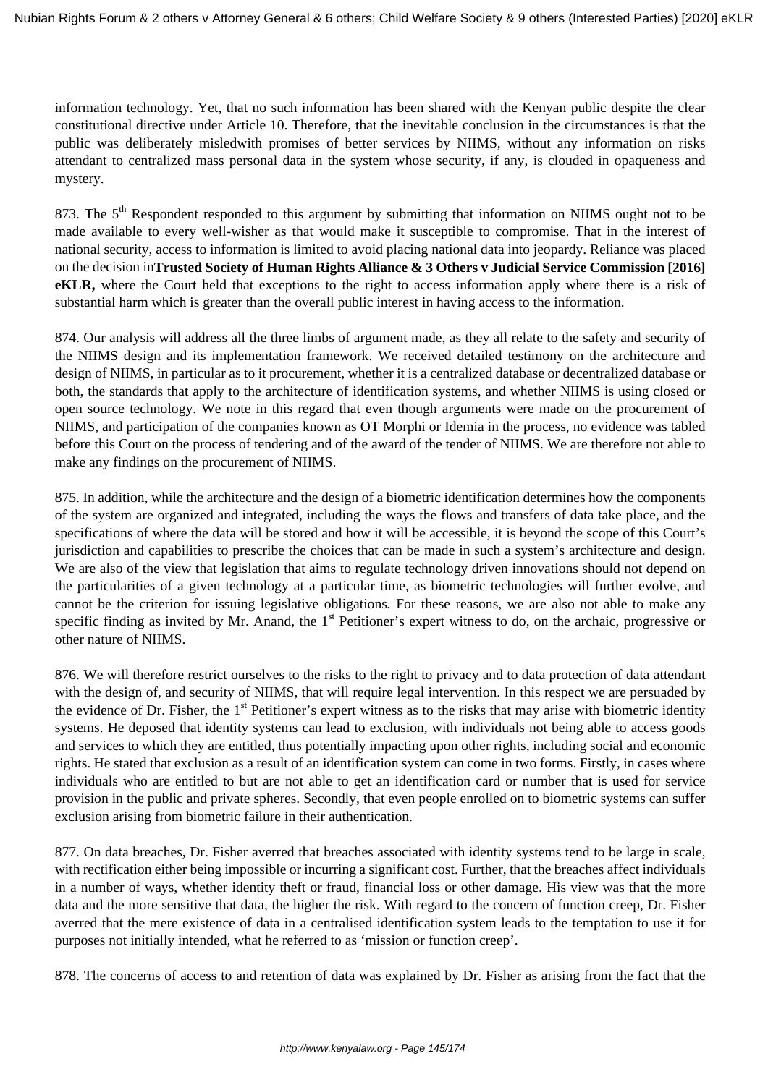information technology. Yet, that no such information has been shared with the Kenyan public despite the clear constitutional directive under Article 10. Therefore, that the inevitable conclusion in the circumstances is that the public was deliberately misledwith promises of better services by NIIMS, without any information on risks attendant to centralized mass personal data in the system whose security, if any, is clouded in opaqueness and mystery.

873. The 5<sup>th</sup> Respondent responded to this argument by submitting that information on NIIMS ought not to be made available to every well-wisher as that would make it susceptible to compromise. That in the interest of national security, access to information is limited to avoid placing national data into jeopardy. Reliance was placed on the decision in**Trusted Society of Human Rights Alliance & 3 Others v Judicial Service Commission [2016] eKLR,** where the Court held that exceptions to the right to access information apply where there is a risk of substantial harm which is greater than the overall public interest in having access to the information.

874. Our analysis will address all the three limbs of argument made, as they all relate to the safety and security of the NIIMS design and its implementation framework. We received detailed testimony on the architecture and design of NIIMS, in particular as to it procurement, whether it is a centralized database or decentralized database or both, the standards that apply to the architecture of identification systems, and whether NIIMS is using closed or open source technology. We note in this regard that even though arguments were made on the procurement of NIIMS, and participation of the companies known as OT Morphi or Idemia in the process, no evidence was tabled before this Court on the process of tendering and of the award of the tender of NIIMS. We are therefore not able to make any findings on the procurement of NIIMS.

875. In addition, while the architecture and the design of a biometric identification determines how the components of the system are organized and integrated, including the ways the flows and transfers of data take place, and the specifications of where the data will be stored and how it will be accessible, it is beyond the scope of this Court's jurisdiction and capabilities to prescribe the choices that can be made in such a system's architecture and design. We are also of the view that legislation that aims to regulate technology driven innovations should not depend on the particularities of a given technology at a particular time, as biometric technologies will further evolve, and cannot be the criterion for issuing legislative obligations*.* For these reasons, we are also not able to make any specific finding as invited by Mr. Anand, the 1<sup>st</sup> Petitioner's expert witness to do, on the archaic, progressive or other nature of NIIMS.

876. We will therefore restrict ourselves to the risks to the right to privacy and to data protection of data attendant with the design of, and security of NIIMS, that will require legal intervention. In this respect we are persuaded by the evidence of Dr. Fisher, the  $1<sup>st</sup>$  Petitioner's expert witness as to the risks that may arise with biometric identity systems. He deposed that identity systems can lead to exclusion, with individuals not being able to access goods and services to which they are entitled, thus potentially impacting upon other rights, including social and economic rights. He stated that exclusion as a result of an identification system can come in two forms. Firstly, in cases where individuals who are entitled to but are not able to get an identification card or number that is used for service provision in the public and private spheres. Secondly, that even people enrolled on to biometric systems can suffer exclusion arising from biometric failure in their authentication.

877. On data breaches, Dr. Fisher averred that breaches associated with identity systems tend to be large in scale, with rectification either being impossible or incurring a significant cost. Further, that the breaches affect individuals in a number of ways, whether identity theft or fraud, financial loss or other damage. His view was that the more data and the more sensitive that data, the higher the risk. With regard to the concern of function creep, Dr. Fisher averred that the mere existence of data in a centralised identification system leads to the temptation to use it for purposes not initially intended, what he referred to as 'mission or function creep'.

878. The concerns of access to and retention of data was explained by Dr. Fisher as arising from the fact that the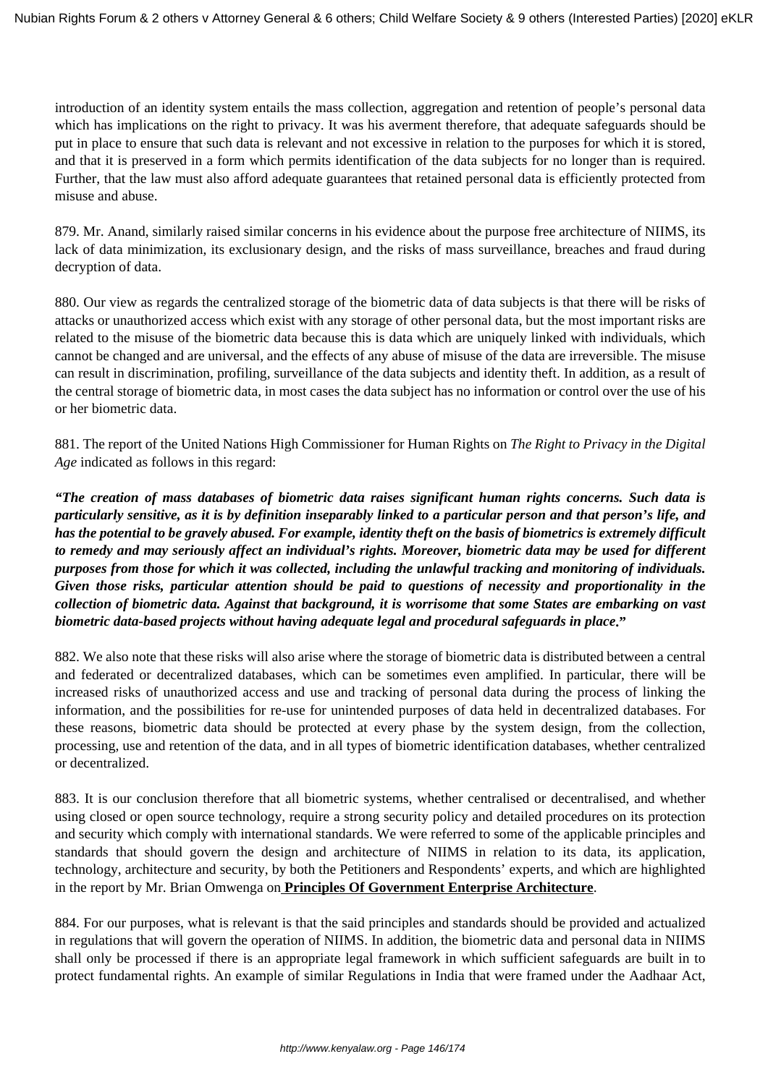introduction of an identity system entails the mass collection, aggregation and retention of people's personal data which has implications on the right to privacy. It was his averment therefore, that adequate safeguards should be put in place to ensure that such data is relevant and not excessive in relation to the purposes for which it is stored, and that it is preserved in a form which permits identification of the data subjects for no longer than is required. Further, that the law must also afford adequate guarantees that retained personal data is efficiently protected from misuse and abuse.

879. Mr. Anand, similarly raised similar concerns in his evidence about the purpose free architecture of NIIMS, its lack of data minimization, its exclusionary design, and the risks of mass surveillance, breaches and fraud during decryption of data.

880. Our view as regards the centralized storage of the biometric data of data subjects is that there will be risks of attacks or unauthorized access which exist with any storage of other personal data, but the most important risks are related to the misuse of the biometric data because this is data which are uniquely linked with individuals, which cannot be changed and are universal, and the effects of any abuse of misuse of the data are irreversible. The misuse can result in discrimination, profiling, surveillance of the data subjects and identity theft. In addition, as a result of the central storage of biometric data, in most cases the data subject has no information or control over the use of his or her biometric data.

881. The report of the United Nations High Commissioner for Human Rights on *The Right to Privacy in the Digital Age* indicated as follows in this regard:

*"The creation of mass databases of biometric data raises significant human rights concerns. Such data is particularly sensitive, as it is by definition inseparably linked to a particular person and that person's life, and has the potential to be gravely abused. For example, identity theft on the basis of biometrics is extremely difficult to remedy and may seriously affect an individual's rights. Moreover, biometric data may be used for different purposes from those for which it was collected, including the unlawful tracking and monitoring of individuals. Given those risks, particular attention should be paid to questions of necessity and proportionality in the collection of biometric data. Against that background, it is worrisome that some States are embarking on vast biometric data-based projects without having adequate legal and procedural safeguards in place***."**

882. We also note that these risks will also arise where the storage of biometric data is distributed between a central and federated or decentralized databases, which can be sometimes even amplified. In particular, there will be increased risks of unauthorized access and use and tracking of personal data during the process of linking the information, and the possibilities for re-use for unintended purposes of data held in decentralized databases. For these reasons, biometric data should be protected at every phase by the system design, from the collection, processing, use and retention of the data, and in all types of biometric identification databases, whether centralized or decentralized.

883. It is our conclusion therefore that all biometric systems, whether centralised or decentralised, and whether using closed or open source technology, require a strong security policy and detailed procedures on its protection and security which comply with international standards. We were referred to some of the applicable principles and standards that should govern the design and architecture of NIIMS in relation to its data, its application, technology, architecture and security, by both the Petitioners and Respondents' experts, and which are highlighted in the report by Mr. Brian Omwenga on **Principles Of Government Enterprise Architecture**.

884. For our purposes, what is relevant is that the said principles and standards should be provided and actualized in regulations that will govern the operation of NIIMS. In addition, the biometric data and personal data in NIIMS shall only be processed if there is an appropriate legal framework in which sufficient safeguards are built in to protect fundamental rights. An example of similar Regulations in India that were framed under the Aadhaar Act,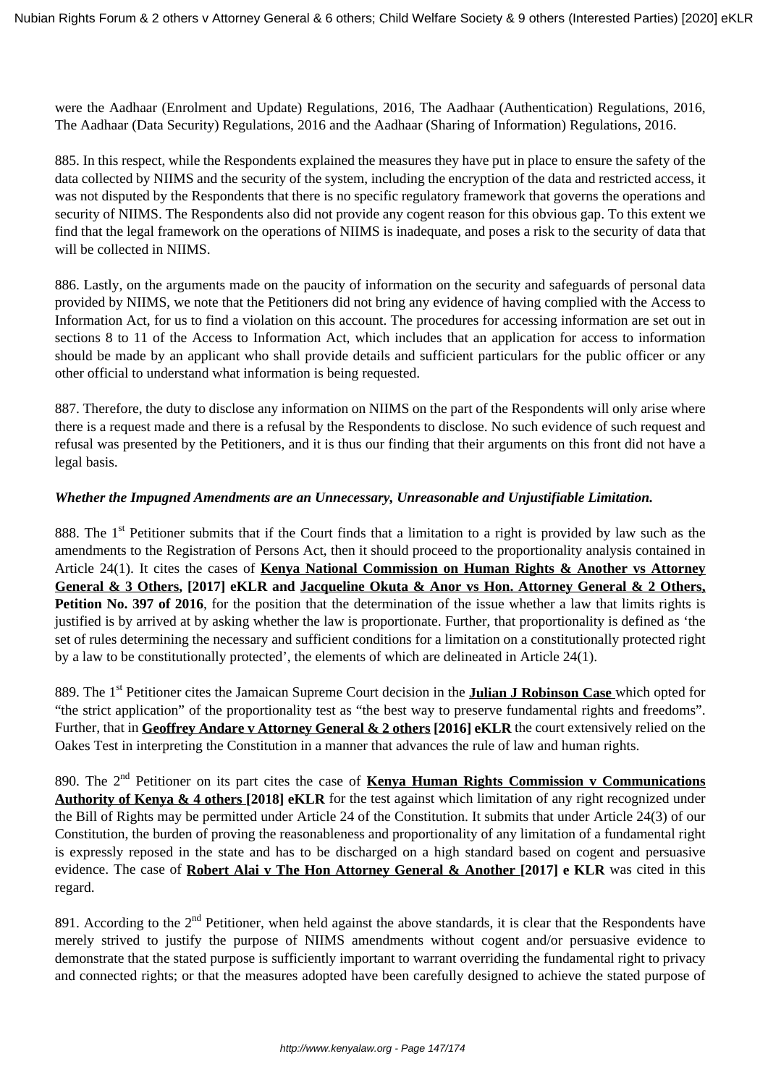were the Aadhaar (Enrolment and Update) Regulations, 2016, The Aadhaar (Authentication) Regulations, 2016, The Aadhaar (Data Security) Regulations, 2016 and the Aadhaar (Sharing of Information) Regulations, 2016.

885. In this respect, while the Respondents explained the measures they have put in place to ensure the safety of the data collected by NIIMS and the security of the system, including the encryption of the data and restricted access, it was not disputed by the Respondents that there is no specific regulatory framework that governs the operations and security of NIIMS. The Respondents also did not provide any cogent reason for this obvious gap. To this extent we find that the legal framework on the operations of NIIMS is inadequate, and poses a risk to the security of data that will be collected in NIIMS.

886. Lastly, on the arguments made on the paucity of information on the security and safeguards of personal data provided by NIIMS, we note that the Petitioners did not bring any evidence of having complied with the Access to Information Act, for us to find a violation on this account. The procedures for accessing information are set out in sections 8 to 11 of the Access to Information Act, which includes that an application for access to information should be made by an applicant who shall provide details and sufficient particulars for the public officer or any other official to understand what information is being requested.

887. Therefore, the duty to disclose any information on NIIMS on the part of the Respondents will only arise where there is a request made and there is a refusal by the Respondents to disclose. No such evidence of such request and refusal was presented by the Petitioners, and it is thus our finding that their arguments on this front did not have a legal basis.

# *Whether the Impugned Amendments are an Unnecessary, Unreasonable and Unjustifiable Limitation.*

888. The  $1<sup>st</sup>$  Petitioner submits that if the Court finds that a limitation to a right is provided by law such as the amendments to the Registration of Persons Act, then it should proceed to the proportionality analysis contained in Article 24(1). It cites the cases of **Kenya National Commission on Human Rights & Another vs Attorney General & 3 Others, [2017] eKLR and Jacqueline Okuta & Anor vs Hon. Attorney General & 2 Others, Petition No. 397 of 2016**, for the position that the determination of the issue whether a law that limits rights is justified is by arrived at by asking whether the law is proportionate. Further, that proportionality is defined as 'the set of rules determining the necessary and sufficient conditions for a limitation on a constitutionally protected right by a law to be constitutionally protected', the elements of which are delineated in Article 24(1).

889. The 1<sup>st</sup> Petitioner cites the Jamaican Supreme Court decision in the **Julian J Robinson Case** which opted for "the strict application" of the proportionality test as "the best way to preserve fundamental rights and freedoms". Further, that in **Geoffrey Andare v Attorney General & 2 others [2016] eKLR** the court extensively relied on the Oakes Test in interpreting the Constitution in a manner that advances the rule of law and human rights.

890. The 2nd Petitioner on its part cites the case of **Kenya Human Rights Commission v Communications Authority of Kenya & 4 others [2018] eKLR** for the test against which limitation of any right recognized under the Bill of Rights may be permitted under Article 24 of the Constitution. It submits that under Article 24(3) of our Constitution, the burden of proving the reasonableness and proportionality of any limitation of a fundamental right is expressly reposed in the state and has to be discharged on a high standard based on cogent and persuasive evidence. The case of **Robert Alai v The Hon Attorney General & Another [2017] e KLR** was cited in this regard.

891. According to the  $2<sup>nd</sup>$  Petitioner, when held against the above standards, it is clear that the Respondents have merely strived to justify the purpose of NIIMS amendments without cogent and/or persuasive evidence to demonstrate that the stated purpose is sufficiently important to warrant overriding the fundamental right to privacy and connected rights; or that the measures adopted have been carefully designed to achieve the stated purpose of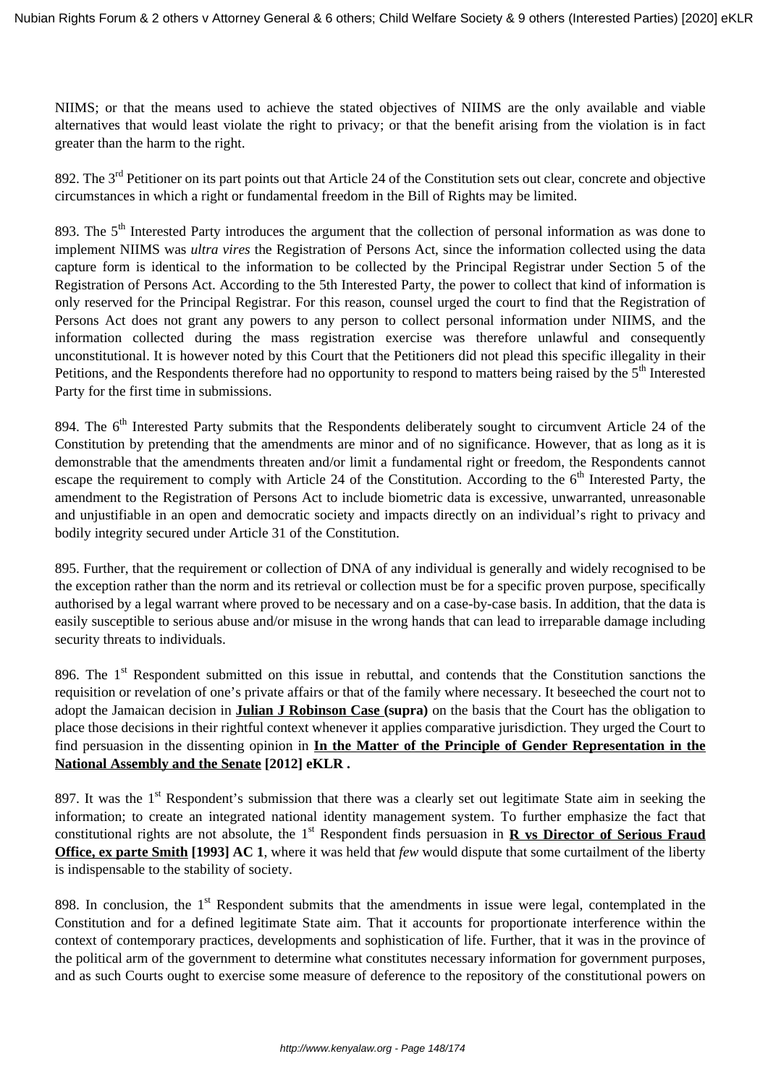NIIMS; or that the means used to achieve the stated objectives of NIIMS are the only available and viable alternatives that would least violate the right to privacy; or that the benefit arising from the violation is in fact greater than the harm to the right.

892. The 3<sup>rd</sup> Petitioner on its part points out that Article 24 of the Constitution sets out clear, concrete and objective circumstances in which a right or fundamental freedom in the Bill of Rights may be limited.

893. The 5<sup>th</sup> Interested Party introduces the argument that the collection of personal information as was done to implement NIIMS was *ultra vires* the Registration of Persons Act, since the information collected using the data capture form is identical to the information to be collected by the Principal Registrar under Section 5 of the Registration of Persons Act. According to the 5th Interested Party, the power to collect that kind of information is only reserved for the Principal Registrar. For this reason, counsel urged the court to find that the Registration of Persons Act does not grant any powers to any person to collect personal information under NIIMS, and the information collected during the mass registration exercise was therefore unlawful and consequently unconstitutional. It is however noted by this Court that the Petitioners did not plead this specific illegality in their Petitions, and the Respondents therefore had no opportunity to respond to matters being raised by the  $5<sup>th</sup>$  Interested Party for the first time in submissions.

894. The 6<sup>th</sup> Interested Party submits that the Respondents deliberately sought to circumvent Article 24 of the Constitution by pretending that the amendments are minor and of no significance. However, that as long as it is demonstrable that the amendments threaten and/or limit a fundamental right or freedom, the Respondents cannot escape the requirement to comply with Article 24 of the Constitution. According to the  $6<sup>th</sup>$  Interested Party, the amendment to the Registration of Persons Act to include biometric data is excessive, unwarranted, unreasonable and unjustifiable in an open and democratic society and impacts directly on an individual's right to privacy and bodily integrity secured under Article 31 of the Constitution.

895. Further, that the requirement or collection of DNA of any individual is generally and widely recognised to be the exception rather than the norm and its retrieval or collection must be for a specific proven purpose, specifically authorised by a legal warrant where proved to be necessary and on a case-by-case basis. In addition, that the data is easily susceptible to serious abuse and/or misuse in the wrong hands that can lead to irreparable damage including security threats to individuals.

896. The 1<sup>st</sup> Respondent submitted on this issue in rebuttal, and contends that the Constitution sanctions the requisition or revelation of one's private affairs or that of the family where necessary. It beseeched the court not to adopt the Jamaican decision in **Julian J Robinson Case (supra)** on the basis that the Court has the obligation to place those decisions in their rightful context whenever it applies comparative jurisdiction. They urged the Court to find persuasion in the dissenting opinion in **In the Matter of the Principle of Gender Representation in the National Assembly and the Senate [2012] eKLR .**

897. It was the 1<sup>st</sup> Respondent's submission that there was a clearly set out legitimate State aim in seeking the information; to create an integrated national identity management system. To further emphasize the fact that constitutional rights are not absolute, the 1<sup>st</sup> Respondent finds persuasion in **R** vs Director of Serious Fraud **Office, ex parte Smith [1993] AC 1**, where it was held that *few* would dispute that some curtailment of the liberty is indispensable to the stability of society.

898. In conclusion, the 1<sup>st</sup> Respondent submits that the amendments in issue were legal, contemplated in the Constitution and for a defined legitimate State aim. That it accounts for proportionate interference within the context of contemporary practices, developments and sophistication of life. Further, that it was in the province of the political arm of the government to determine what constitutes necessary information for government purposes, and as such Courts ought to exercise some measure of deference to the repository of the constitutional powers on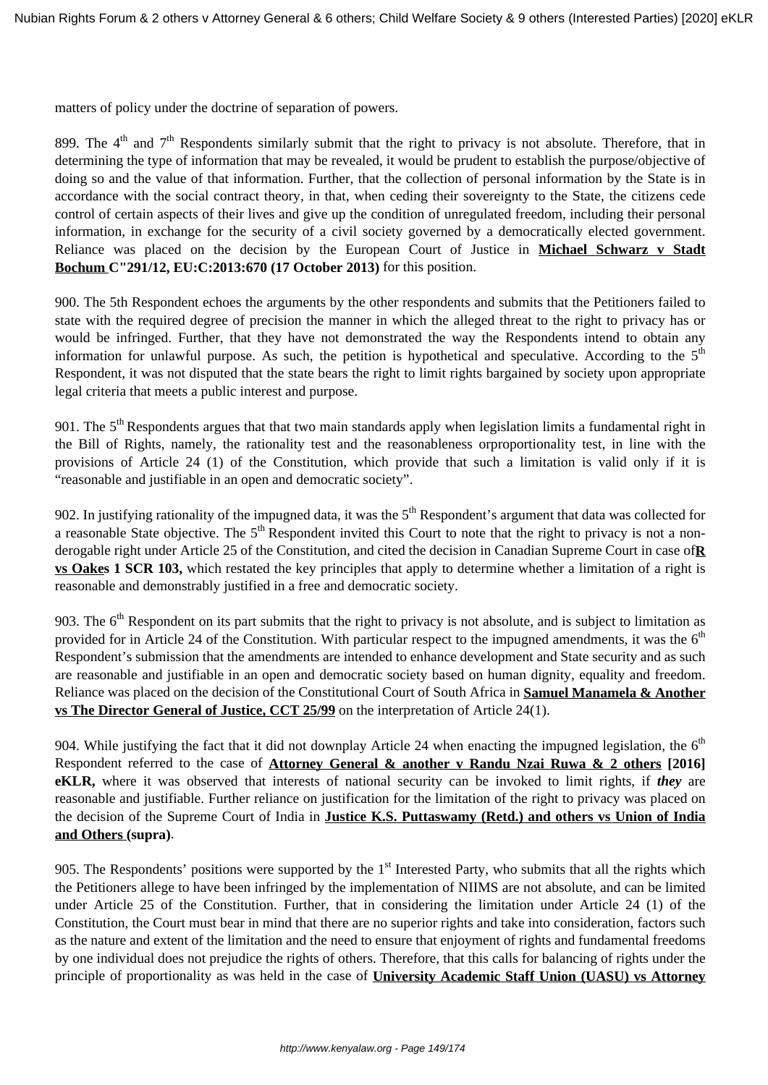matters of policy under the doctrine of separation of powers.

899. The  $4<sup>th</sup>$  and  $7<sup>th</sup>$  Respondents similarly submit that the right to privacy is not absolute. Therefore, that in determining the type of information that may be revealed, it would be prudent to establish the purpose/objective of doing so and the value of that information. Further, that the collection of personal information by the State is in accordance with the social contract theory, in that, when ceding their sovereignty to the State, the citizens cede control of certain aspects of their lives and give up the condition of unregulated freedom, including their personal information, in exchange for the security of a civil society governed by a democratically elected government. Reliance was placed on the decision by the European Court of Justice in **Michael Schwarz v Stadt Bochum C"291/12, EU:C:2013:670 (17 October 2013)** for this position.

900. The 5th Respondent echoes the arguments by the other respondents and submits that the Petitioners failed to state with the required degree of precision the manner in which the alleged threat to the right to privacy has or would be infringed. Further, that they have not demonstrated the way the Respondents intend to obtain any information for unlawful purpose. As such, the petition is hypothetical and speculative. According to the  $5<sup>th</sup>$ Respondent, it was not disputed that the state bears the right to limit rights bargained by society upon appropriate legal criteria that meets a public interest and purpose.

901. The  $5<sup>th</sup>$  Respondents argues that that two main standards apply when legislation limits a fundamental right in the Bill of Rights, namely, the rationality test and the reasonableness orproportionality test, in line with the provisions of Article 24 (1) of the Constitution, which provide that such a limitation is valid only if it is "reasonable and justifiable in an open and democratic society".

902. In justifying rationality of the impugned data, it was the  $5<sup>th</sup>$  Respondent's argument that data was collected for a reasonable State objective. The  $5<sup>th</sup>$  Respondent invited this Court to note that the right to privacy is not a nonderogable right under Article 25 of the Constitution, and cited the decision in Canadian Supreme Court in case of**R vs Oakes 1 SCR 103,** which restated the key principles that apply to determine whether a limitation of a right is reasonable and demonstrably justified in a free and democratic society.

903. The  $6<sup>th</sup>$  Respondent on its part submits that the right to privacy is not absolute, and is subject to limitation as provided for in Article 24 of the Constitution. With particular respect to the impugned amendments, it was the  $6<sup>th</sup>$ Respondent's submission that the amendments are intended to enhance development and State security and as such are reasonable and justifiable in an open and democratic society based on human dignity, equality and freedom. Reliance was placed on the decision of the Constitutional Court of South Africa in **Samuel Manamela & Another vs The Director General of Justice, CCT 25/99** on the interpretation of Article 24(1).

904. While justifying the fact that it did not downplay Article 24 when enacting the impugned legislation, the  $6<sup>th</sup>$ Respondent referred to the case of **Attorney General & another v Randu Nzai Ruwa & 2 others [2016] eKLR,** where it was observed that interests of national security can be invoked to limit rights, if *they* are reasonable and justifiable. Further reliance on justification for the limitation of the right to privacy was placed on the decision of the Supreme Court of India in **Justice K.S. Puttaswamy (Retd.) and others vs Union of India and Others (supra)**.

905. The Respondents' positions were supported by the  $1<sup>st</sup>$  Interested Party, who submits that all the rights which the Petitioners allege to have been infringed by the implementation of NIIMS are not absolute, and can be limited under Article 25 of the Constitution. Further, that in considering the limitation under Article 24 (1) of the Constitution, the Court must bear in mind that there are no superior rights and take into consideration, factors such as the nature and extent of the limitation and the need to ensure that enjoyment of rights and fundamental freedoms by one individual does not prejudice the rights of others. Therefore, that this calls for balancing of rights under the principle of proportionality as was held in the case of **University Academic Staff Union (UASU) vs Attorney**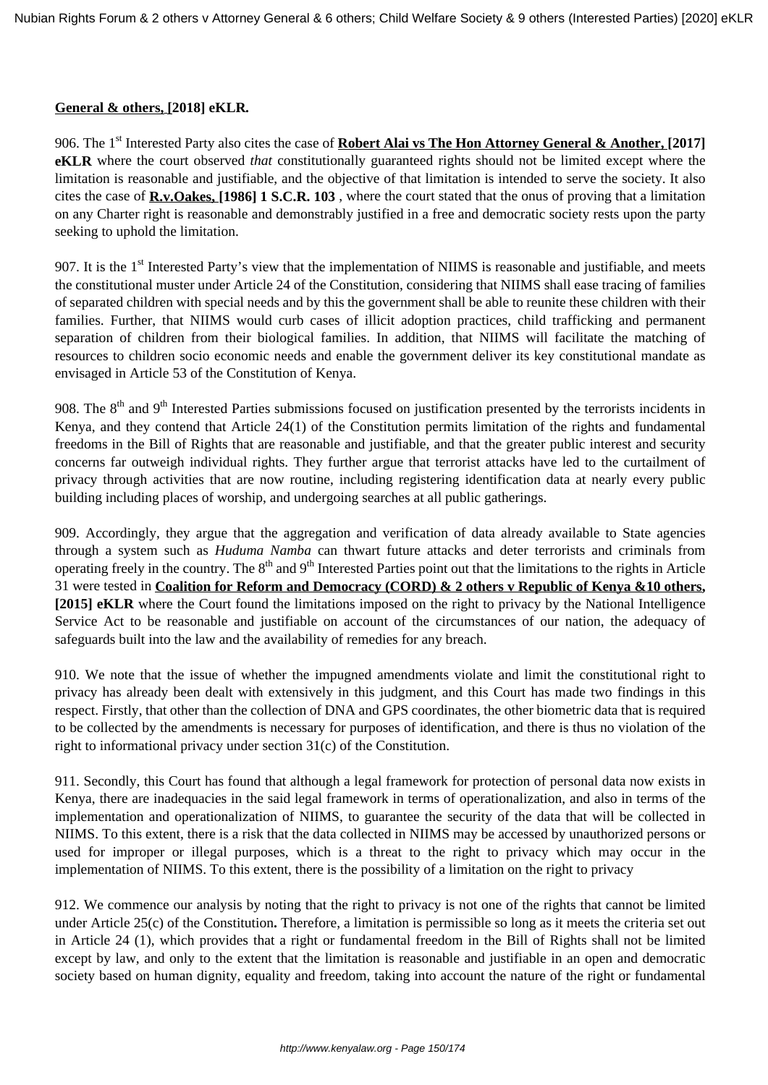#### **General & others, [2018] eKLR***.*

906. The 1<sup>st</sup> Interested Party also cites the case of **Robert Alai vs The Hon Attorney General & Another, [2017] eKLR** where the court observed *that* constitutionally guaranteed rights should not be limited except where the limitation is reasonable and justifiable, and the objective of that limitation is intended to serve the society. It also cites the case of **R.v.Oakes, [1986] 1 S.C.R. 103** , where the court stated that the onus of proving that a limitation on any Charter right is reasonable and demonstrably justified in a free and democratic society rests upon the party seeking to uphold the limitation.

907. It is the  $1<sup>st</sup>$  Interested Party's view that the implementation of NIIMS is reasonable and justifiable, and meets the constitutional muster under Article 24 of the Constitution, considering that NIIMS shall ease tracing of families of separated children with special needs and by this the government shall be able to reunite these children with their families. Further, that NIIMS would curb cases of illicit adoption practices, child trafficking and permanent separation of children from their biological families. In addition, that NIIMS will facilitate the matching of resources to children socio economic needs and enable the government deliver its key constitutional mandate as envisaged in Article 53 of the Constitution of Kenya.

908. The  $8<sup>th</sup>$  and  $9<sup>th</sup>$  Interested Parties submissions focused on justification presented by the terrorists incidents in Kenya, and they contend that Article 24(1) of the Constitution permits limitation of the rights and fundamental freedoms in the Bill of Rights that are reasonable and justifiable, and that the greater public interest and security concerns far outweigh individual rights. They further argue that terrorist attacks have led to the curtailment of privacy through activities that are now routine, including registering identification data at nearly every public building including places of worship, and undergoing searches at all public gatherings.

909. Accordingly, they argue that the aggregation and verification of data already available to State agencies through a system such as *Huduma Namba* can thwart future attacks and deter terrorists and criminals from operating freely in the country. The  $8<sup>th</sup>$  and  $9<sup>th</sup>$  Interested Parties point out that the limitations to the rights in Article 31 were tested in **Coalition for Reform and Democracy (CORD) & 2 others v Republic of Kenya &10 others, [2015] eKLR** where the Court found the limitations imposed on the right to privacy by the National Intelligence Service Act to be reasonable and justifiable on account of the circumstances of our nation, the adequacy of safeguards built into the law and the availability of remedies for any breach.

910. We note that the issue of whether the impugned amendments violate and limit the constitutional right to privacy has already been dealt with extensively in this judgment, and this Court has made two findings in this respect. Firstly, that other than the collection of DNA and GPS coordinates, the other biometric data that is required to be collected by the amendments is necessary for purposes of identification, and there is thus no violation of the right to informational privacy under section 31(c) of the Constitution.

911. Secondly, this Court has found that although a legal framework for protection of personal data now exists in Kenya, there are inadequacies in the said legal framework in terms of operationalization, and also in terms of the implementation and operationalization of NIIMS, to guarantee the security of the data that will be collected in NIIMS. To this extent, there is a risk that the data collected in NIIMS may be accessed by unauthorized persons or used for improper or illegal purposes, which is a threat to the right to privacy which may occur in the implementation of NIIMS. To this extent, there is the possibility of a limitation on the right to privacy

912. We commence our analysis by noting that the right to privacy is not one of the rights that cannot be limited under Article 25(c) of the Constitution**.** Therefore, a limitation is permissible so long as it meets the criteria set out in Article 24 (1), which provides that a right or fundamental freedom in the Bill of Rights shall not be limited except by law, and only to the extent that the limitation is reasonable and justifiable in an open and democratic society based on human dignity, equality and freedom, taking into account the nature of the right or fundamental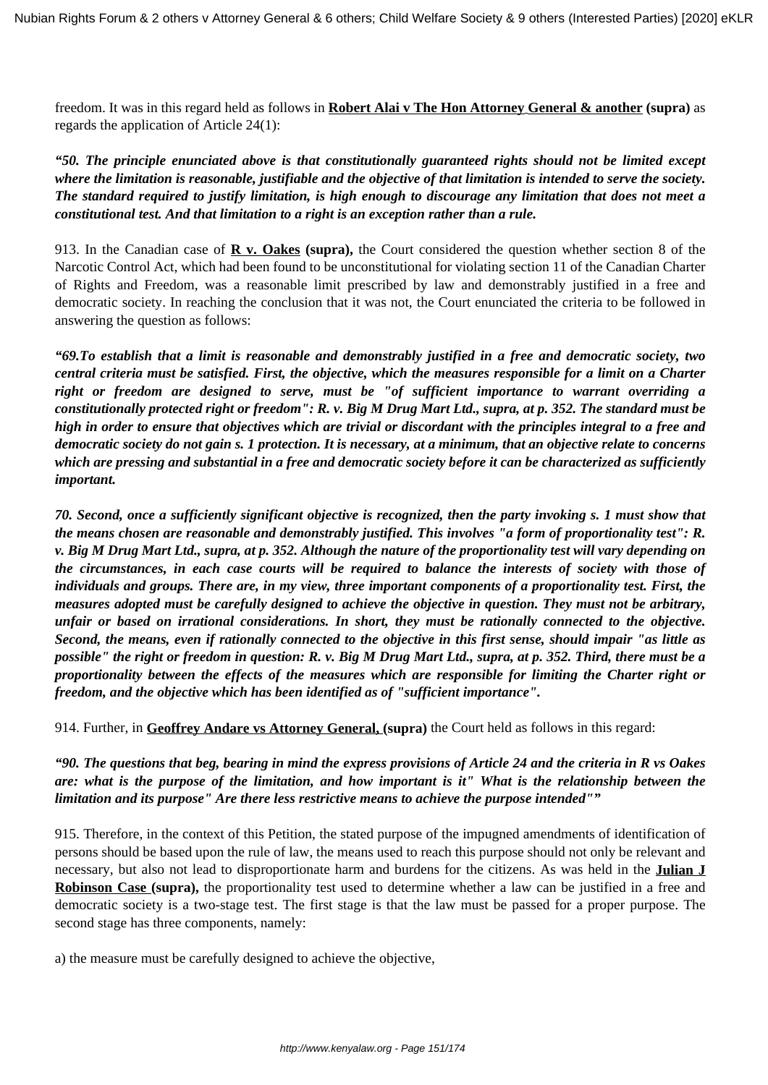freedom. It was in this regard held as follows in **Robert Alai v The Hon Attorney General & another (supra)** as regards the application of Article 24(1):

*"50. The principle enunciated above is that constitutionally guaranteed rights should not be limited except where the limitation is reasonable, justifiable and the objective of that limitation is intended to serve the society. The standard required to justify limitation, is high enough to discourage any limitation that does not meet a constitutional test. And that limitation to a right is an exception rather than a rule.*

913. In the Canadian case of **R v. Oakes (supra),** the Court considered the question whether section 8 of the Narcotic Control Act, which had been found to be unconstitutional for violating section 11 of the Canadian Charter of Rights and Freedom, was a reasonable limit prescribed by law and demonstrably justified in a free and democratic society. In reaching the conclusion that it was not, the Court enunciated the criteria to be followed in answering the question as follows:

*"69.To establish that a limit is reasonable and demonstrably justified in a free and democratic society, two central criteria must be satisfied. First, the objective, which the measures responsible for a limit on a Charter right or freedom are designed to serve, must be "of sufficient importance to warrant overriding a constitutionally protected right or freedom": R. v. Big M Drug Mart Ltd., supra, at p. 352. The standard must be high in order to ensure that objectives which are trivial or discordant with the principles integral to a free and democratic society do not gain s. 1 protection. It is necessary, at a minimum, that an objective relate to concerns which are pressing and substantial in a free and democratic society before it can be characterized as sufficiently important.*

*70. Second, once a sufficiently significant objective is recognized, then the party invoking s. 1 must show that the means chosen are reasonable and demonstrably justified. This involves "a form of proportionality test": R. v. Big M Drug Mart Ltd., supra, at p. 352. Although the nature of the proportionality test will vary depending on the circumstances, in each case courts will be required to balance the interests of society with those of individuals and groups. There are, in my view, three important components of a proportionality test. First, the measures adopted must be carefully designed to achieve the objective in question. They must not be arbitrary, unfair or based on irrational considerations. In short, they must be rationally connected to the objective. Second, the means, even if rationally connected to the objective in this first sense, should impair "as little as possible" the right or freedom in question: R. v. Big M Drug Mart Ltd., supra, at p. 352. Third, there must be a proportionality between the effects of the measures which are responsible for limiting the Charter right or freedom, and the objective which has been identified as of "sufficient importance".*

914. Further, in **Geoffrey Andare vs Attorney General, (supra)** the Court held as follows in this regard:

*"90. The questions that beg, bearing in mind the express provisions of Article 24 and the criteria in R vs Oakes are: what is the purpose of the limitation, and how important is it" What is the relationship between the limitation and its purpose" Are there less restrictive means to achieve the purpose intended""*

915. Therefore, in the context of this Petition, the stated purpose of the impugned amendments of identification of persons should be based upon the rule of law, the means used to reach this purpose should not only be relevant and necessary, but also not lead to disproportionate harm and burdens for the citizens. As was held in the **Julian J Robinson Case (supra),** the proportionality test used to determine whether a law can be justified in a free and democratic society is a two-stage test. The first stage is that the law must be passed for a proper purpose. The second stage has three components, namely:

a) the measure must be carefully designed to achieve the objective,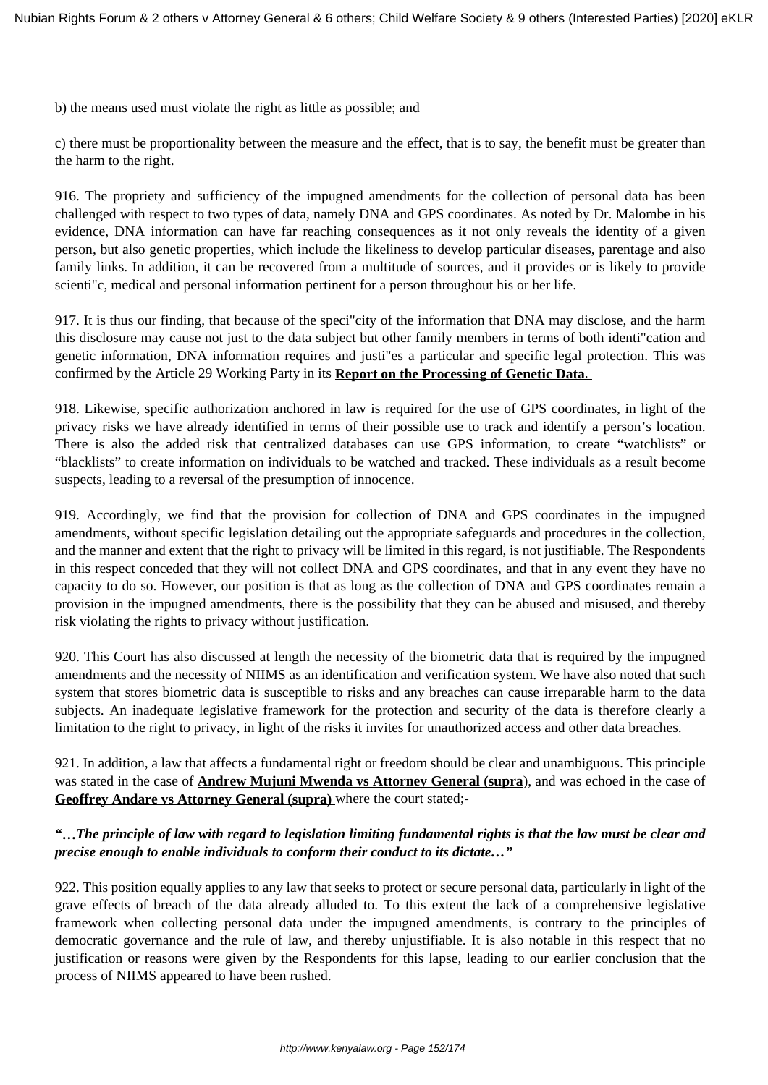b) the means used must violate the right as little as possible; and

c) there must be proportionality between the measure and the effect, that is to say, the benefit must be greater than the harm to the right.

916. The propriety and sufficiency of the impugned amendments for the collection of personal data has been challenged with respect to two types of data, namely DNA and GPS coordinates. As noted by Dr. Malombe in his evidence, DNA information can have far reaching consequences as it not only reveals the identity of a given person, but also genetic properties, which include the likeliness to develop particular diseases, parentage and also family links. In addition, it can be recovered from a multitude of sources, and it provides or is likely to provide scienti"c, medical and personal information pertinent for a person throughout his or her life.

917. It is thus our finding, that because of the speci"city of the information that DNA may disclose, and the harm this disclosure may cause not just to the data subject but other family members in terms of both identi"cation and genetic information, DNA information requires and justi"es a particular and specific legal protection. This was confirmed by the Article 29 Working Party in its **Report on the Processing of Genetic Data**.

918. Likewise, specific authorization anchored in law is required for the use of GPS coordinates, in light of the privacy risks we have already identified in terms of their possible use to track and identify a person's location. There is also the added risk that centralized databases can use GPS information, to create "watchlists" or "blacklists" to create information on individuals to be watched and tracked. These individuals as a result become suspects, leading to a reversal of the presumption of innocence.

919. Accordingly, we find that the provision for collection of DNA and GPS coordinates in the impugned amendments, without specific legislation detailing out the appropriate safeguards and procedures in the collection, and the manner and extent that the right to privacy will be limited in this regard, is not justifiable. The Respondents in this respect conceded that they will not collect DNA and GPS coordinates, and that in any event they have no capacity to do so. However, our position is that as long as the collection of DNA and GPS coordinates remain a provision in the impugned amendments, there is the possibility that they can be abused and misused, and thereby risk violating the rights to privacy without justification.

920. This Court has also discussed at length the necessity of the biometric data that is required by the impugned amendments and the necessity of NIIMS as an identification and verification system. We have also noted that such system that stores biometric data is susceptible to risks and any breaches can cause irreparable harm to the data subjects. An inadequate legislative framework for the protection and security of the data is therefore clearly a limitation to the right to privacy, in light of the risks it invites for unauthorized access and other data breaches.

921. In addition, a law that affects a fundamental right or freedom should be clear and unambiguous. This principle was stated in the case of **Andrew Mujuni Mwenda vs Attorney General (supra**), and was echoed in the case of **Geoffrey Andare vs Attorney General (supra)** where the court stated;-

# *"***…***The principle of law with regard to legislation limiting fundamental rights is that the law must be clear and precise enough to enable individuals to conform their conduct to its dictate…"*

922. This position equally applies to any law that seeks to protect or secure personal data, particularly in light of the grave effects of breach of the data already alluded to. To this extent the lack of a comprehensive legislative framework when collecting personal data under the impugned amendments, is contrary to the principles of democratic governance and the rule of law, and thereby unjustifiable. It is also notable in this respect that no justification or reasons were given by the Respondents for this lapse, leading to our earlier conclusion that the process of NIIMS appeared to have been rushed.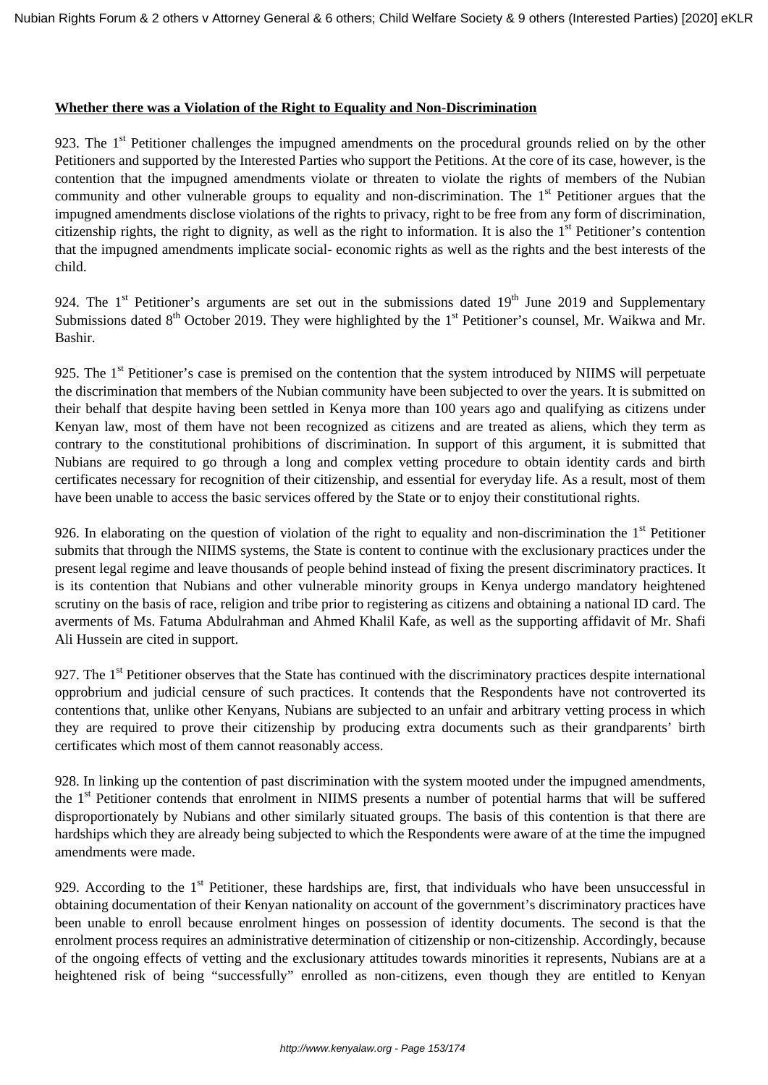#### **Whether there was a Violation of the Right to Equality and Non-Discrimination**

923. The 1<sup>st</sup> Petitioner challenges the impugned amendments on the procedural grounds relied on by the other Petitioners and supported by the Interested Parties who support the Petitions. At the core of its case, however, is the contention that the impugned amendments violate or threaten to violate the rights of members of the Nubian community and other vulnerable groups to equality and non-discrimination. The  $1<sup>st</sup>$  Petitioner argues that the impugned amendments disclose violations of the rights to privacy, right to be free from any form of discrimination, citizenship rights, the right to dignity, as well as the right to information. It is also the 1<sup>st</sup> Petitioner's contention that the impugned amendments implicate social- economic rights as well as the rights and the best interests of the child.

924. The  $1<sup>st</sup>$  Petitioner's arguments are set out in the submissions dated  $19<sup>th</sup>$  June 2019 and Supplementary Submissions dated 8<sup>th</sup> October 2019. They were highlighted by the 1<sup>st</sup> Petitioner's counsel, Mr. Waikwa and Mr. Bashir.

925. The 1<sup>st</sup> Petitioner's case is premised on the contention that the system introduced by NIIMS will perpetuate the discrimination that members of the Nubian community have been subjected to over the years. It is submitted on their behalf that despite having been settled in Kenya more than 100 years ago and qualifying as citizens under Kenyan law, most of them have not been recognized as citizens and are treated as aliens, which they term as contrary to the constitutional prohibitions of discrimination. In support of this argument, it is submitted that Nubians are required to go through a long and complex vetting procedure to obtain identity cards and birth certificates necessary for recognition of their citizenship, and essential for everyday life. As a result, most of them have been unable to access the basic services offered by the State or to enjoy their constitutional rights.

926. In elaborating on the question of violation of the right to equality and non-discrimination the  $1<sup>st</sup>$  Petitioner submits that through the NIIMS systems, the State is content to continue with the exclusionary practices under the present legal regime and leave thousands of people behind instead of fixing the present discriminatory practices. It is its contention that Nubians and other vulnerable minority groups in Kenya undergo mandatory heightened scrutiny on the basis of race, religion and tribe prior to registering as citizens and obtaining a national ID card. The averments of Ms. Fatuma Abdulrahman and Ahmed Khalil Kafe, as well as the supporting affidavit of Mr. Shafi Ali Hussein are cited in support.

927. The 1<sup>st</sup> Petitioner observes that the State has continued with the discriminatory practices despite international opprobrium and judicial censure of such practices. It contends that the Respondents have not controverted its contentions that, unlike other Kenyans, Nubians are subjected to an unfair and arbitrary vetting process in which they are required to prove their citizenship by producing extra documents such as their grandparents' birth certificates which most of them cannot reasonably access.

928. In linking up the contention of past discrimination with the system mooted under the impugned amendments, the 1<sup>st</sup> Petitioner contends that enrolment in NIIMS presents a number of potential harms that will be suffered disproportionately by Nubians and other similarly situated groups. The basis of this contention is that there are hardships which they are already being subjected to which the Respondents were aware of at the time the impugned amendments were made.

929. According to the  $1<sup>st</sup>$  Petitioner, these hardships are, first, that individuals who have been unsuccessful in obtaining documentation of their Kenyan nationality on account of the government's discriminatory practices have been unable to enroll because enrolment hinges on possession of identity documents. The second is that the enrolment process requires an administrative determination of citizenship or non-citizenship. Accordingly, because of the ongoing effects of vetting and the exclusionary attitudes towards minorities it represents, Nubians are at a heightened risk of being "successfully" enrolled as non-citizens, even though they are entitled to Kenyan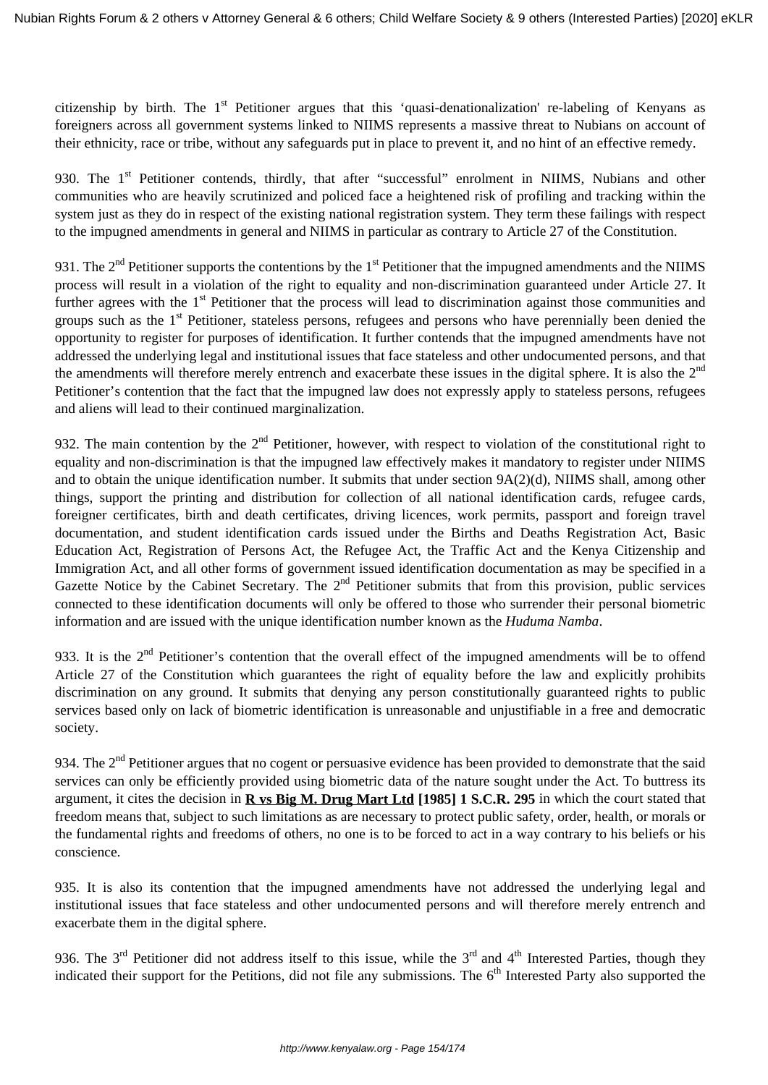citizenship by birth. The  $1<sup>st</sup>$  Petitioner argues that this 'quasi-denationalization' re-labeling of Kenyans as foreigners across all government systems linked to NIIMS represents a massive threat to Nubians on account of their ethnicity, race or tribe, without any safeguards put in place to prevent it, and no hint of an effective remedy.

930. The 1<sup>st</sup> Petitioner contends, thirdly, that after "successful" enrolment in NIIMS, Nubians and other communities who are heavily scrutinized and policed face a heightened risk of profiling and tracking within the system just as they do in respect of the existing national registration system. They term these failings with respect to the impugned amendments in general and NIIMS in particular as contrary to Article 27 of the Constitution.

931. The  $2<sup>nd</sup>$  Petitioner supports the contentions by the  $1<sup>st</sup>$  Petitioner that the impugned amendments and the NIIMS process will result in a violation of the right to equality and non-discrimination guaranteed under Article 27. It further agrees with the 1<sup>st</sup> Petitioner that the process will lead to discrimination against those communities and groups such as the 1<sup>st</sup> Petitioner, stateless persons, refugees and persons who have perennially been denied the opportunity to register for purposes of identification. It further contends that the impugned amendments have not addressed the underlying legal and institutional issues that face stateless and other undocumented persons, and that the amendments will therefore merely entrench and exacerbate these issues in the digital sphere. It is also the 2<sup>nd</sup> Petitioner's contention that the fact that the impugned law does not expressly apply to stateless persons, refugees and aliens will lead to their continued marginalization.

932. The main contention by the  $2<sup>nd</sup>$  Petitioner, however, with respect to violation of the constitutional right to equality and non-discrimination is that the impugned law effectively makes it mandatory to register under NIIMS and to obtain the unique identification number. It submits that under section 9A(2)(d), NIIMS shall, among other things, support the printing and distribution for collection of all national identification cards, refugee cards, foreigner certificates, birth and death certificates, driving licences, work permits, passport and foreign travel documentation, and student identification cards issued under the Births and Deaths Registration Act, Basic Education Act, Registration of Persons Act, the Refugee Act, the Traffic Act and the Kenya Citizenship and Immigration Act, and all other forms of government issued identification documentation as may be specified in a Gazette Notice by the Cabinet Secretary. The  $2<sup>nd</sup>$  Petitioner submits that from this provision, public services connected to these identification documents will only be offered to those who surrender their personal biometric information and are issued with the unique identification number known as the *Huduma Namba*.

933. It is the  $2<sup>nd</sup>$  Petitioner's contention that the overall effect of the impugned amendments will be to offend Article 27 of the Constitution which guarantees the right of equality before the law and explicitly prohibits discrimination on any ground. It submits that denying any person constitutionally guaranteed rights to public services based only on lack of biometric identification is unreasonable and unjustifiable in a free and democratic society.

934. The  $2<sup>nd</sup>$  Petitioner argues that no cogent or persuasive evidence has been provided to demonstrate that the said services can only be efficiently provided using biometric data of the nature sought under the Act. To buttress its argument, it cites the decision in **R vs Big M. Drug Mart Ltd [1985] 1 S.C.R. 295** in which the court stated that freedom means that, subject to such limitations as are necessary to protect public safety, order, health, or morals or the fundamental rights and freedoms of others, no one is to be forced to act in a way contrary to his beliefs or his conscience.

935. It is also its contention that the impugned amendments have not addressed the underlying legal and institutional issues that face stateless and other undocumented persons and will therefore merely entrench and exacerbate them in the digital sphere.

936. The  $3<sup>rd</sup>$  Petitioner did not address itself to this issue, while the  $3<sup>rd</sup>$  and  $4<sup>th</sup>$  Interested Parties, though they indicated their support for the Petitions, did not file any submissions. The  $6<sup>th</sup>$  Interested Party also supported the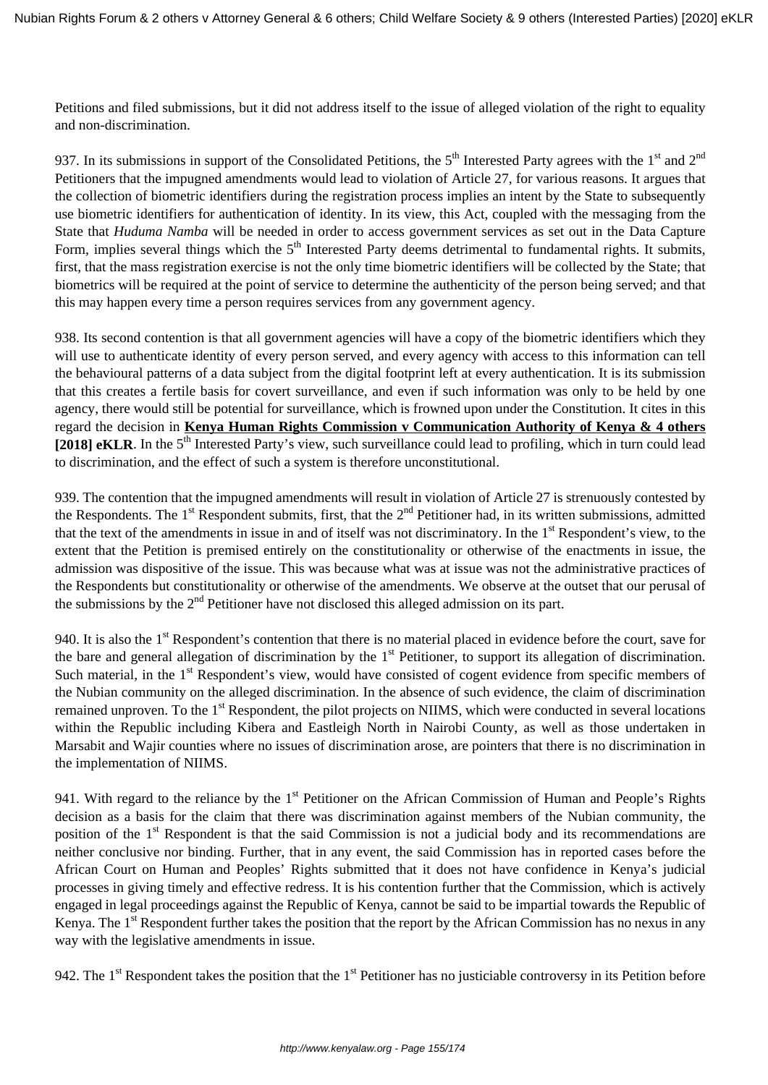Petitions and filed submissions, but it did not address itself to the issue of alleged violation of the right to equality and non-discrimination.

937. In its submissions in support of the Consolidated Petitions, the  $5<sup>th</sup>$  Interested Party agrees with the  $1<sup>st</sup>$  and  $2<sup>nd</sup>$ Petitioners that the impugned amendments would lead to violation of Article 27, for various reasons. It argues that the collection of biometric identifiers during the registration process implies an intent by the State to subsequently use biometric identifiers for authentication of identity. In its view, this Act, coupled with the messaging from the State that *Huduma Namba* will be needed in order to access government services as set out in the Data Capture Form, implies several things which the  $5<sup>th</sup>$  Interested Party deems detrimental to fundamental rights. It submits, first, that the mass registration exercise is not the only time biometric identifiers will be collected by the State; that biometrics will be required at the point of service to determine the authenticity of the person being served; and that this may happen every time a person requires services from any government agency.

938. Its second contention is that all government agencies will have a copy of the biometric identifiers which they will use to authenticate identity of every person served, and every agency with access to this information can tell the behavioural patterns of a data subject from the digital footprint left at every authentication. It is its submission that this creates a fertile basis for covert surveillance, and even if such information was only to be held by one agency, there would still be potential for surveillance, which is frowned upon under the Constitution. It cites in this regard the decision in **Kenya Human Rights Commission v Communication Authority of Kenya & 4 others** [2018] **eKLR**. In the 5<sup>th</sup> Interested Party's view, such surveillance could lead to profiling, which in turn could lead to discrimination, and the effect of such a system is therefore unconstitutional.

939. The contention that the impugned amendments will result in violation of Article 27 is strenuously contested by the Respondents. The 1<sup>st</sup> Respondent submits, first, that the  $2<sup>nd</sup>$  Petitioner had, in its written submissions, admitted that the text of the amendments in issue in and of itself was not discriminatory. In the  $1<sup>st</sup>$  Respondent's view, to the extent that the Petition is premised entirely on the constitutionality or otherwise of the enactments in issue, the admission was dispositive of the issue. This was because what was at issue was not the administrative practices of the Respondents but constitutionality or otherwise of the amendments. We observe at the outset that our perusal of the submissions by the  $2<sup>nd</sup>$  Petitioner have not disclosed this alleged admission on its part.

940. It is also the  $1<sup>st</sup>$  Respondent's contention that there is no material placed in evidence before the court, save for the bare and general allegation of discrimination by the  $1<sup>st</sup>$  Petitioner, to support its allegation of discrimination. Such material, in the 1<sup>st</sup> Respondent's view, would have consisted of cogent evidence from specific members of the Nubian community on the alleged discrimination. In the absence of such evidence, the claim of discrimination remained unproven. To the 1<sup>st</sup> Respondent, the pilot projects on NIIMS, which were conducted in several locations within the Republic including Kibera and Eastleigh North in Nairobi County, as well as those undertaken in Marsabit and Wajir counties where no issues of discrimination arose, are pointers that there is no discrimination in the implementation of NIIMS.

941. With regard to the reliance by the 1<sup>st</sup> Petitioner on the African Commission of Human and People's Rights decision as a basis for the claim that there was discrimination against members of the Nubian community, the position of the 1<sup>st</sup> Respondent is that the said Commission is not a judicial body and its recommendations are neither conclusive nor binding. Further, that in any event, the said Commission has in reported cases before the African Court on Human and Peoples' Rights submitted that it does not have confidence in Kenya's judicial processes in giving timely and effective redress. It is his contention further that the Commission, which is actively engaged in legal proceedings against the Republic of Kenya, cannot be said to be impartial towards the Republic of Kenya. The  $1<sup>st</sup>$  Respondent further takes the position that the report by the African Commission has no nexus in any way with the legislative amendments in issue.

942. The  $1<sup>st</sup>$  Respondent takes the position that the  $1<sup>st</sup>$  Petitioner has no justiciable controversy in its Petition before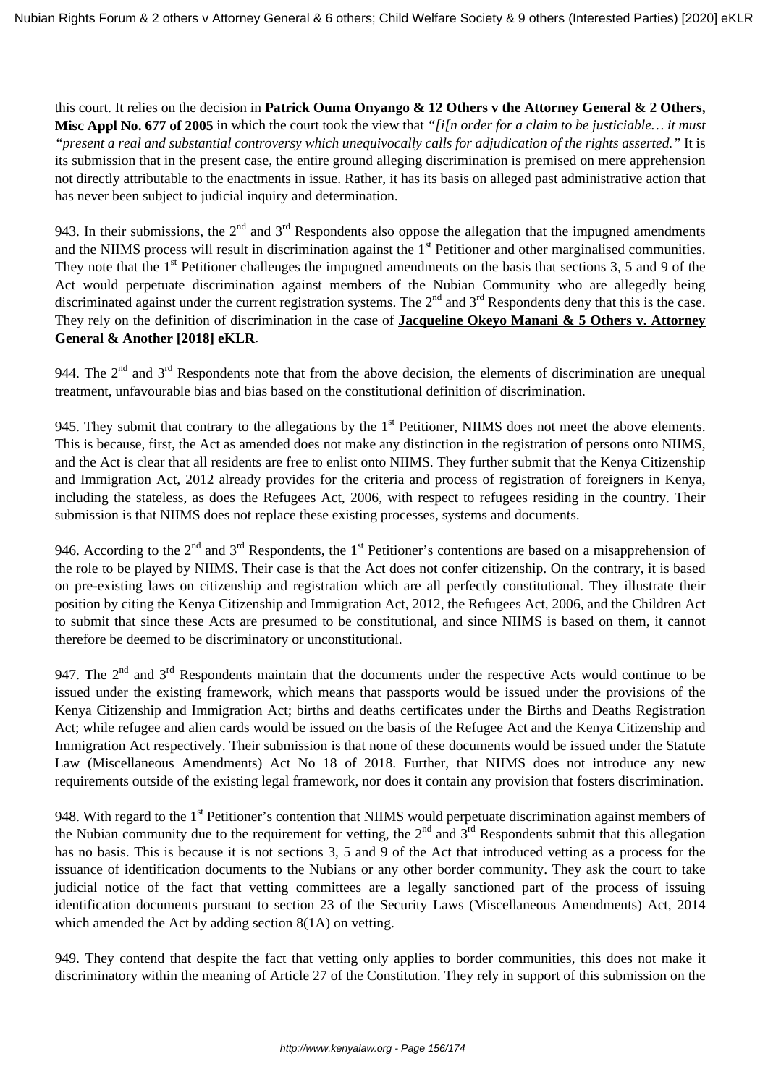this court. It relies on the decision in **Patrick Ouma Onyango & 12 Others v the Attorney General & 2 Others, Misc Appl No. 677 of 2005** in which the court took the view that *"[i[n order for a claim to be justiciable… it must "present a real and substantial controversy which unequivocally calls for adjudication of the rights asserted."* It is its submission that in the present case, the entire ground alleging discrimination is premised on mere apprehension not directly attributable to the enactments in issue. Rather, it has its basis on alleged past administrative action that has never been subject to judicial inquiry and determination.

943. In their submissions, the  $2<sup>nd</sup>$  and  $3<sup>rd</sup>$  Respondents also oppose the allegation that the impugned amendments and the NIIMS process will result in discrimination against the 1<sup>st</sup> Petitioner and other marginalised communities. They note that the  $1<sup>st</sup>$  Petitioner challenges the impugned amendments on the basis that sections 3, 5 and 9 of the Act would perpetuate discrimination against members of the Nubian Community who are allegedly being discriminated against under the current registration systems. The  $2<sup>nd</sup>$  and  $3<sup>rd</sup>$  Respondents deny that this is the case. They rely on the definition of discrimination in the case of **Jacqueline Okeyo Manani & 5 Others v. Attorney General & Another [2018] eKLR**.

944. The  $2<sup>nd</sup>$  and  $3<sup>rd</sup>$  Respondents note that from the above decision, the elements of discrimination are unequal treatment, unfavourable bias and bias based on the constitutional definition of discrimination.

945. They submit that contrary to the allegations by the  $1<sup>st</sup>$  Petitioner, NIIMS does not meet the above elements. This is because, first, the Act as amended does not make any distinction in the registration of persons onto NIIMS, and the Act is clear that all residents are free to enlist onto NIIMS. They further submit that the Kenya Citizenship and Immigration Act, 2012 already provides for the criteria and process of registration of foreigners in Kenya, including the stateless, as does the Refugees Act, 2006, with respect to refugees residing in the country. Their submission is that NIIMS does not replace these existing processes, systems and documents.

946. According to the  $2^{nd}$  and  $3^{rd}$  Respondents, the 1<sup>st</sup> Petitioner's contentions are based on a misapprehension of the role to be played by NIIMS. Their case is that the Act does not confer citizenship. On the contrary, it is based on pre-existing laws on citizenship and registration which are all perfectly constitutional. They illustrate their position by citing the Kenya Citizenship and Immigration Act, 2012, the Refugees Act, 2006, and the Children Act to submit that since these Acts are presumed to be constitutional, and since NIIMS is based on them, it cannot therefore be deemed to be discriminatory or unconstitutional.

947. The  $2<sup>nd</sup>$  and  $3<sup>rd</sup>$  Respondents maintain that the documents under the respective Acts would continue to be issued under the existing framework, which means that passports would be issued under the provisions of the Kenya Citizenship and Immigration Act; births and deaths certificates under the Births and Deaths Registration Act; while refugee and alien cards would be issued on the basis of the Refugee Act and the Kenya Citizenship and Immigration Act respectively. Their submission is that none of these documents would be issued under the Statute Law (Miscellaneous Amendments) Act No 18 of 2018. Further, that NIIMS does not introduce any new requirements outside of the existing legal framework, nor does it contain any provision that fosters discrimination.

948. With regard to the 1<sup>st</sup> Petitioner's contention that NIIMS would perpetuate discrimination against members of the Nubian community due to the requirement for vetting, the  $2<sup>nd</sup>$  and  $3<sup>rd</sup>$  Respondents submit that this allegation has no basis. This is because it is not sections 3, 5 and 9 of the Act that introduced vetting as a process for the issuance of identification documents to the Nubians or any other border community. They ask the court to take judicial notice of the fact that vetting committees are a legally sanctioned part of the process of issuing identification documents pursuant to section 23 of the Security Laws (Miscellaneous Amendments) Act, 2014 which amended the Act by adding section 8(1A) on vetting.

949. They contend that despite the fact that vetting only applies to border communities, this does not make it discriminatory within the meaning of Article 27 of the Constitution. They rely in support of this submission on the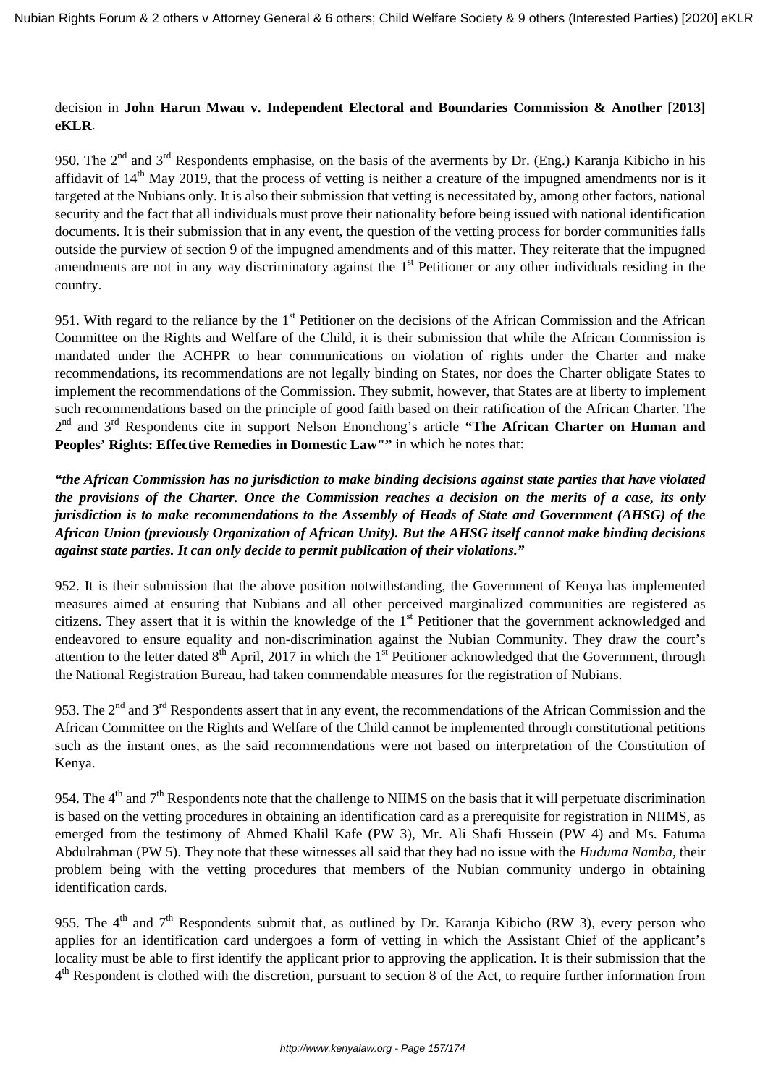# decision in **John Harun Mwau v. Independent Electoral and Boundaries Commission & Another** [**2013] eKLR**.

950. The 2<sup>nd</sup> and 3<sup>rd</sup> Respondents emphasise, on the basis of the averments by Dr. (Eng.) Karanja Kibicho in his affidavit of  $14<sup>th</sup>$  May 2019, that the process of vetting is neither a creature of the impugned amendments nor is it targeted at the Nubians only. It is also their submission that vetting is necessitated by, among other factors, national security and the fact that all individuals must prove their nationality before being issued with national identification documents. It is their submission that in any event, the question of the vetting process for border communities falls outside the purview of section 9 of the impugned amendments and of this matter. They reiterate that the impugned amendments are not in any way discriminatory against the  $1<sup>st</sup>$  Petitioner or any other individuals residing in the country.

951. With regard to the reliance by the 1<sup>st</sup> Petitioner on the decisions of the African Commission and the African Committee on the Rights and Welfare of the Child, it is their submission that while the African Commission is mandated under the ACHPR to hear communications on violation of rights under the Charter and make recommendations, its recommendations are not legally binding on States, nor does the Charter obligate States to implement the recommendations of the Commission. They submit, however, that States are at liberty to implement such recommendations based on the principle of good faith based on their ratification of the African Charter. The 2 nd and 3rd Respondents cite in support Nelson Enonchong's article **"The African Charter on Human and** Peoples' Rights: Effective Remedies in Domestic Law"" in which he notes that:

*"the African Commission has no jurisdiction to make binding decisions against state parties that have violated the provisions of the Charter. Once the Commission reaches a decision on the merits of a case, its only jurisdiction is to make recommendations to the Assembly of Heads of State and Government (AHSG) of the African Union (previously Organization of African Unity). But the AHSG itself cannot make binding decisions against state parties. It can only decide to permit publication of their violations."*

952. It is their submission that the above position notwithstanding, the Government of Kenya has implemented measures aimed at ensuring that Nubians and all other perceived marginalized communities are registered as citizens. They assert that it is within the knowledge of the 1<sup>st</sup> Petitioner that the government acknowledged and endeavored to ensure equality and non-discrimination against the Nubian Community. They draw the court's attention to the letter dated  $8<sup>th</sup>$  April, 2017 in which the 1<sup>st</sup> Petitioner acknowledged that the Government, through the National Registration Bureau, had taken commendable measures for the registration of Nubians.

953. The  $2<sup>nd</sup>$  and  $3<sup>rd</sup>$  Respondents assert that in any event, the recommendations of the African Commission and the African Committee on the Rights and Welfare of the Child cannot be implemented through constitutional petitions such as the instant ones, as the said recommendations were not based on interpretation of the Constitution of Kenya.

954. The  $4<sup>th</sup>$  and  $7<sup>th</sup>$  Respondents note that the challenge to NIIMS on the basis that it will perpetuate discrimination is based on the vetting procedures in obtaining an identification card as a prerequisite for registration in NIIMS, as emerged from the testimony of Ahmed Khalil Kafe (PW 3), Mr. Ali Shafi Hussein (PW 4) and Ms. Fatuma Abdulrahman (PW 5). They note that these witnesses all said that they had no issue with the *Huduma Namba*, their problem being with the vetting procedures that members of the Nubian community undergo in obtaining identification cards.

955. The  $4<sup>th</sup>$  and  $7<sup>th</sup>$  Respondents submit that, as outlined by Dr. Karanja Kibicho (RW 3), every person who applies for an identification card undergoes a form of vetting in which the Assistant Chief of the applicant's locality must be able to first identify the applicant prior to approving the application. It is their submission that the 4<sup>th</sup> Respondent is clothed with the discretion, pursuant to section 8 of the Act, to require further information from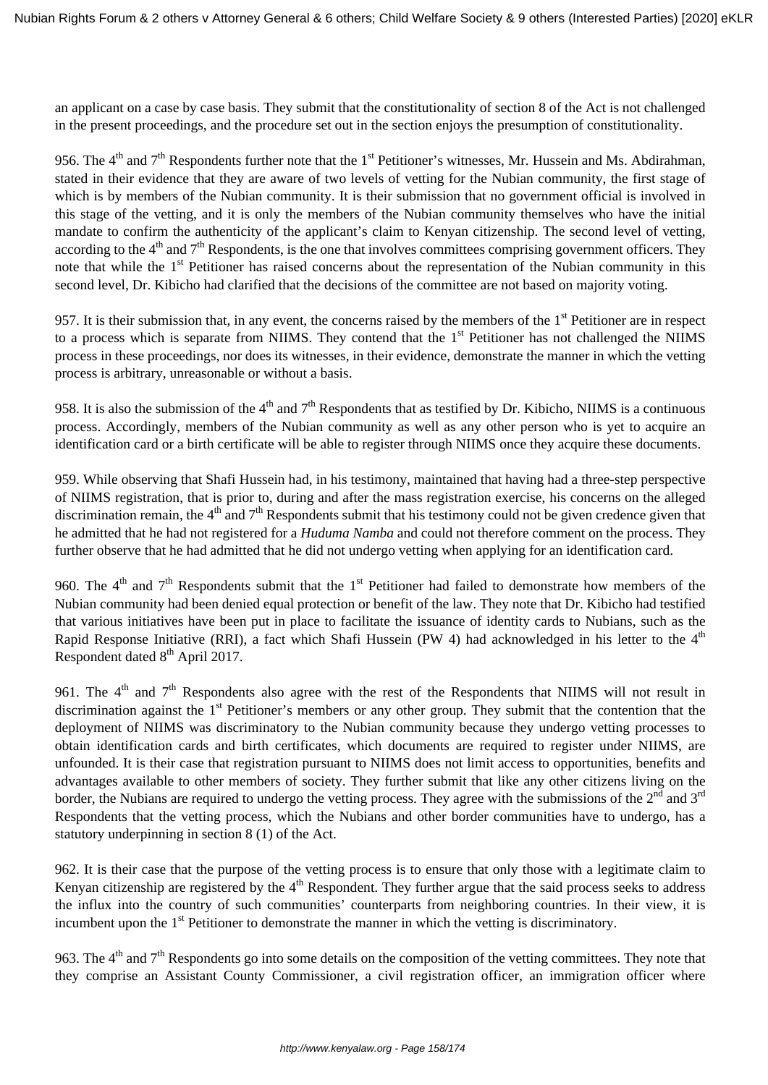an applicant on a case by case basis. They submit that the constitutionality of section 8 of the Act is not challenged in the present proceedings, and the procedure set out in the section enjoys the presumption of constitutionality.

956. The  $4<sup>th</sup>$  and  $7<sup>th</sup>$  Respondents further note that the  $1<sup>st</sup>$  Petitioner's witnesses, Mr. Hussein and Ms. Abdirahman, stated in their evidence that they are aware of two levels of vetting for the Nubian community, the first stage of which is by members of the Nubian community. It is their submission that no government official is involved in this stage of the vetting, and it is only the members of the Nubian community themselves who have the initial mandate to confirm the authenticity of the applicant's claim to Kenyan citizenship. The second level of vetting, according to the  $4<sup>th</sup>$  and  $7<sup>th</sup>$  Respondents, is the one that involves committees comprising government officers. They note that while the 1<sup>st</sup> Petitioner has raised concerns about the representation of the Nubian community in this second level, Dr. Kibicho had clarified that the decisions of the committee are not based on majority voting.

957. It is their submission that, in any event, the concerns raised by the members of the  $1<sup>st</sup>$  Petitioner are in respect to a process which is separate from NIIMS. They contend that the 1<sup>st</sup> Petitioner has not challenged the NIIMS process in these proceedings, nor does its witnesses, in their evidence, demonstrate the manner in which the vetting process is arbitrary, unreasonable or without a basis.

958. It is also the submission of the  $4<sup>th</sup>$  and  $7<sup>th</sup>$  Respondents that as testified by Dr. Kibicho, NIIMS is a continuous process. Accordingly, members of the Nubian community as well as any other person who is yet to acquire an identification card or a birth certificate will be able to register through NIIMS once they acquire these documents.

959. While observing that Shafi Hussein had, in his testimony, maintained that having had a three-step perspective of NIIMS registration, that is prior to, during and after the mass registration exercise, his concerns on the alleged discrimination remain, the  $4<sup>th</sup>$  and  $7<sup>th</sup>$  Respondents submit that his testimony could not be given credence given that he admitted that he had not registered for a *Huduma Namba* and could not therefore comment on the process. They further observe that he had admitted that he did not undergo vetting when applying for an identification card.

960. The  $4<sup>th</sup>$  and  $7<sup>th</sup>$  Respondents submit that the  $1<sup>st</sup>$  Petitioner had failed to demonstrate how members of the Nubian community had been denied equal protection or benefit of the law. They note that Dr. Kibicho had testified that various initiatives have been put in place to facilitate the issuance of identity cards to Nubians, such as the Rapid Response Initiative (RRI), a fact which Shafi Hussein (PW 4) had acknowledged in his letter to the  $4<sup>th</sup>$ Respondent dated  $8<sup>th</sup>$  April 2017.

961. The  $4<sup>th</sup>$  and  $7<sup>th</sup>$  Respondents also agree with the rest of the Respondents that NIIMS will not result in discrimination against the 1<sup>st</sup> Petitioner's members or any other group. They submit that the contention that the deployment of NIIMS was discriminatory to the Nubian community because they undergo vetting processes to obtain identification cards and birth certificates, which documents are required to register under NIIMS, are unfounded. It is their case that registration pursuant to NIIMS does not limit access to opportunities, benefits and advantages available to other members of society. They further submit that like any other citizens living on the border, the Nubians are required to undergo the vetting process. They agree with the submissions of the  $2<sup>nd</sup>$  and  $3<sup>rd</sup>$ Respondents that the vetting process, which the Nubians and other border communities have to undergo, has a statutory underpinning in section 8 (1) of the Act.

962. It is their case that the purpose of the vetting process is to ensure that only those with a legitimate claim to Kenyan citizenship are registered by the  $4<sup>th</sup>$  Respondent. They further argue that the said process seeks to address the influx into the country of such communities' counterparts from neighboring countries. In their view, it is incumbent upon the 1<sup>st</sup> Petitioner to demonstrate the manner in which the vetting is discriminatory.

963. The  $4<sup>th</sup>$  and  $7<sup>th</sup>$  Respondents go into some details on the composition of the vetting committees. They note that they comprise an Assistant County Commissioner, a civil registration officer, an immigration officer where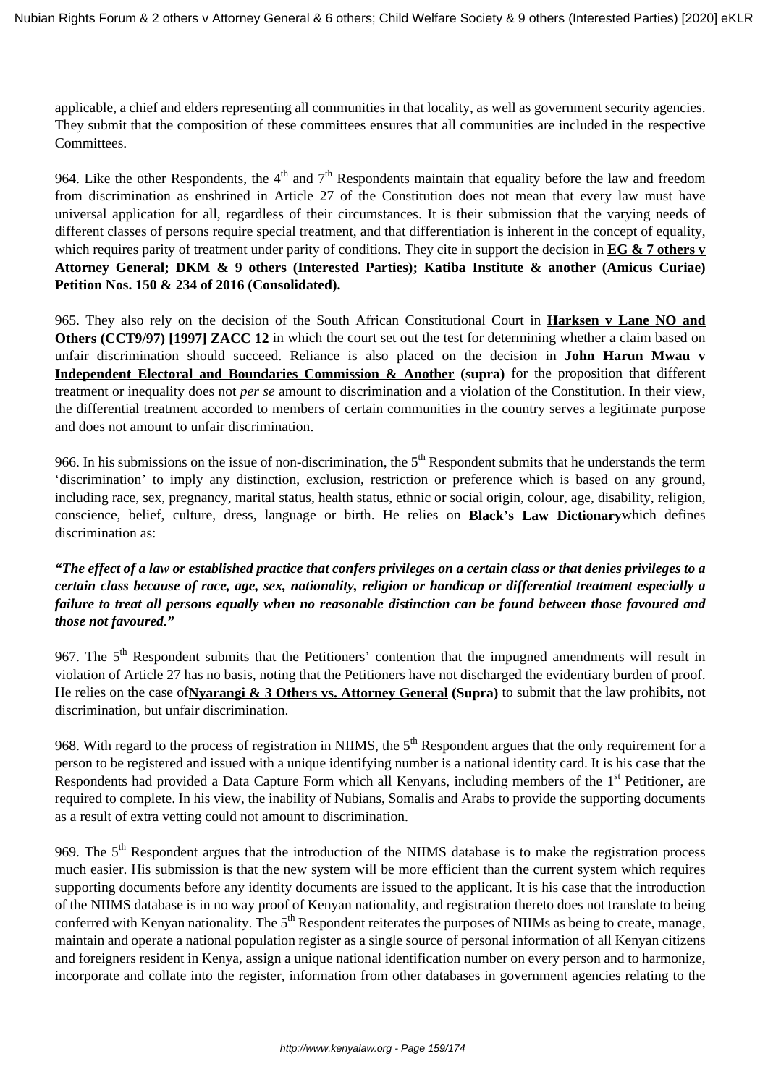applicable, a chief and elders representing all communities in that locality, as well as government security agencies. They submit that the composition of these committees ensures that all communities are included in the respective Committees.

964. Like the other Respondents, the  $4<sup>th</sup>$  and  $7<sup>th</sup>$  Respondents maintain that equality before the law and freedom from discrimination as enshrined in Article 27 of the Constitution does not mean that every law must have universal application for all, regardless of their circumstances. It is their submission that the varying needs of different classes of persons require special treatment, and that differentiation is inherent in the concept of equality, which requires parity of treatment under parity of conditions. They cite in support the decision in **EG & 7 others v Attorney General; DKM & 9 others (Interested Parties); Katiba Institute & another (Amicus Curiae) Petition Nos. 150 & 234 of 2016 (Consolidated).** 

965. They also rely on the decision of the South African Constitutional Court in **Harksen v Lane NO and Others (CCT9/97) [1997] ZACC 12** in which the court set out the test for determining whether a claim based on unfair discrimination should succeed. Reliance is also placed on the decision in **John Harun Mwau v Independent Electoral and Boundaries Commission & Another (supra)** for the proposition that different treatment or inequality does not *per se* amount to discrimination and a violation of the Constitution. In their view, the differential treatment accorded to members of certain communities in the country serves a legitimate purpose and does not amount to unfair discrimination.

966. In his submissions on the issue of non-discrimination, the  $5<sup>th</sup>$  Respondent submits that he understands the term 'discrimination' to imply any distinction, exclusion, restriction or preference which is based on any ground, including race, sex, pregnancy, marital status, health status, ethnic or social origin, colour, age, disability, religion, conscience, belief, culture, dress, language or birth. He relies on **Black's Law Dictionary**which defines discrimination as:

*"The effect of a law or established practice that confers privileges on a certain class or that denies privileges to a certain class because of race, age, sex, nationality, religion or handicap or differential treatment especially a failure to treat all persons equally when no reasonable distinction can be found between those favoured and those not favoured."*

967. The 5<sup>th</sup> Respondent submits that the Petitioners' contention that the impugned amendments will result in violation of Article 27 has no basis, noting that the Petitioners have not discharged the evidentiary burden of proof. He relies on the case of**Nyarangi & 3 Others vs. Attorney General (Supra)** to submit that the law prohibits, not discrimination, but unfair discrimination.

968. With regard to the process of registration in NIIMS, the  $5<sup>th</sup>$  Respondent argues that the only requirement for a person to be registered and issued with a unique identifying number is a national identity card. It is his case that the Respondents had provided a Data Capture Form which all Kenyans, including members of the 1<sup>st</sup> Petitioner, are required to complete. In his view, the inability of Nubians, Somalis and Arabs to provide the supporting documents as a result of extra vetting could not amount to discrimination.

969. The 5<sup>th</sup> Respondent argues that the introduction of the NIIMS database is to make the registration process much easier. His submission is that the new system will be more efficient than the current system which requires supporting documents before any identity documents are issued to the applicant. It is his case that the introduction of the NIIMS database is in no way proof of Kenyan nationality, and registration thereto does not translate to being conferred with Kenyan nationality. The  $5<sup>th</sup>$  Respondent reiterates the purposes of NIIMs as being to create, manage, maintain and operate a national population register as a single source of personal information of all Kenyan citizens and foreigners resident in Kenya, assign a unique national identification number on every person and to harmonize, incorporate and collate into the register, information from other databases in government agencies relating to the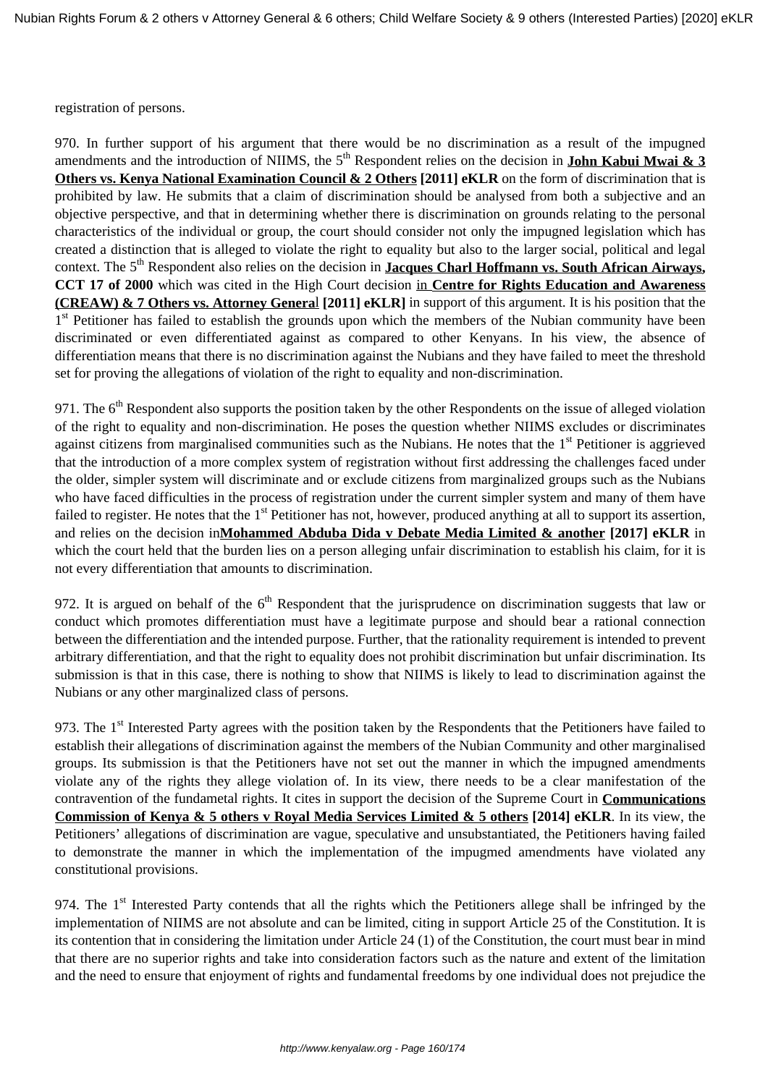registration of persons.

970. In further support of his argument that there would be no discrimination as a result of the impugned amendments and the introduction of NIIMS, the  $5<sup>th</sup>$  Respondent relies on the decision in **John Kabui Mwai & 3 Others vs. Kenya National Examination Council & 2 Others [2011] eKLR** on the form of discrimination that is prohibited by law. He submits that a claim of discrimination should be analysed from both a subjective and an objective perspective, and that in determining whether there is discrimination on grounds relating to the personal characteristics of the individual or group, the court should consider not only the impugned legislation which has created a distinction that is alleged to violate the right to equality but also to the larger social, political and legal context. The 5<sup>th</sup> Respondent also relies on the decision in **Jacques Charl Hoffmann vs. South African Airways, CCT 17 of 2000** which was cited in the High Court decision in **Centre for Rights Education and Awareness (CREAW) & 7 Others vs. Attorney Genera**l **[2011] eKLR]** in support of this argument. It is his position that the 1<sup>st</sup> Petitioner has failed to establish the grounds upon which the members of the Nubian community have been discriminated or even differentiated against as compared to other Kenyans. In his view, the absence of differentiation means that there is no discrimination against the Nubians and they have failed to meet the threshold set for proving the allegations of violation of the right to equality and non-discrimination.

971. The  $6<sup>th</sup>$  Respondent also supports the position taken by the other Respondents on the issue of alleged violation of the right to equality and non-discrimination. He poses the question whether NIIMS excludes or discriminates against citizens from marginalised communities such as the Nubians. He notes that the 1<sup>st</sup> Petitioner is aggrieved that the introduction of a more complex system of registration without first addressing the challenges faced under the older, simpler system will discriminate and or exclude citizens from marginalized groups such as the Nubians who have faced difficulties in the process of registration under the current simpler system and many of them have failed to register. He notes that the  $1<sup>st</sup>$  Petitioner has not, however, produced anything at all to support its assertion, and relies on the decision in**Mohammed Abduba Dida v Debate Media Limited & another [2017] eKLR** in which the court held that the burden lies on a person alleging unfair discrimination to establish his claim, for it is not every differentiation that amounts to discrimination.

972. It is argued on behalf of the  $6<sup>th</sup>$  Respondent that the jurisprudence on discrimination suggests that law or conduct which promotes differentiation must have a legitimate purpose and should bear a rational connection between the differentiation and the intended purpose. Further, that the rationality requirement is intended to prevent arbitrary differentiation, and that the right to equality does not prohibit discrimination but unfair discrimination. Its submission is that in this case, there is nothing to show that NIIMS is likely to lead to discrimination against the Nubians or any other marginalized class of persons.

973. The 1<sup>st</sup> Interested Party agrees with the position taken by the Respondents that the Petitioners have failed to establish their allegations of discrimination against the members of the Nubian Community and other marginalised groups. Its submission is that the Petitioners have not set out the manner in which the impugned amendments violate any of the rights they allege violation of. In its view, there needs to be a clear manifestation of the contravention of the fundametal rights. It cites in support the decision of the Supreme Court in **Communications Commission of Kenya & 5 others v Royal Media Services Limited & 5 others [2014] eKLR**. In its view, the Petitioners' allegations of discrimination are vague, speculative and unsubstantiated, the Petitioners having failed to demonstrate the manner in which the implementation of the impugmed amendments have violated any constitutional provisions.

974. The 1<sup>st</sup> Interested Party contends that all the rights which the Petitioners allege shall be infringed by the implementation of NIIMS are not absolute and can be limited, citing in support Article 25 of the Constitution. It is its contention that in considering the limitation under Article 24 (1) of the Constitution, the court must bear in mind that there are no superior rights and take into consideration factors such as the nature and extent of the limitation and the need to ensure that enjoyment of rights and fundamental freedoms by one individual does not prejudice the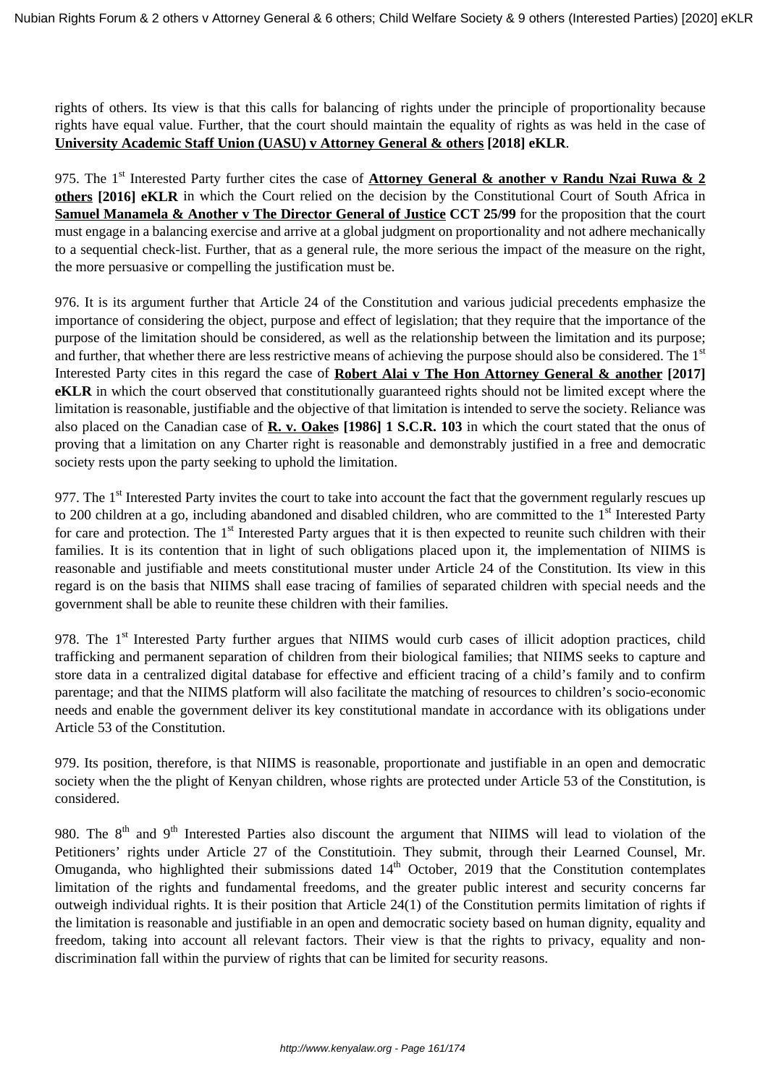rights of others. Its view is that this calls for balancing of rights under the principle of proportionality because rights have equal value. Further, that the court should maintain the equality of rights as was held in the case of **University Academic Staff Union (UASU) v Attorney General & others [2018] eKLR**.

975. The 1<sup>st</sup> Interested Party further cites the case of **Attorney General & another v Randu Nzai Ruwa & 2 others [2016] eKLR** in which the Court relied on the decision by the Constitutional Court of South Africa in **Samuel Manamela & Another v The Director General of Justice CCT 25/99** for the proposition that the court must engage in a balancing exercise and arrive at a global judgment on proportionality and not adhere mechanically to a sequential check-list. Further, that as a general rule, the more serious the impact of the measure on the right, the more persuasive or compelling the justification must be.

976. It is its argument further that Article 24 of the Constitution and various judicial precedents emphasize the importance of considering the object, purpose and effect of legislation; that they require that the importance of the purpose of the limitation should be considered, as well as the relationship between the limitation and its purpose; and further, that whether there are less restrictive means of achieving the purpose should also be considered. The 1<sup>st</sup> Interested Party cites in this regard the case of **Robert Alai v The Hon Attorney General & another [2017] eKLR** in which the court observed that constitutionally guaranteed rights should not be limited except where the limitation is reasonable, justifiable and the objective of that limitation is intended to serve the society. Reliance was also placed on the Canadian case of **R. v. Oakes [1986] 1 S.C.R. 103** in which the court stated that the onus of proving that a limitation on any Charter right is reasonable and demonstrably justified in a free and democratic society rests upon the party seeking to uphold the limitation.

977. The  $1<sup>st</sup>$  Interested Party invites the court to take into account the fact that the government regularly rescues up to 200 children at a go, including abandoned and disabled children, who are committed to the 1<sup>st</sup> Interested Party for care and protection. The  $1<sup>st</sup>$  Interested Party argues that it is then expected to reunite such children with their families. It is its contention that in light of such obligations placed upon it, the implementation of NIIMS is reasonable and justifiable and meets constitutional muster under Article 24 of the Constitution. Its view in this regard is on the basis that NIIMS shall ease tracing of families of separated children with special needs and the government shall be able to reunite these children with their families.

978. The 1<sup>st</sup> Interested Party further argues that NIIMS would curb cases of illicit adoption practices, child trafficking and permanent separation of children from their biological families; that NIIMS seeks to capture and store data in a centralized digital database for effective and efficient tracing of a child's family and to confirm parentage; and that the NIIMS platform will also facilitate the matching of resources to children's socio-economic needs and enable the government deliver its key constitutional mandate in accordance with its obligations under Article 53 of the Constitution.

979. Its position, therefore, is that NIIMS is reasonable, proportionate and justifiable in an open and democratic society when the the plight of Kenyan children, whose rights are protected under Article 53 of the Constitution, is considered.

980. The 8<sup>th</sup> and 9<sup>th</sup> Interested Parties also discount the argument that NIIMS will lead to violation of the Petitioners' rights under Article 27 of the Constitutioin. They submit, through their Learned Counsel, Mr. Omuganda, who highlighted their submissions dated  $14<sup>th</sup>$  October, 2019 that the Constitution contemplates limitation of the rights and fundamental freedoms, and the greater public interest and security concerns far outweigh individual rights. It is their position that Article 24(1) of the Constitution permits limitation of rights if the limitation is reasonable and justifiable in an open and democratic society based on human dignity, equality and freedom, taking into account all relevant factors. Their view is that the rights to privacy, equality and nondiscrimination fall within the purview of rights that can be limited for security reasons.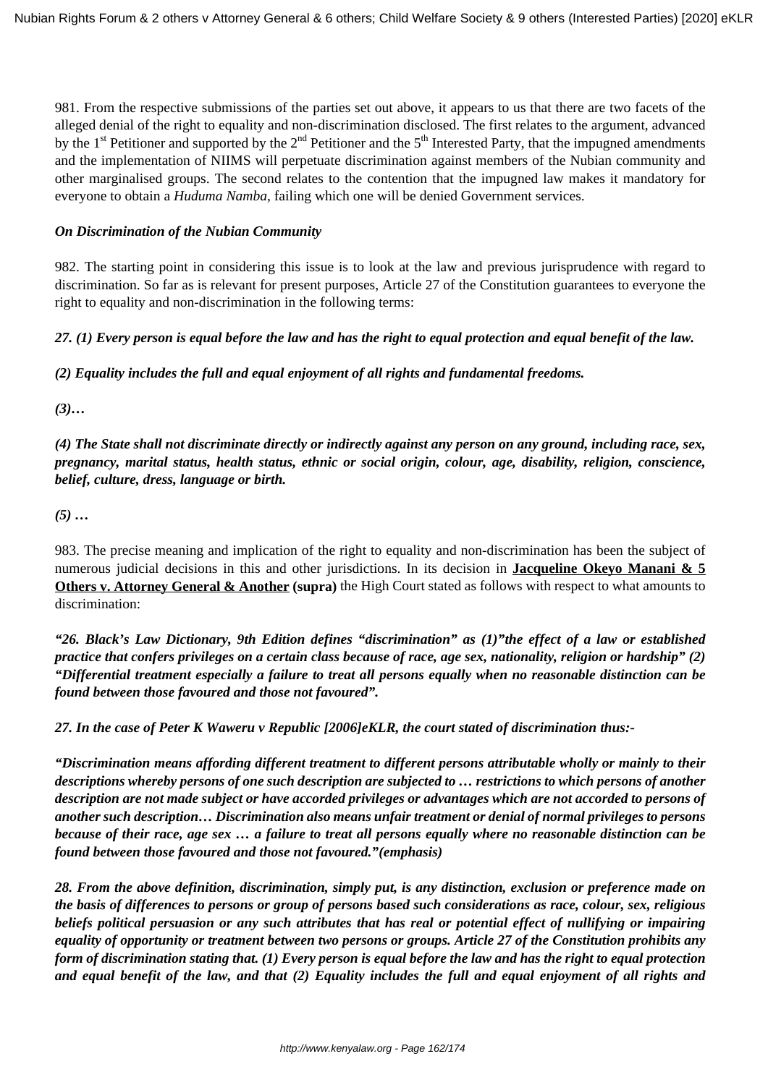981. From the respective submissions of the parties set out above, it appears to us that there are two facets of the alleged denial of the right to equality and non-discrimination disclosed. The first relates to the argument, advanced by the  $1<sup>st</sup>$  Petitioner and supported by the  $2<sup>nd</sup>$  Petitioner and the  $5<sup>th</sup>$  Interested Party, that the impugned amendments and the implementation of NIIMS will perpetuate discrimination against members of the Nubian community and other marginalised groups. The second relates to the contention that the impugned law makes it mandatory for everyone to obtain a *Huduma Namba*, failing which one will be denied Government services.

## *On Discrimination of the Nubian Community*

982. The starting point in considering this issue is to look at the law and previous jurisprudence with regard to discrimination. So far as is relevant for present purposes, Article 27 of the Constitution guarantees to everyone the right to equality and non-discrimination in the following terms:

# *27. (1) Every person is equal before the law and has the right to equal protection and equal benefit of the law.*

*(2) Equality includes the full and equal enjoyment of all rights and fundamental freedoms.*

*(3)…*

*(4) The State shall not discriminate directly or indirectly against any person on any ground, including race, sex, pregnancy, marital status, health status, ethnic or social origin, colour, age, disability, religion, conscience, belief, culture, dress, language or birth.*

*(5) …*

983. The precise meaning and implication of the right to equality and non-discrimination has been the subject of numerous judicial decisions in this and other jurisdictions. In its decision in **Jacqueline Okeyo Manani & 5 Others v. Attorney General & Another (supra)** the High Court stated as follows with respect to what amounts to discrimination:

*"26. Black's Law Dictionary, 9th Edition defines "discrimination" as (1)"the effect of a law or established practice that confers privileges on a certain class because of race, age sex, nationality, religion or hardship" (2) "Differential treatment especially a failure to treat all persons equally when no reasonable distinction can be found between those favoured and those not favoured".* 

*27. In the case of Peter K Waweru v Republic [2006]eKLR, the court stated of discrimination thus:-*

*"Discrimination means affording different treatment to different persons attributable wholly or mainly to their descriptions whereby persons of one such description are subjected to … restrictions to which persons of another description are not made subject or have accorded privileges or advantages which are not accorded to persons of another such description… Discrimination also means unfair treatment or denial of normal privileges to persons because of their race, age sex … a failure to treat all persons equally where no reasonable distinction can be found between those favoured and those not favoured."(emphasis)*

*28. From the above definition, discrimination, simply put, is any distinction, exclusion or preference made on the basis of differences to persons or group of persons based such considerations as race, colour, sex, religious beliefs political persuasion or any such attributes that has real or potential effect of nullifying or impairing equality of opportunity or treatment between two persons or groups. Article 27 of the Constitution prohibits any form of discrimination stating that. (1) Every person is equal before the law and has the right to equal protection and equal benefit of the law, and that (2) Equality includes the full and equal enjoyment of all rights and*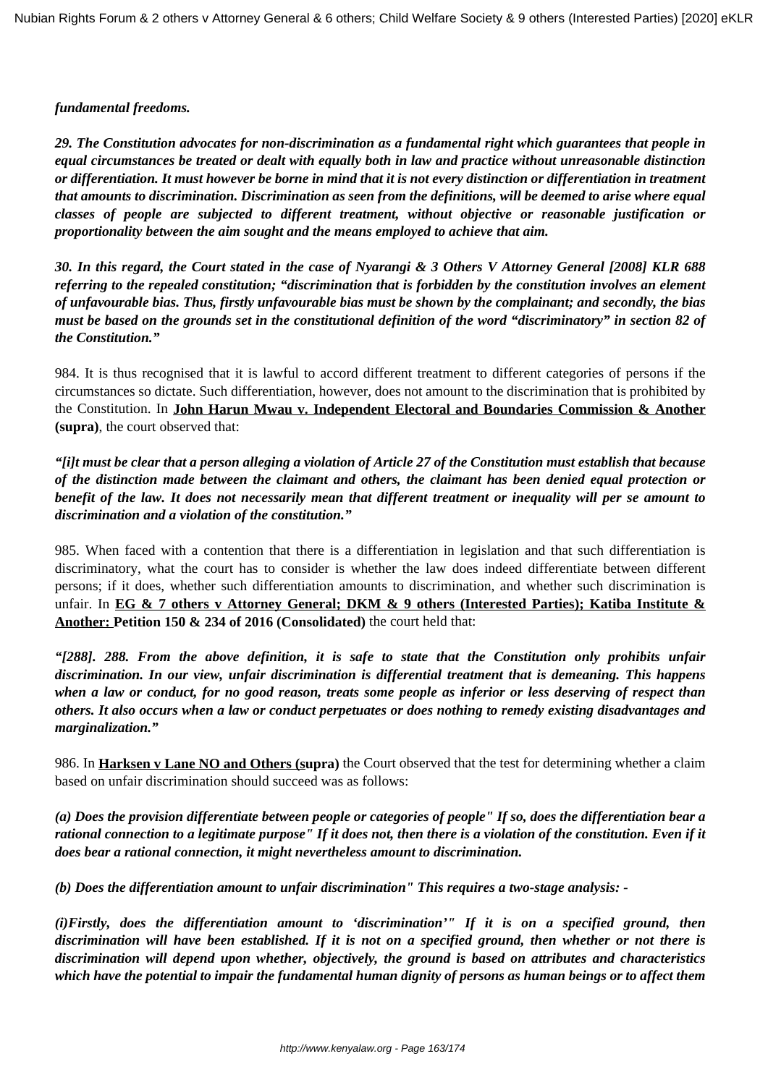#### *fundamental freedoms.*

*29. The Constitution advocates for non-discrimination as a fundamental right which guarantees that people in equal circumstances be treated or dealt with equally both in law and practice without unreasonable distinction or differentiation. It must however be borne in mind that it is not every distinction or differentiation in treatment that amounts to discrimination. Discrimination as seen from the definitions, will be deemed to arise where equal classes of people are subjected to different treatment, without objective or reasonable justification or proportionality between the aim sought and the means employed to achieve that aim.*

*30. In this regard, the Court stated in the case of Nyarangi & 3 Others V Attorney General [2008] KLR 688 referring to the repealed constitution; "discrimination that is forbidden by the constitution involves an element of unfavourable bias. Thus, firstly unfavourable bias must be shown by the complainant; and secondly, the bias must be based on the grounds set in the constitutional definition of the word "discriminatory" in section 82 of the Constitution."*

984. It is thus recognised that it is lawful to accord different treatment to different categories of persons if the circumstances so dictate. Such differentiation, however, does not amount to the discrimination that is prohibited by the Constitution. In **John Harun Mwau v. Independent Electoral and Boundaries Commission & Another (supra)**, the court observed that:

*"[i]t must be clear that a person alleging a violation of Article 27 of the Constitution must establish that because of the distinction made between the claimant and others, the claimant has been denied equal protection or benefit of the law. It does not necessarily mean that different treatment or inequality will per se amount to discrimination and a violation of the constitution."* 

985. When faced with a contention that there is a differentiation in legislation and that such differentiation is discriminatory, what the court has to consider is whether the law does indeed differentiate between different persons; if it does, whether such differentiation amounts to discrimination, and whether such discrimination is unfair. In **EG & 7 others v Attorney General; DKM & 9 others (Interested Parties); Katiba Institute & Another: Petition 150 & 234 of 2016 (Consolidated)** the court held that:

*"[288]. 288. From the above definition, it is safe to state that the Constitution only prohibits unfair discrimination. In our view, unfair discrimination is differential treatment that is demeaning. This happens when a law or conduct, for no good reason, treats some people as inferior or less deserving of respect than others. It also occurs when a law or conduct perpetuates or does nothing to remedy existing disadvantages and marginalization."* 

986. In **Harksen v Lane NO and Others (supra)** the Court observed that the test for determining whether a claim based on unfair discrimination should succeed was as follows:

*(a) Does the provision differentiate between people or categories of people" If so, does the differentiation bear a rational connection to a legitimate purpose" If it does not, then there is a violation of the constitution. Even if it does bear a rational connection, it might nevertheless amount to discrimination.*

*(b) Does the differentiation amount to unfair discrimination" This requires a two-stage analysis: -*

*(i)Firstly, does the differentiation amount to 'discrimination'" If it is on a specified ground, then discrimination will have been established. If it is not on a specified ground, then whether or not there is discrimination will depend upon whether, objectively, the ground is based on attributes and characteristics which have the potential to impair the fundamental human dignity of persons as human beings or to affect them*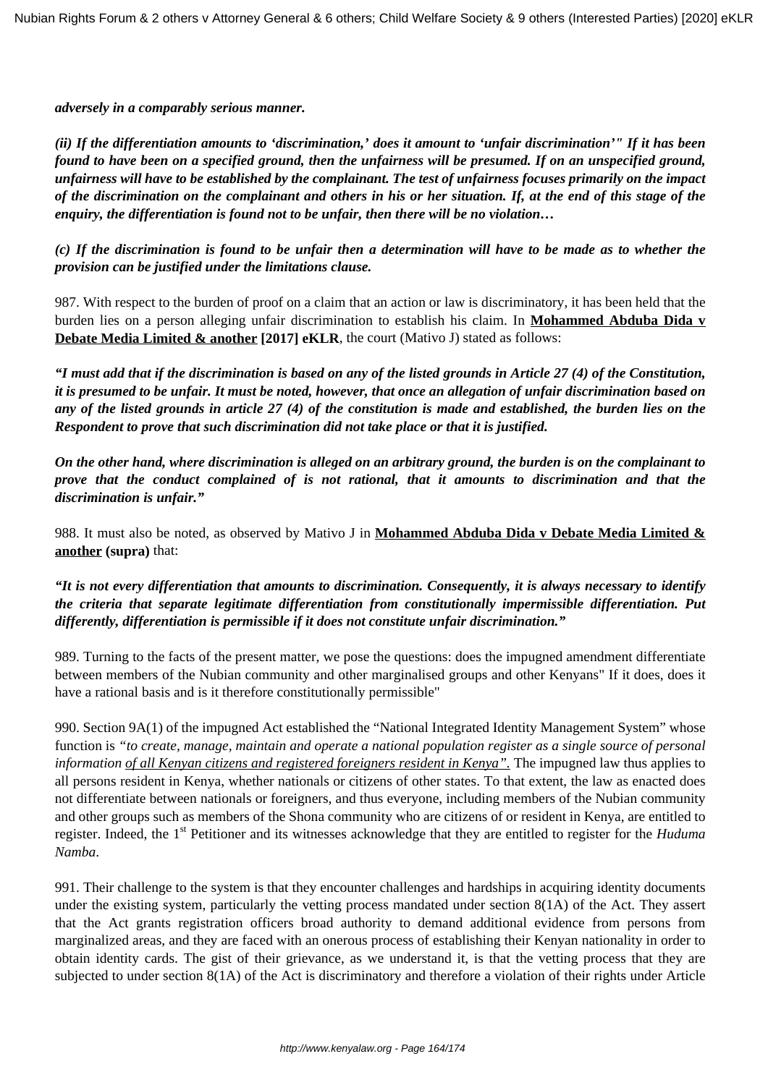*adversely in a comparably serious manner.*

*(ii) If the differentiation amounts to 'discrimination,' does it amount to 'unfair discrimination'" If it has been found to have been on a specified ground, then the unfairness will be presumed. If on an unspecified ground, unfairness will have to be established by the complainant. The test of unfairness focuses primarily on the impact of the discrimination on the complainant and others in his or her situation. If, at the end of this stage of the enquiry, the differentiation is found not to be unfair, then there will be no violation…*

*(c) If the discrimination is found to be unfair then a determination will have to be made as to whether the provision can be justified under the limitations clause.*

987. With respect to the burden of proof on a claim that an action or law is discriminatory, it has been held that the burden lies on a person alleging unfair discrimination to establish his claim. In **Mohammed Abduba Dida v Debate Media Limited & another [2017] eKLR**, the court (Mativo J) stated as follows:

*"I must add that if the discrimination is based on any of the listed grounds in Article 27 (4) of the Constitution, it is presumed to be unfair. It must be noted, however, that once an allegation of unfair discrimination based on any of the listed grounds in article 27 (4) of the constitution is made and established, the burden lies on the Respondent to prove that such discrimination did not take place or that it is justified.*

*On the other hand, where discrimination is alleged on an arbitrary ground, the burden is on the complainant to prove that the conduct complained of is not rational, that it amounts to discrimination and that the discrimination is unfair."*

988. It must also be noted, as observed by Mativo J in **Mohammed Abduba Dida v Debate Media Limited & another (supra)** that:

*"It is not every differentiation that amounts to discrimination. Consequently, it is always necessary to identify the criteria that separate legitimate differentiation from constitutionally impermissible differentiation. Put differently, differentiation is permissible if it does not constitute unfair discrimination."*

989. Turning to the facts of the present matter, we pose the questions: does the impugned amendment differentiate between members of the Nubian community and other marginalised groups and other Kenyans" If it does, does it have a rational basis and is it therefore constitutionally permissible"

990. Section 9A(1) of the impugned Act established the "National Integrated Identity Management System" whose function is *"to create, manage, maintain and operate a national population register as a single source of personal information of all Kenyan citizens and registered foreigners resident in Kenya".* The impugned law thus applies to all persons resident in Kenya, whether nationals or citizens of other states. To that extent, the law as enacted does not differentiate between nationals or foreigners, and thus everyone, including members of the Nubian community and other groups such as members of the Shona community who are citizens of or resident in Kenya, are entitled to register. Indeed, the 1st Petitioner and its witnesses acknowledge that they are entitled to register for the *Huduma Namba*.

991. Their challenge to the system is that they encounter challenges and hardships in acquiring identity documents under the existing system, particularly the vetting process mandated under section 8(1A) of the Act. They assert that the Act grants registration officers broad authority to demand additional evidence from persons from marginalized areas, and they are faced with an onerous process of establishing their Kenyan nationality in order to obtain identity cards. The gist of their grievance, as we understand it, is that the vetting process that they are subjected to under section 8(1A) of the Act is discriminatory and therefore a violation of their rights under Article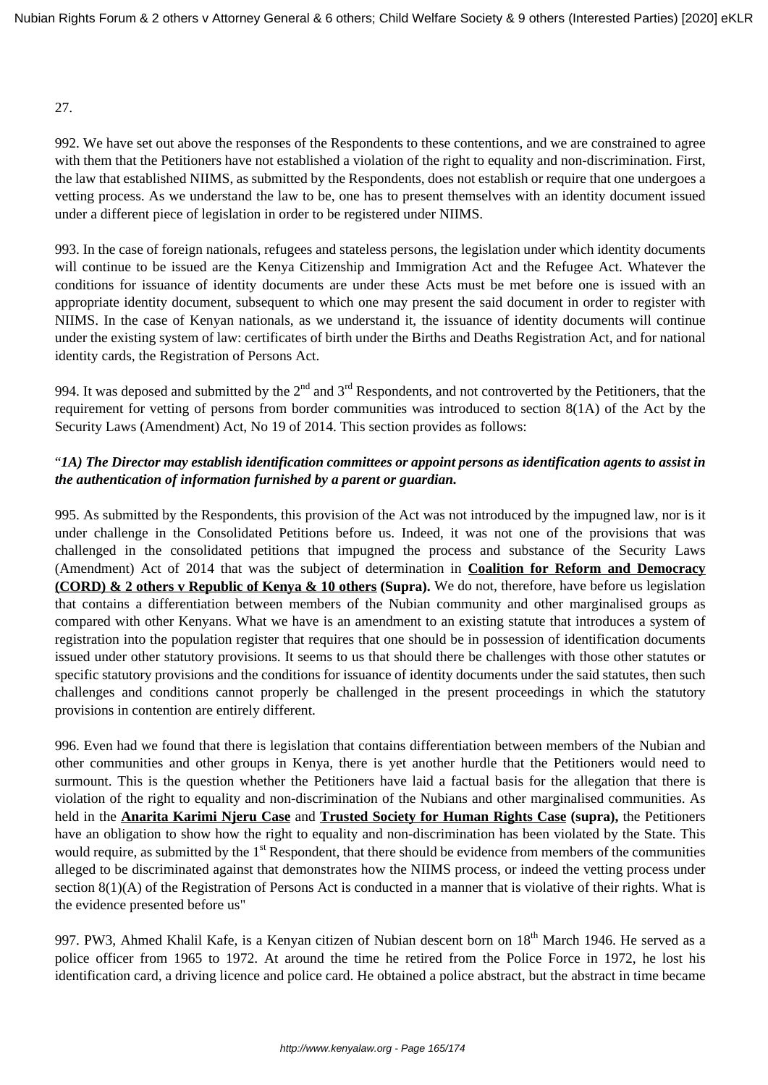## 27.

992. We have set out above the responses of the Respondents to these contentions, and we are constrained to agree with them that the Petitioners have not established a violation of the right to equality and non-discrimination. First, the law that established NIIMS, as submitted by the Respondents, does not establish or require that one undergoes a vetting process. As we understand the law to be, one has to present themselves with an identity document issued under a different piece of legislation in order to be registered under NIIMS.

993. In the case of foreign nationals, refugees and stateless persons, the legislation under which identity documents will continue to be issued are the Kenya Citizenship and Immigration Act and the Refugee Act. Whatever the conditions for issuance of identity documents are under these Acts must be met before one is issued with an appropriate identity document, subsequent to which one may present the said document in order to register with NIIMS. In the case of Kenyan nationals, as we understand it, the issuance of identity documents will continue under the existing system of law: certificates of birth under the Births and Deaths Registration Act, and for national identity cards, the Registration of Persons Act.

994. It was deposed and submitted by the  $2<sup>nd</sup>$  and  $3<sup>rd</sup>$  Respondents, and not controverted by the Petitioners, that the requirement for vetting of persons from border communities was introduced to section 8(1A) of the Act by the Security Laws (Amendment) Act, No 19 of 2014. This section provides as follows:

# "*1A) The Director may establish identification committees or appoint persons as identification agents to assist in the authentication of information furnished by a parent or guardian.*

995. As submitted by the Respondents, this provision of the Act was not introduced by the impugned law, nor is it under challenge in the Consolidated Petitions before us. Indeed, it was not one of the provisions that was challenged in the consolidated petitions that impugned the process and substance of the Security Laws (Amendment) Act of 2014 that was the subject of determination in **Coalition for Reform and Democracy (CORD) & 2 others v Republic of Kenya & 10 others (Supra).** We do not, therefore, have before us legislation that contains a differentiation between members of the Nubian community and other marginalised groups as compared with other Kenyans. What we have is an amendment to an existing statute that introduces a system of registration into the population register that requires that one should be in possession of identification documents issued under other statutory provisions. It seems to us that should there be challenges with those other statutes or specific statutory provisions and the conditions for issuance of identity documents under the said statutes, then such challenges and conditions cannot properly be challenged in the present proceedings in which the statutory provisions in contention are entirely different.

996. Even had we found that there is legislation that contains differentiation between members of the Nubian and other communities and other groups in Kenya, there is yet another hurdle that the Petitioners would need to surmount. This is the question whether the Petitioners have laid a factual basis for the allegation that there is violation of the right to equality and non-discrimination of the Nubians and other marginalised communities. As held in the **Anarita Karimi Njeru Case** and **Trusted Society for Human Rights Case (supra),** the Petitioners have an obligation to show how the right to equality and non-discrimination has been violated by the State. This would require, as submitted by the 1<sup>st</sup> Respondent, that there should be evidence from members of the communities alleged to be discriminated against that demonstrates how the NIIMS process, or indeed the vetting process under section 8(1)(A) of the Registration of Persons Act is conducted in a manner that is violative of their rights. What is the evidence presented before us"

997. PW3, Ahmed Khalil Kafe, is a Kenyan citizen of Nubian descent born on 18<sup>th</sup> March 1946. He served as a police officer from 1965 to 1972. At around the time he retired from the Police Force in 1972, he lost his identification card, a driving licence and police card. He obtained a police abstract, but the abstract in time became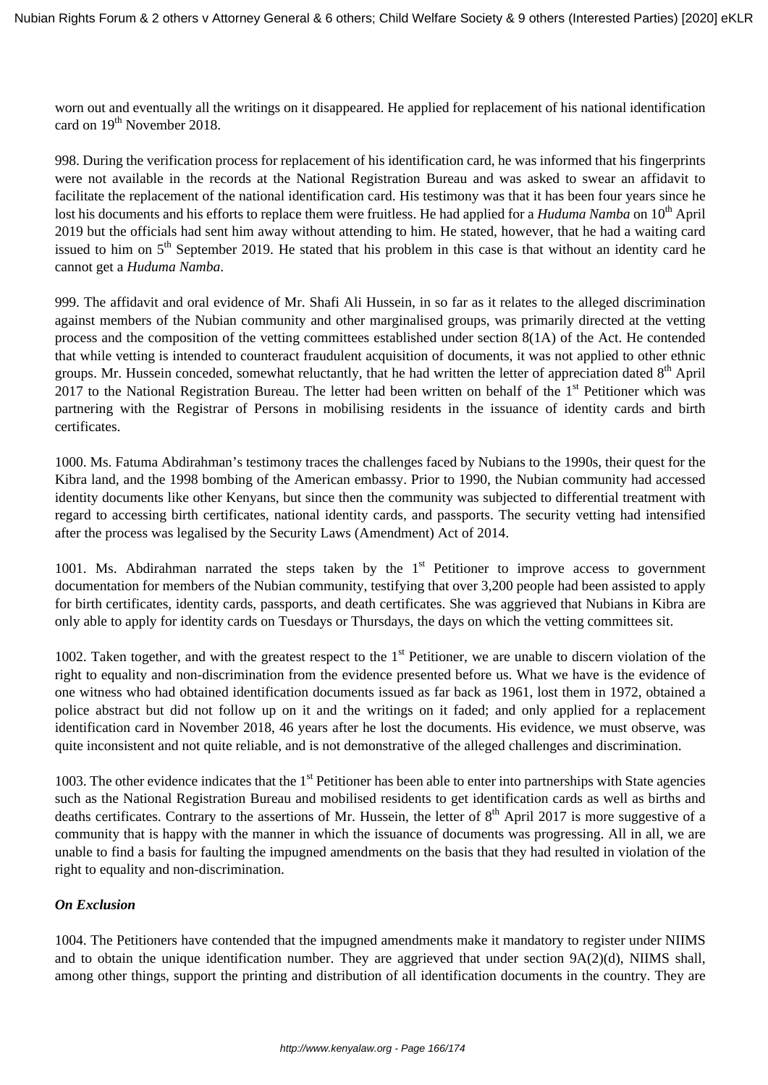worn out and eventually all the writings on it disappeared. He applied for replacement of his national identification card on 19<sup>th</sup> November 2018.

998. During the verification process for replacement of his identification card, he was informed that his fingerprints were not available in the records at the National Registration Bureau and was asked to swear an affidavit to facilitate the replacement of the national identification card. His testimony was that it has been four years since he lost his documents and his efforts to replace them were fruitless. He had applied for a *Huduma Namba* on 10<sup>th</sup> April 2019 but the officials had sent him away without attending to him. He stated, however, that he had a waiting card issued to him on 5<sup>th</sup> September 2019. He stated that his problem in this case is that without an identity card he cannot get a *Huduma Namba*.

999. The affidavit and oral evidence of Mr. Shafi Ali Hussein, in so far as it relates to the alleged discrimination against members of the Nubian community and other marginalised groups, was primarily directed at the vetting process and the composition of the vetting committees established under section 8(1A) of the Act. He contended that while vetting is intended to counteract fraudulent acquisition of documents, it was not applied to other ethnic groups. Mr. Hussein conceded, somewhat reluctantly, that he had written the letter of appreciation dated  $8<sup>th</sup>$  April 2017 to the National Registration Bureau. The letter had been written on behalf of the  $1<sup>st</sup>$  Petitioner which was partnering with the Registrar of Persons in mobilising residents in the issuance of identity cards and birth certificates.

1000. Ms. Fatuma Abdirahman's testimony traces the challenges faced by Nubians to the 1990s, their quest for the Kibra land, and the 1998 bombing of the American embassy. Prior to 1990, the Nubian community had accessed identity documents like other Kenyans, but since then the community was subjected to differential treatment with regard to accessing birth certificates, national identity cards, and passports. The security vetting had intensified after the process was legalised by the Security Laws (Amendment) Act of 2014.

1001. Ms. Abdirahman narrated the steps taken by the  $1<sup>st</sup>$  Petitioner to improve access to government documentation for members of the Nubian community, testifying that over 3,200 people had been assisted to apply for birth certificates, identity cards, passports, and death certificates. She was aggrieved that Nubians in Kibra are only able to apply for identity cards on Tuesdays or Thursdays, the days on which the vetting committees sit.

1002. Taken together, and with the greatest respect to the  $1<sup>st</sup>$  Petitioner, we are unable to discern violation of the right to equality and non-discrimination from the evidence presented before us. What we have is the evidence of one witness who had obtained identification documents issued as far back as 1961, lost them in 1972, obtained a police abstract but did not follow up on it and the writings on it faded; and only applied for a replacement identification card in November 2018, 46 years after he lost the documents. His evidence, we must observe, was quite inconsistent and not quite reliable, and is not demonstrative of the alleged challenges and discrimination.

1003. The other evidence indicates that the  $1<sup>st</sup>$  Petitioner has been able to enter into partnerships with State agencies such as the National Registration Bureau and mobilised residents to get identification cards as well as births and deaths certificates. Contrary to the assertions of Mr. Hussein, the letter of  $8<sup>th</sup>$  April 2017 is more suggestive of a community that is happy with the manner in which the issuance of documents was progressing. All in all, we are unable to find a basis for faulting the impugned amendments on the basis that they had resulted in violation of the right to equality and non-discrimination.

# *On Exclusion*

1004. The Petitioners have contended that the impugned amendments make it mandatory to register under NIIMS and to obtain the unique identification number. They are aggrieved that under section 9A(2)(d), NIIMS shall, among other things, support the printing and distribution of all identification documents in the country. They are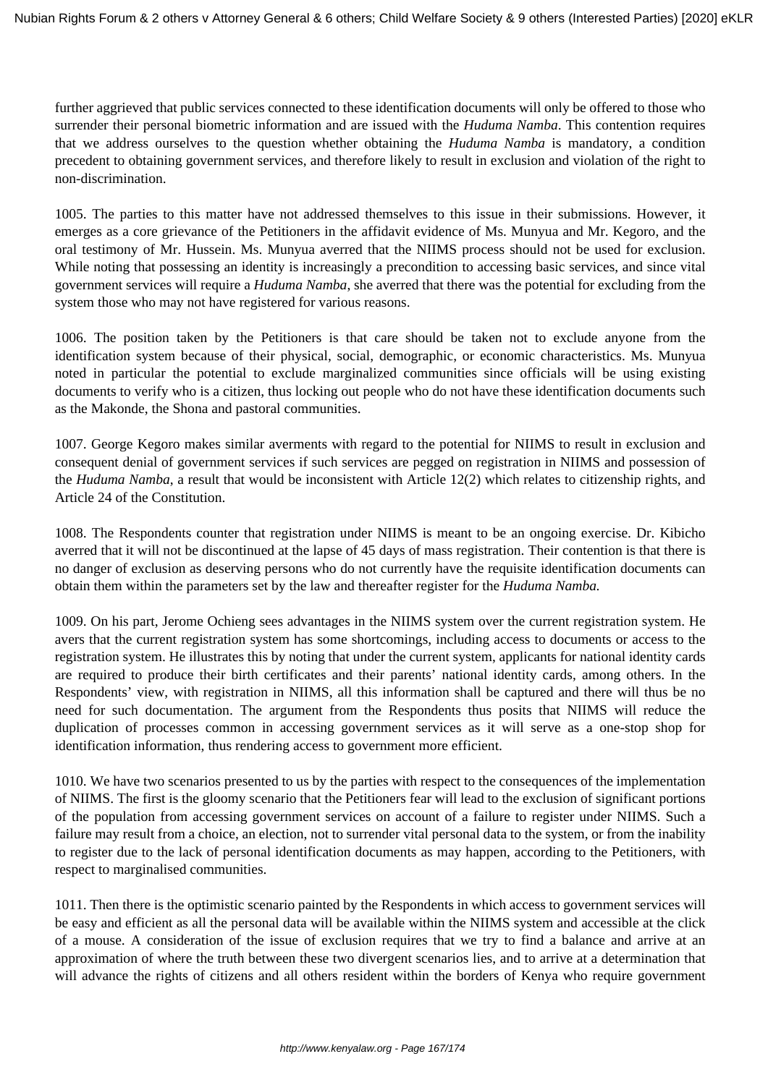further aggrieved that public services connected to these identification documents will only be offered to those who surrender their personal biometric information and are issued with the *Huduma Namba*. This contention requires that we address ourselves to the question whether obtaining the *Huduma Namba* is mandatory, a condition precedent to obtaining government services, and therefore likely to result in exclusion and violation of the right to non-discrimination.

1005. The parties to this matter have not addressed themselves to this issue in their submissions. However, it emerges as a core grievance of the Petitioners in the affidavit evidence of Ms. Munyua and Mr. Kegoro, and the oral testimony of Mr. Hussein. Ms. Munyua averred that the NIIMS process should not be used for exclusion. While noting that possessing an identity is increasingly a precondition to accessing basic services, and since vital government services will require a *Huduma Namba*, she averred that there was the potential for excluding from the system those who may not have registered for various reasons.

1006. The position taken by the Petitioners is that care should be taken not to exclude anyone from the identification system because of their physical, social, demographic, or economic characteristics. Ms. Munyua noted in particular the potential to exclude marginalized communities since officials will be using existing documents to verify who is a citizen, thus locking out people who do not have these identification documents such as the Makonde, the Shona and pastoral communities.

1007. George Kegoro makes similar averments with regard to the potential for NIIMS to result in exclusion and consequent denial of government services if such services are pegged on registration in NIIMS and possession of the *Huduma Namba*, a result that would be inconsistent with Article 12(2) which relates to citizenship rights, and Article 24 of the Constitution.

1008. The Respondents counter that registration under NIIMS is meant to be an ongoing exercise. Dr. Kibicho averred that it will not be discontinued at the lapse of 45 days of mass registration. Their contention is that there is no danger of exclusion as deserving persons who do not currently have the requisite identification documents can obtain them within the parameters set by the law and thereafter register for the *Huduma Namba.* 

1009. On his part, Jerome Ochieng sees advantages in the NIIMS system over the current registration system. He avers that the current registration system has some shortcomings, including access to documents or access to the registration system. He illustrates this by noting that under the current system, applicants for national identity cards are required to produce their birth certificates and their parents' national identity cards, among others. In the Respondents' view, with registration in NIIMS, all this information shall be captured and there will thus be no need for such documentation. The argument from the Respondents thus posits that NIIMS will reduce the duplication of processes common in accessing government services as it will serve as a one-stop shop for identification information, thus rendering access to government more efficient.

1010. We have two scenarios presented to us by the parties with respect to the consequences of the implementation of NIIMS. The first is the gloomy scenario that the Petitioners fear will lead to the exclusion of significant portions of the population from accessing government services on account of a failure to register under NIIMS. Such a failure may result from a choice, an election, not to surrender vital personal data to the system, or from the inability to register due to the lack of personal identification documents as may happen, according to the Petitioners, with respect to marginalised communities.

1011. Then there is the optimistic scenario painted by the Respondents in which access to government services will be easy and efficient as all the personal data will be available within the NIIMS system and accessible at the click of a mouse. A consideration of the issue of exclusion requires that we try to find a balance and arrive at an approximation of where the truth between these two divergent scenarios lies, and to arrive at a determination that will advance the rights of citizens and all others resident within the borders of Kenya who require government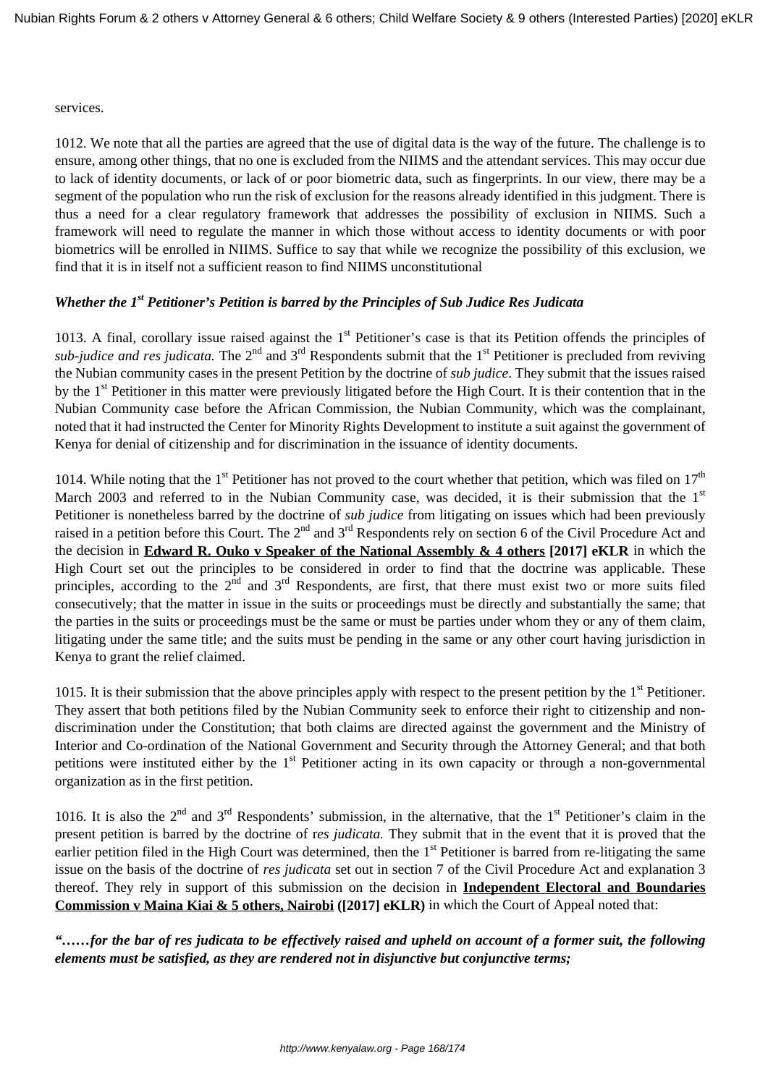services.

1012. We note that all the parties are agreed that the use of digital data is the way of the future. The challenge is to ensure, among other things, that no one is excluded from the NIIMS and the attendant services. This may occur due to lack of identity documents, or lack of or poor biometric data, such as fingerprints. In our view, there may be a segment of the population who run the risk of exclusion for the reasons already identified in this judgment. There is thus a need for a clear regulatory framework that addresses the possibility of exclusion in NIIMS. Such a framework will need to regulate the manner in which those without access to identity documents or with poor biometrics will be enrolled in NIIMS. Suffice to say that while we recognize the possibility of this exclusion, we find that it is in itself not a sufficient reason to find NIIMS unconstitutional

# *Whether the 1st Petitioner's Petition is barred by the Principles of Sub Judice Res Judicata*

1013. A final, corollary issue raised against the  $1<sup>st</sup>$  Petitioner's case is that its Petition offends the principles of *sub-judice and res judicata*. The 2<sup>nd</sup> and 3<sup>rd</sup> Respondents submit that the 1<sup>st</sup> Petitioner is precluded from reviving the Nubian community cases in the present Petition by the doctrine of *sub judice*. They submit that the issues raised by the 1st Petitioner in this matter were previously litigated before the High Court. It is their contention that in the Nubian Community case before the African Commission, the Nubian Community, which was the complainant, noted that it had instructed the Center for Minority Rights Development to institute a suit against the government of Kenya for denial of citizenship and for discrimination in the issuance of identity documents.

1014. While noting that the 1<sup>st</sup> Petitioner has not proved to the court whether that petition, which was filed on  $17<sup>th</sup>$ March 2003 and referred to in the Nubian Community case, was decided, it is their submission that the 1<sup>st</sup> Petitioner is nonetheless barred by the doctrine of *sub judice* from litigating on issues which had been previously raised in a petition before this Court. The 2<sup>nd</sup> and 3<sup>rd</sup> Respondents rely on section 6 of the Civil Procedure Act and the decision in **Edward R. Ouko v Speaker of the National Assembly & 4 others [2017] eKLR** in which the High Court set out the principles to be considered in order to find that the doctrine was applicable. These principles, according to the  $2<sup>nd</sup>$  and  $3<sup>rd</sup>$  Respondents, are first, that there must exist two or more suits filed consecutively; that the matter in issue in the suits or proceedings must be directly and substantially the same; that the parties in the suits or proceedings must be the same or must be parties under whom they or any of them claim, litigating under the same title; and the suits must be pending in the same or any other court having jurisdiction in Kenya to grant the relief claimed.

1015. It is their submission that the above principles apply with respect to the present petition by the  $1<sup>st</sup>$  Petitioner. They assert that both petitions filed by the Nubian Community seek to enforce their right to citizenship and nondiscrimination under the Constitution; that both claims are directed against the government and the Ministry of Interior and Co-ordination of the National Government and Security through the Attorney General; and that both petitions were instituted either by the  $1<sup>st</sup>$  Petitioner acting in its own capacity or through a non-governmental organization as in the first petition.

1016. It is also the  $2^{nd}$  and  $3^{rd}$  Respondents' submission, in the alternative, that the  $1^{st}$  Petitioner's claim in the present petition is barred by the doctrine of r*es judicata.* They submit that in the event that it is proved that the earlier petition filed in the High Court was determined, then the  $1<sup>st</sup>$  Petitioner is barred from re-litigating the same issue on the basis of the doctrine of *res judicata* set out in section 7 of the Civil Procedure Act and explanation 3 thereof. They rely in support of this submission on the decision in **Independent Electoral and Boundaries Commission v Maina Kiai & 5 others, Nairobi ([2017] eKLR)** in which the Court of Appeal noted that:

*"……for the bar of res judicata to be effectively raised and upheld on account of a former suit, the following elements must be satisfied, as they are rendered not in disjunctive but conjunctive terms;*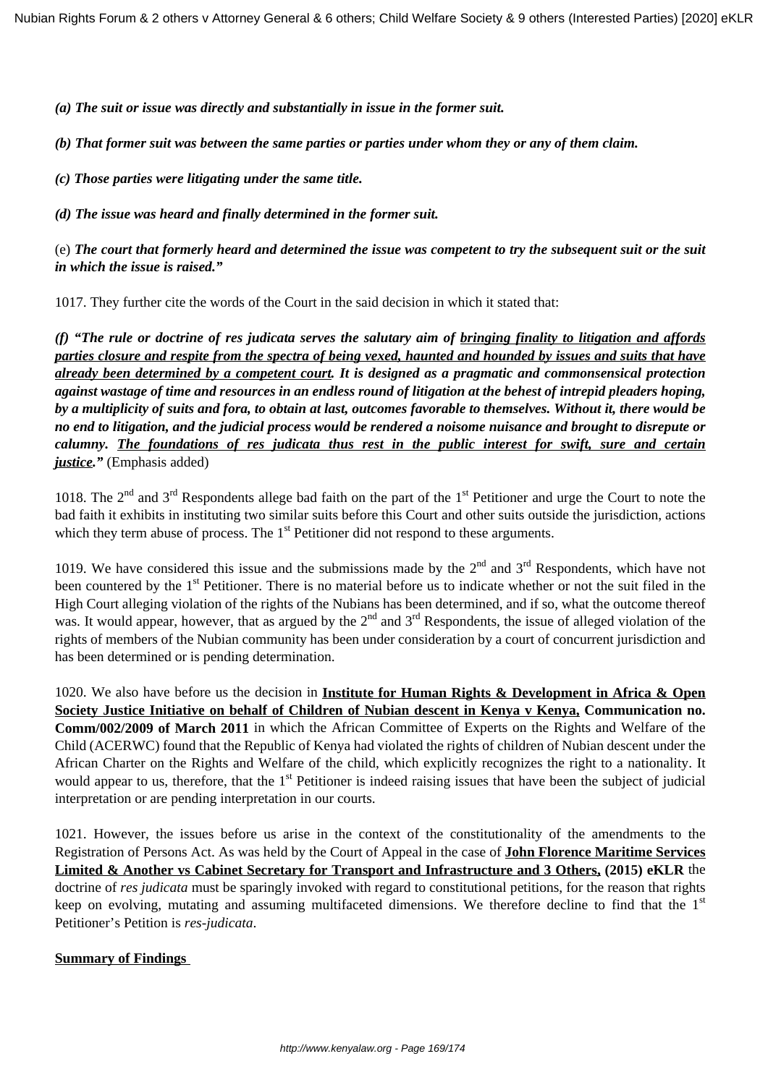*(a) The suit or issue was directly and substantially in issue in the former suit.*

*(b) That former suit was between the same parties or parties under whom they or any of them claim.*

*(c) Those parties were litigating under the same title.*

*(d) The issue was heard and finally determined in the former suit.*

(e) *The court that formerly heard and determined the issue was competent to try the subsequent suit or the suit in which the issue is raised."*

1017. They further cite the words of the Court in the said decision in which it stated that:

*(f) "The rule or doctrine of res judicata serves the salutary aim of bringing finality to litigation and affords parties closure and respite from the spectra of being vexed, haunted and hounded by issues and suits that have already been determined by a competent court. It is designed as a pragmatic and commonsensical protection against wastage of time and resources in an endless round of litigation at the behest of intrepid pleaders hoping, by a multiplicity of suits and fora, to obtain at last, outcomes favorable to themselves. Without it, there would be no end to litigation, and the judicial process would be rendered a noisome nuisance and brought to disrepute or calumny. The foundations of res judicata thus rest in the public interest for swift, sure and certain justice."* (Emphasis added)

1018. The  $2^{nd}$  and  $3^{rd}$  Respondents allege bad faith on the part of the  $1^{st}$  Petitioner and urge the Court to note the bad faith it exhibits in instituting two similar suits before this Court and other suits outside the jurisdiction, actions which they term abuse of process. The  $1<sup>st</sup>$  Petitioner did not respond to these arguments.

1019. We have considered this issue and the submissions made by the  $2<sup>nd</sup>$  and  $3<sup>rd</sup>$  Respondents, which have not been countered by the  $1<sup>st</sup>$  Petitioner. There is no material before us to indicate whether or not the suit filed in the High Court alleging violation of the rights of the Nubians has been determined, and if so, what the outcome thereof was. It would appear, however, that as argued by the 2<sup>nd</sup> and 3<sup>rd</sup> Respondents, the issue of alleged violation of the rights of members of the Nubian community has been under consideration by a court of concurrent jurisdiction and has been determined or is pending determination.

1020. We also have before us the decision in **Institute for Human Rights & Development in Africa & Open Society Justice Initiative on behalf of Children of Nubian descent in Kenya v Kenya, Communication no. Comm/002/2009 of March 2011** in which the African Committee of Experts on the Rights and Welfare of the Child (ACERWC) found that the Republic of Kenya had violated the rights of children of Nubian descent under the African Charter on the Rights and Welfare of the child, which explicitly recognizes the right to a nationality. It would appear to us, therefore, that the 1<sup>st</sup> Petitioner is indeed raising issues that have been the subject of judicial interpretation or are pending interpretation in our courts.

1021. However, the issues before us arise in the context of the constitutionality of the amendments to the Registration of Persons Act. As was held by the Court of Appeal in the case of **John Florence Maritime Services Limited & Another vs Cabinet Secretary for Transport and Infrastructure and 3 Others, (2015) eKLR** the doctrine of *res judicata* must be sparingly invoked with regard to constitutional petitions, for the reason that rights keep on evolving, mutating and assuming multifaceted dimensions. We therefore decline to find that the 1<sup>st</sup> Petitioner's Petition is *res-judicata*.

#### **Summary of Findings**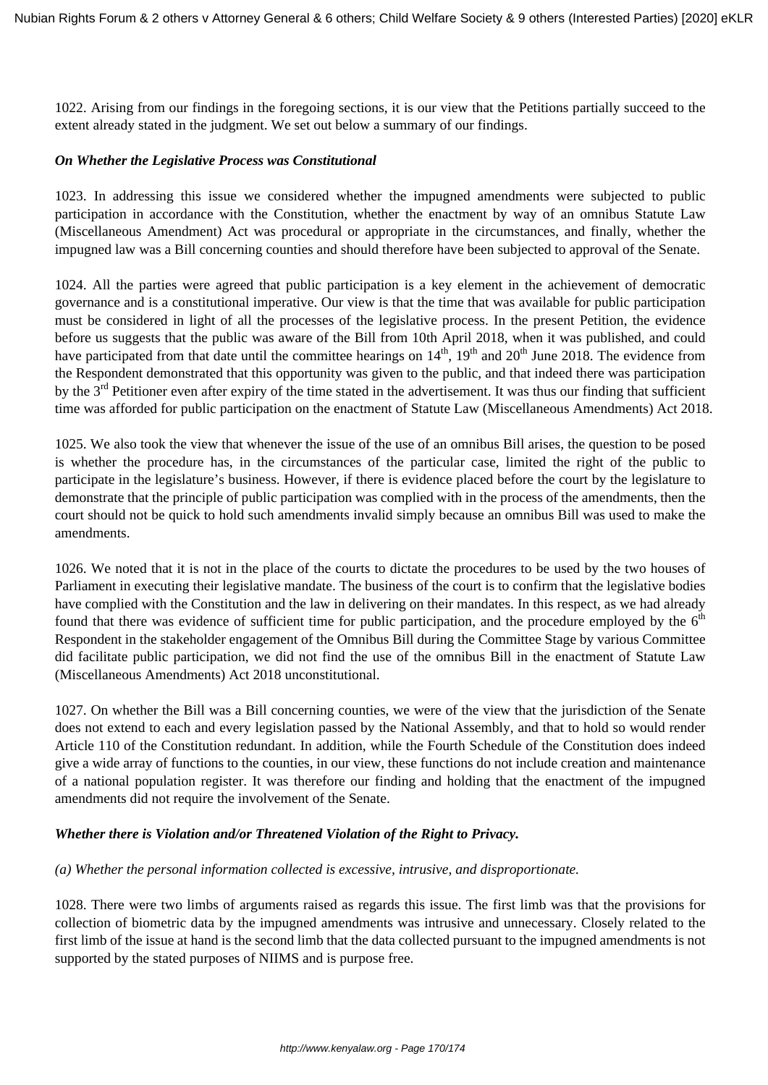1022. Arising from our findings in the foregoing sections, it is our view that the Petitions partially succeed to the extent already stated in the judgment. We set out below a summary of our findings.

#### *On Whether the Legislative Process was Constitutional*

1023. In addressing this issue we considered whether the impugned amendments were subjected to public participation in accordance with the Constitution, whether the enactment by way of an omnibus Statute Law (Miscellaneous Amendment) Act was procedural or appropriate in the circumstances, and finally, whether the impugned law was a Bill concerning counties and should therefore have been subjected to approval of the Senate.

1024. All the parties were agreed that public participation is a key element in the achievement of democratic governance and is a constitutional imperative. Our view is that the time that was available for public participation must be considered in light of all the processes of the legislative process. In the present Petition, the evidence before us suggests that the public was aware of the Bill from 10th April 2018, when it was published, and could have participated from that date until the committee hearings on  $14<sup>th</sup>$ ,  $19<sup>th</sup>$  and  $20<sup>th</sup>$  June 2018. The evidence from the Respondent demonstrated that this opportunity was given to the public, and that indeed there was participation by the  $3<sup>rd</sup>$  Petitioner even after expiry of the time stated in the advertisement. It was thus our finding that sufficient time was afforded for public participation on the enactment of Statute Law (Miscellaneous Amendments) Act 2018.

1025. We also took the view that whenever the issue of the use of an omnibus Bill arises, the question to be posed is whether the procedure has, in the circumstances of the particular case, limited the right of the public to participate in the legislature's business. However, if there is evidence placed before the court by the legislature to demonstrate that the principle of public participation was complied with in the process of the amendments, then the court should not be quick to hold such amendments invalid simply because an omnibus Bill was used to make the amendments.

1026. We noted that it is not in the place of the courts to dictate the procedures to be used by the two houses of Parliament in executing their legislative mandate. The business of the court is to confirm that the legislative bodies have complied with the Constitution and the law in delivering on their mandates. In this respect, as we had already found that there was evidence of sufficient time for public participation, and the procedure employed by the  $6<sup>th</sup>$ Respondent in the stakeholder engagement of the Omnibus Bill during the Committee Stage by various Committee did facilitate public participation, we did not find the use of the omnibus Bill in the enactment of Statute Law (Miscellaneous Amendments) Act 2018 unconstitutional.

1027. On whether the Bill was a Bill concerning counties, we were of the view that the jurisdiction of the Senate does not extend to each and every legislation passed by the National Assembly, and that to hold so would render Article 110 of the Constitution redundant. In addition, while the Fourth Schedule of the Constitution does indeed give a wide array of functions to the counties, in our view, these functions do not include creation and maintenance of a national population register. It was therefore our finding and holding that the enactment of the impugned amendments did not require the involvement of the Senate.

#### *Whether there is Violation and/or Threatened Violation of the Right to Privacy.*

#### *(a) Whether the personal information collected is excessive, intrusive, and disproportionate.*

1028. There were two limbs of arguments raised as regards this issue. The first limb was that the provisions for collection of biometric data by the impugned amendments was intrusive and unnecessary. Closely related to the first limb of the issue at hand is the second limb that the data collected pursuant to the impugned amendments is not supported by the stated purposes of NIIMS and is purpose free.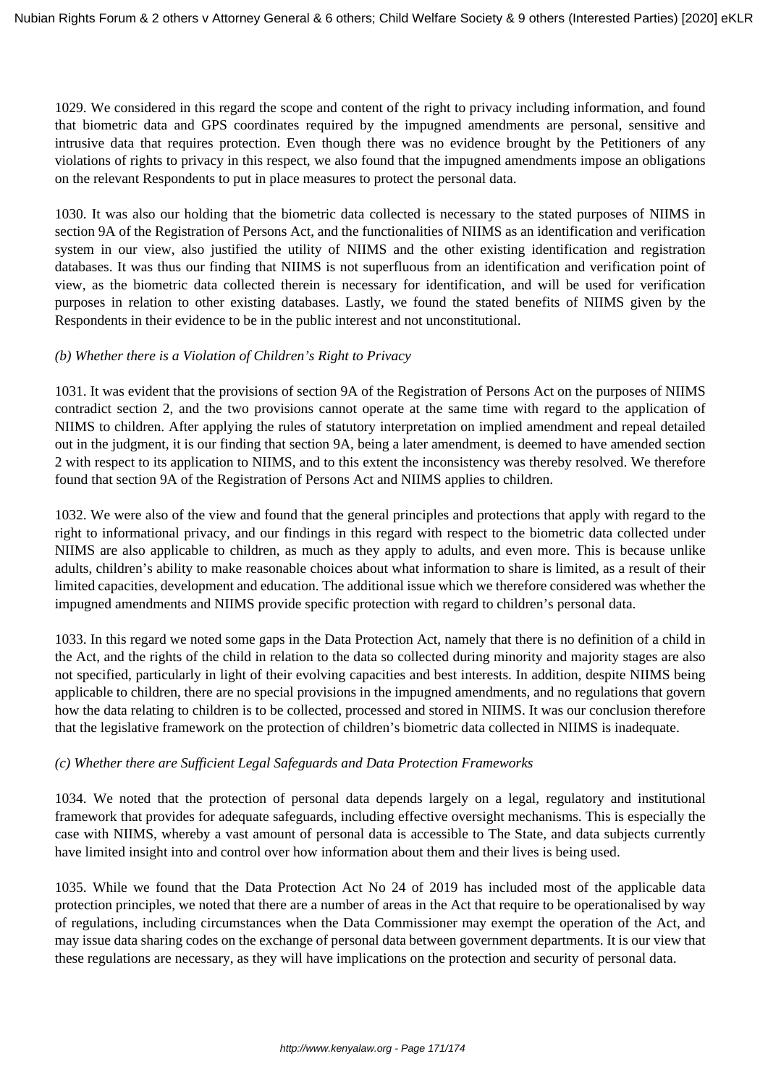1029. We considered in this regard the scope and content of the right to privacy including information, and found that biometric data and GPS coordinates required by the impugned amendments are personal, sensitive and intrusive data that requires protection. Even though there was no evidence brought by the Petitioners of any violations of rights to privacy in this respect, we also found that the impugned amendments impose an obligations on the relevant Respondents to put in place measures to protect the personal data.

1030. It was also our holding that the biometric data collected is necessary to the stated purposes of NIIMS in section 9A of the Registration of Persons Act, and the functionalities of NIIMS as an identification and verification system in our view, also justified the utility of NIIMS and the other existing identification and registration databases. It was thus our finding that NIIMS is not superfluous from an identification and verification point of view, as the biometric data collected therein is necessary for identification, and will be used for verification purposes in relation to other existing databases. Lastly, we found the stated benefits of NIIMS given by the Respondents in their evidence to be in the public interest and not unconstitutional.

## *(b) Whether there is a Violation of Children's Right to Privacy*

1031. It was evident that the provisions of section 9A of the Registration of Persons Act on the purposes of NIIMS contradict section 2, and the two provisions cannot operate at the same time with regard to the application of NIIMS to children. After applying the rules of statutory interpretation on implied amendment and repeal detailed out in the judgment, it is our finding that section 9A, being a later amendment, is deemed to have amended section 2 with respect to its application to NIIMS, and to this extent the inconsistency was thereby resolved. We therefore found that section 9A of the Registration of Persons Act and NIIMS applies to children.

1032. We were also of the view and found that the general principles and protections that apply with regard to the right to informational privacy, and our findings in this regard with respect to the biometric data collected under NIIMS are also applicable to children, as much as they apply to adults, and even more. This is because unlike adults, children's ability to make reasonable choices about what information to share is limited, as a result of their limited capacities, development and education. The additional issue which we therefore considered was whether the impugned amendments and NIIMS provide specific protection with regard to children's personal data.

1033. In this regard we noted some gaps in the Data Protection Act, namely that there is no definition of a child in the Act, and the rights of the child in relation to the data so collected during minority and majority stages are also not specified, particularly in light of their evolving capacities and best interests. In addition, despite NIIMS being applicable to children, there are no special provisions in the impugned amendments, and no regulations that govern how the data relating to children is to be collected, processed and stored in NIIMS. It was our conclusion therefore that the legislative framework on the protection of children's biometric data collected in NIIMS is inadequate.

# *(c) Whether there are Sufficient Legal Safeguards and Data Protection Frameworks*

1034. We noted that the protection of personal data depends largely on a legal, regulatory and institutional framework that provides for adequate safeguards, including effective oversight mechanisms. This is especially the case with NIIMS, whereby a vast amount of personal data is accessible to The State, and data subjects currently have limited insight into and control over how information about them and their lives is being used.

1035. While we found that the Data Protection Act No 24 of 2019 has included most of the applicable data protection principles, we noted that there are a number of areas in the Act that require to be operationalised by way of regulations, including circumstances when the Data Commissioner may exempt the operation of the Act, and may issue data sharing codes on the exchange of personal data between government departments. It is our view that these regulations are necessary, as they will have implications on the protection and security of personal data.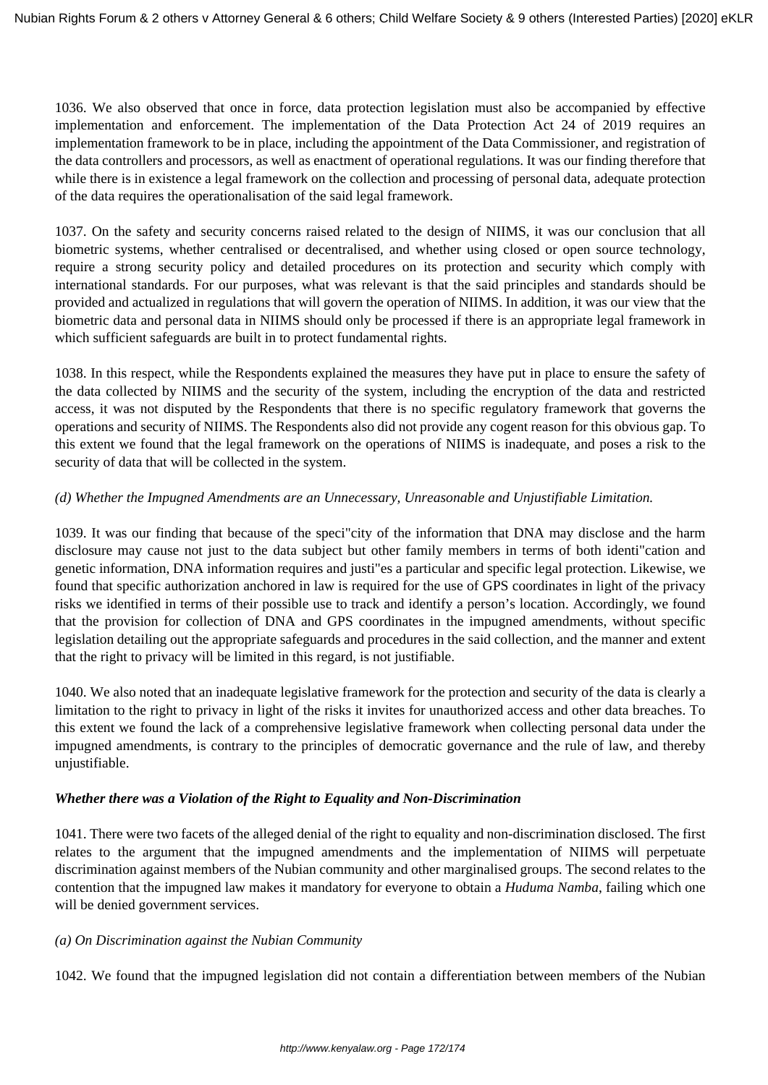1036. We also observed that once in force, data protection legislation must also be accompanied by effective implementation and enforcement. The implementation of the Data Protection Act 24 of 2019 requires an implementation framework to be in place, including the appointment of the Data Commissioner, and registration of the data controllers and processors, as well as enactment of operational regulations. It was our finding therefore that while there is in existence a legal framework on the collection and processing of personal data, adequate protection of the data requires the operationalisation of the said legal framework.

1037. On the safety and security concerns raised related to the design of NIIMS, it was our conclusion that all biometric systems, whether centralised or decentralised, and whether using closed or open source technology, require a strong security policy and detailed procedures on its protection and security which comply with international standards. For our purposes, what was relevant is that the said principles and standards should be provided and actualized in regulations that will govern the operation of NIIMS. In addition, it was our view that the biometric data and personal data in NIIMS should only be processed if there is an appropriate legal framework in which sufficient safeguards are built in to protect fundamental rights.

1038. In this respect, while the Respondents explained the measures they have put in place to ensure the safety of the data collected by NIIMS and the security of the system, including the encryption of the data and restricted access, it was not disputed by the Respondents that there is no specific regulatory framework that governs the operations and security of NIIMS. The Respondents also did not provide any cogent reason for this obvious gap. To this extent we found that the legal framework on the operations of NIIMS is inadequate, and poses a risk to the security of data that will be collected in the system.

# *(d) Whether the Impugned Amendments are an Unnecessary, Unreasonable and Unjustifiable Limitation.*

1039. It was our finding that because of the speci"city of the information that DNA may disclose and the harm disclosure may cause not just to the data subject but other family members in terms of both identi"cation and genetic information, DNA information requires and justi"es a particular and specific legal protection. Likewise, we found that specific authorization anchored in law is required for the use of GPS coordinates in light of the privacy risks we identified in terms of their possible use to track and identify a person's location. Accordingly, we found that the provision for collection of DNA and GPS coordinates in the impugned amendments, without specific legislation detailing out the appropriate safeguards and procedures in the said collection, and the manner and extent that the right to privacy will be limited in this regard, is not justifiable.

1040. We also noted that an inadequate legislative framework for the protection and security of the data is clearly a limitation to the right to privacy in light of the risks it invites for unauthorized access and other data breaches. To this extent we found the lack of a comprehensive legislative framework when collecting personal data under the impugned amendments, is contrary to the principles of democratic governance and the rule of law, and thereby unjustifiable.

#### *Whether there was a Violation of the Right to Equality and Non-Discrimination*

1041. There were two facets of the alleged denial of the right to equality and non-discrimination disclosed. The first relates to the argument that the impugned amendments and the implementation of NIIMS will perpetuate discrimination against members of the Nubian community and other marginalised groups. The second relates to the contention that the impugned law makes it mandatory for everyone to obtain a *Huduma Namba*, failing which one will be denied government services.

#### *(a) On Discrimination against the Nubian Community*

1042. We found that the impugned legislation did not contain a differentiation between members of the Nubian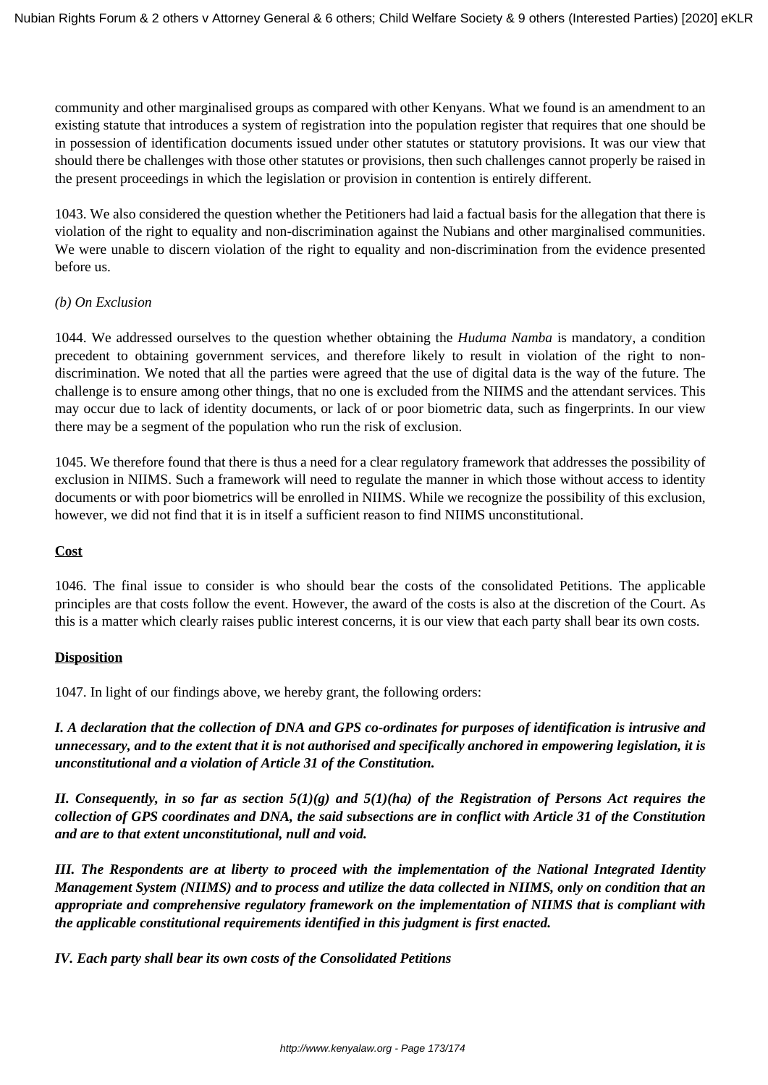community and other marginalised groups as compared with other Kenyans. What we found is an amendment to an existing statute that introduces a system of registration into the population register that requires that one should be in possession of identification documents issued under other statutes or statutory provisions. It was our view that should there be challenges with those other statutes or provisions, then such challenges cannot properly be raised in the present proceedings in which the legislation or provision in contention is entirely different.

1043. We also considered the question whether the Petitioners had laid a factual basis for the allegation that there is violation of the right to equality and non-discrimination against the Nubians and other marginalised communities. We were unable to discern violation of the right to equality and non-discrimination from the evidence presented before us.

## *(b) On Exclusion*

1044. We addressed ourselves to the question whether obtaining the *Huduma Namba* is mandatory, a condition precedent to obtaining government services, and therefore likely to result in violation of the right to nondiscrimination. We noted that all the parties were agreed that the use of digital data is the way of the future. The challenge is to ensure among other things, that no one is excluded from the NIIMS and the attendant services. This may occur due to lack of identity documents, or lack of or poor biometric data, such as fingerprints. In our view there may be a segment of the population who run the risk of exclusion.

1045. We therefore found that there is thus a need for a clear regulatory framework that addresses the possibility of exclusion in NIIMS. Such a framework will need to regulate the manner in which those without access to identity documents or with poor biometrics will be enrolled in NIIMS. While we recognize the possibility of this exclusion, however, we did not find that it is in itself a sufficient reason to find NIIMS unconstitutional.

#### **Cost**

1046. The final issue to consider is who should bear the costs of the consolidated Petitions. The applicable principles are that costs follow the event. However, the award of the costs is also at the discretion of the Court. As this is a matter which clearly raises public interest concerns, it is our view that each party shall bear its own costs.

#### **Disposition**

1047. In light of our findings above, we hereby grant, the following orders:

*I. A declaration that the collection of DNA and GPS co-ordinates for purposes of identification is intrusive and unnecessary, and to the extent that it is not authorised and specifically anchored in empowering legislation, it is unconstitutional and a violation of Article 31 of the Constitution.* 

*II. Consequently, in so far as section 5(1)(g) and 5(1)(ha) of the Registration of Persons Act requires the collection of GPS coordinates and DNA, the said subsections are in conflict with Article 31 of the Constitution and are to that extent unconstitutional, null and void.* 

*III. The Respondents are at liberty to proceed with the implementation of the National Integrated Identity Management System (NIIMS) and to process and utilize the data collected in NIIMS, only on condition that an appropriate and comprehensive regulatory framework on the implementation of NIIMS that is compliant with the applicable constitutional requirements identified in this judgment is first enacted.* 

*IV. Each party shall bear its own costs of the Consolidated Petitions*